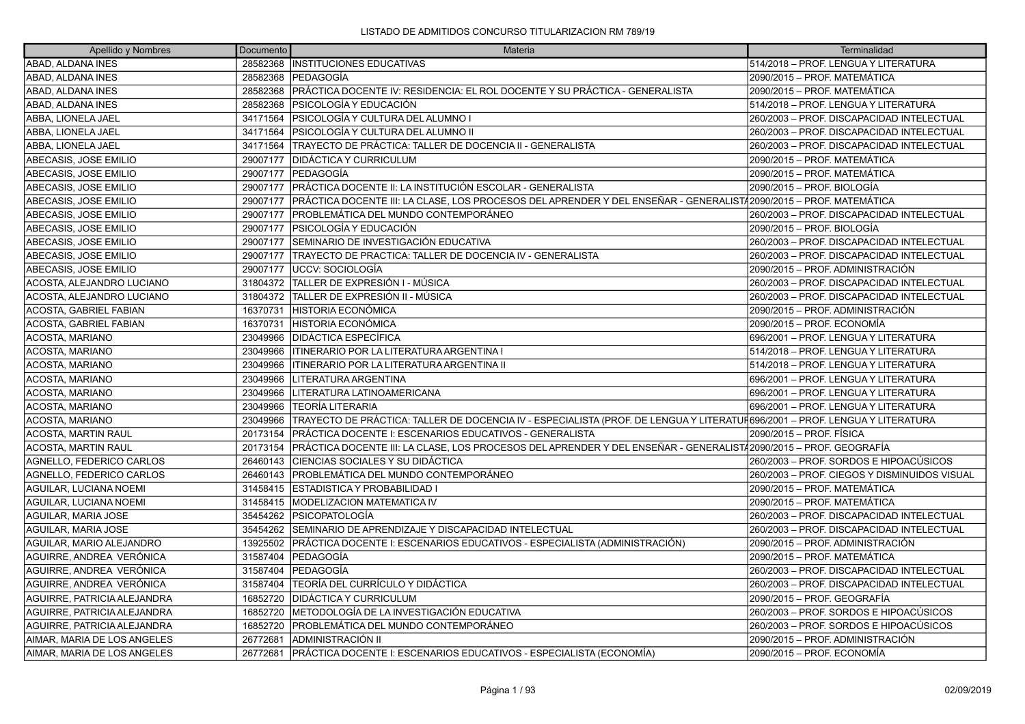| Apellido y Nombres            | Documento | Materia                                                                                                                     | Terminalidad                                 |
|-------------------------------|-----------|-----------------------------------------------------------------------------------------------------------------------------|----------------------------------------------|
| ABAD, ALDANA INES             | 28582368  | <b>INSTITUCIONES EDUCATIVAS</b>                                                                                             | 514/2018 - PROF. LENGUA Y LITERATURA         |
| ABAD, ALDANA INES             | 28582368  | <b>PEDAGOGÍA</b>                                                                                                            | 2090/2015 – PROF. MATEMÁTICA                 |
| ABAD, ALDANA INES             | 28582368  | PRÁCTICA DOCENTE IV: RESIDENCIA: EL ROL DOCENTE Y SU PRÁCTICA - GENERALISTA                                                 | 2090/2015 - PROF. MATEMÁTICA                 |
| ABAD, ALDANA INES             | 28582368  | IPSICOLOGÍA Y EDUCACIÓN                                                                                                     | 514/2018 - PROF. LENGUA Y LITERATURA         |
| ABBA, LIONELA JAEL            | 34171564  | PSICOLOGÍA Y CULTURA DEL ALUMNO I                                                                                           | 260/2003 - PROF. DISCAPACIDAD INTELECTUAL    |
| ABBA, LIONELA JAEL            | 34171564  | IPSICOLOGÍA Y CULTURA DEL ALUMNO II                                                                                         | 260/2003 - PROF. DISCAPACIDAD INTELECTUAL    |
| ABBA, LIONELA JAEL            | 34171564  | TRAYECTO DE PRÁCTICA: TALLER DE DOCENCIA II - GENERALISTA                                                                   | 260/2003 – PROF. DISCAPACIDAD INTELECTUAL    |
| ABECASIS, JOSE EMILIO         | 29007177  | <b>DIDÁCTICA Y CURRICULUM</b>                                                                                               | 2090/2015 – PROF. MATEMÁTICA                 |
| ABECASIS, JOSE EMILIO         | 29007177  | <b>IPEDAGOGÍA</b>                                                                                                           | 2090/2015 - PROF. MATEMÁTICA                 |
| ABECASIS, JOSE EMILIO         | 29007177  | PRÁCTICA DOCENTE II: LA INSTITUCIÓN ESCOLAR - GENERALISTA                                                                   | 2090/2015 – PROF. BIOLOGÍA                   |
| ABECASIS, JOSE EMILIO         | 29007177  | PRÁCTICA DOCENTE III: LA CLASE, LOS PROCESOS DEL APRENDER Y DEL ENSEÑAR - GENERALISTÁ2090/2015 – PROF. MATEMÁTICA           |                                              |
| ABECASIS, JOSE EMILIO         | 29007177  | IPROBLEMÁTICA DEL MUNDO CONTEMPORÁNEO                                                                                       | 260/2003 - PROF. DISCAPACIDAD INTELECTUAL    |
| ABECASIS, JOSE EMILIO         | 29007177  | <b>IPSICOLOGÍA Y EDUCACIÓN</b>                                                                                              | 2090/2015 – PROF. BIOLOGÍA                   |
| ABECASIS, JOSE EMILIO         | 29007177  | SEMINARIO DE INVESTIGACIÓN EDUCATIVA                                                                                        | 260/2003 - PROF. DISCAPACIDAD INTELECTUAL    |
| ABECASIS, JOSE EMILIO         | 29007177  | TRAYECTO DE PRACTICA: TALLER DE DOCENCIA IV - GENERALISTA                                                                   | 260/2003 - PROF. DISCAPACIDAD INTELECTUAL    |
| ABECASIS, JOSE EMILIO         | 29007177  | <b>IUCCV: SOCIOLOGÍA</b>                                                                                                    | 2090/2015 – PROF. ADMINISTRACIÓN             |
| ACOSTA, ALEJANDRO LUCIANO     | 31804372  | TALLER DE EXPRESIÓN I - MÚSICA                                                                                              | 260/2003 - PROF. DISCAPACIDAD INTELECTUAL    |
| ACOSTA, ALEJANDRO LUCIANO     | 31804372  | <b>TALLER DE EXPRESIÓN II - MÚSICA</b>                                                                                      | 260/2003 - PROF. DISCAPACIDAD INTELECTUAL    |
| ACOSTA, GABRIEL FABIAN        | 16370731  | <b>HISTORIA ECONÓMICA</b>                                                                                                   | 2090/2015 – PROF. ADMINISTRACIÓN             |
| <b>ACOSTA, GABRIEL FABIAN</b> | 16370731  | <b>HISTORIA ECONÓMICA</b>                                                                                                   | 2090/2015 – PROF. ECONOMÍA                   |
| ACOSTA, MARIANO               | 23049966  | <b>IDIDÁCTICA ESPECÍFICA</b>                                                                                                | 696/2001 - PROF. LENGUA Y LITERATURA         |
| ACOSTA, MARIANO               | 23049966  | ITINERARIO POR LA LITERATURA ARGENTINA I                                                                                    | 514/2018 – PROF. LENGUA Y LITERATURA         |
| ACOSTA, MARIANO               | 23049966  | IITINERARIO POR LA LITERATURA ARGENTINA II                                                                                  | 514/2018 - PROF. LENGUA Y LITERATURA         |
| <b>ACOSTA, MARIANO</b>        | 23049966  | LITERATURA ARGENTINA                                                                                                        | 696/2001 - PROF. LENGUA Y LITERATURA         |
| ACOSTA, MARIANO               | 23049966  | LITERATURA LATINOAMERICANA                                                                                                  | 696/2001 – PROF. LENGUA Y LITERATURA         |
| <b>ACOSTA, MARIANO</b>        | 23049966  | TEORÍA LITERARIA                                                                                                            | 696/2001 – PROF. LENGUA Y LITERATURA         |
| <b>ACOSTA, MARIANO</b>        | 23049966  | TRAYECTO DE PRÁCTICA: TALLER DE DOCENCIA IV - ESPECIALISTA (PROF. DE LENGUA Y LITERATUF696/2001 – PROF. LENGUA Y LITERATURA |                                              |
| <b>ACOSTA, MARTIN RAUL</b>    | 20173154  | PRÁCTICA DOCENTE I: ESCENARIOS EDUCATIVOS - GENERALISTA                                                                     | 2090/2015 – PROF. FÍSICA                     |
| <b>ACOSTA, MARTIN RAUL</b>    | 20173154  | PRÁCTICA DOCENTE III: LA CLASE, LOS PROCESOS DEL APRENDER Y DEL ENSEÑAR - GENERALIST/2090/2015 – PROF. GEOGRAFÍA            |                                              |
| AGNELLO, FEDERICO CARLOS      | 26460143  | CIENCIAS SOCIALES Y SU DIDÁCTICA                                                                                            | 260/2003 – PROF. SORDOS E HIPOACÚSICOS       |
| AGNELLO, FEDERICO CARLOS      | 26460143  | PROBLEMÁTICA DEL MUNDO CONTEMPORÁNEO                                                                                        | 260/2003 – PROF. CIEGOS Y DISMINUIDOS VISUAL |
| AGUILAR, LUCIANA NOEMI        | 31458415  | ESTADISTICA Y PROBABILIDAD I                                                                                                | 2090/2015 – PROF. MATEMÁTICA                 |
| AGUILAR, LUCIANA NOEMI        | 31458415  | <b>MODELIZACION MATEMATICA IV</b>                                                                                           | 2090/2015 - PROF. MATEMÁTICA                 |
| <b>AGUILAR, MARIA JOSE</b>    | 35454262  | PSICOPATOLOGÍA                                                                                                              | 260/2003 - PROF. DISCAPACIDAD INTELECTUAL    |
| <b>AGUILAR, MARIA JOSE</b>    | 35454262  | SEMINARIO DE APRENDIZAJE Y DISCAPACIDAD INTELECTUAL                                                                         | 260/2003 - PROF. DISCAPACIDAD INTELECTUAL    |
| AGUILAR, MARIO ALEJANDRO      | 13925502  | PRÁCTICA DOCENTE I: ESCENARIOS EDUCATIVOS - ESPECIALISTA (ADMINISTRACIÓN)                                                   | 2090/2015 – PROF. ADMINISTRACIÓN             |
| AGUIRRE, ANDREA VERÓNICA      | 31587404  | <b>PEDAGOGÍA</b>                                                                                                            | 2090/2015 – PROF. MATEMÁTICA                 |
| AGUIRRE, ANDREA VERÓNICA      | 31587404  | <b>IPEDAGOGÍA</b>                                                                                                           | 260/2003 - PROF. DISCAPACIDAD INTELECTUAL    |
| AGUIRRE, ANDREA VERÓNICA      | 31587404  | TEORÍA DEL CURRÍCULO Y DIDÁCTICA                                                                                            | 260/2003 - PROF. DISCAPACIDAD INTELECTUAL    |
| AGUIRRE, PATRICIA ALEJANDRA   | 16852720  | <b>DIDÁCTICA Y CURRICULUM</b>                                                                                               | 2090/2015 – PROF. GEOGRAFÍA                  |
| AGUIRRE, PATRICIA ALEJANDRA   | 16852720  | METODOLOGÍA DE LA INVESTIGACIÓN EDUCATIVA                                                                                   | 260/2003 – PROF. SORDOS E HIPOACÚSICOS       |
| AGUIRRE, PATRICIA ALEJANDRA   | 16852720  | PROBLEMÁTICA DEL MUNDO CONTEMPORÁNEO                                                                                        | 260/2003 – PROF. SORDOS E HIPOACÚSICOS       |
| AIMAR, MARIA DE LOS ANGELES   | 26772681  | ADMINISTRACIÓN II                                                                                                           | 2090/2015 – PROF. ADMINISTRACIÓN             |
| AIMAR. MARIA DE LOS ANGELES   | 26772681  | PRÁCTICA DOCENTE I: ESCENARIOS EDUCATIVOS - ESPECIALISTA (ECONOMÍA)                                                         | 2090/2015 – PROF. ECONOMÍA                   |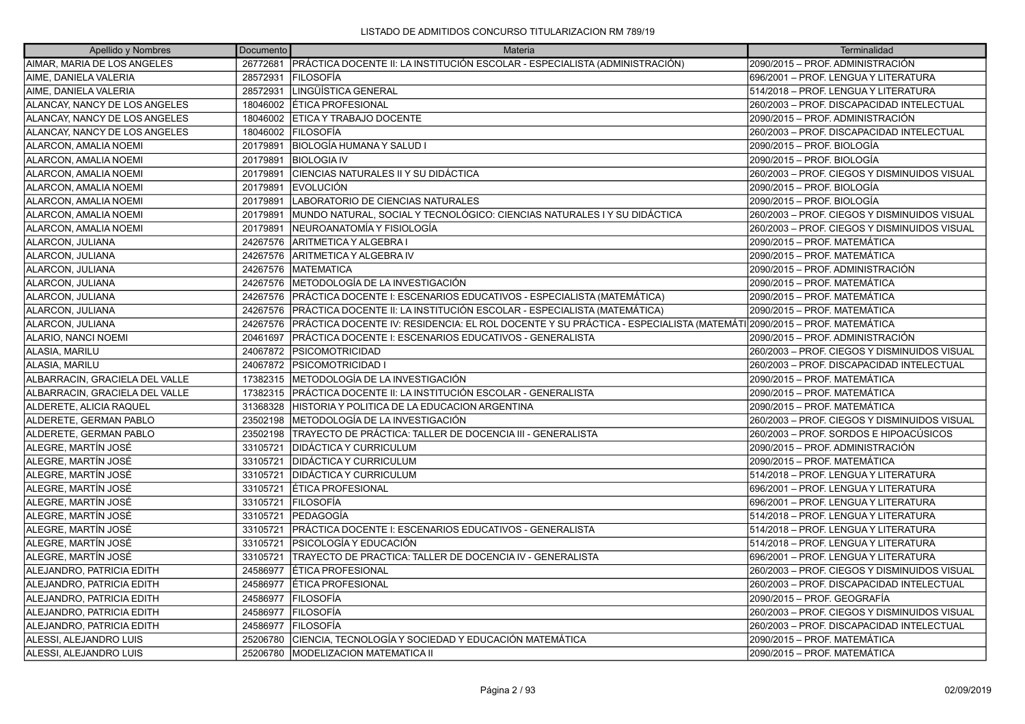| Apellido y Nombres             | Documento | Materia                                                                                                             | Terminalidad                                 |
|--------------------------------|-----------|---------------------------------------------------------------------------------------------------------------------|----------------------------------------------|
| AIMAR, MARIA DE LOS ANGELES    | 26772681  | PRÁCTICA DOCENTE II: LA INSTITUCIÓN ESCOLAR - ESPECIALISTA (ADMINISTRACIÓN)                                         | 2090/2015 - PROF. ADMINISTRACIÓN             |
| AIME, DANIELA VALERIA          | 28572931  | <b>FILOSOFÍA</b>                                                                                                    | 696/2001 - PROF. LENGUA Y LITERATURA         |
| AIME, DANIELA VALERIA          | 28572931  | LINGÜÍSTICA GENERAL                                                                                                 | 514/2018 - PROF. LENGUA Y LITERATURA         |
| ALANCAY, NANCY DE LOS ANGELES  | 18046002  | ÉTICA PROFESIONAL                                                                                                   | 260/2003 - PROF. DISCAPACIDAD INTELECTUAL    |
| ALANCAY, NANCY DE LOS ANGELES  | 18046002  | <b>ETICA Y TRABAJO DOCENTE</b>                                                                                      | 2090/2015 – PROF. ADMINISTRACIÓN             |
| ALANCAY, NANCY DE LOS ANGELES  | 18046002  | <b>IFILOSOFÍA</b>                                                                                                   | 260/2003 - PROF. DISCAPACIDAD INTELECTUAL    |
| ALARCON. AMALIA NOEMI          | 20179891  | ÍBIOLOGÍA HUMANA Y SALUD I                                                                                          | 2090/2015 – PROF. BIOLOGÍA                   |
| ALARCON, AMALIA NOEMI          | 20179891  | <b>BIOLOGIA IV</b>                                                                                                  | 2090/2015 – PROF. BIOLOGÍA                   |
| ALARCON, AMALIA NOEMI          | 20179891  | CIENCIAS NATURALES II Y SU DIDÁCTICA                                                                                | 260/2003 - PROF. CIEGOS Y DISMINUIDOS VISUAL |
| ALARCON, AMALIA NOEMI          | 20179891  | <b>IEVOLUCIÓN</b>                                                                                                   | 2090/2015 – PROF. BIOLOGÍA                   |
| ALARCON, AMALIA NOEMI          | 20179891  | LABORATORIO DE CIENCIAS NATURALES                                                                                   | 2090/2015 - PROF. BIOLOGÍA                   |
| ALARCON, AMALIA NOEMI          | 20179891  | MUNDO NATURAL, SOCIAL Y TECNOLÓGICO: CIENCIAS NATURALES I Y SU DIDÁCTICA                                            | 260/2003 - PROF. CIEGOS Y DISMINUIDOS VISUAL |
| ALARCON, AMALIA NOEMI          | 20179891  | NEUROANATOMÍA Y FISIOLOGÍA                                                                                          | 260/2003 - PROF. CIEGOS Y DISMINUIDOS VISUAL |
| ALARCON, JULIANA               | 24267576  | ARITMETICA Y ALGEBRA I                                                                                              | 2090/2015 - PROF. MATEMÁTICA                 |
| ALARCON, JULIANA               | 24267576  | ARITMETICA Y ALGEBRA IV                                                                                             | 2090/2015 – PROF. MATEMÁTICA                 |
| ALARCON, JULIANA               | 24267576  | <b>MATEMATICA</b>                                                                                                   | 2090/2015 - PROF. ADMINISTRACIÓN             |
| ALARCON, JULIANA               | 24267576  | IMETODOLOGÍA DE LA INVESTIGACIÓN                                                                                    | 2090/2015 - PROF. MATEMÁTICA                 |
| ALARCON, JULIANA               | 24267576  | PRÁCTICA DOCENTE I: ESCENARIOS EDUCATIVOS - ESPECIALISTA (MATEMÁTICA)                                               | 2090/2015 – PROF. MATEMÁTICA                 |
| ALARCON, JULIANA               | 24267576  | PRÁCTICA DOCENTE II: LA INSTITUCIÓN ESCOLAR - ESPECIALISTA (MATEMÁTICA)                                             | 2090/2015 – PROF. MATEMÁTICA                 |
| ALARCON, JULIANA               | 24267576  | PRÁCTICA DOCENTE IV: RESIDENCIA: EL ROL DOCENTE Y SU PRÁCTICA - ESPECIALISTA (MATEMÁTI 2090/2015 – PROF. MATEMÁTICA |                                              |
| ALARIO, NANCI NOEMI            | 20461697  | PRÁCTICA DOCENTE I: ESCENARIOS EDUCATIVOS - GENERALISTA                                                             | 2090/2015 – PROF. ADMINISTRACIÓN             |
| ALASIA, MARILU                 | 24067872  | <b>PSICOMOTRICIDAD</b>                                                                                              | 260/2003 - PROF. CIEGOS Y DISMINUIDOS VISUAL |
| ALASIA, MARILU                 | 24067872  | <b>PSICOMOTRICIDAD I</b>                                                                                            | 260/2003 - PROF. DISCAPACIDAD INTELECTUAL    |
| ALBARRACIN, GRACIELA DEL VALLE | 17382315  | METODOLOGÍA DE LA INVESTIGACIÓN                                                                                     | 2090/2015 - PROF. MATEMÁTICA                 |
| ALBARRACIN, GRACIELA DEL VALLE | 17382315  | PRÁCTICA DOCENTE II: LA INSTITUCIÓN ESCOLAR - GENERALISTA                                                           | 2090/2015 - PROF. MATEMÁTICA                 |
| ALDERETE, ALICIA RAQUEL        | 31368328  | HISTORIA Y POLITICA DE LA EDUCACION ARGENTINA                                                                       | 2090/2015 - PROF. MATEMÁTICA                 |
| ALDERETE, GERMAN PABLO         | 23502198  | METODOLOGÍA DE LA INVESTIGACIÓN                                                                                     | 260/2003 - PROF. CIEGOS Y DISMINUIDOS VISUAL |
| ALDERETE, GERMAN PABLO         | 23502198  | TRAYECTO DE PRÁCTICA: TALLER DE DOCENCIA III - GENERALISTA                                                          | 260/2003 – PROF. SORDOS E HIPOACÚSICOS       |
| ALEGRE, MARTÍN JOSÉ            | 33105721  | <b>DIDÁCTICA Y CURRICULUM</b>                                                                                       | 2090/2015 - PROF. ADMINISTRACIÓN             |
| ALEGRE, MARTÍN JOSÉ            | 33105721  | <b>DIDÁCTICA Y CURRICULUM</b>                                                                                       | 2090/2015 - PROF. MATEMÁTICA                 |
| ALEGRE, MARTÍN JOSÉ            | 33105721  | DIDÁCTICA Y CURRICULUM                                                                                              | 514/2018 - PROF. LENGUA Y LITERATURA         |
| ALEGRE, MARTÍN JOSÉ            | 33105721  | ÉTICA PROFESIONAL                                                                                                   | 696/2001 - PROF. LENGUA Y LITERATURA         |
| ALEGRE, MARTÍN JOSÉ            | 33105721  | <b>FILOSOFÍA</b>                                                                                                    | 696/2001 - PROF. LENGUA Y LITERATURA         |
| ALEGRE, MARTÍN JOSÉ            | 33105721  | lPEDAGOGÍA                                                                                                          | 514/2018 - PROF. LENGUA Y LITERATURA         |
| ALEGRE, MARTÍN JOSÉ            | 33105721  | PRÁCTICA DOCENTE I: ESCENARIOS EDUCATIVOS - GENERALISTA                                                             | 514/2018 - PROF. LENGUA Y LITERATURA         |
| ALEGRE, MARTÍN JOSÉ            | 33105721  | PSICOLOGÍA Y EDUCACIÓN                                                                                              | 514/2018 - PROF. LENGUA Y LITERATURA         |
| ALEGRE, MARTÍN JOSÉ            | 33105721  | TRAYECTO DE PRACTICA: TALLER DE DOCENCIA IV - GENERALISTA                                                           | 696/2001 - PROF. LENGUA Y LITERATURA         |
| ALEJANDRO, PATRICIA EDITH      | 24586977  | ÉTICA PROFESIONAL                                                                                                   | 260/2003 - PROF. CIEGOS Y DISMINUIDOS VISUAL |
| ALEJANDRO, PATRICIA EDITH      | 24586977  | ÉTICA PROFESIONAL                                                                                                   | 260/2003 - PROF. DISCAPACIDAD INTELECTUAL    |
| ALEJANDRO, PATRICIA EDITH      | 24586977  | FILOSOFÍA                                                                                                           | 2090/2015 - PROF. GEOGRAFÍA                  |
| ALEJANDRO, PATRICIA EDITH      | 24586977  | <b>FILOSOFÍA</b>                                                                                                    | 260/2003 - PROF. CIEGOS Y DISMINUIDOS VISUAL |
| ALEJANDRO, PATRICIA EDITH      | 24586977  | FILOSOFÍA                                                                                                           | 260/2003 - PROF. DISCAPACIDAD INTELECTUAL    |
| ALESSI, ALEJANDRO LUIS         | 25206780  | CIENCIA, TECNOLOGÍA Y SOCIEDAD Y EDUCACIÓN MATEMÁTICA                                                               | 2090/2015 - PROF. MATEMÁTICA                 |
| ALESSI, ALEJANDRO LUIS         | 25206780  | <b>MODELIZACION MATEMATICA II</b>                                                                                   | 2090/2015 – PROF. MATEMÁTICA                 |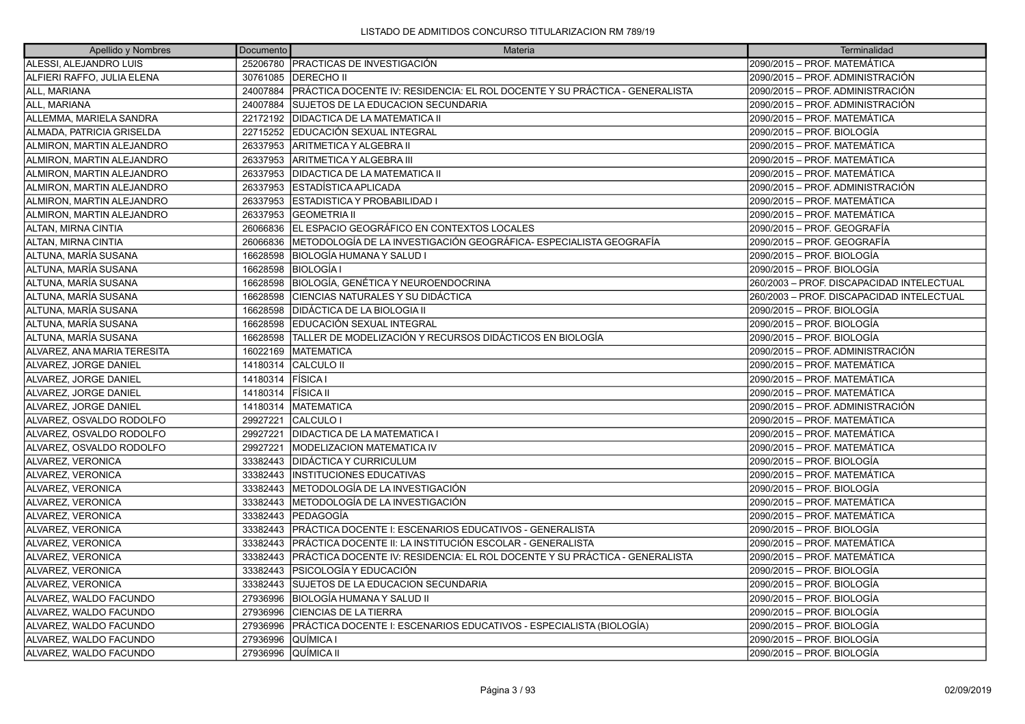| Apellido y Nombres          | Documento | Materia                                                                     | Terminalidad                              |
|-----------------------------|-----------|-----------------------------------------------------------------------------|-------------------------------------------|
| ALESSI, ALEJANDRO LUIS      |           | 25206780 PRACTICAS DE INVESTIGACIÓN                                         | 2090/2015 - PROF. MATEMÁTICA              |
| ALFIERI RAFFO, JULIA ELENA  | 30761085  | <b>IDERECHO II</b>                                                          | 2090/2015 – PROF. ADMINISTRACIÓN          |
| ALL, MARIANA                | 24007884  | PRÁCTICA DOCENTE IV: RESIDENCIA: EL ROL DOCENTE Y SU PRÁCTICA - GENERALISTA | 2090/2015 – PROF. ADMINISTRACIÓN          |
| ALL, MARIANA                | 24007884  | SUJETOS DE LA EDUCACION SECUNDARIA                                          | 2090/2015 – PROF. ADMINISTRACIÓN          |
| ALLEMMA, MARIELA SANDRA     | 22172192  | <b>DIDACTICA DE LA MATEMATICA II</b>                                        | 2090/2015 - PROF. MATEMÁTICA              |
| ALMADA, PATRICIA GRISELDA   | 22715252  | EDUCACIÓN SEXUAL INTEGRAL                                                   | 2090/2015 – PROF. BIOLOGÍA                |
| ALMIRON, MARTIN ALEJANDRO   | 26337953  | <b>ARITMETICA Y ALGEBRA II</b>                                              | 2090/2015 – PROF. MATEMÁTICA              |
| ALMIRON, MARTIN ALEJANDRO   | 26337953  | IARITMETICA Y ALGEBRA III                                                   | 2090/2015 - PROF. MATEMÁTICA              |
| ALMIRON, MARTIN ALEJANDRO   | 26337953  | <b>DIDACTICA DE LA MATEMATICA II</b>                                        | 2090/2015 - PROF. MATEMÁTICA              |
| ALMIRON, MARTIN ALEJANDRO   | 26337953  | IESTADISTICA APLICADA                                                       | 2090/2015 – PROF. ADMINISTRACIÓN          |
| ALMIRON, MARTIN ALEJANDRO   | 26337953  | <b>ESTADISTICA Y PROBABILIDAD I</b>                                         | 2090/2015 - PROF. MATEMÁTICA              |
| ALMIRON, MARTIN ALEJANDRO   | 26337953  | <b>GEOMETRIA II</b>                                                         | 2090/2015 – PROF. MATEMÁTICA              |
| ALTAN, MIRNA CINTIA         | 26066836  | EL ESPACIO GEOGRÁFICO EN CONTEXTOS LOCALES                                  | 2090/2015 – PROF. GEOGRAFÍA               |
| ALTAN, MIRNA CINTIA         | 26066836  | METODOLOGÍA DE LA INVESTIGACIÓN GEOGRÁFICA- ESPECIALISTA GEOGRAFÍA          | 2090/2015 – PROF. GEOGRAFÍA               |
| ALTUNA, MARÍA SUSANA        | 16628598  | <b>IBIOLOGÍA HUMANA Y SALUD I</b>                                           | 2090/2015 – PROF. BIOLOGÍA                |
| ALTUNA, MARÍA SUSANA        | 16628598  | BIOLOGÍA I                                                                  | 2090/2015 – PROF. BIOLOGÍA                |
| ALTUNA, MARÍA SUSANA        | 16628598  | <b>BIOLOGÍA, GENÉTICA Y NEUROENDOCRINA</b>                                  | 260/2003 - PROF. DISCAPACIDAD INTELECTUAL |
| ALTUNA, MARÍA SUSANA        | 16628598  | CIENCIAS NATURALES Y SU DIDÁCTICA                                           | 260/2003 - PROF. DISCAPACIDAD INTELECTUAL |
| ALTUNA, MARÍA SUSANA        | 16628598  | DIDÁCTICA DE LA BIOLOGIA II                                                 | 2090/2015 – PROF. BIOLOGÍA                |
| ALTUNA, MARÍA SUSANA        | 16628598  | EDUCACIÓN SEXUAL INTEGRAL                                                   | 2090/2015 – PROF. BIOLOGÍA                |
| ALTUNA, MARÍA SUSANA        | 16628598  | TALLER DE MODELIZACIÓN Y RECURSOS DIDÁCTICOS EN BIOLOGÍA                    | 2090/2015 – PROF. BIOLOGÍA                |
| ALVAREZ, ANA MARIA TERESITA | 16022169  | <b>MATEMATICA</b>                                                           | 2090/2015 – PROF. ADMINISTRACIÓN          |
| ALVAREZ, JORGE DANIEL       | 14180314  | <b>CALCULO II</b>                                                           | 2090/2015 - PROF. MATEMÁTICA              |
| ALVAREZ, JORGE DANIEL       | 14180314  | <b>FÍSICA I</b>                                                             | 2090/2015 - PROF. MATEMÁTICA              |
| ALVAREZ, JORGE DANIEL       | 14180314  | FÍSICA II                                                                   | 2090/2015 - PROF. MATEMÁTICA              |
| ALVAREZ, JORGE DANIEL       | 14180314  | <b>MATEMATICA</b>                                                           | 2090/2015 – PROF. ADMINISTRACIÓN          |
| ALVAREZ, OSVALDO RODOLFO    | 29927221  | CALCULO I                                                                   | 2090/2015 - PROF. MATEMÁTICA              |
| ALVAREZ, OSVALDO RODOLFO    | 29927221  | <b>DIDACTICA DE LA MATEMATICA I</b>                                         | 2090/2015 - PROF. MATEMÁTICA              |
| ALVAREZ, OSVALDO RODOLFO    | 29927221  | <b>MODELIZACION MATEMATICA IV</b>                                           | 2090/2015 - PROF. MATEMÁTICA              |
| ALVAREZ, VERONICA           | 33382443  | <b>DIDÁCTICA Y CURRICULUM</b>                                               | 2090/2015 – PROF. BIOLOGÍA                |
| ALVAREZ, VERONICA           | 33382443  | <b>INSTITUCIONES EDUCATIVAS</b>                                             | 2090/2015 – PROF. MATEMÁTICA              |
| ALVAREZ, VERONICA           | 33382443  | METODOLOGÍA DE LA INVESTIGACIÓN                                             | 2090/2015 – PROF. BIOLOGÍA                |
| ALVAREZ, VERONICA           | 33382443  | METODOLOGÍA DE LA INVESTIGACIÓN                                             | 2090/2015 - PROF. MATEMÁTICA              |
| ALVAREZ, VERONICA           | 33382443  | PEDAGOGÍA                                                                   | 2090/2015 – PROF. MATEMÁTICA              |
| ALVAREZ, VERONICA           | 33382443  | PRÁCTICA DOCENTE I: ESCENARIOS EDUCATIVOS - GENERALISTA                     | 2090/2015 – PROF. BIOLOGÍA                |
| ALVAREZ, VERONICA           | 33382443  | PRÁCTICA DOCENTE II: LA INSTITUCIÓN ESCOLAR - GENERALISTA                   | 2090/2015 – PROF. MATEMÁTICA              |
| ALVAREZ, VERONICA           | 33382443  | PRÁCTICA DOCENTE IV: RESIDENCIA: EL ROL DOCENTE Y SU PRÁCTICA - GENERALISTA | 2090/2015 - PROF. MATEMÁTICA              |
| ALVAREZ, VERONICA           | 33382443  | IPSICOLOGÍA Y EDUCACIÓN                                                     | 2090/2015 – PROF. BIOLOGÍA                |
| ALVAREZ, VERONICA           | 33382443  | SUJETOS DE LA EDUCACION SECUNDARIA                                          | 2090/2015 - PROF. BIOLOGÍA                |
| ALVAREZ, WALDO FACUNDO      | 27936996  | BIOLOGÍA HUMANA Y SALUD II                                                  | 2090/2015 – PROF. BIOLOGÍA                |
| ALVAREZ, WALDO FACUNDO      | 27936996  | <b>CIENCIAS DE LA TIERRA</b>                                                | 2090/2015 – PROF. BIOLOGÍA                |
| ALVAREZ, WALDO FACUNDO      | 27936996  | PRÁCTICA DOCENTE I: ESCENARIOS EDUCATIVOS - ESPECIALISTA (BIOLOGÍA)         | 2090/2015 - PROF. BIOLOGÍA                |
| ALVAREZ, WALDO FACUNDO      | 27936996  | QUÍMICA I                                                                   | 2090/2015 – PROF. BIOLOGÍA                |
| ALVAREZ, WALDO FACUNDO      | 27936996  | QUÍMICA II                                                                  | 2090/2015 – PROF. BIOLOGÍA                |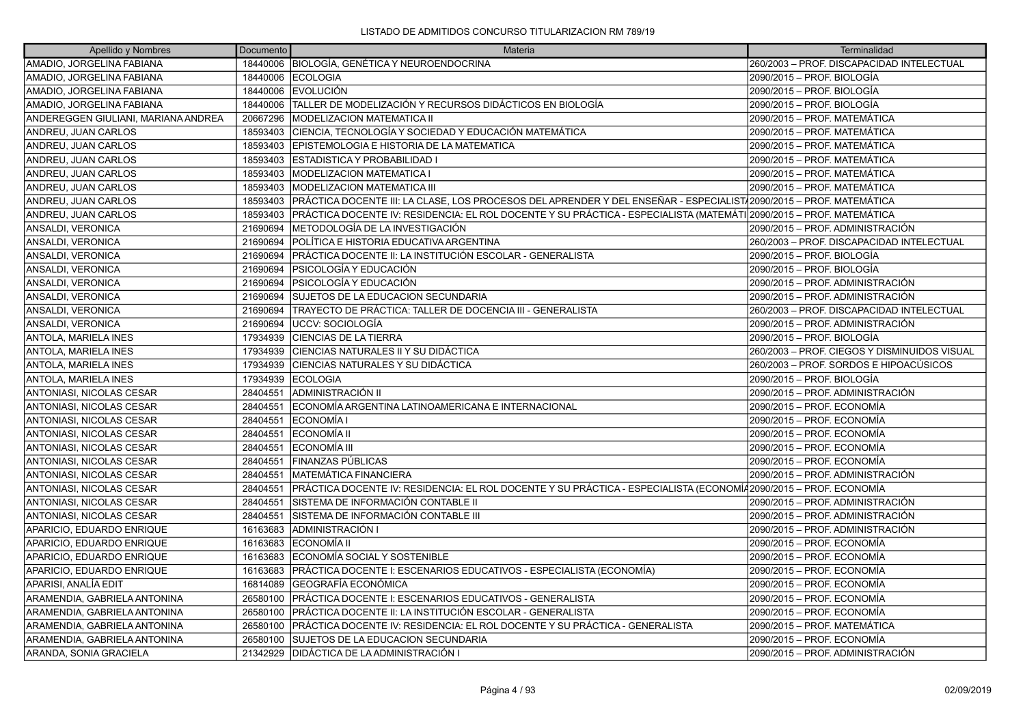| Apellido y Nombres                  | Documento | Materia                                                                                                             | Terminalidad                                 |
|-------------------------------------|-----------|---------------------------------------------------------------------------------------------------------------------|----------------------------------------------|
| AMADIO, JORGELINA FABIANA           | 18440006  | BIOLOGÍA, GENÉTICA Y NEUROENDOCRINA                                                                                 | 260/2003 - PROF. DISCAPACIDAD INTELECTUAL    |
| AMADIO, JORGELINA FABIANA           | 18440006  | <b>ECOLOGIA</b>                                                                                                     | 2090/2015 - PROF. BIOLOGÍA                   |
| AMADIO, JORGELINA FABIANA           | 18440006  | <b>EVOLUCIÓN</b>                                                                                                    | 2090/2015 – PROF. BIOLOGÍA                   |
| AMADIO, JORGELINA FABIANA           | 18440006  | TALLER DE MODELIZACIÓN Y RECURSOS DIDÁCTICOS EN BIOLOGÍA                                                            | 2090/2015 - PROF. BIOLOGÍA                   |
| ANDEREGGEN GIULIANI, MARIANA ANDREA | 20667296  | MODELIZACION MATEMATICA II                                                                                          | 2090/2015 - PROF. MATEMÁTICA                 |
| ANDREU, JUAN CARLOS                 | 18593403  | CIENCIA, TECNOLOGÍA Y SOCIEDAD Y EDUCACIÓN MATEMÁTICA                                                               | 2090/2015 - PROF. MATEMÁTICA                 |
| ANDREU, JUAN CARLOS                 | 18593403  | EPISTEMOLOGIA E HISTORIA DE LA MATEMATICA                                                                           | 2090/2015 - PROF. MATEMÁTICA                 |
| ANDREU, JUAN CARLOS                 | 18593403  | ESTADISTICA Y PROBABILIDAD I                                                                                        | 2090/2015 - PROF. MATEMÁTICA                 |
| ANDREU, JUAN CARLOS                 | 18593403  | MODELIZACION MATEMATICA I                                                                                           | 2090/2015 - PROF. MATEMÁTICA                 |
| ANDREU, JUAN CARLOS                 | 18593403  | MODELIZACION MATEMATICA III                                                                                         | 2090/2015 – PROF. MATEMÁTICA                 |
| ANDREU, JUAN CARLOS                 | 18593403  | PRÁCTICA DOCENTE III: LA CLASE, LOS PROCESOS DEL APRENDER Y DEL ENSEÑAR - ESPECIALIST√2090/2015 – PROF. MATEMÁTICA  |                                              |
| ANDREU, JUAN CARLOS                 | 18593403  | PRÁCTICA DOCENTE IV: RESIDENCIA: EL ROL DOCENTE Y SU PRÁCTICA - ESPECIALISTA (MATEMÁTI 2090/2015 – PROF. MATEMÁTICA |                                              |
| ANSALDI, VERONICA                   | 21690694  | METODOLOGÍA DE LA INVESTIGACIÓN                                                                                     | 2090/2015 - PROF. ADMINISTRACIÓN             |
| ANSALDI, VERONICA                   | 21690694  | POLÍTICA E HISTORIA EDUCATIVA ARGENTINA                                                                             | 260/2003 - PROF. DISCAPACIDAD INTELECTUAL    |
| ANSALDI, VERONICA                   | 21690694  | IPRÁCTICA DOCENTE II: LA INSTITUCIÓN ESCOLAR - GENERALISTA                                                          | 2090/2015 - PROF. BIOLOGÍA                   |
| ANSALDI, VERONICA                   | 21690694  | PSICOLOGÍA Y EDUCACIÓN                                                                                              | 2090/2015 - PROF. BIOLOGÍA                   |
| ANSALDI, VERONICA                   | 21690694  | PSICOLOGÍA Y EDUCACIÓN                                                                                              | 2090/2015 - PROF. ADMINISTRACIÓN             |
| ANSALDI, VERONICA                   | 21690694  | SUJETOS DE LA EDUCACION SECUNDARIA                                                                                  | 2090/2015 - PROF. ADMINISTRACIÓN             |
| ANSALDI, VERONICA                   | 21690694  | TRAYECTO DE PRÁCTICA: TALLER DE DOCENCIA III - GENERALISTA                                                          | 260/2003 - PROF. DISCAPACIDAD INTELECTUAL    |
| ANSALDI, VERONICA                   | 21690694  | UCCV: SOCIOLOGÍA                                                                                                    | 2090/2015 - PROF. ADMINISTRACIÓN             |
| <b>ANTOLA, MARIELA INES</b>         | 17934939  | <b>CIENCIAS DE LA TIERRA</b>                                                                                        | 2090/2015 - PROF. BIOLOGÍA                   |
| <b>ANTOLA, MARIELA INES</b>         | 17934939  | CIENCIAS NATURALES II Y SU DIDÁCTICA                                                                                | 260/2003 - PROF. CIEGOS Y DISMINUIDOS VISUAL |
| ANTOLA, MARIELA INES                | 17934939  | CIENCIAS NATURALES Y SU DIDÁCTICA                                                                                   | 260/2003 – PROF. SORDOS E HIPOACÚSICOS       |
| <b>ANTOLA, MARIELA INES</b>         | 17934939  | <b>IECOLOGIA</b>                                                                                                    | 2090/2015 – PROF. BIOLOGÍA                   |
| <b>ANTONIASI, NICOLAS CESAR</b>     | 28404551  | ADMINISTRACIÓN II                                                                                                   | 2090/2015 - PROF. ADMINISTRACIÓN             |
| ANTONIASI, NICOLAS CESAR            | 28404551  | ECONOMÍA ARGENTINA LATINOAMERICANA E INTERNACIONAL                                                                  | 2090/2015 - PROF. ECONOMÍA                   |
| ANTONIASI, NICOLAS CESAR            | 28404551  | ECONOMÍA I                                                                                                          | 2090/2015 - PROF. ECONOMÍA                   |
| ANTONIASI, NICOLAS CESAR            | 28404551  | ECONOMÍA II                                                                                                         | 2090/2015 - PROF. ECONOMÍA                   |
| <b>ANTONIASI, NICOLAS CESAR</b>     | 28404551  | <b>ECONOMÍA III</b>                                                                                                 | 2090/2015 - PROF. ECONOMÍA                   |
| <b>ANTONIASI, NICOLAS CESAR</b>     | 28404551  | FINANZAS PÚBLICAS                                                                                                   | 2090/2015 – PROF. ECONOMÍA                   |
| <b>ANTONIASI, NICOLAS CESAR</b>     | 28404551  | MATEMÁTICA FINANCIERA                                                                                               | 2090/2015 – PROF. ADMINISTRACIÓN             |
| ANTONIASI, NICOLAS CESAR            | 28404551  | PRÁCTICA DOCENTE IV: RESIDENCIA: EL ROL DOCENTE Y SU PRÁCTICA - ESPECIALISTA (ECONOMÍ42090/2015 – PROF. ECONOMÍA    |                                              |
| <b>ANTONIASI, NICOLAS CESAR</b>     | 28404551  | SISTEMA DE INFORMACIÓN CONTABLE II                                                                                  | 2090/2015 – PROF. ADMINISTRACIÓN             |
| <b>ANTONIASI, NICOLAS CESAR</b>     | 28404551  | SISTEMA DE INFORMACIÓN CONTABLE III                                                                                 | 2090/2015 - PROF. ADMINISTRACIÓN             |
| APARICIO, EDUARDO ENRIQUE           | 16163683  | ADMINISTRACIÓN I                                                                                                    | 2090/2015 - PROF. ADMINISTRACIÓN             |
| APARICIO, EDUARDO ENRIQUE           | 16163683  | ECONOMÍA II                                                                                                         | 2090/2015 - PROF. ECONOMÍA                   |
| APARICIO, EDUARDO ENRIQUE           | 16163683  | ECONOMÍA SOCIAL Y SOSTENIBLE                                                                                        | 2090/2015 - PROF. ECONOMÍA                   |
| APARICIO, EDUARDO ENRIQUE           | 16163683  | PRÁCTICA DOCENTE I: ESCENARIOS EDUCATIVOS - ESPECIALISTA (ECONOMÍA)                                                 | 2090/2015 - PROF. ECONOMÍA                   |
| APARISI, ANALÍA EDIT                | 16814089  | GEOGRAFÍA ECONÓMICA                                                                                                 | 2090/2015 – PROF. ECONOMÍA                   |
| ARAMENDIA, GABRIELA ANTONINA        | 26580100  | PRÁCTICA DOCENTE I: ESCENARIOS EDUCATIVOS - GENERALISTA                                                             | 2090/2015 - PROF. ECONOMÍA                   |
| ARAMENDIA, GABRIELA ANTONINA        | 26580100  | PRÁCTICA DOCENTE II: LA INSTITUCIÓN ESCOLAR - GENERALISTA                                                           | 2090/2015 - PROF. ECONOMÍA                   |
| ARAMENDIA, GABRIELA ANTONINA        | 26580100  | PRÁCTICA DOCENTE IV: RESIDENCIA: EL ROL DOCENTE Y SU PRÁCTICA - GENERALISTA                                         | 2090/2015 - PROF. MATEMÁTICA                 |
| ARAMENDIA, GABRIELA ANTONINA        | 26580100  | SUJETOS DE LA EDUCACION SECUNDARIA                                                                                  | 2090/2015 - PROF. ECONOMÍA                   |
| ARANDA, SONIA GRACIELA              | 21342929  | IDIDÁCTICA DE LA ADMINISTRACIÓN I                                                                                   | 2090/2015 - PROF. ADMINISTRACIÓN             |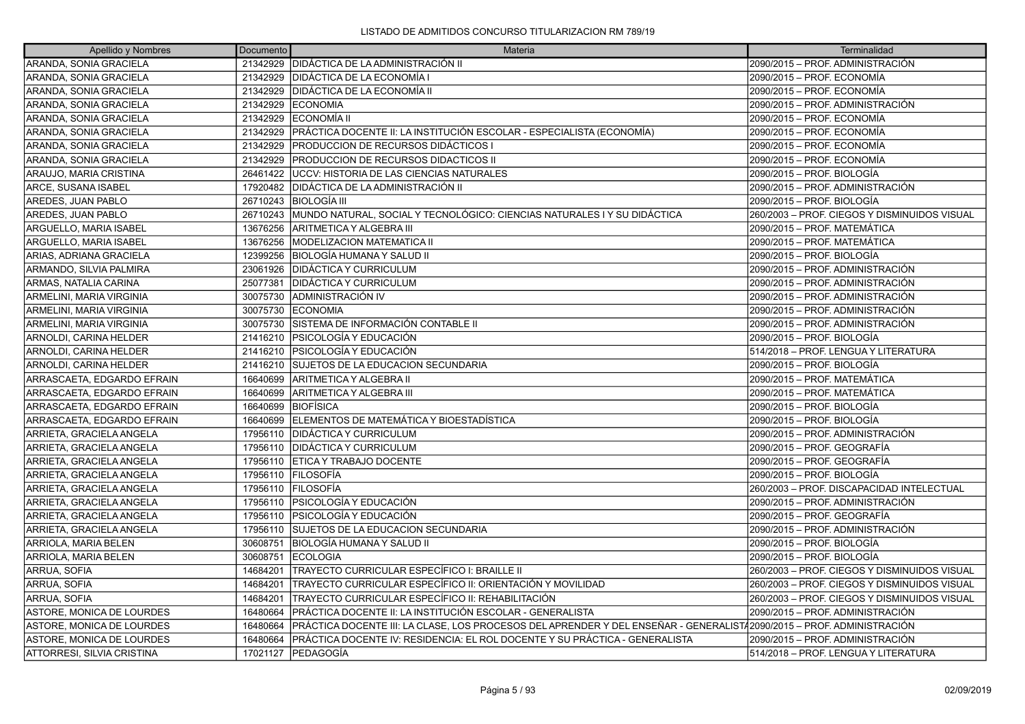| Apellido y Nombres         | Documento | Materia                                                                                                               | Terminalidad                                 |
|----------------------------|-----------|-----------------------------------------------------------------------------------------------------------------------|----------------------------------------------|
| ARANDA, SONIA GRACIELA     |           | 21342929 DIDÁCTICA DE LA ADMINISTRACIÓN II                                                                            | 2090/2015 - PROF. ADMINISTRACIÓN             |
| ARANDA, SONIA GRACIELA     |           | 21342929   DIDÁCTICA DE LA ECONOMÍA I                                                                                 | 2090/2015 - PROF. ECONOMÍA                   |
| ARANDA, SONIA GRACIELA     |           | 21342929 DIDÁCTICA DE LA ECONOMÍA II                                                                                  | 2090/2015 – PROF. ECONOMÍA                   |
| ARANDA, SONIA GRACIELA     | 21342929  | <b>ECONOMIA</b>                                                                                                       | 2090/2015 - PROF. ADMINISTRACIÓN             |
| ARANDA, SONIA GRACIELA     |           | 21342929 ECONOMÍA II                                                                                                  | 2090/2015 - PROF. ECONOMÍA                   |
| ARANDA, SONIA GRACIELA     |           | 21342929   PRÁCTICA DOCENTE II: LA INSTITUCIÓN ESCOLAR - ESPECIALISTA (ECONOMÍA)                                      | 2090/2015 - PROF. ECONOMÍA                   |
| ARANDA, SONIA GRACIELA     | 21342929  | <b>PRODUCCION DE RECURSOS DIDÁCTICOS I</b>                                                                            | 2090/2015 - PROF. ECONOMÍA                   |
| ARANDA, SONIA GRACIELA     |           | 21342929 PRODUCCION DE RECURSOS DIDACTICOS II                                                                         | 2090/2015 - PROF. ECONOMÍA                   |
| ARAUJO, MARIA CRISTINA     |           | 26461422   UCCV: HISTORIA DE LAS CIENCIAS NATURALES                                                                   | 2090/2015 – PROF. BIOLOGÍA                   |
| ARCE, SUSANA ISABEL        | 17920482  | <b>DIDÁCTICA DE LA ADMINISTRACIÓN II</b>                                                                              | 2090/2015 - PROF. ADMINISTRACIÓN             |
| AREDES, JUAN PABLO         |           | 26710243 BIOLOGÍA III                                                                                                 | 2090/2015 - PROF. BIOLOGÍA                   |
| AREDES, JUAN PABLO         | 26710243  | MUNDO NATURAL, SOCIAL Y TECNOLÓGICO: CIENCIAS NATURALES I Y SU DIDÁCTICA                                              | 260/2003 - PROF. CIEGOS Y DISMINUIDOS VISUAL |
| ARGUELLO, MARIA ISABEL     | 13676256  | ARITMETICA Y ALGEBRA III                                                                                              | 2090/2015 – PROF. MATEMÁTICA                 |
| ARGUELLO, MARIA ISABEL     | 13676256  | <b>IMODELIZACION MATEMATICA II</b>                                                                                    | 2090/2015 - PROF. MATEMÁTICA                 |
| ARIAS, ADRIANA GRACIELA    | 12399256  | BIOLOGÍA HUMANA Y SALUD II                                                                                            | 2090/2015 – PROF. BIOLOGÍA                   |
| ARMANDO, SILVIA PALMIRA    | 23061926  | <b>DIDÁCTICA Y CURRICULUM</b>                                                                                         | 2090/2015 - PROF. ADMINISTRACIÓN             |
| ARMAS, NATALIA CARINA      | 25077381  | <b>DIDÁCTICA Y CURRICULUM</b>                                                                                         | 2090/2015 - PROF. ADMINISTRACIÓN             |
| ARMELINI, MARIA VIRGINIA   | 30075730  | <b>JADMINISTRACIÓN IV</b>                                                                                             | 2090/2015 – PROF. ADMINISTRACIÓN             |
| ARMELINI, MARIA VIRGINIA   | 30075730  | <b>ECONOMIA</b>                                                                                                       | 2090/2015 - PROF. ADMINISTRACIÓN             |
| ARMELINI, MARIA VIRGINIA   | 30075730  | SISTEMA DE INFORMACIÓN CONTABLE II                                                                                    | 2090/2015 - PROF. ADMINISTRACIÓN             |
| ARNOLDI, CARINA HELDER     |           | 21416210 PSICOLOGÍA Y EDUCACIÓN                                                                                       | 2090/2015 – PROF. BIOLOGÍA                   |
| ARNOLDI, CARINA HELDER     |           | 21416210   PSICOLOGÍA Y EDUCACIÓN                                                                                     | 514/2018 - PROF. LENGUA Y LITERATURA         |
| ARNOLDI, CARINA HELDER     | 21416210  | <b>SUJETOS DE LA EDUCACION SECUNDARIA</b>                                                                             | 2090/2015 - PROF. BIOLOGÍA                   |
| ARRASCAETA, EDGARDO EFRAIN | 16640699  | <b>ARITMETICA Y ALGEBRA II</b>                                                                                        | l2090/2015 – PROF. MATEMÁTICA                |
| ARRASCAETA, EDGARDO EFRAIN | 16640699  | ARITMETICA Y ALGEBRA III                                                                                              | 2090/2015 – PROF. MATEMÁTICA                 |
| ARRASCAETA, EDGARDO EFRAIN |           | 16640699 BIOFÍSICA                                                                                                    | 2090/2015 - PROF. BIOLOGÍA                   |
| ARRASCAETA, EDGARDO EFRAIN |           | 16640699 ELEMENTOS DE MATEMÁTICA Y BIOESTADÍSTICA                                                                     | l2090/2015 – PROF. BIOLOGÍA                  |
| ARRIETA, GRACIELA ANGELA   | 17956110  | <b>DIDÁCTICA Y CURRICULUM</b>                                                                                         | 2090/2015 - PROF. ADMINISTRACIÓN             |
| ARRIETA, GRACIELA ANGELA   | 17956110  | <b>IDIDÁCTICA Y CURRICULUM</b>                                                                                        | 2090/2015 - PROF. GEOGRAFÍA                  |
| ARRIETA, GRACIELA ANGELA   | 17956110  | <b>ETICA Y TRABAJO DOCENTE</b>                                                                                        | l2090/2015 – PROF. GEOGRAFÍA                 |
| ARRIETA, GRACIELA ANGELA   | 17956110  | <b>FILOSOFÍA</b>                                                                                                      | 2090/2015 - PROF. BIOLOGÍA                   |
| ARRIETA, GRACIELA ANGELA   | 17956110  | <b>IFILOSOFÍA</b>                                                                                                     | 260/2003 - PROF. DISCAPACIDAD INTELECTUAL    |
| ARRIETA, GRACIELA ANGELA   | 17956110  | <b>PSICOLOGÍA Y EDUCACIÓN</b>                                                                                         | 2090/2015 – PROF. ADMINISTRACIÓN             |
| ARRIETA, GRACIELA ANGELA   | 17956110  | <b>PSICOLOGÍA Y EDUCACIÓN</b>                                                                                         | 2090/2015 - PROF. GEOGRAFÍA                  |
| ARRIETA, GRACIELA ANGELA   | 17956110  | SUJETOS DE LA EDUCACION SECUNDARIA                                                                                    | 2090/2015 - PROF. ADMINISTRACIÓN             |
| ARRIOLA, MARIA BELEN       | 30608751  | BIOLOGÍA HUMANA Y SALUD II                                                                                            | 2090/2015 – PROF. BIOLOGÍA                   |
| ARRIOLA, MARIA BELEN       | 30608751  | <b>IECOLOGIA</b>                                                                                                      | 2090/2015 - PROF. BIOLOGÍA                   |
| ARRUA, SOFIA               | 14684201  | TRAYECTO CURRICULAR ESPECÍFICO I: BRAILLE II                                                                          | 260/2003 - PROF. CIEGOS Y DISMINUIDOS VISUAL |
| ARRUA, SOFIA               | 14684201  | TRAYECTO CURRICULAR ESPECÍFICO II: ORIENTACIÓN Y MOVILIDAD                                                            | 260/2003 – PROF. CIEGOS Y DISMINUIDOS VISUAL |
| ARRUA, SOFIA               | 14684201  | TRAYECTO CURRICULAR ESPECÍFICO II: REHABILITACIÓN                                                                     | 260/2003 - PROF. CIEGOS Y DISMINUIDOS VISUAL |
| ASTORE, MONICA DE LOURDES  | 16480664  | PRÁCTICA DOCENTE II: LA INSTITUCIÓN ESCOLAR - GENERALISTA                                                             | 2090/2015 - PROF. ADMINISTRACIÓN             |
| ASTORE, MONICA DE LOURDES  | 16480664  | PRÁCTICA DOCENTE III: LA CLASE, LOS PROCESOS DEL APRENDER Y DEL ENSEÑAR - GENERALIST/2090/2015 – PROF. ADMINISTRACIÓN |                                              |
| ASTORE, MONICA DE LOURDES  | 16480664  | PRÁCTICA DOCENTE IV: RESIDENCIA: EL ROL DOCENTE Y SU PRÁCTICA - GENERALISTA                                           | 2090/2015 - PROF. ADMINISTRACIÓN             |
| ATTORRESI, SILVIA CRISTINA |           | 17021127 PEDAGOGÍA                                                                                                    | 514/2018 – PROF. LENGUA Y LITERATURA         |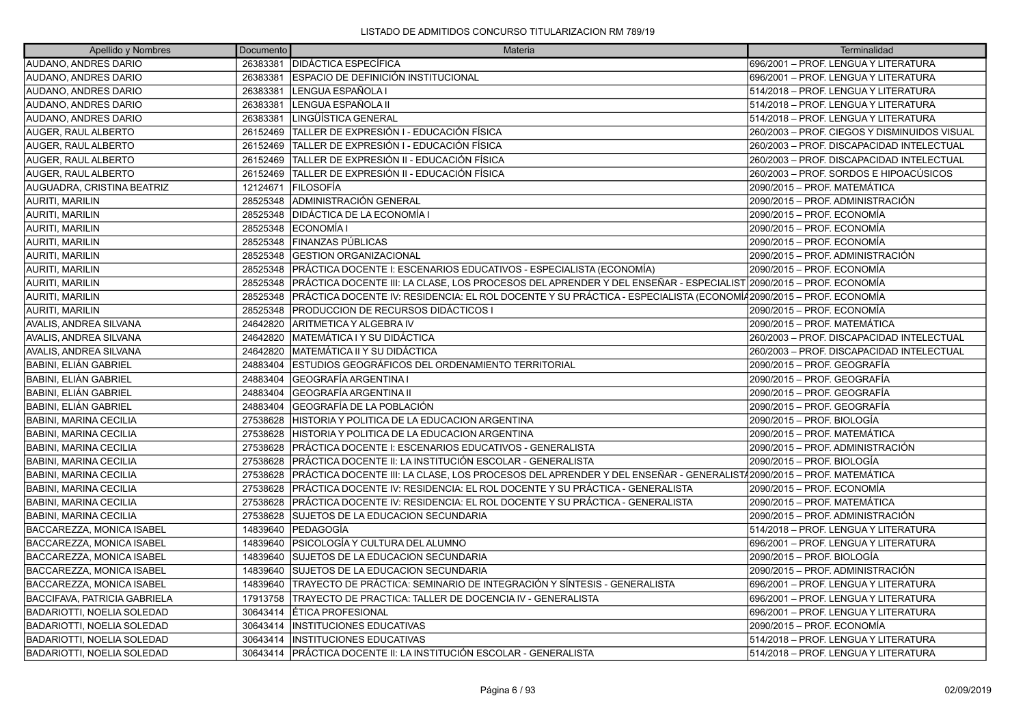| Apellido y Nombres                  | Documento | Materia                                                                                                           | Terminalidad                                 |
|-------------------------------------|-----------|-------------------------------------------------------------------------------------------------------------------|----------------------------------------------|
| AUDANO, ANDRES DARIO                | 26383381  | <b>DIDÁCTICA ESPECÍFICA</b>                                                                                       | 696/2001 – PROF. LENGUA Y LITERATURA         |
| AUDANO, ANDRES DARIO                | 26383381  | ESPACIO DE DEFINICIÓN INSTITUCIONAL                                                                               | 696/2001 - PROF. LENGUA Y LITERATURA         |
| AUDANO, ANDRES DARIO                | 26383381  | LENGUA ESPAÑOLA I                                                                                                 | 514/2018 - PROF. LENGUA Y LITERATURA         |
| AUDANO, ANDRES DARIO                | 26383381  | LENGUA ESPAÑOLA II                                                                                                | 514/2018 - PROF. LENGUA Y LITERATURA         |
| AUDANO, ANDRES DARIO                | 26383381  | LINGÜÍSTICA GENERAL                                                                                               | 514/2018 - PROF. LENGUA Y LITERATURA         |
| AUGER, RAUL ALBERTO                 | 26152469  | TALLER DE EXPRESIÓN I - EDUCACIÓN FÍSICA                                                                          | 260/2003 - PROF. CIEGOS Y DISMINUIDOS VISUAL |
| AUGER, RAUL ALBERTO                 | 26152469  | TALLER DE EXPRESIÓN I - EDUCACIÓN FÍSICA                                                                          | 260/2003 – PROF. DISCAPACIDAD INTELECTUAL    |
| AUGER, RAUL ALBERTO                 | 26152469  | TALLER DE EXPRESIÓN II - EDUCACIÓN FÍSICA                                                                         | 260/2003 - PROF. DISCAPACIDAD INTELECTUAL    |
| AUGER, RAUL ALBERTO                 | 26152469  | TALLER DE EXPRESIÓN II - EDUCACIÓN FÍSICA                                                                         | 260/2003 - PROF. SORDOS E HIPOACÚSICOS       |
| AUGUADRA, CRISTINA BEATRIZ          | 12124671  | FILOSOFÍA                                                                                                         | 2090/2015 – PROF. MATEMÁTICA                 |
| <b>AURITI, MARILIN</b>              | 28525348  | ADMINISTRACIÓN GENERAL                                                                                            | 2090/2015 – PROF. ADMINISTRACIÓN             |
| <b>AURITI, MARILIN</b>              | 28525348  | IDIDÁCTICA DE LA ECONOMÍA I                                                                                       | 2090/2015 – PROF. ECONOMÍA                   |
| <b>AURITI, MARILIN</b>              | 28525348  | <b>ECONOMÍA I</b>                                                                                                 | 2090/2015 – PROF. ECONOMÍA                   |
| <b>AURITI, MARILIN</b>              | 28525348  | FINANZAS PÚBLICAS                                                                                                 | 2090/2015 – PROF. ECONOMÍA                   |
| AURITI, MARILIN                     | 28525348  | <b>GESTION ORGANIZACIONAL</b>                                                                                     | 2090/2015 – PROF. ADMINISTRACIÓN             |
| AURITI, MARILIN                     | 28525348  | PRÁCTICA DOCENTE I: ESCENARIOS EDUCATIVOS - ESPECIALISTA (ECONOMÍA)                                               | 2090/2015 – PROF. ECONOMÍA                   |
| <b>AURITI, MARILIN</b>              | 28525348  | PRÁCTICA DOCENTE III: LA CLASE, LOS PROCESOS DEL APRENDER Y DEL ENSEÑAR - ESPECIALIST 2090/2015 – PROF. ECONOMÍA  |                                              |
| <b>AURITI, MARILIN</b>              | 28525348  | PRÁCTICA DOCENTE IV: RESIDENCIA: EL ROL DOCENTE Y SU PRÁCTICA - ESPECIALISTA (ECONOMÍ/2090/2015 – PROF. ECONOMÍA  |                                              |
| <b>AURITI, MARILIN</b>              | 28525348  | PRODUCCION DE RECURSOS DIDÁCTICOS I                                                                               | 2090/2015 – PROF. ECONOMÍA                   |
| AVALIS, ANDREA SILVANA              | 24642820  | ARITMETICA Y ALGEBRA IV                                                                                           | 2090/2015 - PROF. MATEMÁTICA                 |
| AVALIS, ANDREA SILVANA              | 24642820  | MATEMÁTICA I Y SU DIDÁCTICA                                                                                       | 260/2003 - PROF. DISCAPACIDAD INTELECTUAL    |
| AVALIS, ANDREA SILVANA              | 24642820  | MATEMÁTICA II Y SU DIDÁCTICA                                                                                      | 260/2003 - PROF. DISCAPACIDAD INTELECTUAL    |
| <b>BABINI, ELIÁN GABRIEL</b>        | 24883404  | ESTUDIOS GEOGRÁFICOS DEL ORDENAMIENTO TERRITORIAL                                                                 | 2090/2015 - PROF. GEOGRAFÍA                  |
| BABINI, ELIÁN GABRIEL               | 24883404  | <b>GEOGRAFÍA ARGENTINA I</b>                                                                                      | 2090/2015 – PROF. GEOGRAFÍA                  |
| BABINI, ELIÁN GABRIEL               | 24883404  | <b>GEOGRAFÍA ARGENTINA II</b>                                                                                     | 2090/2015 – PROF. GEOGRAFÍA                  |
| <b>BABINI, ELIÁN GABRIEL</b>        | 24883404  | GEOGRAFÍA DE LA POBLACIÓN                                                                                         | 2090/2015 - PROF. GEOGRAFÍA                  |
| <b>BABINI, MARINA CECILIA</b>       | 27538628  | HISTORIA Y POLITICA DE LA EDUCACION ARGENTINA                                                                     | 2090/2015 – PROF. BIOLOGÍA                   |
| <b>BABINI, MARINA CECILIA</b>       | 27538628  | HISTORIA Y POLITICA DE LA EDUCACION ARGENTINA                                                                     | 2090/2015 – PROF. MATEMÁTICA                 |
| <b>BABINI, MARINA CECILIA</b>       | 27538628  | PRÁCTICA DOCENTE I: ESCENARIOS EDUCATIVOS - GENERALISTA                                                           | 2090/2015 - PROF. ADMINISTRACIÓN             |
| <b>BABINI, MARINA CECILIA</b>       | 27538628  | PRÁCTICA DOCENTE II: LA INSTITUCIÓN ESCOLAR - GENERALISTA                                                         | 2090/2015 – PROF. BIOLOGÍA                   |
| BABINI, MARINA CECILIA              | 27538628  | PRÁCTICA DOCENTE III: LA CLASE, LOS PROCESOS DEL APRENDER Y DEL ENSEÑAR - GENERALIST/2090/2015 – PROF. MATEMÁTICA |                                              |
| <b>BABINI, MARINA CECILIA</b>       | 27538628  | PRÁCTICA DOCENTE IV: RESIDENCIA: EL ROL DOCENTE Y SU PRÁCTICA - GENERALISTA                                       | 2090/2015 - PROF. ECONOMÍA                   |
| <b>BABINI, MARINA CECILIA</b>       | 27538628  | IPRÁCTICA DOCENTE IV: RESIDENCIA: EL ROL DOCENTE Y SU PRÁCTICA - GENERALISTA                                      | 2090/2015 – PROF. MATEMÁTICA                 |
| BABINI, MARINA CECILIA              | 27538628  | SUJETOS DE LA EDUCACION SECUNDARIA                                                                                | 2090/2015 – PROF. ADMINISTRACIÓN             |
| BACCAREZZA, MONICA ISABEL           | 14839640  | lPEDAGOGÍA                                                                                                        | 514/2018 - PROF. LENGUA Y LITERATURA         |
| <b>BACCAREZZA, MONICA ISABEL</b>    | 14839640  | PSICOLOGÍA Y CULTURA DEL ALUMNO                                                                                   | 696/2001 - PROF. LENGUA Y LITERATURA         |
| BACCAREZZA, MONICA ISABEL           | 14839640  | SUJETOS DE LA EDUCACION SECUNDARIA                                                                                | 2090/2015 - PROF. BIOLOGÍA                   |
| BACCAREZZA, MONICA ISABEL           | 14839640  | SUJETOS DE LA EDUCACION SECUNDARIA                                                                                | 2090/2015 - PROF. ADMINISTRACIÓN             |
| <b>BACCAREZZA, MONICA ISABEL</b>    | 14839640  | TRAYECTO DE PRÁCTICA: SEMINARIO DE INTEGRACIÓN Y SÍNTESIS - GENERALISTA                                           | 696/2001 - PROF. LENGUA Y LITERATURA         |
| <b>BACCIFAVA, PATRICIA GABRIELA</b> | 17913758  | TRAYECTO DE PRACTICA: TALLER DE DOCENCIA IV - GENERALISTA                                                         | 696/2001 - PROF. LENGUA Y LITERATURA         |
| BADARIOTTI, NOELIA SOLEDAD          | 30643414  | ÉTICA PROFESIONAL                                                                                                 | 696/2001 - PROF. LENGUA Y LITERATURA         |
| <b>BADARIOTTI, NOELIA SOLEDAD</b>   | 30643414  | <b>INSTITUCIONES EDUCATIVAS</b>                                                                                   | 2090/2015 – PROF. ECONOMÍA                   |
| BADARIOTTI, NOELIA SOLEDAD          | 30643414  | <b>INSTITUCIONES EDUCATIVAS</b>                                                                                   | 514/2018 - PROF. LENGUA Y LITERATURA         |
| BADARIOTTI. NOELIA SOLEDAD          | 30643414  | IPRÁCTICA DOCENTE II: LA INSTITUCIÓN ESCOLAR - GENERALISTA                                                        | 514/2018 – PROF. LENGUA Y LITERATURA         |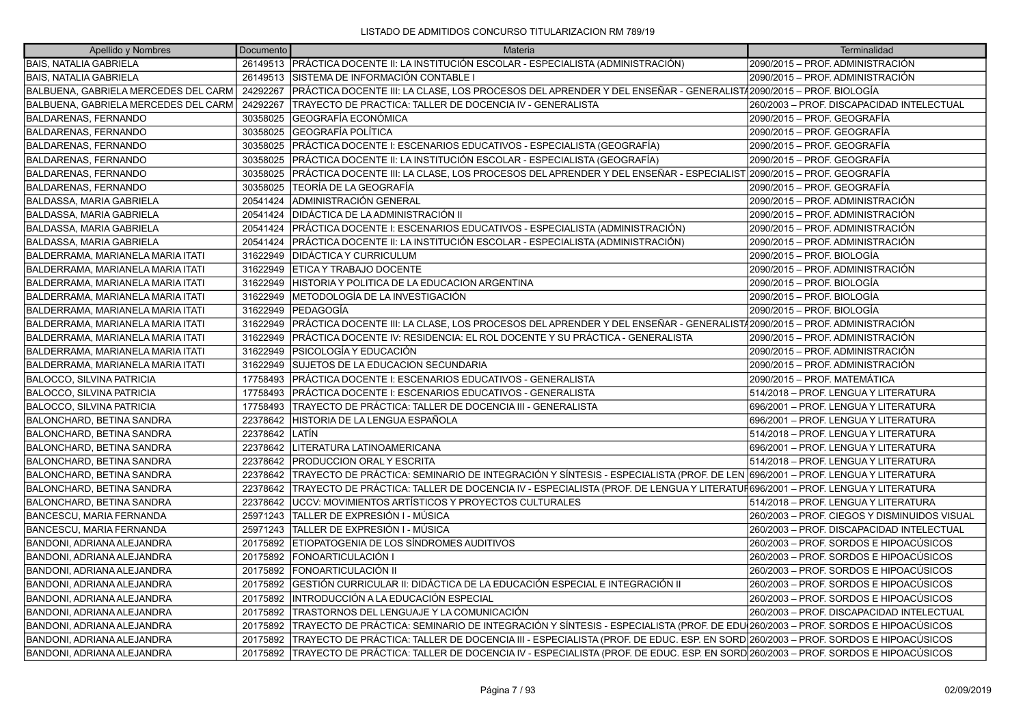| Apellido y Nombres                   | Documento | Materia                                                                                                                         | Terminalidad                                 |
|--------------------------------------|-----------|---------------------------------------------------------------------------------------------------------------------------------|----------------------------------------------|
| <b>BAIS, NATALIA GABRIELA</b>        | 26149513  | PRÁCTICA DOCENTE II: LA INSTITUCIÓN ESCOLAR - ESPECIALISTA (ADMINISTRACIÓN)                                                     | 2090/2015 – PROF. ADMINISTRACIÓN             |
| <b>BAIS, NATALIA GABRIELA</b>        | 26149513  | ÍSISTEMA DE INFORMACIÓN CONTABLE I                                                                                              | 2090/2015 – PROF. ADMINISTRACIÓN             |
| BALBUENA, GABRIELA MERCEDES DEL CARM | 24292267  | PRÁCTICA DOCENTE III: LA CLASE, LOS PROCESOS DEL APRENDER Y DEL ENSEÑAR - GENERALIST/2090/2015 – PROF. BIOLOGÍA                 |                                              |
| BALBUENA, GABRIELA MERCEDES DEL CARM | 24292267  | TRAYECTO DE PRACTICA: TALLER DE DOCENCIA IV - GENERALISTA                                                                       | 260/2003 - PROF. DISCAPACIDAD INTELECTUAL    |
| <b>BALDARENAS, FERNANDO</b>          | 30358025  | GEOGRAFÍA ECONÓMICA                                                                                                             | 2090/2015 - PROF. GEOGRAFÍA                  |
| BALDARENAS, FERNANDO                 | 30358025  | GEOGRAFÍA POLÍTICA                                                                                                              | 2090/2015 - PROF. GEOGRAFÍA                  |
| BALDARENAS, FERNANDO                 | 30358025  | PRÁCTICA DOCENTE I: ESCENARIOS EDUCATIVOS - ESPECIALISTA (GEOGRAFÍA)                                                            | 2090/2015 - PROF. GEOGRAFÍA                  |
| BALDARENAS, FERNANDO                 | 30358025  | PRÁCTICA DOCENTE II: LA INSTITUCIÓN ESCOLAR - ESPECIALISTA (GEOGRAFÍA)                                                          | 2090/2015 - PROF. GEOGRAFÍA                  |
| <b>BALDARENAS, FERNANDO</b>          | 30358025  | PRÁCTICA DOCENTE III: LA CLASE, LOS PROCESOS DEL APRENDER Y DEL ENSEÑAR - ESPECIALIST 2090/2015 – PROF. GEOGRAFÍA               |                                              |
| BALDARENAS, FERNANDO                 | 30358025  | TEORÍA DE LA GEOGRAFÍA                                                                                                          | 2090/2015 - PROF. GEOGRAFÍA                  |
| <b>BALDASSA, MARIA GABRIELA</b>      | 20541424  | ADMINISTRACIÓN GENERAL                                                                                                          | 2090/2015 - PROF. ADMINISTRACIÓN             |
| <b>BALDASSA, MARIA GABRIELA</b>      | 20541424  | DIDÁCTICA DE LA ADMINISTRACIÓN II                                                                                               | 2090/2015 - PROF. ADMINISTRACIÓN             |
| <b>BALDASSA, MARIA GABRIELA</b>      | 20541424  | PRÁCTICA DOCENTE I: ESCENARIOS EDUCATIVOS - ESPECIALISTA (ADMINISTRACIÓN)                                                       | 2090/2015 - PROF. ADMINISTRACIÓN             |
| <b>BALDASSA, MARIA GABRIELA</b>      | 20541424  | PRÁCTICA DOCENTE II: LA INSTITUCIÓN ESCOLAR - ESPECIALISTA (ADMINISTRACIÓN)                                                     | 2090/2015 - PROF. ADMINISTRACIÓN             |
| BALDERRAMA, MARIANELA MARIA ITATI    | 31622949  | IDIDÁCTICA Y CURRICULUM                                                                                                         | 2090/2015 - PROF. BIOLOGÍA                   |
| BALDERRAMA, MARIANELA MARIA ITATI    | 31622949  | ETICA Y TRABAJO DOCENTE                                                                                                         | 2090/2015 - PROF. ADMINISTRACIÓN             |
| BALDERRAMA, MARIANELA MARIA ITATI    | 31622949  | HISTORIA Y POLITICA DE LA EDUCACION ARGENTINA                                                                                   | 2090/2015 - PROF. BIOLOGÍA                   |
| BALDERRAMA, MARIANELA MARIA ITATI    | 31622949  | METODOLOGÍA DE LA INVESTIGACIÓN                                                                                                 | 2090/2015 - PROF. BIOLOGÍA                   |
| BALDERRAMA, MARIANELA MARIA ITATI    | 31622949  | PEDAGOGÍA                                                                                                                       | 2090/2015 - PROF. BIOLOGÍA                   |
| BALDERRAMA, MARIANELA MARIA ITATI    | 31622949  | PRÁCTICA DOCENTE III: LA CLASE, LOS PROCESOS DEL APRENDER Y DEL ENSEÑAR - GENERALIST/2090/2015 – PROF. ADMINISTRACIÓN           |                                              |
| BALDERRAMA, MARIANELA MARIA ITATI    | 31622949  | PRÁCTICA DOCENTE IV: RESIDENCIA: EL ROL DOCENTE Y SU PRÁCTICA - GENERALISTA                                                     | 2090/2015 - PROF. ADMINISTRACIÓN             |
| BALDERRAMA, MARIANELA MARIA ITATI    | 31622949  | PSICOLOGÍA Y EDUCACIÓN                                                                                                          | 2090/2015 - PROF. ADMINISTRACIÓN             |
| BALDERRAMA, MARIANELA MARIA ITATI    | 31622949  | SUJETOS DE LA EDUCACION SECUNDARIA                                                                                              | 2090/2015 - PROF. ADMINISTRACIÓN             |
| <b>BALOCCO, SILVINA PATRICIA</b>     | 17758493  | PRÁCTICA DOCENTE I: ESCENARIOS EDUCATIVOS - GENERALISTA                                                                         | 2090/2015 - PROF. MATEMÁTICA                 |
| <b>BALOCCO, SILVINA PATRICIA</b>     | 17758493  | PRÁCTICA DOCENTE I: ESCENARIOS EDUCATIVOS - GENERALISTA                                                                         | 514/2018 - PROF. LENGUA Y LITERATURA         |
| <b>BALOCCO, SILVINA PATRICIA</b>     | 17758493  | TRAYECTO DE PRÁCTICA: TALLER DE DOCENCIA III - GENERALISTA                                                                      | 696/2001 - PROF. LENGUA Y LITERATURA         |
| <b>BALONCHARD, BETINA SANDRA</b>     | 22378642  | HISTORIA DE LA LENGUA ESPAÑOLA                                                                                                  | 696/2001 - PROF. LENGUA Y LITERATURA         |
| <b>BALONCHARD, BETINA SANDRA</b>     | 22378642  | ILATÍN                                                                                                                          | 514/2018 - PROF. LENGUA Y LITERATURA         |
| <b>BALONCHARD, BETINA SANDRA</b>     | 22378642  | LITERATURA LATINOAMERICANA                                                                                                      | 696/2001 - PROF. LENGUA Y LITERATURA         |
| <b>BALONCHARD, BETINA SANDRA</b>     | 22378642  | <b>PRODUCCION ORAL Y ESCRITA</b>                                                                                                | 514/2018 - PROF. LENGUA Y LITERATURA         |
| <b>BALONCHARD, BETINA SANDRA</b>     | 22378642  | TRAYECTO DE PRÁCTICA: SEMINARIO DE INTEGRACIÓN Y SÍNTESIS - ESPECIALISTA (PROF. DE LEN 696/2001 – PROF. LENGUA Y LITERATURA     |                                              |
| <b>BALONCHARD, BETINA SANDRA</b>     | 22378642  | TRAYECTO DE PRÁCTICA: TALLER DE DOCENCIA IV - ESPECIALISTA (PROF. DE LENGUA Y LITERATUF696/2001 – PROF. LENGUA Y LITERATURA     |                                              |
| <b>BALONCHARD, BETINA SANDRA</b>     | 22378642  | UCCV: MOVIMIENTOS ARTÍSTICOS Y PROYECTOS CULTURALES                                                                             | 514/2018 - PROF. LENGUA Y LITERATURA         |
| <b>BANCESCU, MARIA FERNANDA</b>      | 25971243  | TALLER DE EXPRESIÓN I - MÚSICA                                                                                                  | 260/2003 - PROF. CIEGOS Y DISMINUIDOS VISUAL |
| BANCESCU, MARIA FERNANDA             | 25971243  | TALLER DE EXPRESIÓN I - MÚSICA                                                                                                  | 260/2003 - PROF. DISCAPACIDAD INTELECTUAL    |
| BANDONI, ADRIANA ALEJANDRA           | 20175892  | ETIOPATOGENIA DE LOS SÍNDROMES AUDITIVOS                                                                                        | 260/2003 - PROF. SORDOS E HIPOACÚSICOS       |
| BANDONI, ADRIANA ALEJANDRA           | 20175892  | FONOARTICULACIÓN I                                                                                                              | 260/2003 – PROF. SORDOS E HIPOACÚSICOS       |
| BANDONI, ADRIANA ALEJANDRA           | 20175892  | <b>FONOARTICULACIÓN II</b>                                                                                                      | 260/2003 – PROF. SORDOS E HIPOACÚSICOS       |
| BANDONI, ADRIANA ALEJANDRA           | 20175892  | GESTIÓN CURRICULAR II: DIDÁCTICA DE LA EDUCACIÓN ESPECIAL E INTEGRACIÓN II                                                      | 260/2003 - PROF. SORDOS E HIPOACÚSICOS       |
| BANDONI, ADRIANA ALEJANDRA           | 20175892  | INTRODUCCIÓN A LA EDUCACIÓN ESPECIAL                                                                                            | 260/2003 – PROF. SORDOS E HIPOACÚSICOS       |
| BANDONI, ADRIANA ALEJANDRA           | 20175892  | TRASTORNOS DEL LENGUAJE Y LA COMUNICACIÓN                                                                                       | 260/2003 - PROF. DISCAPACIDAD INTELECTUAL    |
| BANDONI, ADRIANA ALEJANDRA           | 20175892  | TRAYECTO DE PRÁCTICA: SEMINARIO DE INTEGRACIÓN Y SÍNTESIS - ESPECIALISTA (PROF. DE EDU∫260/2003 – PROF. SORDOS E HIPOACÚSICOS   |                                              |
| BANDONI, ADRIANA ALEJANDRA           | 20175892  | TRAYECTO DE PRÁCTICA: TALLER DE DOCENCIA III - ESPECIALISTA (PROF. DE EDUC. ESP. EN SORD 260/2003 – PROF. SORDOS E HIPOACÚSICOS |                                              |
| BANDONI, ADRIANA ALEJANDRA           | 20175892  | TRAYECTO DE PRÁCTICA: TALLER DE DOCENCIA IV - ESPECIALISTA (PROF. DE EDUC. ESP. EN SORD 260/2003 – PROF. SORDOS E HIPOACÚSICOS  |                                              |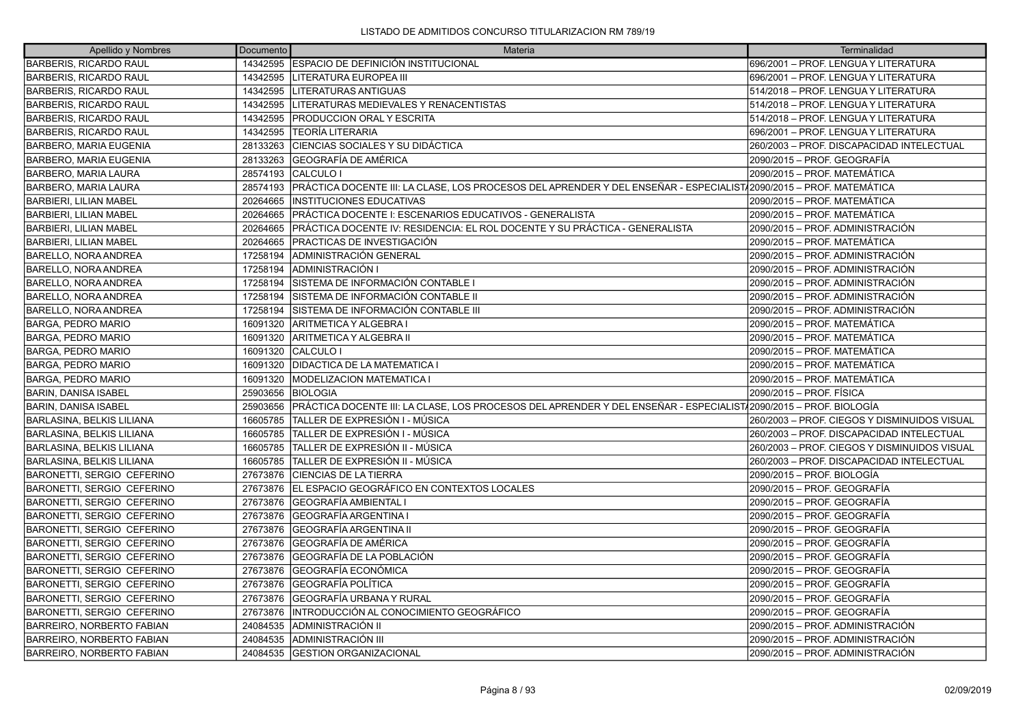| Apellido y Nombres                | Documento | Materia                                                                                                            | Terminalidad                                 |
|-----------------------------------|-----------|--------------------------------------------------------------------------------------------------------------------|----------------------------------------------|
| <b>BARBERIS, RICARDO RAUL</b>     |           | 14342595 ESPACIO DE DEFINICIÓN INSTITUCIONAL                                                                       | 696/2001 - PROF. LENGUA Y LITERATURA         |
| BARBERIS, RICARDO RAUL            | 14342595  | LITERATURA EUROPEA III                                                                                             | 696/2001 - PROF. LENGUA Y LITERATURA         |
| <b>BARBERIS, RICARDO RAUL</b>     |           | 14342595 LITERATURAS ANTIGUAS                                                                                      | 514/2018 – PROF. LENGUA Y LITERATURA         |
| BARBERIS, RICARDO RAUL            | 14342595  | LITERATURAS MEDIEVALES Y RENACENTISTAS                                                                             | 514/2018 – PROF. LENGUA Y LITERATURA         |
| <b>BARBERIS, RICARDO RAUL</b>     | 14342595  | <b>PRODUCCION ORAL Y ESCRITA</b>                                                                                   | 514/2018 – PROF. LENGUA Y LITERATURA         |
| <b>BARBERIS, RICARDO RAUL</b>     | 14342595  | <b>TEORÍA LITERARIA</b>                                                                                            | 1696/2001 – PROF. LENGUA Y LITERATURA        |
| <b>BARBERO, MARIA EUGENIA</b>     | 28133263  | CIENCIAS SOCIALES Y SU DIDÁCTICA                                                                                   | 260/2003 - PROF. DISCAPACIDAD INTELECTUAL    |
| BARBERO, MARIA EUGENIA            | 28133263  | <b>GEOGRAFÍA DE AMÉRICA</b>                                                                                        | 2090/2015 – PROF. GEOGRAFÍA                  |
| <b>BARBERO, MARIA LAURA</b>       | 28574193  | CALCULO I                                                                                                          | 2090/2015 - PROF. MATEMÁTICA                 |
| <b>BARBERO, MARIA LAURA</b>       | 28574193  | PRÁCTICA DOCENTE III: LA CLASE, LOS PROCESOS DEL APRENDER Y DEL ENSEÑAR - ESPECIALIST/2090/2015 – PROF. MATEMÁTICA |                                              |
| <b>BARBIERI, LILIAN MABEL</b>     | 20264665  | <b>INSTITUCIONES EDUCATIVAS</b>                                                                                    | 2090/2015 - PROF. MATEMÁTICA                 |
| <b>BARBIERI, LILIAN MABEL</b>     | 20264665  | PRÁCTICA DOCENTE I: ESCENARIOS EDUCATIVOS - GENERALISTA                                                            | 2090/2015 – PROF. MATEMÁTICA                 |
| <b>BARBIERI, LILIAN MABEL</b>     | 20264665  | PRÁCTICA DOCENTE IV: RESIDENCIA: EL ROL DOCENTE Y SU PRÁCTICA - GENERALISTA                                        | 2090/2015 – PROF. ADMINISTRACIÓN             |
| BARBIERI, LILIAN MABEL            | 20264665  | <b>PRACTICAS DE INVESTIGACIÓN</b>                                                                                  | 2090/2015 - PROF. MATEMÁTICA                 |
| <b>BARELLO, NORA ANDREA</b>       | 17258194  | ADMINISTRACIÓN GENERAL                                                                                             | 2090/2015 – PROF. ADMINISTRACIÓN             |
| BARELLO, NORA ANDREA              | 17258194  | ADMINISTRACIÓN I                                                                                                   | 2090/2015 - PROF. ADMINISTRACIÓN             |
| BARELLO, NORA ANDREA              | 17258194  | SISTEMA DE INFORMACIÓN CONTABLE I                                                                                  | 2090/2015 - PROF. ADMINISTRACIÓN             |
| <b>BARELLO, NORA ANDREA</b>       | 17258194  | SISTEMA DE INFORMACIÓN CONTABLE II                                                                                 | 2090/2015 – PROF. ADMINISTRACIÓN             |
| BARELLO, NORA ANDREA              | 17258194  | ÍSISTEMA DE INFORMACIÓN CONTABLE III                                                                               | 2090/2015 – PROF. ADMINISTRACIÓN             |
| <b>BARGA, PEDRO MARIO</b>         | 16091320  | ARITMETICA Y ALGEBRA I                                                                                             | 2090/2015 - PROF. MATEMÁTICA                 |
| <b>BARGA, PEDRO MARIO</b>         | 16091320  | ARITMETICA Y ALGEBRA II                                                                                            | 2090/2015 – PROF. MATEMÁTICA                 |
| BARGA, PEDRO MARIO                | 16091320  | <b>CALCULO I</b>                                                                                                   | 2090/2015 – PROF. MATEMÁTICA                 |
| <b>BARGA, PEDRO MARIO</b>         | 16091320  | <b>DIDACTICA DE LA MATEMATICA I</b>                                                                                | 2090/2015 - PROF. MATEMÁTICA                 |
| <b>BARGA, PEDRO MARIO</b>         | 16091320  | MODELIZACION MATEMATICA I                                                                                          | 2090/2015 – PROF. MATEMÁTICA                 |
| BARIN, DANISA ISABEL              | 25903656  | <b>BIOLOGIA</b>                                                                                                    | 2090/2015 - PROF. FÍSICA                     |
| BARIN, DANISA ISABEL              | 25903656  | IPRÁCTICA DOCENTE III: LA CLASE. LOS PROCESOS DEL APRENDER Y DEL ENSEÑAR - ESPECIALIST/2090/2015 — PROF. BIOLOGÍA  |                                              |
| BARLASINA, BELKIS LILIANA         | 16605785  | TALLER DE EXPRESIÓN I - MÚSICA                                                                                     | 260/2003 – PROF. CIEGOS Y DISMINUIDOS VISUAL |
| <b>BARLASINA, BELKIS LILIANA</b>  | 16605785  | TALLER DE EXPRESIÓN I - MÚSICA                                                                                     | 260/2003 - PROF. DISCAPACIDAD INTELECTUAL    |
| BARLASINA, BELKIS LILIANA         | 16605785  | TALLER DE EXPRESIÓN II - MÚSICA                                                                                    | 260/2003 - PROF. CIEGOS Y DISMINUIDOS VISUAL |
| <b>BARLASINA, BELKIS LILIANA</b>  | 16605785  | TALLER DE EXPRESIÓN II - MÚSICA                                                                                    | 260/2003 - PROF. DISCAPACIDAD INTELECTUAL    |
| <b>BARONETTI, SERGIO CEFERINO</b> | 27673876  | <b>CIENCIAS DE LA TIERRA</b>                                                                                       | 2090/2015 - PROF. BIOLOGÍA                   |
| BARONETTI, SERGIO CEFERINO        |           | 27673876 EL ESPACIO GEOGRÁFICO EN CONTEXTOS LOCALES                                                                | 2090/2015 - PROF. GEOGRAFÍA                  |
| <b>BARONETTI, SERGIO CEFERINO</b> | 27673876  | <b>IGEOGRAFÍA AMBIENTAL I</b>                                                                                      | l2090/2015 – PROF. GEOGRAFÍA                 |
| BARONETTI, SERGIO CEFERINO        | 27673876  | GEOGRAFÍA ARGENTINA I                                                                                              | 2090/2015 – PROF. GEOGRAFÍA                  |
| <b>BARONETTI, SERGIO CEFERINO</b> | 27673876  | <b>GEOGRAFÍA ARGENTINA II</b>                                                                                      | 2090/2015 - PROF. GEOGRAFÍA                  |
| <b>BARONETTI, SERGIO CEFERINO</b> | 27673876  | GEOGRAFÍA DE AMÉRICA                                                                                               | l2090/2015 – PROF. GEOGRAFÍA                 |
| BARONETTI, SERGIO CEFERINO        | 27673876  | <b>GEOGRAFÍA DE LA POBLACIÓN</b>                                                                                   | 2090/2015 – PROF. GEOGRAFÍA                  |
| <b>BARONETTI, SERGIO CEFERINO</b> | 27673876  | GEOGRAFÍA ECONÓMICA                                                                                                | 2090/2015 - PROF. GEOGRAFÍA                  |
| BARONETTI, SERGIO CEFERINO        | 27673876  | <b>IGEOGRAFÍA POLÍTICA</b>                                                                                         | l2090/2015 – PROF. GEOGRAFÍA                 |
| BARONETTI, SERGIO CEFERINO        | 27673876  | <b>GEOGRAFÍA URBANA Y RURAL</b>                                                                                    | 2090/2015 – PROF. GEOGRAFÍA                  |
| <b>BARONETTI, SERGIO CEFERINO</b> | 27673876  | IINTRODUCCIÓN AL CONOCIMIENTO GEOGRÁFICO                                                                           | 2090/2015 - PROF. GEOGRAFÍA                  |
| <b>BARREIRO, NORBERTO FABIAN</b>  | 24084535  | ADMINISTRACIÓN II                                                                                                  | 2090/2015 - PROF. ADMINISTRACIÓN             |
| <b>BARREIRO, NORBERTO FABIAN</b>  | 24084535  | ADMINISTRACIÓN III                                                                                                 | 2090/2015 - PROF. ADMINISTRACIÓN             |
| BARREIRO. NORBERTO FABIAN         |           | 24084535 GESTION ORGANIZACIONAL                                                                                    | 2090/2015 - PROF. ADMINISTRACIÓN             |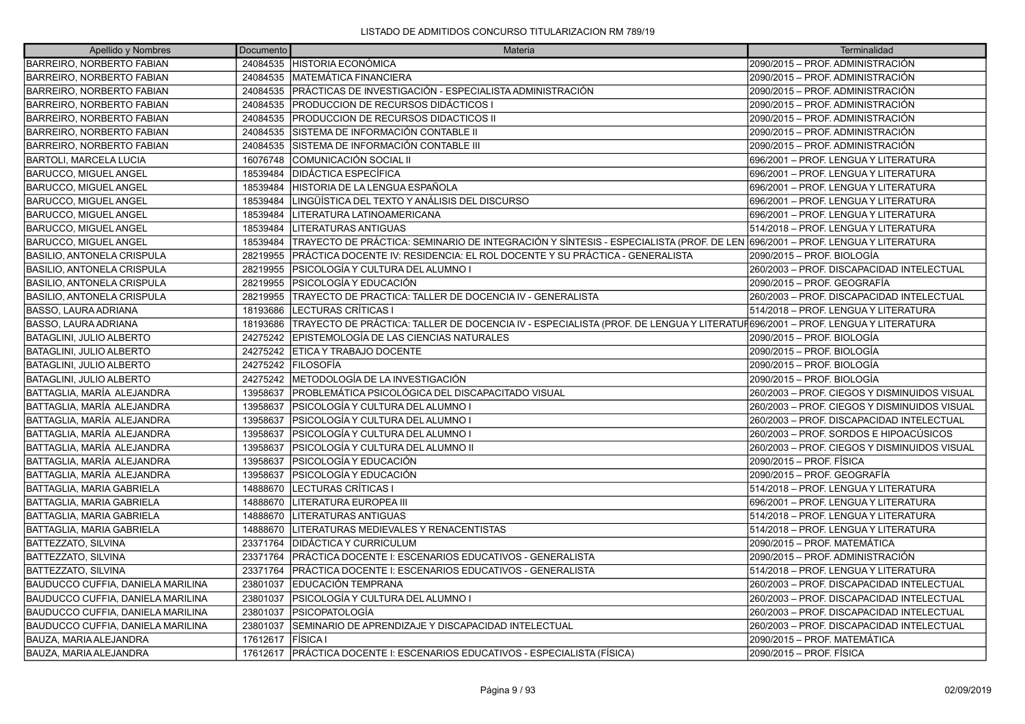| Apellido y Nombres                       | Documento | Materia                                                                                                                     | Terminalidad                                 |
|------------------------------------------|-----------|-----------------------------------------------------------------------------------------------------------------------------|----------------------------------------------|
| <b>BARREIRO, NORBERTO FABIAN</b>         |           | 24084535 HISTORIA ECONÓMICA                                                                                                 | 2090/2015 - PROF. ADMINISTRACIÓN             |
| BARREIRO, NORBERTO FABIAN                |           | 24084535   MATEMÁTICA FINANCIERA                                                                                            | 2090/2015 - PROF. ADMINISTRACIÓN             |
| BARREIRO, NORBERTO FABIAN                |           | 24084535 PRÁCTICAS DE INVESTIGACIÓN - ESPECIALISTA ADMINISTRACIÓN                                                           | 2090/2015 – PROF. ADMINISTRACIÓN             |
| <b>BARREIRO, NORBERTO FABIAN</b>         | 24084535  | PRODUCCION DE RECURSOS DIDÁCTICOS I                                                                                         | 2090/2015 - PROF. ADMINISTRACIÓN             |
| BARREIRO, NORBERTO FABIAN                | 24084535  | <b>PRODUCCION DE RECURSOS DIDACTICOS II</b>                                                                                 | 2090/2015 - PROF. ADMINISTRACIÓN             |
| BARREIRO, NORBERTO FABIAN                | 24084535  | SISTEMA DE INFORMACIÓN CONTABLE II                                                                                          | 2090/2015 – PROF. ADMINISTRACIÓN             |
| <b>BARREIRO, NORBERTO FABIAN</b>         | 24084535  | SISTEMA DE INFORMACIÓN CONTABLE III                                                                                         | 2090/2015 - PROF. ADMINISTRACIÓN             |
| BARTOLI, MARCELA LUCIA                   | 16076748  | COMUNICACIÓN SOCIAL II                                                                                                      | 696/2001 - PROF. LENGUA Y LITERATURA         |
| <b>BARUCCO, MIGUEL ANGEL</b>             | 18539484  | <b>DIDÁCTICA ESPECÍFICA</b>                                                                                                 | 696/2001 – PROF. LENGUA Y LITERATURA         |
| <b>BARUCCO, MIGUEL ANGEL</b>             | 18539484  | HISTORIA DE LA LENGUA ESPAÑOLA                                                                                              | 696/2001 - PROF. LENGUA Y LITERATURA         |
| <b>BARUCCO, MIGUEL ANGEL</b>             | 18539484  | LINGÜÍSTICA DEL TEXTO Y ANÁLISIS DEL DISCURSO                                                                               | 696/2001 - PROF. LENGUA Y LITERATURA         |
| <b>BARUCCO, MIGUEL ANGEL</b>             | 18539484  | LITERATURA LATINOAMERICANA                                                                                                  | 696/2001 – PROF. LENGUA Y LITERATURA         |
| BARUCCO, MIGUEL ANGEL                    | 18539484  | <b>LITERATURAS ANTIGUAS</b>                                                                                                 | 514/2018 - PROF. LENGUA Y LITERATURA         |
| BARUCCO, MIGUEL ANGEL                    | 18539484  | TRAYECTO DE PRÁCTICA: SEMINARIO DE INTEGRACIÓN Y SÍNTESIS - ESPECIALISTA (PROF. DE LEN 696/2001 – PROF. LENGUA Y LITERATURA |                                              |
| <b>BASILIO, ANTONELA CRISPULA</b>        | 28219955  | PRÁCTICA DOCENTE IV: RESIDENCIA: EL ROL DOCENTE Y SU PRÁCTICA - GENERALISTA                                                 | 2090/2015 - PROF. BIOLOGÍA                   |
| <b>BASILIO, ANTONELA CRISPULA</b>        | 28219955  | PSICOLOGÍA Y CULTURA DEL ALUMNO I                                                                                           | 260/2003 - PROF. DISCAPACIDAD INTELECTUAL    |
| <b>BASILIO, ANTONELA CRISPULA</b>        | 28219955  | <b>PSICOLOGÍA Y EDUCACIÓN</b>                                                                                               | 2090/2015 - PROF. GEOGRAFÍA                  |
| <b>BASILIO, ANTONELA CRISPULA</b>        | 28219955  | TRAYECTO DE PRACTICA: TALLER DE DOCENCIA IV - GENERALISTA                                                                   | 260/2003 - PROF. DISCAPACIDAD INTELECTUAL    |
| BASSO, LAURA ADRIANA                     | 18193686  | <b>LECTURAS CRÍTICAS I</b>                                                                                                  | 514/2018 - PROF. LENGUA Y LITERATURA         |
| BASSO, LAURA ADRIANA                     | 18193686  | TRAYECTO DE PRÁCTICA: TALLER DE DOCENCIA IV - ESPECIALISTA (PROF. DE LENGUA Y LITERATUF696/2001 – PROF. LENGUA Y LITERATURA |                                              |
| <b>BATAGLINI, JULIO ALBERTO</b>          |           | 24275242 EPISTEMOLOGÍA DE LAS CIENCIAS NATURALES                                                                            | 2090/2015 – PROF. BIOLOGÍA                   |
| BATAGLINI, JULIO ALBERTO                 | 24275242  | <b>ETICA Y TRABAJO DOCENTE</b>                                                                                              | 2090/2015 - PROF. BIOLOGÍA                   |
| BATAGLINI, JULIO ALBERTO                 | 24275242  | <b>FILOSOFÍA</b>                                                                                                            | 2090/2015 - PROF. BIOLOGÍA                   |
| <b>BATAGLINI, JULIO ALBERTO</b>          | 24275242  | METODOLOGÍA DE LA INVESTIGACIÓN                                                                                             | 2090/2015 - PROF. BIOLOGÍA                   |
| BATTAGLIA, MARÍA ALEJANDRA               | 13958637  | PROBLEMÁTICA PSICOLÓGICA DEL DISCAPACITADO VISUAL                                                                           | 260/2003 - PROF. CIEGOS Y DISMINUIDOS VISUAL |
| BATTAGLIA, MARÍA ALEJANDRA               | 13958637  | PSICOLOGÍA Y CULTURA DEL ALUMNO I                                                                                           | 260/2003 - PROF. CIEGOS Y DISMINUIDOS VISUAL |
| BATTAGLIA, MARÍA ALEJANDRA               | 13958637  | PSICOLOGÍA Y CULTURA DEL ALUMNO I                                                                                           | 260/2003 - PROF. DISCAPACIDAD INTELECTUAL    |
| BATTAGLIA, MARÍA ALEJANDRA               | 13958637  | PSICOLOGÍA Y CULTURA DEL ALUMNO I                                                                                           | 260/2003 – PROF. SORDOS E HIPOACÚSICOS       |
| BATTAGLIA, MARÍA ALEJANDRA               | 13958637  | PSICOLOGÍA Y CULTURA DEL ALUMNO II                                                                                          | 260/2003 - PROF. CIEGOS Y DISMINUIDOS VISUAL |
| BATTAGLIA, MARÍA ALEJANDRA               | 13958637  | PSICOLOGÍA Y EDUCACIÓN                                                                                                      | 2090/2015 - PROF. FÍSICA                     |
| BATTAGLIA, MARÍA ALEJANDRA               | 13958637  | PSICOLOGÍA Y EDUCACIÓN                                                                                                      | 2090/2015 - PROF. GEOGRAFÍA                  |
| BATTAGLIA, MARIA GABRIELA                | 14888670  | LECTURAS CRÍTICAS I                                                                                                         | 514/2018 - PROF. LENGUA Y LITERATURA         |
| <b>BATTAGLIA, MARIA GABRIELA</b>         | 14888670  | LITERATURA EUROPEA III                                                                                                      | 696/2001 – PROF. LENGUA Y LITERATURA         |
| <b>BATTAGLIA, MARIA GABRIELA</b>         | 14888670  | <b>LITERATURAS ANTIGUAS</b>                                                                                                 | 514/2018 – PROF. LENGUA Y LITERATURA         |
| BATTAGLIA, MARIA GABRIELA                | 14888670  | LITERATURAS MEDIEVALES Y RENACENTISTAS                                                                                      | 514/2018 – PROF. LENGUA Y LITERATURA         |
| <b>BATTEZZATO, SILVINA</b>               | 23371764  | <b>IDIDÁCTICA Y CURRICULUM</b>                                                                                              | 2090/2015 - PROF. MATEMÁTICA                 |
| <b>BATTEZZATO, SILVINA</b>               | 23371764  | PRÁCTICA DOCENTE I: ESCENARIOS EDUCATIVOS - GENERALISTA                                                                     | 2090/2015 - PROF. ADMINISTRACIÓN             |
| BATTEZZATO, SILVINA                      | 23371764  | PRÁCTICA DOCENTE I: ESCENARIOS EDUCATIVOS - GENERALISTA                                                                     | 514/2018 – PROF. LENGUA Y LITERATURA         |
| <b>BAUDUCCO CUFFIA, DANIELA MARILINA</b> | 23801037  | IEDUCACIÓN TEMPRANA                                                                                                         | 260/2003 - PROF. DISCAPACIDAD INTELECTUAL    |
| <b>BAUDUCCO CUFFIA, DANIELA MARILINA</b> | 23801037  | PSICOLOGÍA Y CULTURA DEL ALUMNO I                                                                                           | 260/2003 - PROF. DISCAPACIDAD INTELECTUAL    |
| BAUDUCCO CUFFIA, DANIELA MARILINA        | 23801037  | PSICOPATOLOGÍA                                                                                                              | 260/2003 - PROF. DISCAPACIDAD INTELECTUAL    |
| <b>BAUDUCCO CUFFIA, DANIELA MARILINA</b> | 23801037  | SEMINARIO DE APRENDIZAJE Y DISCAPACIDAD INTELECTUAL                                                                         | 260/2003 - PROF. DISCAPACIDAD INTELECTUAL    |
| BAUZA. MARIA ALEJANDRA                   | 17612617  | <b>FÍSICA</b> I                                                                                                             | 2090/2015 - PROF. MATEMÁTICA                 |
| BAUZA, MARIA ALEJANDRA                   |           | 17612617   PRÁCTICA DOCENTE I: ESCENARIOS EDUCATIVOS - ESPECIALISTA (FÍSICA)                                                | 2090/2015 - PROF. FÍSICA                     |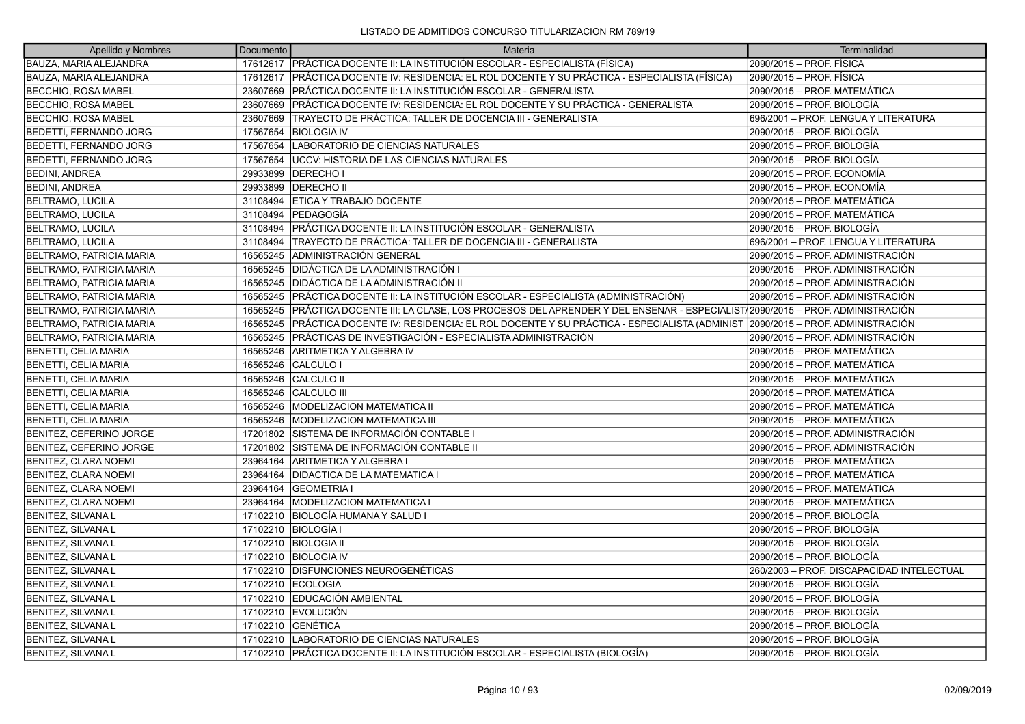| Apellido y Nombres              | Documento | <b>Materia</b>                                                                                                          | Terminalidad                              |
|---------------------------------|-----------|-------------------------------------------------------------------------------------------------------------------------|-------------------------------------------|
| <b>BAUZA, MARIA ALEJANDRA</b>   | 17612617  | PRÁCTICA DOCENTE II: LA INSTITUCIÓN ESCOLAR - ESPECIALISTA (FÍSICA)                                                     | 2090/2015 - PROF. FÍSICA                  |
| BAUZA, MARIA ALEJANDRA          | 17612617  | PRÁCTICA DOCENTE IV: RESIDENCIA: EL ROL DOCENTE Y SU PRÁCTICA - ESPECIALISTA (FÍSICA)                                   | 2090/2015 – PROF. FÍSICA                  |
| <b>BECCHIO, ROSA MABEL</b>      |           | 23607669   PRÁCTICA DOCENTE II: LA INSTITUCIÓN ESCOLAR - GENERALISTA                                                    | 2090/2015 - PROF. MATEMÁTICA              |
| <b>BECCHIO, ROSA MABEL</b>      | 23607669  | PRÁCTICA DOCENTE IV: RESIDENCIA: EL ROL DOCENTE Y SU PRÁCTICA - GENERALISTA                                             | 2090/2015 - PROF. BIOLOGÍA                |
| <b>BECCHIO, ROSA MABEL</b>      | 23607669  | TRAYECTO DE PRÁCTICA: TALLER DE DOCENCIA III - GENERALISTA                                                              | 696/2001 - PROF. LENGUA Y LITERATURA      |
| <b>BEDETTI, FERNANDO JORG</b>   | 17567654  | <b>BIOLOGIA IV</b>                                                                                                      | 2090/2015 - PROF. BIOLOGÍA                |
| <b>BEDETTI, FERNANDO JORG</b>   | 17567654  | LABORATORIO DE CIENCIAS NATURALES                                                                                       | 2090/2015 - PROF. BIOLOGÍA                |
| <b>BEDETTI, FERNANDO JORG</b>   | 17567654  | UCCV: HISTORIA DE LAS CIENCIAS NATURALES                                                                                | 2090/2015 – PROF. BIOLOGÍA                |
| <b>BEDINI, ANDREA</b>           | 29933899  | <b>DERECHOI</b>                                                                                                         | 2090/2015 – PROF. ECONOMÍA                |
| <b>BEDINI, ANDREA</b>           | 29933899  | <b>DERECHO II</b>                                                                                                       | 2090/2015 – PROF. ECONOMÍA                |
| <b>BELTRAMO, LUCILA</b>         | 31108494  | <b>ETICA Y TRABAJO DOCENTE</b>                                                                                          | 2090/2015 - PROF. MATEMÁTICA              |
| <b>BELTRAMO, LUCILA</b>         | 31108494  | <b>IPEDAGOGÍA</b>                                                                                                       | 2090/2015 – PROF. MATEMÁTICA              |
| <b>BELTRAMO, LUCILA</b>         | 31108494  | PRÁCTICA DOCENTE II: LA INSTITUCIÓN ESCOLAR - GENERALISTA                                                               | 2090/2015 – PROF. BIOLOGÍA                |
| <b>BELTRAMO, LUCILA</b>         | 31108494  | TRAYECTO DE PRÁCTICA: TALLER DE DOCENCIA III - GENERALISTA                                                              | 696/2001 - PROF. LENGUA Y LITERATURA      |
| <b>BELTRAMO, PATRICIA MARIA</b> | 16565245  | ADMINISTRACIÓN GENERAL                                                                                                  | 2090/2015 – PROF. ADMINISTRACIÓN          |
| <b>BELTRAMO, PATRICIA MARIA</b> | 16565245  | DIDÁCTICA DE LA ADMINISTRACIÓN I                                                                                        | 2090/2015 – PROF. ADMINISTRACIÓN          |
| BELTRAMO, PATRICIA MARIA        |           | 16565245   DIDÁCTICA DE LA ADMINISTRACIÓN II                                                                            | 2090/2015 - PROF. ADMINISTRACIÓN          |
| <b>BELTRAMO, PATRICIA MARIA</b> | 16565245  | PRÁCTICA DOCENTE II: LA INSTITUCIÓN ESCOLAR - ESPECIALISTA (ADMINISTRACIÓN)                                             | 2090/2015 - PROF. ADMINISTRACIÓN          |
| BELTRAMO, PATRICIA MARIA        | 16565245  | PRÁCTICA DOCENTE III: LA CLASE, LOS PROCESOS DEL APRENDER Y DEL ENSENAR - ESPECIALIST/2090/2015 - PROF. ADMINISTRACIÓN  |                                           |
| BELTRAMO, PATRICIA MARIA        | 16565245  | PRÁCTICA DOCENTE IV: RESIDENCIA: EL ROL DOCENTE Y SU PRÁCTICA - ESPECIALISTA (ADMINIST 2090/2015 – PROF. ADMINISTRACIÓN |                                           |
| <b>BELTRAMO, PATRICIA MARIA</b> | 16565245  | PRÁCTICAS DE INVESTIGACIÓN - ESPECIALISTA ADMINISTRACIÓN                                                                | 2090/2015 – PROF. ADMINISTRACIÓN          |
| BENETTI, CELIA MARIA            | 16565246  | ARITMETICA Y ALGEBRA IV                                                                                                 | 2090/2015 - PROF. MATEMÁTICA              |
| <b>BENETTI, CELIA MARIA</b>     | 16565246  | CALCULO I                                                                                                               | 2090/2015 - PROF. MATEMÁTICA              |
| BENETTI, CELIA MARIA            | 16565246  | <b>CALCULO II</b>                                                                                                       | 2090/2015 - PROF. MATEMÁTICA              |
| BENETTI, CELIA MARIA            | 16565246  | <b>CALCULO III</b>                                                                                                      | 2090/2015 – PROF. MATEMÁTICA              |
| BENETTI, CELIA MARIA            | 16565246  | <b>MODELIZACION MATEMATICA II</b>                                                                                       | 2090/2015 - PROF. MATEMÁTICA              |
| <b>BENETTI, CELIA MARIA</b>     |           | 16565246   MODELIZACION MATEMATICA III                                                                                  | 2090/2015 - PROF. MATEMÁTICA              |
| BENITEZ, CEFERINO JORGE         | 17201802  | ÍSISTEMA DE INFORMACIÓN CONTABLE I                                                                                      | 2090/2015 - PROF. ADMINISTRACIÓN          |
| BENITEZ, CEFERINO JORGE         | 17201802  | SISTEMA DE INFORMACIÓN CONTABLE II                                                                                      | 2090/2015 – PROF. ADMINISTRACIÓN          |
| <b>BENITEZ, CLARA NOEMI</b>     | 23964164  | ARITMETICA Y ALGEBRA I                                                                                                  | 2090/2015 - PROF. MATEMÁTICA              |
| BENITEZ, CLARA NOEMI            | 23964164  | <b>DIDACTICA DE LA MATEMATICA I</b>                                                                                     | 2090/2015 - PROF. MATEMÁTICA              |
| BENITEZ, CLARA NOEMI            | 23964164  | <b>GEOMETRIA I</b>                                                                                                      | 2090/2015 – PROF. MATEMÁTICA              |
| <b>BENITEZ, CLARA NOEMI</b>     | 23964164  | <b>MODELIZACION MATEMATICA I</b>                                                                                        | 2090/2015 - PROF. MATEMÁTICA              |
| <b>BENITEZ, SILVANA L</b>       | 17102210  | BIOLOGÍA HUMANA Y SALUD                                                                                                 | 2090/2015 – PROF. BIOLOGÍA                |
| BENITEZ, SILVANA L              | 17102210  | <b>BIOLOGÍA I</b>                                                                                                       | 2090/2015 – PROF. BIOLOGÍA                |
| <b>BENITEZ, SILVANA L</b>       | 17102210  | <b>BIOLOGIA II</b>                                                                                                      | 2090/2015 – PROF. BIOLOGÍA                |
| BENITEZ, SILVANA L              | 17102210  | <b>BIOLOGIA IV</b>                                                                                                      | 2090/2015 – PROF. BIOLOGÍA                |
| BENITEZ, SILVANA L              | 17102210  | <b>DISFUNCIONES NEUROGENÉTICAS</b>                                                                                      | 260/2003 - PROF. DISCAPACIDAD INTELECTUAL |
| <b>BENITEZ, SILVANA L</b>       | 17102210  | <b>ECOLOGIA</b>                                                                                                         | 2090/2015 - PROF. BIOLOGÍA                |
| BENITEZ, SILVANA L              | 17102210  | EDUCACIÓN AMBIENTAL                                                                                                     | 2090/2015 - PROF. BIOLOGÍA                |
| <b>BENITEZ, SILVANA L</b>       | 17102210  | <b>EVOLUCIÓN</b>                                                                                                        | 2090/2015 – PROF. BIOLOGÍA                |
| <b>BENITEZ, SILVANA L</b>       | 17102210  | <b>IGENÉTICA</b>                                                                                                        | 2090/2015 - PROF. BIOLOGÍA                |
| <b>BENITEZ, SILVANA L</b>       | 17102210  | LABORATORIO DE CIENCIAS NATURALES                                                                                       | 2090/2015 – PROF. BIOLOGÍA                |
| <b>BENITEZ, SILVANA L</b>       |           | 17102210 PRÁCTICA DOCENTE II: LA INSTITUCIÓN ESCOLAR - ESPECIALISTA (BIOLOGÍA)                                          | 2090/2015 – PROF. BIOLOGÍA                |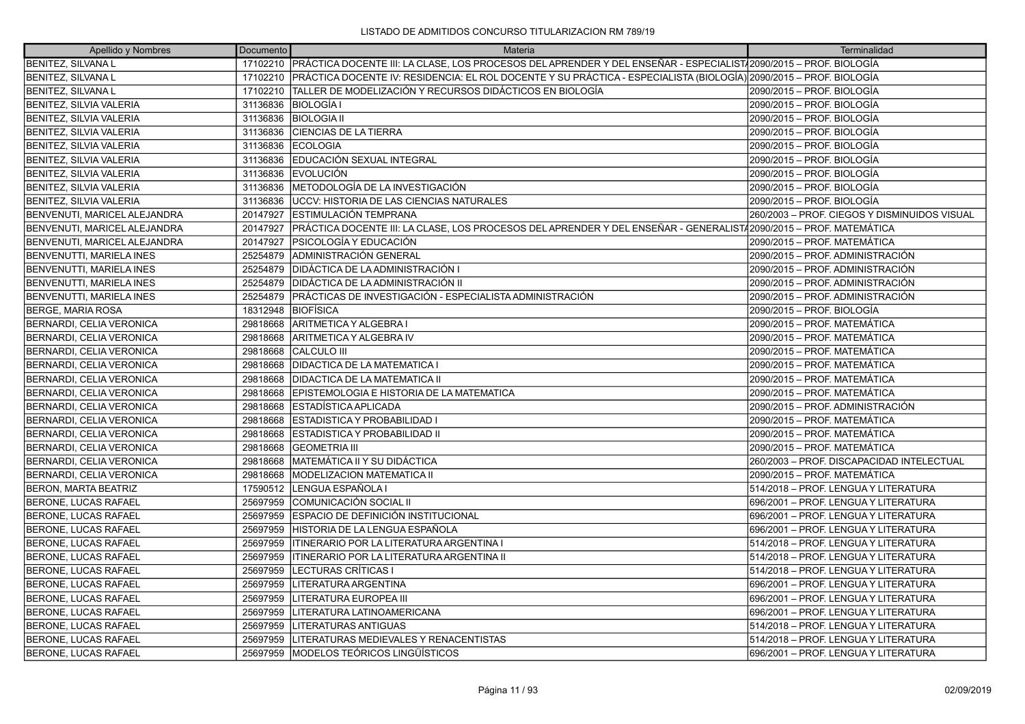| Apellido y Nombres              | Documento | Materia                                                                                                            | Terminalidad                                 |
|---------------------------------|-----------|--------------------------------------------------------------------------------------------------------------------|----------------------------------------------|
| <b>BENITEZ, SILVANA L</b>       | 17102210  | PRÁCTICA DOCENTE III: LA CLASE, LOS PROCESOS DEL APRENDER Y DEL ENSEÑAR - ESPECIALIST/2090/2015 - PROF. BIOLOGÍA   |                                              |
| BENITEZ, SILVANA L              | 17102210  | PRÁCTICA DOCENTE IV: RESIDENCIA: EL ROL DOCENTE Y SU PRÁCTICA - ESPECIALISTA (BIOLOGÍA) 2090/2015 – PROF. BIOLOGÍA |                                              |
| <b>BENITEZ, SILVANA L</b>       | 17102210  | TALLER DE MODELIZACIÓN Y RECURSOS DIDÁCTICOS EN BIOLOGÍA                                                           | 2090/2015 – PROF. BIOLOGÍA                   |
| BENITEZ, SILVIA VALERIA         | 31136836  | <b>BIOLOGÍA I</b>                                                                                                  | 2090/2015 - PROF. BIOLOGÍA                   |
| <b>BENITEZ, SILVIA VALERIA</b>  | 31136836  | <b>BIOLOGIA II</b>                                                                                                 | 2090/2015 - PROF. BIOLOGÍA                   |
| BENITEZ, SILVIA VALERIA         | 31136836  | <b>CIENCIAS DE LA TIERRA</b>                                                                                       | 2090/2015 - PROF. BIOLOGÍA                   |
| <b>BENITEZ, SILVIA VALERIA</b>  | 31136836  | <b>ECOLOGIA</b>                                                                                                    | 2090/2015 – PROF. BIOLOGÍA                   |
| BENITEZ, SILVIA VALERIA         | 31136836  | EDUCACIÓN SEXUAL INTEGRAL                                                                                          | 2090/2015 - PROF. BIOLOGÍA                   |
| <b>BENITEZ, SILVIA VALERIA</b>  | 31136836  | <b>EVOLUCIÓN</b>                                                                                                   | 2090/2015 - PROF. BIOLOGÍA                   |
| BENITEZ, SILVIA VALERIA         | 31136836  | IMETODOLOGÍA DE LA INVESTIGACIÓN                                                                                   | 2090/2015 – PROF. BIOLOGÍA                   |
| BENITEZ, SILVIA VALERIA         | 31136836  | UCCV: HISTORIA DE LAS CIENCIAS NATURALES                                                                           | 2090/2015 - PROF. BIOLOGÍA                   |
| BENVENUTI, MARICEL ALEJANDRA    | 20147927  | <b>IESTIMULACIÓN TEMPRANA</b>                                                                                      | 260/2003 - PROF. CIEGOS Y DISMINUIDOS VISUAL |
| BENVENUTI, MARICEL ALEJANDRA    | 20147927  | PRÁCTICA DOCENTE III: LA CLASE, LOS PROCESOS DEL APRENDER Y DEL ENSEÑAR - GENERALIST/2090/2015 – PROF. MATEMÁTICA  |                                              |
| BENVENUTI, MARICEL ALEJANDRA    | 20147927  | PSICOLOGÍA Y EDUCACIÓN                                                                                             | 2090/2015 - PROF. MATEMATICA                 |
| <b>BENVENUTTI, MARIELA INES</b> | 25254879  | ADMINISTRACIÓN GENERAL                                                                                             | 2090/2015 - PROF. ADMINISTRACIÓN             |
| BENVENUTTI, MARIELA INES        | 25254879  | DIDÁCTICA DE LA ADMINISTRACIÓN I                                                                                   | 2090/2015 – PROF. ADMINISTRACIÓN             |
| BENVENUTTI, MARIELA INES        | 25254879  | DIDÁCTICA DE LA ADMINISTRACIÓN II                                                                                  | 2090/2015 – PROF. ADMINISTRACIÓN             |
| <b>BENVENUTTI, MARIELA INES</b> | 25254879  | PRÁCTICAS DE INVESTIGACIÓN - ESPECIALISTA ADMINISTRACIÓN                                                           | 2090/2015 - PROF. ADMINISTRACIÓN             |
| <b>BERGE, MARIA ROSA</b>        | 18312948  | BIOFÍSICA                                                                                                          | 2090/2015 - PROF. BIOLOGÍA                   |
| BERNARDI, CELIA VERONICA        | 29818668  | ARITMETICA Y ALGEBRA I                                                                                             | 2090/2015 – PROF. MATEMÁTICA                 |
| <b>BERNARDI, CELIA VERONICA</b> | 29818668  | ARITMETICA Y ALGEBRA IV                                                                                            | 2090/2015 - PROF. MATEMÁTICA                 |
| BERNARDI, CELIA VERONICA        | 29818668  | CALCULO III                                                                                                        | 2090/2015 - PROF. MATEMÁTICA                 |
| BERNARDI, CELIA VERONICA        | 29818668  | <b>DIDACTICA DE LA MATEMATICA I</b>                                                                                | 2090/2015 – PROF. MATEMÁTICA                 |
| <b>BERNARDI, CELIA VERONICA</b> | 29818668  | <b>DIDACTICA DE LA MATEMATICA II</b>                                                                               | 2090/2015 – PROF. MATEMÁTICA                 |
| BERNARDI, CELIA VERONICA        | 29818668  | EPISTEMOLOGIA E HISTORIA DE LA MATEMATICA                                                                          | 2090/2015 – PROF. MATEMÁTICA                 |
| BERNARDI, CELIA VERONICA        | 29818668  | IESTADISTICA APLICADA                                                                                              | 2090/2015 - PROF. ADMINISTRACIÓN             |
| BERNARDI, CELIA VERONICA        | 29818668  | <b>ESTADISTICA Y PROBABILIDAD I</b>                                                                                | 2090/2015 - PROF. MATEMÁTICA                 |
| <b>BERNARDI, CELIA VERONICA</b> | 29818668  | ESTADISTICA Y PROBABILIDAD II                                                                                      | 2090/2015 - PROF. MATEMÁTICA                 |
| BERNARDI, CELIA VERONICA        | 29818668  | <b>IGEOMETRIA III</b>                                                                                              | 2090/2015 - PROF. MATEMÁTICA                 |
| BERNARDI, CELIA VERONICA        | 29818668  | ÍMATEMÁTICA II Y SU DIDÁCTICA                                                                                      | 260/2003 - PROF. DISCAPACIDAD INTELECTUAL    |
| BERNARDI, CELIA VERONICA        | 29818668  | <b>MODELIZACION MATEMATICA II</b>                                                                                  | 2090/2015 - PROF. MATEMÁTICA                 |
| <b>BERON, MARTA BEATRIZ</b>     | 17590512  | LENGUA ESPAÑOLA I                                                                                                  | 514/2018 - PROF. LENGUA Y LITERATURA         |
| <b>BERONE, LUCAS RAFAEL</b>     | 25697959  | <b>COMUNICACIÓN SOCIAL II</b>                                                                                      | 1696/2001 – PROF. LENGUA Y LITERATURA        |
| BERONE, LUCAS RAFAEL            | 25697959  | ESPACIO DE DEFINICIÓN INSTITUCIONAL                                                                                | 696/2001 - PROF. LENGUA Y LITERATURA         |
| <b>BERONE, LUCAS RAFAEL</b>     | 25697959  | ÍHISTORIA DE LA LENGUA ESPAÑOLA                                                                                    | 696/2001 - PROF. LENGUA Y LITERATURA         |
| <b>BERONE, LUCAS RAFAEL</b>     | 25697959  | ITINERARIO POR LA LITERATURA ARGENTINA I                                                                           | 514/2018 - PROF. LENGUA Y LITERATURA         |
| BERONE, LUCAS RAFAEL            | 25697959  | <b>ITINERARIO POR LA LITERATURA ARGENTINA II</b>                                                                   | 514/2018 - PROF. LENGUA Y LITERATURA         |
| BERONE, LUCAS RAFAEL            | 25697959  | LECTURAS CRÍTICAS I                                                                                                | 514/2018 - PROF. LENGUA Y LITERATURA         |
| <b>BERONE, LUCAS RAFAEL</b>     | 25697959  | LITERATURA ARGENTINA                                                                                               | 696/2001 - PROF. LENGUA Y LITERATURA         |
| BERONE, LUCAS RAFAEL            | 25697959  | LITERATURA EUROPEA III                                                                                             | 696/2001 - PROF. LENGUA Y LITERATURA         |
| <b>BERONE, LUCAS RAFAEL</b>     | 25697959  | LITERATURA LATINOAMERICANA                                                                                         | 696/2001 - PROF. LENGUA Y LITERATURA         |
| <b>BERONE, LUCAS RAFAEL</b>     | 25697959  | <b>LITERATURAS ANTIGUAS</b>                                                                                        | 514/2018 - PROF. LENGUA Y LITERATURA         |
| BERONE, LUCAS RAFAEL            | 25697959  | LITERATURAS MEDIEVALES Y RENACENTISTAS                                                                             | 514/2018 - PROF. LENGUA Y LITERATURA         |
| <b>BERONE, LUCAS RAFAEL</b>     | 25697959  | <b>IMODELOS TEÓRICOS LINGÜÍSTICOS</b>                                                                              | 696/2001 – PROF. LENGUA Y LITERATURA         |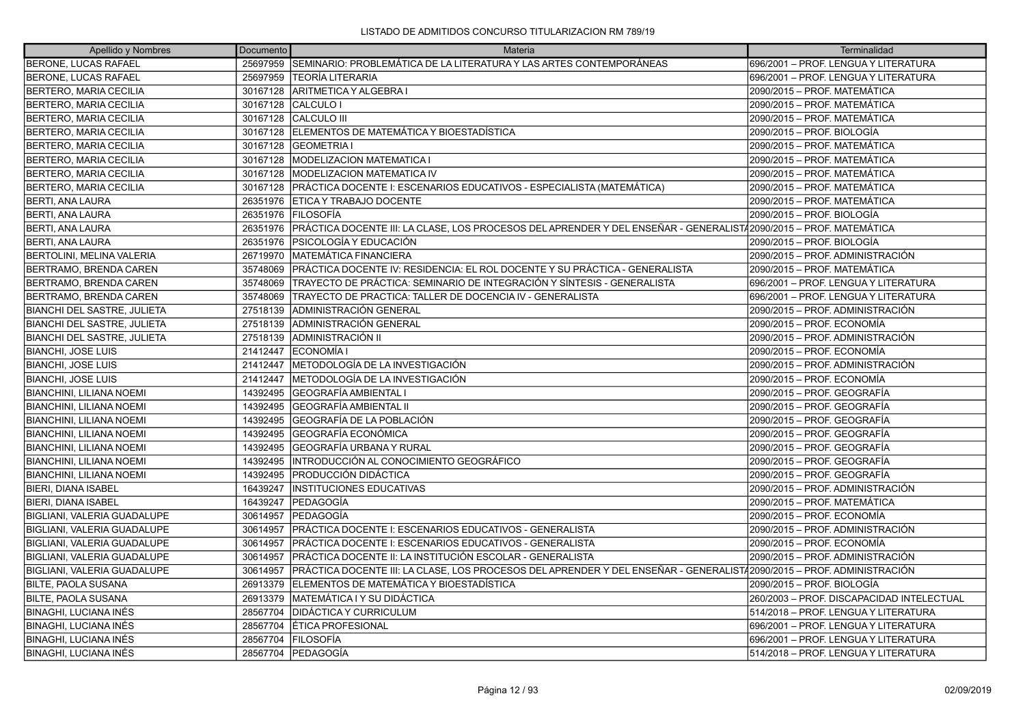| Apellido y Nombres                 | Documento | Materia                                                                                                               | Terminalidad                              |
|------------------------------------|-----------|-----------------------------------------------------------------------------------------------------------------------|-------------------------------------------|
| BERONE, LUCAS RAFAEL               | 25697959  | ISEMINARIO: PROBLEMÁTICA DE LA LITERATURA Y LAS ARTES CONTEMPORÁNEAS                                                  | 696/2001 - PROF. LENGUA Y LITERATURA      |
| <b>BERONE, LUCAS RAFAEL</b>        | 25697959  | TEORÍA LITERARIA                                                                                                      | 696/2001 - PROF. LENGUA Y LITERATURA      |
| BERTERO, MARIA CECILIA             |           | 30167128   ARITMETICA Y ALGEBRA I                                                                                     | 2090/2015 - PROF. MATEMÁTICA              |
| BERTERO, MARIA CECILIA             | 30167128  | <b>CALCULO I</b>                                                                                                      | 2090/2015 - PROF. MATEMÁTICA              |
| BERTERO, MARIA CECILIA             | 30167128  | <b>CALCULO III</b>                                                                                                    | 2090/2015 - PROF. MATEMÁTICA              |
| BERTERO, MARIA CECILIA             |           | 30167128 ELEMENTOS DE MATEMÁTICA Y BIOESTADÍSTICA                                                                     | 2090/2015 - PROF. BIOLOGÍA                |
| BERTERO, MARIA CECILIA             | 30167128  | <b>GEOMETRIA I</b>                                                                                                    | 2090/2015 – PROF. MATEMÁTICA              |
| BERTERO, MARIA CECILIA             | 30167128  | <b>MODELIZACION MATEMATICA I</b>                                                                                      | 2090/2015 – PROF. MATEMÁTICA              |
| BERTERO, MARIA CECILIA             | 30167128  | <b>MODELIZACION MATEMATICA IV</b>                                                                                     | 2090/2015 - PROF. MATEMÁTICA              |
| BERTERO, MARIA CECILIA             | 30167128  | PRÁCTICA DOCENTE I: ESCENARIOS EDUCATIVOS - ESPECIALISTA (MATEMÁTICA)                                                 | 2090/2015 – PROF. MATEMÁTICA              |
| <b>BERTI, ANA LAURA</b>            | 26351976  | <b>ETICA Y TRABAJO DOCENTE</b>                                                                                        | 2090/2015 – PROF. MATEMÁTICA              |
| <b>BERTI, ANA LAURA</b>            | 26351976  | <b>FILOSOFÍA</b>                                                                                                      | 2090/2015 - PROF. BIOLOGÍA                |
| <b>BERTI, ANA LAURA</b>            | 26351976  | PRÁCTICA DOCENTE III: LA CLASE, LOS PROCESOS DEL APRENDER Y DEL ENSEÑAR - GENERALIST/2090/2015 – PROF. MATEMÁTICA     |                                           |
| <b>BERTI, ANA LAURA</b>            | 26351976  | <b>PSICOLOGÍA Y EDUCACIÓN</b>                                                                                         | 2090/2015 - PROF. BIOLOGÍA                |
| <b>BERTOLINI, MELINA VALERIA</b>   | 26719970  | MATEMÁTICA FINANCIERA                                                                                                 | 2090/2015 - PROF. ADMINISTRACIÓN          |
| BERTRAMO, BRENDA CAREN             | 35748069  | PRÁCTICA DOCENTE IV: RESIDENCIA: EL ROL DOCENTE Y SU PRÁCTICA - GENERALISTA                                           | 2090/2015 - PROF. MATEMÁTICA              |
| BERTRAMO, BRENDA CAREN             | 35748069  | TRAYECTO DE PRÁCTICA: SEMINARIO DE INTEGRACIÓN Y SÍNTESIS - GENERALISTA                                               | 696/2001 - PROF. LENGUA Y LITERATURA      |
| BERTRAMO, BRENDA CAREN             | 35748069  | TRAYECTO DE PRACTICA: TALLER DE DOCENCIA IV - GENERALISTA                                                             | 1696/2001 – PROF. LENGUA Y LITERATURA     |
| <b>BIANCHI DEL SASTRE, JULIETA</b> | 27518139  | ADMINISTRACIÓN GENERAL                                                                                                | 2090/2015 – PROF. ADMINISTRACIÓN          |
| BIANCHI DEL SASTRE, JULIETA        | 27518139  | ADMINISTRACIÓN GENERAL                                                                                                | 2090/2015 - PROF. ECONOMÍA                |
| <b>BIANCHI DEL SASTRE, JULIETA</b> | 27518139  | ÍADMINISTRACIÓN II                                                                                                    | 2090/2015 - PROF. ADMINISTRACIÓN          |
| <b>BIANCHI, JOSE LUIS</b>          | 21412447  | <b>ECONOMÍA I</b>                                                                                                     | 2090/2015 - PROF. ECONOMÍA                |
| <b>BIANCHI, JOSE LUIS</b>          | 21412447  | IMETODOLOGÍA DE LA INVESTIGACIÓN                                                                                      | 2090/2015 - PROF. ADMINISTRACIÓN          |
| <b>BIANCHI, JOSE LUIS</b>          | 21412447  | METODOLOGÍA DE LA INVESTIGACIÓN                                                                                       | 2090/2015 – PROF. ECONOMÍA                |
| <b>BIANCHINI, LILIANA NOEMI</b>    | 14392495  | GEOGRAFÍA AMBIENTAL I                                                                                                 | 2090/2015 - PROF. GEOGRAFÍA               |
| <b>BIANCHINI, LILIANA NOEMI</b>    | 14392495  | GEOGRAFÍA AMBIENTAL II                                                                                                | 2090/2015 – PROF. GEOGRAFÍA               |
| <b>BIANCHINI, LILIANA NOEMI</b>    | 14392495  | GEOGRAFÍA DE LA POBLACIÓN                                                                                             | 2090/2015 - PROF. GEOGRAFÍA               |
| <b>BIANCHINI, LILIANA NOEMI</b>    | 14392495  | GEOGRAFÍA ECONÓMICA                                                                                                   | 2090/2015 - PROF. GEOGRAFÍA               |
| <b>BIANCHINI, LILIANA NOEMI</b>    | 14392495  | GEOGRAFÍA URBANA Y RURAL                                                                                              | 2090/2015 – PROF. GEOGRAFÍA               |
| <b>BIANCHINI, LILIANA NOEMI</b>    | 14392495  | INTRODUCCIÓN AL CONOCIMIENTO GEOGRÁFICO                                                                               | 2090/2015 - PROF. GEOGRAFÍA               |
| <b>BIANCHINI, LILIANA NOEMI</b>    | 14392495  | PRODUCCIÓN DIDÁCTICA                                                                                                  | 2090/2015 - PROF. GEOGRAFÍA               |
| BIERI, DIANA ISABEL                | 16439247  | <b>INSTITUCIONES EDUCATIVAS</b>                                                                                       | 2090/2015 - PROF. ADMINISTRACIÓN          |
| <b>BIERI, DIANA ISABEL</b>         | 16439247  | <b>IPEDAGOGÍA</b>                                                                                                     | 2090/2015 - PROF. MATEMÁTICA              |
| BIGLIANI, VALERIA GUADALUPE        | 30614957  | PEDAGOGÍA                                                                                                             | 2090/2015 - PROF. ECONOMÍA                |
| BIGLIANI, VALERIA GUADALUPE        | 30614957  | PRÁCTICA DOCENTE I: ESCENARIOS EDUCATIVOS - GENERALISTA                                                               | 2090/2015 - PROF. ADMINISTRACIÓN          |
| BIGLIANI, VALERIA GUADALUPE        | 30614957  | PRÁCTICA DOCENTE I: ESCENARIOS EDUCATIVOS - GENERALISTA                                                               | 2090/2015 - PROF. ECONOMÍA                |
| BIGLIANI, VALERIA GUADALUPE        | 30614957  | PRÁCTICA DOCENTE II: LA INSTITUCIÓN ESCOLAR - GENERALISTA                                                             | 2090/2015 - PROF. ADMINISTRACIÓN          |
| BIGLIANI, VALERIA GUADALUPE        | 30614957  | PRÁCTICA DOCENTE III: LA CLASE, LOS PROCESOS DEL APRENDER Y DEL ENSEÑAR - GENERALIST/2090/2015 – PROF. ADMINISTRACIÓN |                                           |
| BILTE, PAOLA SUSANA                | 26913379  | ELEMENTOS DE MATEMÁTICA Y BIOESTADÍSTICA                                                                              | 2090/2015 – PROF. BIOLOGÍA                |
| <b>BILTE, PAOLA SUSANA</b>         | 26913379  | MATEMÁTICA I Y SU DIDÁCTICA                                                                                           | 260/2003 - PROF. DISCAPACIDAD INTELECTUAL |
| <b>BINAGHI, LUCIANA INÉS</b>       | 28567704  | <b>DIDÁCTICA Y CURRICULUM</b>                                                                                         | 514/2018 - PROF. LENGUA Y LITERATURA      |
| <b>BINAGHI, LUCIANA INÉS</b>       | 28567704  | ÉTICA PROFESIONAL                                                                                                     | 696/2001 - PROF. LENGUA Y LITERATURA      |
| BINAGHI, LUCIANA INÉS              | 28567704  | <b>FILOSOFÍA</b>                                                                                                      | 696/2001 - PROF. LENGUA Y LITERATURA      |
| <b>BINAGHI, LUCIANA INÉS</b>       |           | 28567704 PEDAGOGÍA                                                                                                    | 514/2018 – PROF. LENGUA Y LITERATURA      |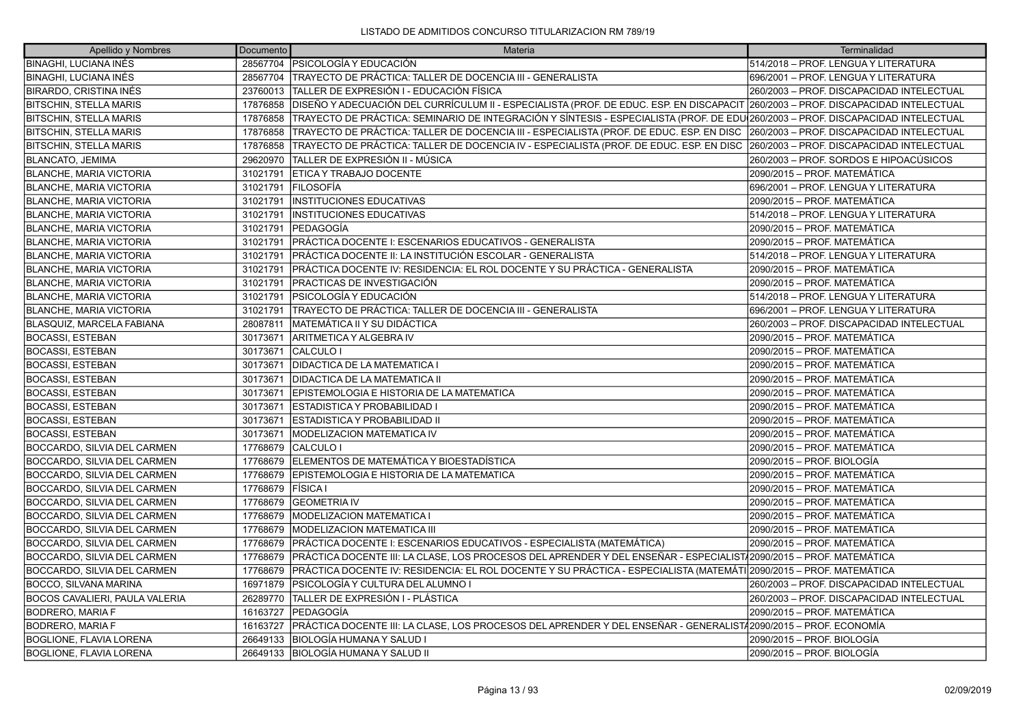| Apellido y Nombres                    | Documento | Materia                                                                                                                                       | Terminalidad                              |
|---------------------------------------|-----------|-----------------------------------------------------------------------------------------------------------------------------------------------|-------------------------------------------|
| <b>BINAGHI, LUCIANA INÉS</b>          |           | 28567704 PSICOLOGÍA Y EDUCACIÓN                                                                                                               | 514/2018 - PROF. LENGUA Y LITERATURA      |
| <b>BINAGHI, LUCIANA INÉS</b>          |           | 28567704   TRAYECTO DE PRÁCTICA: TALLER DE DOCENCIA III - GENERALISTA                                                                         | 696/2001 - PROF. LENGUA Y LITERATURA      |
| BIRARDO, CRISTINA INÉS                |           | 23760013 TALLER DE EXPRESIÓN I - EDUCACIÓN FÍSICA                                                                                             | 260/2003 - PROF. DISCAPACIDAD INTELECTUAL |
| <b>BITSCHIN, STELLA MARIS</b>         | 17876858  | DISEÑO Y ADECUACIÓN DEL CURRÍCULUM II - ESPECIALISTA (PROF. DE EDUC. ESP. EN DISCAPACIT  260/2003 – PROF. DISCAPACIDAD INTELECTUAL            |                                           |
| <b>BITSCHIN, STELLA MARIS</b>         | 17876858  | TRAYECTO DE PRÁCTICA: SEMINARIO DE INTEGRACIÓN Y SÍNTESIS - ESPECIALISTA (PROF. DE EDU <sup>1</sup> 260/2003 – PROF. DISCAPACIDAD INTELECTUAL |                                           |
| <b>BITSCHIN, STELLA MARIS</b>         | 17876858  | TRAYECTO DE PRÁCTICA: TALLER DE DOCENCIA III - ESPECIALISTA (PROF. DE EDUC. ESP. EN DISC                                                      | 260/2003 - PROF. DISCAPACIDAD INTELECTUAL |
| <b>BITSCHIN, STELLA MARIS</b>         | 17876858  | TRAYECTO DE PRÁCTICA: TALLER DE DOCENCIA IV - ESPECIALISTA (PROF. DE EDUC. ESP. EN DISC                                                       | 260/2003 - PROF. DISCAPACIDAD INTELECTUAL |
| BLANCATO, JEMIMA                      | 29620970  | TALLER DE EXPRESIÓN II - MÚSICA                                                                                                               | 260/2003 – PROF. SORDOS E HIPOACÚSICOS    |
| <b>BLANCHE, MARIA VICTORIA</b>        | 31021791  | ETICA Y TRABAJO DOCENTE                                                                                                                       | 2090/2015 – PROF. MATEMÁTICA              |
| <b>BLANCHE, MARIA VICTORIA</b>        | 31021791  | IFILOSOFÍA                                                                                                                                    | 696/2001 – PROF. LENGUA Y LITERATURA      |
| <b>BLANCHE, MARIA VICTORIA</b>        | 31021791  | <b>INSTITUCIONES EDUCATIVAS</b>                                                                                                               | 2090/2015 – PROF. MATEMÁTICA              |
| <b>BLANCHE, MARIA VICTORIA</b>        | 31021791  | <b>INSTITUCIONES EDUCATIVAS</b>                                                                                                               | 514/2018 - PROF. LENGUA Y LITERATURA      |
| <b>BLANCHE, MARIA VICTORIA</b>        | 31021791  | PEDAGOGÍA                                                                                                                                     | 2090/2015 – PROF. MATEMÁTICA              |
| <b>BLANCHE, MARIA VICTORIA</b>        | 31021791  | PRÁCTICA DOCENTE I: ESCENARIOS EDUCATIVOS - GENERALISTA                                                                                       | 2090/2015 – PROF. MATEMÁTICA              |
| <b>BLANCHE, MARIA VICTORIA</b>        | 31021791  | PRÁCTICA DOCENTE II: LA INSTITUCIÓN ESCOLAR - GENERALISTA                                                                                     | 514/2018 - PROF. LENGUA Y LITERATURA      |
| <b>BLANCHE, MARIA VICTORIA</b>        | 31021791  | PRÁCTICA DOCENTE IV: RESIDENCIA: EL ROL DOCENTE Y SU PRÁCTICA - GENERALISTA                                                                   | 2090/2015 – PROF. MATEMÁTICA              |
| BLANCHE, MARIA VICTORIA               | 31021791  | <b>PRACTICAS DE INVESTIGACIÓN</b>                                                                                                             | 2090/2015 – PROF. MATEMÁTICA              |
| <b>BLANCHE, MARIA VICTORIA</b>        | 31021791  | <b>PSICOLOGÍA Y EDUCACIÓN</b>                                                                                                                 | 514/2018 - PROF. LENGUA Y LITERATURA      |
| <b>BLANCHE, MARIA VICTORIA</b>        | 31021791  | TRAYECTO DE PRÁCTICA: TALLER DE DOCENCIA III - GENERALISTA                                                                                    | 696/2001 - PROF. LENGUA Y LITERATURA      |
| BLASQUIZ, MARCELA FABIANA             | 28087811  | MATEMÁTICA II Y SU DIDÁCTICA                                                                                                                  | 260/2003 – PROF. DISCAPACIDAD INTELECTUAL |
| <b>BOCASSI, ESTEBAN</b>               | 30173671  | ARITMETICA Y ALGEBRA IV                                                                                                                       | 2090/2015 - PROF. MATEMÁTICA              |
| <b>BOCASSI, ESTEBAN</b>               | 30173671  | CALCULO I                                                                                                                                     | 2090/2015 – PROF. MATEMÁTICA              |
| <b>BOCASSI, ESTEBAN</b>               | 30173671  | <b>DIDACTICA DE LA MATEMATICA I</b>                                                                                                           | 2090/2015 – PROF. MATEMÁTICA              |
| <b>BOCASSI, ESTEBAN</b>               | 30173671  | <b>DIDACTICA DE LA MATEMATICA II</b>                                                                                                          | 2090/2015 - PROF. MATEMÁTICA              |
| <b>BOCASSI, ESTEBAN</b>               | 30173671  | EPISTEMOLOGIA E HISTORIA DE LA MATEMATICA                                                                                                     | 2090/2015 – PROF. MATEMÁTICA              |
| <b>BOCASSI, ESTEBAN</b>               | 30173671  | IESTADISTICA Y PROBABILIDAD I                                                                                                                 | 2090/2015 – PROF. MATEMÁTICA              |
| <b>BOCASSI, ESTEBAN</b>               | 30173671  | <b>ESTADISTICA Y PROBABILIDAD II</b>                                                                                                          | 2090/2015 - PROF. MATEMÁTICA              |
| <b>BOCASSI, ESTEBAN</b>               | 30173671  | <b>MODELIZACION MATEMATICA IV</b>                                                                                                             | 2090/2015 - PROF. MATEMÁTICA              |
| BOCCARDO, SILVIA DEL CARMEN           | 17768679  | CALCULO I                                                                                                                                     | 2090/2015 – PROF. MATEMÁTICA              |
| BOCCARDO, SILVIA DEL CARMEN           | 17768679  | IELEMENTOS DE MATEMÁTICA Y BIOESTADÍSTICA                                                                                                     | 2090/2015 – PROF. BIOLOGÍA                |
| BOCCARDO, SILVIA DEL CARMEN           | 17768679  | EPISTEMOLOGIA E HISTORIA DE LA MATEMATICA                                                                                                     | 2090/2015 – PROF. MATEMÁTICA              |
| BOCCARDO, SILVIA DEL CARMEN           | 17768679  | <b>FÍSICA</b> I                                                                                                                               | 2090/2015 – PROF. MATEMÁTICA              |
| BOCCARDO, SILVIA DEL CARMEN           | 17768679  | <b>GEOMETRIA IV</b>                                                                                                                           | 2090/2015 - PROF. MATEMÁTICA              |
| BOCCARDO, SILVIA DEL CARMEN           | 17768679  | MODELIZACION MATEMATICA I                                                                                                                     | 2090/2015 – PROF. MATEMÁTICA              |
| BOCCARDO, SILVIA DEL CARMEN           | 17768679  | IMODELIZACION MATEMATICA III                                                                                                                  | 2090/2015 – PROF. MATEMÁTICA              |
| BOCCARDO, SILVIA DEL CARMEN           | 17768679  | PRÁCTICA DOCENTE I: ESCENARIOS EDUCATIVOS - ESPECIALISTA (MATEMÁTICA)                                                                         | 2090/2015 - PROF. MATEMÁTICA              |
| BOCCARDO, SILVIA DEL CARMEN           | 17768679  | PRÁCTICA DOCENTE III: LA CLASE, LOS PROCESOS DEL APRENDER Y DEL ENSEÑAR - ESPECIALIST∤2090/2015 – PROF. MATEMÁTICA                            |                                           |
| BOCCARDO, SILVIA DEL CARMEN           | 17768679  | PRÁCTICA DOCENTE IV: RESIDENCIA: EL ROL DOCENTE Y SU PRÁCTICA - ESPECIALISTA (MATEMÁTI 2090/2015 – PROF. MATEMÁTICA                           |                                           |
| <b>BOCCO, SILVANA MARINA</b>          | 16971879  | PSICOLOGÍA Y CULTURA DEL ALUMNO I                                                                                                             | 260/2003 - PROF. DISCAPACIDAD INTELECTUAL |
| <b>BOCOS CAVALIERI, PAULA VALERIA</b> | 26289770  | TALLER DE EXPRESIÓN I - PLÁSTICA                                                                                                              | 260/2003 - PROF. DISCAPACIDAD INTELECTUAL |
| <b>BODRERO, MARIA F</b>               | 16163727  | <b>IPEDAGOGÍA</b>                                                                                                                             | 2090/2015 – PROF. MATEMÁTICA              |
| <b>BODRERO, MARIA F</b>               | 16163727  | PRÁCTICA DOCENTE III: LA CLASE, LOS PROCESOS DEL APRENDER Y DEL ENSEÑAR - GENERALIST/2090/2015 – PROF. ECONOMÍA                               |                                           |
| BOGLIONE, FLAVIA LORENA               | 26649133  | BIOLOGÍA HUMANA Y SALUD I                                                                                                                     | 2090/2015 – PROF. BIOLOGÍA                |
| BOGLIONE, FLAVIA LORENA               |           | 26649133 BIOLOGÍA HUMANA Y SALUD II                                                                                                           | 2090/2015 – PROF. BIOLOGÍA                |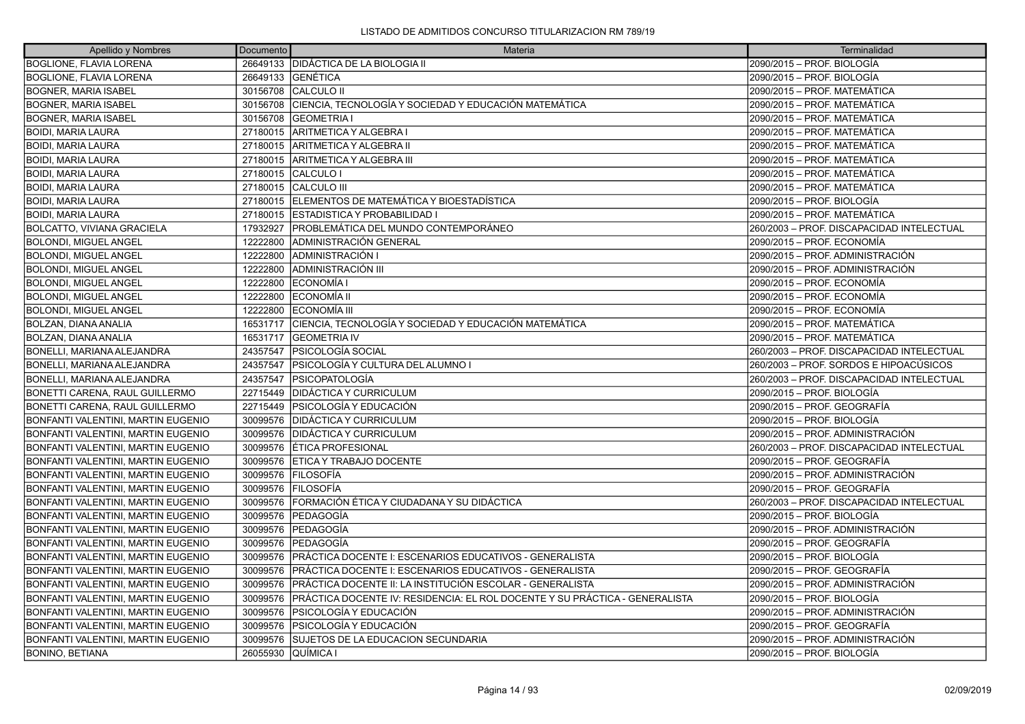| Apellido y Nombres                 | Documento          | <b>Materia</b>                                                              | Terminalidad                              |
|------------------------------------|--------------------|-----------------------------------------------------------------------------|-------------------------------------------|
| <b>BOGLIONE, FLAVIA LORENA</b>     |                    | 26649133 DIDÁCTICA DE LA BIOLOGIA II                                        | 2090/2015 – PROF. BIOLOGÍA                |
| <b>BOGLIONE, FLAVIA LORENA</b>     |                    | 26649133 GENÉTICA                                                           | 2090/2015 – PROF. BIOLOGÍA                |
| <b>BOGNER, MARIA ISABEL</b>        |                    | 30156708 CALCULO II                                                         | 2090/2015 - PROF. MATEMÁTICA              |
| <b>BOGNER, MARIA ISABEL</b>        | 30156708           | CIENCIA, TECNOLOGÍA Y SOCIEDAD Y EDUCACIÓN MATEMÁTICA                       | 2090/2015 – PROF. MATEMÁTICA              |
| <b>BOGNER, MARIA ISABEL</b>        | 30156708           | <b>IGEOMETRIA</b> I                                                         | 2090/2015 - PROF. MATEMÁTICA              |
| <b>BOIDI, MARIA LAURA</b>          |                    | 27180015 ARITMETICA Y ALGEBRA I                                             | 2090/2015 – PROF. MATEMÁTICA              |
| <b>BOIDI, MARIA LAURA</b>          | 27180015           | ARITMETICA Y ALGEBRA II                                                     | 2090/2015 – PROF. MATEMÁTICA              |
| <b>BOIDI, MARIA LAURA</b>          |                    | 27180015 ARITMETICA Y ALGEBRA III                                           | 2090/2015 - PROF. MATEMÁTICA              |
| <b>BOIDI, MARIA LAURA</b>          |                    | 27180015 CALCULO I                                                          | 2090/2015 – PROF. MATEMÁTICA              |
| <b>BOIDI, MARIA LAURA</b>          |                    | 27180015 CALCULO III                                                        | 2090/2015 – PROF. MATEMÁTICA              |
| <b>BOIDI, MARIA LAURA</b>          |                    | 27180015 ELEMENTOS DE MATEMÁTICA Y BIOESTADÍSTICA                           | 2090/2015 - PROF. BIOLOGÍA                |
| <b>BOIDI, MARIA LAURA</b>          |                    | 27180015 ESTADISTICA Y PROBABILIDAD I                                       | 2090/2015 - PROF. MATEMÁTICA              |
| <b>BOLCATTO, VIVIANA GRACIELA</b>  | 17932927           | IPROBLEMÁTICA DEL MUNDO CONTEMPORÁNEO                                       | 260/2003 – PROF. DISCAPACIDAD INTELECTUAL |
| <b>BOLONDI, MIGUEL ANGEL</b>       | 12222800           | ADMINISTRACIÓN GENERAL                                                      | 2090/2015 - PROF. ECONOMÍA                |
| <b>BOLONDI, MIGUEL ANGEL</b>       | 12222800           | <b>ADMINISTRACIÓN I</b>                                                     | 2090/2015 – PROF. ADMINISTRACIÓN          |
| <b>BOLONDI, MIGUEL ANGEL</b>       | 12222800           | ADMINISTRACIÓN III                                                          | 2090/2015 – PROF. ADMINISTRACIÓN          |
| <b>BOLONDI, MIGUEL ANGEL</b>       | 12222800           | ECONOMÍA I                                                                  | 2090/2015 - PROF. ECONOMÍA                |
| <b>BOLONDI. MIGUEL ANGEL</b>       | 12222800           | <b>IECONOMÍA II</b>                                                         | 2090/2015 – PROF. ECONOMÍA                |
| <b>BOLONDI, MIGUEL ANGEL</b>       | 12222800           | <b>ECONOMÍA III</b>                                                         | 2090/2015 – PROF. ECONOMÍA                |
| <b>BOLZAN, DIANA ANALIA</b>        |                    | 16531717 CIENCIA. TECNOLOGÍA Y SOCIEDAD Y EDUCACIÓN MATEMÁTICA              | 2090/2015 – PROF. MATEMÁTICA              |
| BOLZAN, DIANA ANALIA               |                    | 16531717 GEOMETRIA IV                                                       | 2090/2015 – PROF. MATEMÁTICA              |
| BONELLI, MARIANA ALEJANDRA         |                    | 24357547   PSICOLOGÍA SOCIAL                                                | 260/2003 - PROF. DISCAPACIDAD INTELECTUAL |
| BONELLI, MARIANA ALEJANDRA         | 24357547           | IPSICOLOGÍA Y CULTURA DEL ALUMNO I                                          | 260/2003 - PROF. SORDOS E HIPOACÚSICOS    |
| BONELLI, MARIANA ALEJANDRA         | 24357547           | <b>IPSICOPATOLOGÍA</b>                                                      | 260/2003 - PROF. DISCAPACIDAD INTELECTUAL |
| BONETTI CARENA, RAUL GUILLERMO     |                    | 22715449   DIDÁCTICA Y CURRICULUM                                           | 2090/2015 – PROF. BIOLOGÍA                |
| BONETTI CARENA, RAUL GUILLERMO     |                    | 22715449   PSICOLOGÍA Y EDUCACIÓN                                           | 2090/2015 – PROF. GEOGRAFÍA               |
| BONFANTI VALENTINI, MARTIN EUGENIO | 30099576           | <b>IDIDÁCTICA Y CURRICULUM</b>                                              | 2090/2015 – PROF. BIOLOGÍA                |
| BONFANTI VALENTINI, MARTIN EUGENIO | 30099576           | <b>DIDÁCTICA Y CURRICULUM</b>                                               | 2090/2015 – PROF. ADMINISTRACIÓN          |
| BONFANTI VALENTINI, MARTIN EUGENIO | 30099576           | ÉTICA PROFESIONAL                                                           | 260/2003 - PROF. DISCAPACIDAD INTELECTUAL |
| BONFANTI VALENTINI. MARTIN EUGENIO | 30099576           | IETICA Y TRABAJO DOCENTE                                                    | 2090/2015 – PROF. GEOGRAFÍA               |
| BONFANTI VALENTINI, MARTIN EUGENIO | 30099576           | FILOSOFÍA                                                                   | 2090/2015 – PROF. ADMINISTRACIÓN          |
| BONFANTI VALENTINI, MARTIN EUGENIO | 30099576           | IFILOSOFÍA                                                                  | 2090/2015 – PROF. GEOGRAFÍA               |
| BONFANTI VALENTINI, MARTIN EUGENIO | 30099576           | FORMACIÓN ÉTICA Y CIUDADANA Y SU DIDÁCTICA                                  | 260/2003 - PROF. DISCAPACIDAD INTELECTUAL |
| BONFANTI VALENTINI, MARTIN EUGENIO | 30099576           | PEDAGOGÍA                                                                   | 2090/2015 – PROF. BIOLOGÍA                |
| BONFANTI VALENTINI, MARTIN EUGENIO | 30099576           | PEDAGOGÍA                                                                   | 2090/2015 – PROF. ADMINISTRACIÓN          |
| BONFANTI VALENTINI, MARTIN EUGENIO | 30099576           | lPEDAGOGÍA                                                                  | 2090/2015 – PROF. GEOGRAFÍA               |
| BONFANTI VALENTINI, MARTIN EUGENIO | 30099576           | PRÁCTICA DOCENTE I: ESCENARIOS EDUCATIVOS - GENERALISTA                     | 2090/2015 – PROF. BIOLOGÍA                |
| BONFANTI VALENTINI, MARTIN EUGENIO | 30099576           | PRÁCTICA DOCENTE I: ESCENARIOS EDUCATIVOS - GENERALISTA                     | 2090/2015 – PROF. GEOGRAFÍA               |
| BONFANTI VALENTINI, MARTIN EUGENIO | 30099576           | PRÁCTICA DOCENTE II: LA INSTITUCIÓN ESCOLAR - GENERALISTA                   | 2090/2015 – PROF. ADMINISTRACIÓN          |
| BONFANTI VALENTINI, MARTIN EUGENIO | 30099576           | PRÁCTICA DOCENTE IV: RESIDENCIA: EL ROL DOCENTE Y SU PRÁCTICA - GENERALISTA | 2090/2015 - PROF. BIOLOGÍA                |
| BONFANTI VALENTINI, MARTIN EUGENIO | 30099576           | PSICOLOGÍA Y EDUCACIÓN                                                      | 2090/2015 – PROF. ADMINISTRACIÓN          |
| BONFANTI VALENTINI, MARTIN EUGENIO | 30099576           | PSICOLOGÍA Y EDUCACIÓN                                                      | 2090/2015 – PROF. GEOGRAFÍA               |
| BONFANTI VALENTINI, MARTIN EUGENIO | 30099576           | SUJETOS DE LA EDUCACION SECUNDARIA                                          | 2090/2015 - PROF. ADMINISTRACIÓN          |
| <b>BONINO, BETIANA</b>             | 26055930 QUÍMICA I |                                                                             | 2090/2015 – PROF. BIOLOGÍA                |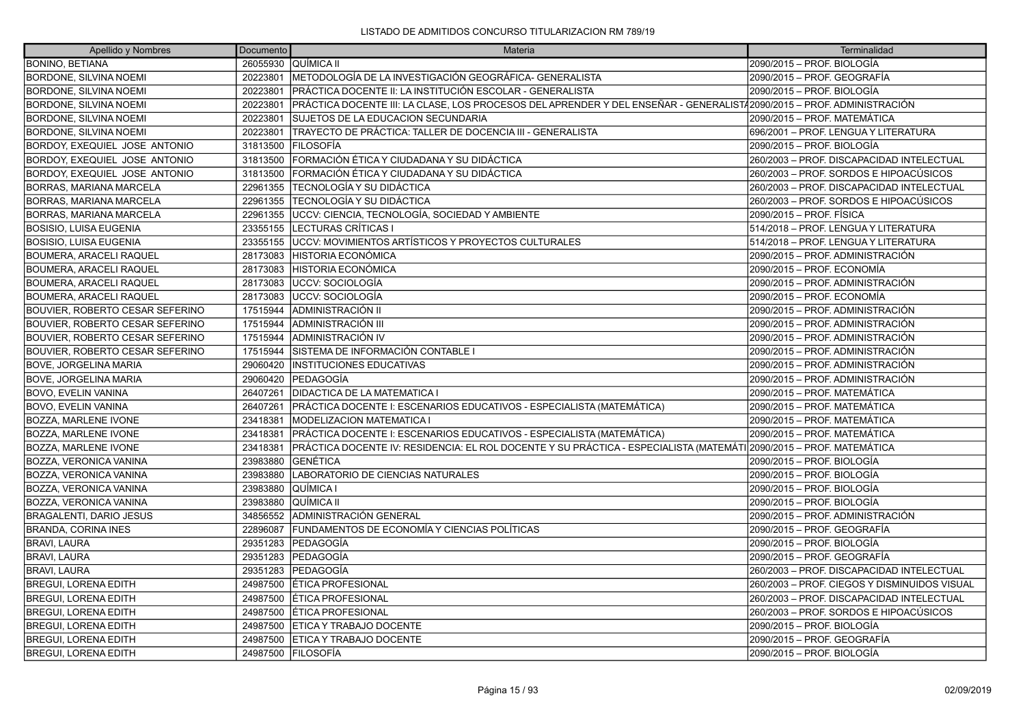| Apellido y Nombres                   | <b>Documento</b> | Materia                                                                                                               | Terminalidad                                 |
|--------------------------------------|------------------|-----------------------------------------------------------------------------------------------------------------------|----------------------------------------------|
| <b>BONINO, BETIANA</b>               | 26055930         | QUÍMICA II                                                                                                            | 2090/2015 – PROF. BIOLOGÍA                   |
| <b>BORDONE, SILVINA NOEMI</b>        | 20223801         | METODOLOGÍA DE LA INVESTIGACIÓN GEOGRÁFICA- GENERALISTA                                                               | 2090/2015 – PROF. GEOGRAFÍA                  |
| <b>BORDONE, SILVINA NOEMI</b>        | 20223801         | PRÁCTICA DOCENTE II: LA INSTITUCIÓN ESCOLAR - GENERALISTA                                                             | 2090/2015 - PROF. BIOLOGÍA                   |
| <b>BORDONE, SILVINA NOEMI</b>        | 20223801         | PRÁCTICA DOCENTE III: LA CLASE, LOS PROCESOS DEL APRENDER Y DEL ENSEÑAR - GENERALIST/2090/2015 – PROF. ADMINISTRACIÓN |                                              |
| BORDONE, SILVINA NOEMI               | 20223801         | SUJETOS DE LA EDUCACION SECUNDARIA                                                                                    | 2090/2015 - PROF. MATEMÁTICA                 |
| <b>BORDONE, SILVINA NOEMI</b>        | 20223801         | TRAYECTO DE PRÁCTICA: TALLER DE DOCENCIA III - GENERALISTA                                                            | 696/2001 - PROF. LENGUA Y LITERATURA         |
| <b>BORDOY, EXEQUIEL JOSE ANTONIO</b> | 31813500         | <b>IFILOSOFÍA</b>                                                                                                     | 2090/2015 – PROF. BIOLOGÍA                   |
| BORDOY, EXEQUIEL JOSE ANTONIO        | 31813500         | FORMACIÓN ÉTICA Y CIUDADANA Y SU DIDÁCTICA                                                                            | 260/2003 - PROF. DISCAPACIDAD INTELECTUAL    |
| BORDOY, EXEQUIEL JOSE ANTONIO        | 31813500         | FORMACIÓN ÉTICA Y CIUDADANA Y SU DIDÁCTICA                                                                            | 260/2003 – PROF. SORDOS E HIPOACÚSICOS       |
| <b>BORRAS, MARIANA MARCELA</b>       | 22961355         | TECNOLOGÍA Y SU DIDÁCTICA                                                                                             | 260/2003 - PROF. DISCAPACIDAD INTELECTUAL    |
| <b>BORRAS, MARIANA MARCELA</b>       | 22961355         | TECNOLOGÍA Y SU DIDÁCTICA                                                                                             | 260/2003 – PROF. SORDOS E HIPOACÚSICOS       |
| BORRAS, MARIANA MARCELA              | 22961355         | UCCV: CIENCIA, TECNOLOGÍA, SOCIEDAD Y AMBIENTE                                                                        | 2090/2015 - PROF. FÍSICA                     |
| BOSISIO, LUISA EUGENIA               | 23355155         | LECTURAS CRÍTICAS I                                                                                                   | 514/2018 - PROF. LENGUA Y LITERATURA         |
| BOSISIO, LUISA EUGENIA               | 23355155         | <b>JUCCV: MOVIMIENTOS ARTÍSTICOS Y PROYECTOS CULTURALES</b>                                                           | 514/2018 - PROF. LENGUA Y LITERATURA         |
| BOUMERA, ARACELI RAQUEL              | 28173083         | ÍHISTORIA ECONÓMICA                                                                                                   | 2090/2015 - PROF. ADMINISTRACIÓN             |
| <b>BOUMERA, ARACELI RAQUEL</b>       | 28173083         | <b>HISTORIA ECONÓMICA</b>                                                                                             | 2090/2015 – PROF. ECONOMÍA                   |
| <b>BOUMERA, ARACELI RAQUEL</b>       | 28173083         | UCCV: SOCIOLOGÍA                                                                                                      | 2090/2015 – PROF. ADMINISTRACIÓN             |
| <b>BOUMERA, ARACELI RAQUEL</b>       | 28173083         | luccv: socioLogía                                                                                                     | 2090/2015 – PROF. ECONOMÍA                   |
| BOUVIER, ROBERTO CESAR SEFERINO      | 17515944         | ADMINISTRACIÓN II                                                                                                     | 2090/2015 – PROF. ADMINISTRACIÓN             |
| BOUVIER, ROBERTO CESAR SEFERINO      | 17515944         | ADMINISTRACIÓN III                                                                                                    | 2090/2015 – PROF. ADMINISTRACIÓN             |
| BOUVIER, ROBERTO CESAR SEFERINO      | 17515944         | ADMINISTRACIÓN IV                                                                                                     | 2090/2015 – PROF. ADMINISTRACIÓN             |
| BOUVIER, ROBERTO CESAR SEFERINO      | 17515944         | SISTEMA DE INFORMACIÓN CONTABLE I                                                                                     | 2090/2015 – PROF. ADMINISTRACIÓN             |
| BOVE, JORGELINA MARIA                | 29060420         | <b>INSTITUCIONES EDUCATIVAS</b>                                                                                       | 2090/2015 – PROF. ADMINISTRACIÓN             |
| BOVE, JORGELINA MARIA                | 29060420         | lPEDAGOGÍA                                                                                                            | 2090/2015 - PROF. ADMINISTRACIÓN             |
| BOVO, EVELIN VANINA                  | 26407261         | DIDACTICA DE LA MATEMATICA I                                                                                          | 2090/2015 - PROF. MATEMÁTICA                 |
| <b>BOVO, EVELIN VANINA</b>           | 26407261         | PRÁCTICA DOCENTE I: ESCENARIOS EDUCATIVOS - ESPECIALISTA (MATEMÁTICA)                                                 | 2090/2015 – PROF. MATEMÁTICA                 |
| <b>BOZZA, MARLENE IVONE</b>          | 23418381         | MODELIZACION MATEMATICA I                                                                                             | 2090/2015 - PROF. MATEMÁTICA                 |
| <b>BOZZA, MARLENE IVONE</b>          | 23418381         | PRÁCTICA DOCENTE I: ESCENARIOS EDUCATIVOS - ESPECIALISTA (MATEMÁTICA)                                                 | 2090/2015 - PROF. MATEMÁTICA                 |
| BOZZA, MARLENE IVONE                 | 23418381         | PRÁCTICA DOCENTE IV: RESIDENCIA: EL ROL DOCENTE Y SU PRÁCTICA - ESPECIALISTA (MATEMÁTI 2090/2015 – PROF. MATEMÁTICA   |                                              |
| <b>BOZZA, VERONICA VANINA</b>        | 23983880         | IGENÉTICA                                                                                                             | 2090/2015 - PROF. BIOLOGÍA                   |
| <b>BOZZA, VERONICA VANINA</b>        | 23983880         | LABORATORIO DE CIENCIAS NATURALES                                                                                     | 2090/2015 – PROF. BIOLOGÍA                   |
| BOZZA, VERONICA VANINA               | 23983880         | QUÍMICA I                                                                                                             | 2090/2015 – PROF. BIOLOGÍA                   |
| <b>BOZZA, VERONICA VANINA</b>        | 23983880         | IQUÍMICA II                                                                                                           | 2090/2015 – PROF. BIOLOGÍA                   |
| <b>BRAGALENTI, DARIO JESUS</b>       | 34856552         | ADMINISTRACIÓN GENERAL                                                                                                | 2090/2015 – PROF. ADMINISTRACIÓN             |
| <b>BRANDA, CORINA INES</b>           | 22896087         | FUNDAMENTOS DE ECONOMÍA Y CIENCIAS POLÍTICAS                                                                          | 2090/2015 – PROF. GEOGRAFÍA                  |
| <b>BRAVI, LAURA</b>                  | 29351283         | <b> PEDAGOGÍA</b>                                                                                                     | 2090/2015 – PROF. BIOLOGÍA                   |
| BRAVI, LAURA                         | 29351283         | PEDAGOGÍA                                                                                                             | 2090/2015 – PROF. GEOGRAFÍA                  |
| <b>BRAVI, LAURA</b>                  | 29351283         | PEDAGOGÍA                                                                                                             | 260/2003 - PROF. DISCAPACIDAD INTELECTUAL    |
| <b>BREGUI, LORENA EDITH</b>          | 24987500         | <b>ÉTICA PROFESIONAL</b>                                                                                              | 260/2003 - PROF. CIEGOS Y DISMINUIDOS VISUAL |
| <b>BREGUI, LORENA EDITH</b>          | 24987500         | ÉTICA PROFESIONAL                                                                                                     | 260/2003 - PROF. DISCAPACIDAD INTELECTUAL    |
| <b>BREGUI, LORENA EDITH</b>          | 24987500         | ÉTICA PROFESIONAL                                                                                                     | 260/2003 – PROF. SORDOS E HIPOACÚSICOS       |
| <b>BREGUI, LORENA EDITH</b>          | 24987500         | ETICA Y TRABAJO DOCENTE                                                                                               | 2090/2015 – PROF. BIOLOGÍA                   |
| <b>BREGUI, LORENA EDITH</b>          | 24987500         | ETICA Y TRABAJO DOCENTE                                                                                               | 2090/2015 – PROF. GEOGRAFÍA                  |
| <b>BREGUI, LORENA EDITH</b>          |                  | 24987500 FILOSOFÍA                                                                                                    | 2090/2015 – PROF. BIOLOGÍA                   |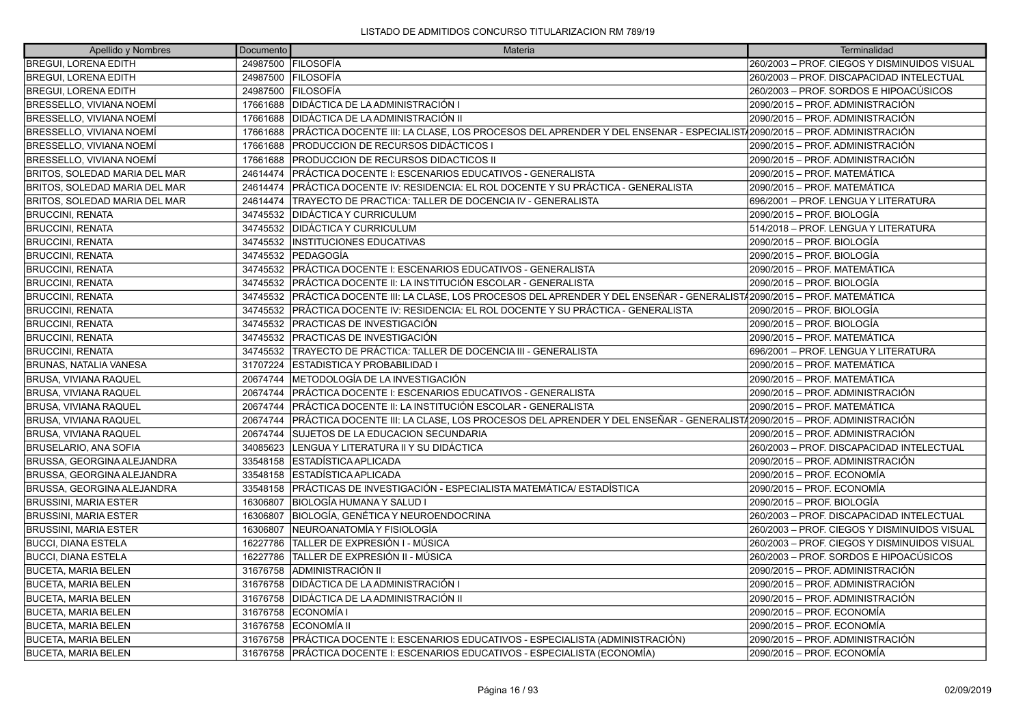| Apellido y Nombres                | Documento | Materia                                                                                                                | Terminalidad                                 |
|-----------------------------------|-----------|------------------------------------------------------------------------------------------------------------------------|----------------------------------------------|
| BREGUI, LORENA EDITH              |           | 24987500 FILOSOFÍA                                                                                                     | 260/2003 - PROF. CIEGOS Y DISMINUIDOS VISUAL |
| <b>BREGUI, LORENA EDITH</b>       |           | 24987500 FILOSOFÍA                                                                                                     | 260/2003 - PROF. DISCAPACIDAD INTELECTUAL    |
| <b>BREGUI, LORENA EDITH</b>       | 24987500  | <b>FILOSOFÍA</b>                                                                                                       | 260/2003 - PROF. SORDOS E HIPOACÚSICOS       |
| BRESSELLO, VIVIANA NOEMÍ          | 17661688  | IDIDÁCTICA DE LA ADMINISTRACIÓN I                                                                                      | 2090/2015 - PROF. ADMINISTRACIÓN             |
| <b>BRESSELLO, VIVIANA NOEMÍ</b>   | 17661688  | DIDÁCTICA DE LA ADMINISTRACIÓN II                                                                                      | 2090/2015 – PROF. ADMINISTRACIÓN             |
| <b>BRESSELLO, VIVIANA NOEMÍ</b>   | 17661688  | PRÁCTICA DOCENTE III: LA CLASE, LOS PROCESOS DEL APRENDER Y DEL ENSENAR - ESPECIALIST/2090/2015 – PROF. ADMINISTRACIÓN |                                              |
| BRESSELLO, VIVIANA NOEMÍ          | 17661688  | PRODUCCION DE RECURSOS DIDÁCTICOS I                                                                                    | 2090/2015 – PROF. ADMINISTRACIÓN             |
| <b>BRESSELLO, VIVIANA NOEMÍ</b>   | 17661688  | PRODUCCION DE RECURSOS DIDACTICOS II                                                                                   | 2090/2015 – PROF. ADMINISTRACIÓN             |
| BRITOS, SOLEDAD MARIA DEL MAR     | 24614474  | PRÁCTICA DOCENTE I: ESCENARIOS EDUCATIVOS - GENERALISTA                                                                | 2090/2015 - PROF. MATEMÁTICA                 |
| BRITOS, SOLEDAD MARIA DEL MAR     | 24614474  | PRÁCTICA DOCENTE IV: RESIDENCIA: EL ROL DOCENTE Y SU PRÁCTICA - GENERALISTA                                            | 2090/2015 - PROF. MATEMÁTICA                 |
| BRITOS, SOLEDAD MARIA DEL MAR     | 24614474  | TRAYECTO DE PRACTICA: TALLER DE DOCENCIA IV - GENERALISTA                                                              | 696/2001 - PROF. LENGUA Y LITERATURA         |
| <b>BRUCCINI, RENATA</b>           | 34745532  | DIDÁCTICA Y CURRICULUM                                                                                                 | 2090/2015 - PROF. BIOLOGÍA                   |
| <b>BRUCCINI, RENATA</b>           | 34745532  | DIDÁCTICA Y CURRICULUM                                                                                                 | 514/2018 - PROF. LENGUA Y LITERATURA         |
| <b>BRUCCINI, RENATA</b>           | 34745532  | IINSTITUCIONES EDUCATIVAS                                                                                              | 2090/2015 – PROF. BIOLOGÍA                   |
| <b>BRUCCINI, RENATA</b>           | 34745532  | <b>PEDAGOGÍA</b>                                                                                                       | 2090/2015 - PROF. BIOLOGÍA                   |
| <b>BRUCCINI, RENATA</b>           | 34745532  | PRÁCTICA DOCENTE I: ESCENARIOS EDUCATIVOS - GENERALISTA                                                                | 2090/2015 - PROF. MATEMÁTICA                 |
| <b>BRUCCINI, RENATA</b>           | 34745532  | PRÁCTICA DOCENTE II: LA INSTITUCIÓN ESCOLAR - GENERALISTA                                                              | 2090/2015 - PROF. BIOLOGÍA                   |
| <b>BRUCCINI, RENATA</b>           | 34745532  | PRÁCTICA DOCENTE III: LA CLASE, LOS PROCESOS DEL APRENDER Y DEL ENSEÑAR - GENERALIST/2090/2015 – PROF. MATEMÁTICA      |                                              |
| <b>BRUCCINI, RENATA</b>           | 34745532  | PRÁCTICA DOCENTE IV: RESIDENCIA: EL ROL DOCENTE Y SU PRÁCTICA - GENERALISTA                                            | 2090/2015 – PROF. BIOLOGÍA                   |
| <b>BRUCCINI, RENATA</b>           | 34745532  | PRACTICAS DE INVESTIGACIÓN                                                                                             | 2090/2015 - PROF. BIOLOGÍA                   |
| <b>BRUCCINI, RENATA</b>           | 34745532  | <b>PRACTICAS DE INVESTIGACIÓN</b>                                                                                      | 2090/2015 - PROF. MATEMÁTICA                 |
| <b>BRUCCINI, RENATA</b>           | 34745532  | TRAYECTO DE PRÁCTICA: TALLER DE DOCENCIA III - GENERALISTA                                                             | 696/2001 - PROF. LENGUA Y LITERATURA         |
| <b>BRUNAS, NATALIA VANESA</b>     | 31707224  | ESTADISTICA Y PROBABILIDAD I                                                                                           | 2090/2015 - PROF. MATEMÁTICA                 |
| <b>BRUSA, VIVIANA RAQUEL</b>      | 20674744  | IMETODOLOGÍA DE LA INVESTIGACIÓN                                                                                       | 2090/2015 - PROF. MATEMÁTICA                 |
| BRUSA, VIVIANA RAQUEL             | 20674744  | PRÁCTICA DOCENTE I: ESCENARIOS EDUCATIVOS - GENERALISTA                                                                | 2090/2015 - PROF. ADMINISTRACIÓN             |
| BRUSA, VIVIANA RAQUEL             | 20674744  | IPRÁCTICA DOCENTE II: LA INSTITUCIÓN ESCOLAR - GENERALISTA                                                             | 2090/2015 - PROF. MATEMÁTICA                 |
| <b>BRUSA, VIVIANA RAQUEL</b>      | 20674744  | PRÁCTICA DOCENTE III: LA CLASE, LOS PROCESOS DEL APRENDER Y DEL ENSEÑAR - GENERALIST/2090/2015 – PROF. ADMINISTRACIÓN  |                                              |
| BRUSA, VIVIANA RAQUEL             | 20674744  | SUJETOS DE LA EDUCACION SECUNDARIA                                                                                     | 2090/2015 – PROF. ADMINISTRACIÓN             |
| <b>BRUSELARIO, ANA SOFIA</b>      | 34085623  | LENGUA Y LITERATURA II Y SU DIDÁCTICA                                                                                  | 260/2003 - PROF. DISCAPACIDAD INTELECTUAL    |
| BRUSSA, GEORGINA ALEJANDRA        | 33548158  | ESTADÍSTICA APLICADA                                                                                                   | 2090/2015 – PROF. ADMINISTRACIÓN             |
| <b>BRUSSA, GEORGINA ALEJANDRA</b> | 33548158  | ESTADÍSTICA APLICADA                                                                                                   | 2090/2015 – PROF. ECONOMÍA                   |
| BRUSSA, GEORGINA ALEJANDRA        | 33548158  | PRÁCTICAS DE INVESTIGACIÓN - ESPECIALISTA MATEMÁTICA/ ESTADÍSTICA                                                      | 2090/2015 – PROF. ECONOMÍA                   |
| <b>BRUSSINI, MARIA ESTER</b>      | 16306807  | BIOLOGÍA HUMANA Y SALUD I                                                                                              | 2090/2015 – PROF. BIOLOGÍA                   |
| <b>BRUSSINI, MARIA ESTER</b>      | 16306807  | BIOLOGÍA, GENÉTICA Y NEUROENDOCRINA                                                                                    | 260/2003 - PROF. DISCAPACIDAD INTELECTUAL    |
| <b>BRUSSINI, MARIA ESTER</b>      | 16306807  | NEUROANATOMÍA Y FISIOLOGÍA                                                                                             | 260/2003 - PROF. CIEGOS Y DISMINUIDOS VISUAL |
| <b>BUCCI, DIANA ESTELA</b>        | 16227786  | TALLER DE EXPRESIÓN I - MÚSICA                                                                                         | 260/2003 - PROF. CIEGOS Y DISMINUIDOS VISUAL |
| BUCCI, DIANA ESTELA               | 16227786  | TALLER DE EXPRESIÓN II - MÚSICA                                                                                        | 260/2003 – PROF. SORDOS E HIPOACÚSICOS       |
| <b>BUCETA, MARIA BELEN</b>        | 31676758  | ADMINISTRACIÓN II                                                                                                      | 2090/2015 – PROF. ADMINISTRACIÓN             |
| <b>BUCETA, MARIA BELEN</b>        | 31676758  | DIDÁCTICA DE LA ADMINISTRACIÓN I                                                                                       | 2090/2015 - PROF. ADMINISTRACIÓN             |
| <b>BUCETA, MARIA BELEN</b>        | 31676758  | DIDÁCTICA DE LA ADMINISTRACIÓN II                                                                                      | 2090/2015 - PROF. ADMINISTRACIÓN             |
| <b>BUCETA, MARIA BELEN</b>        | 31676758  | ECONOMÍA I                                                                                                             | 2090/2015 – PROF. ECONOMÍA                   |
| <b>BUCETA, MARIA BELEN</b>        | 31676758  | <b>IECONOMÍA II</b>                                                                                                    | 2090/2015 - PROF. ECONOMÍA                   |
| <b>BUCETA, MARIA BELEN</b>        | 31676758  | PRÁCTICA DOCENTE I: ESCENARIOS EDUCATIVOS - ESPECIALISTA (ADMINISTRACIÓN)                                              | 2090/2015 – PROF. ADMINISTRACIÓN             |
| <b>BUCETA, MARIA BELEN</b>        | 31676758  | PRÁCTICA DOCENTE I: ESCENARIOS EDUCATIVOS - ESPECIALISTA (ECONOMÍA)                                                    | 2090/2015 – PROF. ECONOMÍA                   |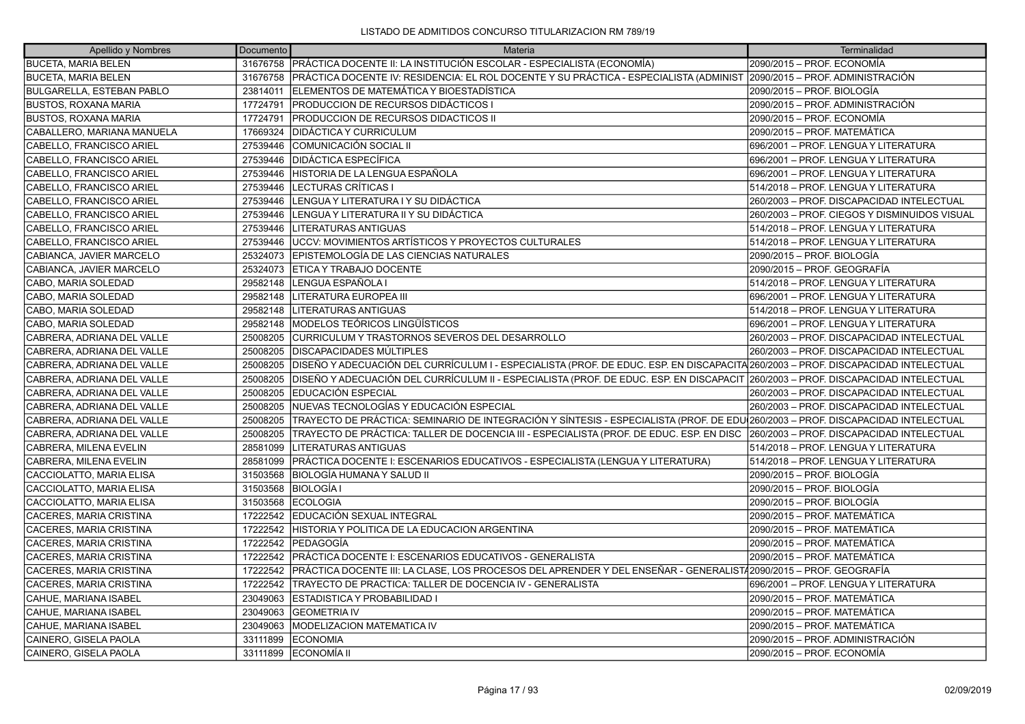| Apellido y Nombres               | Documento | Materia                                                                                                                           | Terminalidad                                 |
|----------------------------------|-----------|-----------------------------------------------------------------------------------------------------------------------------------|----------------------------------------------|
| <b>BUCETA, MARIA BELEN</b>       |           | 31676758 PRÁCTICA DOCENTE II: LA INSTITUCIÓN ESCOLAR - ESPECIALISTA (ECONOMÍA)                                                    | 2090/2015 - PROF. ECONOMÍA                   |
| <b>BUCETA, MARIA BELEN</b>       |           | 31676758 PRÁCTICA DOCENTE IV: RESIDENCIA: EL ROL DOCENTE Y SU PRÁCTICA - ESPECIALISTA (ADMINIST 2090/2015 – PROF. ADMINISTRACIÓN  |                                              |
| <b>BULGARELLA, ESTEBAN PABLO</b> | 23814011  | ELEMENTOS DE MATEMÁTICA Y BIOESTADÍSTICA                                                                                          | 2090/2015 - PROF. BIOLOGÍA                   |
| <b>BUSTOS, ROXANA MARIA</b>      | 17724791  | <b>PRODUCCION DE RECURSOS DIDÁCTICOS I</b>                                                                                        | 2090/2015 - PROF. ADMINISTRACIÓN             |
| <b>BUSTOS, ROXANA MARIA</b>      | 17724791  | PRODUCCION DE RECURSOS DIDACTICOS II                                                                                              | 2090/2015 - PROF. ECONOMÍA                   |
| CABALLERO, MARIANA MANUELA       | 17669324  | <b>DIDÁCTICA Y CURRICULUM</b>                                                                                                     | 2090/2015 - PROF. MATEMÁTICA                 |
| CABELLO, FRANCISCO ARIEL         | 27539446  | COMUNICACIÓN SOCIAL II                                                                                                            | 696/2001 - PROF. LENGUA Y LITERATURA         |
| CABELLO, FRANCISCO ARIEL         | 27539446  | DIDÁCTICA ESPECÍFICA                                                                                                              | 696/2001 - PROF. LENGUA Y LITERATURA         |
| CABELLO, FRANCISCO ARIEL         | 27539446  | HISTORIA DE LA LENGUA ESPAÑOLA                                                                                                    | 696/2001 - PROF. LENGUA Y LITERATURA         |
| CABELLO, FRANCISCO ARIEL         | 27539446  | LECTURAS CRÍTICAS I                                                                                                               | 514/2018 - PROF. LENGUA Y LITERATURA         |
| CABELLO, FRANCISCO ARIEL         | 27539446  | LENGUA Y LITERATURA I Y SU DIDÁCTICA                                                                                              | 260/2003 - PROF. DISCAPACIDAD INTELECTUAL    |
| CABELLO, FRANCISCO ARIEL         | 27539446  | LENGUA Y LITERATURA II Y SU DIDÁCTICA                                                                                             | 260/2003 - PROF. CIEGOS Y DISMINUIDOS VISUAL |
| CABELLO, FRANCISCO ARIEL         | 27539446  | <b>LITERATURAS ANTIGUAS</b>                                                                                                       | 514/2018 – PROF. LENGUA Y LITERATURA         |
| CABELLO, FRANCISCO ARIEL         | 27539446  | <b>JUCCV: MOVIMIENTOS ARTÍSTICOS Y PROYECTOS CULTURALES</b>                                                                       | 514/2018 – PROF. LENGUA Y LITERATURA         |
| CABIANCA, JAVIER MARCELO         |           | 25324073 EPISTEMOLOGÍA DE LAS CIENCIAS NATURALES                                                                                  | 2090/2015 - PROF. BIOLOGÍA                   |
| CABIANCA, JAVIER MARCELO         | 25324073  | IETICA Y TRABAJO DOCENTE                                                                                                          | 2090/2015 – PROF. GEOGRAFÍA                  |
| CABO, MARIA SOLEDAD              | 29582148  | LENGUA ESPAÑOLA I                                                                                                                 | 514/2018 - PROF. LENGUA Y LITERATURA         |
| CABO, MARIA SOLEDAD              | 29582148  | LITERATURA EUROPEA III                                                                                                            | 696/2001 - PROF. LENGUA Y LITERATURA         |
| CABO, MARIA SOLEDAD              | 29582148  | <b>LITERATURAS ANTIGUAS</b>                                                                                                       | 514/2018 - PROF. LENGUA Y LITERATURA         |
| CABO, MARIA SOLEDAD              | 29582148  | MODELOS TEÓRICOS LINGÜÍSTICOS                                                                                                     | 696/2001 - PROF. LENGUA Y LITERATURA         |
| CABRERA, ADRIANA DEL VALLE       |           | 25008205 CURRICULUM Y TRASTORNOS SEVEROS DEL DESARROLLO                                                                           | 260/2003 - PROF. DISCAPACIDAD INTELECTUAL    |
| CABRERA, ADRIANA DEL VALLE       | 25008205  | <b>DISCAPACIDADES MÚLTIPLES</b>                                                                                                   | 260/2003 - PROF. DISCAPACIDAD INTELECTUAL    |
| CABRERA, ADRIANA DEL VALLE       | 25008205  | DISEÑO Y ADECUACIÓN DEL CURRÍCULUM I - ESPECIALISTA (PROF. DE EDUC. ESP. EN DISCAPACITA 260/2003 - PROF. DISCAPACIDAD INTELECTUAL |                                              |
| CABRERA, ADRIANA DEL VALLE       | 25008205  | DISEÑO Y ADECUACIÓN DEL CURRÍCULUM II - ESPECIALISTA (PROF. DE EDUC. ESP. EN DISCAPACIT 260/2003 – PROF. DISCAPACIDAD INTELECTUAL |                                              |
| CABRERA, ADRIANA DEL VALLE       | 25008205  | EDUCACIÓN ESPECIAL                                                                                                                | 260/2003 - PROF. DISCAPACIDAD INTELECTUAL    |
| CABRERA, ADRIANA DEL VALLE       | 25008205  | INUEVAS TECNOLOGÍAS Y EDUCACIÓN ESPECIAL                                                                                          | 260/2003 - PROF. DISCAPACIDAD INTELECTUAL    |
| CABRERA, ADRIANA DEL VALLE       | 25008205  | TRAYECTO DE PRÁCTICA: SEMINARIO DE INTEGRACIÓN Y SÍNTESIS - ESPECIALISTA (PROF. DE EDU 260/2003 - PROF. DISCAPACIDAD INTELECTUAL  |                                              |
| CABRERA, ADRIANA DEL VALLE       | 25008205  | TRAYECTO DE PRÁCTICA: TALLER DE DOCENCIA III - ESPECIALISTA (PROF. DE EDUC. ESP. EN DISC                                          | 260/2003 - PROF. DISCAPACIDAD INTELECTUAL    |
| CABRERA, MILENA EVELIN           | 28581099  | <b>LITERATURAS ANTIGUAS</b>                                                                                                       | 514/2018 - PROF. LENGUA Y LITERATURA         |
| CABRERA, MILENA EVELIN           | 28581099  | PRÁCTICA DOCENTE I: ESCENARIOS EDUCATIVOS - ESPECIALISTA (LENGUA Y LITERATURA)                                                    | 514/2018 - PROF. LENGUA Y LITERATURA         |
| CACCIOLATTO, MARIA ELISA         | 31503568  | BIOLOGÍA HUMANA Y SALUD II                                                                                                        | 2090/2015 - PROF. BIOLOGÍA                   |
| CACCIOLATTO, MARIA ELISA         | 31503568  | <b>BIOLOGÍA I</b>                                                                                                                 | 2090/2015 - PROF. BIOLOGÍA                   |
| CACCIOLATTO, MARIA ELISA         | 31503568  | <b>ECOLOGIA</b>                                                                                                                   | 2090/2015 – PROF. BIOLOGÍA                   |
| CACERES, MARIA CRISTINA          | 17222542  | EDUCACIÓN SEXUAL INTEGRAL                                                                                                         | 2090/2015 – PROF. MATEMÁTICA                 |
| CACERES, MARIA CRISTINA          | 17222542  | HISTORIA Y POLITICA DE LA EDUCACION ARGENTINA                                                                                     | 2090/2015 - PROF. MATEMÁTICA                 |
| CACERES, MARIA CRISTINA          | 17222542  | <b>PEDAGOGÍA</b>                                                                                                                  | 2090/2015 - PROF. MATEMÁTICA                 |
| CACERES, MARIA CRISTINA          | 17222542  | PRÁCTICA DOCENTE I: ESCENARIOS EDUCATIVOS - GENERALISTA                                                                           | 2090/2015 - PROF. MATEMÁTICA                 |
| CACERES, MARIA CRISTINA          | 17222542  | PRÁCTICA DOCENTE III: LA CLASE, LOS PROCESOS DEL APRENDER Y DEL ENSEÑAR - GENERALIST42090/2015 – PROF. GEOGRAFÍA                  |                                              |
| CACERES, MARIA CRISTINA          | 17222542  | TRAYECTO DE PRACTICA: TALLER DE DOCENCIA IV - GENERALISTA                                                                         | 696/2001 – PROF. LENGUA Y LITERATURA         |
| CAHUE, MARIANA ISABEL            | 23049063  | <b>ESTADISTICA Y PROBABILIDAD I</b>                                                                                               | 2090/2015 - PROF. MATEMÁTICA                 |
| CAHUE, MARIANA ISABEL            | 23049063  | <b>GEOMETRIA IV</b>                                                                                                               | 2090/2015 - PROF. MATEMÁTICA                 |
| CAHUE, MARIANA ISABEL            | 23049063  | <b>MODELIZACION MATEMATICA IV</b>                                                                                                 | l2090/2015 – PROF. MATEMÁTICA                |
| CAINERO, GISELA PAOLA            | 33111899  | <b>ECONOMIA</b>                                                                                                                   | 2090/2015 – PROF. ADMINISTRACIÓN             |
| CAINERO, GISELA PAOLA            | 33111899  | <b>IECONOMÍA II</b>                                                                                                               | 2090/2015 - PROF. ECONOMÍA                   |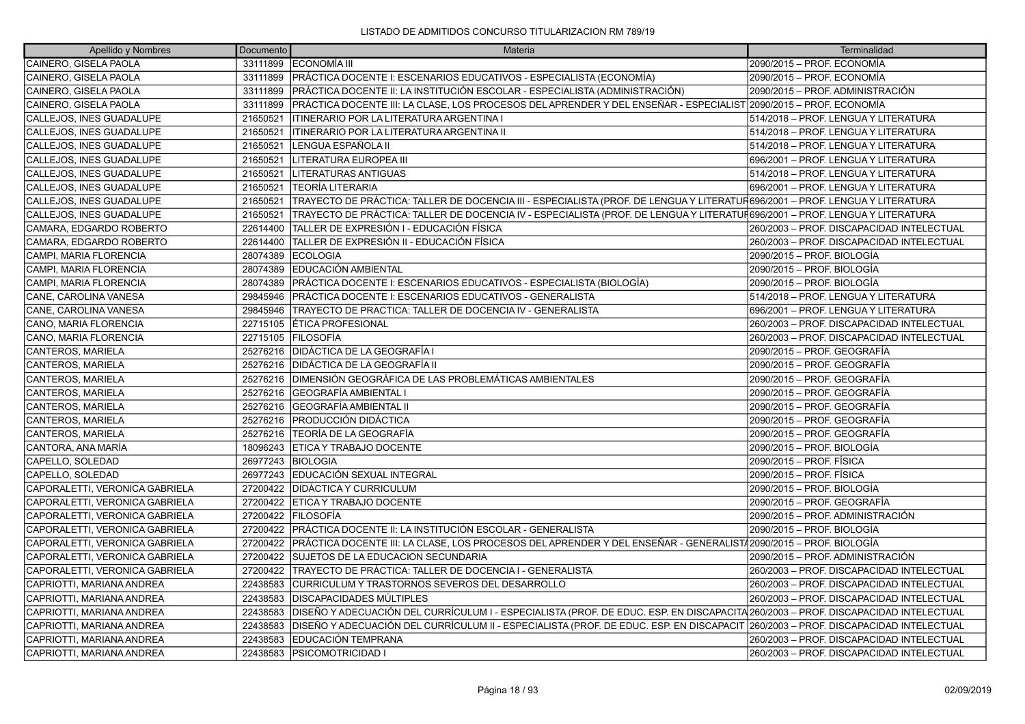| Apellido y Nombres             | Documento | Materia                                                                                                                            | Terminalidad                              |
|--------------------------------|-----------|------------------------------------------------------------------------------------------------------------------------------------|-------------------------------------------|
| CAINERO, GISELA PAOLA          | 33111899  | <b>LECONOMÍA III</b>                                                                                                               | 2090/2015 - PROF. ECONOMÍA                |
| CAINERO, GISELA PAOLA          | 33111899  | PRÁCTICA DOCENTE I: ESCENARIOS EDUCATIVOS - ESPECIALISTA (ECONOMÍA)                                                                | 2090/2015 - PROF. ECONOMÍA                |
| CAINERO, GISELA PAOLA          | 33111899  | PRÁCTICA DOCENTE II: LA INSTITUCIÓN ESCOLAR - ESPECIALISTA (ADMINISTRACIÓN)                                                        | 2090/2015 - PROF. ADMINISTRACIÓN          |
| CAINERO, GISELA PAOLA          | 33111899  | PRÁCTICA DOCENTE III: LA CLASE, LOS PROCESOS DEL APRENDER Y DEL ENSEÑAR - ESPECIALIST 2090/2015 – PROF. ECONOMÍA                   |                                           |
| CALLEJOS, INES GUADALUPE       | 21650521  | <b>ITINERARIO POR LA LITERATURA ARGENTINA I</b>                                                                                    | 514/2018 - PROF. LENGUA Y LITERATURA      |
| CALLEJOS, INES GUADALUPE       | 21650521  | ITINERARIO POR LA LITERATURA ARGENTINA II                                                                                          | 514/2018 – PROF. LENGUA Y LITERATURA      |
| CALLEJOS, INES GUADALUPE       | 21650521  | LENGUA ESPAÑOLA II                                                                                                                 | 514/2018 - PROF. LENGUA Y LITERATURA      |
| CALLEJOS, INES GUADALUPE       | 21650521  | LITERATURA EUROPEA III                                                                                                             | 696/2001 - PROF. LENGUA Y LITERATURA      |
| CALLEJOS, INES GUADALUPE       | 21650521  | <b>LITERATURAS ANTIGUAS</b>                                                                                                        | 514/2018 – PROF. LENGUA Y LITERATURA      |
| CALLEJOS, INES GUADALUPE       | 21650521  | lTEORÍA LITERARIA                                                                                                                  | 696/2001 - PROF. LENGUA Y LITERATURA      |
| CALLEJOS, INES GUADALUPE       | 21650521  | TRAYECTO DE PRÁCTICA: TALLER DE DOCENCIA III - ESPECIALISTA (PROF. DE LENGUA Y LITERATUR696/2001 – PROF. LENGUA Y LITERATURA       |                                           |
| CALLEJOS, INES GUADALUPE       | 21650521  | TRAYECTO DE PRÁCTICA: TALLER DE DOCENCIA IV - ESPECIALISTA (PROF. DE LENGUA Y LITERATUÑ696/2001 – PROF. LENGUA Y LITERATURA        |                                           |
| CAMARA, EDGARDO ROBERTO        | 22614400  | TALLER DE EXPRESIÓN I - EDUCACIÓN FÍSICA                                                                                           | 260/2003 - PROF. DISCAPACIDAD INTELECTUAL |
| CAMARA, EDGARDO ROBERTO        | 22614400  | TALLER DE EXPRESIÓN II - EDUCACIÓN FÍSICA                                                                                          | 260/2003 - PROF. DISCAPACIDAD INTELECTUAL |
| CAMPI, MARIA FLORENCIA         | 28074389  | <b>ECOLOGIA</b>                                                                                                                    | 2090/2015 - PROF. BIOLOGÍA                |
| CAMPI, MARIA FLORENCIA         | 28074389  | EDUCACIÓN AMBIENTAL                                                                                                                | 2090/2015 - PROF. BIOLOGÍA                |
| CAMPI, MARIA FLORENCIA         | 28074389  | PRÁCTICA DOCENTE I: ESCENARIOS EDUCATIVOS - ESPECIALISTA (BIOLOGÍA)                                                                | 2090/2015 - PROF. BIOLOGÍA                |
| CANE, CAROLINA VANESA          | 29845946  | PRÁCTICA DOCENTE I: ESCENARIOS EDUCATIVOS - GENERALISTA                                                                            | 514/2018 - PROF. LENGUA Y LITERATURA      |
| CANE, CAROLINA VANESA          | 29845946  | TRAYECTO DE PRACTICA: TALLER DE DOCENCIA IV - GENERALISTA                                                                          | 696/2001 - PROF. LENGUA Y LITERATURA      |
| CANO, MARIA FLORENCIA          | 22715105  | <b>ETICA PROFESIONAL</b>                                                                                                           | 260/2003 - PROF. DISCAPACIDAD INTELECTUAL |
| CANO, MARIA FLORENCIA          |           | 22715105 FILOSOFÍA                                                                                                                 | 260/2003 - PROF. DISCAPACIDAD INTELECTUAL |
| CANTEROS, MARIELA              | 25276216  | DIDÁCTICA DE LA GEOGRAFÍA I                                                                                                        | 2090/2015 - PROF. GEOGRAFÍA               |
| CANTEROS, MARIELA              | 25276216  | <b>IDIDÁCTICA DE LA GEOGRAFÍA II</b>                                                                                               | 2090/2015 - PROF. GEOGRAFÍA               |
| CANTEROS, MARIELA              | 25276216  | DIMENSIÓN GEOGRÁFICA DE LAS PROBLEMÁTICAS AMBIENTALES                                                                              | 2090/2015 – PROF. GEOGRAFÍA               |
| CANTEROS, MARIELA              | 25276216  | GEOGRAFÍA AMBIENTAL I                                                                                                              | 2090/2015 - PROF. GEOGRAFÍA               |
| CANTEROS, MARIELA              | 25276216  | GEOGRAFÍA AMBIENTAL II                                                                                                             | 2090/2015 – PROF. GEOGRAFÍA               |
| CANTEROS, MARIELA              | 25276216  | <b>PRODUCCIÓN DIDÁCTICA</b>                                                                                                        | 2090/2015 - PROF. GEOGRAFÍA               |
| CANTEROS, MARIELA              | 25276216  | TEORÍA DE LA GEOGRAFÍA                                                                                                             | 2090/2015 - PROF. GEOGRAFÍA               |
| CANTORA, ANA MARÍA             | 18096243  | <b>ETICA Y TRABAJO DOCENTE</b>                                                                                                     | 2090/2015 - PROF. BIOLOGÍA                |
| CAPELLO, SOLEDAD               | 26977243  | <b>BIOLOGIA</b>                                                                                                                    | 2090/2015 - PROF. FÍSICA                  |
| CAPELLO, SOLEDAD               | 26977243  | EDUCACIÓN SEXUAL INTEGRAL                                                                                                          | 2090/2015 - PROF. FÍSICA                  |
| CAPORALETTI, VERONICA GABRIELA | 27200422  | DIDÁCTICA Y CURRICULUM                                                                                                             | 2090/2015 - PROF. BIOLOGÍA                |
| CAPORALETTI, VERONICA GABRIELA | 27200422  | ETICA Y TRABAJO DOCENTE                                                                                                            | 2090/2015 - PROF. GEOGRAFÍA               |
| CAPORALETTI, VERONICA GABRIELA | 27200422  | <b>FILOSOFÍA</b>                                                                                                                   | 2090/2015 - PROF. ADMINISTRACIÓN          |
| CAPORALETTI, VERONICA GABRIELA | 27200422  | IPRÁCTICA DOCENTE II: LA INSTITUCIÓN ESCOLAR - GENERALISTA                                                                         | 2090/2015 - PROF. BIOLOGÍA                |
| CAPORALETTI, VERONICA GABRIELA | 27200422  | PRÁCTICA DOCENTE III: LA CLASE, LOS PROCESOS DEL APRENDER Y DEL ENSEÑAR - GENERALIST/2090/2015 – PROF. BIOLOGÍA                    |                                           |
| CAPORALETTI, VERONICA GABRIELA | 27200422  | SUJETOS DE LA EDUCACION SECUNDARIA                                                                                                 | 2090/2015 – PROF. ADMINISTRACIÓN          |
| CAPORALETTI, VERONICA GABRIELA | 27200422  | TRAYECTO DE PRÁCTICA: TALLER DE DOCENCIA I - GENERALISTA                                                                           | 260/2003 - PROF. DISCAPACIDAD INTELECTUAL |
| CAPRIOTTI, MARIANA ANDREA      | 22438583  | CURRICULUM Y TRASTORNOS SEVEROS DEL DESARROLLO                                                                                     | 260/2003 - PROF. DISCAPACIDAD INTELECTUAL |
| CAPRIOTTI, MARIANA ANDREA      | 22438583  | DISCAPACIDADES MÚLTIPLES                                                                                                           | 260/2003 - PROF. DISCAPACIDAD INTELECTUAL |
| CAPRIOTTI, MARIANA ANDREA      | 22438583  | DISEÑO Y ADECUACIÓN DEL CURRÍCULUM I - ESPECIALISTA (PROF. DE EDUC. ESP. EN DISCAPACITA 260/2003 - PROF. DISCAPACIDAD INTELECTUAL  |                                           |
| CAPRIOTTI, MARIANA ANDREA      | 22438583  | DISEÑO Y ADECUACIÓN DEL CURRÍCULUM II - ESPECIALISTA (PROF. DE EDUC. ESP. EN DISCAPACIT  260/2003 – PROF. DISCAPACIDAD INTELECTUAL |                                           |
| CAPRIOTTI, MARIANA ANDREA      | 22438583  | <b>EDUCACIÓN TEMPRANA</b>                                                                                                          | 260/2003 - PROF. DISCAPACIDAD INTELECTUAL |
| CAPRIOTTI. MARIANA ANDREA      |           | 22438583 PSICOMOTRICIDAD I                                                                                                         | 260/2003 - PROF. DISCAPACIDAD INTELECTUAL |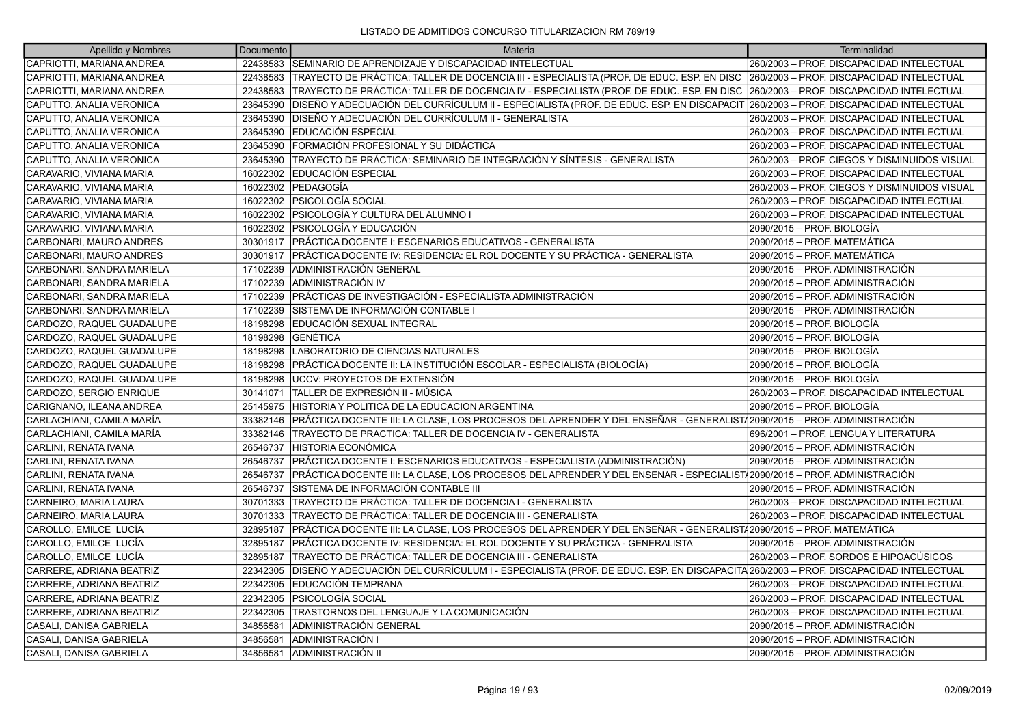| Apellido y Nombres        | Documento | Materia                                                                                                                            | Terminalidad                                 |
|---------------------------|-----------|------------------------------------------------------------------------------------------------------------------------------------|----------------------------------------------|
| CAPRIOTTI, MARIANA ANDREA |           | 22438583 SEMINARIO DE APRENDIZAJE Y DISCAPACIDAD INTELECTUAL                                                                       | 260/2003 - PROF. DISCAPACIDAD INTELECTUAL    |
| CAPRIOTTI, MARIANA ANDREA | 22438583  | TRAYECTO DE PRÁCTICA: TALLER DE DOCENCIA III - ESPECIALISTA (PROF. DE EDUC. ESP. EN DISC                                           | 260/2003 - PROF. DISCAPACIDAD INTELECTUAL    |
| CAPRIOTTI, MARIANA ANDREA | 22438583  | TRAYECTO DE PRÁCTICA: TALLER DE DOCENCIA IV - ESPECIALISTA (PROF. DE EDUC. ESP. EN DISC                                            | 260/2003 - PROF. DISCAPACIDAD INTELECTUAL    |
| CAPUTTO, ANALIA VERONICA  | 23645390  | DISEÑO Y ADECUACIÓN DEL CURRÍCULUM II - ESPECIALISTA (PROF. DE EDUC. ESP. EN DISCAPACIT  260/2003 – PROF. DISCAPACIDAD INTELECTUAL |                                              |
| CAPUTTO, ANALIA VERONICA  | 23645390  | DISEÑO Y ADECUACIÓN DEL CURRÍCULUM II - GENERALISTA                                                                                | 260/2003 - PROF. DISCAPACIDAD INTELECTUAL    |
| CAPUTTO, ANALIA VERONICA  | 23645390  | <b>IEDUCACIÓN ESPECIAL</b>                                                                                                         | 260/2003 - PROF. DISCAPACIDAD INTELECTUAL    |
| CAPUTTO, ANALIA VERONICA  | 23645390  | FORMACIÓN PROFESIONAL Y SU DIDÁCTICA                                                                                               | 260/2003 - PROF. DISCAPACIDAD INTELECTUAL    |
| CAPUTTO, ANALIA VERONICA  | 23645390  | TRAYECTO DE PRÁCTICA: SEMINARIO DE INTEGRACIÓN Y SÍNTESIS - GENERALISTA                                                            | 260/2003 - PROF. CIEGOS Y DISMINUIDOS VISUAL |
| CARAVARIO, VIVIANA MARIA  | 16022302  | EDUCACIÓN ESPECIAL                                                                                                                 | 260/2003 - PROF. DISCAPACIDAD INTELECTUAL    |
| CARAVARIO, VIVIANA MARIA  | 16022302  | <b>IPEDAGOGÍA</b>                                                                                                                  | 260/2003 - PROF. CIEGOS Y DISMINUIDOS VISUAL |
| CARAVARIO, VIVIANA MARIA  | 16022302  | <b>PSICOLOGÍA SOCIAL</b>                                                                                                           | 260/2003 - PROF. DISCAPACIDAD INTELECTUAL    |
| CARAVARIO, VIVIANA MARIA  | 16022302  | IPSICOLOGÍA Y CULTURA DEL ALUMNO I                                                                                                 | 260/2003 - PROF. DISCAPACIDAD INTELECTUAL    |
| CARAVARIO, VIVIANA MARIA  | 16022302  | PSICOLOGÍA Y EDUCACIÓN                                                                                                             | 2090/2015 - PROF. BIOLOGÍA                   |
| CARBONARI, MAURO ANDRES   |           | 30301917 PRÁCTICA DOCENTE I: ESCENARIOS EDUCATIVOS - GENERALISTA                                                                   | 2090/2015 - PROF. MATEMÁTICA                 |
| CARBONARI, MAURO ANDRES   |           | 30301917 PRÁCTICA DOCENTE IV: RESIDENCIA: EL ROL DOCENTE Y SU PRÁCTICA - GENERALISTA                                               | 2090/2015 - PROF. MATEMÁTICA                 |
| CARBONARI, SANDRA MARIELA | 17102239  | IADMINISTRACIÓN GENERAL                                                                                                            | 2090/2015 - PROF. ADMINISTRACIÓN             |
| CARBONARI, SANDRA MARIELA | 17102239  | ADMINISTRACIÓN IV                                                                                                                  | 2090/2015 - PROF. ADMINISTRACIÓN             |
| CARBONARI, SANDRA MARIELA | 17102239  | PRÁCTICAS DE INVESTIGACIÓN - ESPECIALISTA ADMINISTRACIÓN                                                                           | 2090/2015 - PROF. ADMINISTRACIÓN             |
| CARBONARI, SANDRA MARIELA | 17102239  | SISTEMA DE INFORMACIÓN CONTABLE I                                                                                                  | 2090/2015 - PROF. ADMINISTRACIÓN             |
| CARDOZO, RAQUEL GUADALUPE | 18198298  | EDUCACIÓN SEXUAL INTEGRAL                                                                                                          | 2090/2015 - PROF. BIOLOGÍA                   |
| CARDOZO, RAQUEL GUADALUPE | 18198298  | <b>IGENÉTICA</b>                                                                                                                   | 2090/2015 - PROF. BIOLOGÍA                   |
| CARDOZO, RAQUEL GUADALUPE | 18198298  | ILABORATORIO DE CIENCIAS NATURALES                                                                                                 | 2090/2015 - PROF. BIOLOGÍA                   |
| CARDOZO, RAQUEL GUADALUPE | 18198298  | PRÁCTICA DOCENTE II: LA INSTITUCIÓN ESCOLAR - ESPECIALISTA (BIOLOGÍA)                                                              | 2090/2015 - PROF. BIOLOGÍA                   |
| CARDOZO. RAQUEL GUADALUPE | 18198298  | luccv: PROYECTOS DE EXTENSIÓN                                                                                                      | 2090/2015 - PROF. BIOLOGÍA                   |
| CARDOZO, SERGIO ENRIQUE   | 30141071  | TALLER DE EXPRESIÓN II - MÚSICA                                                                                                    | 260/2003 - PROF. DISCAPACIDAD INTELECTUAL    |
| CARIGNANO, ILEANA ANDREA  | 25145975  | HISTORIA Y POLITICA DE LA EDUCACION ARGENTINA                                                                                      | 2090/2015 - PROF. BIOLOGÍA                   |
| CARLACHIANI, CAMILA MARÍA | 33382146  | PRÁCTICA DOCENTE III: LA CLASE, LOS PROCESOS DEL APRENDER Y DEL ENSEÑAR - GENERALIST/2090/2015 – PROF. ADMINISTRACIÓN              |                                              |
| CARLACHIANI, CAMILA MARÍA | 33382146  | TRAYECTO DE PRACTICA: TALLER DE DOCENCIA IV - GENERALISTA                                                                          | 696/2001 - PROF. LENGUA Y LITERATURA         |
| CARLINI, RENATA IVANA     | 26546737  | <b>HISTORIA ECONÓMICA</b>                                                                                                          | 2090/2015 - PROF. ADMINISTRACIÓN             |
| CARLINI, RENATA IVANA     | 26546737  | PRÁCTICA DOCENTE I: ESCENARIOS EDUCATIVOS - ESPECIALISTA (ADMINISTRACIÓN)                                                          | 2090/2015 - PROF. ADMINISTRACIÓN             |
| CARLINI, RENATA IVANA     | 26546737  | PRÁCTICA DOCENTE III: LA CLASE, LOS PROCESOS DEL APRENDER Y DEL ENSENAR - ESPECIALIST/2090/2015 – PROF. ADMINISTRACIÓN             |                                              |
| CARLINI, RENATA IVANA     | 26546737  | SISTEMA DE INFORMACIÓN CONTABLE III                                                                                                | 2090/2015 – PROF. ADMINISTRACIÓN             |
| CARNEIRO, MARIA LAURA     | 30701333  | TRAYECTO DE PRÁCTICA: TALLER DE DOCENCIA I - GENERALISTA                                                                           | 260/2003 - PROF. DISCAPACIDAD INTELECTUAL    |
| CARNEIRO, MARIA LAURA     | 30701333  | TRAYECTO DE PRÁCTICA: TALLER DE DOCENCIA III - GENERALISTA                                                                         | 260/2003 - PROF. DISCAPACIDAD INTELECTUAL    |
| CAROLLO, EMILCE LUCÍA     | 32895187  | PRÁCTICA DOCENTE III: LA CLASE, LOS PROCESOS DEL APRENDER Y DEL ENSEÑAR - GENERALISTA 2090/2015 - PROF. MATEMÁTICA                 |                                              |
| CAROLLO, EMILCE LUCÍA     | 32895187  | PRÁCTICA DOCENTE IV: RESIDENCIA: EL ROL DOCENTE Y SU PRÁCTICA - GENERALISTA                                                        | 2090/2015 - PROF. ADMINISTRACIÓN             |
| CAROLLO, EMILCE LUCÍA     | 32895187  | TRAYECTO DE PRÁCTICA: TALLER DE DOCENCIA III - GENERALISTA                                                                         | 260/2003 – PROF. SORDOS E HIPOACÚSICOS       |
| CARRERE, ADRIANA BEATRIZ  | 22342305  | DISEÑO Y ADECUACIÓN DEL CURRÍCULUM I - ESPECIALISTA (PROF. DE EDUC. ESP. EN DISCAPACITA 260/2003 - PROF. DISCAPACIDAD INTELECTUAL  |                                              |
| CARRERE, ADRIANA BEATRIZ  | 22342305  | EDUCACIÓN TEMPRANA                                                                                                                 | 260/2003 - PROF. DISCAPACIDAD INTELECTUAL    |
| CARRERE, ADRIANA BEATRIZ  | 22342305  | PSICOLOGÍA SOCIAL                                                                                                                  | 260/2003 - PROF. DISCAPACIDAD INTELECTUAL    |
| CARRERE, ADRIANA BEATRIZ  | 22342305  | TRASTORNOS DEL LENGUAJE Y LA COMUNICACIÓN                                                                                          | 260/2003 - PROF. DISCAPACIDAD INTELECTUAL    |
| CASALI, DANISA GABRIELA   | 34856581  | ADMINISTRACIÓN GENERAL                                                                                                             | 2090/2015 - PROF. ADMINISTRACIÓN             |
| CASALI, DANISA GABRIELA   | 34856581  | ADMINISTRACIÓN I                                                                                                                   | 2090/2015 – PROF. ADMINISTRACIÓN             |
| CASALI. DANISA GABRIELA   | 34856581  | <b>ADMINISTRACIÓN II</b>                                                                                                           | 2090/2015 – PROF. ADMINISTRACIÓN             |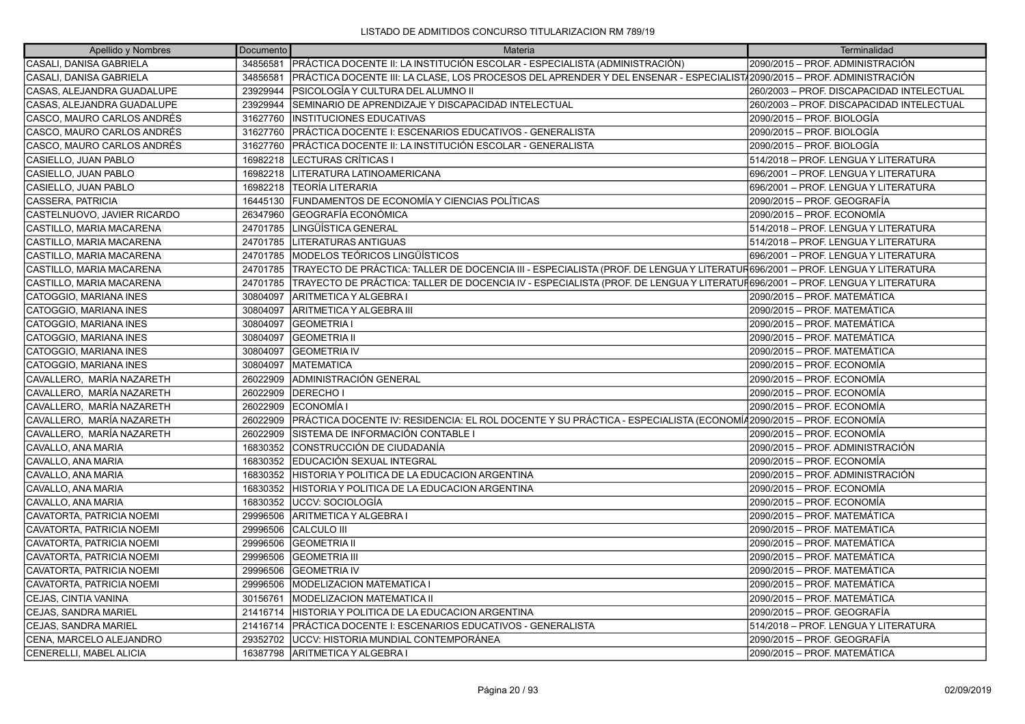| Apellido y Nombres          | Documento | Materia                                                                                                                      | Terminalidad                              |
|-----------------------------|-----------|------------------------------------------------------------------------------------------------------------------------------|-------------------------------------------|
| CASALI, DANISA GABRIELA     |           | 34856581   PRÁCTICA DOCENTE II: LA INSTITUCIÓN ESCOLAR - ESPECIALISTA (ADMINISTRACIÓN)                                       | 2090/2015 – PROF. ADMINISTRACIÓN          |
| CASALI, DANISA GABRIELA     | 34856581  | PRÁCTICA DOCENTE III: LA CLASE, LOS PROCESOS DEL APRENDER Y DEL ENSENAR - ESPECIALIST/2090/2015 - PROF. ADMINISTRACIÓN       |                                           |
| CASAS, ALEJANDRA GUADALUPE  |           | 23929944   PSICOLOGÍA Y CULTURA DEL ALUMNO II                                                                                | 260/2003 - PROF. DISCAPACIDAD INTELECTUAL |
| CASAS, ALEJANDRA GUADALUPE  | 23929944  | SEMINARIO DE APRENDIZAJE Y DISCAPACIDAD INTELECTUAL                                                                          | 260/2003 - PROF. DISCAPACIDAD INTELECTUAL |
| CASCO, MAURO CARLOS ANDRÉS  | 31627760  | <b>IINSTITUCIONES EDUCATIVAS</b>                                                                                             | 2090/2015 – PROF. BIOLOGÍA                |
| CASCO, MAURO CARLOS ANDRÉS  |           | 31627760 PRÁCTICA DOCENTE I: ESCENARIOS EDUCATIVOS - GENERALISTA                                                             | 2090/2015 – PROF. BIOLOGÍA                |
| CASCO, MAURO CARLOS ANDRÉS  | 31627760  | IPRÁCTICA DOCENTE II: LA INSTITUCIÓN ESCOLAR - GENERALISTA                                                                   | 2090/2015 – PROF. BIOLOGÍA                |
| CASIELLO, JUAN PABLO        | 16982218  | LECTURAS CRÍTICAS I                                                                                                          | 514/2018 - PROF. LENGUA Y LITERATURA      |
| CASIELLO, JUAN PABLO        |           | 16982218   LITERATURA LATINOAMERICANA                                                                                        | 696/2001 - PROF. LENGUA Y LITERATURA      |
| CASIELLO, JUAN PABLO        | 16982218  | TEORÍA LITERARIA                                                                                                             | 696/2001 - PROF. LENGUA Y LITERATURA      |
| CASSERA, PATRICIA           |           | 16445130 FUNDAMENTOS DE ECONOMÍA Y CIENCIAS POLÍTICAS                                                                        | 2090/2015 – PROF. GEOGRAFÍA               |
| CASTELNUOVO, JAVIER RICARDO |           | 26347960 GEOGRAFÍA ECONÓMICA                                                                                                 | 2090/2015 – PROF. ECONOMÍA                |
| CASTILLO, MARIA MACARENA    | 24701785  | LINGÜÍSTICA GENERAL                                                                                                          | 514/2018 - PROF. LENGUA Y LITERATURA      |
| CASTILLO, MARIA MACARENA    |           | 24701785   LITERATURAS ANTIGUAS                                                                                              | 514/2018 - PROF. LENGUA Y LITERATURA      |
| CASTILLO, MARIA MACARENA    |           | 24701785 MODELOS TEÓRICOS LINGÜÍSTICOS                                                                                       | 696/2001 - PROF. LENGUA Y LITERATURA      |
| CASTILLO, MARIA MACARENA    | 24701785  | TRAYECTO DE PRÁCTICA: TALLER DE DOCENCIA III - ESPECIALISTA (PROF. DE LENGUA Y LITERATUR696/2001 – PROF. LENGUA Y LITERATURA |                                           |
| CASTILLO, MARIA MACARENA    | 24701785  | TRAYECTO DE PRÁCTICA: TALLER DE DOCENCIA IV - ESPECIALISTA (PROF. DE LENGUA Y LITERATUF696/2001 – PROF. LENGUA Y LITERATURA  |                                           |
| CATOGGIO, MARIANA INES      | 30804097  | ARITMETICA Y ALGEBRA I                                                                                                       | 2090/2015 - PROF. MATEMÁTICA              |
| CATOGGIO, MARIANA INES      | 30804097  | IARITMETICA Y ALGEBRA III                                                                                                    | 2090/2015 – PROF. MATEMÁTICA              |
| CATOGGIO, MARIANA INES      | 30804097  | <b>GEOMETRIA I</b>                                                                                                           | 2090/2015 - PROF. MATEMÁTICA              |
| CATOGGIO, MARIANA INES      | 30804097  | <b>GEOMETRIA II</b>                                                                                                          | 2090/2015 - PROF. MATEMÁTICA              |
| CATOGGIO, MARIANA INES      | 30804097  | <b>GEOMETRIA IV</b>                                                                                                          | 2090/2015 – PROF. MATEMÁTICA              |
| CATOGGIO, MARIANA INES      | 30804097  | <b>MATEMATICA</b>                                                                                                            | 2090/2015 – PROF. ECONOMÍA                |
| CAVALLERO, MARÍA NAZARETH   | 26022909  | ADMINISTRACIÓN GENERAL                                                                                                       | 2090/2015 – PROF. ECONOMÍA                |
| CAVALLERO, MARÍA NAZARETH   | 26022909  | <b>DERECHOI</b>                                                                                                              | 2090/2015 – PROF. ECONOMÍA                |
| CAVALLERO, MARÍA NAZARETH   | 26022909  | <b>ECONOMÍA I</b>                                                                                                            | 2090/2015 - PROF. ECONOMÍA                |
| CAVALLERO, MARÍA NAZARETH   | 26022909  | PRÁCTICA DOCENTE IV: RESIDENCIA: EL ROL DOCENTE Y SU PRÁCTICA - ESPECIALISTA (ECONOMÍ/2090/2015 – PROF. ECONOMÍA             |                                           |
| CAVALLERO, MARÍA NAZARETH   | 26022909  | SISTEMA DE INFORMACIÓN CONTABLE I                                                                                            | 2090/2015 – PROF. ECONOMÍA                |
| CAVALLO, ANA MARIA          | 16830352  | CONSTRUCCIÓN DE CIUDADANÍA                                                                                                   | 2090/2015 – PROF. ADMINISTRACIÓN          |
| CAVALLO, ANA MARIA          | 16830352  | EDUCACIÓN SEXUAL INTEGRAL                                                                                                    | 2090/2015 – PROF. ECONOMÍA                |
| CAVALLO, ANA MARIA          | 16830352  | HISTORIA Y POLITICA DE LA EDUCACION ARGENTINA                                                                                | 2090/2015 – PROF. ADMINISTRACIÓN          |
| CAVALLO, ANA MARIA          | 16830352  | HISTORIA Y POLITICA DE LA EDUCACION ARGENTINA                                                                                | 2090/2015 – PROF. ECONOMÍA                |
| CAVALLO, ANA MARIA          | 16830352  | <b>IUCCV: SOCIOLOGÍA</b>                                                                                                     | 2090/2015 – PROF. ECONOMÍA                |
| CAVATORTA, PATRICIA NOEMI   | 29996506  | ARITMETICA Y ALGEBRA I                                                                                                       | 2090/2015 – PROF. MATEMÁTICA              |
| CAVATORTA, PATRICIA NOEMI   | 29996506  | CALCULO III                                                                                                                  | 2090/2015 – PROF. MATEMÁTICA              |
| CAVATORTA, PATRICIA NOEMI   | 29996506  | <b>GEOMETRIA II</b>                                                                                                          | 2090/2015 - PROF. MATEMÁTICA              |
| CAVATORTA, PATRICIA NOEMI   | 29996506  | <b>GEOMETRIA III</b>                                                                                                         | 2090/2015 – PROF. MATEMÁTICA              |
| CAVATORTA, PATRICIA NOEMI   | 29996506  | <b>GEOMETRIA IV</b>                                                                                                          | 2090/2015 – PROF. MATEMÁTICA              |
| CAVATORTA, PATRICIA NOEMI   |           | 29996506   MODELIZACION MATEMATICA I                                                                                         | 2090/2015 - PROF. MATEMÁTICA              |
| CEJAS, CINTIA VANINA        | 30156761  | <b>IMODELIZACION MATEMATICA II</b>                                                                                           | 2090/2015 – PROF. MATEMÁTICA              |
| CEJAS, SANDRA MARIEL        |           | 21416714 HISTORIA Y POLITICA DE LA EDUCACION ARGENTINA                                                                       | 2090/2015 – PROF. GEOGRAFÍA               |
| CEJAS, SANDRA MARIEL        |           | 21416714 PRÁCTICA DOCENTE I: ESCENARIOS EDUCATIVOS - GENERALISTA                                                             | 514/2018 - PROF. LENGUA Y LITERATURA      |
| CENA, MARCELO ALEJANDRO     | 29352702  | <b>JUCCV: HISTORIA MUNDIAL CONTEMPORÁNEA</b>                                                                                 | 2090/2015 – PROF. GEOGRAFÍA               |
| CENERELLI, MABEL ALICIA     |           | 16387798 ARITMETICA Y ALGEBRA I                                                                                              | 2090/2015 - PROF. MATEMÁTICA              |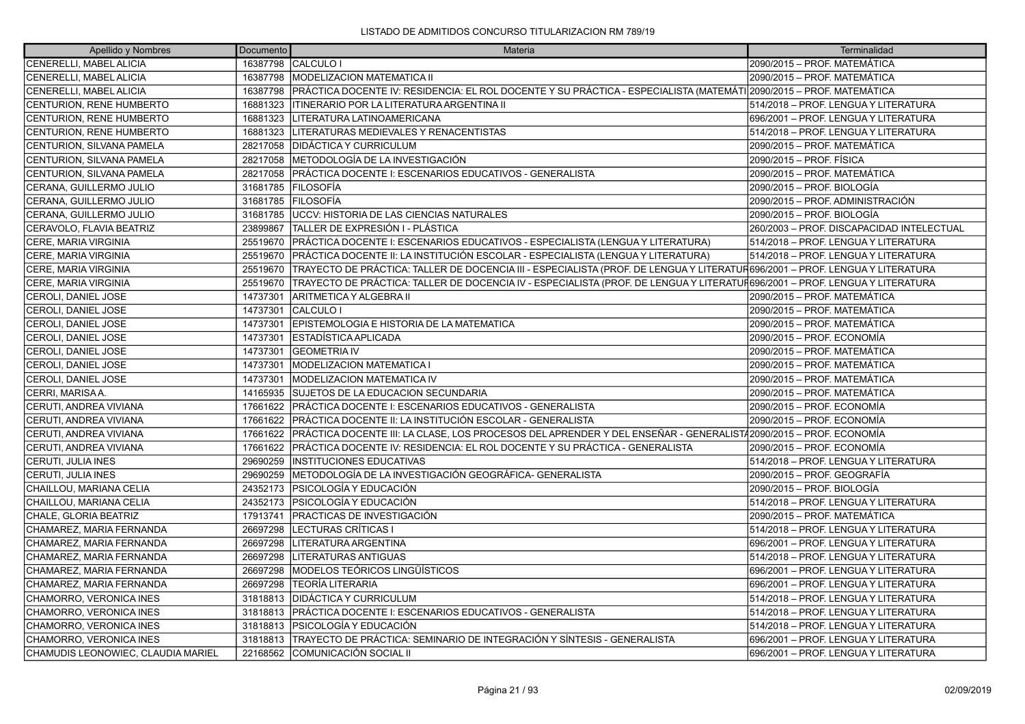| Apellido y Nombres                 | Documento | Materia                                                                                                                      | Terminalidad                              |
|------------------------------------|-----------|------------------------------------------------------------------------------------------------------------------------------|-------------------------------------------|
| <b>CENERELLI, MABEL ALICIA</b>     |           | 16387798 CALCULO I                                                                                                           | 2090/2015 – PROF. MATEMÁTICA              |
| CENERELLI, MABEL ALICIA            |           | 16387798   MODELIZACION MATEMATICA II                                                                                        | 2090/2015 - PROF. MATEMÁTICA              |
| CENERELLI, MABEL ALICIA            |           | 16387798 PRÁCTICA DOCENTE IV: RESIDENCIA: EL ROL DOCENTE Y SU PRÁCTICA - ESPECIALISTA (MATEMÁTI 2090/2015 – PROF. MATEMÁTICA |                                           |
| CENTURION, RENE HUMBERTO           | 16881323  | ITINERARIO POR LA LITERATURA ARGENTINA II                                                                                    | 514/2018 - PROF. LENGUA Y LITERATURA      |
| CENTURION, RENE HUMBERTO           | 16881323  | LITERATURA LATINOAMERICANA                                                                                                   | 696/2001 - PROF. LENGUA Y LITERATURA      |
| CENTURION, RENE HUMBERTO           | 16881323  | LITERATURAS MEDIEVALES Y RENACENTISTAS                                                                                       | 514/2018 - PROF. LENGUA Y LITERATURA      |
| CENTURION, SILVANA PAMELA          | 28217058  | <b>IDIDÁCTICA Y CURRICULUM</b>                                                                                               | 2090/2015 – PROF. MATEMÁTICA              |
| CENTURION, SILVANA PAMELA          | 28217058  | METODOLOGÍA DE LA INVESTIGACIÓN                                                                                              | 2090/2015 - PROF. FÍSICA                  |
| CENTURION, SILVANA PAMELA          | 28217058  | PRÁCTICA DOCENTE I: ESCENARIOS EDUCATIVOS - GENERALISTA                                                                      | 2090/2015 - PROF. MATEMÁTICA              |
| CERANA, GUILLERMO JULIO            | 31681785  | <b>IFILOSOFIA</b>                                                                                                            | 2090/2015 - PROF. BIOLOGÍA                |
| CERANA, GUILLERMO JULIO            |           | 31681785 FILOSOFÍA                                                                                                           | 2090/2015 - PROF. ADMINISTRACIÓN          |
| CERANA, GUILLERMO JULIO            | 31681785  | <b>UCCV: HISTORIA DE LAS CIENCIAS NATURALES</b>                                                                              | 2090/2015 - PROF. BIOLOGÍA                |
| CERAVOLO, FLAVIA BEATRIZ           | 23899867  | TALLER DE EXPRESIÓN I - PLÁSTICA                                                                                             | 260/2003 - PROF. DISCAPACIDAD INTELECTUAL |
| CERE, MARIA VIRGINIA               |           | 25519670   PRÁCTICA DOCENTE I: ESCENARIOS EDUCATIVOS - ESPECIALISTA (LENGUA Y LITERATURA)                                    | 514/2018 - PROF. LENGUA Y LITERATURA      |
| CERE, MARIA VIRGINIA               | 25519670  | PRÁCTICA DOCENTE II: LA INSTITUCIÓN ESCOLAR - ESPECIALISTA (LENGUA Y LITERATURA)                                             | 514/2018 – PROF. LENGUA Y LITERATURA      |
| <b>CERE, MARIA VIRGINIA</b>        | 25519670  | TRAYECTO DE PRÁCTICA: TALLER DE DOCENCIA III - ESPECIALISTA (PROF. DE LENGUA Y LITERATUR696/2001 – PROF. LENGUA Y LITERATURA |                                           |
| CERE, MARIA VIRGINIA               | 25519670  | TRAYECTO DE PRÁCTICA: TALLER DE DOCENCIA IV - ESPECIALISTA (PROF. DE LENGUA Y LITERATUF696/2001 – PROF. LENGUA Y LITERATURA  |                                           |
| CEROLI, DANIEL JOSE                | 14737301  | <b>ARITMETICA Y ALGEBRA II</b>                                                                                               | 2090/2015 – PROF. MATEMÁTICA              |
| CEROLI, DANIEL JOSE                | 14737301  | <b>CALCULO I</b>                                                                                                             | 2090/2015 – PROF. MATEMÁTICA              |
| CEROLI, DANIEL JOSE                | 14737301  | EPISTEMOLOGIA E HISTORIA DE LA MATEMATICA                                                                                    | 2090/2015 - PROF. MATEMÁTICA              |
| CEROLI, DANIEL JOSE                | 14737301  | <b>IESTADÍSTICA APLICADA</b>                                                                                                 | 2090/2015 - PROF. ECONOMÍA                |
| CEROLI, DANIEL JOSE                | 14737301  | <b>GEOMETRIA IV</b>                                                                                                          | 2090/2015 - PROF. MATEMÁTICA              |
| CEROLI, DANIEL JOSE                | 14737301  | <b>MODELIZACION MATEMATICA I</b>                                                                                             | 2090/2015 - PROF. MATEMÁTICA              |
| CEROLI, DANIEL JOSE                | 14737301  | <b>IMODELIZACION MATEMATICA IV</b>                                                                                           | 2090/2015 - PROF. MATEMÁTICA              |
| CERRI, MARISA A.                   | 14165935  | SUJETOS DE LA EDUCACION SECUNDARIA                                                                                           | 2090/2015 - PROF. MATEMÁTICA              |
| CERUTI, ANDREA VIVIANA             | 17661622  | PRÁCTICA DOCENTE I: ESCENARIOS EDUCATIVOS - GENERALISTA                                                                      | 2090/2015 - PROF. ECONOMÍA                |
| CERUTI, ANDREA VIVIANA             | 17661622  | PRÁCTICA DOCENTE II: LA INSTITUCIÓN ESCOLAR - GENERALISTA                                                                    | 2090/2015 - PROF. ECONOMÍA                |
| CERUTI, ANDREA VIVIANA             | 17661622  | PRÁCTICA DOCENTE III: LA CLASE, LOS PROCESOS DEL APRENDER Y DEL ENSEÑAR - GENERALIST/2090/2015 – PROF. ECONOMÍA              |                                           |
| CERUTI, ANDREA VIVIANA             | 17661622  | PRÁCTICA DOCENTE IV: RESIDENCIA: EL ROL DOCENTE Y SU PRÁCTICA - GENERALISTA                                                  | 2090/2015 - PROF. ECONOMÍA                |
| CERUTI, JULIA INES                 | 29690259  | <b>INSTITUCIONES EDUCATIVAS</b>                                                                                              | 514/2018 - PROF. LENGUA Y LITERATURA      |
| CERUTI, JULIA INES                 | 29690259  | METODOLOGÍA DE LA INVESTIGACIÓN GEOGRÁFICA- GENERALISTA                                                                      | 2090/2015 - PROF. GEOGRAFÍA               |
| CHAILLOU, MARIANA CELIA            | 24352173  | <b>PSICOLOGÍA Y EDUCACIÓN</b>                                                                                                | 2090/2015 - PROF. BIOLOGÍA                |
| CHAILLOU, MARIANA CELIA            | 24352173  | PSICOLOGÍA Y EDUCACIÓN                                                                                                       | 514/2018 - PROF. LENGUA Y LITERATURA      |
| CHALE, GLORIA BEATRIZ              | 17913741  | <b>PRACTICAS DE INVESTIGACIÓN</b>                                                                                            | 2090/2015 - PROF. MATEMÁTICA              |
| CHAMAREZ, MARIA FERNANDA           | 26697298  | <b>LECTURAS CRÍTICAS I</b>                                                                                                   | 514/2018 - PROF. LENGUA Y LITERATURA      |
| CHAMAREZ, MARIA FERNANDA           | 26697298  | LITERATURA ARGENTINA                                                                                                         | 696/2001 - PROF. LENGUA Y LITERATURA      |
| CHAMAREZ, MARIA FERNANDA           | 26697298  | <b>LITERATURAS ANTIGUAS</b>                                                                                                  | 514/2018 - PROF. LENGUA Y LITERATURA      |
| CHAMAREZ, MARIA FERNANDA           | 26697298  | MODELOS TEÓRICOS LINGÜÍSTICOS                                                                                                | 696/2001 - PROF. LENGUA Y LITERATURA      |
| CHAMAREZ, MARIA FERNANDA           | 26697298  | TEORÍA LITERARIA                                                                                                             | 696/2001 - PROF. LENGUA Y LITERATURA      |
| CHAMORRO, VERONICA INES            | 31818813  | <b>DIDÁCTICA Y CURRICULUM</b>                                                                                                | 514/2018 - PROF. LENGUA Y LITERATURA      |
| CHAMORRO, VERONICA INES            |           | 31818813 PRÁCTICA DOCENTE I: ESCENARIOS EDUCATIVOS - GENERALISTA                                                             | 514/2018 - PROF. LENGUA Y LITERATURA      |
| CHAMORRO, VERONICA INES            | 31818813  | <b>PSICOLOGÍA Y EDUCACIÓN</b>                                                                                                | 514/2018 - PROF. LENGUA Y LITERATURA      |
| CHAMORRO, VERONICA INES            | 31818813  | TRAYECTO DE PRÁCTICA: SEMINARIO DE INTEGRACIÓN Y SÍNTESIS - GENERALISTA                                                      | 696/2001 - PROF. LENGUA Y LITERATURA      |
| CHAMUDIS LEONOWIEC, CLAUDIA MARIEL |           | 22168562 COMUNICACIÓN SOCIAL II                                                                                              | 696/2001 - PROF. LENGUA Y LITERATURA      |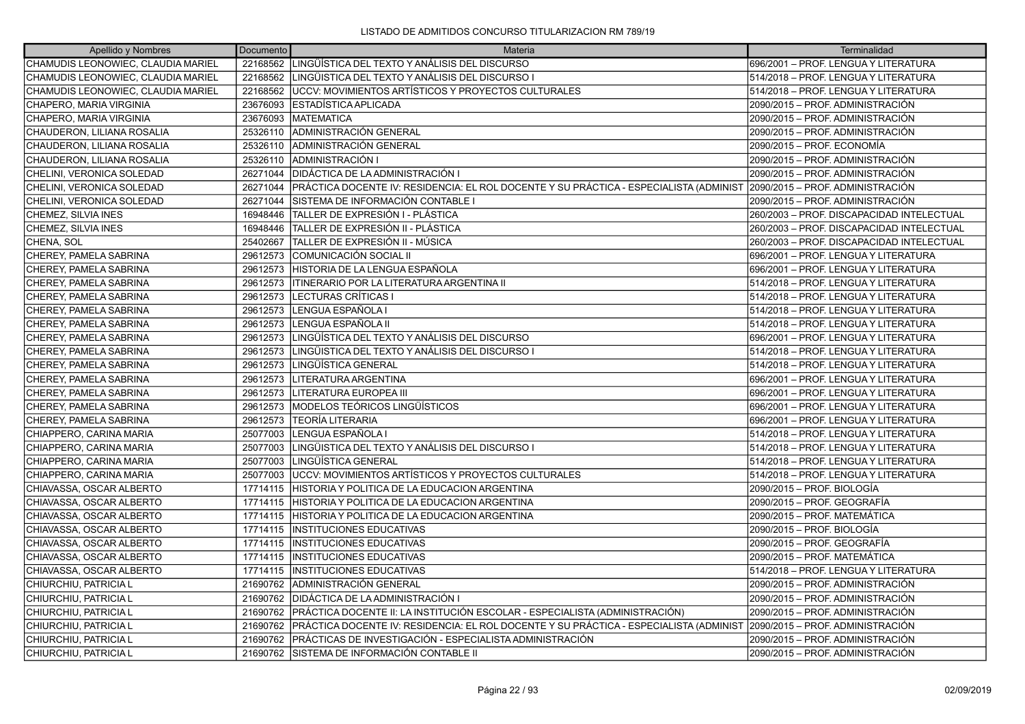| Apellido y Nombres                 | Documento | Materia                                                                                                                  | Terminalidad                              |
|------------------------------------|-----------|--------------------------------------------------------------------------------------------------------------------------|-------------------------------------------|
| CHAMUDIS LEONOWIEC, CLAUDIA MARIEL | 22168562  | LINGÜÍSTICA DEL TEXTO Y ANÁLISIS DEL DISCURSO                                                                            | 696/2001 - PROF. LENGUA Y LITERATURA      |
| CHAMUDIS LEONOWIEC, CLAUDIA MARIEL | 22168562  | LINGÜISTICA DEL TEXTO Y ANÁLISIS DEL DISCURSO I                                                                          | 514/2018 - PROF. LENGUA Y LITERATURA      |
| CHAMUDIS LEONOWIEC, CLAUDIA MARIEL | 22168562  | UCCV: MOVIMIENTOS ARTÍSTICOS Y PROYECTOS CULTURALES                                                                      | 514/2018 – PROF. LENGUA Y LITERATURA      |
| CHAPERO, MARIA VIRGINIA            | 23676093  | IESTADISTICA APLICADA                                                                                                    | 2090/2015 – PROF. ADMINISTRACIÓN          |
| CHAPERO, MARIA VIRGINIA            | 23676093  | <b>MATEMATICA</b>                                                                                                        | 2090/2015 - PROF. ADMINISTRACIÓN          |
| CHAUDERON, LILIANA ROSALIA         | 25326110  | ADMINISTRACIÓN GENERAL                                                                                                   | 2090/2015 - PROF. ADMINISTRACIÓN          |
| CHAUDERON, LILIANA ROSALIA         | 25326110  | ADMINISTRACIÓN GENERAL                                                                                                   | 2090/2015 - PROF. ECONOMÍA                |
| CHAUDERON, LILIANA ROSALIA         | 25326110  | ADMINISTRACIÓN I                                                                                                         | 2090/2015 - PROF. ADMINISTRACIÓN          |
| CHELINI, VERONICA SOLEDAD          | 26271044  | DIDÁCTICA DE LA ADMINISTRACIÓN I                                                                                         | 2090/2015 - PROF. ADMINISTRACIÓN          |
| CHELINI, VERONICA SOLEDAD          | 26271044  | PRÁCTICA DOCENTE IV: RESIDENCIA: EL ROL DOCENTE Y SU PRÁCTICA - ESPECIALISTA (ADMINIST  2090/2015 – PROF. ADMINISTRACIÓN |                                           |
| CHELINI, VERONICA SOLEDAD          | 26271044  | SISTEMA DE INFORMACIÓN CONTABLE I                                                                                        | 2090/2015 - PROF. ADMINISTRACIÓN          |
| CHEMEZ, SILVIA INES                | 16948446  | TALLER DE EXPRESIÓN I - PLÁSTICA                                                                                         | 260/2003 - PROF. DISCAPACIDAD INTELECTUAL |
| CHEMEZ, SILVIA INES                | 16948446  | TALLER DE EXPRESIÓN II - PLÁSTICA                                                                                        | 260/2003 - PROF. DISCAPACIDAD INTELECTUAL |
| CHENA, SOL                         | 25402667  | TALLER DE EXPRESIÓN II - MÚSICA                                                                                          | 260/2003 - PROF. DISCAPACIDAD INTELECTUAL |
| CHEREY, PAMELA SABRINA             | 29612573  | COMUNICACIÓN SOCIAL II                                                                                                   | 696/2001 - PROF. LENGUA Y LITERATURA      |
| CHEREY, PAMELA SABRINA             | 29612573  | HISTORIA DE LA LENGUA ESPAÑOLA                                                                                           | 696/2001 - PROF. LENGUA Y LITERATURA      |
| CHEREY, PAMELA SABRINA             | 29612573  | <b>ITINERARIO POR LA LITERATURA ARGENTINA II</b>                                                                         | 514/2018 - PROF. LENGUA Y LITERATURA      |
| CHEREY, PAMELA SABRINA             | 29612573  | LECTURAS CRÍTICAS I                                                                                                      | 514/2018 - PROF. LENGUA Y LITERATURA      |
| CHEREY, PAMELA SABRINA             | 29612573  | LENGUA ESPAÑOLA I                                                                                                        | 514/2018 - PROF. LENGUA Y LITERATURA      |
| CHEREY, PAMELA SABRINA             | 29612573  | LENGUA ESPAÑOLA II                                                                                                       | 514/2018 – PROF. LENGUA Y LITERATURA      |
| CHEREY, PAMELA SABRINA             | 29612573  | LINGÜÍSTICA DEL TEXTO Y ANÁLISIS DEL DISCURSO                                                                            | 696/2001 - PROF. LENGUA Y LITERATURA      |
| CHEREY, PAMELA SABRINA             | 29612573  | LINGÜISTICA DEL TEXTO Y ANÁLISIS DEL DISCURSO I                                                                          | 514/2018 – PROF. LENGUA Y LITERATURA      |
| CHEREY, PAMELA SABRINA             | 29612573  | LINGÜÍSTICA GENERAL                                                                                                      | 514/2018 – PROF. LENGUA Y LITERATURA      |
| CHEREY, PAMELA SABRINA             | 29612573  | LITERATURA ARGENTINA                                                                                                     | 696/2001 - PROF. LENGUA Y LITERATURA      |
| CHEREY, PAMELA SABRINA             | 29612573  | <b>LITERATURA EUROPEA III</b>                                                                                            | 696/2001 - PROF. LENGUA Y LITERATURA      |
| CHEREY, PAMELA SABRINA             | 29612573  | MODELOS TEÓRICOS LINGÜÍSTICOS                                                                                            | 696/2001 - PROF. LENGUA Y LITERATURA      |
| CHEREY, PAMELA SABRINA             | 29612573  | lTEORÍA LITERARIA                                                                                                        | 696/2001 - PROF. LENGUA Y LITERATURA      |
| CHIAPPERO, CARINA MARIA            | 25077003  | LENGUA ESPAÑOLA I                                                                                                        | 514/2018 – PROF. LENGUA Y LITERATURA      |
| CHIAPPERO, CARINA MARIA            | 25077003  | LINGÜISTICA DEL TEXTO Y ANÁLISIS DEL DISCURSO I                                                                          | 514/2018 – PROF. LENGUA Y LITERATURA      |
| CHIAPPERO, CARINA MARIA            | 25077003  | LINGÜÍSTICA GENERAL                                                                                                      | 514/2018 – PROF. LENGUA Y LITERATURA      |
| CHIAPPERO, CARINA MARIA            | 25077003  | UCCV: MOVIMIENTOS ARTÍSTICOS Y PROYECTOS CULTURALES                                                                      | 514/2018 - PROF. LENGUA Y LITERATURA      |
| CHIAVASSA, OSCAR ALBERTO           | 17714115  | HISTORIA Y POLITICA DE LA EDUCACION ARGENTINA                                                                            | 2090/2015 - PROF. BIOLOGÍA                |
| CHIAVASSA, OSCAR ALBERTO           | 17714115  | ÍHISTORIA Y POLITICA DE LA EDUCACION ARGENTINA                                                                           | 2090/2015 - PROF. GEOGRAFÍA               |
| CHIAVASSA, OSCAR ALBERTO           | 17714115  | HISTORIA Y POLITICA DE LA EDUCACION ARGENTINA                                                                            | 2090/2015 - PROF. MATEMÁTICA              |
| CHIAVASSA, OSCAR ALBERTO           | 17714115  | <b>INSTITUCIONES EDUCATIVAS</b>                                                                                          | 2090/2015 - PROF. BIOLOGÍA                |
| CHIAVASSA, OSCAR ALBERTO           | 17714115  | <b>INSTITUCIONES EDUCATIVAS</b>                                                                                          | 2090/2015 - PROF. GEOGRAFÍA               |
| CHIAVASSA, OSCAR ALBERTO           | 17714115  | <b>INSTITUCIONES EDUCATIVAS</b>                                                                                          | 2090/2015 - PROF. MATEMÁTICA              |
| CHIAVASSA, OSCAR ALBERTO           | 17714115  | <b>INSTITUCIONES EDUCATIVAS</b>                                                                                          | 514/2018 - PROF. LENGUA Y LITERATURA      |
| CHIURCHIU, PATRICIA L              | 21690762  | ADMINISTRACIÓN GENERAL                                                                                                   | 2090/2015 - PROF. ADMINISTRACIÓN          |
| CHIURCHIU, PATRICIA L              | 21690762  | DIDÁCTICA DE LA ADMINISTRACIÓN I                                                                                         | 2090/2015 - PROF. ADMINISTRACIÓN          |
| CHIURCHIU, PATRICIA L              |           | 21690762   PRÁCTICA DOCENTE II: LA INSTITUCIÓN ESCOLAR - ESPECIALISTA (ADMINISTRACIÓN)                                   | 2090/2015 - PROF. ADMINISTRACIÓN          |
| CHIURCHIU, PATRICIA L              | 21690762  | PRÁCTICA DOCENTE IV: RESIDENCIA: EL ROL DOCENTE Y SU PRÁCTICA - ESPECIALISTA (ADMINIST                                   | 2090/2015 - PROF. ADMINISTRACIÓN          |
| CHIURCHIU, PATRICIA L              | 21690762  | PRÁCTICAS DE INVESTIGACIÓN - ESPECIALISTA ADMINISTRACIÓN                                                                 | 2090/2015 - PROF. ADMINISTRACIÓN          |
| CHIURCHIU, PATRICIA L              |           | 21690762 ISISTEMA DE INFORMACIÓN CONTABLE II                                                                             | 2090/2015 – PROF. ADMINISTRACIÓN          |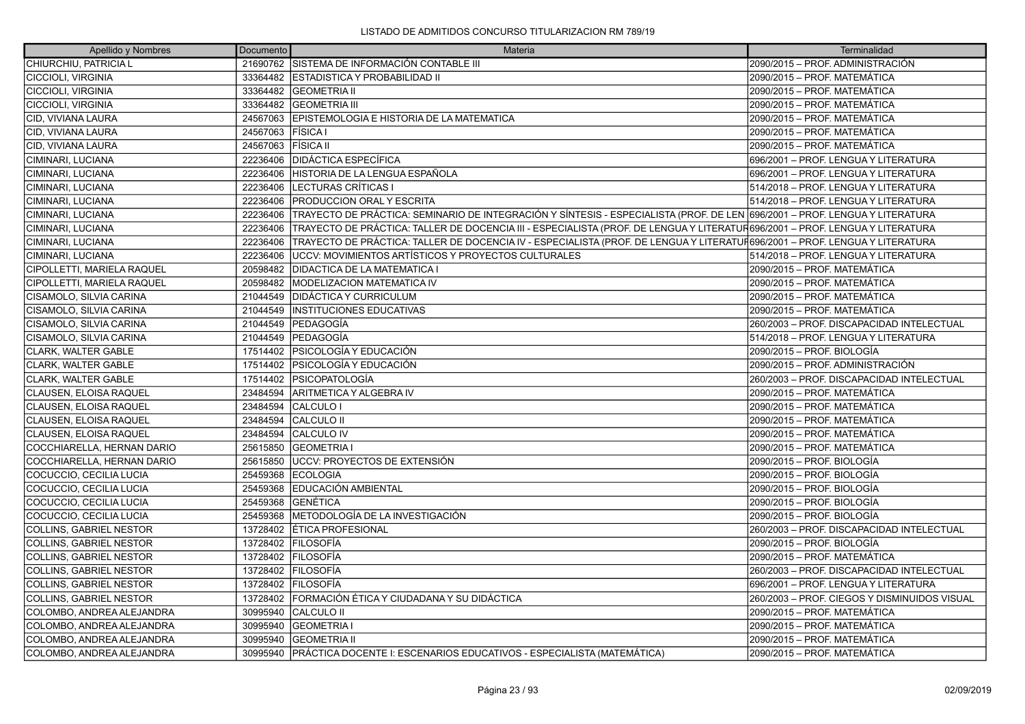| Apellido y Nombres                | Documento | Materia                                                                                                                      | Terminalidad                                 |
|-----------------------------------|-----------|------------------------------------------------------------------------------------------------------------------------------|----------------------------------------------|
| CHIURCHIU, PATRICIA L             |           | 21690762 SISTEMA DE INFORMACIÓN CONTABLE III                                                                                 | 2090/2015 - PROF. ADMINISTRACIÓN             |
| <b>CICCIOLI, VIRGINIA</b>         |           | 33364482 ESTADISTICA Y PROBABILIDAD II                                                                                       | 2090/2015 - PROF. MATEMÁTICA                 |
| CICCIOLI, VIRGINIA                |           | 33364482 GEOMETRIA II                                                                                                        | 2090/2015 – PROF. MATEMÁTICA                 |
| <b>CICCIOLI, VIRGINIA</b>         |           | 33364482 GEOMETRIA III                                                                                                       | 2090/2015 - PROF. MATEMÁTICA                 |
| CID, VIVIANA LAURA                | 24567063  | EPISTEMOLOGIA E HISTORIA DE LA MATEMATICA                                                                                    | 2090/2015 - PROF. MATEMÁTICA                 |
| CID, VIVIANA LAURA                | 24567063  | <b>FISICA</b> I                                                                                                              | 2090/2015 - PROF. MATEMÁTICA                 |
| CID, VIVIANA LAURA                | 24567063  | <b>FISICA II</b>                                                                                                             | 2090/2015 - PROF. MATEMÁTICA                 |
| CIMINARI, LUCIANA                 | 22236406  | <b>IDIDÁCTICA ESPECÍFICA</b>                                                                                                 | 696/2001 - PROF. LENGUA Y LITERATURA         |
| CIMINARI, LUCIANA                 | 22236406  | HISTORIA DE LA LENGUA ESPAÑOLA                                                                                               | 696/2001 – PROF. LENGUA Y LITERATURA         |
| CIMINARI, LUCIANA                 | 22236406  | LECTURAS CRÍTICAS I                                                                                                          | 514/2018 - PROF. LENGUA Y LITERATURA         |
| CIMINARI, LUCIANA                 | 22236406  | <b>PRODUCCION ORAL Y ESCRITA</b>                                                                                             | 514/2018 - PROF. LENGUA Y LITERATURA         |
| CIMINARI, LUCIANA                 | 22236406  | TRAYECTO DE PRÁCTICA: SEMINARIO DE INTEGRACIÓN Y SÍNTESIS - ESPECIALISTA (PROF. DE LEN 696/2001 – PROF. LENGUA Y LITERATURA  |                                              |
| CIMINARI, LUCIANA                 | 22236406  | TRAYECTO DE PRÁCTICA: TALLER DE DOCENCIA III - ESPECIALISTA (PROF. DE LENGUA Y LITERATUR696/2001 – PROF. LENGUA Y LITERATURA |                                              |
| CIMINARI, LUCIANA                 | 22236406  | TRAYECTO DE PRÁCTICA: TALLER DE DOCENCIA IV - ESPECIALISTA (PROF. DE LENGUA Y LITERATUF696/2001 – PROF. LENGUA Y LITERATURA  |                                              |
| CIMINARI, LUCIANA                 | 22236406  | IUCCV: MOVIMIENTOS ARTÍSTICOS Y PROYECTOS CULTURALES                                                                         | 514/2018 – PROF. LENGUA Y LITERATURA         |
| <b>CIPOLLETTI, MARIELA RAQUEL</b> | 20598482  | <b>DIDACTICA DE LA MATEMATICA I</b>                                                                                          | 2090/2015 - PROF. MATEMÁTICA                 |
| CIPOLLETTI, MARIELA RAQUEL        | 20598482  | MODELIZACION MATEMATICA IV                                                                                                   | 2090/2015 - PROF. MATEMÁTICA                 |
| CISAMOLO, SILVIA CARINA           | 21044549  | <b>IDIDÁCTICA Y CURRICULUM</b>                                                                                               | 2090/2015 – PROF. MATEMÁTICA                 |
| CISAMOLO, SILVIA CARINA           | 21044549  | <b>INSTITUCIONES EDUCATIVAS</b>                                                                                              | 2090/2015 - PROF. MATEMÁTICA                 |
| CISAMOLO, SILVIA CARINA           | 21044549  | <b>PEDAGOGÍA</b>                                                                                                             | 260/2003 - PROF. DISCAPACIDAD INTELECTUAL    |
| <b>CISAMOLO, SILVIA CARINA</b>    |           | 21044549 PEDAGOGÍA                                                                                                           | 514/2018 – PROF. LENGUA Y LITERATURA         |
| <b>CLARK, WALTER GABLE</b>        |           | 17514402 PSICOLOGÍA Y EDUCACIÓN                                                                                              | 2090/2015 - PROF. BIOLOGÍA                   |
| CLARK, WALTER GABLE               |           | 17514402 PSICOLOGÍA Y EDUCACIÓN                                                                                              | 2090/2015 - PROF. ADMINISTRACIÓN             |
| <b>CLARK. WALTER GABLE</b>        |           | 17514402 PSICOPATOLOGÍA                                                                                                      | 260/2003 – PROF. DISCAPACIDAD INTELECTUAL    |
| CLAUSEN, ELOISA RAQUEL            | 23484594  | ARITMETICA Y ALGEBRA IV                                                                                                      | 2090/2015 - PROF. MATEMÁTICA                 |
| CLAUSEN, ELOISA RAQUEL            | 23484594  | <b>CALCULO I</b>                                                                                                             | 2090/2015 - PROF. MATEMÁTICA                 |
| CLAUSEN, ELOISA RAQUEL            | 23484594  | <b>CALCULO II</b>                                                                                                            | 2090/2015 – PROF. MATEMÁTICA                 |
| CLAUSEN, ELOISA RAQUEL            | 23484594  | <b>CALCULO IV</b>                                                                                                            | 2090/2015 - PROF. MATEMÁTICA                 |
| COCCHIARELLA, HERNAN DARIO        | 25615850  | <b>IGEOMETRIA I</b>                                                                                                          | 2090/2015 - PROF. MATEMÁTICA                 |
| COCCHIARELLA, HERNAN DARIO        | 25615850  | LUCCV: PROYECTOS DE EXTENSIÓN                                                                                                | 2090/2015 - PROF. BIOLOGÍA                   |
| COCUCCIO, CECILIA LUCIA           | 25459368  | <b>ECOLOGIA</b>                                                                                                              | 2090/2015 - PROF. BIOLOGÍA                   |
| COCUCCIO, CECILIA LUCIA           | 25459368  | EDUCACIÓN AMBIENTAL                                                                                                          | 2090/2015 - PROF. BIOLOGÍA                   |
| COCUCCIO, CECILIA LUCIA           |           | 25459368 GENÉTICA                                                                                                            | 2090/2015 - PROF. BIOLOGÍA                   |
| COCUCCIO, CECILIA LUCIA           | 25459368  | IMETODOLOGÍA DE LA INVESTIGACIÓN                                                                                             | 2090/2015 - PROF. BIOLOGÍA                   |
| <b>COLLINS, GABRIEL NESTOR</b>    |           | 13728402 ETICA PROFESIONAL                                                                                                   | 260/2003 - PROF. DISCAPACIDAD INTELECTUAL    |
| <b>COLLINS, GABRIEL NESTOR</b>    |           | 13728402 FILOSOFÍA                                                                                                           | 2090/2015 - PROF. BIOLOGÍA                   |
| <b>COLLINS, GABRIEL NESTOR</b>    | 13728402  | <b>FILOSOFÍA</b>                                                                                                             | 2090/2015 - PROF. MATEMÁTICA                 |
| <b>COLLINS, GABRIEL NESTOR</b>    |           | 13728402 FILOSOFÍA                                                                                                           | 260/2003 - PROF. DISCAPACIDAD INTELECTUAL    |
| <b>COLLINS, GABRIEL NESTOR</b>    |           | 13728402 FILOSOFÍA                                                                                                           | 696/2001 - PROF. LENGUA Y LITERATURA         |
| <b>COLLINS, GABRIEL NESTOR</b>    |           | 13728402 FORMACIÓN ÉTICA Y CIUDADANA Y SU DIDÁCTICA                                                                          | 260/2003 - PROF. CIEGOS Y DISMINUIDOS VISUAL |
| COLOMBO, ANDREA ALEJANDRA         | 30995940  | <b>CALCULO II</b>                                                                                                            | 2090/2015 - PROF. MATEMÁTICA                 |
| COLOMBO, ANDREA ALEJANDRA         |           | 30995940 GEOMETRIA I                                                                                                         | 2090/2015 - PROF. MATEMÁTICA                 |
| COLOMBO. ANDREA ALEJANDRA         | 30995940  | <b>GEOMETRIA II</b>                                                                                                          | 2090/2015 - PROF. MATEMÁTICA                 |
| COLOMBO, ANDREA ALEJANDRA         |           | 30995940 PRÁCTICA DOCENTE I: ESCENARIOS EDUCATIVOS - ESPECIALISTA (MATEMÁTICA)                                               | 2090/2015 - PROF. MATEMÁTICA                 |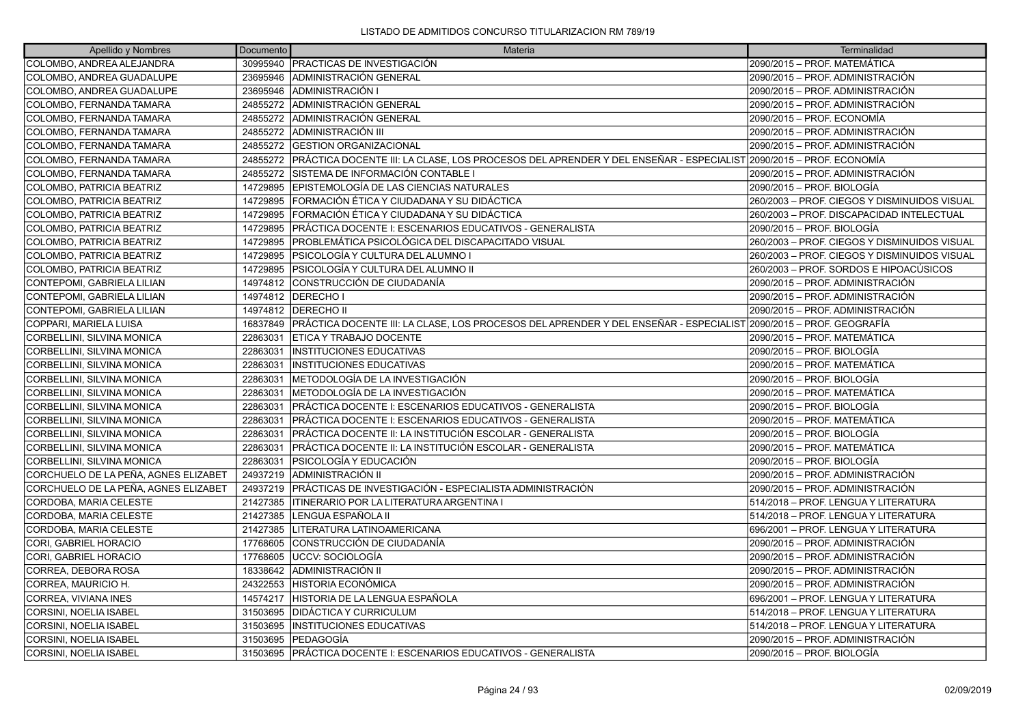| Apellido y Nombres                   | Documento | Materia                                                                                                                        | Terminalidad                                 |
|--------------------------------------|-----------|--------------------------------------------------------------------------------------------------------------------------------|----------------------------------------------|
| COLOMBO, ANDREA ALEJANDRA            |           | 30995940   PRACTICAS DE INVESTIGACIÓN                                                                                          | 2090/2015 – PROF. MATEMÁTICA                 |
| COLOMBO, ANDREA GUADALUPE            | 23695946  | ADMINISTRACIÓN GENERAL                                                                                                         | 2090/2015 - PROF. ADMINISTRACIÓN             |
| COLOMBO, ANDREA GUADALUPE            | 23695946  | <b>ADMINISTRACIÓN I</b>                                                                                                        | 2090/2015 – PROF. ADMINISTRACIÓN             |
| COLOMBO, FERNANDA TAMARA             | 24855272  | ADMINISTRACIÓN GENERAL                                                                                                         | 2090/2015 - PROF. ADMINISTRACIÓN             |
| COLOMBO, FERNANDA TAMARA             | 24855272  | ADMINISTRACIÓN GENERAL                                                                                                         | 2090/2015 - PROF. ECONOMÍA                   |
| COLOMBO, FERNANDA TAMARA             | 24855272  | <b>JADMINISTRACIÓN III</b>                                                                                                     | 2090/2015 - PROF. ADMINISTRACIÓN             |
| COLOMBO, FERNANDA TAMARA             | 24855272  | <b>IGESTION ORGANIZACIONAL</b>                                                                                                 | 2090/2015 – PROF. ADMINISTRACIÓN             |
| COLOMBO, FERNANDA TAMARA             |           | 24855272 PRÁCTICA DOCENTE III: LA CLASE, LOS PROCESOS DEL APRENDER Y DEL ENSEÑAR - ESPECIALIST 2090/2015 – PROF. ECONOMÍA      |                                              |
| COLOMBO, FERNANDA TAMARA             | 24855272  | ISISTEMA DE INFORMACIÓN CONTABLE I                                                                                             | 2090/2015 – PROF. ADMINISTRACIÓN             |
| COLOMBO, PATRICIA BEATRIZ            | 14729895  | EPISTEMOLOGÍA DE LAS CIENCIAS NATURALES                                                                                        | 2090/2015 - PROF. BIOLOGÍA                   |
| COLOMBO, PATRICIA BEATRIZ            | 14729895  | FORMACIÓN ÉTICA Y CIUDADANA Y SU DIDÁCTICA                                                                                     | 260/2003 - PROF. CIEGOS Y DISMINUIDOS VISUAL |
| COLOMBO, PATRICIA BEATRIZ            | 14729895  | ÍFORMACIÓN ÉTICA Y CIUDADANA Y SU DIDÁCTICA                                                                                    | 260/2003 - PROF. DISCAPACIDAD INTELECTUAL    |
| COLOMBO, PATRICIA BEATRIZ            | 14729895  | PRÁCTICA DOCENTE I: ESCENARIOS EDUCATIVOS - GENERALISTA                                                                        | 2090/2015 - PROF. BIOLOGÍA                   |
| COLOMBO, PATRICIA BEATRIZ            | 14729895  | PROBLEMÁTICA PSICOLÓGICA DEL DISCAPACITADO VISUAL                                                                              | 260/2003 - PROF. CIEGOS Y DISMINUIDOS VISUAL |
| COLOMBO, PATRICIA BEATRIZ            | 14729895  | IPSICOLOGÍA Y CULTURA DEL ALUMNO I                                                                                             | 260/2003 - PROF. CIEGOS Y DISMINUIDOS VISUAL |
| COLOMBO, PATRICIA BEATRIZ            | 14729895  | PSICOLOGÍA Y CULTURA DEL ALUMNO II                                                                                             | 260/2003 – PROF. SORDOS E HIPOACÚSICOS       |
| CONTEPOMI, GABRIELA LILIAN           | 14974812  | ICONSTRUCCIÓN DE CIUDADANÍA                                                                                                    | 2090/2015 - PROF. ADMINISTRACIÓN             |
| CONTEPOMI, GABRIELA LILIAN           |           | 14974812   DERECHO I                                                                                                           | 2090/2015 - PROF. ADMINISTRACIÓN             |
| CONTEPOMI, GABRIELA LILIAN           |           | 14974812   DERECHO II                                                                                                          | 2090/2015 - PROF. ADMINISTRACIÓN             |
| COPPARI, MARIELA LUISA               |           | 16837849   PRÁCTICA DOCENTE III: LA CLASE, LOS PROCESOS DEL APRENDER Y DEL ENSEÑAR - ESPECIALIST   2090/2015 - PROF. GEOGRAFÍA |                                              |
| CORBELLINI, SILVINA MONICA           | 22863031  | <b>ETICA Y TRABAJO DOCENTE</b>                                                                                                 | 2090/2015 – PROF. MATEMÁTICA                 |
| CORBELLINI, SILVINA MONICA           | 22863031  | <b>INSTITUCIONES EDUCATIVAS</b>                                                                                                | 2090/2015 - PROF. BIOLOGÍA                   |
| CORBELLINI, SILVINA MONICA           | 22863031  | IINSTITUCIONES EDUCATIVAS                                                                                                      | 2090/2015 - PROF. MATEMÁTICA                 |
| CORBELLINI, SILVINA MONICA           | 22863031  | IMETODOLOGÍA DE LA INVESTIGACIÓN                                                                                               | l2090/2015 – PROF. BIOLOGÍA                  |
| CORBELLINI, SILVINA MONICA           | 22863031  | METODOLOGÍA DE LA INVESTIGACIÓN                                                                                                | 2090/2015 - PROF. MATEMÁTICA                 |
| CORBELLINI, SILVINA MONICA           | 22863031  | PRÁCTICA DOCENTE I: ESCENARIOS EDUCATIVOS - GENERALISTA                                                                        | 2090/2015 - PROF. BIOLOGÍA                   |
| CORBELLINI, SILVINA MONICA           | 22863031  | PRÁCTICA DOCENTE I: ESCENARIOS EDUCATIVOS - GENERALISTA                                                                        | l2090/2015 – PROF. MATEMÁTICA                |
| CORBELLINI, SILVINA MONICA           | 22863031  | PRÁCTICA DOCENTE II: LA INSTITUCIÓN ESCOLAR - GENERALISTA                                                                      | 2090/2015 – PROF. BIOLOGÍA                   |
| CORBELLINI, SILVINA MONICA           | 22863031  | PRÁCTICA DOCENTE II: LA INSTITUCIÓN ESCOLAR - GENERALISTA                                                                      | 2090/2015 - PROF. MATEMÁTICA                 |
| CORBELLINI, SILVINA MONICA           | 22863031  | IPSICOLOGÍA Y EDUCACIÓN                                                                                                        | 2090/2015 – PROF. BIOLOGÍA                   |
| CORCHUELO DE LA PEÑA, AGNES ELIZABET | 24937219  | ADMINISTRACIÓN II                                                                                                              | 2090/2015 - PROF. ADMINISTRACIÓN             |
| CORCHUELO DE LA PEÑA, AGNES ELIZABET | 24937219  | <b>IPRÁCTICAS DE INVESTIGACIÓN - ESPECIALISTA ADMINISTRACIÓN</b>                                                               | 2090/2015 - PROF. ADMINISTRACIÓN             |
| CORDOBA, MARIA CELESTE               | 21427385  | IITINERARIO POR LA LITERATURA ARGENTINA I                                                                                      | 514/2018 – PROF. LENGUA Y LITERATURA         |
| CORDOBA, MARIA CELESTE               | 21427385  | LENGUA ESPAÑOLA II                                                                                                             | 514/2018 - PROF. LENGUA Y LITERATURA         |
| CORDOBA, MARIA CELESTE               | 21427385  | LITERATURA LATINOAMERICANA                                                                                                     | 696/2001 - PROF. LENGUA Y LITERATURA         |
| CORI. GABRIEL HORACIO                | 17768605  | ICONSTRUCCIÓN DE CIUDADANÍA                                                                                                    | 2090/2015 – PROF. ADMINISTRACIÓN             |
| CORI, GABRIEL HORACIO                | 17768605  | UCCV: SOCIOLOGÍA                                                                                                               | 2090/2015 - PROF. ADMINISTRACIÓN             |
| CORREA, DEBORA ROSA                  | 18338642  | <b>ADMINISTRACIÓN II</b>                                                                                                       | 2090/2015 - PROF. ADMINISTRACIÓN             |
| CORREA, MAURICIO H.                  | 24322553  | <b>HISTORIA ECONÓMICA</b>                                                                                                      | 2090/2015 – PROF. ADMINISTRACIÓN             |
| CORREA, VIVIANA INES                 | 14574217  | HISTORIA DE LA LENGUA ESPAÑOLA                                                                                                 | 696/2001 - PROF. LENGUA Y LITERATURA         |
| CORSINI, NOELIA ISABEL               | 31503695  | <b>IDIDÁCTICA Y CURRICULUM</b>                                                                                                 | 514/2018 - PROF. LENGUA Y LITERATURA         |
| CORSINI, NOELIA ISABEL               | 31503695  | <b>INSTITUCIONES EDUCATIVAS</b>                                                                                                | 514/2018 - PROF. LENGUA Y LITERATURA         |
| CORSINI, NOELIA ISABEL               | 31503695  | <b>IPEDAGOGÍA</b>                                                                                                              | 2090/2015 - PROF. ADMINISTRACIÓN             |
| <b>CORSINI. NOELIA ISABEL</b>        |           | 31503695 PRÁCTICA DOCENTE I: ESCENARIOS EDUCATIVOS - GENERALISTA                                                               | 2090/2015 - PROF. BIOLOGÍA                   |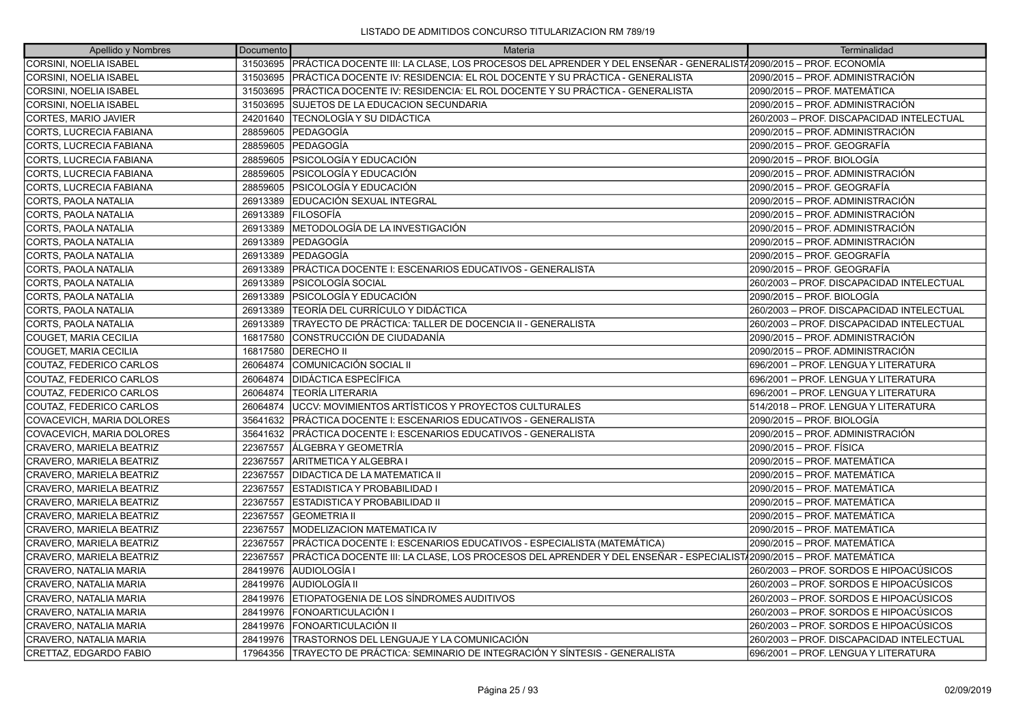| Apellido y Nombres             | Documento | Materia                                                                                                            | Terminalidad                              |
|--------------------------------|-----------|--------------------------------------------------------------------------------------------------------------------|-------------------------------------------|
| <b>CORSINI, NOELIA ISABEL</b>  | 31503695  | PRÁCTICA DOCENTE III: LA CLASE, LOS PROCESOS DEL APRENDER Y DEL ENSEÑAR - GENERALIST/2090/2015 – PROF. ECONOMÍA    |                                           |
| <b>CORSINI, NOELIA ISABEL</b>  | 31503695  | IPRÁCTICA DOCENTE IV: RESIDENCIA: EL ROL DOCENTE Y SU PRÁCTICA - GENERALISTA                                       | 2090/2015 – PROF. ADMINISTRACIÓN          |
| CORSINI, NOELIA ISABEL         | 31503695  | PRÁCTICA DOCENTE IV: RESIDENCIA: EL ROL DOCENTE Y SU PRÁCTICA - GENERALISTA                                        | 2090/2015 – PROF. MATEMÁTICA              |
| CORSINI, NOELIA ISABEL         | 31503695  | SUJETOS DE LA EDUCACION SECUNDARIA                                                                                 | 2090/2015 - PROF. ADMINISTRACIÓN          |
| CORTES, MARIO JAVIER           | 24201640  | <b>TECNOLOGÍA Y SU DIDÁCTICA</b>                                                                                   | 260/2003 - PROF. DISCAPACIDAD INTELECTUAL |
| <b>CORTS, LUCRECIA FABIANA</b> | 28859605  | PEDAGOGÍA                                                                                                          | 2090/2015 – PROF. ADMINISTRACIÓN          |
| CORTS, LUCRECIA FABIANA        | 28859605  | PEDAGOGÍA                                                                                                          | 2090/2015 - PROF. GEOGRAFÍA               |
| CORTS, LUCRECIA FABIANA        | 28859605  | PSICOLOGÍA Y EDUCACIÓN                                                                                             | 2090/2015 - PROF. BIOLOGÍA                |
| <b>CORTS, LUCRECIA FABIANA</b> | 28859605  | IPSICOLOGÍA Y EDUCACIÓN                                                                                            | 2090/2015 - PROF. ADMINISTRACIÓN          |
| CORTS, LUCRECIA FABIANA        | 28859605  | PSICOLOGÍA Y EDUCACIÓN                                                                                             | 2090/2015 - PROF. GEOGRAFÍA               |
| CORTS, PAOLA NATALIA           | 26913389  | EDUCACIÓN SEXUAL INTEGRAL                                                                                          | 2090/2015 - PROF. ADMINISTRACIÓN          |
| CORTS, PAOLA NATALIA           | 26913389  | <b>FILOSOFÍA</b>                                                                                                   | 2090/2015 – PROF. ADMINISTRACIÓN          |
| CORTS, PAOLA NATALIA           | 26913389  | METODOLOGÍA DE LA INVESTIGACIÓN                                                                                    | 2090/2015 - PROF. ADMINISTRACIÓN          |
| CORTS, PAOLA NATALIA           | 26913389  | PEDAGOGÍA                                                                                                          | 2090/2015 - PROF. ADMINISTRACIÓN          |
| CORTS, PAOLA NATALIA           | 26913389  | lPEDAGOGÍA                                                                                                         | 2090/2015 - PROF. GEOGRAFÍA               |
| <b>CORTS. PAOLA NATALIA</b>    | 26913389  | PRÁCTICA DOCENTE I: ESCENARIOS EDUCATIVOS - GENERALISTA                                                            | 2090/2015 - PROF. GEOGRAFÍA               |
| CORTS, PAOLA NATALIA           | 26913389  | <b>PSICOLOGÍA SOCIAL</b>                                                                                           | 260/2003 - PROF. DISCAPACIDAD INTELECTUAL |
| CORTS, PAOLA NATALIA           | 26913389  | IPSICOLOGÍA Y EDUCACIÓN                                                                                            | 2090/2015 - PROF. BIOLOGÍA                |
| CORTS, PAOLA NATALIA           | 26913389  | TEORÍA DEL CURRÍCULO Y DIDÁCTICA                                                                                   | 260/2003 - PROF. DISCAPACIDAD INTELECTUAL |
| CORTS, PAOLA NATALIA           | 26913389  | TRAYECTO DE PRÁCTICA: TALLER DE DOCENCIA II - GENERALISTA                                                          | 260/2003 - PROF. DISCAPACIDAD INTELECTUAL |
| COUGET, MARIA CECILIA          | 16817580  | CONSTRUCCIÓN DE CIUDADANÍA                                                                                         | 2090/2015 - PROF. ADMINISTRACIÓN          |
| <b>COUGET, MARIA CECILIA</b>   | 16817580  | <b>DERECHO II</b>                                                                                                  | 2090/2015 - PROF. ADMINISTRACIÓN          |
| COUTAZ, FEDERICO CARLOS        | 26064874  | COMUNICACIÓN SOCIAL II                                                                                             | 696/2001 - PROF. LENGUA Y LITERATURA      |
| COUTAZ, FEDERICO CARLOS        | 26064874  | IDIDÁCTICA ESPECÍFICA                                                                                              | 696/2001 – PROF. LENGUA Y LITERATURA      |
| COUTAZ, FEDERICO CARLOS        | 26064874  | TEORÍA LITERARIA                                                                                                   | 696/2001 - PROF. LENGUA Y LITERATURA      |
| COUTAZ, FEDERICO CARLOS        | 26064874  | UCCV: MOVIMIENTOS ARTÍSTICOS Y PROYECTOS CULTURALES                                                                | 514/2018 - PROF. LENGUA Y LITERATURA      |
| COVACEVICH, MARIA DOLORES      | 35641632  | PRÁCTICA DOCENTE I: ESCENARIOS EDUCATIVOS - GENERALISTA                                                            | 2090/2015 - PROF. BIOLOGÍA                |
| COVACEVICH, MARIA DOLORES      | 35641632  | PRÁCTICA DOCENTE I: ESCENARIOS EDUCATIVOS - GENERALISTA                                                            | 2090/2015 - PROF. ADMINISTRACIÓN          |
| CRAVERO, MARIELA BEATRIZ       | 22367557  | ÍÁLGEBRA Y GEOMETRÍA                                                                                               | 2090/2015 - PROF. FÍSICA                  |
| CRAVERO, MARIELA BEATRIZ       | 22367557  | ARITMETICA Y ALGEBRA I                                                                                             | 2090/2015 – PROF. MATEMÁTICA              |
| CRAVERO, MARIELA BEATRIZ       | 22367557  | IDIDACTICA DE LA MATEMATICA II                                                                                     | 2090/2015 - PROF. MATEMÁTICA              |
| CRAVERO, MARIELA BEATRIZ       | 22367557  | ESTADISTICA Y PROBABILIDAD I                                                                                       | 2090/2015 - PROF. MATEMÁTICA              |
| CRAVERO, MARIELA BEATRIZ       | 22367557  | <b>ESTADISTICA Y PROBABILIDAD II</b>                                                                               | 2090/2015 – PROF. MATEMÁTICA              |
| CRAVERO, MARIELA BEATRIZ       | 22367557  | <b>GEOMETRIA II</b>                                                                                                | 2090/2015 - PROF. MATEMÁTICA              |
| CRAVERO, MARIELA BEATRIZ       | 22367557  | <b>MODELIZACION MATEMATICA IV</b>                                                                                  | 2090/2015 - PROF. MATEMÁTICA              |
| CRAVERO, MARIELA BEATRIZ       | 22367557  | PRÁCTICA DOCENTE I: ESCENARIOS EDUCATIVOS - ESPECIALISTA (MATEMÁTICA)                                              | 2090/2015 – PROF. MATEMÁTICA              |
| CRAVERO, MARIELA BEATRIZ       | 22367557  | PRÁCTICA DOCENTE III: LA CLASE, LOS PROCESOS DEL APRENDER Y DEL ENSEÑAR - ESPECIALIST∤2090/2015 – PROF. MATEMÁTICA |                                           |
| CRAVERO, NATALIA MARIA         | 28419976  | AUDIOLOGÍA I                                                                                                       | 260/2003 – PROF. SORDOS E HIPOACÚSICOS    |
| CRAVERO, NATALIA MARIA         | 28419976  | AUDIOLOGÍA II                                                                                                      | 260/2003 – PROF. SORDOS E HIPOACÚSICOS    |
| CRAVERO, NATALIA MARIA         | 28419976  | ETIOPATOGENIA DE LOS SÍNDROMES AUDITIVOS                                                                           | 260/2003 – PROF. SORDOS E HIPOACÚSICOS    |
| CRAVERO, NATALIA MARIA         | 28419976  | FONOARTICULACIÓN I                                                                                                 | 260/2003 – PROF. SORDOS E HIPOACÚSICOS    |
| CRAVERO, NATALIA MARIA         | 28419976  | <b>IFONOARTICULACIÓN II</b>                                                                                        | 260/2003 - PROF. SORDOS E HIPOACÚSICOS    |
| CRAVERO, NATALIA MARIA         | 28419976  | TRASTORNOS DEL LENGUAJE Y LA COMUNICACIÓN                                                                          | 260/2003 – PROF. DISCAPACIDAD INTELECTUAL |
| <b>CRETTAZ. EDGARDO FABIO</b>  | 17964356  | ITRAYECTO DE PRÁCTICA: SEMINARIO DE INTEGRACIÓN Y SÍNTESIS - GENERALISTA                                           | 696/2001 - PROF. LENGUA Y LITERATURA      |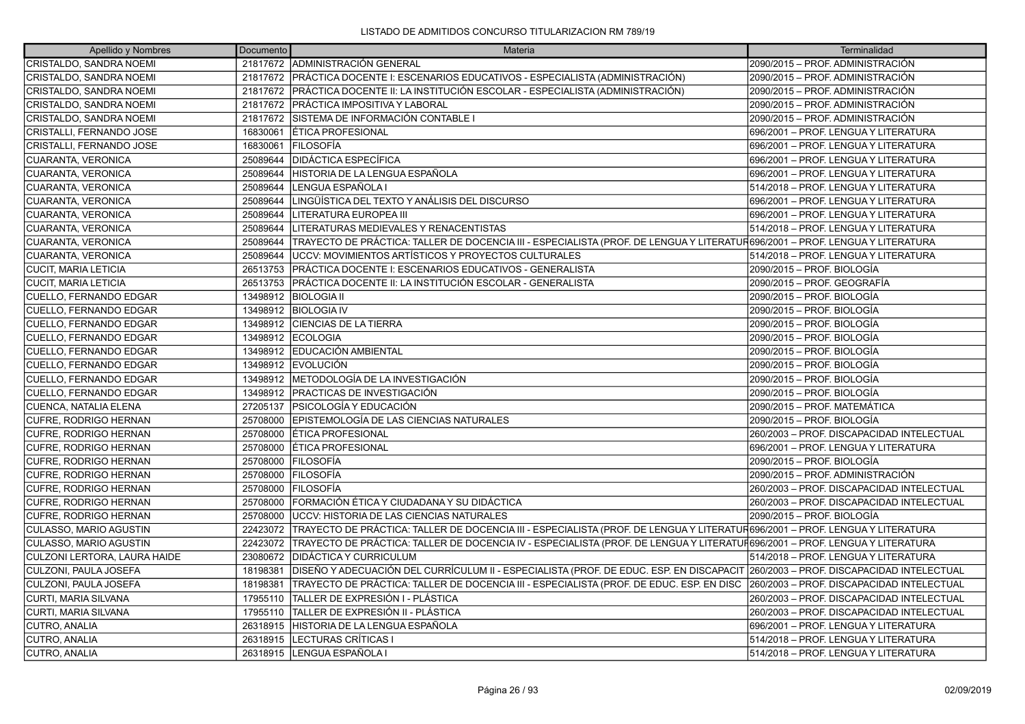| Apellido y Nombres            | Documento | Materia                                                                                                                           | Terminalidad                              |
|-------------------------------|-----------|-----------------------------------------------------------------------------------------------------------------------------------|-------------------------------------------|
| CRISTALDO, SANDRA NOEMI       |           | 21817672 ADMINISTRACIÓN GENERAL                                                                                                   | 2090/2015 - PROF. ADMINISTRACIÓN          |
| CRISTALDO, SANDRA NOEMI       |           | 21817672   PRÁCTICA DOCENTE I: ESCENARIOS EDUCATIVOS - ESPECIALISTA (ADMINISTRACIÓN)                                              | 2090/2015 - PROF. ADMINISTRACIÓN          |
| CRISTALDO, SANDRA NOEMI       |           | 21817672 PRÁCTICA DOCENTE II: LA INSTITUCIÓN ESCOLAR - ESPECIALISTA (ADMINISTRACIÓN)                                              | 2090/2015 - PROF. ADMINISTRACIÓN          |
| CRISTALDO, SANDRA NOEMI       |           | 21817672   PRÁCTICA IMPOSITIVA Y LABORAL                                                                                          | 2090/2015 - PROF. ADMINISTRACIÓN          |
| CRISTALDO, SANDRA NOEMI       | 21817672  | SISTEMA DE INFORMACIÓN CONTABLE I                                                                                                 | 2090/2015 - PROF. ADMINISTRACIÓN          |
| CRISTALLI, FERNANDO JOSE      | 16830061  | <b>LÉTICA PROFESIONAL</b>                                                                                                         | 696/2001 - PROF. LENGUA Y LITERATURA      |
| CRISTALLI, FERNANDO JOSE      | 16830061  | <b>FILOSOFÍA</b>                                                                                                                  | 696/2001 - PROF. LENGUA Y LITERATURA      |
| CUARANTA, VERONICA            | 25089644  | <b>DIDÁCTICA ESPECÍFICA</b>                                                                                                       | 696/2001 - PROF. LENGUA Y LITERATURA      |
| CUARANTA, VERONICA            | 25089644  | HISTORIA DE LA LENGUA ESPAÑOLA                                                                                                    | 696/2001 – PROF. LENGUA Y LITERATURA      |
| CUARANTA, VERONICA            | 25089644  | LENGUA ESPAÑOLA I                                                                                                                 | 514/2018 – PROF. LENGUA Y LITERATURA      |
| CUARANTA, VERONICA            | 25089644  | LINGÜÍSTICA DEL TEXTO Y ANÁLISIS DEL DISCURSO                                                                                     | 696/2001 - PROF. LENGUA Y LITERATURA      |
| CUARANTA, VERONICA            | 25089644  | LITERATURA EUROPEA III                                                                                                            | 696/2001 – PROF. LENGUA Y LITERATURA      |
| CUARANTA, VERONICA            | 25089644  | LITERATURAS MEDIEVALES Y RENACENTISTAS                                                                                            | 514/2018 – PROF. LENGUA Y LITERATURA      |
| CUARANTA, VERONICA            | 25089644  | TRAYECTO DE PRÁCTICA: TALLER DE DOCENCIA III - ESPECIALISTA (PROF. DE LENGUA Y LITERATUR696/2001 – PROF. LENGUA Y LITERATURA      |                                           |
| <b>CUARANTA, VERONICA</b>     | 25089644  | UCCV: MOVIMIENTOS ARTÍSTICOS Y PROYECTOS CULTURALES                                                                               | 514/2018 - PROF. LENGUA Y LITERATURA      |
| <b>CUCIT, MARIA LETICIA</b>   | 26513753  | PRÁCTICA DOCENTE I: ESCENARIOS EDUCATIVOS - GENERALISTA                                                                           | 2090/2015 - PROF. BIOLOGÍA                |
| <b>CUCIT, MARIA LETICIA</b>   |           | 26513753 PRÁCTICA DOCENTE II: LA INSTITUCIÓN ESCOLAR - GENERALISTA                                                                | 2090/2015 - PROF. GEOGRAFÍA               |
| CUELLO, FERNANDO EDGAR        |           | 13498912 BIOLOGIA II                                                                                                              | 2090/2015 – PROF. BIOLOGÍA                |
| CUELLO, FERNANDO EDGAR        |           | 13498912 BIOLOGIA IV                                                                                                              | 2090/2015 - PROF. BIOLOGÍA                |
| CUELLO, FERNANDO EDGAR        |           | 13498912 CIENCIAS DE LA TIERRA                                                                                                    | 2090/2015 - PROF. BIOLOGÍA                |
| CUELLO, FERNANDO EDGAR        |           | 13498912 ECOLOGIA                                                                                                                 | 2090/2015 – PROF. BIOLOGÍA                |
| CUELLO, FERNANDO EDGAR        |           | 13498912 EDUCACIÓN AMBIENTAL                                                                                                      | 2090/2015 - PROF. BIOLOGÍA                |
| CUELLO, FERNANDO EDGAR        |           | 13498912 EVOLUCIÓN                                                                                                                | 2090/2015 - PROF. BIOLOGÍA                |
| <b>CUELLO, FERNANDO EDGAR</b> |           | 13498912 METODOLOGÍA DE LA INVESTIGACIÓN                                                                                          | 2090/2015 – PROF. BIOLOGÍA                |
| CUELLO, FERNANDO EDGAR        |           | 13498912   PRACTICAS DE INVESTIGACIÓN                                                                                             | 2090/2015 - PROF. BIOLOGÍA                |
| CUENCA, NATALIA ELENA         |           | 27205137   PSICOLOGÍA Y EDUCACIÓN                                                                                                 | 2090/2015 - PROF. MATEMÁTICA              |
| <b>CUFRE, RODRIGO HERNAN</b>  | 25708000  | EPISTEMOLOGÍA DE LAS CIENCIAS NATURALES                                                                                           | 2090/2015 - PROF. BIOLOGÍA                |
| CUFRE, RODRIGO HERNAN         | 25708000  | <b>ETICA PROFESIONAL</b>                                                                                                          | 260/2003 - PROF. DISCAPACIDAD INTELECTUAL |
| CUFRE, RODRIGO HERNAN         | 25708000  | <b>ÉTICA PROFESIONAL</b>                                                                                                          | 696/2001 - PROF. LENGUA Y LITERATURA      |
| <b>CUFRE, RODRIGO HERNAN</b>  | 25708000  | <b>FILOSOFÍA</b>                                                                                                                  | 2090/2015 – PROF. BIOLOGÍA                |
| <b>CUFRE, RODRIGO HERNAN</b>  |           | 25708000 FILOSOFÍA                                                                                                                | 2090/2015 - PROF. ADMINISTRACIÓN          |
| CUFRE, RODRIGO HERNAN         |           | 25708000 FILOSOFÍA                                                                                                                | 260/2003 - PROF. DISCAPACIDAD INTELECTUAL |
| CUFRE, RODRIGO HERNAN         | 25708000  | FORMACIÓN ÉTICA Y CIUDADANA Y SU DIDÁCTICA                                                                                        | 260/2003 - PROF. DISCAPACIDAD INTELECTUAL |
| <b>CUFRE, RODRIGO HERNAN</b>  | 25708000  | <b>JUCCV: HISTORIA DE LAS CIENCIAS NATURALES</b>                                                                                  | 2090/2015 - PROF. BIOLOGÍA                |
| CULASSO, MARIO AGUSTIN        | 22423072  | TRAYECTO DE PRÁCTICA: TALLER DE DOCENCIA III - ESPECIALISTA (PROF. DE LENGUA Y LITERATUR696/2001 – PROF. LENGUA Y LITERATURA      |                                           |
| <b>CULASSO, MARIO AGUSTIN</b> | 22423072  | TRAYECTO DE PRÁCTICA: TALLER DE DOCENCIA IV - ESPECIALISTA (PROF. DE LENGUA Y LITERATUF696/2001 – PROF. LENGUA Y LITERATURA       |                                           |
| CULZONI LERTORA, LAURA HAIDE  | 23080672  | <b>DIDÁCTICA Y CURRICULUM</b>                                                                                                     | 514/2018 - PROF. LENGUA Y LITERATURA      |
| CULZONI, PAULA JOSEFA         | 18198381  | DISEÑO Y ADECUACIÓN DEL CURRÍCULUM II - ESPECIALISTA (PROF. DE EDUC. ESP. EN DISCAPACIT 260/2003 - PROF. DISCAPACIDAD INTELECTUAL |                                           |
| CULZONI, PAULA JOSEFA         | 18198381  | TRAYECTO DE PRÁCTICA: TALLER DE DOCENCIA III - ESPECIALISTA (PROF. DE EDUC. ESP. EN DISC                                          | 260/2003 - PROF. DISCAPACIDAD INTELECTUAL |
| CURTI, MARIA SILVANA          | 17955110  | TALLER DE EXPRESIÓN I - PLÁSTICA                                                                                                  | 260/2003 - PROF. DISCAPACIDAD INTELECTUAL |
| <b>CURTI, MARIA SILVANA</b>   | 17955110  | <b>TALLER DE EXPRESIÓN II - PLÁSTICA</b>                                                                                          | 260/2003 - PROF. DISCAPACIDAD INTELECTUAL |
| CUTRO, ANALIA                 | 26318915  | HISTORIA DE LA LENGUA ESPAÑOLA                                                                                                    | 696/2001 - PROF. LENGUA Y LITERATURA      |
| CUTRO, ANALIA                 | 26318915  | LECTURAS CRÍTICAS I                                                                                                               | 514/2018 - PROF. LENGUA Y LITERATURA      |
| CUTRO, ANALIA                 |           | 26318915 LENGUA ESPAÑOLA I                                                                                                        | 514/2018 – PROF. LENGUA Y LITERATURA      |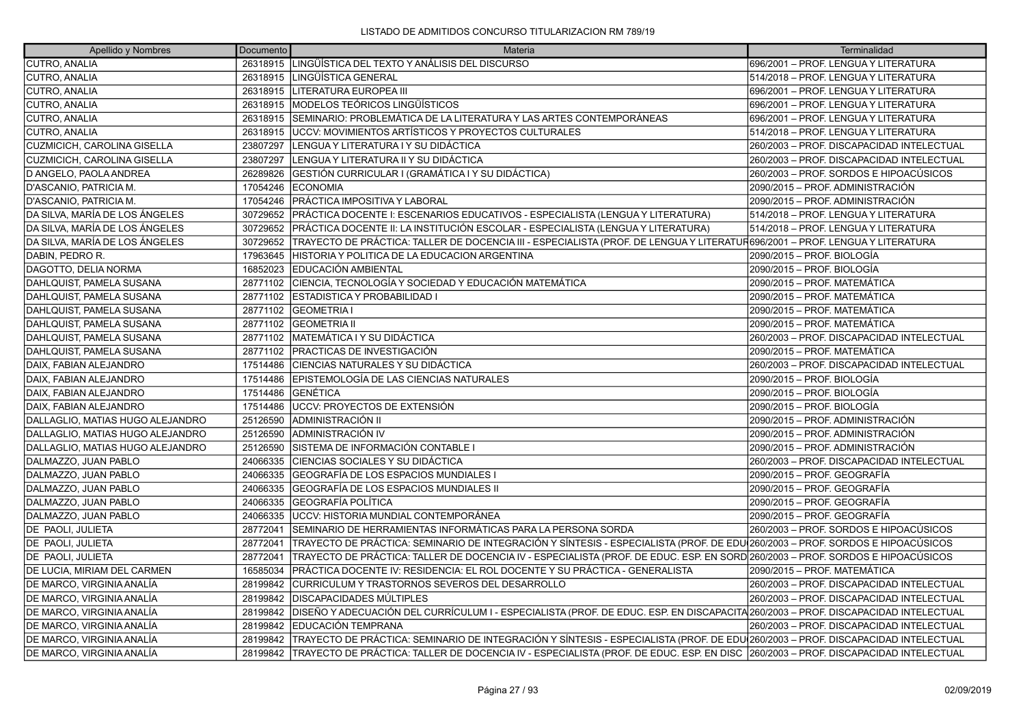| Apellido y Nombres                 | Documento | Materia                                                                                                                                     | Terminalidad                              |
|------------------------------------|-----------|---------------------------------------------------------------------------------------------------------------------------------------------|-------------------------------------------|
| CUTRO, ANALIA                      | 26318915  | LINGÜÍSTICA DEL TEXTO Y ANÁLISIS DEL DISCURSO                                                                                               | 696/2001 - PROF. LENGUA Y LITERATURA      |
| CUTRO, ANALIA                      | 26318915  | LINGÜÍSTICA GENERAL                                                                                                                         | 514/2018 - PROF. LENGUA Y LITERATURA      |
| CUTRO, ANALIA                      |           | 26318915 LITERATURA EUROPEA III                                                                                                             | 696/2001 - PROF. LENGUA Y LITERATURA      |
| ICUTRO. ANALIA                     | 26318915  | IMODELOS TEÓRICOS LINGÜÍSTICOS                                                                                                              | 1696/2001 – PROF. LENGUA Y LITERATURA     |
| CUTRO, ANALIA                      | 26318915  | SEMINARIO: PROBLEMÁTICA DE LA LITERATURA Y LAS ARTES CONTEMPORÁNEAS                                                                         | 696/2001 - PROF. LENGUA Y LITERATURA      |
| CUTRO, ANALIA                      | 26318915  | IUCCV: MOVIMIENTOS ARTÍSTICOS Y PROYECTOS CULTURALES                                                                                        | 514/2018 - PROF. LENGUA Y LITERATURA      |
| <b>CUZMICICH, CAROLINA GISELLA</b> | 23807297  | LENGUA Y LITERATURA I Y SU DIDÁCTICA                                                                                                        | 260/2003 - PROF. DISCAPACIDAD INTELECTUAL |
| <b>CUZMICICH, CAROLINA GISELLA</b> | 23807297  | LENGUA Y LITERATURA II Y SU DIDÁCTICA                                                                                                       | 260/2003 - PROF. DISCAPACIDAD INTELECTUAL |
| D ANGELO, PAOLA ANDREA             | 26289826  | GESTIÓN CURRICULAR I (GRAMÁTICA I Y SU DIDÁCTICA)                                                                                           | 260/2003 – PROF. SORDOS E HIPOACÚSICOS    |
| D'ASCANIO, PATRICIA M.             | 17054246  | <b>ECONOMIA</b>                                                                                                                             | 2090/2015 – PROF. ADMINISTRACIÓN          |
| D'ASCANIO, PATRICIA M.             | 17054246  | PRÁCTICA IMPOSITIVA Y LABORAL                                                                                                               | 2090/2015 – PROF. ADMINISTRACIÓN          |
| DA SILVA, MARÍA DE LOS ÁNGELES     | 30729652  | PRÁCTICA DOCENTE I: ESCENARIOS EDUCATIVOS - ESPECIALISTA (LENGUA Y LITERATURA)                                                              | 514/2018 - PROF. LENGUA Y LITERATURA      |
| DA SILVA, MARÍA DE LOS ÁNGELES     | 30729652  | PRÁCTICA DOCENTE II: LA INSTITUCIÓN ESCOLAR - ESPECIALISTA (LENGUA Y LITERATURA)                                                            | 514/2018 - PROF. LENGUA Y LITERATURA      |
| DA SILVA, MARÍA DE LOS ÁNGELES     | 30729652  | TRAYECTO DE PRÁCTICA: TALLER DE DOCENCIA III - ESPECIALISTA (PROF. DE LENGUA Y LITERATUR696/2001 – PROF. LENGUA Y LITERATURA                |                                           |
| DABIN, PEDRO R.                    | 17963645  | HISTORIA Y POLITICA DE LA EDUCACION ARGENTINA                                                                                               | 2090/2015 – PROF. BIOLOGÍA                |
| DAGOTTO, DELIA NORMA               | 16852023  | <b>EDUCACIÓN AMBIENTAL</b>                                                                                                                  | 2090/2015 – PROF. BIOLOGÍA                |
| DAHLQUIST, PAMELA SUSANA           | 28771102  | CIENCIA, TECNOLOGÍA Y SOCIEDAD Y EDUCACIÓN MATEMÁTICA                                                                                       | 2090/2015 - PROF. MATEMÁTICA              |
| DAHLQUIST, PAMELA SUSANA           | 28771102  | <b>ESTADISTICA Y PROBABILIDAD I</b>                                                                                                         | 2090/2015 – PROF. MATEMÁTICA              |
| DAHLQUIST, PAMELA SUSANA           | 28771102  | <b>GEOMETRIA I</b>                                                                                                                          | 2090/2015 – PROF. MATEMÁTICA              |
| DAHLQUIST, PAMELA SUSANA           | 28771102  | <b>GEOMETRIA II</b>                                                                                                                         | 2090/2015 - PROF. MATEMÁTICA              |
| DAHLQUIST, PAMELA SUSANA           | 28771102  | MATEMÁTICA I Y SU DIDÁCTICA                                                                                                                 | 260/2003 - PROF. DISCAPACIDAD INTELECTUAL |
| DAHLQUIST, PAMELA SUSANA           | 28771102  | PRACTICAS DE INVESTIGACIÓN                                                                                                                  | 2090/2015 – PROF. MATEMÁTICA              |
| DAIX, FABIAN ALEJANDRO             | 17514486  | CIENCIAS NATURALES Y SU DIDÁCTICA                                                                                                           | 260/2003 - PROF. DISCAPACIDAD INTELECTUAL |
| DAIX, FABIAN ALEJANDRO             | 17514486  | IEPISTEMOLOGÍA DE LAS CIENCIAS NATURALES                                                                                                    | 2090/2015 – PROF. BIOLOGÍA                |
| DAIX, FABIAN ALEJANDRO             | 17514486  | GENÉTICA                                                                                                                                    | 2090/2015 – PROF. BIOLOGÍA                |
| DAIX, FABIAN ALEJANDRO             | 17514486  | UCCV: PROYECTOS DE EXTENSIÓN                                                                                                                | 2090/2015 – PROF. BIOLOGÍA                |
| DALLAGLIO, MATIAS HUGO ALEJANDRO   | 25126590  | ADMINISTRACIÓN II                                                                                                                           | 2090/2015 - PROF. ADMINISTRACIÓN          |
| DALLAGLIO, MATIAS HUGO ALEJANDRO   | 25126590  | ADMINISTRACIÓN IV                                                                                                                           | 2090/2015 – PROF. ADMINISTRACIÓN          |
| DALLAGLIO, MATIAS HUGO ALEJANDRO   | 25126590  | SISTEMA DE INFORMACIÓN CONTABLE I                                                                                                           | 2090/2015 – PROF. ADMINISTRACIÓN          |
| DALMAZZO, JUAN PABLO               | 24066335  | ÍCIENCIAS SOCIALES Y SU DIDÁCTICA                                                                                                           | 260/2003 - PROF. DISCAPACIDAD INTELECTUAL |
| DALMAZZO, JUAN PABLO               | 24066335  | GEOGRAFÍA DE LOS ESPACIOS MUNDIALES I                                                                                                       | 2090/2015 – PROF. GEOGRAFÍA               |
| DALMAZZO, JUAN PABLO               | 24066335  | GEOGRAFÍA DE LOS ESPACIOS MUNDIALES II                                                                                                      | 2090/2015 - PROF. GEOGRAFÍA               |
| DALMAZZO, JUAN PABLO               | 24066335  | GEOGRAFÍA POLÍTICA                                                                                                                          | 2090/2015 – PROF. GEOGRAFÍA               |
| DALMAZZO, JUAN PABLO               | 24066335  | UCCV: HISTORIA MUNDIAL CONTEMPORÁNEA                                                                                                        | 2090/2015 – PROF. GEOGRAFÍA               |
| DE PAOLI, JULIETA                  | 28772041  | SEMINARIO DE HERRAMIENTAS INFORMÁTICAS PARA LA PERSONA SORDA                                                                                | 260/2003 – PROF. SORDOS E HIPOACÚSICOS    |
| DE PAOLI, JULIETA                  | 28772041  | TRAYECTO DE PRÁCTICA: SEMINARIO DE INTEGRACIÓN Y SÍNTESIS - ESPECIALISTA (PROF. DE EDU $\vert$ 260/2003 – PROF. SORDOS E HIPOACÚSICOS       |                                           |
| <b>DE PAOLI, JULIETA</b>           | 28772041  | TRAYECTO DE PRÁCTICA: TALLER DE DOCENCIA IV - ESPECIALISTA (PROF. DE EDUC. ESP. EN SORD 260/2003 – PROF. SORDOS E HIPOACÚSICOS              |                                           |
| DE LUCIA, MIRIAM DEL CARMEN        | 16585034  | PRÁCTICA DOCENTE IV: RESIDENCIA: EL ROL DOCENTE Y SU PRÁCTICA - GENERALISTA                                                                 | 2090/2015 - PROF. MATEMÁTICA              |
| DE MARCO, VIRGINIA ANALÍA          | 28199842  | CURRICULUM Y TRASTORNOS SEVEROS DEL DESARROLLO                                                                                              | 260/2003 - PROF. DISCAPACIDAD INTELECTUAL |
| DE MARCO, VIRGINIA ANALÍA          | 28199842  | <b>DISCAPACIDADES MÚLTIPLES</b>                                                                                                             | 260/2003 - PROF. DISCAPACIDAD INTELECTUAL |
| DE MARCO, VIRGINIA ANALÍA          | 28199842  | DISEÑO Y ADECUACIÓN DEL CURRÍCULUM I - ESPECIALISTA (PROF. DE EDUC. ESP. EN DISCAPACITA 260/2003 – PROF. DISCAPACIDAD INTELECTUAL           |                                           |
| DE MARCO, VIRGINIA ANALÍA          | 28199842  | EDUCACIÓN TEMPRANA                                                                                                                          | 260/2003 - PROF. DISCAPACIDAD INTELECTUAL |
| DE MARCO, VIRGINIA ANALÍA          | 28199842  | TRAYECTO DE PRÁCTICA: SEMINARIO DE INTEGRACIÓN Y SÍNTESIS - ESPECIALISTA (PROF. DE EDU 260/2003 – PROF. DISCAPACIDAD INTELECTUAL            |                                           |
| DE MARCO. VIRGINIA ANALÍA          |           | 28199842 TRAYECTO DE PRÁCTICA: TALLER DE DOCENCIA IV - ESPECIALISTA (PROF. DE EDUC. ESP. EN DISC  260/2003 – PROF. DISCAPACIDAD INTELECTUAL |                                           |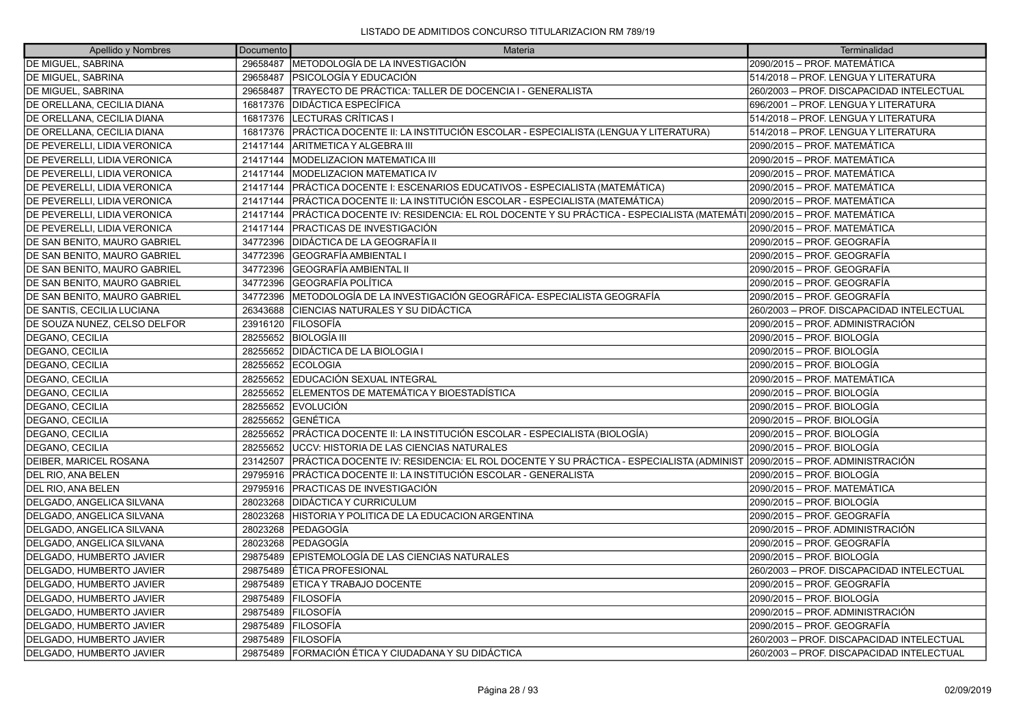| Apellido y Nombres                  | Documento | Materia                                                                                                                 | Terminalidad                              |
|-------------------------------------|-----------|-------------------------------------------------------------------------------------------------------------------------|-------------------------------------------|
| DE MIGUEL, SABRINA                  |           | 29658487  METODOLOGÍA DE LA INVESTIGACIÓN                                                                               | 2090/2015 – PROF. MATEMÁTICA              |
| DE MIGUEL, SABRINA                  | 29658487  | <b>PSICOLOGÍA Y EDUCACIÓN</b>                                                                                           | 514/2018 - PROF. LENGUA Y LITERATURA      |
| DE MIGUEL, SABRINA                  |           | 29658487 TRAYECTO DE PRÁCTICA: TALLER DE DOCENCIA I - GENERALISTA                                                       | 260/2003 - PROF. DISCAPACIDAD INTELECTUAL |
| DE ORELLANA, CECILIA DIANA          | 16817376  | DIDÁCTICA ESPECÍFICA                                                                                                    | 696/2001 - PROF. LENGUA Y LITERATURA      |
| DE ORELLANA, CECILIA DIANA          | 16817376  | LECTURAS CRÍTICAS I                                                                                                     | 514/2018 - PROF. LENGUA Y LITERATURA      |
| DE ORELLANA, CECILIA DIANA          | 16817376  | PRÁCTICA DOCENTE II: LA INSTITUCIÓN ESCOLAR - ESPECIALISTA (LENGUA Y LITERATURA)                                        | 514/2018 – PROF. LENGUA Y LITERATURA      |
| DE PEVERELLI, LIDIA VERONICA        | 21417144  | ARITMETICA Y ALGEBRA III                                                                                                | 2090/2015 – PROF. MATEMÁTICA              |
| DE PEVERELLI, LIDIA VERONICA        | 21417144  | <b>MODELIZACION MATEMATICA III</b>                                                                                      | 2090/2015 – PROF. MATEMÁTICA              |
| DE PEVERELLI, LIDIA VERONICA        | 21417144  | <b>MODELIZACION MATEMATICA IV</b>                                                                                       | 2090/2015 – PROF. MATEMÁTICA              |
| DE PEVERELLI, LIDIA VERONICA        | 21417144  | PRÁCTICA DOCENTE I: ESCENARIOS EDUCATIVOS - ESPECIALISTA (MATEMÁTICA)                                                   | 2090/2015 – PROF. MATEMÁTICA              |
| DE PEVERELLI, LIDIA VERONICA        | 21417144  | PRÁCTICA DOCENTE II: LA INSTITUCIÓN ESCOLAR - ESPECIALISTA (MATEMÁTICA)                                                 | 2090/2015 - PROF. MATEMÁTICA              |
| <b>DE PEVERELLI, LIDIA VERONICA</b> | 21417144  | PRÁCTICA DOCENTE IV: RESIDENCIA: EL ROL DOCENTE Y SU PRÁCTICA - ESPECIALISTA (MATEMÁTI 2090/2015 – PROF. MATEMÁTICA     |                                           |
| DE PEVERELLI, LIDIA VERONICA        | 21417144  | IPRACTICAS DE INVESTIGACIÓN                                                                                             | 2090/2015 – PROF. MATEMÁTICA              |
| DE SAN BENITO, MAURO GABRIEL        | 34772396  | DIDÁCTICA DE LA GEOGRAFÍA II                                                                                            | 2090/2015 – PROF. GEOGRAFÍA               |
| DE SAN BENITO, MAURO GABRIEL        | 34772396  | GEOGRAFÍA AMBIENTAL I                                                                                                   | 2090/2015 – PROF. GEOGRAFÍA               |
| DE SAN BENITO, MAURO GABRIEL        | 34772396  | GEOGRAFÍA AMBIENTAL II                                                                                                  | 2090/2015 – PROF. GEOGRAFÍA               |
| DE SAN BENITO, MAURO GABRIEL        | 34772396  | GEOGRAFÍA POLÍTICA                                                                                                      | 2090/2015 - PROF. GEOGRAFÍA               |
| DE SAN BENITO, MAURO GABRIEL        | 34772396  | IMETODOLOGÍA DE LA INVESTIGACIÓN GEOGRÁFICA- ESPECIALISTA GEOGRAFÍA                                                     | 2090/2015 – PROF. GEOGRAFÍA               |
| DE SANTIS, CECILIA LUCIANA          | 26343688  | CIENCIAS NATURALES Y SU DIDÁCTICA                                                                                       | 260/2003 - PROF. DISCAPACIDAD INTELECTUAL |
| DE SOUZA NUNEZ, CELSO DELFOR        |           | 23916120 FILOSOFÍA                                                                                                      | 2090/2015 – PROF. ADMINISTRACIÓN          |
| DEGANO, CECILIA                     |           | 28255652 BIOLOGÍA III                                                                                                   | 2090/2015 – PROF. BIOLOGÍA                |
| DEGANO, CECILIA                     |           | 28255652 DIDÁCTICA DE LA BIOLOGIA I                                                                                     | 2090/2015 – PROF. BIOLOGÍA                |
| DEGANO, CECILIA                     | 28255652  | <b>ECOLOGIA</b>                                                                                                         | 2090/2015 – PROF. BIOLOGÍA                |
| DEGANO, CECILIA                     | 28255652  | EDUCACIÓN SEXUAL INTEGRAL                                                                                               | 2090/2015 – PROF. MATEMÁTICA              |
| DEGANO, CECILIA                     |           | 28255652 ELEMENTOS DE MATEMÁTICA Y BIOESTADÍSTICA                                                                       | 2090/2015 – PROF. BIOLOGÍA                |
| DEGANO, CECILIA                     |           | 28255652 EVOLUCIÓN                                                                                                      | 2090/2015 – PROF. BIOLOGÍA                |
| <b>DEGANO, CECILIA</b>              | 28255652  | <b>IGENÉTICA</b>                                                                                                        | 2090/2015 – PROF. BIOLOGÍA                |
| DEGANO, CECILIA                     | 28255652  | PRÁCTICA DOCENTE II: LA INSTITUCIÓN ESCOLAR - ESPECIALISTA (BIOLOGÍA)                                                   | 2090/2015 – PROF. BIOLOGÍA                |
| DEGANO, CECILIA                     | 28255652  | UCCV: HISTORIA DE LAS CIENCIAS NATURALES                                                                                | 2090/2015 – PROF. BIOLOGÍA                |
| DEIBER, MARICEL ROSANA              | 23142507  | PRÁCTICA DOCENTE IV: RESIDENCIA: EL ROL DOCENTE Y SU PRÁCTICA - ESPECIALISTA (ADMINIST 2090/2015 – PROF. ADMINISTRACIÓN |                                           |
| DEL RIO, ANA BELEN                  | 29795916  | PRÁCTICA DOCENTE II: LA INSTITUCIÓN ESCOLAR - GENERALISTA                                                               | 2090/2015 – PROF. BIOLOGÍA                |
| DEL RIO, ANA BELEN                  |           | 29795916   PRACTICAS DE INVESTIGACIÓN                                                                                   | 2090/2015 – PROF. MATEMÁTICA              |
| DELGADO, ANGELICA SILVANA           | 28023268  | <b>DIDÁCTICA Y CURRICULUM</b>                                                                                           | 2090/2015 – PROF. BIOLOGÍA                |
| DELGADO, ANGELICA SILVANA           | 28023268  | HISTORIA Y POLITICA DE LA EDUCACION ARGENTINA                                                                           | 2090/2015 – PROF. GEOGRAFÍA               |
| DELGADO, ANGELICA SILVANA           | 28023268  | PEDAGOGÍA                                                                                                               | 2090/2015 - PROF. ADMINISTRACIÓN          |
| DELGADO, ANGELICA SILVANA           | 28023268  | PEDAGOGÍA                                                                                                               | 2090/2015 – PROF. GEOGRAFÍA               |
| DELGADO, HUMBERTO JAVIER            | 29875489  | EPISTEMOLOGÍA DE LAS CIENCIAS NATURALES                                                                                 | 2090/2015 – PROF. BIOLOGÍA                |
| DELGADO, HUMBERTO JAVIER            | 29875489  | ÉTICA PROFESIONAL                                                                                                       | 260/2003 - PROF. DISCAPACIDAD INTELECTUAL |
| DELGADO, HUMBERTO JAVIER            | 29875489  | ETICA Y TRABAJO DOCENTE                                                                                                 | 2090/2015 – PROF. GEOGRAFÍA               |
| DELGADO, HUMBERTO JAVIER            | 29875489  | <b>FILOSOFÍA</b>                                                                                                        | 2090/2015 - PROF. BIOLOGÍA                |
| DELGADO, HUMBERTO JAVIER            | 29875489  | <b>FILOSOFÍA</b>                                                                                                        | 2090/2015 – PROF. ADMINISTRACIÓN          |
| DELGADO, HUMBERTO JAVIER            | 29875489  | IFILOSOFÍA                                                                                                              | 2090/2015 - PROF. GEOGRAFÍA               |
| DELGADO, HUMBERTO JAVIER            | 29875489  | <b>FILOSOFÍA</b>                                                                                                        | 260/2003 - PROF. DISCAPACIDAD INTELECTUAL |
| DELGADO, HUMBERTO JAVIER            |           | 29875489 FORMACIÓN ÉTICA Y CIUDADANA Y SU DIDÁCTICA                                                                     | 260/2003 - PROF. DISCAPACIDAD INTELECTUAL |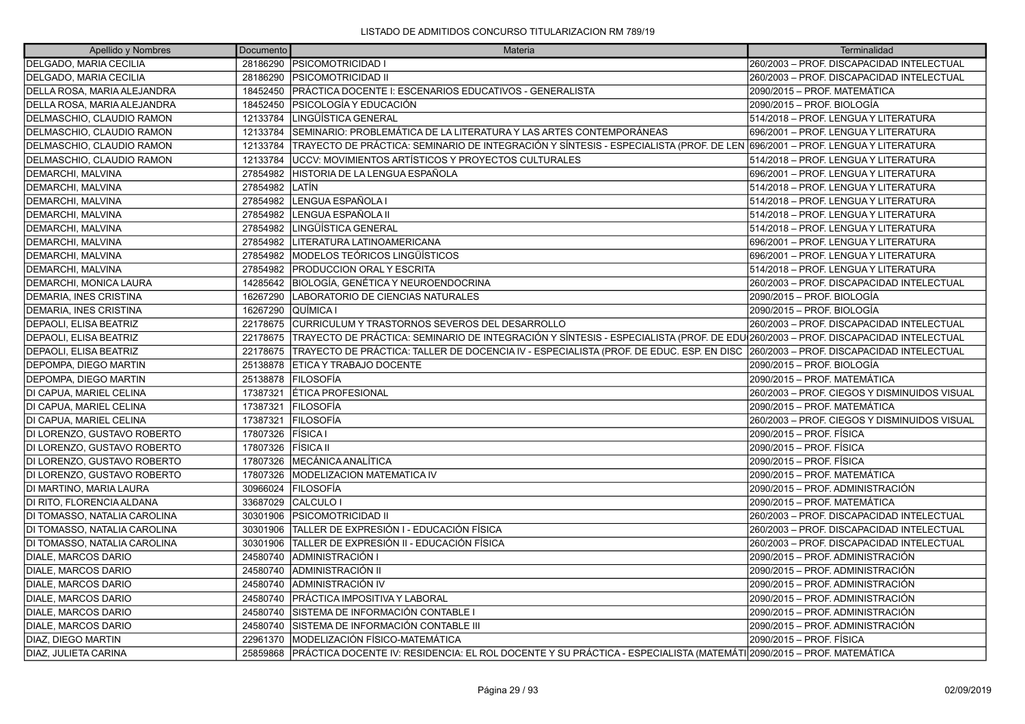| Apellido y Nombres            | Documento | Materia                                                                                                                            | Terminalidad                                 |
|-------------------------------|-----------|------------------------------------------------------------------------------------------------------------------------------------|----------------------------------------------|
| <b>DELGADO, MARIA CECILIA</b> | 28186290  | <b>PSICOMOTRICIDAD I</b>                                                                                                           | 260/2003 - PROF. DISCAPACIDAD INTELECTUAL    |
| DELGADO, MARIA CECILIA        | 28186290  | <b>IPSICOMOTRICIDAD II</b>                                                                                                         | 260/2003 - PROF. DISCAPACIDAD INTELECTUAL    |
| DELLA ROSA, MARIA ALEJANDRA   | 18452450  | PRÁCTICA DOCENTE I: ESCENARIOS EDUCATIVOS - GENERALISTA                                                                            | 2090/2015 – PROF. MATEMÁTICA                 |
| DELLA ROSA, MARIA ALEJANDRA   | 18452450  | IPSICOLOGÍA Y EDUCACIÓN                                                                                                            | 2090/2015 - PROF. BIOLOGÍA                   |
| DELMASCHIO, CLAUDIO RAMON     | 12133784  | LINGÜÍSTICA GENERAL                                                                                                                | 514/2018 - PROF. LENGUA Y LITERATURA         |
| DELMASCHIO, CLAUDIO RAMON     | 12133784  | SEMINARIO: PROBLEMÁTICA DE LA LITERATURA Y LAS ARTES CONTEMPORÁNEAS                                                                | 696/2001 - PROF. LENGUA Y LITERATURA         |
| DELMASCHIO, CLAUDIO RAMON     | 12133784  | TRAYECTO DE PRÁCTICA: SEMINARIO DE INTEGRACIÓN Y SÍNTESIS - ESPECIALISTA (PROF. DE LEN 696/2001 – PROF. LENGUA Y LITERATURA        |                                              |
| DELMASCHIO, CLAUDIO RAMON     | 12133784  | UCCV: MOVIMIENTOS ARTÍSTICOS Y PROYECTOS CULTURALES                                                                                | 514/2018 - PROF. LENGUA Y LITERATURA         |
| DEMARCHI, MALVINA             | 27854982  | HISTORIA DE LA LENGUA ESPAÑOLA                                                                                                     | 696/2001 - PROF. LENGUA Y LITERATURA         |
| <b>DEMARCHI, MALVINA</b>      | 27854982  | llatín                                                                                                                             | 514/2018 - PROF. LENGUA Y LITERATURA         |
| DEMARCHI, MALVINA             | 27854982  | LENGUA ESPAÑOLA I                                                                                                                  | 514/2018 - PROF. LENGUA Y LITERATURA         |
| DEMARCHI, MALVINA             | 27854982  | LENGUA ESPAÑOLA II                                                                                                                 | 514/2018 - PROF. LENGUA Y LITERATURA         |
| DEMARCHI, MALVINA             | 27854982  | LINGÜÍSTICA GENERAL                                                                                                                | 514/2018 - PROF. LENGUA Y LITERATURA         |
| DEMARCHI, MALVINA             | 27854982  | LITERATURA LATINOAMERICANA                                                                                                         | 696/2001 - PROF. LENGUA Y LITERATURA         |
| <b>DEMARCHI, MALVINA</b>      | 27854982  | <b>IMODELOS TEÓRICOS LINGÜÍSTICOS</b>                                                                                              | 696/2001 - PROF. LENGUA Y LITERATURA         |
| DEMARCHI, MALVINA             | 27854982  | <b>PRODUCCION ORAL Y ESCRITA</b>                                                                                                   | 514/2018 - PROF. LENGUA Y LITERATURA         |
| DEMARCHI, MONICA LAURA        | 14285642  | BIOLOGÍA, GENÉTICA Y NEUROENDOCRINA                                                                                                | 260/2003 - PROF. DISCAPACIDAD INTELECTUAL    |
| DEMARIA, INES CRISTINA        | 16267290  | LABORATORIO DE CIENCIAS NATURALES                                                                                                  | 2090/2015 - PROF. BIOLOGÍA                   |
| DEMARIA, INES CRISTINA        | 16267290  | QUÍMICA I                                                                                                                          | 2090/2015 – PROF. BIOLOGÍA                   |
| DEPAOLI, ELISA BEATRIZ        | 22178675  | CURRICULUM Y TRASTORNOS SEVEROS DEL DESARROLLO                                                                                     | 260/2003 - PROF. DISCAPACIDAD INTELECTUAL    |
| <b>DEPAOLI, ELISA BEATRIZ</b> | 22178675  | TRAYECTO DE PRÁCTICA: SEMINARIO DE INTEGRACIÓN Y SÍNTESIS - ESPECIALISTA (PROF. DE EDU 260/2003 - PROF. DISCAPACIDAD INTELECTUAL   |                                              |
| <b>DEPAOLI, ELISA BEATRIZ</b> | 22178675  | TRAYECTO DE PRÁCTICA: TALLER DE DOCENCIA IV - ESPECIALISTA (PROF. DE EDUC. ESP. EN DISC  260/2003 – PROF. DISCAPACIDAD INTELECTUAL |                                              |
| DEPOMPA, DIEGO MARTIN         | 25138878  | <b>ETICA Y TRABAJO DOCENTE</b>                                                                                                     | 2090/2015 - PROF. BIOLOGÍA                   |
| DEPOMPA, DIEGO MARTIN         | 25138878  | <b>FILOSOFÍA</b>                                                                                                                   | 2090/2015 - PROF. MATEMÁTICA                 |
| DI CAPUA, MARIEL CELINA       | 17387321  | <b>ETICA PROFESIONAL</b>                                                                                                           | 260/2003 - PROF. CIEGOS Y DISMINUIDOS VISUAL |
| DI CAPUA, MARIEL CELINA       | 17387321  | <b>FILOSOFÍA</b>                                                                                                                   | 2090/2015 - PROF. MATEMÁTICA                 |
| DI CAPUA. MARIEL CELINA       | 17387321  | <b>FILOSOFÍA</b>                                                                                                                   | 260/2003 - PROF. CIEGOS Y DISMINUIDOS VISUAL |
| DI LORENZO, GUSTAVO ROBERTO   | 17807326  | <b>FISICA</b> I                                                                                                                    | 2090/2015 - PROF. FÍSICA                     |
| DI LORENZO, GUSTAVO ROBERTO   | 17807326  | <b>FÍSICA II</b>                                                                                                                   | 2090/2015 - PROF. FÍSICA                     |
| DI LORENZO, GUSTAVO ROBERTO   | 17807326  | <b>MECÁNICA ANALÍTICA</b>                                                                                                          | 2090/2015 - PROF. FÍSICA                     |
| DI LORENZO, GUSTAVO ROBERTO   | 17807326  | <b>IMODELIZACION MATEMATICA IV</b>                                                                                                 | 2090/2015 - PROF. MATEMÁTICA                 |
| DI MARTINO, MARIA LAURA       | 30966024  | FILOSOFÍA                                                                                                                          | 2090/2015 - PROF. ADMINISTRACIÓN             |
| DI RITO, FLORENCIA ALDANA     | 33687029  | CALCULO <sub>I</sub>                                                                                                               | 2090/2015 - PROF. MATEMÁTICA                 |
| DI TOMASSO, NATALIA CAROLINA  | 30301906  | <b>PSICOMOTRICIDAD II</b>                                                                                                          | 260/2003 - PROF. DISCAPACIDAD INTELECTUAL    |
| DI TOMASSO, NATALIA CAROLINA  | 30301906  | TALLER DE EXPRESIÓN I - EDUCACIÓN FÍSICA                                                                                           | 260/2003 - PROF. DISCAPACIDAD INTELECTUAL    |
| DI TOMASSO, NATALIA CAROLINA  | 30301906  | ITALLER DE EXPRESIÓN II - EDUCACIÓN FÍSICA                                                                                         | 260/2003 - PROF. DISCAPACIDAD INTELECTUAL    |
| DIALE, MARCOS DARIO           | 24580740  | ADMINISTRACIÓN I                                                                                                                   | 2090/2015 – PROF. ADMINISTRACIÓN             |
| DIALE, MARCOS DARIO           | 24580740  | ADMINISTRACIÓN II                                                                                                                  | 2090/2015 – PROF. ADMINISTRACIÓN             |
| DIALE, MARCOS DARIO           | 24580740  | ADMINISTRACIÓN IV                                                                                                                  | 2090/2015 - PROF. ADMINISTRACIÓN             |
| DIALE, MARCOS DARIO           | 24580740  | PRÁCTICA IMPOSITIVA Y LABORAL                                                                                                      | 2090/2015 – PROF. ADMINISTRACIÓN             |
| DIALE, MARCOS DARIO           | 24580740  | SISTEMA DE INFORMACIÓN CONTABLE I                                                                                                  | 2090/2015 – PROF. ADMINISTRACIÓN             |
| DIALE, MARCOS DARIO           | 24580740  | SISTEMA DE INFORMACIÓN CONTABLE III                                                                                                | 2090/2015 - PROF. ADMINISTRACIÓN             |
| DIAZ, DIEGO MARTIN            | 22961370  | MODELIZACIÓN FÍSICO-MATEMÁTICA                                                                                                     | 2090/2015 - PROF. FÍSICA                     |
| IDIAZ. JULIETA CARINA         |           | 25859868 PRÁCTICA DOCENTE IV: RESIDENCIA: EL ROL DOCENTE Y SU PRÁCTICA - ESPECIALISTA (MATEMÁTI 2090/2015 – PROF. MATEMÁTICA       |                                              |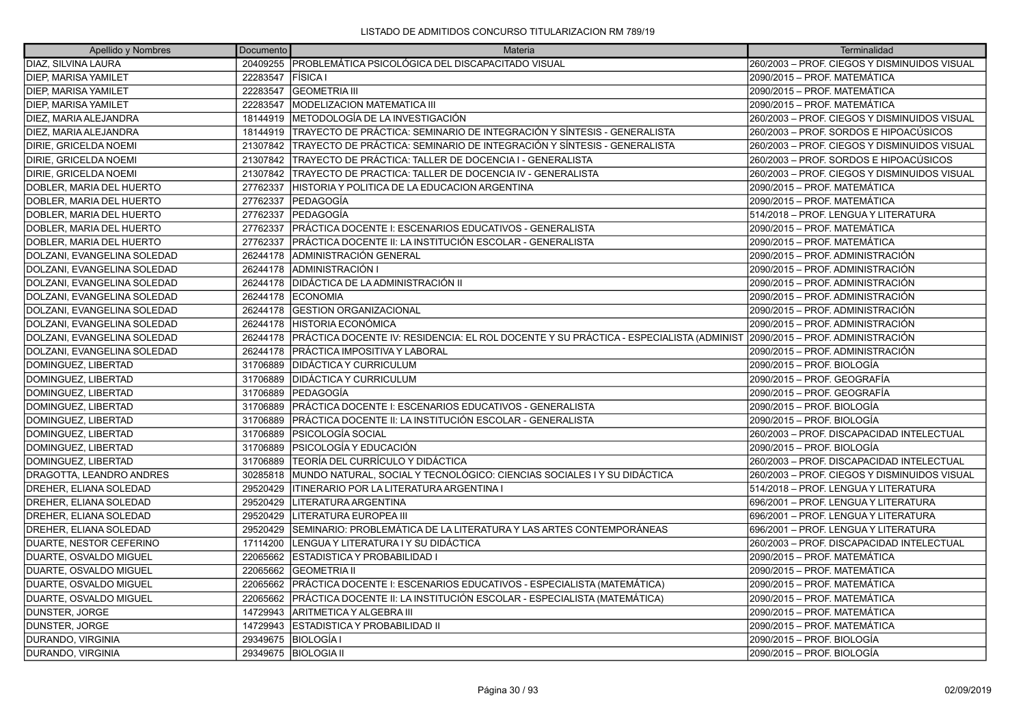| Apellido y Nombres          | Documento | Materia                                                                                | Terminalidad                                 |
|-----------------------------|-----------|----------------------------------------------------------------------------------------|----------------------------------------------|
| DIAZ, SILVINA LAURA         | 20409255  | IPROBLEMÁTICA PSICOLÓGICA DEL DISCAPACITADO VISUAL                                     | 260/2003 - PROF. CIEGOS Y DISMINUIDOS VISUAL |
| <b>DIEP, MARISA YAMILET</b> | 22283547  | <b>FISICA</b> I                                                                        | 2090/2015 - PROF. MATEMÁTICA                 |
| <b>DIEP, MARISA YAMILET</b> | 22283547  | <b>GEOMETRIA III</b>                                                                   | 2090/2015 - PROF. MATEMÁTICA                 |
| <b>DIEP, MARISA YAMILET</b> | 22283547  | <b>MODELIZACION MATEMATICA III</b>                                                     | 2090/2015 - PROF. MATEMÁTICA                 |
| DIEZ, MARIA ALEJANDRA       | 18144919  | METODOLOGÍA DE LA INVESTIGACIÓN                                                        | 260/2003 - PROF. CIEGOS Y DISMINUIDOS VISUAL |
| DIEZ, MARIA ALEJANDRA       | 18144919  | TRAYECTO DE PRÁCTICA: SEMINARIO DE INTEGRACIÓN Y SÍNTESIS - GENERALISTA                | 260/2003 – PROF. SORDOS E HIPOACÚSICOS       |
| DIRIE, GRICELDA NOEMI       | 21307842  | TRAYECTO DE PRÁCTICA: SEMINARIO DE INTEGRACIÓN Y SÍNTESIS - GENERALISTA                | 260/2003 - PROF. CIEGOS Y DISMINUIDOS VISUAL |
| DIRIE, GRICELDA NOEMI       | 21307842  | TRAYECTO DE PRÁCTICA: TALLER DE DOCENCIA I - GENERALISTA                               | 260/2003 - PROF. SORDOS E HIPOACÚSICOS       |
| DIRIE, GRICELDA NOEMI       | 21307842  | TRAYECTO DE PRACTICA: TALLER DE DOCENCIA IV - GENERALISTA                              | 260/2003 - PROF. CIEGOS Y DISMINUIDOS VISUAL |
| DOBLER, MARIA DEL HUERTO    | 27762337  | HISTORIA Y POLITICA DE LA EDUCACION ARGENTINA                                          | 2090/2015 – PROF. MATEMÁTICA                 |
| DOBLER, MARIA DEL HUERTO    | 27762337  | PEDAGOGÍA                                                                              | 2090/2015 - PROF. MATEMÁTICA                 |
| DOBLER, MARIA DEL HUERTO    | 27762337  | lPEDAGOGÍA                                                                             | 514/2018 - PROF. LENGUA Y LITERATURA         |
| DOBLER, MARIA DEL HUERTO    | 27762337  | PRÁCTICA DOCENTE I: ESCENARIOS EDUCATIVOS - GENERALISTA                                | 2090/2015 – PROF. MATEMÁTICA                 |
| DOBLER, MARIA DEL HUERTO    | 27762337  | PRÁCTICA DOCENTE II: LA INSTITUCIÓN ESCOLAR - GENERALISTA                              | 2090/2015 - PROF. MATEMÁTICA                 |
| DOLZANI, EVANGELINA SOLEDAD | 26244178  | ADMINISTRACIÓN GENERAL                                                                 | 2090/2015 - PROF. ADMINISTRACIÓN             |
| DOLZANI, EVANGELINA SOLEDAD | 26244178  | <b>ADMINISTRACIÓN I</b>                                                                | 2090/2015 – PROF. ADMINISTRACIÓN             |
| DOLZANI, EVANGELINA SOLEDAD | 26244178  | <b>DIDÁCTICA DE LA ADMINISTRACIÓN II</b>                                               | 2090/2015 - PROF. ADMINISTRACIÓN             |
| DOLZANI, EVANGELINA SOLEDAD | 26244178  | <b>ECONOMIA</b>                                                                        | 2090/2015 - PROF. ADMINISTRACIÓN             |
| DOLZANI, EVANGELINA SOLEDAD | 26244178  | <b>IGESTION ORGANIZACIONAL</b>                                                         | 2090/2015 - PROF. ADMINISTRACIÓN             |
| DOLZANI, EVANGELINA SOLEDAD | 26244178  | <b>HISTORIA ECONÓMICA</b>                                                              | 2090/2015 - PROF. ADMINISTRACIÓN             |
| DOLZANI, EVANGELINA SOLEDAD | 26244178  | PRÁCTICA DOCENTE IV: RESIDENCIA: EL ROL DOCENTE Y SU PRÁCTICA - ESPECIALISTA (ADMINIST | 2090/2015 - PROF. ADMINISTRACIÓN             |
| DOLZANI, EVANGELINA SOLEDAD | 26244178  | <b>PRÁCTICA IMPOSITIVA Y LABORAL</b>                                                   | 2090/2015 - PROF. ADMINISTRACIÓN             |
| DOMINGUEZ, LIBERTAD         | 31706889  | <b>IDIDÁCTICA Y CURRICULUM</b>                                                         | 2090/2015 - PROF. BIOLOGÍA                   |
| DOMINGUEZ, LIBERTAD         | 31706889  | <b>DIDÁCTICA Y CURRICULUM</b>                                                          | 2090/2015 - PROF. GEOGRAFÍA                  |
| DOMINGUEZ, LIBERTAD         | 31706889  | PEDAGOGÍA                                                                              | 2090/2015 - PROF. GEOGRAFÍA                  |
| DOMINGUEZ, LIBERTAD         | 31706889  | PRÁCTICA DOCENTE I: ESCENARIOS EDUCATIVOS - GENERALISTA                                | 2090/2015 – PROF. BIOLOGÍA                   |
| DOMINGUEZ, LIBERTAD         | 31706889  | PRÁCTICA DOCENTE II: LA INSTITUCIÓN ESCOLAR - GENERALISTA                              | 2090/2015 - PROF. BIOLOGÍA                   |
| DOMINGUEZ, LIBERTAD         | 31706889  | PSICOLOGÍA SOCIAL                                                                      | 260/2003 - PROF. DISCAPACIDAD INTELECTUAL    |
| DOMINGUEZ, LIBERTAD         | 31706889  | PSICOLOGÍA Y EDUCACIÓN                                                                 | 2090/2015 – PROF. BIOLOGÍA                   |
| DOMINGUEZ, LIBERTAD         | 31706889  | TEORÍA DEL CURRÍCULO Y DIDÁCTICA                                                       | 260/2003 - PROF. DISCAPACIDAD INTELECTUAL    |
| DRAGOTTA, LEANDRO ANDRES    | 30285818  | MUNDO NATURAL, SOCIAL Y TECNOLÓGICO: CIENCIAS SOCIALES I Y SU DIDÁCTICA                | 260/2003 – PROF. CIEGOS Y DISMINUIDOS VISUAL |
| DREHER, ELIANA SOLEDAD      | 29520429  | ITINERARIO POR LA LITERATURA ARGENTINA I                                               | 514/2018 - PROF. LENGUA Y LITERATURA         |
| DREHER, ELIANA SOLEDAD      | 29520429  | LITERATURA ARGENTINA                                                                   | 696/2001 - PROF. LENGUA Y LITERATURA         |
| DREHER, ELIANA SOLEDAD      | 29520429  | LITERATURA EUROPEA III                                                                 | 696/2001 - PROF. LENGUA Y LITERATURA         |
| DREHER, ELIANA SOLEDAD      | 29520429  | SEMINARIO: PROBLEMÁTICA DE LA LITERATURA Y LAS ARTES CONTEMPORÁNEAS                    | 696/2001 - PROF. LENGUA Y LITERATURA         |
| DUARTE, NESTOR CEFERINO     | 17114200  | LENGUA Y LITERATURA I Y SU DIDÁCTICA                                                   | 260/2003 - PROF. DISCAPACIDAD INTELECTUAL    |
| DUARTE, OSVALDO MIGUEL      | 22065662  | ESTADISTICA Y PROBABILIDAD I                                                           | 2090/2015 - PROF. MATEMÁTICA                 |
| DUARTE, OSVALDO MIGUEL      | 22065662  | <b>GEOMETRIA II</b>                                                                    | 2090/2015 – PROF. MATEMÁTICA                 |
| DUARTE, OSVALDO MIGUEL      | 22065662  | PRÁCTICA DOCENTE I: ESCENARIOS EDUCATIVOS - ESPECIALISTA (MATEMÁTICA)                  | 2090/2015 - PROF. MATEMÁTICA                 |
| DUARTE, OSVALDO MIGUEL      | 22065662  | PRÁCTICA DOCENTE II: LA INSTITUCIÓN ESCOLAR - ESPECIALISTA (MATEMÁTICA)                | 2090/2015 – PROF. MATEMÁTICA                 |
| DUNSTER, JORGE              | 14729943  | IARITMETICA Y ALGEBRA III                                                              | 2090/2015 – PROF. MATEMÁTICA                 |
| DUNSTER, JORGE              | 14729943  | ESTADISTICA Y PROBABILIDAD II                                                          | 2090/2015 - PROF. MATEMÁTICA                 |
| DURANDO, VIRGINIA           | 29349675  | BIOLOGÍA I                                                                             | 2090/2015 – PROF. BIOLOGÍA                   |
| DURANDO, VIRGINIA           |           | 29349675   BIOLOGIA II                                                                 | 2090/2015 - PROF. BIOLOGÍA                   |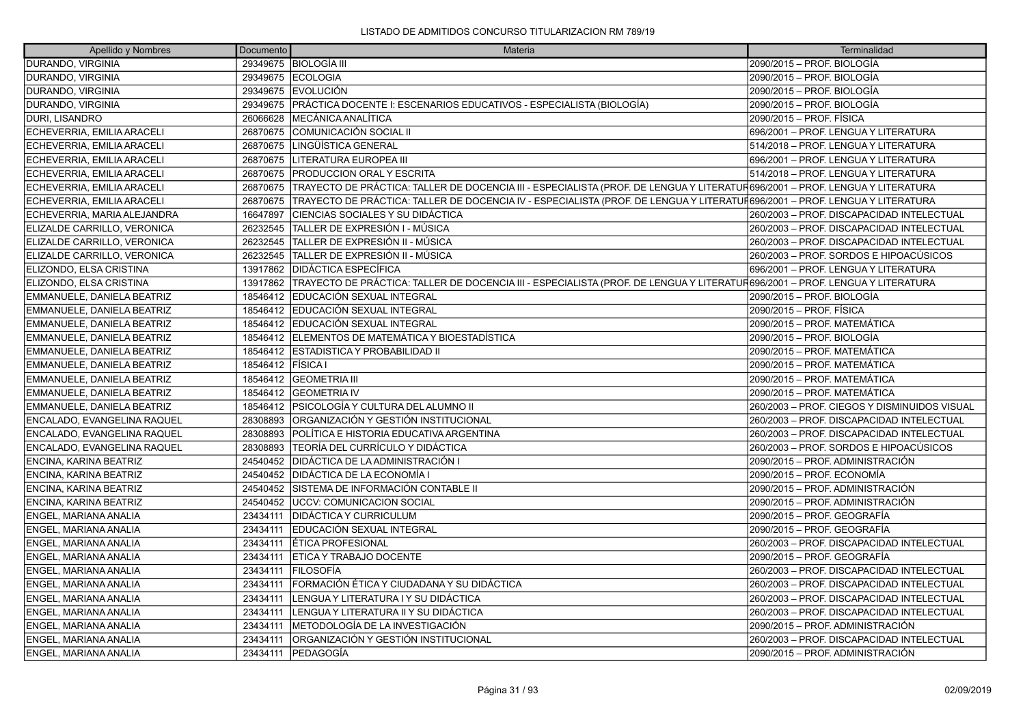| Apellido y Nombres           | <b>Documento</b> | Materia                                                                                                                      | Terminalidad                                 |
|------------------------------|------------------|------------------------------------------------------------------------------------------------------------------------------|----------------------------------------------|
| DURANDO, VIRGINIA            |                  | 29349675   BIOLOGÍA III                                                                                                      | 2090/2015 - PROF. BIOLOGÍA                   |
| DURANDO, VIRGINIA            | 29349675         | <b>ECOLOGIA</b>                                                                                                              | 2090/2015 – PROF. BIOLOGÍA                   |
| DURANDO, VIRGINIA            |                  | 29349675 EVOLUCIÓN                                                                                                           | 2090/2015 – PROF. BIOLOGÍA                   |
| DURANDO, VIRGINIA            | 29349675         | PRÁCTICA DOCENTE I: ESCENARIOS EDUCATIVOS - ESPECIALISTA (BIOLOGÍA)                                                          | 2090/2015 - PROF. BIOLOGÍA                   |
| DURI, LISANDRO               | 26066628         | <b>IMECÁNICA ANALÍTICA</b>                                                                                                   | 2090/2015 - PROF. FÍSICA                     |
| ECHEVERRIA, EMILIA ARACELI   | 26870675         | COMUNICACIÓN SOCIAL II                                                                                                       | 696/2001 - PROF. LENGUA Y LITERATURA         |
| ECHEVERRIA, EMILIA ARACELI   | 26870675         | LINGÜÍSTICA GENERAL                                                                                                          | 514/2018 - PROF. LENGUA Y LITERATURA         |
| ECHEVERRIA, EMILIA ARACELI   | 26870675         | LITERATURA EUROPEA III                                                                                                       | 696/2001 - PROF. LENGUA Y LITERATURA         |
| ECHEVERRIA, EMILIA ARACELI   | 26870675         | <b>PRODUCCION ORAL Y ESCRITA</b>                                                                                             | 514/2018 - PROF. LENGUA Y LITERATURA         |
| ECHEVERRIA, EMILIA ARACELI   | 26870675         | TRAYECTO DE PRÁCTICA: TALLER DE DOCENCIA III - ESPECIALISTA (PROF. DE LENGUA Y LITERATUR696/2001 – PROF. LENGUA Y LITERATURA |                                              |
| ECHEVERRIA, EMILIA ARACELI   | 26870675         | TRAYECTO DE PRÁCTICA: TALLER DE DOCENCIA IV - ESPECIALISTA (PROF. DE LENGUA Y LITERATUFÍ696/2001 – PROF. LENGUA Y LITERATURA |                                              |
| ECHEVERRIA, MARIA ALEJANDRA  | 16647897         | CIENCIAS SOCIALES Y SU DIDÁCTICA                                                                                             | 260/2003 - PROF. DISCAPACIDAD INTELECTUAL    |
| ELIZALDE CARRILLO, VERONICA  | 26232545         | TALLER DE EXPRESIÓN I - MÚSICA                                                                                               | 260/2003 - PROF. DISCAPACIDAD INTELECTUAL    |
| ELIZALDE CARRILLO, VERONICA  | 26232545         | TALLER DE EXPRESIÓN II - MÚSICA                                                                                              | 260/2003 - PROF. DISCAPACIDAD INTELECTUAL    |
| ELIZALDE CARRILLO, VERONICA  | 26232545         | TALLER DE EXPRESIÓN II - MÚSICA                                                                                              | 260/2003 – PROF. SORDOS E HIPOACÚSICOS       |
| ELIZONDO, ELSA CRISTINA      | 13917862         | <b>IDIDÁCTICA ESPECÍFICA</b>                                                                                                 | 1696/2001 – PROF. LENGUA Y LITERATURA        |
| ELIZONDO, ELSA CRISTINA      | 13917862         | TRAYECTO DE PRÁCTICA: TALLER DE DOCENCIA III - ESPECIALISTA (PROF. DE LENGUA Y LITERATUR696/2001 – PROF. LENGUA Y LITERATURA |                                              |
| EMMANUELE, DANIELA BEATRIZ   | 18546412         | <b>EDUCACIÓN SEXUAL INTEGRAL</b>                                                                                             | 2090/2015 - PROF. BIOLOGÍA                   |
| EMMANUELE, DANIELA BEATRIZ   | 18546412         | EDUCACIÓN SEXUAL INTEGRAL                                                                                                    | 2090/2015 - PROF. FÍSICA                     |
| EMMANUELE, DANIELA BEATRIZ   | 18546412         | EDUCACIÓN SEXUAL INTEGRAL                                                                                                    | 2090/2015 - PROF. MATEMÁTICA                 |
| EMMANUELE, DANIELA BEATRIZ   | 18546412         | ELEMENTOS DE MATEMÁTICA Y BIOESTADÍSTICA                                                                                     | 2090/2015 - PROF. BIOLOGÍA                   |
| EMMANUELE, DANIELA BEATRIZ   | 18546412         | ESTADISTICA Y PROBABILIDAD II                                                                                                | 2090/2015 - PROF. MATEMÁTICA                 |
| EMMANUELE, DANIELA BEATRIZ   | 18546412         | <b>FISICA</b> I                                                                                                              | 2090/2015 - PROF. MATEMÁTICA                 |
| EMMANUELE, DANIELA BEATRIZ   | 18546412         | <b>GEOMETRIA III</b>                                                                                                         | 2090/2015 – PROF. MATEMÁTICA                 |
| EMMANUELE, DANIELA BEATRIZ   | 18546412         | <b>GEOMETRIA IV</b>                                                                                                          | 2090/2015 - PROF. MATEMÁTICA                 |
| EMMANUELE, DANIELA BEATRIZ   | 18546412         | <b>PSICOLOGÍA Y CULTURA DEL ALUMNO II</b>                                                                                    | 260/2003 - PROF. CIEGOS Y DISMINUIDOS VISUAL |
| ENCALADO, EVANGELINA RAQUEL  | 28308893         | ORGANIZACIÓN Y GESTIÓN INSTITUCIONAL                                                                                         | 260/2003 - PROF. DISCAPACIDAD INTELECTUAL    |
| ENCALADO, EVANGELINA RAQUEL  | 28308893         | POLÍTICA E HISTORIA EDUCATIVA ARGENTINA                                                                                      | 260/2003 - PROF. DISCAPACIDAD INTELECTUAL    |
| ENCALADO, EVANGELINA RAQUEL  | 28308893         | <b>ITEORÍA DEL CURRÍCULO Y DIDÁCTICA</b>                                                                                     | 260/2003 – PROF. SORDOS E HIPOACÚSICOS       |
| ENCINA, KARINA BEATRIZ       | 24540452         | <b>DIDÁCTICA DE LA ADMINISTRACIÓN I</b>                                                                                      | 2090/2015 - PROF. ADMINISTRACIÓN             |
| ENCINA, KARINA BEATRIZ       | 24540452         | <b>DIDÁCTICA DE LA ECONOMÍA I</b>                                                                                            | 2090/2015 - PROF. ECONOMÍA                   |
| ENCINA, KARINA BEATRIZ       | 24540452         | SISTEMA DE INFORMACIÓN CONTABLE II                                                                                           | 2090/2015 - PROF. ADMINISTRACIÓN             |
| ENCINA, KARINA BEATRIZ       | 24540452         | <b>LUCCV: COMUNICACION SOCIAL</b>                                                                                            | 2090/2015 – PROF. ADMINISTRACIÓN             |
| ENGEL, MARIANA ANALIA        | 23434111         | <b>DIDÁCTICA Y CURRICULUM</b>                                                                                                | 2090/2015 - PROF. GEOGRAFÍA                  |
| ENGEL, MARIANA ANALIA        | 23434111         | <b>IEDUCACIÓN SEXUAL INTEGRAL</b>                                                                                            | 2090/2015 – PROF. GEOGRAFÍA                  |
| ENGEL, MARIANA ANALIA        | 23434111         | <b>ETICA PROFESIONAL</b>                                                                                                     | 260/2003 - PROF. DISCAPACIDAD INTELECTUAL    |
| <b>ENGEL, MARIANA ANALIA</b> | 23434111         | <b>ETICA Y TRABAJO DOCENTE</b>                                                                                               | 2090/2015 - PROF. GEOGRAFÍA                  |
| ENGEL, MARIANA ANALIA        | 23434111         | <b>FILOSOFÍA</b>                                                                                                             | 260/2003 - PROF. DISCAPACIDAD INTELECTUAL    |
| ENGEL, MARIANA ANALIA        | 23434111         | FORMACIÓN ÉTICA Y CIUDADANA Y SU DIDÁCTICA                                                                                   | 260/2003 - PROF. DISCAPACIDAD INTELECTUAL    |
| ENGEL, MARIANA ANALIA        | 23434111         | LENGUA Y LITERATURA I Y SU DIDÁCTICA                                                                                         | 260/2003 - PROF. DISCAPACIDAD INTELECTUAL    |
| ENGEL, MARIANA ANALIA        | 23434111         | LENGUA Y LITERATURA II Y SU DIDÁCTICA                                                                                        | 260/2003 - PROF. DISCAPACIDAD INTELECTUAL    |
| ENGEL, MARIANA ANALIA        | 23434111         | METODOLOGÍA DE LA INVESTIGACIÓN                                                                                              | 2090/2015 – PROF. ADMINISTRACIÓN             |
| ENGEL, MARIANA ANALIA        | 23434111         | ORGANIZACIÓN Y GESTIÓN INSTITUCIONAL                                                                                         | 260/2003 - PROF. DISCAPACIDAD INTELECTUAL    |
| ENGEL, MARIANA ANALIA        | 23434111         | <b>IPEDAGOGÍA</b>                                                                                                            | 2090/2015 – PROF. ADMINISTRACIÓN             |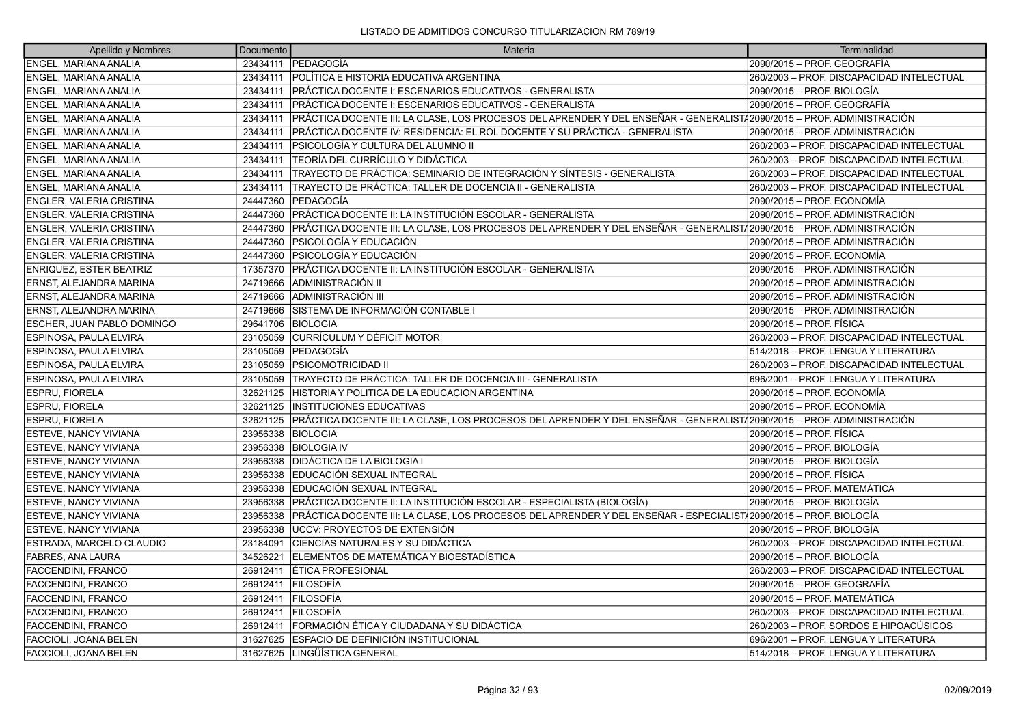| Apellido y Nombres              | Documento | Materia                                                                                                               | Terminalidad                              |
|---------------------------------|-----------|-----------------------------------------------------------------------------------------------------------------------|-------------------------------------------|
| <b>ENGEL, MARIANA ANALIA</b>    | 23434111  | <b>IPEDAGOGÍA</b>                                                                                                     | 2090/2015 - PROF. GEOGRAFÍA               |
| ENGEL, MARIANA ANALIA           | 23434111  | POLÍTICA E HISTORIA EDUCATIVA ARGENTINA                                                                               | 260/2003 - PROF. DISCAPACIDAD INTELECTUAL |
| ENGEL, MARIANA ANALIA           | 23434111  | PRÁCTICA DOCENTE I: ESCENARIOS EDUCATIVOS - GENERALISTA                                                               | 2090/2015 - PROF. BIOLOGÍA                |
| ENGEL, MARIANA ANALIA           | 23434111  | PRÁCTICA DOCENTE I: ESCENARIOS EDUCATIVOS - GENERALISTA                                                               | 2090/2015 - PROF. GEOGRAFÍA               |
| ENGEL, MARIANA ANALIA           | 23434111  | PRÁCTICA DOCENTE III: LA CLASE, LOS PROCESOS DEL APRENDER Y DEL ENSEÑAR - GENERALIST/2090/2015 – PROF. ADMINISTRACIÓN |                                           |
| ENGEL, MARIANA ANALIA           | 23434111  | PRÁCTICA DOCENTE IV: RESIDENCIA: EL ROL DOCENTE Y SU PRÁCTICA - GENERALISTA                                           | 2090/2015 - PROF. ADMINISTRACIÓN          |
| ENGEL, MARIANA ANALIA           | 23434111  | PSICOLOGÍA Y CULTURA DEL ALUMNO II                                                                                    | 260/2003 - PROF. DISCAPACIDAD INTELECTUAL |
| ENGEL, MARIANA ANALIA           | 23434111  | TEORÍA DEL CURRÍCULO Y DIDÁCTICA                                                                                      | 260/2003 - PROF. DISCAPACIDAD INTELECTUAL |
| ENGEL, MARIANA ANALIA           | 23434111  | TRAYECTO DE PRÁCTICA: SEMINARIO DE INTEGRACIÓN Y SÍNTESIS - GENERALISTA                                               | 260/2003 - PROF. DISCAPACIDAD INTELECTUAL |
| ENGEL, MARIANA ANALIA           | 23434111  | TRAYECTO DE PRÁCTICA: TALLER DE DOCENCIA II - GENERALISTA                                                             | 260/2003 - PROF. DISCAPACIDAD INTELECTUAL |
| ENGLER, VALERIA CRISTINA        | 24447360  | <b>PEDAGOGÍA</b>                                                                                                      | 2090/2015 – PROF. ECONOMÍA                |
| ENGLER, VALERIA CRISTINA        | 24447360  | PRÁCTICA DOCENTE II: LA INSTITUCIÓN ESCOLAR - GENERALISTA                                                             | 2090/2015 - PROF. ADMINISTRACIÓN          |
| <b>ENGLER, VALERIA CRISTINA</b> | 24447360  | PRÁCTICA DOCENTE III: LA CLASE, LOS PROCESOS DEL APRENDER Y DEL ENSEÑAR - GENERALIST/2090/2015 – PROF. ADMINISTRACIÓN |                                           |
| ENGLER, VALERIA CRISTINA        | 24447360  | PSICOLOGÍA Y EDUCACIÓN                                                                                                | 2090/2015 – PROF. ADMINISTRACIÓN          |
| <b>ENGLER, VALERIA CRISTINA</b> | 24447360  | PSICOLOGÍA Y EDUCACIÓN                                                                                                | 2090/2015 - PROF. ECONOMÍA                |
| <b>ENRIQUEZ, ESTER BEATRIZ</b>  | 17357370  | PRÁCTICA DOCENTE II: LA INSTITUCIÓN ESCOLAR - GENERALISTA                                                             | 2090/2015 – PROF. ADMINISTRACIÓN          |
| ERNST, ALEJANDRA MARINA         | 24719666  | ADMINISTRACIÓN II                                                                                                     | 2090/2015 - PROF. ADMINISTRACIÓN          |
| ERNST, ALEJANDRA MARINA         | 24719666  | ADMINISTRACIÓN III                                                                                                    | 2090/2015 - PROF. ADMINISTRACIÓN          |
| ERNST, ALEJANDRA MARINA         | 24719666  | SISTEMA DE INFORMACIÓN CONTABLE I                                                                                     | 2090/2015 – PROF. ADMINISTRACIÓN          |
| ESCHER, JUAN PABLO DOMINGO      | 29641706  | <b>BIOLOGIA</b>                                                                                                       | 2090/2015 - PROF. FÍSICA                  |
| ESPINOSA, PAULA ELVIRA          | 23105059  | CURRÍCULUM Y DÉFICIT MOTOR                                                                                            | 260/2003 - PROF. DISCAPACIDAD INTELECTUAL |
| ESPINOSA, PAULA ELVIRA          | 23105059  | <b>PEDAGOGÍA</b>                                                                                                      | 514/2018 - PROF. LENGUA Y LITERATURA      |
| ESPINOSA, PAULA ELVIRA          | 23105059  | PSICOMOTRICIDAD II                                                                                                    | 260/2003 - PROF. DISCAPACIDAD INTELECTUAL |
| ESPINOSA, PAULA ELVIRA          | 23105059  | TRAYECTO DE PRÁCTICA: TALLER DE DOCENCIA III - GENERALISTA                                                            | 696/2001 - PROF. LENGUA Y LITERATURA      |
| <b>ESPRU, FIORELA</b>           | 32621125  | HISTORIA Y POLITICA DE LA EDUCACION ARGENTINA                                                                         | 2090/2015 – PROF. ECONOMÍA                |
| <b>ESPRU, FIORELA</b>           | 32621125  | <b>INSTITUCIONES EDUCATIVAS</b>                                                                                       | 2090/2015 - PROF. ECONOMÍA                |
| <b>ESPRU, FIORELA</b>           | 32621125  | PRÁCTICA DOCENTE III: LA CLASE, LOS PROCESOS DEL APRENDER Y DEL ENSEÑAR - GENERALIST/2090/2015 – PROF. ADMINISTRACIÓN |                                           |
| ESTEVE, NANCY VIVIANA           | 23956338  | <b>BIOLOGIA</b>                                                                                                       | 2090/2015 - PROF. FÍSICA                  |
| ESTEVE, NANCY VIVIANA           | 23956338  | <b>BIOLOGIA IV</b>                                                                                                    | 2090/2015 – PROF. BIOLOGÍA                |
| ESTEVE, NANCY VIVIANA           | 23956338  | DIDÁCTICA DE LA BIOLOGIA I                                                                                            | 2090/2015 – PROF. BIOLOGÍA                |
| ESTEVE, NANCY VIVIANA           | 23956338  | EDUCACIÓN SEXUAL INTEGRAL                                                                                             | 2090/2015 – PROF. FÍSICA                  |
| <b>ESTEVE, NANCY VIVIANA</b>    | 23956338  | EDUCACIÓN SEXUAL INTEGRAL                                                                                             | 2090/2015 - PROF. MATEMÁTICA              |
| ESTEVE, NANCY VIVIANA           | 23956338  | PRÁCTICA DOCENTE II: LA INSTITUCIÓN ESCOLAR - ESPECIALISTA (BIOLOGÍA)                                                 | 2090/2015 - PROF. BIOLOGÍA                |
| ESTEVE, NANCY VIVIANA           | 23956338  | PRÁCTICA DOCENTE III: LA CLASE, LOS PROCESOS DEL APRENDER Y DEL ENSEÑAR - ESPECIALIST/2090/2015 - PROF. BIOLOGÍA      |                                           |
| ESTEVE, NANCY VIVIANA           | 23956338  | UCCV: PROYECTOS DE EXTENSIÓN                                                                                          | 2090/2015 – PROF. BIOLOGÍA                |
| ESTRADA, MARCELO CLAUDIO        | 23184091  | CIENCIAS NATURALES Y SU DIDÁCTICA                                                                                     | 260/2003 - PROF. DISCAPACIDAD INTELECTUAL |
| <b>FABRES, ANA LAURA</b>        | 34526221  | ELEMENTOS DE MATEMÁTICA Y BIOESTADÍSTICA                                                                              | 2090/2015 – PROF. BIOLOGÍA                |
| FACCENDINI, FRANCO              | 26912411  | ÉTICA PROFESIONAL                                                                                                     | 260/2003 - PROF. DISCAPACIDAD INTELECTUAL |
| FACCENDINI, FRANCO              | 26912411  | <b>FILOSOFÍA</b>                                                                                                      | 2090/2015 – PROF. GEOGRAFÍA               |
| FACCENDINI, FRANCO              | 26912411  | FILOSOFÍA                                                                                                             | 2090/2015 – PROF. MATEMÁTICA              |
| FACCENDINI, FRANCO              | 26912411  | <b>IFILOSOFÍA</b>                                                                                                     | 260/2003 - PROF. DISCAPACIDAD INTELECTUAL |
| FACCENDINI, FRANCO              | 26912411  | FORMACIÓN ÉTICA Y CIUDADANA Y SU DIDÁCTICA                                                                            | 260/2003 - PROF. SORDOS E HIPOACÚSICOS    |
| FACCIOLI, JOANA BELEN           | 31627625  | ESPACIO DE DEFINICIÓN INSTITUCIONAL                                                                                   | 696/2001 - PROF. LENGUA Y LITERATURA      |
| FACCIOLI, JOANA BELEN           | 31627625  | LINGÜÍSTICA GENERAL                                                                                                   | 514/2018 - PROF. LENGUA Y LITERATURA      |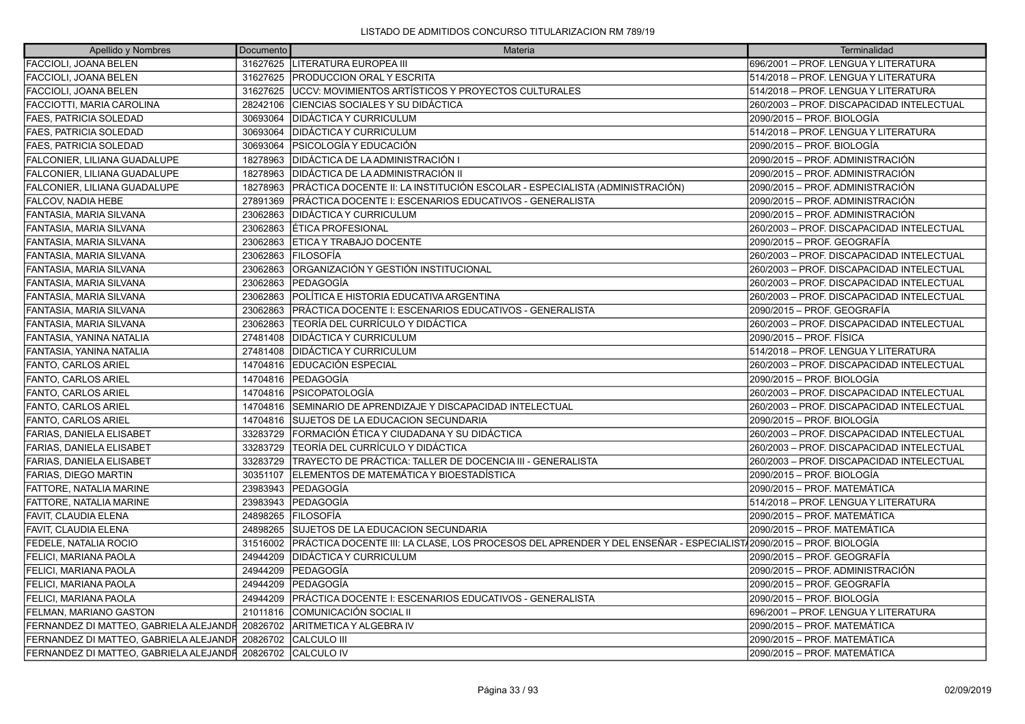| Apellido y Nombres                                         | Documento | Materia                                                                                                          | Terminalidad                              |
|------------------------------------------------------------|-----------|------------------------------------------------------------------------------------------------------------------|-------------------------------------------|
| FACCIOLI, JOANA BELEN                                      |           | 31627625   LITERATURA EUROPEA III                                                                                | 696/2001 - PROF. LENGUA Y LITERATURA      |
| FACCIOLI, JOANA BELEN                                      |           | 31627625   PRODUCCION ORAL Y ESCRITA                                                                             | 514/2018 - PROF. LENGUA Y LITERATURA      |
| FACCIOLI, JOANA BELEN                                      |           | 31627625 UCCV: MOVIMIENTOS ARTÍSTICOS Y PROYECTOS CULTURALES                                                     | 514/2018 - PROF. LENGUA Y LITERATURA      |
| <b>FACCIOTTI. MARIA CAROLINA</b>                           | 28242106  | <b>CIENCIAS SOCIALES Y SU DIDÁCTICA</b>                                                                          | 260/2003 – PROF. DISCAPACIDAD INTELECTUAL |
| FAES, PATRICIA SOLEDAD                                     | 30693064  | <b>DIDÁCTICA Y CURRICULUM</b>                                                                                    | 2090/2015 – PROF. BIOLOGÍA                |
| <b>FAES, PATRICIA SOLEDAD</b>                              |           | 30693064 DIDÁCTICA Y CURRICULUM                                                                                  | 514/2018 - PROF. LENGUA Y LITERATURA      |
| <b>FAES, PATRICIA SOLEDAD</b>                              | 30693064  | PSICOLOGÍA Y EDUCACIÓN                                                                                           | 2090/2015 – PROF. BIOLOGÍA                |
| FALCONIER, LILIANA GUADALUPE                               |           | 18278963 DIDÁCTICA DE LA ADMINISTRACIÓN I                                                                        | 2090/2015 – PROF. ADMINISTRACIÓN          |
| FALCONIER, LILIANA GUADALUPE                               |           | 18278963 DIDÁCTICA DE LA ADMINISTRACIÓN II                                                                       | 2090/2015 – PROF. ADMINISTRACIÓN          |
| FALCONIER, LILIANA GUADALUPE                               | 18278963  | PRÁCTICA DOCENTE II: LA INSTITUCIÓN ESCOLAR - ESPECIALISTA (ADMINISTRACIÓN)                                      | 2090/2015 – PROF. ADMINISTRACIÓN          |
| FALCOV, NADIA HEBE                                         | 27891369  | PRÁCTICA DOCENTE I: ESCENARIOS EDUCATIVOS - GENERALISTA                                                          | 2090/2015 – PROF. ADMINISTRACIÓN          |
| FANTASIA, MARIA SILVANA                                    | 23062863  | <b>IDIDÁCTICA Y CURRICULUM</b>                                                                                   | 2090/2015 – PROF. ADMINISTRACIÓN          |
| FANTASIA, MARIA SILVANA                                    | 23062863  | ÉTICA PROFESIONAL                                                                                                | 260/2003 – PROF. DISCAPACIDAD INTELECTUAL |
| FANTASIA, MARIA SILVANA                                    | 23062863  | <b>ETICA Y TRABAJO DOCENTE</b>                                                                                   | 2090/2015 – PROF. GEOGRAFÍA               |
| FANTASIA, MARIA SILVANA                                    | 23062863  | <b>FILOSOFÍA</b>                                                                                                 | 260/2003 - PROF. DISCAPACIDAD INTELECTUAL |
| FANTASIA, MARIA SILVANA                                    | 23062863  | ORGANIZACIÓN Y GESTIÓN INSTITUCIONAL                                                                             | 260/2003 – PROF. DISCAPACIDAD INTELECTUAL |
| FANTASIA, MARIA SILVANA                                    | 23062863  | <b>IPEDAGOGÍA</b>                                                                                                | 260/2003 – PROF. DISCAPACIDAD INTELECTUAL |
| FANTASIA, MARIA SILVANA                                    |           | 23062863 POLÍTICA E HISTORIA EDUCATIVA ARGENTINA                                                                 | 260/2003 – PROF. DISCAPACIDAD INTELECTUAL |
| FANTASIA, MARIA SILVANA                                    | 23062863  | PRÁCTICA DOCENTE I: ESCENARIOS EDUCATIVOS - GENERALISTA                                                          | 2090/2015 – PROF. GEOGRAFÍA               |
| FANTASIA, MARIA SILVANA                                    | 23062863  | <b>TEORÍA DEL CURRÍCULO Y DIDÁCTICA</b>                                                                          | 260/2003 – PROF. DISCAPACIDAD INTELECTUAL |
| FANTASIA, YANINA NATALIA                                   |           | 27481408   DIDÁCTICA Y CURRICULUM                                                                                | 2090/2015 – PROF. FÍSICA                  |
| FANTASIA, YANINA NATALIA                                   | 27481408  | <b>DIDÁCTICA Y CURRICULUM</b>                                                                                    | 514/2018 - PROF. LENGUA Y LITERATURA      |
| <b>FANTO, CARLOS ARIEL</b>                                 | 14704816  | EDUCACIÓN ESPECIAL                                                                                               | 260/2003 – PROF. DISCAPACIDAD INTELECTUAL |
| <b>FANTO, CARLOS ARIEL</b>                                 |           | 14704816 PEDAGOGÍA                                                                                               | 2090/2015 - PROF. BIOLOGÍA                |
| <b>FANTO, CARLOS ARIEL</b>                                 | 14704816  | <b>IPSICOPATOLOGÍA</b>                                                                                           | 260/2003 – PROF. DISCAPACIDAD INTELECTUAL |
| FANTO, CARLOS ARIEL                                        |           | 14704816 SEMINARIO DE APRENDIZAJE Y DISCAPACIDAD INTELECTUAL                                                     | 260/2003 - PROF. DISCAPACIDAD INTELECTUAL |
| FANTO, CARLOS ARIEL                                        |           | 14704816 SUJETOS DE LA EDUCACION SECUNDARIA                                                                      | 2090/2015 - PROF. BIOLOGÍA                |
| <b>FARIAS, DANIELA ELISABET</b>                            | 33283729  | FORMACIÓN ÉTICA Y CIUDADANA Y SU DIDÁCTICA                                                                       | 260/2003 – PROF. DISCAPACIDAD INTELECTUAL |
| <b>FARIAS, DANIELA ELISABET</b>                            | 33283729  | TEORÍA DEL CURRÍCULO Y DIDÁCTICA                                                                                 | 260/2003 - PROF. DISCAPACIDAD INTELECTUAL |
| <b>FARIAS, DANIELA ELISABET</b>                            | 33283729  | ITRAYECTO DE PRÁCTICA: TALLER DE DOCENCIA III - GENERALISTA                                                      | 260/2003 - PROF. DISCAPACIDAD INTELECTUAL |
| <b>FARIAS, DIEGO MARTIN</b>                                | 30351107  | ELEMENTOS DE MATEMÁTICA Y BIOESTADÍSTICA                                                                         | 2090/2015 – PROF. BIOLOGÍA                |
| FATTORE, NATALIA MARINE                                    |           | 23983943   PEDAGOGÍA                                                                                             | 2090/2015 - PROF. MATEMÁTICA              |
| FATTORE. NATALIA MARINE                                    |           | 23983943 PEDAGOGÍA                                                                                               | 514/2018 - PROF. LENGUA Y LITERATURA      |
| FAVIT, CLAUDIA ELENA                                       | 24898265  | <b>FILOSOFÍA</b>                                                                                                 | 2090/2015 - PROF. MATEMÁTICA              |
| FAVIT, CLAUDIA ELENA                                       |           | 24898265 SUJETOS DE LA EDUCACION SECUNDARIA                                                                      | 2090/2015 - PROF. MATEMÁTICA              |
| FEDELE, NATALIA ROCIO                                      | 31516002  | PRÁCTICA DOCENTE III: LA CLASE, LOS PROCESOS DEL APRENDER Y DEL ENSEÑAR - ESPECIALIST√2090/2015 – PROF. BIOLOGÍA |                                           |
| FELICI, MARIANA PAOLA                                      | 24944209  | DIDÁCTICA Y CURRICULUM                                                                                           | 2090/2015 – PROF. GEOGRAFÍA               |
| FELICI, MARIANA PAOLA                                      |           | 24944209 PEDAGOGÍA                                                                                               | 2090/2015 – PROF. ADMINISTRACIÓN          |
| FELICI, MARIANA PAOLA                                      | 24944209  | PEDAGOGÍA                                                                                                        | 2090/2015 – PROF. GEOGRAFÍA               |
| FELICI, MARIANA PAOLA                                      | 24944209  | PRÁCTICA DOCENTE I: ESCENARIOS EDUCATIVOS - GENERALISTA                                                          | 2090/2015 – PROF. BIOLOGÍA                |
| FELMAN, MARIANO GASTON                                     | 21011816  | COMUNICACIÓN SOCIAL II                                                                                           | 696/2001 – PROF. LENGUA Y LITERATURA      |
| FERNANDEZ DI MATTEO, GABRIELA ALEJANDE 20826702            |           | <b>ARITMETICA Y ALGEBRA IV</b>                                                                                   | 2090/2015 - PROF. MATEMÁTICA              |
| FERNANDEZ DI MATTEO, GABRIELA ALEJANDR                     | 20826702  | <b>CALCULO III</b>                                                                                               | 2090/2015 – PROF. MATEMÁTICA              |
| FERNANDEZ DI MATTEO, GABRIELA ALEJANDF 20826702 CALCULO IV |           |                                                                                                                  | 2090/2015 – PROF. MATEMÁTICA              |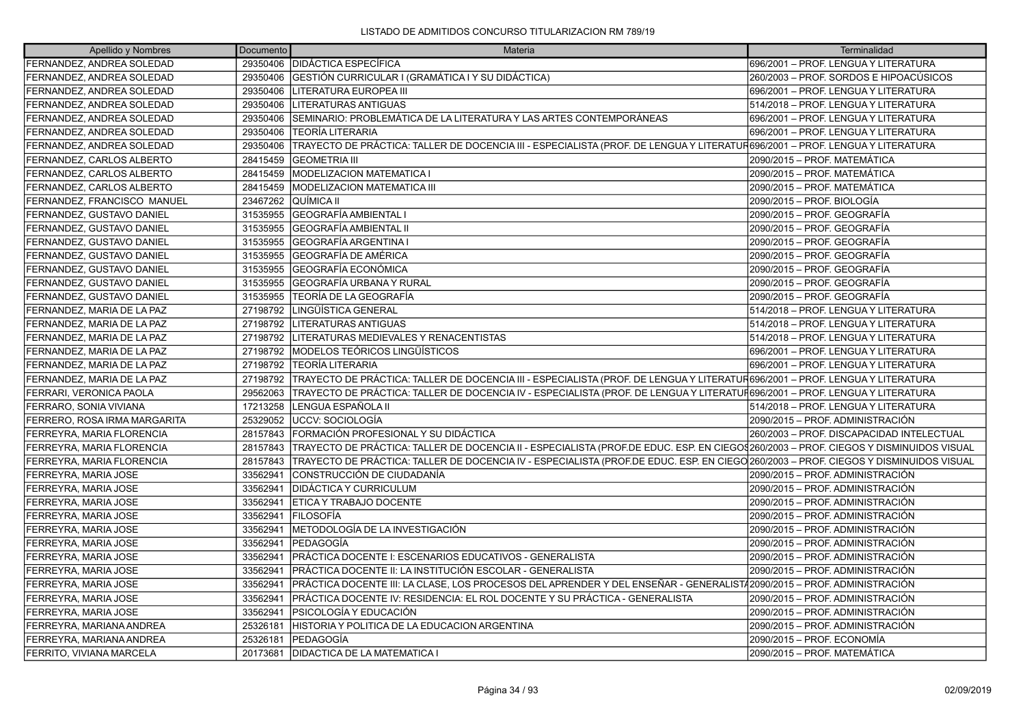| Apellido y Nombres           | Documento | Materia                                                                                                                               | Terminalidad                              |
|------------------------------|-----------|---------------------------------------------------------------------------------------------------------------------------------------|-------------------------------------------|
| FERNANDEZ, ANDREA SOLEDAD    | 29350406  | <b>DIDÁCTICA ESPECÍFICA</b>                                                                                                           | 696/2001 - PROF. LENGUA Y LITERATURA      |
| FERNANDEZ. ANDREA SOLEDAD    | 29350406  | GESTIÓN CURRICULAR I (GRAMÁTICA I Y SU DIDÁCTICA)                                                                                     | 260/2003 - PROF. SORDOS E HIPOACÚSICOS    |
| FERNANDEZ, ANDREA SOLEDAD    | 29350406  | LITERATURA EUROPEA III                                                                                                                | 696/2001 - PROF. LENGUA Y LITERATURA      |
| FERNANDEZ, ANDREA SOLEDAD    | 29350406  | LITERATURAS ANTIGUAS                                                                                                                  | 514/2018 - PROF. LENGUA Y LITERATURA      |
| FERNANDEZ, ANDREA SOLEDAD    | 29350406  | SEMINARIO: PROBLEMÁTICA DE LA LITERATURA Y LAS ARTES CONTEMPORÁNEAS                                                                   | 696/2001 - PROF. LENGUA Y LITERATURA      |
| FERNANDEZ, ANDREA SOLEDAD    | 29350406  | <b>ITEORÍA LITERARIA</b>                                                                                                              | 696/2001 - PROF. LENGUA Y LITERATURA      |
| FERNANDEZ. ANDREA SOLEDAD    | 29350406  | TRAYECTO DE PRÁCTICA: TALLER DE DOCENCIA III - ESPECIALISTA (PROF. DE LENGUA Y LITERATUR696/2001 – PROF. LENGUA Y LITERATURA          |                                           |
| FERNANDEZ, CARLOS ALBERTO    | 28415459  | <b>GEOMETRIA III</b>                                                                                                                  | 2090/2015 – PROF. MATEMÁTICA              |
| FERNANDEZ, CARLOS ALBERTO    | 28415459  | <b>MODELIZACION MATEMATICA I</b>                                                                                                      | 2090/2015 - PROF. MATEMÁTICA              |
| FERNANDEZ, CARLOS ALBERTO    | 28415459  | <b>MODELIZACION MATEMATICA III</b>                                                                                                    | 2090/2015 - PROF. MATEMÁTICA              |
| FERNANDEZ, FRANCISCO MANUEL  | 23467262  | QUÍMICA II                                                                                                                            | 2090/2015 - PROF. BIOLOGÍA                |
| FERNANDEZ, GUSTAVO DANIEL    | 31535955  | <b>GEOGRAFÍA AMBIENTAL</b>                                                                                                            | 2090/2015 - PROF. GEOGRAFÍA               |
| FERNANDEZ, GUSTAVO DANIEL    | 31535955  | GEOGRAFÍA AMBIENTAL II                                                                                                                | 2090/2015 – PROF. GEOGRAFÍA               |
| FERNANDEZ, GUSTAVO DANIEL    | 31535955  | <b>GEOGRAFÍA ARGENTINA I</b>                                                                                                          | 2090/2015 - PROF. GEOGRAFÍA               |
| FERNANDEZ, GUSTAVO DANIEL    | 31535955  | <b>GEOGRAFÍA DE AMÉRICA</b>                                                                                                           | 2090/2015 - PROF. GEOGRAFÍA               |
| FERNANDEZ, GUSTAVO DANIEL    | 31535955  | IGEOGRAFÍA ECONÓMICA                                                                                                                  | 2090/2015 – PROF. GEOGRAFÍA               |
| FERNANDEZ, GUSTAVO DANIEL    | 31535955  | <b>GEOGRAFÍA URBANA Y RURAL</b>                                                                                                       | 2090/2015 - PROF. GEOGRAFÍA               |
| FERNANDEZ. GUSTAVO DANIEL    | 31535955  | lTEORÍA DE LA GEOGRAFÍA                                                                                                               | 2090/2015 - PROF. GEOGRAFÍA               |
| FERNANDEZ, MARIA DE LA PAZ   | 27198792  | LINGÜÍSTICA GENERAL                                                                                                                   | 514/2018 - PROF. LENGUA Y LITERATURA      |
| FERNANDEZ, MARIA DE LA PAZ   | 27198792  | LITERATURAS ANTIGUAS                                                                                                                  | 514/2018 - PROF. LENGUA Y LITERATURA      |
| FERNANDEZ, MARIA DE LA PAZ   | 27198792  | LITERATURAS MEDIEVALES Y RENACENTISTAS                                                                                                | 514/2018 - PROF. LENGUA Y LITERATURA      |
| FERNANDEZ, MARIA DE LA PAZ   | 27198792  | <b>MODELOS TEÓRICOS LINGÜÍSTICOS</b>                                                                                                  | 696/2001 - PROF. LENGUA Y LITERATURA      |
| FERNANDEZ, MARIA DE LA PAZ   | 27198792  | <b>TEORÍA LITERARIA</b>                                                                                                               | 696/2001 - PROF. LENGUA Y LITERATURA      |
| FERNANDEZ. MARIA DE LA PAZ   | 27198792  | TRAYECTO DE PRÁCTICA: TALLER DE DOCENCIA III - ESPECIALISTA (PROF. DE LENGUA Y LITERATUR696/2001 – PROF. LENGUA Y LITERATURA          |                                           |
| FERRARI, VERONICA PAOLA      | 29562063  | TRAYECTO DE PRÁCTICA: TALLER DE DOCENCIA IV - ESPECIALISTA (PROF. DE LENGUA Y LITERATUF696/2001 – PROF. LENGUA Y LITERATURA           |                                           |
| FERRARO, SONIA VIVIANA       | 17213258  | LENGUA ESPAÑOLA II                                                                                                                    | 514/2018 - PROF. LENGUA Y LITERATURA      |
| FERRERO, ROSA IRMA MARGARITA | 25329052  | <b>JUCCV: SOCIOLOGÍA</b>                                                                                                              | 2090/2015 - PROF. ADMINISTRACIÓN          |
| FERREYRA, MARIA FLORENCIA    | 28157843  | FORMACIÓN PROFESIONAL Y SU DIDÁCTICA                                                                                                  | 260/2003 - PROF. DISCAPACIDAD INTELECTUAL |
| FERREYRA, MARIA FLORENCIA    | 28157843  | TRAYECTO DE PRÁCTICA: TALLER DE DOCENCIA II - ESPECIALISTA (PROF.DE EDUC. ESP. EN CIEGO\$260/2003 – PROF. CIEGOS Y DISMINUIDOS VISUAL |                                           |
| FERREYRA, MARIA FLORENCIA    | 28157843  | TRAYECTO DE PRÁCTICA: TALLER DE DOCENCIA IV - ESPECIALISTA (PROF.DE EDUC. ESP. EN CIEGO/260/2003 – PROF. CIEGOS Y DISMINUIDOS VISUAL  |                                           |
| FERREYRA, MARIA JOSE         | 33562941  | CONSTRUCCIÓN DE CIUDADANÍA                                                                                                            | 2090/2015 - PROF. ADMINISTRACIÓN          |
| FERREYRA, MARIA JOSE         | 33562941  | <b>IDIDÁCTICA Y CURRICULUM</b>                                                                                                        | 2090/2015 - PROF. ADMINISTRACIÓN          |
| FERREYRA, MARIA JOSE         | 33562941  | <b>ETICA Y TRABAJO DOCENTE</b>                                                                                                        | 2090/2015 - PROF. ADMINISTRACIÓN          |
| FERREYRA, MARIA JOSE         | 33562941  | <b>FILOSOFÍA</b>                                                                                                                      | 2090/2015 - PROF. ADMINISTRACIÓN          |
| FERREYRA, MARIA JOSE         | 33562941  | METODOLOGÍA DE LA INVESTIGACIÓN                                                                                                       | 2090/2015 – PROF. ADMINISTRACIÓN          |
| FERREYRA, MARIA JOSE         | 33562941  | PEDAGOGÍA                                                                                                                             | 2090/2015 - PROF. ADMINISTRACIÓN          |
| FERREYRA, MARIA JOSE         | 33562941  | PRÁCTICA DOCENTE I: ESCENARIOS EDUCATIVOS - GENERALISTA                                                                               | 2090/2015 - PROF. ADMINISTRACIÓN          |
| FERREYRA, MARIA JOSE         | 33562941  | PRÁCTICA DOCENTE II: LA INSTITUCIÓN ESCOLAR - GENERALISTA                                                                             | 2090/2015 - PROF. ADMINISTRACIÓN          |
| FERREYRA, MARIA JOSE         | 33562941  | PRÁCTICA DOCENTE III: LA CLASE, LOS PROCESOS DEL APRENDER Y DEL ENSEÑAR - GENERALISTÁ2090/2015 – PROF. ADMINISTRACIÓN                 |                                           |
| FERREYRA, MARIA JOSE         | 33562941  | PRÁCTICA DOCENTE IV: RESIDENCIA: EL ROL DOCENTE Y SU PRÁCTICA - GENERALISTA                                                           | 2090/2015 - PROF. ADMINISTRACIÓN          |
| FERREYRA, MARIA JOSE         | 33562941  | IPSICOLOGÍA Y EDUCACIÓN                                                                                                               | 2090/2015 - PROF. ADMINISTRACIÓN          |
| FERREYRA, MARIANA ANDREA     | 25326181  | HISTORIA Y POLITICA DE LA EDUCACION ARGENTINA                                                                                         | 2090/2015 – PROF. ADMINISTRACIÓN          |
| FERREYRA, MARIANA ANDREA     | 25326181  | PEDAGOGÍA                                                                                                                             | 2090/2015 – PROF. ECONOMÍA                |
| FERRITO, VIVIANA MARCELA     | 20173681  | <b>IDIDACTICA DE LA MATEMATICA I</b>                                                                                                  | 2090/2015 - PROF. MATEMÁTICA              |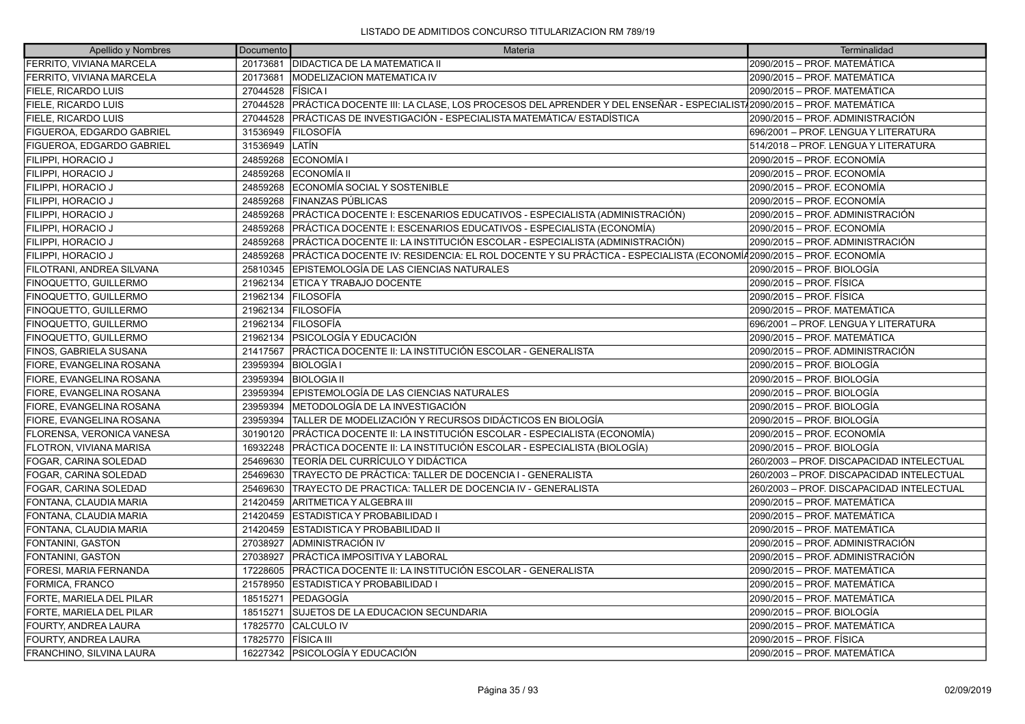| Apellido y Nombres               | Documento | Materia                                                                                                            | Terminalidad                              |
|----------------------------------|-----------|--------------------------------------------------------------------------------------------------------------------|-------------------------------------------|
| FERRITO, VIVIANA MARCELA         |           | 20173681   DIDACTICA DE LA MATEMATICA II                                                                           | 2090/2015 – PROF. MATEMÁTICA              |
| FERRITO, VIVIANA MARCELA         | 20173681  | <b>MODELIZACION MATEMATICA IV</b>                                                                                  | 2090/2015 – PROF. MATEMÁTICA              |
| <b>FIELE, RICARDO LUIS</b>       | 27044528  | <b>IFÍSICA</b> I                                                                                                   | 2090/2015 – PROF. MATEMÁTICA              |
| <b>FIELE, RICARDO LUIS</b>       | 27044528  | PRÁCTICA DOCENTE III: LA CLASE, LOS PROCESOS DEL APRENDER Y DEL ENSEÑAR - ESPECIALIST√2090/2015 – PROF. MATEMÁTICA |                                           |
| <b>FIELE, RICARDO LUIS</b>       | 27044528  | PRÁCTICAS DE INVESTIGACIÓN - ESPECIALISTA MATEMÁTICA/ ESTADÍSTICA                                                  | 2090/2015 – PROF. ADMINISTRACIÓN          |
| <b>FIGUEROA, EDGARDO GABRIEL</b> | 31536949  | <b>IFILOSOFÍA</b>                                                                                                  | 1696/2001 – PROF. LENGUA Y LITERATURA     |
| <b>FIGUEROA, EDGARDO GABRIEL</b> | 31536949  | llatín                                                                                                             | 1514/2018 – PROF. LENGUA Y LITERATURA     |
| FILIPPI, HORACIO J               | 24859268  | ECONOMÍA I                                                                                                         | 2090/2015 – PROF. ECONOMÍA                |
| FILIPPI, HORACIO J               | 24859268  | IECONOMÍA II                                                                                                       | 2090/2015 – PROF. ECONOMÍA                |
| FILIPPI, HORACIO J               | 24859268  | ECONOMÍA SOCIAL Y SOSTENIBLE                                                                                       | 2090/2015 – PROF. ECONOMÍA                |
| FILIPPI, HORACIO J               | 24859268  | FINANZAS PÚBLICAS                                                                                                  | 2090/2015 – PROF. ECONOMÍA                |
| FILIPPI, HORACIO J               | 24859268  | PRÁCTICA DOCENTE I: ESCENARIOS EDUCATIVOS - ESPECIALISTA (ADMINISTRACIÓN)                                          | 2090/2015 – PROF. ADMINISTRACIÓN          |
| FILIPPI, HORACIO J               | 24859268  | PRÁCTICA DOCENTE I: ESCENARIOS EDUCATIVOS - ESPECIALISTA (ECONOMÍA)                                                | 2090/2015 – PROF. ECONOMÍA                |
| FILIPPI, HORACIO J               | 24859268  | PRÁCTICA DOCENTE II: LA INSTITUCIÓN ESCOLAR - ESPECIALISTA (ADMINISTRACIÓN)                                        | 2090/2015 – PROF. ADMINISTRACIÓN          |
| FILIPPI, HORACIO J               | 24859268  | PRÁCTICA DOCENTE IV: RESIDENCIA: EL ROL DOCENTE Y SU PRÁCTICA - ESPECIALISTA (ECONOMÍ42090/2015 – PROF. ECONOMÍA   |                                           |
| FILOTRANI, ANDREA SILVANA        | 25810345  | EPISTEMOLOGÍA DE LAS CIENCIAS NATURALES                                                                            | 2090/2015 – PROF. BIOLOGÍA                |
| <b>FINOQUETTO, GUILLERMO</b>     | 21962134  | ETICA Y TRABAJO DOCENTE                                                                                            | 2090/2015 – PROF. FÍSICA                  |
| FINOQUETTO, GUILLERMO            | 21962134  | <b>FILOSOFÍA</b>                                                                                                   | 2090/2015 – PROF. FÍSICA                  |
| <b>FINOQUETTO, GUILLERMO</b>     | 21962134  | <b>FILOSOFÍA</b>                                                                                                   | 2090/2015 – PROF. MATEMÁTICA              |
| FINOQUETTO, GUILLERMO            | 21962134  | <b>IFILOSOFÍA</b>                                                                                                  | 696/2001 – PROF. LENGUA Y LITERATURA      |
| FINOQUETTO, GUILLERMO            | 21962134  | <b>PSICOLOGÍA Y EDUCACIÓN</b>                                                                                      | 2090/2015 – PROF. MATEMÁTICA              |
| FINOS, GABRIELA SUSANA           | 21417567  | PRÁCTICA DOCENTE II: LA INSTITUCIÓN ESCOLAR - GENERALISTA                                                          | 2090/2015 – PROF. ADMINISTRACIÓN          |
| FIORE, EVANGELINA ROSANA         | 23959394  | <b>BIOLOGÍA I</b>                                                                                                  | 2090/2015 – PROF. BIOLOGÍA                |
| FIORE, EVANGELINA ROSANA         | 23959394  | <b>BIOLOGIA II</b>                                                                                                 | 2090/2015 – PROF. BIOLOGÍA                |
| <b>FIORE, EVANGELINA ROSANA</b>  | 23959394  | EPISTEMOLOGÍA DE LAS CIENCIAS NATURALES                                                                            | 2090/2015 – PROF. BIOLOGÍA                |
| FIORE, EVANGELINA ROSANA         | 23959394  | METODOLOGÍA DE LA INVESTIGACIÓN                                                                                    | 2090/2015 – PROF. BIOLOGÍA                |
| FIORE, EVANGELINA ROSANA         | 23959394  | TALLER DE MODELIZACIÓN Y RECURSOS DIDÁCTICOS EN BIOLOGÍA                                                           | 2090/2015 – PROF. BIOLOGÍA                |
| FLORENSA, VERONICA VANESA        | 30190120  | PRÁCTICA DOCENTE II: LA INSTITUCIÓN ESCOLAR - ESPECIALISTA (ECONOMÍA)                                              | 2090/2015 - PROF. ECONOMÍA                |
| FLOTRON, VIVIANA MARISA          | 16932248  | PRÁCTICA DOCENTE II: LA INSTITUCIÓN ESCOLAR - ESPECIALISTA (BIOLOGÍA)                                              | 2090/2015 – PROF. BIOLOGÍA                |
| FOGAR, CARINA SOLEDAD            | 25469630  | ITEORÍA DEL CURRÍCULO Y DIDÁCTICA                                                                                  | 260/2003 - PROF. DISCAPACIDAD INTELECTUAL |
| FOGAR, CARINA SOLEDAD            | 25469630  | TRAYECTO DE PRÁCTICA: TALLER DE DOCENCIA I - GENERALISTA                                                           | 260/2003 - PROF. DISCAPACIDAD INTELECTUAL |
| FOGAR, CARINA SOLEDAD            | 25469630  | TRAYECTO DE PRACTICA: TALLER DE DOCENCIA IV - GENERALISTA                                                          | 260/2003 - PROF. DISCAPACIDAD INTELECTUAL |
| FONTANA, CLAUDIA MARIA           | 21420459  | IARITMETICA Y ALGEBRA III                                                                                          | 2090/2015 – PROF. MATEMÁTICA              |
| FONTANA, CLAUDIA MARIA           | 21420459  | ESTADISTICA Y PROBABILIDAD I                                                                                       | 2090/2015 – PROF. MATEMÁTICA              |
| FONTANA, CLAUDIA MARIA           | 21420459  | ESTADISTICA Y PROBABILIDAD II                                                                                      | 2090/2015 - PROF. MATEMÁTICA              |
| FONTANINI, GASTON                | 27038927  | IADMINISTRACIÓN IV                                                                                                 | 2090/2015 – PROF. ADMINISTRACIÓN          |
| <b>FONTANINI, GASTON</b>         | 27038927  | PRÁCTICA IMPOSITIVA Y LABORAL                                                                                      | 2090/2015 – PROF. ADMINISTRACIÓN          |
| FORESI, MARIA FERNANDA           | 17228605  | IPRÁCTICA DOCENTE II: LA INSTITUCIÓN ESCOLAR - GENERALISTA                                                         | 2090/2015 – PROF. MATEMÁTICA              |
| FORMICA, FRANCO                  | 21578950  | <b>ESTADISTICA Y PROBABILIDAD I</b>                                                                                | 2090/2015 – PROF. MATEMÁTICA              |
| <b>FORTE, MARIELA DEL PILAR</b>  | 18515271  | <b> PEDAGOGÍA</b>                                                                                                  | 2090/2015 – PROF. MATEMÁTICA              |
| FORTE, MARIELA DEL PILAR         | 18515271  | <b>SUJETOS DE LA EDUCACION SECUNDARIA</b>                                                                          | 2090/2015 – PROF. BIOLOGÍA                |
| FOURTY, ANDREA LAURA             | 17825770  | <b>CALCULO IV</b>                                                                                                  | 2090/2015 – PROF. MATEMÁTICA              |
| FOURTY, ANDREA LAURA             | 17825770  | <b>FÍSICA III</b>                                                                                                  | 2090/2015 – PROF. FÍSICA                  |
| <b>FRANCHINO, SILVINA LAURA</b>  |           | 16227342 PSICOLOGÍA Y EDUCACIÓN                                                                                    | 2090/2015 – PROF. MATEMÁTICA              |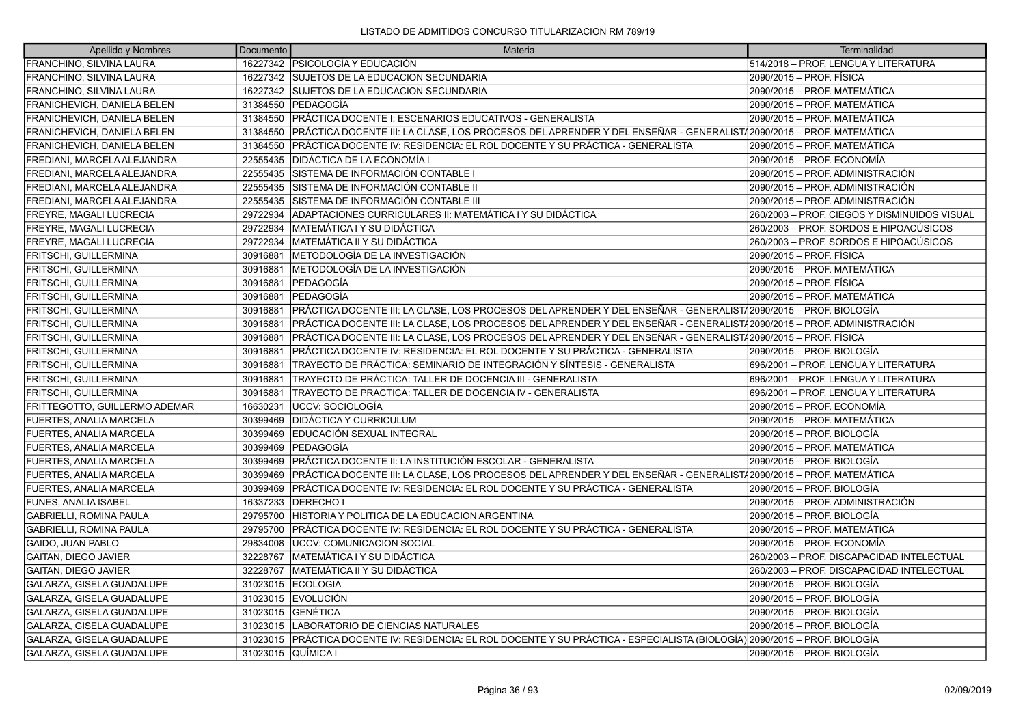| Apellido y Nombres               | Documento | Materia                                                                                                               | Terminalidad                                 |
|----------------------------------|-----------|-----------------------------------------------------------------------------------------------------------------------|----------------------------------------------|
| FRANCHINO, SILVINA LAURA         |           | 16227342   PSICOLOGÍA Y EDUCACIÓN                                                                                     | 514/2018 - PROF. LENGUA Y LITERATURA         |
| FRANCHINO, SILVINA LAURA         |           | 16227342 SUJETOS DE LA EDUCACION SECUNDARIA                                                                           | 2090/2015 – PROF. FÍSICA                     |
| FRANCHINO, SILVINA LAURA         |           | 16227342 SUJETOS DE LA EDUCACION SECUNDARIA                                                                           | 2090/2015 - PROF. MATEMÁTICA                 |
| FRANICHEVICH, DANIELA BELEN      | 31384550  | lPEDAGOGÍA                                                                                                            | 2090/2015 - PROF. MATEMÁTICA                 |
| FRANICHEVICH, DANIELA BELEN      | 31384550  | PRÁCTICA DOCENTE I: ESCENARIOS EDUCATIVOS - GENERALISTA                                                               | 2090/2015 - PROF. MATEMÁTICA                 |
| FRANICHEVICH, DANIELA BELEN      | 31384550  | PRÁCTICA DOCENTE III: LA CLASE, LOS PROCESOS DEL APRENDER Y DEL ENSEÑAR - GENERALIST/2090/2015 – PROF. MATEMÁTICA     |                                              |
| FRANICHEVICH, DANIELA BELEN      | 31384550  | PRÁCTICA DOCENTE IV: RESIDENCIA: EL ROL DOCENTE Y SU PRÁCTICA - GENERALISTA                                           | 2090/2015 – PROF. MATEMÁTICA                 |
| FREDIANI, MARCELA ALEJANDRA      | 22555435  | DIDÁCTICA DE LA ECONOMÍA I                                                                                            | 2090/2015 – PROF. ECONOMÍA                   |
| FREDIANI, MARCELA ALEJANDRA      | 22555435  | SISTEMA DE INFORMACIÓN CONTABLE I                                                                                     | 2090/2015 - PROF. ADMINISTRACIÓN             |
| FREDIANI, MARCELA ALEJANDRA      | 22555435  | SISTEMA DE INFORMACIÓN CONTABLE II                                                                                    | 2090/2015 – PROF. ADMINISTRACIÓN             |
| FREDIANI, MARCELA ALEJANDRA      | 22555435  | SISTEMA DE INFORMACIÓN CONTABLE III                                                                                   | 2090/2015 – PROF. ADMINISTRACIÓN             |
| FREYRE, MAGALI LUCRECIA          | 29722934  | ADAPTACIONES CURRICULARES II: MATEMÁTICA I Y SU DIDÁCTICA                                                             | 260/2003 - PROF. CIEGOS Y DISMINUIDOS VISUAL |
| FREYRE, MAGALI LUCRECIA          | 29722934  | MATEMÁTICA I Y SU DIDÁCTICA                                                                                           | 260/2003 – PROF. SORDOS E HIPOACÚSICOS       |
| FREYRE, MAGALI LUCRECIA          | 29722934  | IMATEMÁTICA II Y SU DIDÁCTICA                                                                                         | 260/2003 – PROF. SORDOS E HIPOACÚSICOS       |
| FRITSCHI, GUILLERMINA            | 30916881  | METODOLOGÍA DE LA INVESTIGACIÓN                                                                                       | 2090/2015 - PROF. FÍSICA                     |
| FRITSCHI, GUILLERMINA            | 30916881  | METODOLOGÍA DE LA INVESTIGACIÓN                                                                                       | 2090/2015 – PROF. MATEMÁTICA                 |
| FRITSCHI, GUILLERMINA            | 30916881  | PEDAGOGÍA                                                                                                             | 2090/2015 – PROF. FÍSICA                     |
| FRITSCHI, GUILLERMINA            | 30916881  | PEDAGOGÍA                                                                                                             | 2090/2015 - PROF. MATEMÁTICA                 |
| FRITSCHI, GUILLERMINA            | 30916881  | PRÁCTICA DOCENTE III: LA CLASE, LOS PROCESOS DEL APRENDER Y DEL ENSEÑAR - GENERALIST/2090/2015 – PROF. BIOLOGÍA       |                                              |
| FRITSCHI, GUILLERMINA            | 30916881  | PRÁCTICA DOCENTE III: LA CLASE, LOS PROCESOS DEL APRENDER Y DEL ENSEÑAR - GENERALIST/2090/2015 – PROF. ADMINISTRACIÓN |                                              |
| FRITSCHI, GUILLERMINA            | 30916881  | PRÁCTICA DOCENTE III: LA CLASE, LOS PROCESOS DEL APRENDER Y DEL ENSEÑAR - GENERALIST/2090/2015 – PROF. FÍSICA         |                                              |
| FRITSCHI, GUILLERMINA            | 30916881  | PRÁCTICA DOCENTE IV: RESIDENCIA: EL ROL DOCENTE Y SU PRÁCTICA - GENERALISTA                                           | 2090/2015 – PROF. BIOLOGÍA                   |
| FRITSCHI, GUILLERMINA            | 30916881  | TRAYECTO DE PRÁCTICA: SEMINARIO DE INTEGRACIÓN Y SÍNTESIS - GENERALISTA                                               | 696/2001 - PROF. LENGUA Y LITERATURA         |
| FRITSCHI, GUILLERMINA            | 30916881  | TRAYECTO DE PRÁCTICA: TALLER DE DOCENCIA III - GENERALISTA                                                            | 696/2001 - PROF. LENGUA Y LITERATURA         |
| FRITSCHI, GUILLERMINA            | 30916881  | TRAYECTO DE PRACTICA: TALLER DE DOCENCIA IV - GENERALISTA                                                             | 696/2001 – PROF. LENGUA Y LITERATURA         |
| FRITTEGOTTO, GUILLERMO ADEMAR    | 16630231  | UCCV: SOCIOLOGÍA                                                                                                      | 2090/2015 – PROF. ECONOMÍA                   |
| <b>FUERTES, ANALIA MARCELA</b>   | 30399469  | <b>DIDÁCTICA Y CURRICULUM</b>                                                                                         | 2090/2015 - PROF. MATEMÁTICA                 |
| <b>FUERTES, ANALIA MARCELA</b>   | 30399469  | EDUCACIÓN SEXUAL INTEGRAL                                                                                             | 2090/2015 – PROF. BIOLOGÍA                   |
| <b>FUERTES, ANALIA MARCELA</b>   | 30399469  | <b>IPEDAGOGÍA</b>                                                                                                     | 2090/2015 - PROF. MATEMÁTICA                 |
| <b>FUERTES, ANALIA MARCELA</b>   | 30399469  | PRÁCTICA DOCENTE II: LA INSTITUCIÓN ESCOLAR - GENERALISTA                                                             | 2090/2015 - PROF. BIOLOGÍA                   |
| <b>FUERTES, ANALIA MARCELA</b>   | 30399469  | PRÁCTICA DOCENTE III: LA CLASE, LOS PROCESOS DEL APRENDER Y DEL ENSEÑAR - GENERALIST/2090/2015 – PROF. MATEMÁTICA     |                                              |
| FUERTES, ANALIA MARCELA          | 30399469  | PRÁCTICA DOCENTE IV: RESIDENCIA: EL ROL DOCENTE Y SU PRÁCTICA - GENERALISTA                                           | 2090/2015 – PROF. BIOLOGÍA                   |
| FUNES, ANALIA ISABEL             | 16337233  | <b>DERECHOI</b>                                                                                                       | 2090/2015 - PROF. ADMINISTRACIÓN             |
| <b>GABRIELLI, ROMINA PAULA</b>   | 29795700  | HISTORIA Y POLITICA DE LA EDUCACION ARGENTINA                                                                         | 2090/2015 – PROF. BIOLOGÍA                   |
| <b>GABRIELLI, ROMINA PAULA</b>   | 29795700  | PRÁCTICA DOCENTE IV: RESIDENCIA: EL ROL DOCENTE Y SU PRÁCTICA - GENERALISTA                                           | 2090/2015 – PROF. MATEMÁTICA                 |
| <b>GAIDO, JUAN PABLO</b>         | 29834008  | <b>UCCV: COMUNICACION SOCIAL</b>                                                                                      | 2090/2015 – PROF. ECONOMÍA                   |
| GAITAN, DIEGO JAVIER             | 32228767  | MATEMÁTICA I Y SU DIDÁCTICA                                                                                           | 260/2003 - PROF. DISCAPACIDAD INTELECTUAL    |
| GAITAN, DIEGO JAVIER             | 32228767  | MATEMÁTICA II Y SU DIDÁCTICA                                                                                          | 260/2003 - PROF. DISCAPACIDAD INTELECTUAL    |
| GALARZA, GISELA GUADALUPE        | 31023015  | <b>ECOLOGIA</b>                                                                                                       | 2090/2015 – PROF. BIOLOGÍA                   |
| GALARZA, GISELA GUADALUPE        | 31023015  | <b>EVOLUCIÓN</b>                                                                                                      | 2090/2015 – PROF. BIOLOGÍA                   |
| GALARZA, GISELA GUADALUPE        | 31023015  | <b>GENÉTICA</b>                                                                                                       | 2090/2015 – PROF. BIOLOGÍA                   |
| GALARZA, GISELA GUADALUPE        | 31023015  | LABORATORIO DE CIENCIAS NATURALES                                                                                     | 2090/2015 - PROF. BIOLOGÍA                   |
| GALARZA, GISELA GUADALUPE        | 31023015  | PRÁCTICA DOCENTE IV: RESIDENCIA: EL ROL DOCENTE Y SU PRÁCTICA - ESPECIALISTA (BIOLOGÍA) 2090/2015 – PROF. BIOLOGÍA    |                                              |
| <b>GALARZA. GISELA GUADALUPE</b> |           | 31023015 QUÍMICA I                                                                                                    | 2090/2015 – PROF. BIOLOGÍA                   |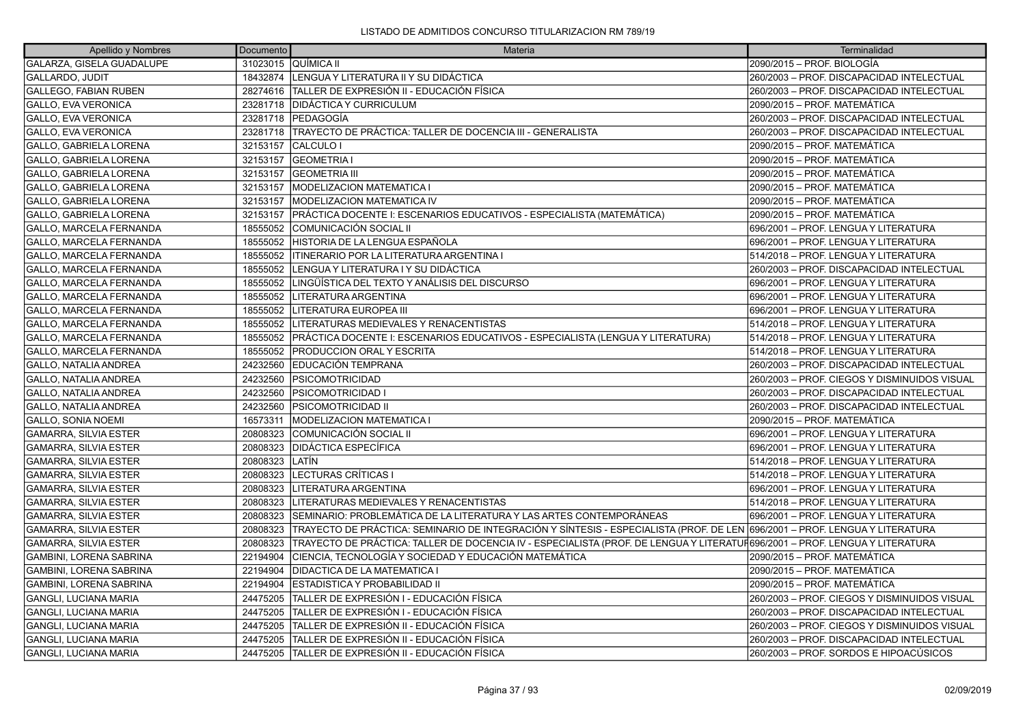| Apellido y Nombres            | <b>Documento</b> | Materia                                                                                                                     | Terminalidad                                 |
|-------------------------------|------------------|-----------------------------------------------------------------------------------------------------------------------------|----------------------------------------------|
| GALARZA, GISELA GUADALUPE     |                  | 31023015 QUÍMICA II                                                                                                         | 2090/2015 - PROF. BIOLOGÍA                   |
| <b>GALLARDO, JUDIT</b>        |                  | 18432874   LENGUA Y LITERATURA II Y SU DIDÁCTICA                                                                            | 260/2003 - PROF. DISCAPACIDAD INTELECTUAL    |
| GALLEGO, FABIAN RUBEN         |                  | 28274616 TALLER DE EXPRESIÓN II - EDUCACIÓN FÍSICA                                                                          | 260/2003 - PROF. DISCAPACIDAD INTELECTUAL    |
| <b>GALLO, EVA VERONICA</b>    | 23281718         | <b>IDIDÁCTICA Y CURRICULUM</b>                                                                                              | 2090/2015 - PROF. MATEMÁTICA                 |
| <b>GALLO, EVA VERONICA</b>    |                  | 23281718   PEDAGOGÍA                                                                                                        | 260/2003 - PROF. DISCAPACIDAD INTELECTUAL    |
| <b>GALLO, EVA VERONICA</b>    |                  | 23281718 TRAYECTO DE PRÁCTICA: TALLER DE DOCENCIA III - GENERALISTA                                                         | 260/2003 - PROF. DISCAPACIDAD INTELECTUAL    |
| <b>GALLO, GABRIELA LORENA</b> | 32153157         | CALCULO I                                                                                                                   | 2090/2015 - PROF. MATEMÁTICA                 |
| <b>GALLO, GABRIELA LORENA</b> |                  | 32153157 GEOMETRIA I                                                                                                        | 2090/2015 - PROF. MATEMÁTICA                 |
| GALLO, GABRIELA LORENA        |                  | 32153157 GEOMETRIA III                                                                                                      | 2090/2015 - PROF. MATEMÁTICA                 |
| GALLO, GABRIELA LORENA        | 32153157         | <b>MODELIZACION MATEMATICA I</b>                                                                                            | 2090/2015 - PROF. MATEMÁTICA                 |
| GALLO, GABRIELA LORENA        | 32153157         | <b>MODELIZACION MATEMATICA IV</b>                                                                                           | 2090/2015 - PROF. MATEMÁTICA                 |
| GALLO, GABRIELA LORENA        | 32153157         | PRÁCTICA DOCENTE I: ESCENARIOS EDUCATIVOS - ESPECIALISTA (MATEMÁTICA)                                                       | 2090/2015 - PROF. MATEMÁTICA                 |
| GALLO, MARCELA FERNANDA       | 18555052         | COMUNICACIÓN SOCIAL II                                                                                                      | 696/2001 - PROF. LENGUA Y LITERATURA         |
| GALLO, MARCELA FERNANDA       |                  | 18555052 HISTORIA DE LA LENGUA ESPAÑOLA                                                                                     | 696/2001 - PROF. LENGUA Y LITERATURA         |
| GALLO, MARCELA FERNANDA       |                  | 18555052   ITINERARIO POR LA LITERATURA ARGENTINA I                                                                         | 514/2018 – PROF. LENGUA Y LITERATURA         |
| GALLO, MARCELA FERNANDA       | 18555052         | LENGUA Y LITERATURA I Y SU DIDÁCTICA                                                                                        | 260/2003 - PROF. DISCAPACIDAD INTELECTUAL    |
| GALLO, MARCELA FERNANDA       | 18555052         | LINGÜÍSTICA DEL TEXTO Y ANÁLISIS DEL DISCURSO                                                                               | 696/2001 - PROF. LENGUA Y LITERATURA         |
| GALLO, MARCELA FERNANDA       | 18555052         | LITERATURA ARGENTINA                                                                                                        | 696/2001 - PROF. LENGUA Y LITERATURA         |
| GALLO, MARCELA FERNANDA       | 18555052         | LITERATURA EUROPEA III                                                                                                      | 696/2001 - PROF. LENGUA Y LITERATURA         |
| GALLO, MARCELA FERNANDA       |                  | 18555052   LITERATURAS MEDIEVALES Y RENACENTISTAS                                                                           | 514/2018 - PROF. LENGUA Y LITERATURA         |
| GALLO, MARCELA FERNANDA       |                  | 18555052 PRÁCTICA DOCENTE I: ESCENARIOS EDUCATIVOS - ESPECIALISTA (LENGUA Y LITERATURA)                                     | 514/2018 – PROF. LENGUA Y LITERATURA         |
| GALLO, MARCELA FERNANDA       | 18555052         | <b>PRODUCCION ORAL Y ESCRITA</b>                                                                                            | 514/2018 - PROF. LENGUA Y LITERATURA         |
| <b>GALLO, NATALIA ANDREA</b>  | 24232560         | EDUCACIÓN TEMPRANA                                                                                                          | 260/2003 - PROF. DISCAPACIDAD INTELECTUAL    |
| <b>GALLO, NATALIA ANDREA</b>  | 24232560         | PSICOMOTRICIDAD                                                                                                             | 260/2003 - PROF. CIEGOS Y DISMINUIDOS VISUAL |
| <b>GALLO, NATALIA ANDREA</b>  | 24232560         | <b>PSICOMOTRICIDAD</b>                                                                                                      | 260/2003 - PROF. DISCAPACIDAD INTELECTUAL    |
| <b>GALLO, NATALIA ANDREA</b>  | 24232560         | <b>PSICOMOTRICIDAD II</b>                                                                                                   | 260/2003 - PROF. DISCAPACIDAD INTELECTUAL    |
| <b>GALLO, SONIA NOEMI</b>     | 16573311         | <b>MODELIZACION MATEMATICA I</b>                                                                                            | 2090/2015 - PROF. MATEMÁTICA                 |
| <b>GAMARRA, SILVIA ESTER</b>  | 20808323         | COMUNICACIÓN SOCIAL II                                                                                                      | 696/2001 - PROF. LENGUA Y LITERATURA         |
| <b>GAMARRA, SILVIA ESTER</b>  | 20808323         | <b>DIDÁCTICA ESPECÍFICA</b>                                                                                                 | 696/2001 - PROF. LENGUA Y LITERATURA         |
| <b>GAMARRA, SILVIA ESTER</b>  | 20808323         | <b>ILATÍN</b>                                                                                                               | 514/2018 – PROF. LENGUA Y LITERATURA         |
| <b>GAMARRA, SILVIA ESTER</b>  | 20808323         | LECTURAS CRÍTICAS I                                                                                                         | 514/2018 – PROF. LENGUA Y LITERATURA         |
| <b>GAMARRA, SILVIA ESTER</b>  | 20808323         | LITERATURA ARGENTINA                                                                                                        | 696/2001 - PROF. LENGUA Y LITERATURA         |
| <b>GAMARRA, SILVIA ESTER</b>  | 20808323         | LITERATURAS MEDIEVALES Y RENACENTISTAS                                                                                      | 514/2018 - PROF. LENGUA Y LITERATURA         |
| <b>GAMARRA, SILVIA ESTER</b>  | 20808323         | SEMINARIO: PROBLEMÁTICA DE LA LITERATURA Y LAS ARTES CONTEMPORÁNEAS                                                         | 696/2001 - PROF. LENGUA Y LITERATURA         |
| <b>GAMARRA, SILVIA ESTER</b>  | 20808323         | TRAYECTO DE PRÁCTICA: SEMINARIO DE INTEGRACIÓN Y SÍNTESIS - ESPECIALISTA (PROF. DE LEN 696/2001 – PROF. LENGUA Y LITERATURA |                                              |
| GAMARRA, SILVIA ESTER         | 20808323         | TRAYECTO DE PRÁCTICA: TALLER DE DOCENCIA IV - ESPECIALISTA (PROF. DE LENGUA Y LITERATUF696/2001 – PROF. LENGUA Y LITERATURA |                                              |
| GAMBINI, LORENA SABRINA       | 22194904         | CIENCIA, TECNOLOGÍA Y SOCIEDAD Y EDUCACIÓN MATEMÁTICA                                                                       | 2090/2015 - PROF. MATEMÁTICA                 |
| GAMBINI, LORENA SABRINA       | 22194904         | <b>DIDACTICA DE LA MATEMATICA I</b>                                                                                         | 2090/2015 - PROF. MATEMÁTICA                 |
| GAMBINI, LORENA SABRINA       | 22194904         | ESTADISTICA Y PROBABILIDAD II                                                                                               | 2090/2015 - PROF. MATEMÁTICA                 |
| GANGLI, LUCIANA MARIA         | 24475205         | TALLER DE EXPRESIÓN I - EDUCACIÓN FÍSICA                                                                                    | 260/2003 - PROF. CIEGOS Y DISMINUIDOS VISUAL |
| GANGLI, LUCIANA MARIA         | 24475205         | TALLER DE EXPRESIÓN I - EDUCACIÓN FÍSICA                                                                                    | 260/2003 - PROF. DISCAPACIDAD INTELECTUAL    |
| <b>GANGLI, LUCIANA MARIA</b>  | 24475205         | TALLER DE EXPRESIÓN II - EDUCACIÓN FÍSICA                                                                                   | 260/2003 - PROF. CIEGOS Y DISMINUIDOS VISUAL |
| <b>GANGLI, LUCIANA MARIA</b>  | 24475205         | TALLER DE EXPRESIÓN II - EDUCACIÓN FÍSICA                                                                                   | 260/2003 - PROF. DISCAPACIDAD INTELECTUAL    |
| <b>GANGLI, LUCIANA MARIA</b>  | 24475205         | TALLER DE EXPRESIÓN II - EDUCACIÓN FÍSICA                                                                                   | 260/2003 - PROF. SORDOS E HIPOACÚSICOS       |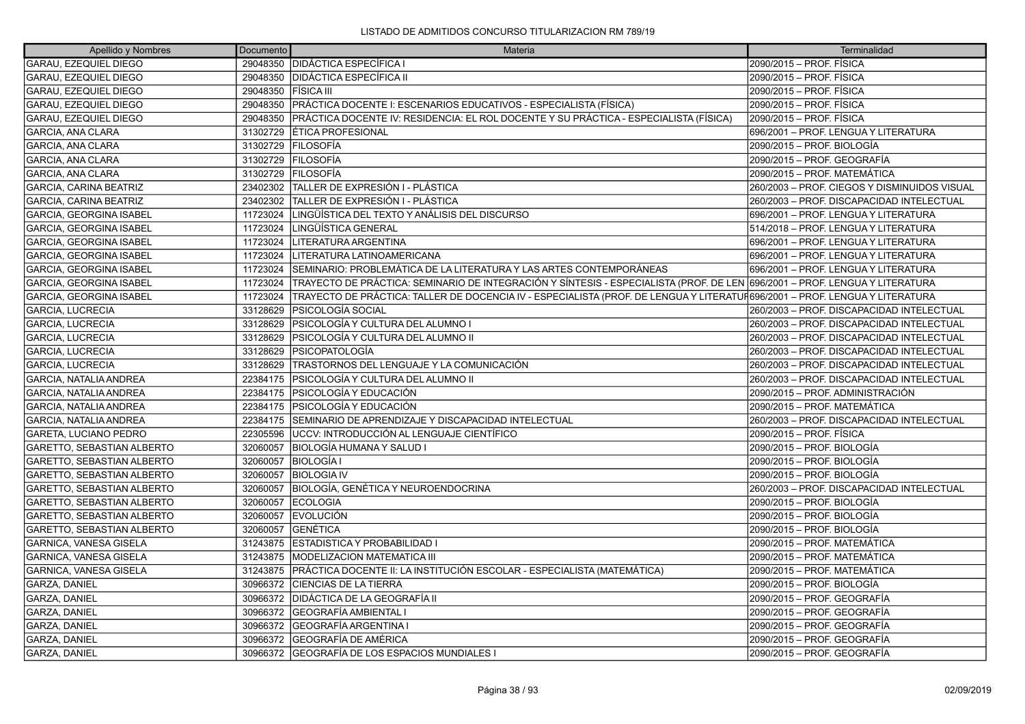| Apellido y Nombres                | Documento | Materia                                                                                                                     | Terminalidad                                 |
|-----------------------------------|-----------|-----------------------------------------------------------------------------------------------------------------------------|----------------------------------------------|
| GARAU, EZEQUIEL DIEGO             | 29048350  | <b>DIDÁCTICA ESPECÍFICA I</b>                                                                                               | 2090/2015 - PROF. FÍSICA                     |
| <b>GARAU, EZEQUIEL DIEGO</b>      | 29048350  | <b>DIDÁCTICA ESPECÍFICA II</b>                                                                                              | 2090/2015 – PROF. FÍSICA                     |
| GARAU, EZEQUIEL DIEGO             | 29048350  | <b>FÍSICA III</b>                                                                                                           | 2090/2015 - PROF. FÍSICA                     |
| GARAU, EZEQUIEL DIEGO             | 29048350  | PRÁCTICA DOCENTE I: ESCENARIOS EDUCATIVOS - ESPECIALISTA (FÍSICA)                                                           | 2090/2015 – PROF. FÍSICA                     |
| <b>GARAU, EZEQUIEL DIEGO</b>      | 29048350  | PRÁCTICA DOCENTE IV: RESIDENCIA: EL ROL DOCENTE Y SU PRÁCTICA - ESPECIALISTA (FÍSICA)                                       | 2090/2015 - PROF. FÍSICA                     |
| GARCIA, ANA CLARA                 | 31302729  | <b>ETICA PROFESIONAL</b>                                                                                                    | 696/2001 - PROF. LENGUA Y LITERATURA         |
| <b>GARCIA, ANA CLARA</b>          | 31302729  | <b>IFILOSOFÍA</b>                                                                                                           | 2090/2015 – PROF. BIOLOGÍA                   |
| <b>GARCIA, ANA CLARA</b>          | 31302729  | <b>FILOSOFÍA</b>                                                                                                            | 2090/2015 - PROF. GEOGRAFÍA                  |
| <b>GARCIA, ANA CLARA</b>          | 31302729  | <b>FILOSOFÍA</b>                                                                                                            | 2090/2015 - PROF. MATEMÁTICA                 |
| GARCIA, CARINA BEATRIZ            | 23402302  | ÍTALLER DE EXPRESIÓN I - PLÁSTICA                                                                                           | 260/2003 - PROF. CIEGOS Y DISMINUIDOS VISUAL |
| GARCIA, CARINA BEATRIZ            | 23402302  | TALLER DE EXPRESIÓN I - PLÁSTICA                                                                                            | 260/2003 - PROF. DISCAPACIDAD INTELECTUAL    |
| <b>GARCIA, GEORGINA ISABEL</b>    | 11723024  | LINGÜÍSTICA DEL TEXTO Y ANÁLISIS DEL DISCURSO                                                                               | 696/2001 - PROF. LENGUA Y LITERATURA         |
| <b>GARCIA, GEORGINA ISABEL</b>    | 11723024  | LINGÜÍSTICA GENERAL                                                                                                         | 514/2018 - PROF. LENGUA Y LITERATURA         |
| <b>GARCIA, GEORGINA ISABEL</b>    | 11723024  | LITERATURA ARGENTINA                                                                                                        | 696/2001 - PROF. LENGUA Y LITERATURA         |
| <b>GARCIA, GEORGINA ISABEL</b>    | 11723024  | LITERATURA LATINOAMERICANA                                                                                                  | 696/2001 - PROF. LENGUA Y LITERATURA         |
| <b>GARCIA, GEORGINA ISABEL</b>    | 11723024  | SEMINARIO: PROBLEMÁTICA DE LA LITERATURA Y LAS ARTES CONTEMPORÁNEAS                                                         | 696/2001 - PROF. LENGUA Y LITERATURA         |
| <b>GARCIA, GEORGINA ISABEL</b>    | 11723024  | TRAYECTO DE PRÁCTICA: SEMINARIO DE INTEGRACIÓN Y SÍNTESIS - ESPECIALISTA (PROF. DE LEN 696/2001 – PROF. LENGUA Y LITERATURA |                                              |
| <b>GARCIA, GEORGINA ISABEL</b>    | 11723024  | TRAYECTO DE PRÁCTICA: TALLER DE DOCENCIA IV - ESPECIALISTA (PROF. DE LENGUA Y LITERATUF696/2001 – PROF. LENGUA Y LITERATURA |                                              |
| <b>GARCIA, LUCRECIA</b>           | 33128629  | PSICOLOGÍA SOCIAL                                                                                                           | 260/2003 - PROF. DISCAPACIDAD INTELECTUAL    |
| <b>GARCIA, LUCRECIA</b>           | 33128629  | PSICOLOGÍA Y CULTURA DEL ALUMNO I                                                                                           | 260/2003 - PROF. DISCAPACIDAD INTELECTUAL    |
| <b>GARCIA, LUCRECIA</b>           | 33128629  | PSICOLOGÍA Y CULTURA DEL ALUMNO II                                                                                          | 260/2003 - PROF. DISCAPACIDAD INTELECTUAL    |
| <b>GARCIA, LUCRECIA</b>           | 33128629  | <b>PSICOPATOLOGÍA</b>                                                                                                       | 260/2003 - PROF. DISCAPACIDAD INTELECTUAL    |
| <b>GARCIA, LUCRECIA</b>           | 33128629  | TRASTORNOS DEL LENGUAJE Y LA COMUNICACIÓN                                                                                   | 260/2003 - PROF. DISCAPACIDAD INTELECTUAL    |
| <b>GARCIA, NATALIA ANDREA</b>     | 22384175  | PSICOLOGÍA Y CULTURA DEL ALUMNO II                                                                                          | 260/2003 - PROF. DISCAPACIDAD INTELECTUAL    |
| <b>GARCIA, NATALIA ANDREA</b>     | 22384175  | <b>PSICOLOGÍA Y EDUCACIÓN</b>                                                                                               | 2090/2015 – PROF. ADMINISTRACIÓN             |
| <b>GARCIA, NATALIA ANDREA</b>     | 22384175  | <b>PSICOLOGÍA Y EDUCACIÓN</b>                                                                                               | 2090/2015 – PROF. MATEMÁTICA                 |
| <b>GARCIA, NATALIA ANDREA</b>     | 22384175  | SEMINARIO DE APRENDIZAJE Y DISCAPACIDAD INTELECTUAL                                                                         | 260/2003 - PROF. DISCAPACIDAD INTELECTUAL    |
| GARETA, LUCIANO PEDRO             | 22305596  | <b>JUCCV: INTRODUCCIÓN AL LENGUAJE CIENTÍFICO</b>                                                                           | 2090/2015 - PROF. FÍSICA                     |
| GARETTO, SEBASTIAN ALBERTO        | 32060057  | BIOLOGÍA HUMANA Y SALUD I                                                                                                   | 2090/2015 – PROF. BIOLOGÍA                   |
| <b>GARETTO, SEBASTIAN ALBERTO</b> | 32060057  | <b>BIOLOGÍA I</b>                                                                                                           | 2090/2015 – PROF. BIOLOGÍA                   |
| GARETTO, SEBASTIAN ALBERTO        | 32060057  | <b>BIOLOGIA IV</b>                                                                                                          | 2090/2015 – PROF. BIOLOGÍA                   |
| GARETTO, SEBASTIAN ALBERTO        | 32060057  | BIOLOGÍA, GENÉTICA Y NEUROENDOCRINA                                                                                         | 260/2003 - PROF. DISCAPACIDAD INTELECTUAL    |
| GARETTO, SEBASTIAN ALBERTO        | 32060057  | <b>ECOLOGIA</b>                                                                                                             | 2090/2015 – PROF. BIOLOGÍA                   |
| GARETTO, SEBASTIAN ALBERTO        | 32060057  | <b>EVOLUCIÓN</b>                                                                                                            | 2090/2015 – PROF. BIOLOGÍA                   |
| GARETTO, SEBASTIAN ALBERTO        | 32060057  | <b>IGENÉTICA</b>                                                                                                            | 2090/2015 – PROF. BIOLOGÍA                   |
| GARNICA, VANESA GISELA            | 31243875  | <b>ESTADISTICA Y PROBABILIDAD I</b>                                                                                         | 2090/2015 - PROF. MATEMÁTICA                 |
| GARNICA, VANESA GISELA            | 31243875  | <b>MODELIZACION MATEMATICA III</b>                                                                                          | 2090/2015 - PROF. MATEMÁTICA                 |
| GARNICA, VANESA GISELA            | 31243875  | PRÁCTICA DOCENTE II: LA INSTITUCIÓN ESCOLAR - ESPECIALISTA (MATEMÁTICA)                                                     | 2090/2015 - PROF. MATEMÁTICA                 |
| GARZA, DANIEL                     | 30966372  | <b>CIENCIAS DE LA TIERRA</b>                                                                                                | 2090/2015 – PROF. BIOLOGÍA                   |
| GARZA, DANIEL                     | 30966372  | DIDÁCTICA DE LA GEOGRAFÍA II                                                                                                | 2090/2015 – PROF. GEOGRAFÍA                  |
| <b>GARZA, DANIEL</b>              | 30966372  | GEOGRAFÍA AMBIENTAL I                                                                                                       | 2090/2015 – PROF. GEOGRAFÍA                  |
| <b>GARZA, DANIEL</b>              | 30966372  | GEOGRAFÍA ARGENTINA I                                                                                                       | 2090/2015 – PROF. GEOGRAFÍA                  |
| GARZA, DANIEL                     | 30966372  | GEOGRAFÍA DE AMÉRICA                                                                                                        | 2090/2015 – PROF. GEOGRAFÍA                  |
| <b>GARZA, DANIEL</b>              | 30966372  | <b>IGEOGRAFÍA DE LOS ESPACIOS MUNDIALES I</b>                                                                               | 2090/2015 – PROF. GEOGRAFÍA                  |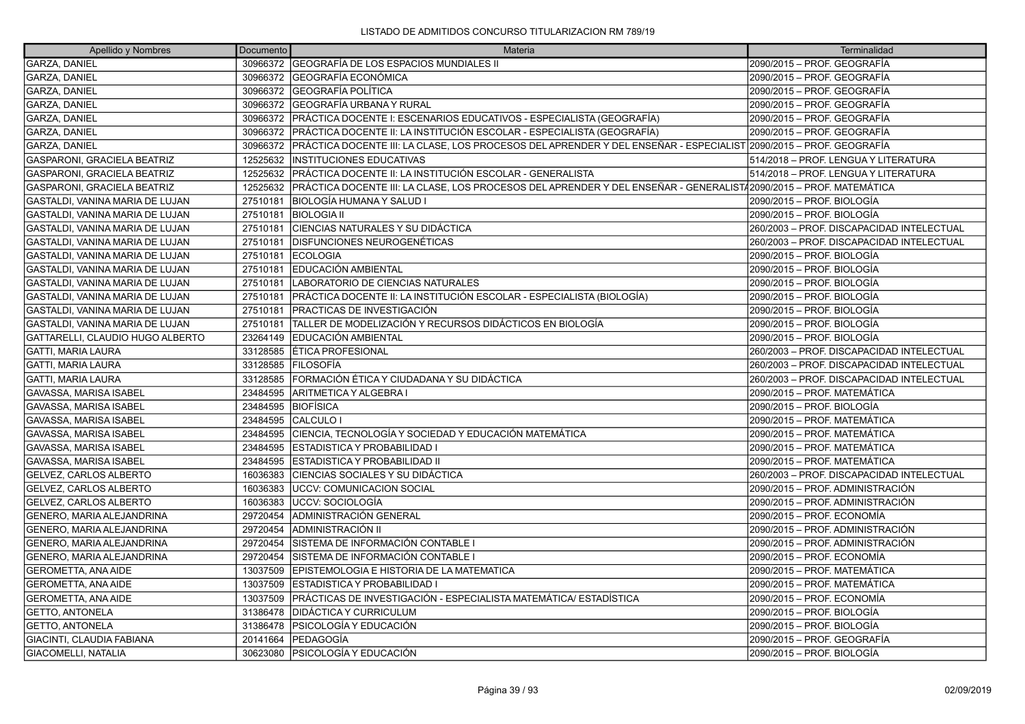| Apellido y Nombres               | Documento | Materia                                                                                                           | Terminalidad                              |
|----------------------------------|-----------|-------------------------------------------------------------------------------------------------------------------|-------------------------------------------|
| <b>GARZA, DANIEL</b>             |           | 30966372 GEOGRAFÍA DE LOS ESPACIOS MUNDIALES II                                                                   | 2090/2015 – PROF. GEOGRAFÍA               |
| GARZA, DANIEL                    |           | 30966372 GEOGRAFÍA ECONÓMICA                                                                                      | 2090/2015 – PROF. GEOGRAFÍA               |
| <b>GARZA, DANIEL</b>             |           | 30966372 GEOGRAFÍA POLÍTICA                                                                                       | 2090/2015 – PROF. GEOGRAFÍA               |
| GARZA, DANIEL                    | 30966372  | GEOGRAFÍA URBANA Y RURAL                                                                                          | 2090/2015 – PROF. GEOGRAFÍA               |
| GARZA, DANIEL                    |           | 30966372   PRÁCTICA DOCENTE I: ESCENARIOS EDUCATIVOS - ESPECIALISTA (GEOGRAFÍA)                                   | 2090/2015 – PROF. GEOGRAFÍA               |
| <b>GARZA, DANIEL</b>             | 30966372  | PRÁCTICA DOCENTE II: LA INSTITUCIÓN ESCOLAR - ESPECIALISTA (GEOGRAFÍA)                                            | 2090/2015 – PROF. GEOGRAFÍA               |
| GARZA, DANIEL                    | 30966372  | PRÁCTICA DOCENTE III: LA CLASE, LOS PROCESOS DEL APRENDER Y DEL ENSEÑAR - ESPECIALIST 2090/2015 – PROF. GEOGRAFÍA |                                           |
| GASPARONI, GRACIELA BEATRIZ      | 12525632  | <b>INSTITUCIONES EDUCATIVAS</b>                                                                                   | 514/2018 - PROF. LENGUA Y LITERATURA      |
| GASPARONI, GRACIELA BEATRIZ      | 12525632  | PRÁCTICA DOCENTE II: LA INSTITUCIÓN ESCOLAR - GENERALISTA                                                         | 514/2018 - PROF. LENGUA Y LITERATURA      |
| GASPARONI, GRACIELA BEATRIZ      | 12525632  | PRÁCTICA DOCENTE III: LA CLASE, LOS PROCESOS DEL APRENDER Y DEL ENSEÑAR - GENERALIST/2090/2015 – PROF. MATEMÁTICA |                                           |
| GASTALDI, VANINA MARIA DE LUJAN  | 27510181  | IBIOLOGÍA HUMANA Y SALUD I                                                                                        | 2090/2015 – PROF. BIOLOGÍA                |
| GASTALDI, VANINA MARIA DE LUJAN  | 27510181  | <b>BIOLOGIA II</b>                                                                                                | 2090/2015 – PROF. BIOLOGÍA                |
| GASTALDI, VANINA MARIA DE LUJAN  | 27510181  | CIENCIAS NATURALES Y SU DIDÁCTICA                                                                                 | 260/2003 – PROF. DISCAPACIDAD INTELECTUAL |
| GASTALDI, VANINA MARIA DE LUJAN  | 27510181  | <b>DISFUNCIONES NEUROGENÉTICAS</b>                                                                                | 260/2003 - PROF. DISCAPACIDAD INTELECTUAL |
| GASTALDI, VANINA MARIA DE LUJAN  | 27510181  | <b>ECOLOGIA</b>                                                                                                   | 2090/2015 – PROF. BIOLOGÍA                |
| GASTALDI, VANINA MARIA DE LUJAN  | 27510181  | EDUCACIÓN AMBIENTAL                                                                                               | 2090/2015 – PROF. BIOLOGÍA                |
| GASTALDI, VANINA MARIA DE LUJAN  | 27510181  | LABORATORIO DE CIENCIAS NATURALES                                                                                 | 2090/2015 – PROF. BIOLOGÍA                |
| GASTALDI, VANINA MARIA DE LUJAN  | 27510181  | PRÁCTICA DOCENTE II: LA INSTITUCIÓN ESCOLAR - ESPECIALISTA (BIOLOGÍA)                                             | 2090/2015 – PROF. BIOLOGÍA                |
| GASTALDI, VANINA MARIA DE LUJAN  | 27510181  | PRACTICAS DE INVESTIGACIÓN                                                                                        | 2090/2015 – PROF. BIOLOGÍA                |
| GASTALDI, VANINA MARIA DE LUJAN  | 27510181  | TALLER DE MODELIZACIÓN Y RECURSOS DIDÁCTICOS EN BIOLOGÍA                                                          | 2090/2015 – PROF. BIOLOGÍA                |
| GATTARELLI, CLAUDIO HUGO ALBERTO |           | 23264149 EDUCACIÓN AMBIENTAL                                                                                      | 2090/2015 – PROF. BIOLOGÍA                |
| <b>GATTI, MARIA LAURA</b>        | 33128585  | <b>ÉTICA PROFESIONAL</b>                                                                                          | 260/2003 – PROF. DISCAPACIDAD INTELECTUAL |
| <b>GATTI, MARIA LAURA</b>        | 33128585  | IFILOSOFÍA                                                                                                        | 260/2003 – PROF. DISCAPACIDAD INTELECTUAL |
| GATTI, MARIA LAURA               | 33128585  | IFORMACIÓN ÉTICA Y CIUDADANA Y SU DIDÁCTICA                                                                       | 260/2003 - PROF. DISCAPACIDAD INTELECTUAL |
| GAVASSA, MARISA ISABEL           | 23484595  | ARITMETICA Y ALGEBRA I                                                                                            | 2090/2015 – PROF. MATEMÁTICA              |
| GAVASSA, MARISA ISABEL           | 23484595  | <b>BIOFÍSICA</b>                                                                                                  | 2090/2015 – PROF. BIOLOGÍA                |
| GAVASSA, MARISA ISABEL           | 23484595  | CALCULO I                                                                                                         | 2090/2015 - PROF. MATEMÁTICA              |
| GAVASSA, MARISA ISABEL           | 23484595  | CIENCIA, TECNOLOGÍA Y SOCIEDAD Y EDUCACIÓN MATEMÁTICA                                                             | 2090/2015 - PROF. MATEMÁTICA              |
| GAVASSA, MARISA ISABEL           | 23484595  | ESTADISTICA Y PROBABILIDAD                                                                                        | 2090/2015 – PROF. MATEMÁTICA              |
| GAVASSA, MARISA ISABEL           | 23484595  | <b>ESTADISTICA Y PROBABILIDAD II</b>                                                                              | 2090/2015 - PROF. MATEMÁTICA              |
| GELVEZ, CARLOS ALBERTO           | 16036383  | CIENCIAS SOCIALES Y SU DIDÁCTICA                                                                                  | 260/2003 - PROF. DISCAPACIDAD INTELECTUAL |
| GELVEZ, CARLOS ALBERTO           | 16036383  | <b>UCCV: COMUNICACION SOCIAL</b>                                                                                  | 2090/2015 – PROF. ADMINISTRACIÓN          |
| GELVEZ, CARLOS ALBERTO           | 16036383  | UCCV: SOCIOLOGÍA                                                                                                  | 2090/2015 – PROF. ADMINISTRACIÓN          |
| GENERO, MARIA ALEJANDRINA        | 29720454  | ADMINISTRACIÓN GENERAL                                                                                            | 2090/2015 – PROF. ECONOMÍA                |
| GENERO, MARIA ALEJANDRINA        | 29720454  | IADMINISTRACIÓN II                                                                                                | 2090/2015 – PROF. ADMINISTRACIÓN          |
| GENERO, MARIA ALEJANDRINA        | 29720454  | SISTEMA DE INFORMACIÓN CONTABLE I                                                                                 | 2090/2015 - PROF. ADMINISTRACIÓN          |
| GENERO, MARIA ALEJANDRINA        | 29720454  | SISTEMA DE INFORMACIÓN CONTABLE I                                                                                 | 2090/2015 – PROF. ECONOMÍA                |
| <b>GEROMETTA, ANA AIDE</b>       | 13037509  | EPISTEMOLOGIA E HISTORIA DE LA MATEMATICA                                                                         | 2090/2015 – PROF. MATEMÁTICA              |
| <b>GEROMETTA, ANA AIDE</b>       | 13037509  | <b>IESTADISTICA Y PROBABILIDAD I</b>                                                                              | 2090/2015 - PROF. MATEMÁTICA              |
| <b>GEROMETTA, ANA AIDE</b>       | 13037509  | PRÁCTICAS DE INVESTIGACIÓN - ESPECIALISTA MATEMÁTICA/ ESTADÍSTICA                                                 | 2090/2015 – PROF. ECONOMÍA                |
| <b>GETTO, ANTONELA</b>           | 31386478  | <b>DIDÁCTICA Y CURRICULUM</b>                                                                                     | 2090/2015 – PROF. BIOLOGÍA                |
| <b>GETTO, ANTONELA</b>           | 31386478  | PSICOLOGÍA Y EDUCACIÓN                                                                                            | 2090/2015 - PROF. BIOLOGÍA                |
| GIACINTI, CLAUDIA FABIANA        | 20141664  | <b>PEDAGOGÍA</b>                                                                                                  | 2090/2015 – PROF. GEOGRAFÍA               |
| <b>GIACOMELLI, NATALIA</b>       |           | 30623080 PSICOLOGÍA Y EDUCACIÓN                                                                                   | 2090/2015 – PROF. BIOLOGÍA                |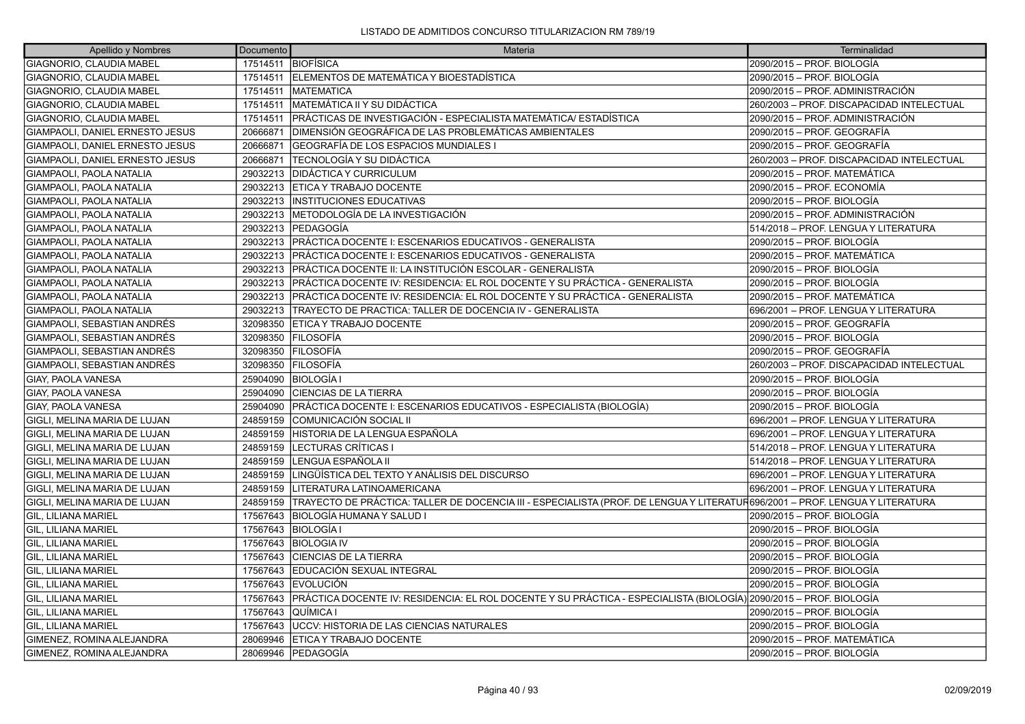| Apellido y Nombres              | Documento | Materia                                                                                                                      | Terminalidad                              |
|---------------------------------|-----------|------------------------------------------------------------------------------------------------------------------------------|-------------------------------------------|
| GIAGNORIO, CLAUDIA MABEL        |           | 17514511 BIOFÍSICA                                                                                                           | 2090/2015 - PROF. BIOLOGÍA                |
| GIAGNORIO, CLAUDIA MABEL        |           | 17514511 ELEMENTOS DE MATEMÁTICA Y BIOESTADÍSTICA                                                                            | 2090/2015 - PROF. BIOLOGÍA                |
| GIAGNORIO, CLAUDIA MABEL        | 17514511  | <b>IMATEMATICA</b>                                                                                                           | 2090/2015 – PROF. ADMINISTRACIÓN          |
| GIAGNORIO, CLAUDIA MABEL        | 17514511  | <b>MATEMÁTICA II Y SU DIDÁCTICA</b>                                                                                          | 260/2003 - PROF. DISCAPACIDAD INTELECTUAL |
| GIAGNORIO, CLAUDIA MABEL        | 17514511  | PRÁCTICAS DE INVESTIGACIÓN - ESPECIALISTA MATEMÁTICA/ ESTADÍSTICA                                                            | 2090/2015 - PROF. ADMINISTRACIÓN          |
| GIAMPAOLI, DANIEL ERNESTO JESUS | 20666871  | DIMENSIÓN GEOGRÁFICA DE LAS PROBLEMÁTICAS AMBIENTALES                                                                        | 2090/2015 – PROF. GEOGRAFÍA               |
| GIAMPAOLI, DANIEL ERNESTO JESUS | 20666871  | GEOGRAFÍA DE LOS ESPACIOS MUNDIALES I                                                                                        | 2090/2015 - PROF. GEOGRAFÍA               |
| GIAMPAOLI, DANIEL ERNESTO JESUS | 20666871  | TECNOLOGÍA Y SU DIDÁCTICA                                                                                                    | 260/2003 - PROF. DISCAPACIDAD INTELECTUAL |
| GIAMPAOLI, PAOLA NATALIA        | 29032213  | <b>DIDÁCTICA Y CURRICULUM</b>                                                                                                | 2090/2015 – PROF. MATEMÁTICA              |
| GIAMPAOLI, PAOLA NATALIA        | 29032213  | <b>ETICA Y TRABAJO DOCENTE</b>                                                                                               | 2090/2015 - PROF. ECONOMÍA                |
| GIAMPAOLI, PAOLA NATALIA        | 29032213  | <b>INSTITUCIONES EDUCATIVAS</b>                                                                                              | 2090/2015 - PROF. BIOLOGÍA                |
| GIAMPAOLI, PAOLA NATALIA        | 29032213  | IMETODOLOGÍA DE LA INVESTIGACIÓN                                                                                             | 2090/2015 - PROF. ADMINISTRACIÓN          |
| GIAMPAOLI, PAOLA NATALIA        | 29032213  | <b>PEDAGOGÍA</b>                                                                                                             | 514/2018 - PROF. LENGUA Y LITERATURA      |
| GIAMPAOLI, PAOLA NATALIA        |           | 29032213   PRÁCTICA DOCENTE I: ESCENARIOS EDUCATIVOS - GENERALISTA                                                           | 2090/2015 - PROF. BIOLOGÍA                |
| GIAMPAOLI, PAOLA NATALIA        | 29032213  | <b>PRÁCTICA DOCENTE I: ESCENARIOS EDUCATIVOS - GENERALISTA</b>                                                               | 2090/2015 – PROF. MATEMÁTICA              |
| GIAMPAOLI, PAOLA NATALIA        | 29032213  | PRÁCTICA DOCENTE II: LA INSTITUCIÓN ESCOLAR - GENERALISTA                                                                    | 2090/2015 - PROF. BIOLOGÍA                |
| GIAMPAOLI, PAOLA NATALIA        | 29032213  | IPRÁCTICA DOCENTE IV: RESIDENCIA: EL ROL DOCENTE Y SU PRÁCTICA - GENERALISTA                                                 | 2090/2015 - PROF. BIOLOGÍA                |
| GIAMPAOLI, PAOLA NATALIA        | 29032213  | PRÁCTICA DOCENTE IV: RESIDENCIA: EL ROL DOCENTE Y SU PRÁCTICA - GENERALISTA                                                  | 2090/2015 - PROF. MATEMÁTICA              |
| GIAMPAOLI, PAOLA NATALIA        | 29032213  | TRAYECTO DE PRACTICA: TALLER DE DOCENCIA IV - GENERALISTA                                                                    | 696/2001 - PROF. LENGUA Y LITERATURA      |
| GIAMPAOLI, SEBASTIAN ANDRÉS     | 32098350  | <b>ETICA Y TRABAJO DOCENTE</b>                                                                                               | 2090/2015 - PROF. GEOGRAFÍA               |
| GIAMPAOLI, SEBASTIAN ANDRÉS     | 32098350  | <b>FILOSOFÍA</b>                                                                                                             | 2090/2015 – PROF. BIOLOGÍA                |
| GIAMPAOLI, SEBASTIAN ANDRÉS     | 32098350  | FILOSOFÍA                                                                                                                    | 2090/2015 - PROF. GEOGRAFÍA               |
| GIAMPAOLI, SEBASTIAN ANDRÉS     | 32098350  | FILOSOFÍA                                                                                                                    | 260/2003 - PROF. DISCAPACIDAD INTELECTUAL |
| <b>GIAY. PAOLA VANESA</b>       | 25904090  | <b>BIOLOGÍA I</b>                                                                                                            | 2090/2015 – PROF. BIOLOGÍA                |
| GIAY, PAOLA VANESA              | 25904090  | <b>CIENCIAS DE LA TIERRA</b>                                                                                                 | 2090/2015 - PROF. BIOLOGÍA                |
| <b>GIAY, PAOLA VANESA</b>       | 25904090  | PRÁCTICA DOCENTE I: ESCENARIOS EDUCATIVOS - ESPECIALISTA (BIOLOGÍA)                                                          | 2090/2015 - PROF. BIOLOGÍA                |
| GIGLI, MELINA MARIA DE LUJAN    | 24859159  | COMUNICACIÓN SOCIAL II                                                                                                       | 696/2001 - PROF. LENGUA Y LITERATURA      |
| GIGLI, MELINA MARIA DE LUJAN    | 24859159  | HISTORIA DE LA LENGUA ESPAÑOLA                                                                                               | 696/2001 - PROF. LENGUA Y LITERATURA      |
| GIGLI, MELINA MARIA DE LUJAN    | 24859159  | LECTURAS CRÍTICAS I                                                                                                          | 514/2018 - PROF. LENGUA Y LITERATURA      |
| GIGLI, MELINA MARIA DE LUJAN    | 24859159  | LENGUA ESPAÑOLA II                                                                                                           | 514/2018 - PROF. LENGUA Y LITERATURA      |
| GIGLI, MELINA MARIA DE LUJAN    | 24859159  | LINGÜÍSTICA DEL TEXTO Y ANÁLISIS DEL DISCURSO                                                                                | 696/2001 - PROF. LENGUA Y LITERATURA      |
| GIGLI, MELINA MARIA DE LUJAN    | 24859159  | LITERATURA LATINOAMERICANA                                                                                                   | 696/2001 - PROF. LENGUA Y LITERATURA      |
| GIGLI, MELINA MARIA DE LUJAN    | 24859159  | TRAYECTO DE PRÁCTICA: TALLER DE DOCENCIA III - ESPECIALISTA (PROF. DE LENGUA Y LITERATUR696/2001 – PROF. LENGUA Y LITERATURA |                                           |
| GIL, LILIANA MARIEL             | 17567643  | BIOLOGÍA HUMANA Y SALUD I                                                                                                    | 2090/2015 - PROF. BIOLOGÍA                |
| İGIL. LILIANA MARIEL            | 17567643  | <b>BIOLOGÍA I</b>                                                                                                            | 2090/2015 – PROF. BIOLOGÍA                |
| GIL, LILIANA MARIEL             | 17567643  | <b>BIOLOGIA IV</b>                                                                                                           | 2090/2015 - PROF. BIOLOGÍA                |
| GIL, LILIANA MARIEL             | 17567643  | <b>CIENCIAS DE LA TIERRA</b>                                                                                                 | 2090/2015 - PROF. BIOLOGÍA                |
| <b>GIL, LILIANA MARIEL</b>      | 17567643  | EDUCACIÓN SEXUAL INTEGRAL                                                                                                    | 2090/2015 - PROF. BIOLOGÍA                |
| GIL, LILIANA MARIEL             | 17567643  | <b>EVOLUCIÓN</b>                                                                                                             | 2090/2015 – PROF. BIOLOGÍA                |
| <b>GIL, LILIANA MARIEL</b>      | 17567643  | PRÁCTICA DOCENTE IV: RESIDENCIA: EL ROL DOCENTE Y SU PRÁCTICA - ESPECIALISTA (BIOLOGÍA) 2090/2015 – PROF. BIOLOGÍA           |                                           |
| GIL, LILIANA MARIEL             | 17567643  | <b>QUÍMICA I</b>                                                                                                             | 2090/2015 - PROF. BIOLOGÍA                |
| <b>GIL, LILIANA MARIEL</b>      | 17567643  | UCCV: HISTORIA DE LAS CIENCIAS NATURALES                                                                                     | 2090/2015 - PROF. BIOLOGÍA                |
| GIMENEZ, ROMINA ALEJANDRA       | 28069946  | <b>ETICA Y TRABAJO DOCENTE</b>                                                                                               | 2090/2015 - PROF. MATEMÁTICA              |
| GIMENEZ, ROMINA ALEJANDRA       | 28069946  | <b>PEDAGOGÍA</b>                                                                                                             | 2090/2015 – PROF. BIOLOGÍA                |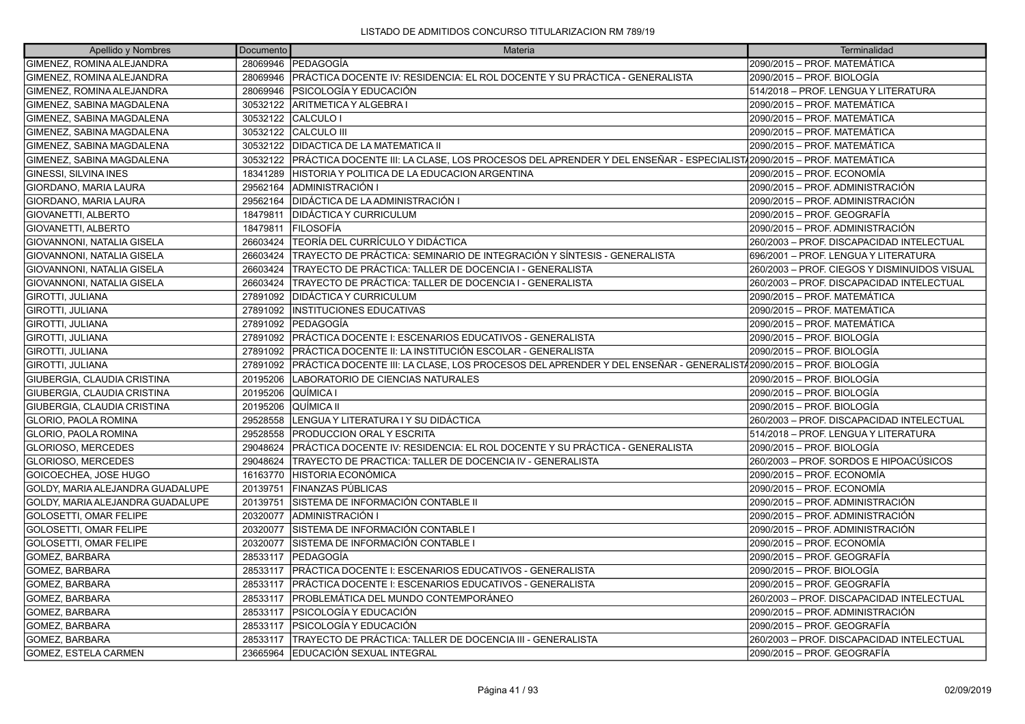| Apellido y Nombres               | Documento | Materia                                                                                                            | Terminalidad                                 |
|----------------------------------|-----------|--------------------------------------------------------------------------------------------------------------------|----------------------------------------------|
| GIMENEZ, ROMINA ALEJANDRA        |           | 28069946 PEDAGOGIA                                                                                                 | 2090/2015 – PROF. MATEMÁTICA                 |
| GIMENEZ, ROMINA ALEJANDRA        |           | 28069946 PRÁCTICA DOCENTE IV: RESIDENCIA: EL ROL DOCENTE Y SU PRÁCTICA - GENERALISTA                               | 2090/2015 – PROF. BIOLOGÍA                   |
| GIMENEZ, ROMINA ALEJANDRA        |           | 28069946 PSICOLOGÍA Y EDUCACIÓN                                                                                    | 514/2018 - PROF. LENGUA Y LITERATURA         |
| GIMENEZ, SABINA MAGDALENA        | 30532122  | ARITMETICA Y ALGEBRA I                                                                                             | 2090/2015 - PROF. MATEMÁTICA                 |
| GIMENEZ, SABINA MAGDALENA        | 30532122  | CALCULO I                                                                                                          | 2090/2015 – PROF. MATEMÁTICA                 |
| GIMENEZ, SABINA MAGDALENA        | 30532122  | <b>CALCULO III</b>                                                                                                 | 2090/2015 – PROF. MATEMÁTICA                 |
| GIMENEZ, SABINA MAGDALENA        | 30532122  | IDIDACTICA DE LA MATEMATICA II                                                                                     | 2090/2015 – PROF. MATEMÁTICA                 |
| GIMENEZ, SABINA MAGDALENA        | 30532122  | PRÁCTICA DOCENTE III: LA CLASE, LOS PROCESOS DEL APRENDER Y DEL ENSEÑAR - ESPECIALIST∤2090/2015 – PROF. MATEMÁTICA |                                              |
| GINESSI, SILVINA INES            | 18341289  | HISTORIA Y POLITICA DE LA EDUCACION ARGENTINA                                                                      | 2090/2015 – PROF. ECONOMÍA                   |
| GIORDANO, MARIA LAURA            | 29562164  | ADMINISTRACIÓN I                                                                                                   | 2090/2015 – PROF. ADMINISTRACIÓN             |
| GIORDANO, MARIA LAURA            | 29562164  | DIDÁCTICA DE LA ADMINISTRACIÓN I                                                                                   | 2090/2015 – PROF. ADMINISTRACIÓN             |
| GIOVANETTI, ALBERTO              | 18479811  | <b>IDIDÁCTICA Y CURRICULUM</b>                                                                                     | 2090/2015 - PROF. GEOGRAFÍA                  |
| <b>GIOVANETTI, ALBERTO</b>       | 18479811  | FILOSOFÍA                                                                                                          | 2090/2015 – PROF. ADMINISTRACIÓN             |
| GIOVANNONI, NATALIA GISELA       | 26603424  | TEORÍA DEL CURRÍCULO Y DIDÁCTICA                                                                                   | 260/2003 – PROF. DISCAPACIDAD INTELECTUAL    |
| GIOVANNONI, NATALIA GISELA       | 26603424  | TRAYECTO DE PRÁCTICA: SEMINARIO DE INTEGRACIÓN Y SÍNTESIS - GENERALISTA                                            | 696/2001 - PROF. LENGUA Y LITERATURA         |
| GIOVANNONI, NATALIA GISELA       | 26603424  | TRAYECTO DE PRÁCTICA: TALLER DE DOCENCIA I - GENERALISTA                                                           | 260/2003 - PROF. CIEGOS Y DISMINUIDOS VISUAL |
| GIOVANNONI, NATALIA GISELA       | 26603424  | TRAYECTO DE PRÁCTICA: TALLER DE DOCENCIA I - GENERALISTA                                                           | 260/2003 – PROF. DISCAPACIDAD INTELECTUAL    |
| GIROTTI, JULIANA                 | 27891092  | IDIDÁCTICA Y CURRICULUM                                                                                            | 2090/2015 - PROF. MATEMÁTICA                 |
| <b>GIROTTI, JULIANA</b>          | 27891092  | <b>INSTITUCIONES EDUCATIVAS</b>                                                                                    | 2090/2015 - PROF. MATEMÁTICA                 |
| GIROTTI, JULIANA                 | 27891092  | <b> PEDAGOGÍA</b>                                                                                                  | 2090/2015 – PROF. MATEMÁTICA                 |
| <b>GIROTTI, JULIANA</b>          | 27891092  | PRÁCTICA DOCENTE I: ESCENARIOS EDUCATIVOS - GENERALISTA                                                            | 2090/2015 – PROF. BIOLOGÍA                   |
| GIROTTI, JULIANA                 | 27891092  | PRÁCTICA DOCENTE II: LA INSTITUCIÓN ESCOLAR - GENERALISTA                                                          | 2090/2015 – PROF. BIOLOGÍA                   |
| GIROTTI, JULIANA                 | 27891092  | PRÁCTICA DOCENTE III: LA CLASE, LOS PROCESOS DEL APRENDER Y DEL ENSEÑAR - GENERALIST/2090/2015 – PROF. BIOLOGÍA    |                                              |
| GIUBERGIA, CLAUDIA CRISTINA      | 20195206  | LABORATORIO DE CIENCIAS NATURALES                                                                                  | 2090/2015 - PROF. BIOLOGÍA                   |
| GIUBERGIA, CLAUDIA CRISTINA      | 20195206  | QUÍMICA I                                                                                                          | 2090/2015 – PROF. BIOLOGÍA                   |
| GIUBERGIA, CLAUDIA CRISTINA      | 20195206  | lQUÍMICA II                                                                                                        | 2090/2015 – PROF. BIOLOGÍA                   |
| <b>GLORIO, PAOLA ROMINA</b>      | 29528558  | ILENGUA Y LITERATURA I Y SU DIDÁCTICA                                                                              | 260/2003 - PROF. DISCAPACIDAD INTELECTUAL    |
| <b>GLORIO, PAOLA ROMINA</b>      | 29528558  | <b>PRODUCCION ORAL Y ESCRITA</b>                                                                                   | 514/2018 - PROF. LENGUA Y LITERATURA         |
| <b>GLORIOSO, MERCEDES</b>        | 29048624  | PRÁCTICA DOCENTE IV: RESIDENCIA: EL ROL DOCENTE Y SU PRÁCTICA - GENERALISTA                                        | 2090/2015 – PROF. BIOLOGÍA                   |
| <b>GLORIOSO, MERCEDES</b>        | 29048624  | ITRAYECTO DE PRACTICA: TALLER DE DOCENCIA IV - GENERALISTA                                                         | 260/2003 – PROF. SORDOS E HIPOACÚSICOS       |
| GOICOECHEA, JOSE HUGO            | 16163770  | <b>HISTORIA ECONÓMICA</b>                                                                                          | 2090/2015 - PROF. ECONOMÍA                   |
| GOLDY, MARIA ALEJANDRA GUADALUPE | 20139751  | FINANZAS PÚBLICAS                                                                                                  | 2090/2015 – PROF. ECONOMÍA                   |
| GOLDY. MARIA ALEJANDRA GUADALUPE | 20139751  | ÍSISTEMA DE INFORMACIÓN CONTABLE II                                                                                | 2090/2015 – PROF. ADMINISTRACIÓN             |
| <b>GOLOSETTI, OMAR FELIPE</b>    | 20320077  | ADMINISTRACIÓN I                                                                                                   | 2090/2015 – PROF. ADMINISTRACIÓN             |
| <b>GOLOSETTI, OMAR FELIPE</b>    | 20320077  | ÍSISTEMA DE INFORMACIÓN CONTABLE I                                                                                 | 2090/2015 – PROF. ADMINISTRACIÓN             |
| GOLOSETTI, OMAR FELIPE           | 20320077  | SISTEMA DE INFORMACIÓN CONTABLE I                                                                                  | 2090/2015 – PROF. ECONOMÍA                   |
| <b>GOMEZ, BARBARA</b>            | 28533117  | <b>IPEDAGOGÍA</b>                                                                                                  | 2090/2015 – PROF. GEOGRAFÍA                  |
| GOMEZ, BARBARA                   | 28533117  | PRÁCTICA DOCENTE I: ESCENARIOS EDUCATIVOS - GENERALISTA                                                            | 2090/2015 – PROF. BIOLOGÍA                   |
| GOMEZ, BARBARA                   | 28533117  | PRÁCTICA DOCENTE I: ESCENARIOS EDUCATIVOS - GENERALISTA                                                            | 2090/2015 – PROF. GEOGRAFÍA                  |
| GOMEZ, BARBARA                   | 28533117  | PROBLEMÁTICA DEL MUNDO CONTEMPORÁNEO                                                                               | 260/2003 - PROF. DISCAPACIDAD INTELECTUAL    |
| GOMEZ, BARBARA                   | 28533117  | IPSICOLOGÍA Y EDUCACIÓN                                                                                            | 2090/2015 – PROF. ADMINISTRACIÓN             |
| GOMEZ, BARBARA                   | 28533117  | IPSICOLOGÍA Y EDUCACIÓN                                                                                            | 2090/2015 – PROF. GEOGRAFÍA                  |
| GOMEZ, BARBARA                   | 28533117  | TRAYECTO DE PRÁCTICA: TALLER DE DOCENCIA III - GENERALISTA                                                         | 260/2003 – PROF. DISCAPACIDAD INTELECTUAL    |
| <b>GOMEZ. ESTELA CARMEN</b>      | 23665964  | IEDUCACIÓN SEXUAL INTEGRAL                                                                                         | 2090/2015 – PROF. GEOGRAFÍA                  |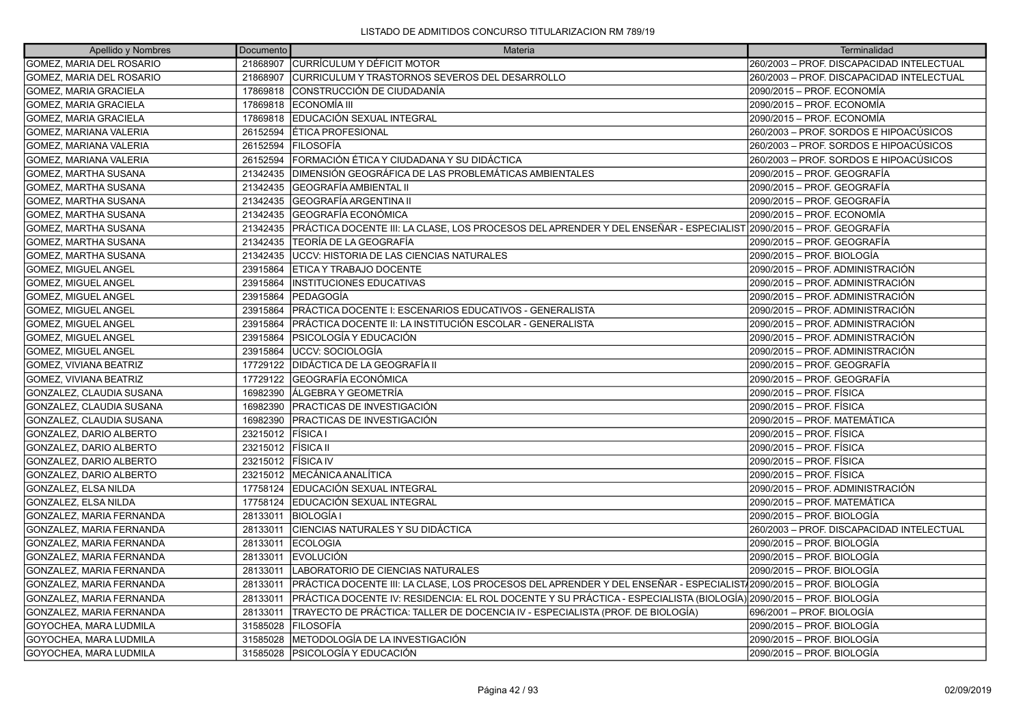| Apellido y Nombres            | Documento          | Materia                                                                                                            | Terminalidad                              |
|-------------------------------|--------------------|--------------------------------------------------------------------------------------------------------------------|-------------------------------------------|
| GOMEZ, MARIA DEL ROSARIO      | 21868907           | <b>CURRÍCULUM Y DÉFICIT MOTOR</b>                                                                                  | 260/2003 - PROF. DISCAPACIDAD INTELECTUAL |
| GOMEZ, MARIA DEL ROSARIO      | 21868907           | CURRICULUM Y TRASTORNOS SEVEROS DEL DESARROLLO                                                                     | 260/2003 - PROF. DISCAPACIDAD INTELECTUAL |
| <b>GOMEZ, MARIA GRACIELA</b>  | 17869818           | CONSTRUCCIÓN DE CIUDADANÍA                                                                                         | 2090/2015 - PROF. ECONOMÍA                |
| GOMEZ, MARIA GRACIELA         | 17869818           | <b>ECONOMÍA III</b>                                                                                                | 2090/2015 - PROF. ECONOMÍA                |
| <b>GOMEZ, MARIA GRACIELA</b>  | 17869818           | EDUCACIÓN SEXUAL INTEGRAL                                                                                          | 2090/2015 – PROF. ECONOMÍA                |
| GOMEZ, MARIANA VALERIA        | 26152594           | ÍÉTICA PROFESIONAL                                                                                                 | 260/2003 – PROF. SORDOS E HIPOACÚSICOS    |
| <b>GOMEZ, MARIANA VALERIA</b> | 26152594           | <b>FILOSOFÍA</b>                                                                                                   | 260/2003 – PROF. SORDOS E HIPOACÚSICOS    |
| GOMEZ, MARIANA VALERIA        | 26152594           | FORMACIÓN ÉTICA Y CIUDADANA Y SU DIDÁCTICA                                                                         | 260/2003 – PROF. SORDOS E HIPOACÚSICOS    |
| <b>GOMEZ, MARTHA SUSANA</b>   | 21342435           | DIMENSIÓN GEOGRÁFICA DE LAS PROBLEMÁTICAS AMBIENTALES                                                              | 2090/2015 – PROF. GEOGRAFÍA               |
| <b>GOMEZ, MARTHA SUSANA</b>   | 21342435           | <b>GEOGRAFÍA AMBIENTAL II</b>                                                                                      | 2090/2015 - PROF. GEOGRAFÍA               |
| GOMEZ, MARTHA SUSANA          | 21342435           | GEOGRAFÍA ARGENTINA II                                                                                             | 2090/2015 - PROF. GEOGRAFÍA               |
| <b>GOMEZ, MARTHA SUSANA</b>   | 21342435           | <b>GEOGRAFÍA ECONÓMICA</b>                                                                                         | 2090/2015 – PROF. ECONOMÍA                |
| GOMEZ, MARTHA SUSANA          | 21342435           | PRÁCTICA DOCENTE III: LA CLASE. LOS PROCESOS DEL APRENDER Y DEL ENSEÑAR - ESPECIALIST 2090/2015 – PROF. GEOGRAFÍA  |                                           |
| GOMEZ, MARTHA SUSANA          | 21342435           | TEORÍA DE LA GEOGRAFÍA                                                                                             | 2090/2015 – PROF. GEOGRAFÍA               |
| GOMEZ, MARTHA SUSANA          | 21342435           | <b>UCCV: HISTORIA DE LAS CIENCIAS NATURALES</b>                                                                    | 2090/2015 - PROF. BIOLOGÍA                |
| <b>GOMEZ, MIGUEL ANGEL</b>    | 23915864           | ETICA Y TRABAJO DOCENTE                                                                                            | 2090/2015 - PROF. ADMINISTRACIÓN          |
| GOMEZ, MIGUEL ANGEL           | 23915864           | <b>INSTITUCIONES EDUCATIVAS</b>                                                                                    | 2090/2015 – PROF. ADMINISTRACIÓN          |
| <b>GOMEZ. MIGUEL ANGEL</b>    | 23915864           | PEDAGOGÍA                                                                                                          | 2090/2015 - PROF. ADMINISTRACIÓN          |
| <b>GOMEZ, MIGUEL ANGEL</b>    | 23915864           | PRÁCTICA DOCENTE I: ESCENARIOS EDUCATIVOS - GENERALISTA                                                            | 2090/2015 – PROF. ADMINISTRACIÓN          |
| <b>GOMEZ, MIGUEL ANGEL</b>    | 23915864           | PRÁCTICA DOCENTE II: LA INSTITUCIÓN ESCOLAR - GENERALISTA                                                          | 2090/2015 – PROF. ADMINISTRACIÓN          |
| <b>GOMEZ. MIGUEL ANGEL</b>    | 23915864           | PSICOLOGÍA Y EDUCACIÓN                                                                                             | 2090/2015 - PROF. ADMINISTRACIÓN          |
| <b>GOMEZ, MIGUEL ANGEL</b>    | 23915864           | UCCV: SOCIOLOGÍA                                                                                                   | 2090/2015 – PROF. ADMINISTRACIÓN          |
| GOMEZ, VIVIANA BEATRIZ        | 17729122           | DIDÁCTICA DE LA GEOGRAFÍA II                                                                                       | 2090/2015 - PROF. GEOGRAFÍA               |
| GOMEZ, VIVIANA BEATRIZ        | 17729122           | <b>GEOGRAFÍA ECONÓMICA</b>                                                                                         | 2090/2015 - PROF. GEOGRAFÍA               |
| GONZALEZ, CLAUDIA SUSANA      | 16982390           | ÁLGEBRA Y GEOMETRÍA                                                                                                | 2090/2015 - PROF. FÍSICA                  |
| GONZALEZ, CLAUDIA SUSANA      | 16982390           | PRACTICAS DE INVESTIGACIÓN                                                                                         | 2090/2015 - PROF. FÍSICA                  |
| GONZALEZ, CLAUDIA SUSANA      | 16982390           | PRACTICAS DE INVESTIGACIÓN                                                                                         | 2090/2015 - PROF. MATEMÁTICA              |
| GONZALEZ, DARIO ALBERTO       | 23215012           | <b>FÍSICA</b> I                                                                                                    | 2090/2015 - PROF. FÍSICA                  |
| GONZALEZ, DARIO ALBERTO       | 23215012 FÍSICA II |                                                                                                                    | 2090/2015 - PROF. FÍSICA                  |
| GONZALEZ, DARIO ALBERTO       | 23215012           | <b>FÍSICA IV</b>                                                                                                   | 2090/2015 - PROF. FÍSICA                  |
| GONZALEZ, DARIO ALBERTO       | 23215012           | IMECÁNICA ANALÍTICA                                                                                                | 2090/2015 – PROF. FÍSICA                  |
| GONZALEZ, ELSA NILDA          |                    | 17758124 EDUCACIÓN SEXUAL INTEGRAL                                                                                 | 2090/2015 - PROF. ADMINISTRACIÓN          |
| GONZALEZ, ELSA NILDA          | 17758124           | EDUCACIÓN SEXUAL INTEGRAL                                                                                          | 2090/2015 - PROF. MATEMÁTICA              |
| GONZALEZ, MARIA FERNANDA      | 28133011           | BIOLOGÍA I                                                                                                         | 2090/2015 – PROF. BIOLOGÍA                |
| GONZALEZ, MARIA FERNANDA      | 28133011           | CIENCIAS NATURALES Y SU DIDÁCTICA                                                                                  | 260/2003 - PROF. DISCAPACIDAD INTELECTUAL |
| GONZALEZ, MARIA FERNANDA      | 28133011           | <b>IECOLOGIA</b>                                                                                                   | 2090/2015 – PROF. BIOLOGÍA                |
| GONZALEZ, MARIA FERNANDA      | 28133011           | <b>IEVOLUCIÓN</b>                                                                                                  | 2090/2015 – PROF. BIOLOGÍA                |
| GONZALEZ, MARIA FERNANDA      | 28133011           | LABORATORIO DE CIENCIAS NATURALES                                                                                  | 2090/2015 - PROF. BIOLOGÍA                |
| GONZALEZ, MARIA FERNANDA      | 28133011           | PRÁCTICA DOCENTE III: LA CLASE, LOS PROCESOS DEL APRENDER Y DEL ENSEÑAR - ESPECIALIST√2090/2015 – PROF. BIOLOGÍA   |                                           |
| GONZALEZ, MARIA FERNANDA      | 28133011           | PRÁCTICA DOCENTE IV: RESIDENCIA: EL ROL DOCENTE Y SU PRÁCTICA - ESPECIALISTA (BIOLOGÍA) 2090/2015 – PROF. BIOLOGÍA |                                           |
| GONZALEZ, MARIA FERNANDA      | 28133011           | TRAYECTO DE PRÁCTICA: TALLER DE DOCENCIA IV - ESPECIALISTA (PROF. DE BIOLOGÍA)                                     | 696/2001 - PROF. BIOLOGÍA                 |
| GOYOCHEA, MARA LUDMILA        | 31585028           | <b>FILOSOFÍA</b>                                                                                                   | 2090/2015 - PROF. BIOLOGÍA                |
| GOYOCHEA, MARA LUDMILA        | 31585028           | METODOLOGÍA DE LA INVESTIGACIÓN                                                                                    | 2090/2015 – PROF. BIOLOGÍA                |
| GOYOCHEA, MARA LUDMILA        |                    | 31585028 PSICOLOGÍA Y EDUCACIÓN                                                                                    | 2090/2015 - PROF. BIOLOGÍA                |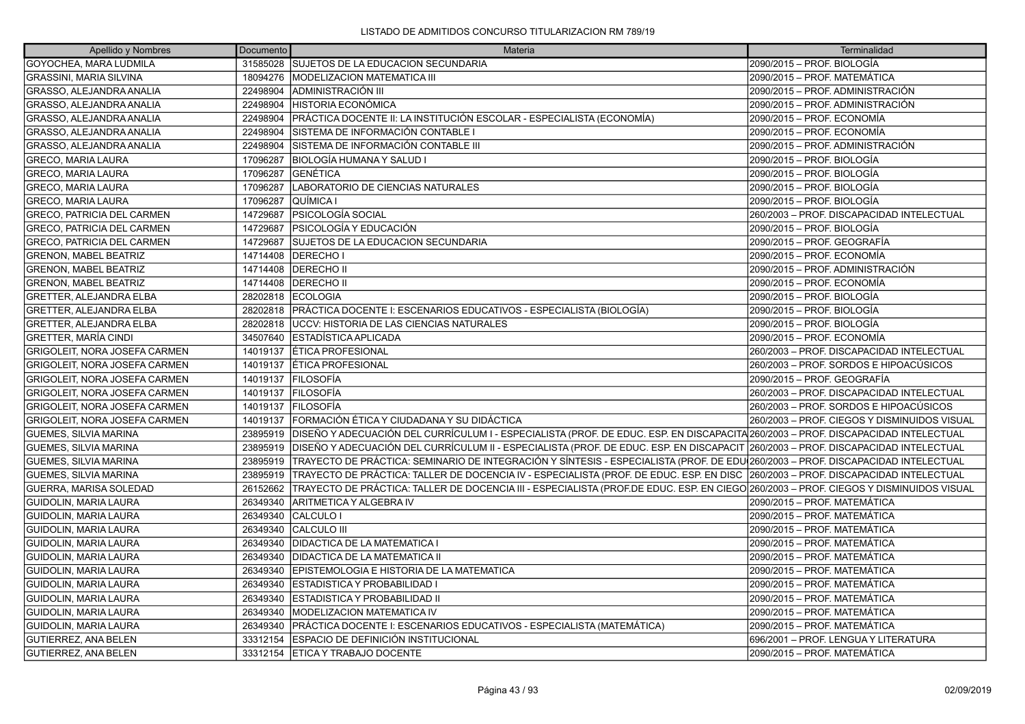| Apellido y Nombres                   | Documento | Materia                                                                                                                                      | Terminalidad                                 |
|--------------------------------------|-----------|----------------------------------------------------------------------------------------------------------------------------------------------|----------------------------------------------|
| <b>GOYOCHEA, MARA LUDMILA</b>        | 31585028  | SUJETOS DE LA EDUCACION SECUNDARIA                                                                                                           | 2090/2015 - PROF. BIOLOGÍA                   |
| <b>GRASSINI, MARIA SILVINA</b>       | 18094276  | <b>IMODELIZACION MATEMATICA III</b>                                                                                                          | 2090/2015 – PROF. MATEMÁTICA                 |
| GRASSO, ALEJANDRA ANALIA             | 22498904  | <b>ADMINISTRACIÓN III</b>                                                                                                                    | 2090/2015 – PROF. ADMINISTRACIÓN             |
| GRASSO, ALEJANDRA ANALIA             | 22498904  | HISTORIA ECONÓMICA                                                                                                                           | 2090/2015 - PROF. ADMINISTRACIÓN             |
| GRASSO, ALEJANDRA ANALIA             | 22498904  | PRÁCTICA DOCENTE II: LA INSTITUCIÓN ESCOLAR - ESPECIALISTA (ECONOMÍA)                                                                        | 2090/2015 - PROF. ECONOMÍA                   |
| GRASSO, ALEJANDRA ANALIA             | 22498904  | SISTEMA DE INFORMACIÓN CONTABLE I                                                                                                            | 2090/2015 – PROF. ECONOMÍA                   |
| GRASSO, ALEJANDRA ANALIA             | 22498904  | SISTEMA DE INFORMACIÓN CONTABLE III                                                                                                          | 2090/2015 - PROF. ADMINISTRACIÓN             |
| <b>GRECO, MARIA LAURA</b>            | 17096287  | BIOLOGÍA HUMANA Y SALUD I                                                                                                                    | 2090/2015 - PROF. BIOLOGÍA                   |
| <b>GRECO, MARIA LAURA</b>            | 17096287  | IGENÉTICA                                                                                                                                    | 2090/2015 – PROF. BIOLOGÍA                   |
| <b>GRECO, MARIA LAURA</b>            | 17096287  | LABORATORIO DE CIENCIAS NATURALES                                                                                                            | 2090/2015 - PROF. BIOLOGÍA                   |
| <b>GRECO, MARIA LAURA</b>            | 17096287  | QUÍMICA I                                                                                                                                    | 2090/2015 - PROF. BIOLOGÍA                   |
| <b>GRECO, PATRICIA DEL CARMEN</b>    | 14729687  | PSICOLOGÍA SOCIAL                                                                                                                            | 260/2003 - PROF. DISCAPACIDAD INTELECTUAL    |
| <b>GRECO, PATRICIA DEL CARMEN</b>    | 14729687  | IPSICOLOGÍA Y EDUCACIÓN                                                                                                                      | 2090/2015 – PROF. BIOLOGÍA                   |
| <b>GRECO, PATRICIA DEL CARMEN</b>    | 14729687  | <b>SUJETOS DE LA EDUCACION SECUNDARIA</b>                                                                                                    | 2090/2015 - PROF. GEOGRAFÍA                  |
| <b>GRENON, MABEL BEATRIZ</b>         | 14714408  | <b>DERECHO I</b>                                                                                                                             | 2090/2015 – PROF. ECONOMÍA                   |
| <b>GRENON, MABEL BEATRIZ</b>         | 14714408  | DERECHO II                                                                                                                                   | 2090/2015 - PROF. ADMINISTRACIÓN             |
| <b>GRENON, MABEL BEATRIZ</b>         | 14714408  | <b>DERECHO II</b>                                                                                                                            | 2090/2015 - PROF. ECONOMÍA                   |
| <b>GRETTER, ALEJANDRA ELBA</b>       | 28202818  | <b>ECOLOGIA</b>                                                                                                                              | l2090/2015 – PROF. BIOLOGÍA                  |
| <b>GRETTER, ALEJANDRA ELBA</b>       |           | 28202818 PRÁCTICA DOCENTE I: ESCENARIOS EDUCATIVOS - ESPECIALISTA (BIOLOGÍA)                                                                 | 2090/2015 - PROF. BIOLOGÍA                   |
| <b>GRETTER, ALEJANDRA ELBA</b>       | 28202818  | IUCCV: HISTORIA DE LAS CIENCIAS NATURALES                                                                                                    | 2090/2015 - PROF. BIOLOGÍA                   |
| <b>GRETTER, MARÍA CINDI</b>          | 34507640  | ESTADİSTICA APLICADA                                                                                                                         | 2090/2015 – PROF. ECONOMÍA                   |
| <b>GRIGOLEIT, NORA JOSEFA CARMEN</b> | 14019137  | <b>ETICA PROFESIONAL</b>                                                                                                                     | 260/2003 - PROF. DISCAPACIDAD INTELECTUAL    |
| GRIGOLEIT, NORA JOSEFA CARMEN        | 14019137  | <b>LÉTICA PROFESIONAL</b>                                                                                                                    | 260/2003 – PROF. SORDOS E HIPOACÚSICOS       |
| GRIGOLEIT, NORA JOSEFA CARMEN        | 14019137  | IFILOSOFÍA                                                                                                                                   | l2090/2015 – PROF. GEOGRAFÍA                 |
| GRIGOLEIT, NORA JOSEFA CARMEN        | 14019137  | <b>FILOSOFÍA</b>                                                                                                                             | 260/2003 - PROF. DISCAPACIDAD INTELECTUAL    |
| GRIGOLEIT, NORA JOSEFA CARMEN        | 14019137  | <b>FILOSOFÍA</b>                                                                                                                             | 260/2003 - PROF. SORDOS E HIPOACÚSICOS       |
| GRIGOLEIT, NORA JOSEFA CARMEN        | 14019137  | IFORMACIÓN ÉTICA Y CIUDADANA Y SU DIDÁCTICA                                                                                                  | 260/2003 – PROF. CIEGOS Y DISMINUIDOS VISUAL |
| <b>GUEMES, SILVIA MARINA</b>         | 23895919  | DISEÑO Y ADECUACIÓN DEL CURRÍCULUM I - ESPECIALISTA (PROF. DE EDUC. ESP. EN DISCAPACITA 260/2003 – PROF. DISCAPACIDAD INTELECTUAL            |                                              |
| <b>GUEMES, SILVIA MARINA</b>         | 23895919  | DISEÑO Y ADECUACIÓN DEL CURRÍCULUM II - ESPECIALISTA (PROF. DE EDUC. ESP. EN DISCAPACIT 260/2003 – PROF. DISCAPACIDAD INTELECTUAL            |                                              |
| <b>GUEMES, SILVIA MARINA</b>         | 23895919  | TRAYECTO DE PRÁCTICA: SEMINARIO DE INTEGRACIÓN Y SÍNTESIS - ESPECIALISTA (PROF. DE EDU 260/2003 - PROF. DISCAPACIDAD INTELECTUAL             |                                              |
| <b>GUEMES, SILVIA MARINA</b>         |           | 23895919  TRAYECTO DE PRÁCTICA: TALLER DE DOCENCIA IV - ESPECIALISTA (PROF. DE EDUC. ESP. EN DISC  260/2003 – PROF. DISCAPACIDAD INTELECTUAL |                                              |
| <b>GUERRA, MARISA SOLEDAD</b>        | 26152662  | TRAYECTO DE PRÁCTICA: TALLER DE DOCENCIA III - ESPECIALISTA (PROF.DE EDUC. ESP. EN CIEGO 260/2003 – PROF. CIEGOS Y DISMINUIDOS VISUAL        |                                              |
| <b>GUIDOLIN, MARIA LAURA</b>         | 26349340  | ARITMETICA Y ALGEBRA IV                                                                                                                      | 2090/2015 – PROF. MATEMÁTICA                 |
| <b>GUIDOLIN, MARIA LAURA</b>         | 26349340  | CALCULO I                                                                                                                                    | 2090/2015 – PROF. MATEMÁTICA                 |
| GUIDOLIN, MARIA LAURA                | 26349340  | CALCULO III                                                                                                                                  | 2090/2015 - PROF. MATEMÁTICA                 |
| <b>GUIDOLIN, MARIA LAURA</b>         | 26349340  | <b>DIDACTICA DE LA MATEMATICA I</b>                                                                                                          | 2090/2015 – PROF. MATEMÁTICA                 |
| GUIDOLIN, MARIA LAURA                | 26349340  | <b>DIDACTICA DE LA MATEMATICA II</b>                                                                                                         | 2090/2015 - PROF. MATEMÁTICA                 |
| GUIDOLIN, MARIA LAURA                | 26349340  | EPISTEMOLOGIA E HISTORIA DE LA MATEMATICA                                                                                                    | 2090/2015 - PROF. MATEMÁTICA                 |
| <b>GUIDOLIN, MARIA LAURA</b>         | 26349340  | ESTADISTICA Y PROBABILIDAD I                                                                                                                 | 2090/2015 – PROF. MATEMÁTICA                 |
| <b>GUIDOLIN, MARIA LAURA</b>         | 26349340  | <b>ESTADISTICA Y PROBABILIDAD II</b>                                                                                                         | 2090/2015 – PROF. MATEMÁTICA                 |
| <b>GUIDOLIN, MARIA LAURA</b>         | 26349340  | MODELIZACION MATEMATICA IV                                                                                                                   | 2090/2015 - PROF. MATEMÁTICA                 |
| GUIDOLIN, MARIA LAURA                | 26349340  | PRÁCTICA DOCENTE I: ESCENARIOS EDUCATIVOS - ESPECIALISTA (MATEMÁTICA)                                                                        | 2090/2015 – PROF. MATEMÁTICA                 |
| <b>GUTIERREZ, ANA BELEN</b>          | 33312154  | ESPACIO DE DEFINICIÓN INSTITUCIONAL                                                                                                          | 696/2001 - PROF. LENGUA Y LITERATURA         |
| <b>GUTIERREZ, ANA BELEN</b>          |           | 33312154 ETICA Y TRABAJO DOCENTE                                                                                                             | 2090/2015 – PROF. MATEMÁTICA                 |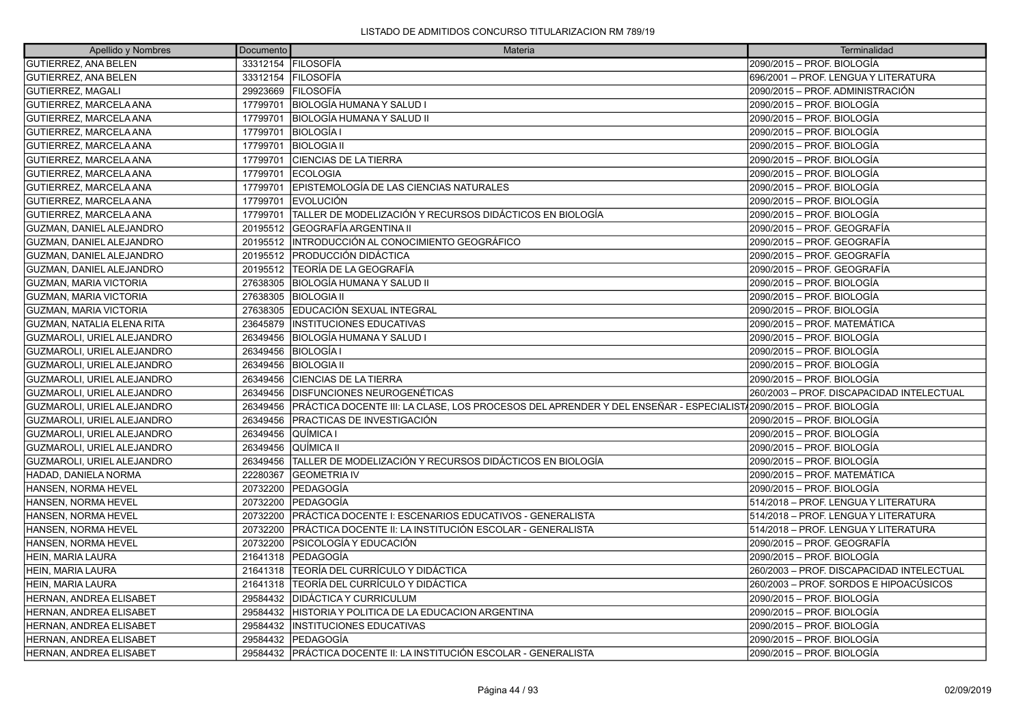| Apellido y Nombres              | Documento | Materia                                                                                                          | Terminalidad                              |
|---------------------------------|-----------|------------------------------------------------------------------------------------------------------------------|-------------------------------------------|
| <b>GUTIERREZ, ANA BELEN</b>     |           | 33312154 FILOSOFÍA                                                                                               | 2090/2015 - PROF. BIOLOGÍA                |
| GUTIERREZ, ANA BELEN            |           | 33312154 FILOSOFÍA                                                                                               | 696/2001 - PROF. LENGUA Y LITERATURA      |
| GUTIERREZ. MAGALI               |           | 29923669 FILOSOFÍA                                                                                               | 2090/2015 - PROF. ADMINISTRACIÓN          |
| GUTIERREZ. MARCELA ANA          | 17799701  | <b>BIOLOGÍA HUMANA Y SALUD I</b>                                                                                 | 2090/2015 - PROF. BIOLOGÍA                |
| GUTIERREZ, MARCELA ANA          | 17799701  | BIOLOGÍA HUMANA Y SALUD II                                                                                       | 2090/2015 - PROF. BIOLOGÍA                |
| GUTIERREZ. MARCELA ANA          | 17799701  | <b>BIOLOGÍA I</b>                                                                                                | 2090/2015 - PROF. BIOLOGÍA                |
| GUTIERREZ, MARCELA ANA          | 17799701  | <b>BIOLOGIA II</b>                                                                                               | 2090/2015 - PROF. BIOLOGÍA                |
| GUTIERREZ, MARCELA ANA          | 17799701  | <b>CIENCIAS DE LA TIERRA</b>                                                                                     | 2090/2015 - PROF. BIOLOGÍA                |
| GUTIERREZ. MARCELA ANA          | 17799701  | <b>ECOLOGIA</b>                                                                                                  | 2090/2015 - PROF. BIOLOGÍA                |
| GUTIERREZ, MARCELA ANA          | 17799701  | EPISTEMOLOGÍA DE LAS CIENCIAS NATURALES                                                                          | 2090/2015 - PROF. BIOLOGÍA                |
| GUTIERREZ, MARCELA ANA          | 17799701  | <b>EVOLUCIÓN</b>                                                                                                 | 2090/2015 - PROF. BIOLOGÍA                |
| GUTIERREZ. MARCELA ANA          | 17799701  | TALLER DE MODELIZACIÓN Y RECURSOS DIDÁCTICOS EN BIOLOGÍA                                                         | 2090/2015 - PROF. BIOLOGÍA                |
| GUZMAN, DANIEL ALEJANDRO        | 20195512  | GEOGRAFÍA ARGENTINA II                                                                                           | 2090/2015 - PROF. GEOGRAFÍA               |
| GUZMAN, DANIEL ALEJANDRO        | 20195512  | INTRODUCCIÓN AL CONOCIMIENTO GEOGRÁFICO                                                                          | 2090/2015 – PROF. GEOGRAFÍA               |
| <b>GUZMAN, DANIEL ALEJANDRO</b> | 20195512  | <b>PRODUCCIÓN DIDÁCTICA</b>                                                                                      | 2090/2015 - PROF. GEOGRAFÍA               |
| GUZMAN, DANIEL ALEJANDRO        | 20195512  | TEORÍA DE LA GEOGRAFÍA                                                                                           | 2090/2015 - PROF. GEOGRAFÍA               |
| <b>GUZMAN, MARIA VICTORIA</b>   | 27638305  | BIOLOGÍA HUMANA Y SALUD II                                                                                       | 2090/2015 - PROF. BIOLOGÍA                |
| GUZMAN, MARIA VICTORIA          | 27638305  | <b>BIOLOGIA II</b>                                                                                               | 2090/2015 - PROF. BIOLOGÍA                |
| <b>GUZMAN, MARIA VICTORIA</b>   | 27638305  | EDUCACIÓN SEXUAL INTEGRAL                                                                                        | 2090/2015 - PROF. BIOLOGÍA                |
| GUZMAN, NATALIA ELENA RITA      | 23645879  | <b>INSTITUCIONES EDUCATIVAS</b>                                                                                  | 2090/2015 - PROF. MATEMÁTICA              |
| GUZMAROLI, URIEL ALEJANDRO      | 26349456  | BIOLOGÍA HUMANA Y SALUD I                                                                                        | 2090/2015 - PROF. BIOLOGÍA                |
| GUZMAROLI, URIEL ALEJANDRO      | 26349456  | <b>BIOLOGÍA I</b>                                                                                                | 2090/2015 - PROF. BIOLOGÍA                |
| GUZMAROLI, URIEL ALEJANDRO      | 26349456  | <b>BIOLOGIA II</b>                                                                                               | 2090/2015 - PROF. BIOLOGÍA                |
| GUZMAROLI, URIEL ALEJANDRO      | 26349456  | <b>CIENCIAS DE LA TIERRA</b>                                                                                     | 2090/2015 – PROF. BIOLOGÍA                |
| GUZMAROLI, URIEL ALEJANDRO      | 26349456  | <b>IDISFUNCIONES NEUROGENÉTICAS</b>                                                                              | 260/2003 - PROF. DISCAPACIDAD INTELECTUAL |
| GUZMAROLI, URIEL ALEJANDRO      | 26349456  | PRÁCTICA DOCENTE III: LA CLASE, LOS PROCESOS DEL APRENDER Y DEL ENSEÑAR - ESPECIALIST/2090/2015 – PROF. BIOLOGÍA |                                           |
| GUZMAROLI, URIEL ALEJANDRO      | 26349456  | <b>PRACTICAS DE INVESTIGACIÓN</b>                                                                                | 2090/2015 – PROF. BIOLOGÍA                |
| GUZMAROLI, URIEL ALEJANDRO      | 26349456  | QUİMICA I                                                                                                        | 2090/2015 - PROF. BIOLOGÍA                |
| GUZMAROLI, URIEL ALEJANDRO      | 26349456  | QUÍMICA II                                                                                                       | 2090/2015 - PROF. BIOLOGÍA                |
| GUZMAROLI, URIEL ALEJANDRO      | 26349456  | TALLER DE MODELIZACIÓN Y RECURSOS DIDÁCTICOS EN BIOLOGÍA                                                         | 2090/2015 – PROF. BIOLOGÍA                |
| HADAD, DANIELA NORMA            | 22280367  | <b>GEOMETRIA IV</b>                                                                                              | 2090/2015 - PROF. MATEMÁTICA              |
| HANSEN, NORMA HEVEL             | 20732200  | PEDAGOGÍA                                                                                                        | 2090/2015 - PROF. BIOLOGÍA                |
| HANSEN, NORMA HEVEL             | 20732200  | <b>IPEDAGOGÍA</b>                                                                                                | 514/2018 - PROF. LENGUA Y LITERATURA      |
| HANSEN, NORMA HEVEL             | 20732200  | PRÁCTICA DOCENTE I: ESCENARIOS EDUCATIVOS - GENERALISTA                                                          | 514/2018 - PROF. LENGUA Y LITERATURA      |
| HANSEN, NORMA HEVEL             | 20732200  | PRÁCTICA DOCENTE II: LA INSTITUCIÓN ESCOLAR - GENERALISTA                                                        | 514/2018 - PROF. LENGUA Y LITERATURA      |
| HANSEN, NORMA HEVEL             | 20732200  | PSICOLOGÍA Y EDUCACIÓN                                                                                           | 2090/2015 - PROF. GEOGRAFÍA               |
| HEIN, MARIA LAURA               | 21641318  | <b>PEDAGOGÍA</b>                                                                                                 | 2090/2015 - PROF. BIOLOGÍA                |
| HEIN, MARIA LAURA               | 21641318  | <b>TEORÍA DEL CURRÍCULO Y DIDÁCTICA</b>                                                                          | 260/2003 - PROF. DISCAPACIDAD INTELECTUAL |
| HEIN, MARIA LAURA               | 21641318  | <b>TEORÍA DEL CURRÍCULO Y DIDÁCTICA</b>                                                                          | 260/2003 - PROF. SORDOS E HIPOACÚSICOS    |
| HERNAN, ANDREA ELISABET         | 29584432  | <b>DIDÁCTICA Y CURRICULUM</b>                                                                                    | 2090/2015 - PROF. BIOLOGÍA                |
| HERNAN, ANDREA ELISABET         | 29584432  | HISTORIA Y POLITICA DE LA EDUCACION ARGENTINA                                                                    | 2090/2015 – PROF. BIOLOGÍA                |
| HERNAN, ANDREA ELISABET         | 29584432  | <b>INSTITUCIONES EDUCATIVAS</b>                                                                                  | 2090/2015 - PROF. BIOLOGÍA                |
| HERNAN, ANDREA ELISABET         | 29584432  | <b>PEDAGOGÍA</b>                                                                                                 | 2090/2015 – PROF. BIOLOGÍA                |
| HERNAN, ANDREA ELISABET         |           | 29584432 PRÁCTICA DOCENTE II: LA INSTITUCIÓN ESCOLAR - GENERALISTA                                               | 2090/2015 - PROF. BIOLOGÍA                |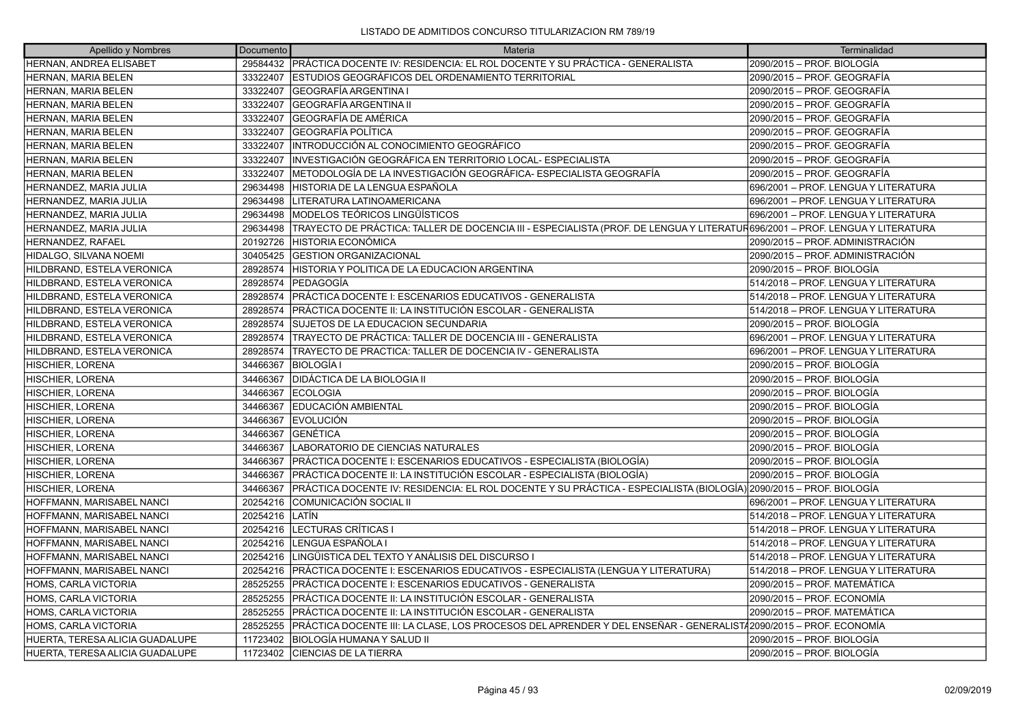| Apellido y Nombres               | Documento | Materia                                                                                                                      | Terminalidad                         |
|----------------------------------|-----------|------------------------------------------------------------------------------------------------------------------------------|--------------------------------------|
| <b>HERNAN, ANDREA ELISABET</b>   | 29584432  | PRÁCTICA DOCENTE IV: RESIDENCIA: EL ROL DOCENTE Y SU PRÁCTICA - GENERALISTA                                                  | 2090/2015 - PROF. BIOLOGÍA           |
| HERNAN, MARIA BELEN              | 33322407  | ESTUDIOS GEOGRÁFICOS DEL ORDENAMIENTO TERRITORIAL                                                                            | 2090/2015 - PROF. GEOGRAFÍA          |
| HERNAN, MARIA BELEN              | 33322407  | <b>IGEOGRAFÍA ARGENTINA I</b>                                                                                                | 2090/2015 - PROF. GEOGRAFÍA          |
| HERNAN, MARIA BELEN              | 33322407  | GEOGRAFÍA ARGENTINA II                                                                                                       | 2090/2015 - PROF. GEOGRAFÍA          |
| HERNAN, MARIA BELEN              | 33322407  | GEOGRAFÍA DE AMÉRICA                                                                                                         | 2090/2015 - PROF. GEOGRAFÍA          |
| HERNAN, MARIA BELEN              | 33322407  | GEOGRAFÍA POLÍTICA                                                                                                           | 2090/2015 - PROF. GEOGRAFÍA          |
| HERNAN, MARIA BELEN              | 33322407  | INTRODUCCIÓN AL CONOCIMIENTO GEOGRÁFICO                                                                                      | 2090/2015 – PROF. GEOGRAFÍA          |
| HERNAN, MARIA BELEN              | 33322407  | INVESTIGACIÓN GEOGRÁFICA EN TERRITORIO LOCAL- ESPECIALISTA                                                                   | 2090/2015 - PROF. GEOGRAFÍA          |
| HERNAN, MARIA BELEN              | 33322407  | METODOLOGÍA DE LA INVESTIGACIÓN GEOGRÁFICA- ESPECIALISTA GEOGRAFÍA                                                           | 2090/2015 - PROF. GEOGRAFÍA          |
| HERNANDEZ, MARIA JULIA           | 29634498  | HISTORIA DE LA LENGUA ESPAÑOLA                                                                                               | 696/2001 - PROF. LENGUA Y LITERATURA |
| HERNANDEZ, MARIA JULIA           | 29634498  | LITERATURA LATINOAMERICANA                                                                                                   | 696/2001 - PROF. LENGUA Y LITERATURA |
| HERNANDEZ, MARIA JULIA           | 29634498  | <b>IMODELOS TEÓRICOS LINGÜÍSTICOS</b>                                                                                        | 696/2001 - PROF. LENGUA Y LITERATURA |
| HERNANDEZ, MARIA JULIA           | 29634498  | TRAYECTO DE PRÁCTICA: TALLER DE DOCENCIA III - ESPECIALISTA (PROF. DE LENGUA Y LITERATUR696/2001 – PROF. LENGUA Y LITERATURA |                                      |
| HERNANDEZ, RAFAEL                | 20192726  | <b>HISTORIA ECONÓMICA</b>                                                                                                    | 2090/2015 - PROF. ADMINISTRACIÓN     |
| HIDALGO, SILVANA NOEMI           | 30405425  | <b>GESTION ORGANIZACIONAL</b>                                                                                                | 2090/2015 - PROF. ADMINISTRACIÓN     |
| HILDBRAND, ESTELA VERONICA       | 28928574  | HISTORIA Y POLITICA DE LA EDUCACION ARGENTINA                                                                                | 2090/2015 - PROF. BIOLOGÍA           |
| HILDBRAND, ESTELA VERONICA       | 28928574  | IPEDAGOGÍA                                                                                                                   | 514/2018 - PROF. LENGUA Y LITERATURA |
| HILDBRAND, ESTELA VERONICA       | 28928574  | PRÁCTICA DOCENTE I: ESCENARIOS EDUCATIVOS - GENERALISTA                                                                      | 514/2018 - PROF. LENGUA Y LITERATURA |
| HILDBRAND, ESTELA VERONICA       | 28928574  | IPRÁCTICA DOCENTE II: LA INSTITUCIÓN ESCOLAR - GENERALISTA                                                                   | 514/2018 - PROF. LENGUA Y LITERATURA |
| HILDBRAND, ESTELA VERONICA       | 28928574  | SUJETOS DE LA EDUCACION SECUNDARIA                                                                                           | 2090/2015 - PROF. BIOLOGÍA           |
| HILDBRAND, ESTELA VERONICA       | 28928574  | TRAYECTO DE PRÁCTICA: TALLER DE DOCENCIA III - GENERALISTA                                                                   | 696/2001 - PROF. LENGUA Y LITERATURA |
| HILDBRAND, ESTELA VERONICA       | 28928574  | TRAYECTO DE PRACTICA: TALLER DE DOCENCIA IV - GENERALISTA                                                                    | 696/2001 - PROF. LENGUA Y LITERATURA |
| <b>HISCHIER, LORENA</b>          | 34466367  | BIOLOGÍA I                                                                                                                   | 2090/2015 - PROF. BIOLOGÍA           |
| HISCHIER, LORENA                 | 34466367  | DIDÁCTICA DE LA BIOLOGIA II                                                                                                  | 2090/2015 - PROF. BIOLOGÍA           |
| <b>HISCHIER, LORENA</b>          | 34466367  | <b>ECOLOGIA</b>                                                                                                              | 2090/2015 - PROF. BIOLOGÍA           |
| <b>HISCHIER, LORENA</b>          | 34466367  | <b>EDUCACIÓN AMBIENTAL</b>                                                                                                   | 2090/2015 – PROF. BIOLOGÍA           |
| HISCHIER, LORENA                 | 34466367  | <b>IEVOLUCIÓN</b>                                                                                                            | 2090/2015 - PROF. BIOLOGÍA           |
| <b>HISCHIER, LORENA</b>          | 34466367  | IGENÉTICA                                                                                                                    | 2090/2015 - PROF. BIOLOGÍA           |
| <b>HISCHIER, LORENA</b>          | 34466367  | LABORATORIO DE CIENCIAS NATURALES                                                                                            | 2090/2015 - PROF. BIOLOGÍA           |
| <b>HISCHIER, LORENA</b>          | 34466367  | PRÁCTICA DOCENTE I: ESCENARIOS EDUCATIVOS - ESPECIALISTA (BIOLOGÍA)                                                          | 2090/2015 - PROF. BIOLOGÍA           |
| <b>HISCHIER, LORENA</b>          | 34466367  | PRÁCTICA DOCENTE II: LA INSTITUCIÓN ESCOLAR - ESPECIALISTA (BIOLOGÍA)                                                        | 2090/2015 – PROF. BIOLOGÍA           |
| HISCHIER, LORENA                 | 34466367  | PRÁCTICA DOCENTE IV: RESIDENCIA: EL ROL DOCENTE Y SU PRÁCTICA - ESPECIALISTA (BIOLOGÍA) 2090/2015 – PROF. BIOLOGÍA           |                                      |
| HOFFMANN, MARISABEL NANCI        | 20254216  | ICOMUNICACIÓN SOCIAL II                                                                                                      | 696/2001 - PROF. LENGUA Y LITERATURA |
| HOFFMANN, MARISABEL NANCI        | 20254216  | <b>LATIN</b>                                                                                                                 | 514/2018 - PROF. LENGUA Y LITERATURA |
| HOFFMANN, MARISABEL NANCI        | 20254216  | <b>ILECTURAS CRÍTICAS I</b>                                                                                                  | 514/2018 - PROF. LENGUA Y LITERATURA |
| <b>HOFFMANN, MARISABEL NANCI</b> | 20254216  | LENGUA ESPAÑOLA I                                                                                                            | 514/2018 - PROF. LENGUA Y LITERATURA |
| <b>HOFFMANN, MARISABEL NANCI</b> | 20254216  | LINGÜISTICA DEL TEXTO Y ANÁLISIS DEL DISCURSO I                                                                              | 514/2018 - PROF. LENGUA Y LITERATURA |
| HOFFMANN, MARISABEL NANCI        | 20254216  | PRÁCTICA DOCENTE I: ESCENARIOS EDUCATIVOS - ESPECIALISTA (LENGUA Y LITERATURA)                                               | 514/2018 - PROF. LENGUA Y LITERATURA |
| HOMS, CARLA VICTORIA             | 28525255  | PRÁCTICA DOCENTE I: ESCENARIOS EDUCATIVOS - GENERALISTA                                                                      | 2090/2015 – PROF. MATEMÁTICA         |
| HOMS, CARLA VICTORIA             | 28525255  | PRÁCTICA DOCENTE II: LA INSTITUCIÓN ESCOLAR - GENERALISTA                                                                    | 2090/2015 - PROF. ECONOMÍA           |
| HOMS, CARLA VICTORIA             | 28525255  | PRÁCTICA DOCENTE II: LA INSTITUCIÓN ESCOLAR - GENERALISTA                                                                    | 2090/2015 - PROF. MATEMÁTICA         |
| HOMS, CARLA VICTORIA             | 28525255  | PRÁCTICA DOCENTE III: LA CLASE, LOS PROCESOS DEL APRENDER Y DEL ENSEÑAR - GENERALIST/2090/2015 – PROF. ECONOMÍA              |                                      |
| HUERTA, TERESA ALICIA GUADALUPE  | 11723402  | BIOLOGÍA HUMANA Y SALUD II                                                                                                   | 2090/2015 – PROF. BIOLOGÍA           |
| HUERTA. TERESA ALICIA GUADALUPE  | 11723402  | <b>CIENCIAS DE LA TIERRA</b>                                                                                                 | 2090/2015 – PROF. BIOLOGÍA           |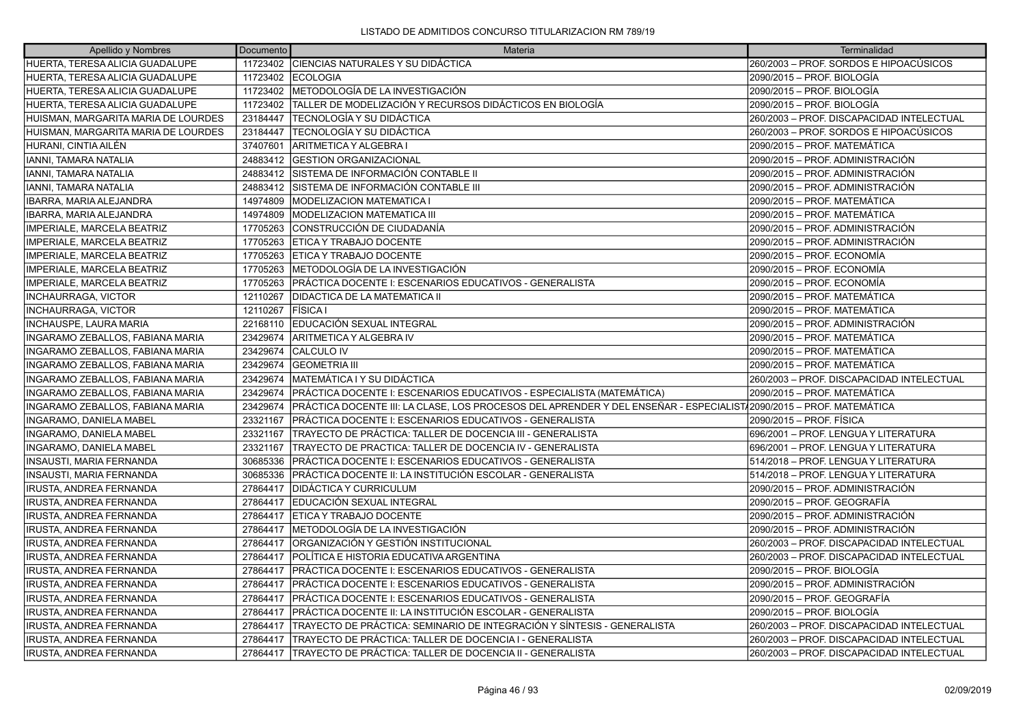| Apellido y Nombres                      | Documento | Materia                                                                                                            | Terminalidad                              |
|-----------------------------------------|-----------|--------------------------------------------------------------------------------------------------------------------|-------------------------------------------|
| HUERTA, TERESA ALICIA GUADALUPE         |           | 11723402 CIENCIAS NATURALES Y SU DIDÁCTICA                                                                         | 260/2003 – PROF. SORDOS E HIPOACÚSICOS    |
| HUERTA, TERESA ALICIA GUADALUPE         |           | 11723402 ECOLOGIA                                                                                                  | 2090/2015 - PROF. BIOLOGÍA                |
| HUERTA, TERESA ALICIA GUADALUPE         | 11723402  | METODOLOGÍA DE LA INVESTIGACIÓN                                                                                    | 2090/2015 - PROF. BIOLOGÍA                |
| HUERTA, TERESA ALICIA GUADALUPE         | 11723402  | TALLER DE MODELIZACIÓN Y RECURSOS DIDÁCTICOS EN BIOLOGÍA                                                           | 2090/2015 - PROF. BIOLOGÍA                |
| HUISMAN, MARGARITA MARIA DE LOURDES     | 23184447  | TECNOLOGÍA Y SU DIDÁCTICA                                                                                          | 260/2003 - PROF. DISCAPACIDAD INTELECTUAL |
| HUISMAN. MARGARITA MARIA DE LOURDES     | 23184447  | TECNOLOGÍA Y SU DIDÁCTICA                                                                                          | 260/2003 - PROF. SORDOS E HIPOACÚSICOS    |
| HURANI, CINTIA AILÉN                    | 37407601  | ARITMETICA Y ALGEBRA I                                                                                             | 2090/2015 - PROF. MATEMÁTICA              |
| <b>IANNI, TAMARA NATALIA</b>            | 24883412  | <b>GESTION ORGANIZACIONAL</b>                                                                                      | 2090/2015 – PROF. ADMINISTRACIÓN          |
| IANNI, TAMARA NATALIA                   | 24883412  | SISTEMA DE INFORMACIÓN CONTABLE II                                                                                 | 2090/2015 - PROF. ADMINISTRACIÓN          |
| <b>IANNI, TAMARA NATALIA</b>            | 24883412  | SISTEMA DE INFORMACIÓN CONTABLE III                                                                                | 2090/2015 - PROF. ADMINISTRACIÓN          |
| IBARRA, MARIA ALEJANDRA                 | 14974809  | <b>MODELIZACION MATEMATICA I</b>                                                                                   | 2090/2015 – PROF. MATEMÁTICA              |
| IBARRA, MARIA ALEJANDRA                 | 14974809  | IMODELIZACION MATEMATICA III                                                                                       | 2090/2015 - PROF. MATEMÁTICA              |
| IMPERIALE, MARCELA BEATRIZ              | 17705263  | ICONSTRUCCIÓN DE CIUDADANÍA                                                                                        | 2090/2015 - PROF. ADMINISTRACIÓN          |
| IMPERIALE, MARCELA BEATRIZ              | 17705263  | ETICA Y TRABAJO DOCENTE                                                                                            | 2090/2015 – PROF. ADMINISTRACIÓN          |
| <b>IMPERIALE, MARCELA BEATRIZ</b>       | 17705263  | ETICA Y TRABAJO DOCENTE                                                                                            | 2090/2015 – PROF. ECONOMÍA                |
| IMPERIALE, MARCELA BEATRIZ              | 17705263  | IMETODOLOGÍA DE LA INVESTIGACIÓN                                                                                   | 2090/2015 - PROF. ECONOMÍA                |
| IMPERIALE, MARCELA BEATRIZ              | 17705263  | PRÁCTICA DOCENTE I: ESCENARIOS EDUCATIVOS - GENERALISTA                                                            | 2090/2015 – PROF. ECONOMÍA                |
| <b>INCHAURRAGA, VICTOR</b>              | 12110267  | IDIDACTICA DE LA MATEMATICA II                                                                                     | 2090/2015 – PROF. MATEMÁTICA              |
| <b>INCHAURRAGA, VICTOR</b>              | 12110267  | FÍSICA I                                                                                                           | 2090/2015 - PROF. MATEMÁTICA              |
| <b>INCHAUSPE, LAURA MARIA</b>           | 22168110  | <b>IEDUCACIÓN SEXUAL INTEGRAL</b>                                                                                  | 2090/2015 - PROF. ADMINISTRACIÓN          |
| <b>INGARAMO ZEBALLOS, FABIANA MARIA</b> | 23429674  | <b>ARITMETICA Y ALGEBRA IV</b>                                                                                     | 2090/2015 – PROF. MATEMÁTICA              |
| INGARAMO ZEBALLOS, FABIANA MARIA        | 23429674  | <b>CALCULO IV</b>                                                                                                  | 2090/2015 - PROF. MATEMÁTICA              |
| INGARAMO ZEBALLOS, FABIANA MARIA        | 23429674  | <b>IGEOMETRIA III</b>                                                                                              | 2090/2015 - PROF. MATEMÁTICA              |
| INGARAMO ZEBALLOS, FABIANA MARIA        | 23429674  | IMATEMÁTICA I Y SU DIDÁCTICA                                                                                       | 260/2003 - PROF. DISCAPACIDAD INTELECTUAL |
| INGARAMO ZEBALLOS, FABIANA MARIA        | 23429674  | PRÁCTICA DOCENTE I: ESCENARIOS EDUCATIVOS - ESPECIALISTA (MATEMÁTICA)                                              | 2090/2015 - PROF. MATEMÁTICA              |
| INGARAMO ZEBALLOS, FABIANA MARIA        | 23429674  | PRÁCTICA DOCENTE III: LA CLASE, LOS PROCESOS DEL APRENDER Y DEL ENSEÑAR - ESPECIALIST√2090/2015 – PROF. MATEMÁTICA |                                           |
| INGARAMO, DANIELA MABEL                 | 23321167  | IPRÁCTICA DOCENTE I: ESCENARIOS EDUCATIVOS - GENERALISTA                                                           | 2090/2015 - PROF. FÍSICA                  |
| INGARAMO, DANIELA MABEL                 | 23321167  | TRAYECTO DE PRÁCTICA: TALLER DE DOCENCIA III - GENERALISTA                                                         | 696/2001 - PROF. LENGUA Y LITERATURA      |
| INGARAMO, DANIELA MABEL                 | 23321167  | TRAYECTO DE PRACTICA: TALLER DE DOCENCIA IV - GENERALISTA                                                          | 696/2001 - PROF. LENGUA Y LITERATURA      |
| INSAUSTI, MARIA FERNANDA                | 30685336  | PRÁCTICA DOCENTE I: ESCENARIOS EDUCATIVOS - GENERALISTA                                                            | 514/2018 - PROF. LENGUA Y LITERATURA      |
| <b>INSAUSTI, MARIA FERNANDA</b>         | 30685336  | PRÁCTICA DOCENTE II: LA INSTITUCIÓN ESCOLAR - GENERALISTA                                                          | 514/2018 - PROF. LENGUA Y LITERATURA      |
| <b>IRUSTA, ANDREA FERNANDA</b>          | 27864417  | <b>DIDÁCTICA Y CURRICULUM</b>                                                                                      | 2090/2015 – PROF. ADMINISTRACIÓN          |
| <b>IRUSTA, ANDREA FERNANDA</b>          | 27864417  | EDUCACIÓN SEXUAL INTEGRAL                                                                                          | 2090/2015 - PROF. GEOGRAFÍA               |
| <b>IRUSTA, ANDREA FERNANDA</b>          | 27864417  | ETICA Y TRABAJO DOCENTE                                                                                            | 2090/2015 - PROF. ADMINISTRACIÓN          |
| <b>IRUSTA, ANDREA FERNANDA</b>          | 27864417  | METODOLOGÍA DE LA INVESTIGACIÓN                                                                                    | 2090/2015 – PROF. ADMINISTRACIÓN          |
| <b>IRUSTA, ANDREA FERNANDA</b>          | 27864417  | ORGANIZACIÓN Y GESTIÓN INSTITUCIONAL                                                                               | 260/2003 - PROF. DISCAPACIDAD INTELECTUAL |
| <b>IRUSTA, ANDREA FERNANDA</b>          | 27864417  | POLÍTICA E HISTORIA EDUCATIVA ARGENTINA                                                                            | 260/2003 - PROF. DISCAPACIDAD INTELECTUAL |
| <b>IRUSTA, ANDREA FERNANDA</b>          | 27864417  | PRÁCTICA DOCENTE I: ESCENARIOS EDUCATIVOS - GENERALISTA                                                            | 2090/2015 – PROF. BIOLOGÍA                |
| IRUSTA, ANDREA FERNANDA                 | 27864417  | PRÁCTICA DOCENTE I: ESCENARIOS EDUCATIVOS - GENERALISTA                                                            | 2090/2015 - PROF. ADMINISTRACIÓN          |
| <b>IRUSTA, ANDREA FERNANDA</b>          | 27864417  | PRÁCTICA DOCENTE I: ESCENARIOS EDUCATIVOS - GENERALISTA                                                            | 2090/2015 - PROF. GEOGRAFÍA               |
| <b>IRUSTA, ANDREA FERNANDA</b>          | 27864417  | PRÁCTICA DOCENTE II: LA INSTITUCIÓN ESCOLAR - GENERALISTA                                                          | 2090/2015 - PROF. BIOLOGÍA                |
| <b>IRUSTA, ANDREA FERNANDA</b>          | 27864417  | TRAYECTO DE PRÁCTICA: SEMINARIO DE INTEGRACIÓN Y SÍNTESIS - GENERALISTA                                            | 260/2003 - PROF. DISCAPACIDAD INTELECTUAL |
| <b>IRUSTA, ANDREA FERNANDA</b>          | 27864417  | TRAYECTO DE PRÁCTICA: TALLER DE DOCENCIA I - GENERALISTA                                                           | 260/2003 - PROF. DISCAPACIDAD INTELECTUAL |
| <b>IRUSTA, ANDREA FERNANDA</b>          |           | 27864417 TRAYECTO DE PRÁCTICA: TALLER DE DOCENCIA II - GENERALISTA                                                 | 260/2003 - PROF. DISCAPACIDAD INTELECTUAL |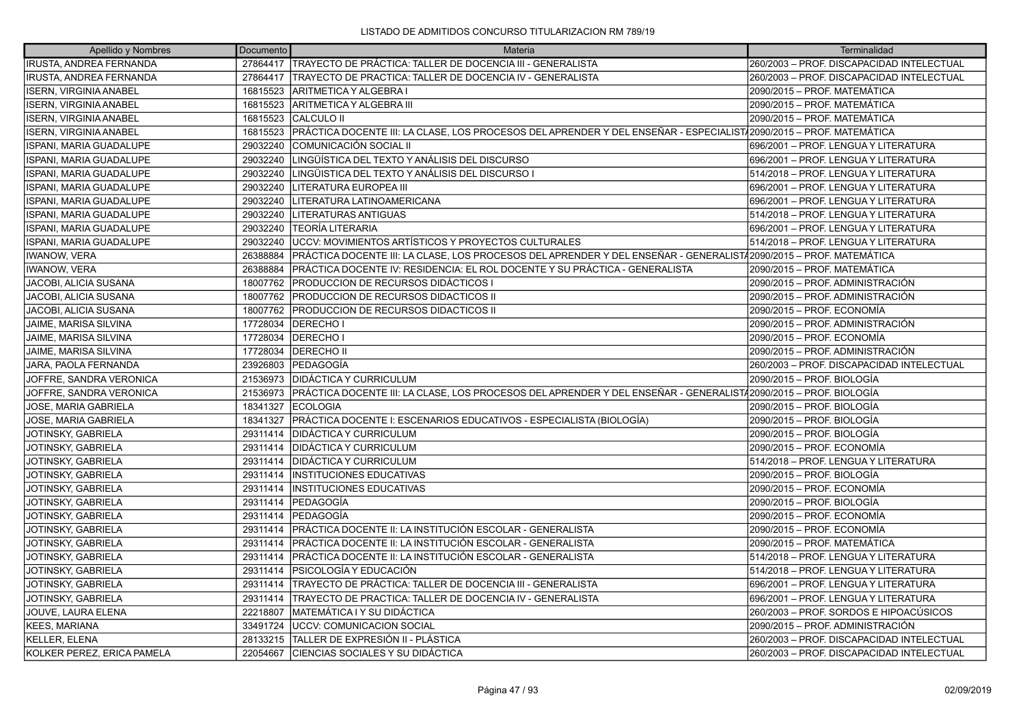| Apellido y Nombres             | Documento | Materia                                                                                                            | Terminalidad                              |
|--------------------------------|-----------|--------------------------------------------------------------------------------------------------------------------|-------------------------------------------|
| <b>IRUSTA, ANDREA FERNANDA</b> |           | 27864417 TRAYECTO DE PRÁCTICA: TALLER DE DOCENCIA III - GENERALISTA                                                | 260/2003 - PROF. DISCAPACIDAD INTELECTUAL |
| IRUSTA, ANDREA FERNANDA        | 27864417  | TRAYECTO DE PRACTICA: TALLER DE DOCENCIA IV - GENERALISTA                                                          | 260/2003 - PROF. DISCAPACIDAD INTELECTUAL |
| <b>ISERN, VIRGINIA ANABEL</b>  |           | 16815523 ARITMETICA Y ALGEBRA I                                                                                    | 2090/2015 - PROF. MATEMÁTICA              |
| <b>ISERN, VIRGINIA ANABEL</b>  | 16815523  | ARITMETICA Y ALGEBRA III                                                                                           | 2090/2015 - PROF. MATEMÁTICA              |
| <b>ISERN, VIRGINIA ANABEL</b>  | 16815523  | CALCULO II                                                                                                         | 2090/2015 - PROF. MATEMÁTICA              |
| <b>ISERN, VIRGINIA ANABEL</b>  | 16815523  | PRÁCTICA DOCENTE III: LA CLASE, LOS PROCESOS DEL APRENDER Y DEL ENSEÑAR - ESPECIALIST√2090/2015 – PROF. MATEMÁTICA |                                           |
| <b>ISPANI, MARIA GUADALUPE</b> | 29032240  | COMUNICACIÓN SOCIAL II                                                                                             | 696/2001 - PROF. LENGUA Y LITERATURA      |
| ISPANI, MARIA GUADALUPE        | 29032240  | LINGÜÍSTICA DEL TEXTO Y ANÁLISIS DEL DISCURSO                                                                      | 696/2001 - PROF. LENGUA Y LITERATURA      |
| <b>ISPANI, MARIA GUADALUPE</b> | 29032240  | LINGÜISTICA DEL TEXTO Y ANÁLISIS DEL DISCURSO I                                                                    | 514/2018 - PROF. LENGUA Y LITERATURA      |
| ISPANI, MARIA GUADALUPE        | 29032240  | LITERATURA EUROPEA III                                                                                             | 696/2001 - PROF. LENGUA Y LITERATURA      |
| ISPANI, MARIA GUADALUPE        | 29032240  | LITERATURA LATINOAMERICANA                                                                                         | 696/2001 - PROF. LENGUA Y LITERATURA      |
| <b>SPANI, MARIA GUADALUPE</b>  | 29032240  | LITERATURAS ANTIGUAS                                                                                               | 514/2018 - PROF. LENGUA Y LITERATURA      |
| <b>SPANI, MARIA GUADALUPE</b>  | 29032240  | <b>TEORÍA LITERARIA</b>                                                                                            | 696/2001 - PROF. LENGUA Y LITERATURA      |
| ISPANI, MARIA GUADALUPE        | 29032240  | UCCV: MOVIMIENTOS ARTÍSTICOS Y PROYECTOS CULTURALES                                                                | 514/2018 – PROF. LENGUA Y LITERATURA      |
| <b>IWANOW, VERA</b>            | 26388884  | PRÁCTICA DOCENTE III: LA CLASE, LOS PROCESOS DEL APRENDER Y DEL ENSEÑAR - GENERALIST/2090/2015 – PROF. MATEMÁTICA  |                                           |
| <b>IWANOW, VERA</b>            | 26388884  | PRÁCTICA DOCENTE IV: RESIDENCIA: EL ROL DOCENTE Y SU PRÁCTICA - GENERALISTA                                        | 2090/2015 – PROF. MATEMÁTICA              |
| JACOBI, ALICIA SUSANA          | 18007762  | <b>PRODUCCION DE RECURSOS DIDÁCTICOS I</b>                                                                         | 2090/2015 - PROF. ADMINISTRACIÓN          |
| JACOBI, ALICIA SUSANA          | 18007762  | <b>PRODUCCION DE RECURSOS DIDACTICOS II</b>                                                                        | 2090/2015 – PROF. ADMINISTRACIÓN          |
| JACOBI, ALICIA SUSANA          | 18007762  | PRODUCCION DE RECURSOS DIDACTICOS II                                                                               | 2090/2015 - PROF. ECONOMÍA                |
| JAIME, MARISA SILVINA          | 17728034  | <b>DERECHOI</b>                                                                                                    | 2090/2015 - PROF. ADMINISTRACIÓN          |
| JAIME, MARISA SILVINA          | 17728034  | <b>DERECHOI</b>                                                                                                    | 2090/2015 - PROF. ECONOMÍA                |
| JAIME, MARISA SILVINA          | 17728034  | <b>DERECHO II</b>                                                                                                  | 2090/2015 - PROF. ADMINISTRACIÓN          |
| JARA, PAOLA FERNANDA           | 23926803  | PEDAGOGÍA                                                                                                          | 260/2003 - PROF. DISCAPACIDAD INTELECTUAL |
| JOFFRE, SANDRA VERONICA        | 21536973  | <b>DIDÁCTICA Y CURRICULUM</b>                                                                                      | 2090/2015 – PROF. BIOLOGÍA                |
| JOFFRE, SANDRA VERONICA        | 21536973  | PRÁCTICA DOCENTE III: LA CLASE, LOS PROCESOS DEL APRENDER Y DEL ENSEÑAR - GENERALIST/2090/2015 – PROF. BIOLOGÍA    |                                           |
| JOSE, MARIA GABRIELA           | 18341327  | <b>ECOLOGIA</b>                                                                                                    | 2090/2015 - PROF. BIOLOGÍA                |
| JOSE, MARIA GABRIELA           | 18341327  | PRÁCTICA DOCENTE I: ESCENARIOS EDUCATIVOS - ESPECIALISTA (BIOLOGÍA)                                                | 2090/2015 - PROF. BIOLOGÍA                |
| JOTINSKY, GABRIELA             | 29311414  | DIDÁCTICA Y CURRICULUM                                                                                             | 2090/2015 - PROF. BIOLOGÍA                |
| JOTINSKY, GABRIELA             | 29311414  | <b>DIDÁCTICA Y CURRICULUM</b>                                                                                      | 2090/2015 - PROF. ECONOMÍA                |
| JOTINSKY, GABRIELA             | 29311414  | <b>DIDÁCTICA Y CURRICULUM</b>                                                                                      | 514/2018 - PROF. LENGUA Y LITERATURA      |
| JOTINSKY, GABRIELA             | 29311414  | <b>INSTITUCIONES EDUCATIVAS</b>                                                                                    | 2090/2015 - PROF. BIOLOGÍA                |
| JOTINSKY, GABRIELA             | 29311414  | <b>INSTITUCIONES EDUCATIVAS</b>                                                                                    | 2090/2015 - PROF. ECONOMÍA                |
| JOTINSKY, GABRIELA             | 29311414  | <b>PEDAGOGÍA</b>                                                                                                   | 2090/2015 - PROF. BIOLOGÍA                |
| JOTINSKY, GABRIELA             | 29311414  | PEDAGOGİA                                                                                                          | 2090/2015 - PROF. ECONOMÍA                |
| JOTINSKY, GABRIELA             | 29311414  | PRÁCTICA DOCENTE II: LA INSTITUCIÓN ESCOLAR - GENERALISTA                                                          | 2090/2015 - PROF. ECONOMÍA                |
| JOTINSKY, GABRIELA             | 29311414  | PRÁCTICA DOCENTE II: LA INSTITUCIÓN ESCOLAR - GENERALISTA                                                          | 2090/2015 - PROF. MATEMÁTICA              |
| JOTINSKY, GABRIELA             | 29311414  | PRÁCTICA DOCENTE II: LA INSTITUCIÓN ESCOLAR - GENERALISTA                                                          | 514/2018 - PROF. LENGUA Y LITERATURA      |
| JOTINSKY, GABRIELA             | 29311414  | IPSICOLOGÍA Y EDUCACIÓN                                                                                            | 514/2018 – PROF. LENGUA Y LITERATURA      |
| JOTINSKY, GABRIELA             | 29311414  | TRAYECTO DE PRÁCTICA: TALLER DE DOCENCIA III - GENERALISTA                                                         | 696/2001 - PROF. LENGUA Y LITERATURA      |
| JOTINSKY, GABRIELA             | 29311414  | TRAYECTO DE PRACTICA: TALLER DE DOCENCIA IV - GENERALISTA                                                          | 696/2001 - PROF. LENGUA Y LITERATURA      |
| JOUVE, LAURA ELENA             | 22218807  | MATEMÁTICA I Y SU DIDÁCTICA                                                                                        | 260/2003 - PROF. SORDOS E HIPOACÚSICOS    |
| KEES, MARIANA                  | 33491724  | UCCV: COMUNICACION SOCIAL                                                                                          | 2090/2015 - PROF. ADMINISTRACIÓN          |
| KELLER, ELENA                  | 28133215  | TALLER DE EXPRESIÓN II - PLÁSTICA                                                                                  | 260/2003 - PROF. DISCAPACIDAD INTELECTUAL |
| KOLKER PEREZ, ERICA PAMELA     | 22054667  | CIENCIAS SOCIALES Y SU DIDÁCTICA                                                                                   | 260/2003 - PROF. DISCAPACIDAD INTELECTUAL |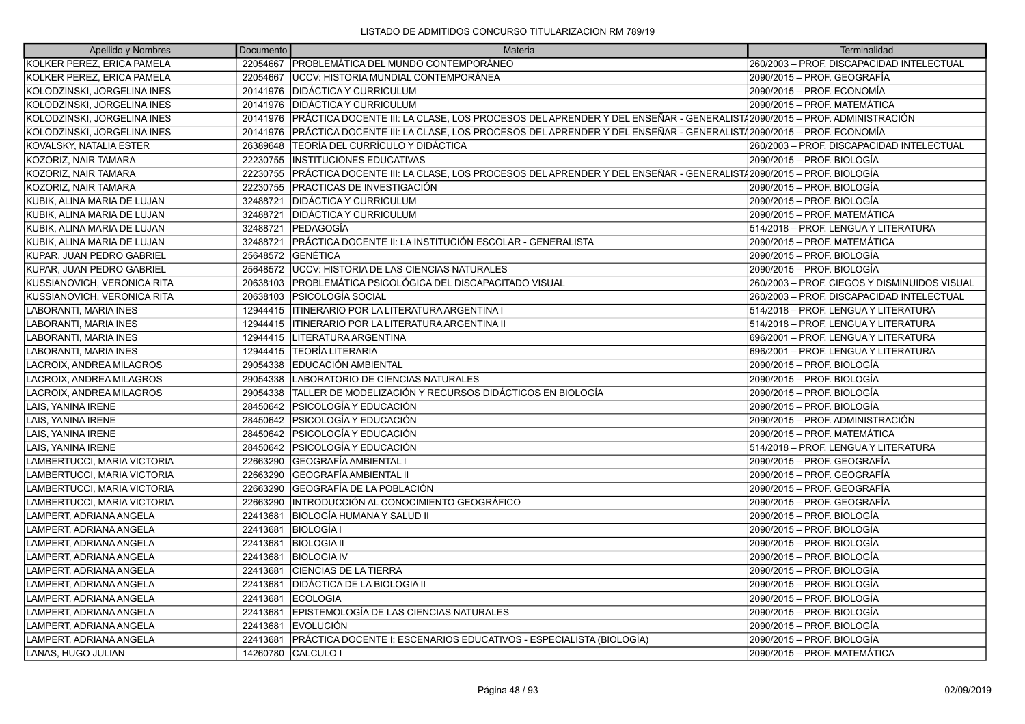| Apellido y Nombres           | Documento | Materia                                                                                                               | Terminalidad                                 |
|------------------------------|-----------|-----------------------------------------------------------------------------------------------------------------------|----------------------------------------------|
| KOLKER PEREZ, ERICA PAMELA   | 22054667  | <b>PROBLEMÁTICA DEL MUNDO CONTEMPORÁNEO</b>                                                                           | 260/2003 - PROF. DISCAPACIDAD INTELECTUAL    |
| KOLKER PEREZ, ERICA PAMELA   | 22054667  | <b>JUCCV: HISTORIA MUNDIAL CONTEMPORANEA</b>                                                                          | 2090/2015 - PROF. GEOGRAFÍA                  |
| KOLODZINSKI, JORGELINA INES  | 20141976  | <b>DIDÁCTICA Y CURRICULUM</b>                                                                                         | 2090/2015 - PROF. ECONOMÍA                   |
| KOLODZINSKI, JORGELINA INES  | 20141976  | <b>IDIDÁCTICA Y CURRICULUM</b>                                                                                        | 2090/2015 - PROF. MATEMÁTICA                 |
| KOLODZINSKI, JORGELINA INES  | 20141976  | PRÁCTICA DOCENTE III: LA CLASE, LOS PROCESOS DEL APRENDER Y DEL ENSEÑAR - GENERALIST/2090/2015 – PROF. ADMINISTRACIÓN |                                              |
| KOLODZINSKI, JORGELINA INES  | 20141976  | PRÁCTICA DOCENTE III: LA CLASE, LOS PROCESOS DEL APRENDER Y DEL ENSEÑAR - GENERALIST42090/2015 - PROF. ECONOMÍA       |                                              |
| KOVALSKY, NATALIA ESTER      | 26389648  | TEORÍA DEL CURRÍCULO Y DIDÁCTICA                                                                                      | 260/2003 – PROF. DISCAPACIDAD INTELECTUAL    |
| KOZORIZ, NAIR TAMARA         | 22230755  | <b>INSTITUCIONES EDUCATIVAS</b>                                                                                       | 2090/2015 - PROF. BIOLOGÍA                   |
| KOZORIZ, NAIR TAMARA         | 22230755  | PRÁCTICA DOCENTE III: LA CLASE, LOS PROCESOS DEL APRENDER Y DEL ENSEÑAR - GENERALIST/2090/2015 – PROF. BIOLOGÍA       |                                              |
| KOZORIZ, NAIR TAMARA         | 22230755  | PRACTICAS DE INVESTIGACIÓN                                                                                            | 2090/2015 - PROF. BIOLOGÍA                   |
| KUBIK, ALINA MARIA DE LUJAN  | 32488721  | <b>DIDÁCTICA Y CURRICULUM</b>                                                                                         | 2090/2015 - PROF. BIOLOGÍA                   |
| KUBIK, ALINA MARIA DE LUJAN  | 32488721  | <b>DIDÁCTICA Y CURRICULUM</b>                                                                                         | 2090/2015 - PROF. MATEMÁTICA                 |
| KUBIK, ALINA MARIA DE LUJAN  | 32488721  | PEDAGOGÍA                                                                                                             | 514/2018 - PROF. LENGUA Y LITERATURA         |
| KUBIK, ALINA MARIA DE LUJAN  | 32488721  | PRÁCTICA DOCENTE II: LA INSTITUCIÓN ESCOLAR - GENERALISTA                                                             | 2090/2015 - PROF. MATEMÁTICA                 |
| KUPAR, JUAN PEDRO GABRIEL    | 25648572  | <b>GENÉTICA</b>                                                                                                       | 2090/2015 - PROF. BIOLOGÍA                   |
| KUPAR, JUAN PEDRO GABRIEL    | 25648572  | UCCV: HISTORIA DE LAS CIENCIAS NATURALES                                                                              | 2090/2015 - PROF. BIOLOGÍA                   |
| KUSSIANOVICH, VERONICA RITA  | 20638103  | PROBLEMÁTICA PSICOLÓGICA DEL DISCAPACITADO VISUAL                                                                     | 260/2003 - PROF. CIEGOS Y DISMINUIDOS VISUAL |
| KUSSIANOVICH, VERONICA RITA  | 20638103  | PSICOLOGÍA SOCIAL                                                                                                     | 260/2003 - PROF. DISCAPACIDAD INTELECTUAL    |
| LABORANTI, MARIA INES        | 12944415  | <b>ITINERARIO POR LA LITERATURA ARGENTINA I</b>                                                                       | 514/2018 - PROF. LENGUA Y LITERATURA         |
| LABORANTI, MARIA INES        | 12944415  | <b>ITINERARIO POR LA LITERATURA ARGENTINA II</b>                                                                      | 514/2018 - PROF. LENGUA Y LITERATURA         |
| <b>LABORANTI, MARIA INES</b> | 12944415  | LITERATURA ARGENTINA                                                                                                  | 696/2001 - PROF. LENGUA Y LITERATURA         |
| LABORANTI, MARIA INES        | 12944415  | <b>TEORÍA LITERARIA</b>                                                                                               | 696/2001 - PROF. LENGUA Y LITERATURA         |
| LACROIX, ANDREA MILAGROS     | 29054338  | EDUCACIÓN AMBIENTAL                                                                                                   | 2090/2015 - PROF. BIOLOGÍA                   |
| LACROIX, ANDREA MILAGROS     | 29054338  | LABORATORIO DE CIENCIAS NATURALES                                                                                     | 2090/2015 - PROF. BIOLOGÍA                   |
| LACROIX, ANDREA MILAGROS     | 29054338  | TALLER DE MODELIZACIÓN Y RECURSOS DIDÁCTICOS EN BIOLOGÍA                                                              | 2090/2015 – PROF. BIOLOGÍA                   |
| LAIS, YANINA IRENE           | 28450642  | IPSICOLOGÍA Y EDUCACIÓN                                                                                               | 2090/2015 - PROF. BIOLOGÍA                   |
| LAIS, YANINA IRENE           | 28450642  | <b>PSICOLOGÍA Y EDUCACIÓN</b>                                                                                         | 2090/2015 - PROF. ADMINISTRACIÓN             |
| LAIS, YANINA IRENE           | 28450642  | <b>PSICOLOGÍA Y EDUCACIÓN</b>                                                                                         | 2090/2015 - PROF. MATEMÁTICA                 |
| LAIS, YANINA IRENE           | 28450642  | IPSICOLOGÍA Y EDUCACIÓN                                                                                               | 514/2018 - PROF. LENGUA Y LITERATURA         |
| LAMBERTUCCI, MARIA VICTORIA  | 22663290  | GEOGRAFÍA AMBIENTAL I                                                                                                 | 2090/2015 - PROF. GEOGRAFÍA                  |
| LAMBERTUCCI, MARIA VICTORIA  | 22663290  | GEOGRAFÍA AMBIENTAL II                                                                                                | 2090/2015 - PROF. GEOGRAFÍA                  |
| LAMBERTUCCI, MARIA VICTORIA  | 22663290  | GEOGRAFÍA DE LA POBLACIÓN                                                                                             | 2090/2015 - PROF. GEOGRAFÍA                  |
| LAMBERTUCCI, MARIA VICTORIA  | 22663290  | INTRODUCCIÓN AL CONOCIMIENTO GEOGRÁFICO                                                                               | 2090/2015 – PROF. GEOGRAFÍA                  |
| LAMPERT, ADRIANA ANGELA      | 22413681  | BIOLOGÍA HUMANA Y SALUD II                                                                                            | 2090/2015 - PROF. BIOLOGÍA                   |
| LAMPERT, ADRIANA ANGELA      | 22413681  | <b>BIOLOGÍA I</b>                                                                                                     | 2090/2015 - PROF. BIOLOGÍA                   |
| LAMPERT, ADRIANA ANGELA      | 22413681  | <b>BIOLOGIA II</b>                                                                                                    | 2090/2015 – PROF. BIOLOGÍA                   |
| LAMPERT, ADRIANA ANGELA      | 22413681  | <b>BIOLOGIA IV</b>                                                                                                    | 2090/2015 - PROF. BIOLOGÍA                   |
| LAMPERT, ADRIANA ANGELA      | 22413681  | <b>ICIENCIAS DE LA TIERRA</b>                                                                                         | 2090/2015 - PROF. BIOLOGÍA                   |
| LAMPERT, ADRIANA ANGELA      | 22413681  | <b>DIDÁCTICA DE LA BIOLOGIA II</b>                                                                                    | 2090/2015 – PROF. BIOLOGÍA                   |
| LAMPERT, ADRIANA ANGELA      | 22413681  | <b>ECOLOGIA</b>                                                                                                       | 2090/2015 – PROF. BIOLOGÍA                   |
| LAMPERT, ADRIANA ANGELA      | 22413681  | EPISTEMOLOGÍA DE LAS CIENCIAS NATURALES                                                                               | 2090/2015 – PROF. BIOLOGÍA                   |
| LAMPERT, ADRIANA ANGELA      | 22413681  | <b>IEVOLUCIÓN</b>                                                                                                     | 2090/2015 - PROF. BIOLOGÍA                   |
| LAMPERT, ADRIANA ANGELA      | 22413681  | PRÁCTICA DOCENTE I: ESCENARIOS EDUCATIVOS - ESPECIALISTA (BIOLOGÍA)                                                   | 2090/2015 – PROF. BIOLOGÍA                   |
| LANAS, HUGO JULIAN           | 14260780  | <b>CALCULO</b>                                                                                                        | 2090/2015 - PROF. MATEMÁTICA                 |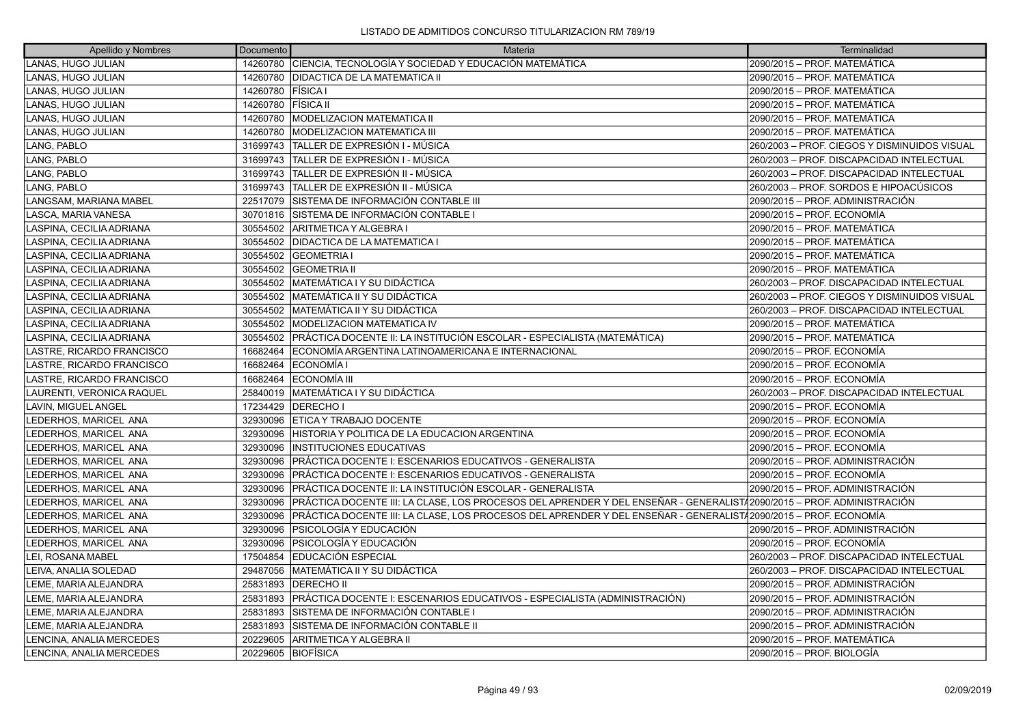| Apellido y Nombres        | Documento          | Materia                                                                                                               | Terminalidad                                 |
|---------------------------|--------------------|-----------------------------------------------------------------------------------------------------------------------|----------------------------------------------|
| LANAS, HUGO JULIAN        | 14260780           | CIENCIA, TECNOLOGÍA Y SOCIEDAD Y EDUCACIÓN MATEMÁTICA                                                                 | 2090/2015 - PROF. MATEMÁTICA                 |
| LANAS, HUGO JULIAN        | 14260780           | <b>DIDACTICA DE LA MATEMATICA II</b>                                                                                  | 2090/2015 - PROF. MATEMÁTICA                 |
| LANAS, HUGO JULIAN        | 14260780           | <b>FISICA I</b>                                                                                                       | 2090/2015 - PROF. MATEMÁTICA                 |
| LANAS, HUGO JULIAN        | 14260780           | <b>FÍSICA II</b>                                                                                                      | 2090/2015 - PROF. MATEMÁTICA                 |
| LANAS, HUGO JULIAN        | 14260780           | <b>MODELIZACION MATEMATICA II</b>                                                                                     | 2090/2015 - PROF. MATEMÁTICA                 |
| LANAS, HUGO JULIAN        | 14260780           | <b>MODELIZACION MATEMATICA III</b>                                                                                    | 2090/2015 - PROF. MATEMÁTICA                 |
| LANG, PABLO               | 31699743           | ÍTALLER DE EXPRESIÓN I - MÚSICA                                                                                       | 260/2003 - PROF. CIEGOS Y DISMINUIDOS VISUAL |
| LANG, PABLO               | 31699743           | TALLER DE EXPRESIÓN I - MÚSICA                                                                                        | 260/2003 - PROF. DISCAPACIDAD INTELECTUAL    |
| LANG, PABLO               | 31699743           | TALLER DE EXPRESIÓN II - MÚSICA                                                                                       | 260/2003 - PROF. DISCAPACIDAD INTELECTUAL    |
| LANG, PABLO               | 31699743           | TALLER DE EXPRESIÓN II - MÚSICA                                                                                       | 260/2003 – PROF. SORDOS E HIPOACÚSICOS       |
| LANGSAM, MARIANA MABEL    | 22517079           | SISTEMA DE INFORMACIÓN CONTABLE III                                                                                   | 2090/2015 – PROF. ADMINISTRACIÓN             |
| LASCA, MARIA VANESA       | 30701816           | SISTEMA DE INFORMACIÓN CONTABLE I                                                                                     | 2090/2015 - PROF. ECONOMÍA                   |
| LASPINA, CECILIA ADRIANA  | 30554502           | ARITMETICA Y ALGEBRA I                                                                                                | 2090/2015 - PROF. MATEMÁTICA                 |
| LASPINA, CECILIA ADRIANA  |                    | 30554502   DIDACTICA DE LA MATEMATICA I                                                                               | 2090/2015 – PROF. MATEMÁTICA                 |
| LASPINA, CECILIA ADRIANA  |                    | 30554502 GEOMETRIA I                                                                                                  | 2090/2015 – PROF. MATEMÁTICA                 |
| LASPINA, CECILIA ADRIANA  | 30554502           | <b>GEOMETRIA II</b>                                                                                                   | 2090/2015 - PROF. MATEMÁTICA                 |
| LASPINA, CECILIA ADRIANA  | 30554502           | <b>MATEMÁTICA I Y SU DIDÁCTICA</b>                                                                                    | 260/2003 - PROF. DISCAPACIDAD INTELECTUAL    |
| LASPINA, CECILIA ADRIANA  |                    | 30554502   MATEMÁTICA II Y SU DIDÁCTICA                                                                               | 260/2003 - PROF. CIEGOS Y DISMINUIDOS VISUAL |
| LASPINA, CECILIA ADRIANA  | 30554502           | <b>IMATEMÁTICA II Y SU DIDÁCTICA</b>                                                                                  | 260/2003 - PROF. DISCAPACIDAD INTELECTUAL    |
| LASPINA, CECILIA ADRIANA  |                    | 30554502 MODELIZACION MATEMATICA IV                                                                                   | 2090/2015 - PROF. MATEMÁTICA                 |
| LASPINA, CECILIA ADRIANA  |                    | 30554502 PRÁCTICA DOCENTE II: LA INSTITUCIÓN ESCOLAR - ESPECIALISTA (MATEMÁTICA)                                      | 2090/2015 - PROF. MATEMÁTICA                 |
| LASTRE, RICARDO FRANCISCO |                    | 16682464 ECONOMÍA ARGENTINA LATINOAMERICANA E INTERNACIONAL                                                           | 2090/2015 - PROF. ECONOMÍA                   |
| LASTRE, RICARDO FRANCISCO | 16682464           | <b>IECONOMÍA I</b>                                                                                                    | 2090/2015 - PROF. ECONOMÍA                   |
| LASTRE, RICARDO FRANCISCO | 16682464           | ECONOMÍA III                                                                                                          | 2090/2015 - PROF. ECONOMÍA                   |
| LAURENTI, VERONICA RAQUEL | 25840019           | <b>MATEMÁTICA I Y SU DIDÁCTICA</b>                                                                                    | 260/2003 - PROF. DISCAPACIDAD INTELECTUAL    |
| LAVIN, MIGUEL ANGEL       |                    | 17234429   DERECHO I                                                                                                  | 2090/2015 - PROF. ECONOMÍA                   |
| LEDERHOS, MARICEL ANA     |                    | 32930096 ETICA Y TRABAJO DOCENTE                                                                                      | 2090/2015 - PROF. ECONOMÍA                   |
| LEDERHOS, MARICEL ANA     | 32930096           | HISTORIA Y POLITICA DE LA EDUCACION ARGENTINA                                                                         | 2090/2015 - PROF. ECONOMÍA                   |
| LEDERHOS, MARICEL ANA     | 32930096           | IINSTITUCIONES EDUCATIVAS                                                                                             | 2090/2015 - PROF. ECONOMÍA                   |
| LEDERHOS, MARICEL ANA     | 32930096           | PRÁCTICA DOCENTE I: ESCENARIOS EDUCATIVOS - GENERALISTA                                                               | 2090/2015 – PROF. ADMINISTRACIÓN             |
| LEDERHOS, MARICEL ANA     | 32930096           | PRÁCTICA DOCENTE I: ESCENARIOS EDUCATIVOS - GENERALISTA                                                               | 2090/2015 - PROF. ECONOMÍA                   |
| LEDERHOS, MARICEL ANA     |                    | 32930096 PRÁCTICA DOCENTE II: LA INSTITUCIÓN ESCOLAR - GENERALISTA                                                    | 2090/2015 – PROF. ADMINISTRACIÓN             |
| LEDERHOS, MARICEL ANA     | 32930096           | PRÁCTICA DOCENTE III: LA CLASE, LOS PROCESOS DEL APRENDER Y DEL ENSEÑAR - GENERALIST/2090/2015 - PROF. ADMINISTRACIÓN |                                              |
| LEDERHOS, MARICEL ANA     | 32930096           | PRÁCTICA DOCENTE III: LA CLASE, LOS PROCESOS DEL APRENDER Y DEL ENSEÑAR - GENERALIST42090/2015 – PROF. ECONOMÍA       |                                              |
| LEDERHOS, MARICEL ANA     | 32930096           | PSICOLOGÍA Y EDUCACIÓN                                                                                                | 2090/2015 - PROF. ADMINISTRACIÓN             |
| LEDERHOS, MARICEL ANA     | 32930096           | <b>PSICOLOGÍA Y EDUCACIÓN</b>                                                                                         | 2090/2015 - PROF. ECONOMÍA                   |
| LEI, ROSANA MABEL         | 17504854           | EDUCACIÓN ESPECIAL                                                                                                    | 260/2003 - PROF. DISCAPACIDAD INTELECTUAL    |
| LEIVA, ANALIA SOLEDAD     |                    | 29487056 MATEMÁTICA II Y SU DIDÁCTICA                                                                                 | 260/2003 - PROF. DISCAPACIDAD INTELECTUAL    |
| LEME, MARIA ALEJANDRA     |                    | 25831893   DERECHO II                                                                                                 | 2090/2015 - PROF. ADMINISTRACIÓN             |
| LEME, MARIA ALEJANDRA     |                    | 25831893 PRÁCTICA DOCENTE I: ESCENARIOS EDUCATIVOS - ESPECIALISTA (ADMINISTRACIÓN)                                    | 2090/2015 - PROF. ADMINISTRACIÓN             |
| LEME, MARIA ALEJANDRA     | 25831893           | SISTEMA DE INFORMACIÓN CONTABLE I                                                                                     | 2090/2015 - PROF. ADMINISTRACIÓN             |
| LEME, MARIA ALEJANDRA     | 25831893           | SISTEMA DE INFORMACIÓN CONTABLE II                                                                                    | 2090/2015 - PROF. ADMINISTRACIÓN             |
| LENCINA, ANALIA MERCEDES  | 20229605           | ARITMETICA Y ALGEBRA II                                                                                               | 2090/2015 - PROF. MATEMÁTICA                 |
| LENCINA, ANALIA MERCEDES  | 20229605 BIOFÍSICA |                                                                                                                       | 2090/2015 - PROF. BIOLOGÍA                   |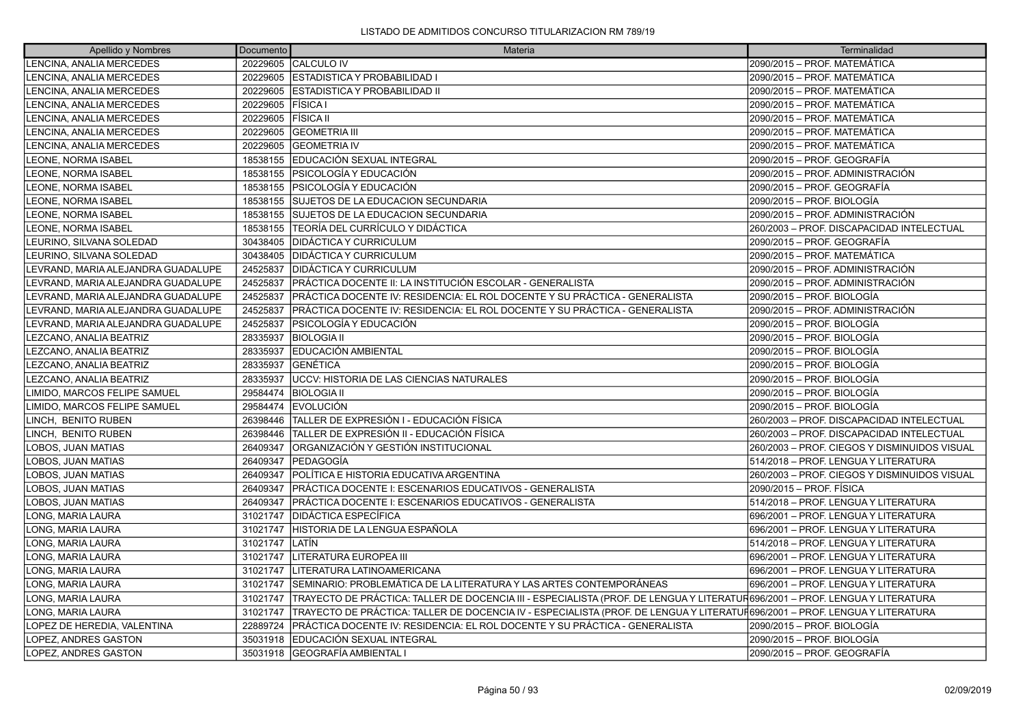| Apellido y Nombres                 | Documento | Materia                                                                                                                      | Terminalidad                                 |
|------------------------------------|-----------|------------------------------------------------------------------------------------------------------------------------------|----------------------------------------------|
| LENCINA, ANALIA MERCEDES           |           | 20229605 CALCULO IV                                                                                                          | 2090/2015 – PROF. MATEMÁTICA                 |
| LENCINA, ANALIA MERCEDES           |           | 20229605 ESTADISTICA Y PROBABILIDAD I                                                                                        | 2090/2015 - PROF. MATEMÁTICA                 |
| LENCINA, ANALIA MERCEDES           | 20229605  | <b>IESTADISTICA Y PROBABILIDAD II</b>                                                                                        | 2090/2015 - PROF. MATEMÁTICA                 |
| LENCINA, ANALIA MERCEDES           | 20229605  | FÍSICA I                                                                                                                     | 2090/2015 - PROF. MATEMÁTICA                 |
| LENCINA, ANALIA MERCEDES           | 20229605  | <b>FÍSICA II</b>                                                                                                             | 2090/2015 - PROF. MATEMÁTICA                 |
| LENCINA, ANALIA MERCEDES           | 20229605  | <b>GEOMETRIA III</b>                                                                                                         | 2090/2015 - PROF. MATEMÁTICA                 |
| LENCINA, ANALIA MERCEDES           | 20229605  | <b>GEOMETRIA IV</b>                                                                                                          | 2090/2015 - PROF. MATEMÁTICA                 |
| LEONE, NORMA ISABEL                |           | 18538155 EDUCACIÓN SEXUAL INTEGRAL                                                                                           | 2090/2015 - PROF. GEOGRAFÍA                  |
| LEONE, NORMA ISABEL                | 18538155  | PSICOLOGÍA Y EDUCACIÓN                                                                                                       | 2090/2015 - PROF. ADMINISTRACIÓN             |
| LEONE, NORMA ISABEL                | 18538155  | IPSICOLOGÍA Y EDUCACIÓN                                                                                                      | 2090/2015 – PROF. GEOGRAFÍA                  |
| LEONE, NORMA ISABEL                |           | 18538155 SUJETOS DE LA EDUCACION SECUNDARIA                                                                                  | 2090/2015 - PROF. BIOLOGÍA                   |
| LEONE, NORMA ISABEL                | 18538155  | <b>SUJETOS DE LA EDUCACION SECUNDARIA</b>                                                                                    | 2090/2015 - PROF. ADMINISTRACIÓN             |
| LEONE, NORMA ISABEL                | 18538155  | TEORÍA DEL CURRÍCULO Y DIDÁCTICA                                                                                             | 260/2003 - PROF. DISCAPACIDAD INTELECTUAL    |
| LEURINO, SILVANA SOLEDAD           | 30438405  | <b>DIDÁCTICA Y CURRICULUM</b>                                                                                                | 2090/2015 – PROF. GEOGRAFÍA                  |
| LEURINO, SILVANA SOLEDAD           | 30438405  | <b>DIDÁCTICA Y CURRICULUM</b>                                                                                                | 2090/2015 - PROF. MATEMÁTICA                 |
| LEVRAND, MARIA ALEJANDRA GUADALUPE | 24525837  | DIDÁCTICA Y CURRICULUM                                                                                                       | 2090/2015 - PROF. ADMINISTRACIÓN             |
| EVRAND, MARIA ALEJANDRA GUADALUPE. | 24525837  | PRÁCTICA DOCENTE II: LA INSTITUCIÓN ESCOLAR - GENERALISTA                                                                    | 2090/2015 - PROF. ADMINISTRACIÓN             |
| LEVRAND, MARIA ALEJANDRA GUADALUPE | 24525837  | PRÁCTICA DOCENTE IV: RESIDENCIA: EL ROL DOCENTE Y SU PRÁCTICA - GENERALISTA                                                  | 2090/2015 – PROF. BIOLOGÍA                   |
| LEVRAND, MARIA ALEJANDRA GUADALUPE | 24525837  | PRÁCTICA DOCENTE IV: RESIDENCIA: EL ROL DOCENTE Y SU PRÁCTICA - GENERALISTA                                                  | 2090/2015 – PROF. ADMINISTRACIÓN             |
| EVRAND, MARIA ALEJANDRA GUADALUPE. | 24525837  | PSICOLOGÍA Y EDUCACIÓN                                                                                                       | 2090/2015 - PROF. BIOLOGÍA                   |
| LEZCANO, ANALIA BEATRIZ            | 28335937  | <b>BIOLOGIA II</b>                                                                                                           | 2090/2015 – PROF. BIOLOGÍA                   |
| LEZCANO, ANALIA BEATRIZ            | 28335937  | <b>EDUCACIÓN AMBIENTAL</b>                                                                                                   | 2090/2015 - PROF. BIOLOGÍA                   |
| <b>EZCANO, ANALIA BEATRIZ</b>      | 28335937  | IGENÉTICA                                                                                                                    | 2090/2015 - PROF. BIOLOGÍA                   |
| LEZCANO, ANALIA BEATRIZ            | 28335937  | UCCV: HISTORIA DE LAS CIENCIAS NATURALES                                                                                     | 2090/2015 – PROF. BIOLOGÍA                   |
| LIMIDO, MARCOS FELIPE SAMUEL       | 29584474  | <b>BIOLOGIA II</b>                                                                                                           | 2090/2015 - PROF. BIOLOGÍA                   |
| LIMIDO, MARCOS FELIPE SAMUEL       | 29584474  | <b>IEVOLUCIÓN</b>                                                                                                            | 2090/2015 - PROF. BIOLOGÍA                   |
| LINCH, BENITO RUBEN                | 26398446  | TALLER DE EXPRESIÓN I - EDUCACIÓN FÍSICA                                                                                     | 260/2003 - PROF. DISCAPACIDAD INTELECTUAL    |
| LINCH, BENITO RUBEN                | 26398446  | TALLER DE EXPRESIÓN II - EDUCACIÓN FÍSICA                                                                                    | 260/2003 - PROF. DISCAPACIDAD INTELECTUAL    |
| LOBOS, JUAN MATIAS                 | 26409347  | ORGANIZACIÓN Y GESTIÓN INSTITUCIONAL                                                                                         | 260/2003 - PROF. CIEGOS Y DISMINUIDOS VISUAL |
| LOBOS, JUAN MATIAS                 | 26409347  | <b>IPEDAGOGÍA</b>                                                                                                            | 514/2018 – PROF. LENGUA Y LITERATURA         |
| LOBOS, JUAN MATIAS                 | 26409347  | POLÍTICA E HISTORIA EDUCATIVA ARGENTINA                                                                                      | 260/2003 - PROF. CIEGOS Y DISMINUIDOS VISUAL |
| LOBOS, JUAN MATIAS                 | 26409347  | PRÁCTICA DOCENTE I: ESCENARIOS EDUCATIVOS - GENERALISTA                                                                      | 2090/2015 - PROF. FÍSICA                     |
| LOBOS, JUAN MATIAS                 | 26409347  | PRÁCTICA DOCENTE I: ESCENARIOS EDUCATIVOS - GENERALISTA                                                                      | 1514/2018 – PROF. LENGUA Y LITERATURA        |
| LONG, MARIA LAURA                  | 31021747  | <b>DIDÁCTICA ESPECÍFICA</b>                                                                                                  | 696/2001 - PROF. LENGUA Y LITERATURA         |
| <b>LONG, MARIA LAURA</b>           | 31021747  | ÍHISTORIA DE LA LENGUA ESPAÑOLA                                                                                              | 696/2001 - PROF. LENGUA Y LITERATURA         |
| LONG, MARIA LAURA                  | 31021747  | ILATÍN                                                                                                                       | 514/2018 - PROF. LENGUA Y LITERATURA         |
| LONG, MARIA LAURA                  | 31021747  | LITERATURA EUROPEA III                                                                                                       | 696/2001 - PROF. LENGUA Y LITERATURA         |
| LONG, MARIA LAURA                  | 31021747  | LITERATURA LATINOAMERICANA                                                                                                   | 696/2001 - PROF. LENGUA Y LITERATURA         |
| LONG, MARIA LAURA                  | 31021747  | SEMINARIO: PROBLEMÁTICA DE LA LITERATURA Y LAS ARTES CONTEMPORÁNEAS                                                          | 696/2001 – PROF. LENGUA Y LITERATURA         |
| LONG, MARIA LAURA                  | 31021747  | TRAYECTO DE PRACTICA: TALLER DE DOCENCIA III - ESPECIALISTA (PROF. DE LENGUA Y LITERATUR696/2001 – PROF. LENGUA Y LITERATURA |                                              |
| LONG, MARIA LAURA                  | 31021747  | TRAYECTO DE PRÁCTICA: TALLER DE DOCENCIA IV - ESPECIALISTA (PROF. DE LENGUA Y LITERATUFÍ696/2001 – PROF. LENGUA Y LITERATURA |                                              |
| LOPEZ DE HEREDIA, VALENTINA        | 22889724  | PRÁCTICA DOCENTE IV: RESIDENCIA: EL ROL DOCENTE Y SU PRÁCTICA - GENERALISTA                                                  | 2090/2015 – PROF. BIOLOGÍA                   |
| LOPEZ, ANDRES GASTON               | 35031918  | EDUCACIÓN SEXUAL INTEGRAL                                                                                                    | 2090/2015 - PROF. BIOLOGÍA                   |
| LOPEZ. ANDRES GASTON               | 35031918  | <b>IGEOGRAFÍA AMBIENTAL I</b>                                                                                                | 2090/2015 - PROF. GEOGRAFÍA                  |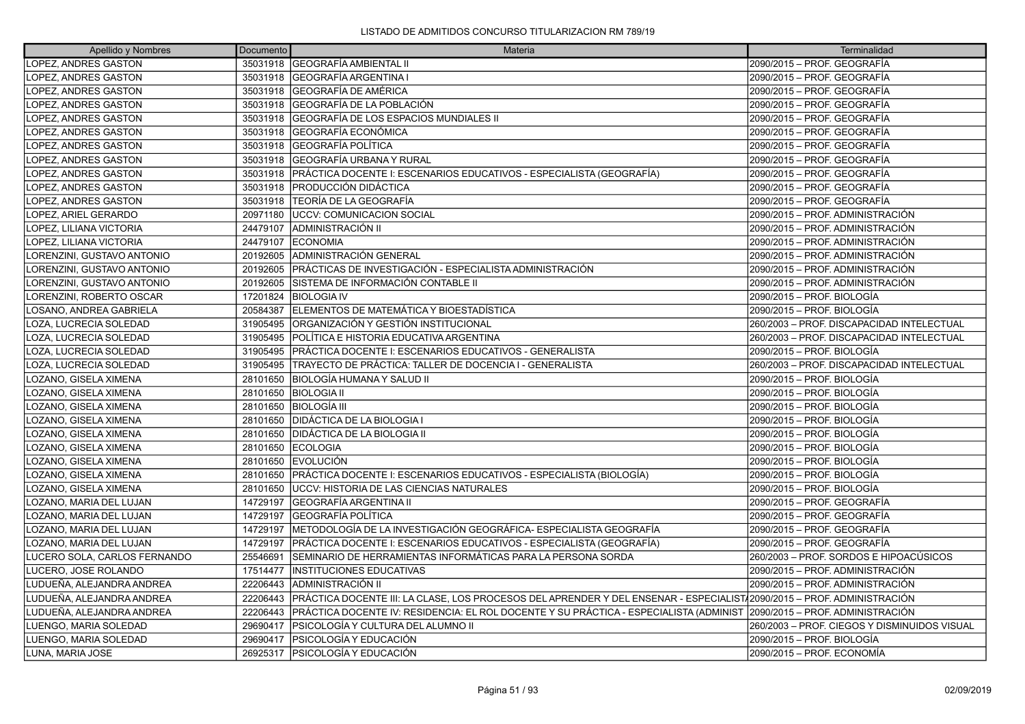| Apellido y Nombres           | Documento | Materia                                                                                                                  | Terminalidad                                 |
|------------------------------|-----------|--------------------------------------------------------------------------------------------------------------------------|----------------------------------------------|
| LOPEZ, ANDRES GASTON         | 35031918  | <b>GEOGRAFÍA AMBIENTAL II</b>                                                                                            | 2090/2015 - PROF. GEOGRAFÍA                  |
| <b>LOPEZ. ANDRES GASTON</b>  | 35031918  | <b>GEOGRAFÍA ARGENTINA I</b>                                                                                             | 2090/2015 - PROF. GEOGRAFÍA                  |
| LOPEZ, ANDRES GASTON         | 35031918  | GEOGRAFÍA DE AMÉRICA                                                                                                     | 2090/2015 - PROF. GEOGRAFÍA                  |
| LOPEZ, ANDRES GASTON         | 35031918  | GEOGRAFÍA DE LA POBLACIÓN                                                                                                | 2090/2015 - PROF. GEOGRAFÍA                  |
| LOPEZ, ANDRES GASTON         | 35031918  | GEOGRAFÍA DE LOS ESPACIOS MUNDIALES II                                                                                   | 2090/2015 – PROF. GEOGRAFÍA                  |
| LOPEZ, ANDRES GASTON         | 35031918  | GEOGRAFÍA ECONÓMICA                                                                                                      | 2090/2015 - PROF. GEOGRAFÍA                  |
| LOPEZ, ANDRES GASTON         | 35031918  | <b>GEOGRAFÍA POLÍTICA</b>                                                                                                | 2090/2015 - PROF. GEOGRAFÍA                  |
| LOPEZ, ANDRES GASTON         | 35031918  | GEOGRAFÍA URBANA Y RURAL                                                                                                 | 2090/2015 – PROF. GEOGRAFÍA                  |
| LOPEZ, ANDRES GASTON         | 35031918  | PRÁCTICA DOCENTE I: ESCENARIOS EDUCATIVOS - ESPECIALISTA (GEOGRAFÍA)                                                     | 2090/2015 - PROF. GEOGRAFÍA                  |
| LOPEZ, ANDRES GASTON         | 35031918  | PRODUCCIÓN DIDÁCTICA                                                                                                     | 2090/2015 - PROF. GEOGRAFÍA                  |
| LOPEZ, ANDRES GASTON         | 35031918  | lTEORÍA DE LA GEOGRAFÍA                                                                                                  | 2090/2015 – PROF. GEOGRAFÍA                  |
| LOPEZ, ARIEL GERARDO         | 20971180  | <b>UCCV: COMUNICACION SOCIAL</b>                                                                                         | 2090/2015 - PROF. ADMINISTRACIÓN             |
| LOPEZ, LILIANA VICTORIA      | 24479107  | ADMINISTRACIÓN II                                                                                                        | 2090/2015 - PROF. ADMINISTRACIÓN             |
| LOPEZ, LILIANA VICTORIA      | 24479107  | <b>ECONOMIA</b>                                                                                                          | 2090/2015 - PROF. ADMINISTRACIÓN             |
| LORENZINI, GUSTAVO ANTONIO   | 20192605  | ADMINISTRACIÓN GENERAL                                                                                                   | 2090/2015 - PROF. ADMINISTRACIÓN             |
| LORENZINI, GUSTAVO ANTONIO   | 20192605  | PRÁCTICAS DE INVESTIGACIÓN - ESPECIALISTA ADMINISTRACIÓN                                                                 | 2090/2015 - PROF. ADMINISTRACIÓN             |
| LORENZINI, GUSTAVO ANTONIO   | 20192605  | ÍSISTEMA DE INFORMACIÓN CONTABLE II                                                                                      | 2090/2015 - PROF. ADMINISTRACIÓN             |
| LORENZINI, ROBERTO OSCAR     | 17201824  | IBIOLOGIA IV                                                                                                             | 2090/2015 - PROF. BIOLOGÍA                   |
| LOSANO, ANDREA GABRIELA      | 20584387  | ELEMENTOS DE MATEMÁTICA Y BIOESTADÍSTICA                                                                                 | 2090/2015 - PROF. BIOLOGÍA                   |
| LOZA, LUCRECIA SOLEDAD       | 31905495  | ORGANIZACIÓN Y GESTIÓN INSTITUCIONAL                                                                                     | 260/2003 - PROF. DISCAPACIDAD INTELECTUAL    |
| LOZA, LUCRECIA SOLEDAD       | 31905495  | POLÍTICA E HISTORIA EDUCATIVA ARGENTINA                                                                                  | 260/2003 - PROF. DISCAPACIDAD INTELECTUAL    |
| LOZA, LUCRECIA SOLEDAD       | 31905495  | PRÁCTICA DOCENTE I: ESCENARIOS EDUCATIVOS - GENERALISTA                                                                  | 2090/2015 - PROF. BIOLOGÍA                   |
| LOZA. LUCRECIA SOLEDAD       | 31905495  | TRAYECTO DE PRÁCTICA: TALLER DE DOCENCIA I - GENERALISTA                                                                 | 260/2003 - PROF. DISCAPACIDAD INTELECTUAL    |
| LOZANO, GISELA XIMENA        | 28101650  | BIOLOGÍA HUMANA Y SALUD II                                                                                               | 2090/2015 - PROF. BIOLOGÍA                   |
| LOZANO, GISELA XIMENA        | 28101650  | <b>BIOLOGIA II</b>                                                                                                       | 2090/2015 - PROF. BIOLOGÍA                   |
| LOZANO, GISELA XIMENA        | 28101650  | <b>BIOLOGÍA III</b>                                                                                                      | 2090/2015 - PROF. BIOLOGÍA                   |
| LOZANO, GISELA XIMENA        | 28101650  | <b>DIDÁCTICA DE LA BIOLOGIA I</b>                                                                                        | 2090/2015 - PROF. BIOLOGÍA                   |
| LOZANO, GISELA XIMENA        | 28101650  | DIDÁCTICA DE LA BIOLOGIA II                                                                                              | 2090/2015 - PROF. BIOLOGÍA                   |
| LOZANO, GISELA XIMENA        | 28101650  | <b>ECOLOGIA</b>                                                                                                          | 2090/2015 – PROF. BIOLOGÍA                   |
| LOZANO, GISELA XIMENA        | 28101650  | <b>EVOLUCIÓN</b>                                                                                                         | 2090/2015 - PROF. BIOLOGÍA                   |
| LOZANO, GISELA XIMENA        | 28101650  | PRÁCTICA DOCENTE I: ESCENARIOS EDUCATIVOS - ESPECIALISTA (BIOLOGÍA)                                                      | 2090/2015 - PROF. BIOLOGÍA                   |
| LOZANO, GISELA XIMENA        | 28101650  | UCCV: HISTORIA DE LAS CIENCIAS NATURALES                                                                                 | 2090/2015 - PROF. BIOLOGÍA                   |
| LOZANO, MARIA DEL LUJAN      | 14729197  | GEOGRAFÍA ARGENTINA II                                                                                                   | 2090/2015 - PROF. GEOGRAFÍA                  |
| LOZANO, MARIA DEL LUJAN      | 14729197  | GEOGRAFÍA POLÍTICA                                                                                                       | 2090/2015 - PROF. GEOGRAFÍA                  |
| LOZANO, MARIA DEL LUJAN      | 14729197  | METODOLOGÍA DE LA INVESTIGACIÓN GEOGRÁFICA- ESPECIALISTA GEOGRAFÍA                                                       | 2090/2015 – PROF. GEOGRAFÍA                  |
| LOZANO, MARIA DEL LUJAN      | 14729197  | PRÁCTICA DOCENTE I: ESCENARIOS EDUCATIVOS - ESPECIALISTA (GEOGRAFÍA)                                                     | 2090/2015 - PROF. GEOGRAFÍA                  |
| LUCERO SOLA, CARLOS FERNANDO | 25546691  | SEMINARIO DE HERRAMIENTAS INFORMÁTICAS PARA LA PERSONA SORDA                                                             | 260/2003 – PROF. SORDOS E HIPOACÚSICOS       |
| LUCERO, JOSE ROLANDO         | 17514477  | <b>INSTITUCIONES EDUCATIVAS</b>                                                                                          | 2090/2015 – PROF. ADMINISTRACIÓN             |
| LUDUEÑA, ALEJANDRA ANDREA    | 22206443  | ADMINISTRACIÓN II                                                                                                        | 2090/2015 - PROF. ADMINISTRACIÓN             |
| LUDUEÑA, ALEJANDRA ANDREA    | 22206443  | PRÁCTICA DOCENTE III: LA CLASE, LOS PROCESOS DEL APRENDER Y DEL ENSENAR - ESPECIALIST/2090/2015 – PROF. ADMINISTRACIÓN   |                                              |
| LUDUEÑA, ALEJANDRA ANDREA    | 22206443  | PRÁCTICA DOCENTE IV: RESIDENCIA: EL ROL DOCENTE Y SU PRÁCTICA - ESPECIALISTA (ADMINIST  2090/2015 – PROF. ADMINISTRACIÓN |                                              |
| LUENGO, MARIA SOLEDAD        | 29690417  | PSICOLOGÍA Y CULTURA DEL ALUMNO II                                                                                       | 260/2003 - PROF. CIEGOS Y DISMINUIDOS VISUAL |
| LUENGO, MARIA SOLEDAD        | 29690417  | PSICOLOGÍA Y EDUCACIÓN                                                                                                   | 2090/2015 – PROF. BIOLOGÍA                   |
| LUNA, MARIA JOSE             | 26925317  | <b>IPSICOLOGÍA Y EDUCACIÓN</b>                                                                                           | 2090/2015 - PROF. ECONOMÍA                   |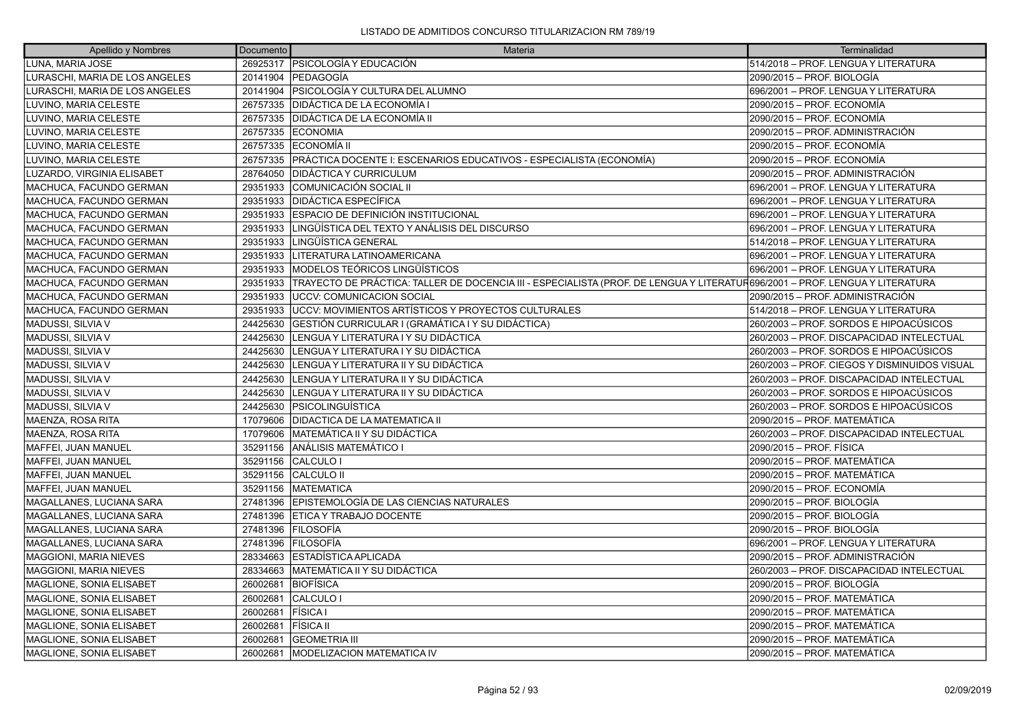| Apellido y Nombres             | Documento | Materia                                                                                                                      | Terminalidad                                 |
|--------------------------------|-----------|------------------------------------------------------------------------------------------------------------------------------|----------------------------------------------|
| LUNA, MARIA JOSE               | 26925317  | IPSICOLOGÍA Y EDUCACIÓN                                                                                                      | 514/2018 - PROF. LENGUA Y LITERATURA         |
| LURASCHI, MARIA DE LOS ANGELES | 20141904  | <b>PEDAGOGÍA</b>                                                                                                             | 2090/2015 – PROF. BIOLOGÍA                   |
| LURASCHI, MARIA DE LOS ANGELES |           | 20141904   PSICOLOGÍA Y CULTURA DEL ALUMNO                                                                                   | 696/2001 - PROF. LENGUA Y LITERATURA         |
| LUVINO, MARIA CELESTE          | 26757335  | DIDÁCTICA DE LA ECONOMÍA I                                                                                                   | 2090/2015 – PROF. ECONOMÍA                   |
| LUVINO, MARIA CELESTE          | 26757335  | DIDÁCTICA DE LA ECONOMÍA II                                                                                                  | 2090/2015 – PROF. ECONOMÍA                   |
| LUVINO, MARIA CELESTE          | 26757335  | <b>IECONOMIA</b>                                                                                                             | 2090/2015 - PROF. ADMINISTRACIÓN             |
| LUVINO, MARIA CELESTE          | 26757335  | ECONOMÍA II                                                                                                                  | 2090/2015 – PROF. ECONOMÍA                   |
| LUVINO, MARIA CELESTE          | 26757335  | PRÁCTICA DOCENTE I: ESCENARIOS EDUCATIVOS - ESPECIALISTA (ECONOMÍA)                                                          | 2090/2015 – PROF. ECONOMÍA                   |
| LUZARDO, VIRGINIA ELISABET     | 28764050  | DIDÁCTICA Y CURRICULUM                                                                                                       | 2090/2015 – PROF. ADMINISTRACIÓN             |
| MACHUCA, FACUNDO GERMAN        | 29351933  | COMUNICACIÓN SOCIAL II                                                                                                       | 696/2001 – PROF. LENGUA Y LITERATURA         |
| MACHUCA, FACUNDO GERMAN        | 29351933  | <b>DIDÁCTICA ESPECÍFICA</b>                                                                                                  | 696/2001 - PROF. LENGUA Y LITERATURA         |
| MACHUCA, FACUNDO GERMAN        | 29351933  | ESPACIO DE DEFINICIÓN INSTITUCIONAL                                                                                          | 696/2001 - PROF. LENGUA Y LITERATURA         |
| MACHUCA, FACUNDO GERMAN        | 29351933  | LINGÜÍSTICA DEL TEXTO Y ANÁLISIS DEL DISCURSO                                                                                | 696/2001 - PROF. LENGUA Y LITERATURA         |
| MACHUCA, FACUNDO GERMAN        | 29351933  | LINGÜÍSTICA GENERAL                                                                                                          | 514/2018 - PROF. LENGUA Y LITERATURA         |
| MACHUCA, FACUNDO GERMAN        | 29351933  | LITERATURA LATINOAMERICANA                                                                                                   | 696/2001 - PROF. LENGUA Y LITERATURA         |
| MACHUCA, FACUNDO GERMAN        | 29351933  | MODELOS TEÓRICOS LINGÜÍSTICOS                                                                                                | 696/2001 - PROF. LENGUA Y LITERATURA         |
| MACHUCA, FACUNDO GERMAN        | 29351933  | TRAYECTO DE PRÁCTICA: TALLER DE DOCENCIA III - ESPECIALISTA (PROF. DE LENGUA Y LITERATUR696/2001 – PROF. LENGUA Y LITERATURA |                                              |
| MACHUCA, FACUNDO GERMAN        | 29351933  | IUCCV: COMUNICACION SOCIAL                                                                                                   | 2090/2015 – PROF. ADMINISTRACIÓN             |
| MACHUCA, FACUNDO GERMAN        | 29351933  | UCCV: MOVIMIENTOS ARTÍSTICOS Y PROYECTOS CULTURALES                                                                          | 514/2018 - PROF. LENGUA Y LITERATURA         |
| MADUSSI, SILVIA V              | 24425630  | GESTIÓN CURRICULAR I (GRAMÁTICA I Y SU DIDÁCTICA)                                                                            | 260/2003 – PROF. SORDOS E HIPOACÚSICOS       |
| MADUSSI, SILVIA V              | 24425630  | LENGUA Y LITERATURA I Y SU DIDÁCTICA                                                                                         | 260/2003 - PROF. DISCAPACIDAD INTELECTUAL    |
| MADUSSI, SILVIA V              | 24425630  | LENGUA Y LITERATURA I Y SU DIDÁCTICA                                                                                         | 260/2003 – PROF. SORDOS E HIPOACÚSICOS       |
| MADUSSI, SILVIA V              | 24425630  | LENGUA Y LITERATURA II Y SU DIDÁCTICA                                                                                        | 260/2003 – PROF. CIEGOS Y DISMINUIDOS VISUAL |
| MADUSSI, SILVIA V              | 24425630  | LENGUA Y LITERATURA II Y SU DIDÁCTICA                                                                                        | 260/2003 - PROF. DISCAPACIDAD INTELECTUAL    |
| MADUSSI, SILVIA V              | 24425630  | LENGUA Y LITERATURA II Y SU DIDÁCTICA                                                                                        | 260/2003 – PROF. SORDOS E HIPOACÚSICOS       |
| MADUSSI, SILVIA V              | 24425630  | PSICOLINGUÍSTICA                                                                                                             | 260/2003 – PROF. SORDOS E HIPOACÚSICOS       |
| MAENZA, ROSA RITA              | 17079606  | <b>DIDACTICA DE LA MATEMATICA II</b>                                                                                         | 2090/2015 - PROF. MATEMÁTICA                 |
| MAENZA, ROSA RITA              | 17079606  | MATEMÁTICA II Y SU DIDÁCTICA                                                                                                 | 260/2003 - PROF. DISCAPACIDAD INTELECTUAL    |
| MAFFEI, JUAN MANUEL            | 35291156  | <b>ANÁLISIS MATEMÁTICO I</b>                                                                                                 | 2090/2015 – PROF. FÍSICA                     |
| MAFFEI, JUAN MANUEL            | 35291156  | ICALCULO I                                                                                                                   | 2090/2015 - PROF. MATEMÁTICA                 |
| MAFFEI, JUAN MANUEL            | 35291156  | <b>CALCULO II</b>                                                                                                            | 2090/2015 - PROF. MATEMÁTICA                 |
| MAFFEI, JUAN MANUEL            | 35291156  | <b>IMATEMATICA</b>                                                                                                           | 2090/2015 – PROF. ECONOMÍA                   |
| MAGALLANES, LUCIANA SARA       | 27481396  | EPISTEMOLOGÍA DE LAS CIENCIAS NATURALES                                                                                      | 2090/2015 – PROF. BIOLOGÍA                   |
| MAGALLANES, LUCIANA SARA       | 27481396  | ETICA Y TRABAJO DOCENTE                                                                                                      | 2090/2015 – PROF. BIOLOGÍA                   |
| MAGALLANES, LUCIANA SARA       | 27481396  | <b>FILOSOFÍA</b>                                                                                                             | 2090/2015 – PROF. BIOLOGÍA                   |
| MAGALLANES, LUCIANA SARA       | 27481396  | FILOSOFÍA                                                                                                                    | 696/2001 - PROF. LENGUA Y LITERATURA         |
| <b>MAGGIONI, MARIA NIEVES</b>  | 28334663  | ESTADÍSTICA APLICADA                                                                                                         | 2090/2015 – PROF. ADMINISTRACIÓN             |
| MAGGIONI, MARIA NIEVES         | 28334663  | MATEMÁTICA II Y SU DIDÁCTICA                                                                                                 | 260/2003 - PROF. DISCAPACIDAD INTELECTUAL    |
| MAGLIONE, SONIA ELISABET       | 26002681  | BIOFÍSICA                                                                                                                    | 2090/2015 – PROF. BIOLOGÍA                   |
| MAGLIONE, SONIA ELISABET       | 26002681  | CALCULO I                                                                                                                    | 2090/2015 – PROF. MATEMÁTICA                 |
| MAGLIONE, SONIA ELISABET       | 26002681  | FÍSICA I                                                                                                                     | 2090/2015 – PROF. MATEMÁTICA                 |
| MAGLIONE, SONIA ELISABET       | 26002681  | <b>FÍSICA II</b>                                                                                                             | 2090/2015 – PROF. MATEMÁTICA                 |
| MAGLIONE, SONIA ELISABET       | 26002681  | <b>GEOMETRIA III</b>                                                                                                         | 2090/2015 – PROF. MATEMÁTICA                 |
| MAGLIONE, SONIA ELISABET       | 26002681  | IMODELIZACION MATEMATICA IV                                                                                                  | 2090/2015 - PROF. MATEMÁTICA                 |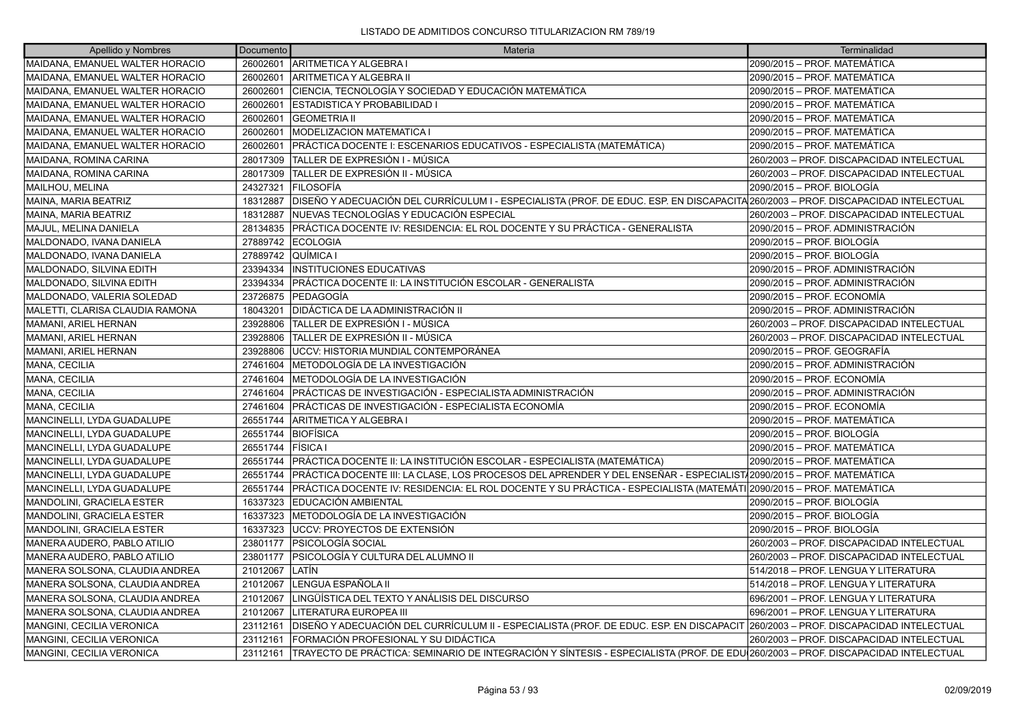| Apellido y Nombres              | Documento | Materia                                                                                                                                  | Terminalidad                              |
|---------------------------------|-----------|------------------------------------------------------------------------------------------------------------------------------------------|-------------------------------------------|
| MAIDANA, EMANUEL WALTER HORACIO | 26002601  | ARITMETICA Y ALGEBRA I                                                                                                                   | 2090/2015 – PROF. MATEMÁTICA              |
| MAIDANA, EMANUEL WALTER HORACIO | 26002601  | ARITMETICA Y ALGEBRA II                                                                                                                  | 2090/2015 – PROF. MATEMÁTICA              |
| MAIDANA, EMANUEL WALTER HORACIO | 26002601  | CIENCIA, TECNOLOGÍA Y SOCIEDAD Y EDUCACIÓN MATEMÁTICA                                                                                    | 2090/2015 - PROF. MATEMÁTICA              |
| MAIDANA, EMANUEL WALTER HORACIO | 26002601  | <b>ESTADISTICA Y PROBABILIDAD I</b>                                                                                                      | 2090/2015 - PROF. MATEMÁTICA              |
| MAIDANA, EMANUEL WALTER HORACIO | 26002601  | <b>GEOMETRIA II</b>                                                                                                                      | 2090/2015 – PROF. MATEMÁTICA              |
| MAIDANA, EMANUEL WALTER HORACIO | 26002601  | <b>MODELIZACION MATEMATICA I</b>                                                                                                         | 2090/2015 - PROF. MATEMÁTICA              |
| MAIDANA, EMANUEL WALTER HORACIO | 26002601  | PRÁCTICA DOCENTE I: ESCENARIOS EDUCATIVOS - ESPECIALISTA (MATEMÁTICA)                                                                    | 2090/2015 – PROF. MATEMÁTICA              |
| MAIDANA, ROMINA CARINA          | 28017309  | TALLER DE EXPRESIÓN I - MÚSICA                                                                                                           | 260/2003 - PROF. DISCAPACIDAD INTELECTUAL |
| MAIDANA, ROMINA CARINA          | 28017309  | TALLER DE EXPRESIÓN II - MÚSICA                                                                                                          | 260/2003 - PROF. DISCAPACIDAD INTELECTUAL |
| MAILHOU, MELINA                 | 24327321  | <b>IFILOSOFÍA</b>                                                                                                                        | 2090/2015 – PROF. BIOLOGÍA                |
| MAINA, MARIA BEATRIZ            | 18312887  | DISEÑO Y ADECUACIÓN DEL CURRÍCULUM I - ESPECIALISTA (PROF. DE EDUC. ESP. EN DISCAPACITA 260/2003 – PROF. DISCAPACIDAD INTELECTUAL        |                                           |
| MAINA, MARIA BEATRIZ            | 18312887  | NUEVAS TECNOLOGÍAS Y EDUCACIÓN ESPECIAL                                                                                                  | 260/2003 - PROF. DISCAPACIDAD INTELECTUAL |
| MAJUL, MELINA DANIELA           | 28134835  | PRÁCTICA DOCENTE IV: RESIDENCIA: EL ROL DOCENTE Y SU PRÁCTICA - GENERALISTA                                                              | 2090/2015 – PROF. ADMINISTRACIÓN          |
| MALDONADO, IVANA DANIELA        | 27889742  | <b>ECOLOGIA</b>                                                                                                                          | 2090/2015 – PROF. BIOLOGÍA                |
| MALDONADO, IVANA DANIELA        | 27889742  | QUÍMICA I                                                                                                                                | 2090/2015 – PROF. BIOLOGÍA                |
| MALDONADO, SILVINA EDITH        | 23394334  | <b>INSTITUCIONES EDUCATIVAS</b>                                                                                                          | 2090/2015 – PROF. ADMINISTRACIÓN          |
| MALDONADO, SILVINA EDITH        | 23394334  | PRÁCTICA DOCENTE II: LA INSTITUCIÓN ESCOLAR - GENERALISTA                                                                                | 2090/2015 – PROF. ADMINISTRACIÓN          |
| MALDONADO, VALERIA SOLEDAD      | 23726875  | lPEDAGOGÍA                                                                                                                               | 2090/2015 - PROF. ECONOMÍA                |
| MALETTI, CLARISA CLAUDIA RAMONA | 18043201  | DIDÁCTICA DE LA ADMINISTRACIÓN II                                                                                                        | 2090/2015 – PROF. ADMINISTRACIÓN          |
| MAMANI, ARIEL HERNAN            | 23928806  | TALLER DE EXPRESIÓN I - MÚSICA                                                                                                           | 260/2003 - PROF. DISCAPACIDAD INTELECTUAL |
| MAMANI, ARIEL HERNAN            | 23928806  | ÍTALLER DE EXPRESIÓN II - MÚSICA                                                                                                         | 260/2003 - PROF. DISCAPACIDAD INTELECTUAL |
| MAMANI, ARIEL HERNAN            | 23928806  | UCCV: HISTORIA MUNDIAL CONTEMPORÁNEA                                                                                                     | 2090/2015 - PROF. GEOGRAFÍA               |
| MANA, CECILIA                   | 27461604  | METODOLOGÍA DE LA INVESTIGACIÓN                                                                                                          | 2090/2015 – PROF. ADMINISTRACIÓN          |
| MANA, CECILIA                   | 27461604  | METODOLOGÍA DE LA INVESTIGACIÓN                                                                                                          | 2090/2015 – PROF. ECONOMÍA                |
| MANA, CECILIA                   | 27461604  | PRÁCTICAS DE INVESTIGACIÓN - ESPECIALISTA ADMINISTRACIÓN                                                                                 | 2090/2015 – PROF. ADMINISTRACIÓN          |
| MANA, CECILIA                   | 27461604  | PRÁCTICAS DE INVESTIGACIÓN - ESPECIALISTA ECONOMÍA                                                                                       | 2090/2015 – PROF. ECONOMÍA                |
| MANCINELLI, LYDA GUADALUPE      | 26551744  | ARITMETICA Y ALGEBRA I                                                                                                                   | 2090/2015 - PROF. MATEMÁTICA              |
| MANCINELLI, LYDA GUADALUPE      | 26551744  | BIOFÍSICA                                                                                                                                | 2090/2015 – PROF. BIOLOGÍA                |
| MANCINELLI, LYDA GUADALUPE      | 26551744  | FÍSICA I                                                                                                                                 | 2090/2015 – PROF. MATEMÁTICA              |
| MANCINELLI, LYDA GUADALUPE      | 26551744  | PRÁCTICA DOCENTE II: LA INSTITUCIÓN ESCOLAR - ESPECIALISTA (MATEMÁTICA)                                                                  | 2090/2015 - PROF. MATEMÁTICA              |
| MANCINELLI, LYDA GUADALUPE      | 26551744  | PRÁCTICA DOCENTE III: LA CLASE, LOS PROCESOS DEL APRENDER Y DEL ENSEÑAR - ESPECIALIST/2090/2015 - PROF. MATEMÁTICA                       |                                           |
| MANCINELLI, LYDA GUADALUPE      | 26551744  | PRÁCTICA DOCENTE IV: RESIDENCIA: EL ROL DOCENTE Y SU PRÁCTICA - ESPECIALISTA (MATEMÁTI 2090/2015 – PROF. MATEMÁTICA                      |                                           |
| MANDOLINI, GRACIELA ESTER       | 16337323  | EDUCACIÓN AMBIENTAL                                                                                                                      | 2090/2015 - PROF. BIOLOGÍA                |
| MANDOLINI, GRACIELA ESTER       | 16337323  | METODOLOGÍA DE LA INVESTIGACIÓN                                                                                                          | 2090/2015 – PROF. BIOLOGÍA                |
| MANDOLINI, GRACIELA ESTER       | 16337323  | UCCV: PROYECTOS DE EXTENSIÓN                                                                                                             | 2090/2015 – PROF. BIOLOGÍA                |
| MANERA AUDERO, PABLO ATILIO     | 23801177  | PSICOLOGÍA SOCIAL                                                                                                                        | 260/2003 - PROF. DISCAPACIDAD INTELECTUAL |
| MANERA AUDERO, PABLO ATILIO     | 23801177  | PSICOLOGÍA Y CULTURA DEL ALUMNO II                                                                                                       | 260/2003 - PROF. DISCAPACIDAD INTELECTUAL |
| MANERA SOLSONA, CLAUDIA ANDREA  | 21012067  | LATÍN                                                                                                                                    | 514/2018 - PROF. LENGUA Y LITERATURA      |
| MANERA SOLSONA, CLAUDIA ANDREA  | 21012067  | LENGUA ESPAÑOLA II                                                                                                                       | 514/2018 - PROF. LENGUA Y LITERATURA      |
| MANERA SOLSONA, CLAUDIA ANDREA  | 21012067  | LINGÜÍSTICA DEL TEXTO Y ANÁLISIS DEL DISCURSO                                                                                            | 696/2001 - PROF. LENGUA Y LITERATURA      |
| MANERA SOLSONA, CLAUDIA ANDREA  | 21012067  | LITERATURA EUROPEA III                                                                                                                   | 696/2001 - PROF. LENGUA Y LITERATURA      |
| MANGINI, CECILIA VERONICA       | 23112161  | DISEÑO Y ADECUACIÓN DEL CURRÍCULUM II - ESPECIALISTA (PROF. DE EDUC. ESP. EN DISCAPACIT  260/2003 – PROF. DISCAPACIDAD INTELECTUAL       |                                           |
| MANGINI, CECILIA VERONICA       | 23112161  | FORMACIÓN PROFESIONAL Y SU DIDÁCTICA                                                                                                     | 260/2003 - PROF. DISCAPACIDAD INTELECTUAL |
| MANGINI, CECILIA VERONICA       | 23112161  | TRAYECTO DE PRÁCTICA: SEMINARIO DE INTEGRACIÓN Y SÍNTESIS - ESPECIALISTA (PROF. DE EDU $\vert$ 260/2003 – PROF. DISCAPACIDAD INTELECTUAL |                                           |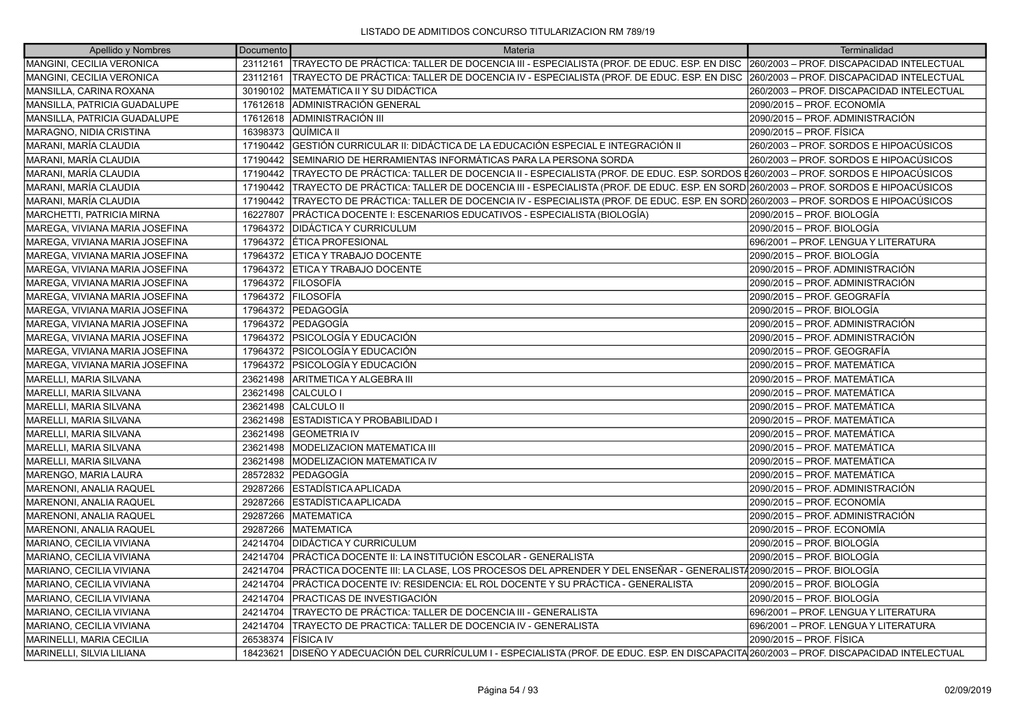| Apellido y Nombres             | Documento | Materia                                                                                                                                       | Terminalidad                              |
|--------------------------------|-----------|-----------------------------------------------------------------------------------------------------------------------------------------------|-------------------------------------------|
| MANGINI, CECILIA VERONICA      |           | 23112161  TRAYECTO DE PRÁCTICA: TALLER DE DOCENCIA III - ESPECIALISTA (PROF. DE EDUC. ESP. EN DISC  260/2003 – PROF. DISCAPACIDAD INTELECTUAL |                                           |
| MANGINI, CECILIA VERONICA      | 23112161  | TRAYECTO DE PRÁCTICA: TALLER DE DOCENCIA IV - ESPECIALISTA (PROF. DE EDUC. ESP. EN DISC                                                       | 260/2003 - PROF. DISCAPACIDAD INTELECTUAL |
| MANSILLA, CARINA ROXANA        | 30190102  | IMATEMÁTICA II Y SU DIDÁCTICA                                                                                                                 | 260/2003 - PROF. DISCAPACIDAD INTELECTUAL |
| MANSILLA, PATRICIA GUADALUPE   | 17612618  | ADMINISTRACIÓN GENERAL                                                                                                                        | 2090/2015 – PROF. ECONOMÍA                |
| MANSILLA, PATRICIA GUADALUPE   | 17612618  | ADMINISTRACIÓN III                                                                                                                            | 2090/2015 – PROF. ADMINISTRACIÓN          |
| MARAGNO, NIDIA CRISTINA        | 16398373  | QUÍMICA II                                                                                                                                    | 2090/2015 - PROF. FÍSICA                  |
| MARANI, MARÍA CLAUDIA          | 17190442  | GESTIÓN CURRICULAR II: DIDÁCTICA DE LA EDUCACIÓN ESPECIAL E INTEGRACIÓN II                                                                    | 260/2003 – PROF. SORDOS E HIPOACÚSICOS    |
| MARANI, MARÍA CLAUDIA          | 17190442  | ISEMINARIO DE HERRAMIENTAS INFORMÁTICAS PARA LA PERSONA SORDA                                                                                 | 260/2003 - PROF. SORDOS E HIPOACÚSICOS    |
| MARANI, MARÍA CLAUDIA          | 17190442  | TRAYECTO DE PRÁCTICA: TALLER DE DOCENCIA II - ESPECIALISTA (PROF. DE EDUC. ESP. SORDOS #260/2003 – PROF. SORDOS E HIPOACÚSICOS                |                                           |
| MARANI, MARÍA CLAUDIA          |           | 17190442 TRAYECTO DE PRÁCTICA: TALLER DE DOCENCIA III - ESPECIALISTA (PROF. DE EDUC. ESP. EN SORD 260/2003 – PROF. SORDOS E HIPOACÚSICOS      |                                           |
| MARANI, MARÍA CLAUDIA          |           | 17190442 TRAYECTO DE PRÁCTICA: TALLER DE DOCENCIA IV - ESPECIALISTA (PROF. DE EDUC. ESP. EN SORD 260/2003 - PROF. SORDOS E HIPOACÚSICOS       |                                           |
| MARCHETTI, PATRICIA MIRNA      | 16227807  | PRÁCTICA DOCENTE I: ESCENARIOS EDUCATIVOS - ESPECIALISTA (BIOLOGÍA)                                                                           | 2090/2015 - PROF. BIOLOGÍA                |
| MAREGA, VIVIANA MARIA JOSEFINA | 17964372  | <b>IDIDÁCTICA Y CURRICULUM</b>                                                                                                                | 2090/2015 - PROF. BIOLOGÍA                |
| MAREGA, VIVIANA MARIA JOSEFINA |           | 17964372 ETICA PROFESIONAL                                                                                                                    | 696/2001 - PROF. LENGUA Y LITERATURA      |
| MAREGA, VIVIANA MARIA JOSEFINA |           | 17964372 ETICA Y TRABAJO DOCENTE                                                                                                              | 2090/2015 - PROF. BIOLOGÍA                |
| MAREGA, VIVIANA MARIA JOSEFINA |           | 17964372 ETICA Y TRABAJO DOCENTE                                                                                                              | 2090/2015 - PROF. ADMINISTRACIÓN          |
| MAREGA, VIVIANA MARIA JOSEFINA |           | 17964372 FILOSOFÍA                                                                                                                            | 2090/2015 - PROF. ADMINISTRACIÓN          |
| MAREGA, VIVIANA MARIA JOSEFINA |           | 17964372 FILOSOFÍA                                                                                                                            | 2090/2015 - PROF. GEOGRAFÍA               |
| MAREGA, VIVIANA MARIA JOSEFINA |           | 17964372 PEDAGOGÍA                                                                                                                            | 2090/2015 - PROF. BIOLOGÍA                |
| MAREGA, VIVIANA MARIA JOSEFINA |           | 17964372 PEDAGOGÍA                                                                                                                            | 2090/2015 - PROF. ADMINISTRACIÓN          |
| MAREGA, VIVIANA MARIA JOSEFINA |           | 17964372   PSICOLOGÍA Y EDUCACIÓN                                                                                                             | 2090/2015 - PROF. ADMINISTRACIÓN          |
| MAREGA, VIVIANA MARIA JOSEFINA |           | 17964372 PSICOLOGÍA Y EDUCACIÓN                                                                                                               | 2090/2015 – PROF. GEOGRAFÍA               |
| MAREGA, VIVIANA MARIA JOSEFINA | 17964372  | <b>PSICOLOGÍA Y EDUCACIÓN</b>                                                                                                                 | 2090/2015 - PROF. MATEMÁTICA              |
| MARELLI, MARIA SILVANA         | 23621498  | ARITMETICA Y ALGEBRA III                                                                                                                      | 2090/2015 - PROF. MATEMÁTICA              |
| MARELLI, MARIA SILVANA         | 23621498  | CALCULO I                                                                                                                                     | 2090/2015 - PROF. MATEMÁTICA              |
| MARELLI, MARIA SILVANA         | 23621498  | <b>CALCULO II</b>                                                                                                                             | 2090/2015 - PROF. MATEMÁTICA              |
| MARELLI, MARIA SILVANA         | 23621498  | <b>ESTADISTICA Y PROBABILIDAD</b>                                                                                                             | 2090/2015 - PROF. MATEMÁTICA              |
| MARELLI, MARIA SILVANA         | 23621498  | <b>GEOMETRIA IV</b>                                                                                                                           | 2090/2015 - PROF. MATEMÁTICA              |
| MARELLI, MARIA SILVANA         | 23621498  | MODELIZACION MATEMATICA III                                                                                                                   | 2090/2015 - PROF. MATEMÁTICA              |
| <b>MARELLI, MARIA SILVANA</b>  | 23621498  | <b>MODELIZACION MATEMATICA IV</b>                                                                                                             | 2090/2015 - PROF. MATEMÁTICA              |
| MARENGO, MARIA LAURA           | 28572832  | <b>PEDAGOGÍA</b>                                                                                                                              | 2090/2015 - PROF. MATEMÁTICA              |
| MARENONI, ANALIA RAQUEL        | 29287266  | ESTADÍSTICA APLICADA                                                                                                                          | 2090/2015 - PROF. ADMINISTRACIÓN          |
| MARENONI, ANALIA RAQUEL        | 29287266  | ESTADÍSTICA APLICADA                                                                                                                          | 2090/2015 - PROF. ECONOMÍA                |
| MARENONI, ANALIA RAQUEL        | 29287266  | <b>MATEMATICA</b>                                                                                                                             | 2090/2015 - PROF. ADMINISTRACIÓN          |
| MARENONI, ANALIA RAQUEL        | 29287266  | MATEMATICA                                                                                                                                    | 2090/2015 – PROF. ECONOMÍA                |
| MARIANO, CECILIA VIVIANA       | 24214704  | DIDÁCTICA Y CURRICULUM                                                                                                                        | 2090/2015 – PROF. BIOLOGÍA                |
| MARIANO, CECILIA VIVIANA       | 24214704  | PRÁCTICA DOCENTE II: LA INSTITUCIÓN ESCOLAR - GENERALISTA                                                                                     | 2090/2015 - PROF. BIOLOGÍA                |
| MARIANO, CECILIA VIVIANA       | 24214704  | PRÁCTICA DOCENTE III: LA CLASE, LOS PROCESOS DEL APRENDER Y DEL ENSEÑAR - GENERALIST/2090/2015 – PROF. BIOLOGÍA                               |                                           |
| MARIANO, CECILIA VIVIANA       | 24214704  | PRÁCTICA DOCENTE IV: RESIDENCIA: EL ROL DOCENTE Y SU PRÁCTICA - GENERALISTA                                                                   | 2090/2015 – PROF. BIOLOGÍA                |
| MARIANO, CECILIA VIVIANA       | 24214704  | PRACTICAS DE INVESTIGACIÓN                                                                                                                    | 2090/2015 - PROF. BIOLOGÍA                |
| MARIANO, CECILIA VIVIANA       | 24214704  | TRAYECTO DE PRÁCTICA: TALLER DE DOCENCIA III - GENERALISTA                                                                                    | 696/2001 - PROF. LENGUA Y LITERATURA      |
| MARIANO, CECILIA VIVIANA       | 24214704  | TRAYECTO DE PRACTICA: TALLER DE DOCENCIA IV - GENERALISTA                                                                                     | 696/2001 - PROF. LENGUA Y LITERATURA      |
| MARINELLI, MARIA CECILIA       | 26538374  | <b>FÍSICA IV</b>                                                                                                                              | 2090/2015 - PROF. FÍSICA                  |
| MARINELLI, SILVIA LILIANA      | 18423621  | DISEÑO Y ADECUACIÓN DEL CURRÍCULUM I - ESPECIALISTA (PROF. DE EDUC. ESP. EN DISCAPACITA 260/2003 – PROF. DISCAPACIDAD INTELECTUAL             |                                           |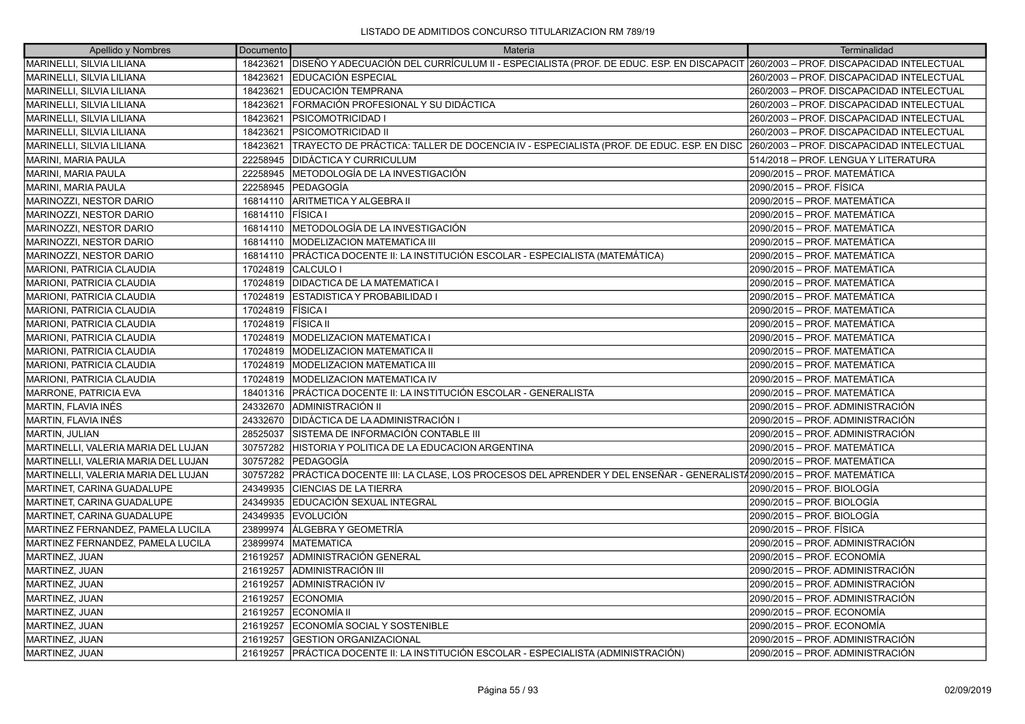| Apellido y Nombres                  | Documento          | Materia                                                                                                                           | Terminalidad                              |
|-------------------------------------|--------------------|-----------------------------------------------------------------------------------------------------------------------------------|-------------------------------------------|
| MARINELLI, SILVIA LILIANA           | 18423621           | DISEÑO Y ADECUACIÓN DEL CURRÍCULUM II - ESPECIALISTA (PROF. DE EDUC. ESP. EN DISCAPACIT 260/2003 - PROF. DISCAPACIDAD INTELECTUAL |                                           |
| MARINELLI, SILVIA LILIANA           | 18423621           | <b>IEDUCACIÓN ESPECIAL</b>                                                                                                        | 260/2003 - PROF. DISCAPACIDAD INTELECTUAL |
| MARINELLI, SILVIA LILIANA           | 18423621           | <b>IEDUCACIÓN TEMPRANA</b>                                                                                                        | 260/2003 - PROF. DISCAPACIDAD INTELECTUAL |
| MARINELLI, SILVIA LILIANA           | 18423621           | FORMACIÓN PROFESIONAL Y SU DIDÁCTICA                                                                                              | 260/2003 - PROF. DISCAPACIDAD INTELECTUAL |
| MARINELLI, SILVIA LILIANA           | 18423621           | <b>PSICOMOTRICIDAD I</b>                                                                                                          | 260/2003 - PROF. DISCAPACIDAD INTELECTUAL |
| MARINELLI, SILVIA LILIANA           | 18423621           | IPSICOMOTRICIDAD II                                                                                                               | 260/2003 - PROF. DISCAPACIDAD INTELECTUAL |
| MARINELLI, SILVIA LILIANA           | 18423621           | TRAYECTO DE PRÁCTICA: TALLER DE DOCENCIA IV - ESPECIALISTA (PROF. DE EDUC. ESP. EN DISC                                           | 260/2003 - PROF. DISCAPACIDAD INTELECTUAL |
| <b>MARINI, MARIA PAULA</b>          | 22258945           | <b>DIDÁCTICA Y CURRICULUM</b>                                                                                                     | 514/2018 - PROF. LENGUA Y LITERATURA      |
| MARINI, MARIA PAULA                 | 22258945           | METODOLOGÍA DE LA INVESTIGACIÓN                                                                                                   | 2090/2015 - PROF. MATEMÁTICA              |
| MARINI, MARIA PAULA                 | 22258945           | <b>PEDAGOGÍA</b>                                                                                                                  | 2090/2015 - PROF. FÍSICA                  |
| MARINOZZI, NESTOR DARIO             | 16814110           | ARITMETICA Y ALGEBRA II                                                                                                           | 2090/2015 - PROF. MATEMÁTICA              |
| MARINOZZI, NESTOR DARIO             | 16814110           | <b>FÍSICA I</b>                                                                                                                   | 2090/2015 – PROF. MATEMÁTICA              |
| MARINOZZI, NESTOR DARIO             | 16814110           | METODOLOGÍA DE LA INVESTIGACIÓN                                                                                                   | 2090/2015 - PROF. MATEMÁTICA              |
| MARINOZZI, NESTOR DARIO             | 16814110           | MODELIZACION MATEMATICA III                                                                                                       | 2090/2015 - PROF. MATEMÁTICA              |
| MARINOZZI, NESTOR DARIO             | 16814110           | PRÁCTICA DOCENTE II: LA INSTITUCIÓN ESCOLAR - ESPECIALISTA (MATEMÁTICA)                                                           | 2090/2015 – PROF. MATEMÁTICA              |
| MARIONI, PATRICIA CLAUDIA           | 17024819           | CALCULO I                                                                                                                         | 2090/2015 - PROF. MATEMÁTICA              |
| MARIONI, PATRICIA CLAUDIA           | 17024819           | <b>DIDACTICA DE LA MATEMATICA I</b>                                                                                               | 2090/2015 - PROF. MATEMÁTICA              |
| MARIONI, PATRICIA CLAUDIA           | 17024819           | <b>ESTADISTICA Y PROBABILIDAD I</b>                                                                                               | 2090/2015 – PROF. MATEMÁTICA              |
| MARIONI, PATRICIA CLAUDIA           | 17024819           | <b>FISICA</b> I                                                                                                                   | 2090/2015 – PROF. MATEMÁTICA              |
| MARIONI, PATRICIA CLAUDIA           | 17024819 FÍSICA II |                                                                                                                                   | 2090/2015 - PROF. MATEMÁTICA              |
| MARIONI, PATRICIA CLAUDIA           | 17024819           | MODELIZACION MATEMATICA I                                                                                                         | 2090/2015 - PROF. MATEMÁTICA              |
| MARIONI, PATRICIA CLAUDIA           | 17024819           | <b>MODELIZACION MATEMATICA II</b>                                                                                                 | 2090/2015 - PROF. MATEMÁTICA              |
| MARIONI, PATRICIA CLAUDIA           | 17024819           | MODELIZACION MATEMATICA III                                                                                                       | 2090/2015 - PROF. MATEMÁTICA              |
| MARIONI, PATRICIA CLAUDIA           | 17024819           | <b>MODELIZACION MATEMATICA IV</b>                                                                                                 | 2090/2015 – PROF. MATEMÁTICA              |
| MARRONE, PATRICIA EVA               | 18401316           | IPRÁCTICA DOCENTE II: LA INSTITUCIÓN ESCOLAR - GENERALISTA                                                                        | 2090/2015 - PROF. MATEMÁTICA              |
| MARTIN, FLAVIA INÉS                 | 24332670           | ADMINISTRACIÓN II                                                                                                                 | 2090/2015 - PROF. ADMINISTRACIÓN          |
| MARTIN, FLAVIA INÉS                 | 24332670           | <b>DIDÁCTICA DE LA ADMINISTRACIÓN I</b>                                                                                           | 2090/2015 - PROF. ADMINISTRACIÓN          |
| MARTIN, JULIAN                      | 28525037           | SISTEMA DE INFORMACIÓN CONTABLE III                                                                                               | 2090/2015 – PROF. ADMINISTRACIÓN          |
| MARTINELLI, VALERIA MARIA DEL LUJAN | 30757282           | HISTORIA Y POLITICA DE LA EDUCACION ARGENTINA                                                                                     | 2090/2015 - PROF. MATEMÁTICA              |
| MARTINELLI, VALERIA MARIA DEL LUJAN | 30757282           | PEDAGOGÍA                                                                                                                         | 2090/2015 – PROF. MATEMÁTICA              |
| MARTINELLI, VALERIA MARIA DEL LUJAN | 30757282           | PRÁCTICA DOCENTE III: LA CLASE, LOS PROCESOS DEL APRENDER Y DEL ENSEÑAR - GENERALIST/2090/2015 – PROF. MATEMÁTICA                 |                                           |
| MARTINET, CARINA GUADALUPE          | 24349935           | <b>CIENCIAS DE LA TIERRA</b>                                                                                                      | 2090/2015 - PROF. BIOLOGÍA                |
| MARTINET, CARINA GUADALUPE          | 24349935           | EDUCACIÓN SEXUAL INTEGRAL                                                                                                         | 2090/2015 - PROF. BIOLOGÍA                |
| MARTINET, CARINA GUADALUPE          | 24349935           | <b>EVOLUCIÓN</b>                                                                                                                  | 2090/2015 – PROF. BIOLOGÍA                |
| MARTINEZ FERNANDEZ, PAMELA LUCILA   | 23899974           | ÁLGEBRA Y GEOMETRÍA                                                                                                               | 2090/2015 - PROF. FÍSICA                  |
| MARTINEZ FERNANDEZ, PAMELA LUCILA   | 23899974           | <b>IMATEMATICA</b>                                                                                                                | 2090/2015 – PROF. ADMINISTRACIÓN          |
| MARTINEZ, JUAN                      | 21619257           | ADMINISTRACIÓN GENERAL                                                                                                            | 2090/2015 – PROF. ECONOMÍA                |
| MARTINEZ, JUAN                      | 21619257           | ADMINISTRACIÓN III                                                                                                                | 2090/2015 – PROF. ADMINISTRACIÓN          |
| MARTINEZ, JUAN                      | 21619257           | ADMINISTRACIÓN IV                                                                                                                 | 2090/2015 - PROF. ADMINISTRACIÓN          |
| MARTINEZ, JUAN                      | 21619257           | <b>ECONOMIA</b>                                                                                                                   | 2090/2015 – PROF. ADMINISTRACIÓN          |
| MARTINEZ, JUAN                      | 21619257           | <b>IECONOMÍA II</b>                                                                                                               | 2090/2015 – PROF. ECONOMÍA                |
| MARTINEZ, JUAN                      | 21619257           | ECONOMÍA SOCIAL Y SOSTENIBLE                                                                                                      | 2090/2015 – PROF. ECONOMÍA                |
| MARTINEZ, JUAN                      | 21619257           | <b>IGESTION ORGANIZACIONAL</b>                                                                                                    | 2090/2015 – PROF. ADMINISTRACIÓN          |
| MARTINEZ, JUAN                      | 21619257           | PRÁCTICA DOCENTE II: LA INSTITUCIÓN ESCOLAR - ESPECIALISTA (ADMINISTRACIÓN)                                                       | 2090/2015 – PROF. ADMINISTRACIÓN          |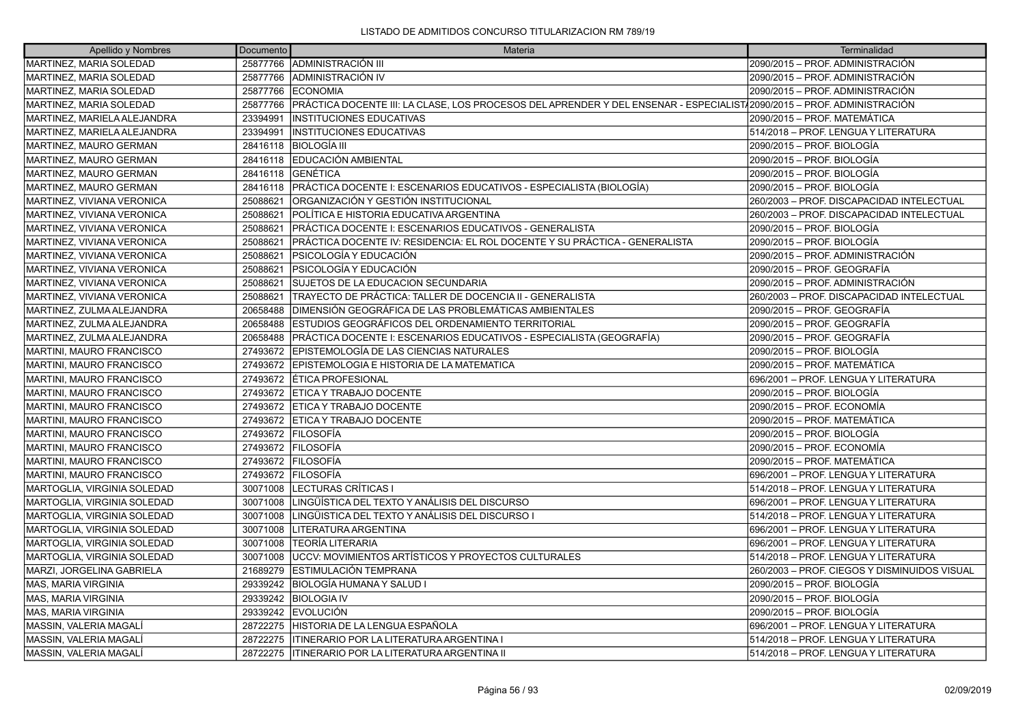| Apellido y Nombres              | Documento | Materia                                                                                                                | Terminalidad                                 |
|---------------------------------|-----------|------------------------------------------------------------------------------------------------------------------------|----------------------------------------------|
| MARTINEZ, MARIA SOLEDAD         | 25877766  | ADMINISTRACIÓN III                                                                                                     | 2090/2015 – PROF. ADMINISTRACIÓN             |
| MARTINEZ, MARIA SOLEDAD         | 25877766  | IADMINISTRACIÓN IV                                                                                                     | 2090/2015 – PROF. ADMINISTRACIÓN             |
| MARTINEZ, MARIA SOLEDAD         | 25877766  | <b>ECONOMIA</b>                                                                                                        | 2090/2015 – PROF. ADMINISTRACIÓN             |
| MARTINEZ, MARIA SOLEDAD         | 25877766  | PRÁCTICA DOCENTE III: LA CLASE, LOS PROCESOS DEL APRENDER Y DEL ENSENAR - ESPECIALIST/2090/2015 – PROF. ADMINISTRACIÓN |                                              |
| MARTINEZ, MARIELA ALEJANDRA     | 23394991  | <b>INSTITUCIONES EDUCATIVAS</b>                                                                                        | 2090/2015 – PROF. MATEMÁTICA                 |
| MARTINEZ, MARIELA ALEJANDRA     | 23394991  | <b>INSTITUCIONES EDUCATIVAS</b>                                                                                        | 514/2018 - PROF. LENGUA Y LITERATURA         |
| MARTINEZ, MAURO GERMAN          | 28416118  | ÍBIOLOGÍA III                                                                                                          | 2090/2015 – PROF. BIOLOGÍA                   |
| MARTINEZ, MAURO GERMAN          | 28416118  | EDUCACIÓN AMBIENTAL                                                                                                    | 2090/2015 – PROF. BIOLOGÍA                   |
| MARTINEZ, MAURO GERMAN          | 28416118  | IGENÉTICA                                                                                                              | 2090/2015 – PROF. BIOLOGÍA                   |
| MARTINEZ, MAURO GERMAN          | 28416118  | PRÁCTICA DOCENTE I: ESCENARIOS EDUCATIVOS - ESPECIALISTA (BIOLOGÍA)                                                    | 2090/2015 – PROF. BIOLOGÍA                   |
| MARTINEZ, VIVIANA VERONICA      | 25088621  | ORGANIZACIÓN Y GESTIÓN INSTITUCIONAL                                                                                   | 260/2003 - PROF. DISCAPACIDAD INTELECTUAL    |
| MARTINEZ, VIVIANA VERONICA      | 25088621  | POLÍTICA E HISTORIA EDUCATIVA ARGENTINA                                                                                | 260/2003 – PROF. DISCAPACIDAD INTELECTUAL    |
| MARTINEZ, VIVIANA VERONICA      | 25088621  | PRÁCTICA DOCENTE I: ESCENARIOS EDUCATIVOS - GENERALISTA                                                                | 2090/2015 – PROF. BIOLOGÍA                   |
| MARTINEZ, VIVIANA VERONICA      | 25088621  | PRÁCTICA DOCENTE IV: RESIDENCIA: EL ROL DOCENTE Y SU PRÁCTICA - GENERALISTA                                            | 2090/2015 – PROF. BIOLOGÍA                   |
| MARTINEZ, VIVIANA VERONICA      | 25088621  | PSICOLOGÍA Y EDUCACIÓN                                                                                                 | 2090/2015 – PROF. ADMINISTRACIÓN             |
| MARTINEZ, VIVIANA VERONICA      | 25088621  | PSICOLOGÍA Y EDUCACIÓN                                                                                                 | 2090/2015 – PROF. GEOGRAFÍA                  |
| MARTINEZ, VIVIANA VERONICA      | 25088621  | SUJETOS DE LA EDUCACION SECUNDARIA                                                                                     | 2090/2015 – PROF. ADMINISTRACIÓN             |
| MARTINEZ, VIVIANA VERONICA      | 25088621  | TRAYECTO DE PRÁCTICA: TALLER DE DOCENCIA II - GENERALISTA                                                              | 260/2003 - PROF. DISCAPACIDAD INTELECTUAL    |
| MARTINEZ, ZULMA ALEJANDRA       | 20658488  | DIMENSIÓN GEOGRÁFICA DE LAS PROBLEMÁTICAS AMBIENTALES                                                                  | 2090/2015 – PROF. GEOGRAFÍA                  |
| MARTINEZ, ZULMA ALEJANDRA       | 20658488  | ESTUDIOS GEOGRÁFICOS DEL ORDENAMIENTO TERRITORIAL                                                                      | 2090/2015 – PROF. GEOGRAFÍA                  |
| MARTINEZ, ZULMA ALEJANDRA       | 20658488  | PRÁCTICA DOCENTE I: ESCENARIOS EDUCATIVOS - ESPECIALISTA (GEOGRAFÍA)                                                   | 2090/2015 – PROF. GEOGRAFÍA                  |
| MARTINI, MAURO FRANCISCO        | 27493672  | EPISTEMOLOGÍA DE LAS CIENCIAS NATURALES                                                                                | 2090/2015 – PROF. BIOLOGÍA                   |
| MARTINI, MAURO FRANCISCO        | 27493672  | EPISTEMOLOGIA E HISTORIA DE LA MATEMATICA                                                                              | 2090/2015 – PROF. MATEMÁTICA                 |
| MARTINI, MAURO FRANCISCO        | 27493672  | <b>ÍÉTICA PROFESIONAL</b>                                                                                              | 696/2001 - PROF. LENGUA Y LITERATURA         |
| MARTINI, MAURO FRANCISCO        | 27493672  | ETICA Y TRABAJO DOCENTE                                                                                                | 2090/2015 – PROF. BIOLOGÍA                   |
| <b>MARTINI, MAURO FRANCISCO</b> |           | 27493672 ETICA Y TRABAJO DOCENTE                                                                                       | 2090/2015 – PROF. ECONOMÍA                   |
| MARTINI, MAURO FRANCISCO        | 27493672  | ETICA Y TRABAJO DOCENTE                                                                                                | 2090/2015 - PROF. MATEMÁTICA                 |
| MARTINI, MAURO FRANCISCO        | 27493672  | <b>FILOSOFÍA</b>                                                                                                       | 2090/2015 – PROF. BIOLOGÍA                   |
| MARTINI, MAURO FRANCISCO        |           | 27493672 FILOSOFÍA                                                                                                     | 2090/2015 – PROF. ECONOMÍA                   |
| MARTINI, MAURO FRANCISCO        | 27493672  | <b>FILOSOFÍA</b>                                                                                                       | 2090/2015 - PROF. MATEMÁTICA                 |
| MARTINI, MAURO FRANCISCO        | 27493672  | <b>IFILOSOFÍA</b>                                                                                                      | 696/2001 – PROF. LENGUA Y LITERATURA         |
| MARTOGLIA, VIRGINIA SOLEDAD     | 30071008  | LECTURAS CRÍTICAS I                                                                                                    | 514/2018 - PROF. LENGUA Y LITERATURA         |
| MARTOGLIA, VIRGINIA SOLEDAD     | 30071008  | LINGÜÍSTICA DEL TEXTO Y ANÁLISIS DEL DISCURSO                                                                          | 696/2001 - PROF. LENGUA Y LITERATURA         |
| MARTOGLIA, VIRGINIA SOLEDAD     | 30071008  | LINGÜISTICA DEL TEXTO Y ANÁLISIS DEL DISCURSO I                                                                        | 514/2018 – PROF. LENGUA Y LITERATURA         |
| MARTOGLIA, VIRGINIA SOLEDAD     | 30071008  | LITERATURA ARGENTINA                                                                                                   | 696/2001 - PROF. LENGUA Y LITERATURA         |
| MARTOGLIA, VIRGINIA SOLEDAD     | 30071008  | TEORÍA LITERARIA                                                                                                       | 696/2001 - PROF. LENGUA Y LITERATURA         |
| MARTOGLIA, VIRGINIA SOLEDAD     | 30071008  | UCCV: MOVIMIENTOS ARTÍSTICOS Y PROYECTOS CULTURALES                                                                    | 514/2018 - PROF. LENGUA Y LITERATURA         |
| MARZI, JORGELINA GABRIELA       | 21689279  | ESTIMULACIÓN TEMPRANA                                                                                                  | 260/2003 - PROF. CIEGOS Y DISMINUIDOS VISUAL |
| <b>MAS, MARIA VIRGINIA</b>      | 29339242  | BIOLOGÍA HUMANA Y SALUD I                                                                                              | 2090/2015 – PROF. BIOLOGÍA                   |
| MAS, MARIA VIRGINIA             | 29339242  | <b>BIOLOGIA IV</b>                                                                                                     | 2090/2015 – PROF. BIOLOGÍA                   |
| <b>MAS, MARIA VIRGINIA</b>      | 29339242  | <b>EVOLUCIÓN</b>                                                                                                       | 2090/2015 – PROF. BIOLOGÍA                   |
| <b>MASSIN, VALERIA MAGALÍ</b>   | 28722275  | HISTORIA DE LA LENGUA ESPAÑOLA                                                                                         | 696/2001 - PROF. LENGUA Y LITERATURA         |
| MASSIN, VALERIA MAGALI          | 28722275  | ITINERARIO POR LA LITERATURA ARGENTINA I                                                                               | 514/2018 – PROF. LENGUA Y LITERATURA         |
| MASSIN. VALERIA MAGALÍ          | 28722275  | <b>ITINERARIO POR LA LITERATURA ARGENTINA II</b>                                                                       | 514/2018 - PROF. LENGUA Y LITERATURA         |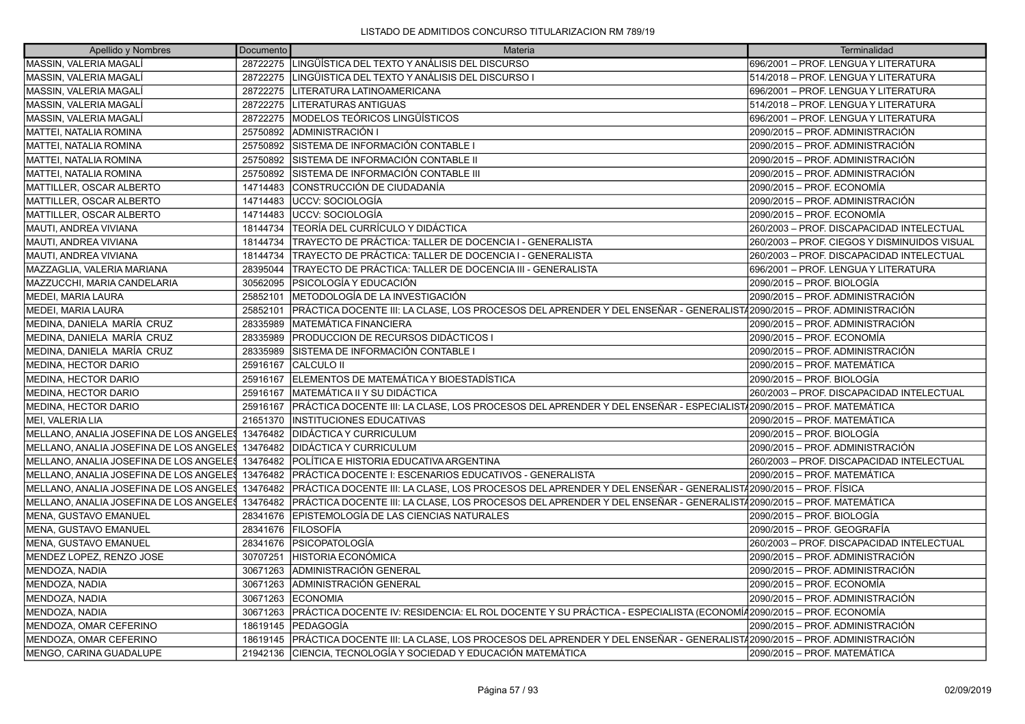| Apellido y Nombres                               | Documento | Materia                                                                                                                  | Terminalidad                                 |
|--------------------------------------------------|-----------|--------------------------------------------------------------------------------------------------------------------------|----------------------------------------------|
| MASSIN, VALERIA MAGALÍ                           |           | 28722275 LINGÜÍSTICA DEL TEXTO Y ANÁLISIS DEL DISCURSO                                                                   | 696/2001 - PROF. LENGUA Y LITERATURA         |
| MASSIN, VALERIA MAGALI                           | 28722275  | LINGÜISTICA DEL TEXTO Y ANÁLISIS DEL DISCURSO I                                                                          | 514/2018 - PROF. LENGUA Y LITERATURA         |
| <b>MASSIN, VALERIA MAGALÍ</b>                    |           | 28722275   LITERATURA LATINOAMERICANA                                                                                    | 696/2001 - PROF. LENGUA Y LITERATURA         |
| MASSIN, VALERIA MAGALÍ                           | 28722275  | LITERATURAS ANTIGUAS                                                                                                     | 514/2018 - PROF. LENGUA Y LITERATURA         |
| MASSIN, VALERIA MAGALÍ                           | 28722275  | MODELOS TEÓRICOS LINGÜÍSTICOS                                                                                            | 696/2001 - PROF. LENGUA Y LITERATURA         |
| MATTEI, NATALIA ROMINA                           | 25750892  | <b>ADMINISTRACIÓN I</b>                                                                                                  | 2090/2015 - PROF. ADMINISTRACIÓN             |
| MATTEI, NATALIA ROMINA                           | 25750892  | SISTEMA DE INFORMACIÓN CONTABLE I                                                                                        | 2090/2015 - PROF. ADMINISTRACIÓN             |
| <b>MATTEI, NATALIA ROMINA</b>                    | 25750892  | SISTEMA DE INFORMACIÓN CONTABLE II                                                                                       | 2090/2015 – PROF. ADMINISTRACIÓN             |
| MATTEI, NATALIA ROMINA                           | 25750892  | SISTEMA DE INFORMACIÓN CONTABLE III                                                                                      | 2090/2015 - PROF. ADMINISTRACIÓN             |
| MATTILLER, OSCAR ALBERTO                         | 14714483  | CONSTRUCCIÓN DE CIUDADANÍA                                                                                               | 2090/2015 - PROF. ECONOMÍA                   |
| MATTILLER, OSCAR ALBERTO                         | 14714483  | UCCV: SOCIOLOGÍA                                                                                                         | 2090/2015 - PROF. ADMINISTRACIÓN             |
| MATTILLER, OSCAR ALBERTO                         | 14714483  | <b>JUCCV: SOCIOLOGÍA</b>                                                                                                 | 2090/2015 - PROF. ECONOMÍA                   |
| MAUTI, ANDREA VIVIANA                            | 18144734  | TEORÍA DEL CURRÍCULO Y DIDÁCTICA                                                                                         | 260/2003 - PROF. DISCAPACIDAD INTELECTUAL    |
| MAUTI, ANDREA VIVIANA                            | 18144734  | TRAYECTO DE PRÁCTICA: TALLER DE DOCENCIA I - GENERALISTA                                                                 | 260/2003 - PROF. CIEGOS Y DISMINUIDOS VISUAL |
| MAUTI, ANDREA VIVIANA                            | 18144734  | ITRAYECTO DE PRÁCTICA: TALLER DE DOCENCIA I - GENERALISTA                                                                | 260/2003 - PROF. DISCAPACIDAD INTELECTUAL    |
| MAZZAGLIA, VALERIA MARIANA                       | 28395044  | TRAYECTO DE PRÁCTICA: TALLER DE DOCENCIA III - GENERALISTA                                                               | 696/2001 - PROF. LENGUA Y LITERATURA         |
| MAZZUCCHI, MARIA CANDELARIA                      | 30562095  | PSICOLOGÍA Y EDUCACIÓN                                                                                                   | 2090/2015 – PROF. BIOLOGÍA                   |
| MEDEI, MARIA LAURA                               | 25852101  | <b>IMETODOLOGÍA DE LA INVESTIGACIÓN</b>                                                                                  | 2090/2015 - PROF. ADMINISTRACIÓN             |
| MEDEI, MARIA LAURA                               | 25852101  | PRÁCTICA DOCENTE III: LA CLASE, LOS PROCESOS DEL APRENDER Y DEL ENSEÑAR - GENERALIST∕ 2090/2015 – PROF. ADMINISTRACIÓN   |                                              |
| MEDINA, DANIELA MARÍA CRUZ                       | 28335989  | MATEMÁTICA FINANCIERA                                                                                                    | 2090/2015 – PROF. ADMINISTRACIÓN             |
| MEDINA. DANIELA MARÍA CRUZ                       | 28335989  | IPRODUCCION DE RECURSOS DIDÁCTICOS I                                                                                     | 2090/2015 - PROF. ECONOMÍA                   |
| MEDINA, DANIELA MARÍA CRUZ                       | 28335989  | SISTEMA DE INFORMACIÓN CONTABLE I                                                                                        | 2090/2015 - PROF. ADMINISTRACIÓN             |
| MEDINA, HECTOR DARIO                             | 25916167  | <b>CALCULO II</b>                                                                                                        | 2090/2015 - PROF. MATEMÁTICA                 |
| MEDINA, HECTOR DARIO                             |           | 25916167 ELEMENTOS DE MATEMÁTICA Y BIOESTADÍSTICA                                                                        | 2090/2015 - PROF. BIOLOGÍA                   |
| MEDINA, HECTOR DARIO                             | 25916167  | MATEMÁTICA II Y SU DIDÁCTICA                                                                                             | 260/2003 - PROF. DISCAPACIDAD INTELECTUAL    |
| MEDINA, HECTOR DARIO                             | 25916167  | PRÁCTICA DOCENTE III: LA CLASE, LOS PROCESOS DEL APRENDER Y DEL ENSEÑAR - ESPECIALIST√2090/2015 – PROF. MATEMÁTICA       |                                              |
| MEI, VALERIA LIA                                 | 21651370  | <b>INSTITUCIONES EDUCATIVAS</b>                                                                                          | 2090/2015 - PROF. MATEMÁTICA                 |
| MELLANO, ANALIA JOSEFINA DE LOS ANGELES 13476482 |           | DIDÁCTICA Y CURRICULUM                                                                                                   | 2090/2015 - PROF. BIOLOGÍA                   |
| MELLANO, ANALIA JOSEFINA DE LOS ANGELES 13476482 |           | <b>DIDÁCTICA Y CURRICULUM</b>                                                                                            | 2090/2015 - PROF. ADMINISTRACIÓN             |
| MELLANO, ANALIA JOSEFINA DE LOS ANGELES          | 13476482  | POLÍTICA E HISTORIA EDUCATIVA ARGENTINA                                                                                  | 260/2003 - PROF. DISCAPACIDAD INTELECTUAL    |
| MELLANO, ANALIA JOSEFINA DE LOS ANGELES          | 13476482  | PRÁCTICA DOCENTE I: ESCENARIOS EDUCATIVOS - GENERALISTA                                                                  | 2090/2015 – PROF. MATEMÁTICA                 |
| MELLANO, ANALIA JOSEFINA DE LOS ANGELES          |           | 13476482   PRÁCTICA DOCENTE III: LA CLASE, LOS PROCESOS DEL APRENDER Y DEL ENSEÑAR - GENERALIST/2090/2015 - PROF. FÍSICA |                                              |
| MELLANO, ANALIA JOSEFINA DE LOS ANGELES          | 13476482  | PRÁCTICA DOCENTE III: LA CLASE, LOS PROCESOS DEL APRENDER Y DEL ENSEÑAR - GENERALISTÁ2090/2015 – PROF. MATEMÁTICA        |                                              |
| MENA, GUSTAVO EMANUEL                            | 28341676  | EPISTEMOLOGÍA DE LAS CIENCIAS NATURALES                                                                                  | 2090/2015 - PROF. BIOLOGÍA                   |
| MENA, GUSTAVO EMANUEL                            | 28341676  | <b>FILOSOFIA</b>                                                                                                         | 2090/2015 – PROF. GEOGRAFÍA                  |
| MENA, GUSTAVO EMANUEL                            | 28341676  | <b>IPSICOPATOLOGÍA</b>                                                                                                   | 260/2003 - PROF. DISCAPACIDAD INTELECTUAL    |
| MENDEZ LOPEZ, RENZO JOSE                         | 30707251  | HISTORIA ECONÓMICA                                                                                                       | 2090/2015 - PROF. ADMINISTRACIÓN             |
| MENDOZA, NADIA                                   | 30671263  | ADMINISTRACIÓN GENERAL                                                                                                   | 2090/2015 – PROF. ADMINISTRACIÓN             |
| MENDOZA, NADIA                                   | 30671263  | ADMINISTRACIÓN GENERAL                                                                                                   | 2090/2015 - PROF. ECONOMÍA                   |
| MENDOZA, NADIA                                   | 30671263  | <b>ECONOMIA</b>                                                                                                          | 2090/2015 - PROF. ADMINISTRACIÓN             |
| MENDOZA, NADIA                                   | 30671263  | PRÁCTICA DOCENTE IV: RESIDENCIA: EL ROL DOCENTE Y SU PRÁCTICA - ESPECIALISTA (ECONOMÍ42090/2015 – PROF. ECONOMÍA         |                                              |
| MENDOZA, OMAR CEFERINO                           | 18619145  | <b> PEDAGOGÍA</b>                                                                                                        | 2090/2015 - PROF. ADMINISTRACIÓN             |
| MENDOZA, OMAR CEFERINO                           | 18619145  | PRÁCTICA DOCENTE III: LA CLASE, LOS PROCESOS DEL APRENDER Y DEL ENSEÑAR - GENERALIST/2090/2015 – PROF. ADMINISTRACIÓN    |                                              |
| <b>MENGO, CARINA GUADALUPE</b>                   |           | 21942136 CIENCIA, TECNOLOGÍA Y SOCIEDAD Y EDUCACIÓN MATEMÁTICA                                                           | 2090/2015 – PROF. MATEMÁTICA                 |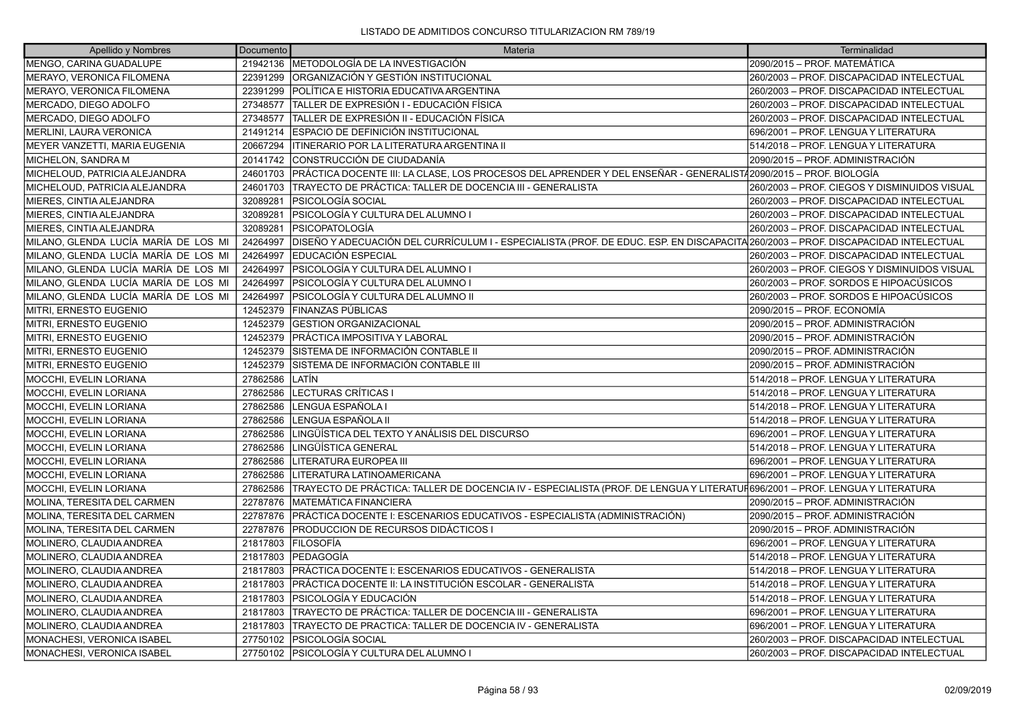| Apellido y Nombres                   | Documento | Materia                                                                                                                           | Terminalidad                                 |
|--------------------------------------|-----------|-----------------------------------------------------------------------------------------------------------------------------------|----------------------------------------------|
| MENGO, CARINA GUADALUPE              |           | 21942136 METODOLOGÍA DE LA INVESTIGACIÓN                                                                                          | 2090/2015 - PROF. MATEMÁTICA                 |
| MERAYO, VERONICA FILOMENA            | 22391299  | ORGANIZACIÓN Y GESTIÓN INSTITUCIONAL                                                                                              | 260/2003 - PROF. DISCAPACIDAD INTELECTUAL    |
| MERAYO, VERONICA FILOMENA            | 22391299  | POLÍTICA E HISTORIA EDUCATIVA ARGENTINA                                                                                           | 260/2003 - PROF. DISCAPACIDAD INTELECTUAL    |
| MERCADO, DIEGO ADOLFO                | 27348577  | TALLER DE EXPRESIÓN I - EDUCACIÓN FÍSICA                                                                                          | 260/2003 - PROF. DISCAPACIDAD INTELECTUAL    |
| MERCADO, DIEGO ADOLFO                | 27348577  | TALLER DE EXPRESIÓN II - EDUCACIÓN FÍSICA                                                                                         | 260/2003 - PROF. DISCAPACIDAD INTELECTUAL    |
| MERLINI, LAURA VERONICA              | 21491214  | ESPACIO DE DEFINICIÓN INSTITUCIONAL                                                                                               | 696/2001 - PROF. LENGUA Y LITERATURA         |
| MEYER VANZETTI, MARIA EUGENIA        | 20667294  | ITINERARIO POR LA LITERATURA ARGENTINA II                                                                                         | 514/2018 - PROF. LENGUA Y LITERATURA         |
| MICHELON, SANDRA M                   | 20141742  | CONSTRUCCIÓN DE CIUDADANÍA                                                                                                        | 2090/2015 - PROF. ADMINISTRACIÓN             |
| MICHELOUD, PATRICIA ALEJANDRA        | 24601703  | PRÁCTICA DOCENTE III: LA CLASE, LOS PROCESOS DEL APRENDER Y DEL ENSEÑAR - GENERALIST/2090/2015 – PROF. BIOLOGÍA                   |                                              |
| MICHELOUD, PATRICIA ALEJANDRA        | 24601703  | TRAYECTO DE PRÁCTICA: TALLER DE DOCENCIA III - GENERALISTA                                                                        | 260/2003 - PROF. CIEGOS Y DISMINUIDOS VISUAL |
| MIERES, CINTIA ALEJANDRA             | 32089281  | PSICOLOGÍA SOCIAL                                                                                                                 | 260/2003 - PROF. DISCAPACIDAD INTELECTUAL    |
| MIERES, CINTIA ALEJANDRA             | 32089281  | PSICOLOGÍA Y CULTURA DEL ALUMNO I                                                                                                 | 260/2003 - PROF. DISCAPACIDAD INTELECTUAL    |
| MIERES, CINTIA ALEJANDRA             | 32089281  | <b>PSICOPATOLOGÍA</b>                                                                                                             | 260/2003 - PROF. DISCAPACIDAD INTELECTUAL    |
| MILANO, GLENDA LUCÍA MARÍA DE LOS MI | 24264997  | DISEÑO Y ADECUACIÓN DEL CURRÍCULUM I - ESPECIALISTA (PROF. DE EDUC. ESP. EN DISCAPACITA 260/2003 – PROF. DISCAPACIDAD INTELECTUAL |                                              |
| MILANO, GLENDA LUCÍA MARÍA DE LOS MI | 24264997  | EDUCACIÓN ESPECIAL                                                                                                                | 260/2003 - PROF. DISCAPACIDAD INTELECTUAL    |
| MILANO, GLENDA LUCÍA MARÍA DE LOS MI | 24264997  | PSICOLOGÍA Y CULTURA DEL ALUMNO I                                                                                                 | 260/2003 - PROF. CIEGOS Y DISMINUIDOS VISUAL |
| MILANO, GLENDA LUCÍA MARÍA DE LOS MI | 24264997  | PSICOLOGÍA Y CULTURA DEL ALUMNO I                                                                                                 | 260/2003 - PROF. SORDOS E HIPOACÚSICOS       |
| MILANO, GLENDA LUCÍA MARÍA DE LOS MI | 24264997  | PSICOLOGÍA Y CULTURA DEL ALUMNO II                                                                                                | 260/2003 – PROF. SORDOS E HIPOACÚSICOS       |
| MITRI, ERNESTO EUGENIO               | 12452379  | FINANZAS PÚBLICAS                                                                                                                 | 2090/2015 - PROF. ECONOMÍA                   |
| MITRI, ERNESTO EUGENIO               | 12452379  | <b>GESTION ORGANIZACIONAL</b>                                                                                                     | 2090/2015 - PROF. ADMINISTRACIÓN             |
| MITRI, ERNESTO EUGENIO               | 12452379  | PRÁCTICA IMPOSITIVA Y LABORAL                                                                                                     | 2090/2015 – PROF. ADMINISTRACIÓN             |
| MITRI, ERNESTO EUGENIO               | 12452379  | SISTEMA DE INFORMACIÓN CONTABLE II                                                                                                | 2090/2015 - PROF. ADMINISTRACIÓN             |
| MITRI, ERNESTO EUGENIO               | 12452379  | SISTEMA DE INFORMACIÓN CONTABLE III                                                                                               | 2090/2015 - PROF. ADMINISTRACIÓN             |
| MOCCHI, EVELIN LORIANA               | 27862586  | LATÍN                                                                                                                             | 514/2018 - PROF. LENGUA Y LITERATURA         |
| MOCCHI, EVELIN LORIANA               | 27862586  | LECTURAS CRÍTICAS I                                                                                                               | 514/2018 - PROF. LENGUA Y LITERATURA         |
| MOCCHI, EVELIN LORIANA               | 27862586  | LENGUA ESPAÑOLA I                                                                                                                 | 514/2018 - PROF. LENGUA Y LITERATURA         |
| MOCCHI, EVELIN LORIANA               | 27862586  | LENGUA ESPAÑOLA II                                                                                                                | 514/2018 - PROF. LENGUA Y LITERATURA         |
| MOCCHI, EVELIN LORIANA               | 27862586  | LINGÜÍSTICA DEL TEXTO Y ANÁLISIS DEL DISCURSO                                                                                     | 696/2001 - PROF. LENGUA Y LITERATURA         |
| MOCCHI, EVELIN LORIANA               | 27862586  | LINGÜÍSTICA GENERAL                                                                                                               | 514/2018 - PROF. LENGUA Y LITERATURA         |
| MOCCHI, EVELIN LORIANA               | 27862586  | LITERATURA EUROPEA III                                                                                                            | 696/2001 – PROF. LENGUA Y LITERATURA         |
| MOCCHI, EVELIN LORIANA               | 27862586  | LITERATURA LATINOAMERICANA                                                                                                        | 696/2001 - PROF. LENGUA Y LITERATURA         |
| MOCCHI, EVELIN LORIANA               | 27862586  | TRAYECTO DE PRÁCTICA: TALLER DE DOCENCIA IV - ESPECIALISTA (PROF. DE LENGUA Y LITERATUF696/2001 – PROF. LENGUA Y LITERATURA       |                                              |
| MOLINA, TERESITA DEL CARMEN          | 22787876  | MATEMÁTICA FINANCIERA                                                                                                             | 2090/2015 - PROF. ADMINISTRACIÓN             |
| MOLINA, TERESITA DEL CARMEN          | 22787876  | PRÁCTICA DOCENTE I: ESCENARIOS EDUCATIVOS - ESPECIALISTA (ADMINISTRACIÓN)                                                         | 2090/2015 - PROF. ADMINISTRACIÓN             |
| MOLINA, TERESITA DEL CARMEN          | 22787876  | PRODUCCION DE RECURSOS DIDÁCTICOS I                                                                                               | 2090/2015 - PROF. ADMINISTRACIÓN             |
| MOLINERO, CLAUDIA ANDREA             | 21817803  | <b>FILOSOFÍA</b>                                                                                                                  | 696/2001 - PROF. LENGUA Y LITERATURA         |
| MOLINERO, CLAUDIA ANDREA             | 21817803  | PEDAGOGÍA                                                                                                                         | 514/2018 – PROF. LENGUA Y LITERATURA         |
| MOLINERO, CLAUDIA ANDREA             | 21817803  | IPRÁCTICA DOCENTE I: ESCENARIOS EDUCATIVOS - GENERALISTA                                                                          | 514/2018 – PROF. LENGUA Y LITERATURA         |
| MOLINERO, CLAUDIA ANDREA             | 21817803  | PRÁCTICA DOCENTE II: LA INSTITUCIÓN ESCOLAR - GENERALISTA                                                                         | 514/2018 - PROF. LENGUA Y LITERATURA         |
| MOLINERO, CLAUDIA ANDREA             | 21817803  | PSICOLOGÍA Y EDUCACIÓN                                                                                                            | 514/2018 - PROF. LENGUA Y LITERATURA         |
| MOLINERO, CLAUDIA ANDREA             | 21817803  | TRAYECTO DE PRÁCTICA: TALLER DE DOCENCIA III - GENERALISTA                                                                        | 696/2001 – PROF. LENGUA Y LITERATURA         |
| MOLINERO, CLAUDIA ANDREA             | 21817803  | TRAYECTO DE PRACTICA: TALLER DE DOCENCIA IV - GENERALISTA                                                                         | 696/2001 - PROF. LENGUA Y LITERATURA         |
| MONACHESI, VERONICA ISABEL           | 27750102  | <b>PSICOLOGÍA SOCIAL</b>                                                                                                          | 260/2003 - PROF. DISCAPACIDAD INTELECTUAL    |
| MONACHESI, VERONICA ISABEL           |           | 27750102 PSICOLOGÍA Y CULTURA DEL ALUMNO I                                                                                        | 260/2003 - PROF. DISCAPACIDAD INTELECTUAL    |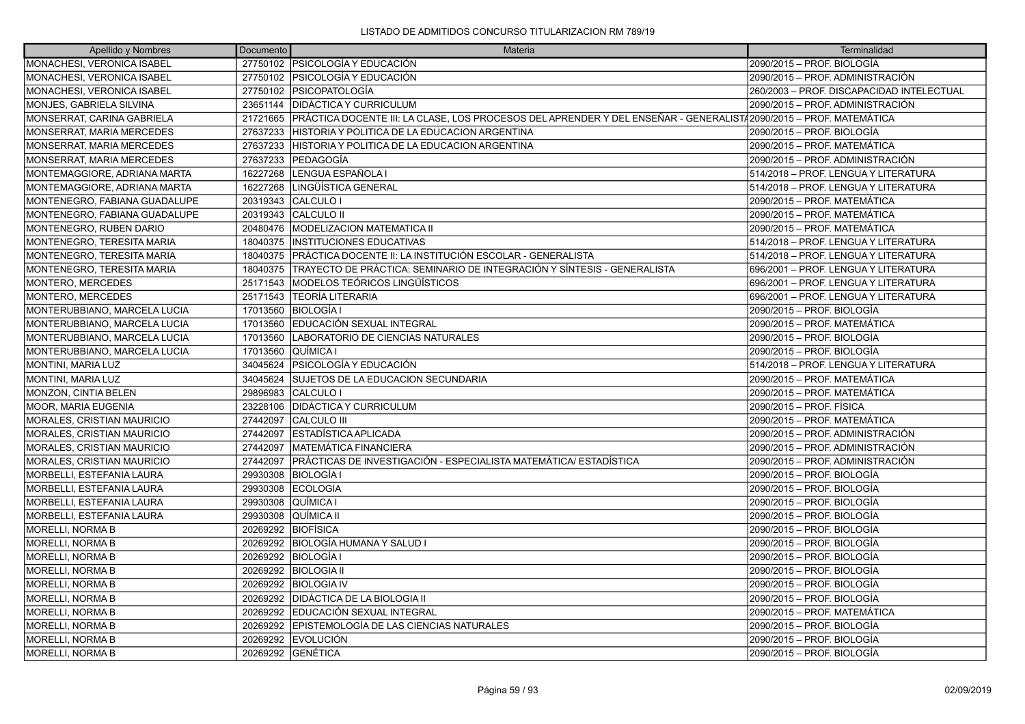| Apellido y Nombres                | Documento | Materia                                                                                                           | Terminalidad                              |
|-----------------------------------|-----------|-------------------------------------------------------------------------------------------------------------------|-------------------------------------------|
| <b>MONACHESI, VERONICA ISABEL</b> |           | 27750102 PSICOLOGÍA Y EDUCACIÓN                                                                                   | 2090/2015 – PROF. BIOLOGÍA                |
| MONACHESI, VERONICA ISABEL        | 27750102  | <b>PSICOLOGÍA Y EDUCACIÓN</b>                                                                                     | 2090/2015 – PROF. ADMINISTRACIÓN          |
| MONACHESI, VERONICA ISABEL        | 27750102  | <i><b>IPSICOPATOLOGÍA</b></i>                                                                                     | 260/2003 - PROF. DISCAPACIDAD INTELECTUAL |
| MONJES, GABRIELA SILVINA          | 23651144  | DIDÁCTICA Y CURRICULUM                                                                                            | 2090/2015 – PROF. ADMINISTRACIÓN          |
| MONSERRAT, CARINA GABRIELA        | 21721665  | PRÁCTICA DOCENTE III: LA CLASE, LOS PROCESOS DEL APRENDER Y DEL ENSEÑAR - GENERALIST/2090/2015 – PROF. MATEMÁTICA |                                           |
| MONSERRAT, MARIA MERCEDES         | 27637233  | HISTORIA Y POLITICA DE LA EDUCACION ARGENTINA                                                                     | 2090/2015 – PROF. BIOLOGÍA                |
| <b>MONSERRAT, MARIA MERCEDES</b>  | 27637233  | HISTORIA Y POLITICA DE LA EDUCACION ARGENTINA                                                                     | 2090/2015 – PROF. MATEMÁTICA              |
| <b>MONSERRAT, MARIA MERCEDES</b>  | 27637233  | <b>PEDAGOGÍA</b>                                                                                                  | 2090/2015 – PROF. ADMINISTRACIÓN          |
| MONTEMAGGIORE, ADRIANA MARTA      | 16227268  | LENGUA ESPAÑOLA I                                                                                                 | 514/2018 - PROF. LENGUA Y LITERATURA      |
| MONTEMAGGIORE, ADRIANA MARTA      | 16227268  | LINGÜÍSTICA GENERAL                                                                                               | 514/2018 - PROF. LENGUA Y LITERATURA      |
| MONTENEGRO, FABIANA GUADALUPE     | 20319343  | CALCULO I                                                                                                         | 2090/2015 - PROF. MATEMÁTICA              |
| MONTENEGRO. FABIANA GUADALUPE     | 20319343  | ICALCULO II                                                                                                       | 2090/2015 - PROF. MATEMÁTICA              |
| MONTENEGRO, RUBEN DARIO           | 20480476  | <b>MODELIZACION MATEMATICA II</b>                                                                                 | 2090/2015 - PROF. MATEMÁTICA              |
| <b>MONTENEGRO, TERESITA MARIA</b> | 18040375  | <b>INSTITUCIONES EDUCATIVAS</b>                                                                                   | 514/2018 - PROF. LENGUA Y LITERATURA      |
| MONTENEGRO, TERESITA MARIA        | 18040375  | PRÁCTICA DOCENTE II: LA INSTITUCIÓN ESCOLAR - GENERALISTA                                                         | 514/2018 - PROF. LENGUA Y LITERATURA      |
| MONTENEGRO, TERESITA MARIA        | 18040375  | TRAYECTO DE PRÁCTICA: SEMINARIO DE INTEGRACIÓN Y SÍNTESIS - GENERALISTA                                           | 696/2001 - PROF. LENGUA Y LITERATURA      |
| MONTERO, MERCEDES                 | 25171543  | İMODELOS TEÓRICOS LINGÜÍSTICOS                                                                                    | 696/2001 - PROF. LENGUA Y LITERATURA      |
| MONTERO, MERCEDES                 | 25171543  | lTEORÍA LITERARIA                                                                                                 | 696/2001 - PROF. LENGUA Y LITERATURA      |
| MONTERUBBIANO, MARCELA LUCIA      | 17013560  | IBIOLOGÍA I                                                                                                       | 2090/2015 – PROF. BIOLOGÍA                |
| MONTERUBBIANO, MARCELA LUCIA      | 17013560  | EDUCACIÓN SEXUAL INTEGRAL                                                                                         | 2090/2015 – PROF. MATEMÁTICA              |
| MONTERUBBIANO, MARCELA LUCIA      | 17013560  | LABORATORIO DE CIENCIAS NATURALES                                                                                 | 2090/2015 - PROF. BIOLOGÍA                |
| MONTERUBBIANO, MARCELA LUCIA      | 17013560  | QUÍMICA I                                                                                                         | 2090/2015 – PROF. BIOLOGÍA                |
| MONTINI, MARIA LUZ                | 34045624  | PSICOLOGÍA Y EDUCACIÓN                                                                                            | 514/2018 - PROF. LENGUA Y LITERATURA      |
| MONTINI, MARIA LUZ                | 34045624  | SUJETOS DE LA EDUCACION SECUNDARIA                                                                                | 2090/2015 - PROF. MATEMÁTICA              |
| MONZON, CINTIA BELEN              | 29896983  | CALCULO I                                                                                                         | 2090/2015 - PROF. MATEMÁTICA              |
| <b>MOOR, MARIA EUGENIA</b>        | 23228106  | <b>DIDÁCTICA Y CURRICULUM</b>                                                                                     | 2090/2015 – PROF. FÍSICA                  |
| MORALES, CRISTIAN MAURICIO        | 27442097  | CALCULO III                                                                                                       | 2090/2015 - PROF. MATEMÁTICA              |
| MORALES, CRISTIAN MAURICIO        | 27442097  | ESTADÍSTICA APLICADA                                                                                              | 2090/2015 – PROF. ADMINISTRACIÓN          |
| MORALES, CRISTIAN MAURICIO        | 27442097  | <b>MATEMÁTICA FINANCIERA</b>                                                                                      | 2090/2015 – PROF. ADMINISTRACIÓN          |
| MORALES, CRISTIAN MAURICIO        | 27442097  | IPRÁCTICAS DE INVESTIGACIÓN - ESPECIALISTA MATEMÁTICA/ ESTADÍSTICA                                                | 2090/2015 – PROF. ADMINISTRACIÓN          |
| MORBELLI, ESTEFANIA LAURA         | 29930308  | BIOLOGÍA I                                                                                                        | 2090/2015 – PROF. BIOLOGÍA                |
| MORBELLI, ESTEFANIA LAURA         | 29930308  | <b>ECOLOGIA</b>                                                                                                   | 2090/2015 – PROF. BIOLOGÍA                |
| MORBELLI, ESTEFANIA LAURA         | 29930308  | QUÍMICA I                                                                                                         | 2090/2015 - PROF. BIOLOGÍA                |
| MORBELLI, ESTEFANIA LAURA         | 29930308  | QUÍMICA II                                                                                                        | 2090/2015 – PROF. BIOLOGÍA                |
| MORELLI, NORMA B                  | 20269292  | IBIOFÍSICA                                                                                                        | 2090/2015 – PROF. BIOLOGÍA                |
| MORELLI, NORMA B                  | 20269292  | BIOLOGÍA HUMANA Y SALUD I                                                                                         | 2090/2015 – PROF. BIOLOGÍA                |
| MORELLI, NORMA B                  | 20269292  | <b>BIOLOGÍA I</b>                                                                                                 | 2090/2015 – PROF. BIOLOGÍA                |
| <b>MORELLI, NORMA B</b>           | 20269292  | <b>BIOLOGIA II</b>                                                                                                | 2090/2015 – PROF. BIOLOGÍA                |
| MORELLI, NORMA B                  | 20269292  | <b>BIOLOGIA IV</b>                                                                                                | 2090/2015 – PROF. BIOLOGÍA                |
| MORELLI, NORMA B                  | 20269292  | DIDÁCTICA DE LA BIOLOGIA II                                                                                       | 2090/2015 – PROF. BIOLOGÍA                |
| <b>MORELLI, NORMA B</b>           | 20269292  | IEDUCACIÓN SEXUAL INTEGRAL                                                                                        | 2090/2015 - PROF. MATEMÁTICA              |
| MORELLI, NORMA B                  | 20269292  | <b>IEPISTEMOLOGÍA DE LAS CIENCIAS NATURALES</b>                                                                   | 2090/2015 – PROF. BIOLOGÍA                |
| MORELLI, NORMA B                  | 20269292  | <b>EVOLUCIÓN</b>                                                                                                  | 2090/2015 – PROF. BIOLOGÍA                |
| MORELLI, NORMA B                  |           | 20269292 GENÉTICA                                                                                                 | 2090/2015 – PROF. BIOLOGÍA                |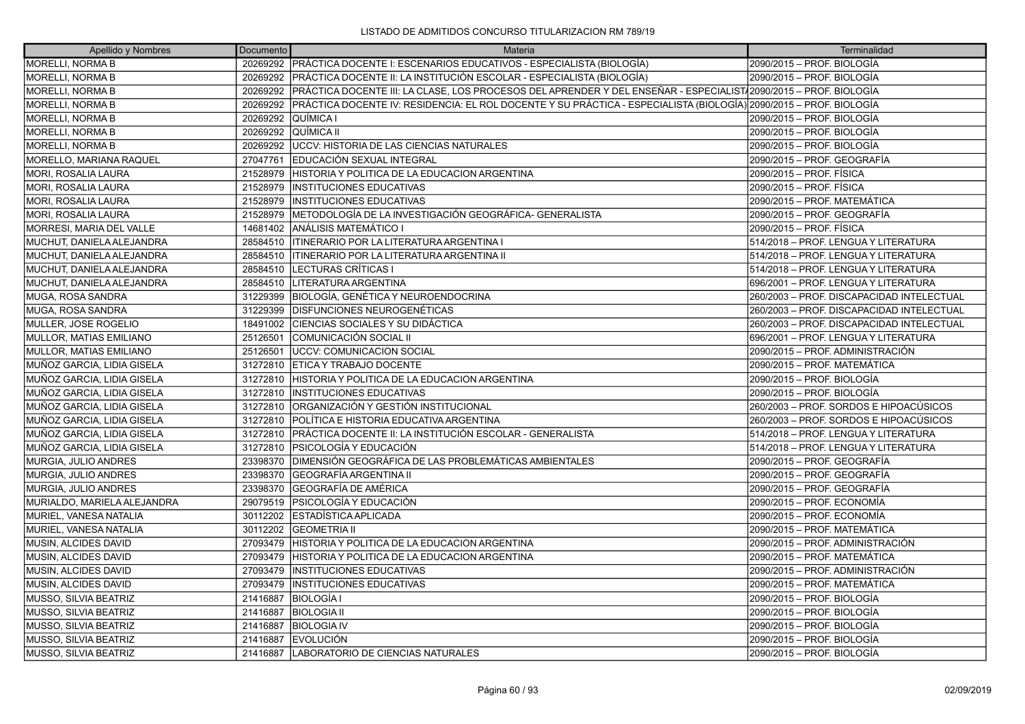| Apellido y Nombres              | Documento | Materia                                                                                                            | Terminalidad                              |
|---------------------------------|-----------|--------------------------------------------------------------------------------------------------------------------|-------------------------------------------|
| <b>MORELLI, NORMA B</b>         |           | 20269292   PRÁCTICA DOCENTE I: ESCENARIOS EDUCATIVOS - ESPECIALISTA (BIOLOGÍA)                                     | 2090/2015 – PROF. BIOLOGÍA                |
| <b>MORELLI, NORMA B</b>         | 20269292  | PRÁCTICA DOCENTE II: LA INSTITUCIÓN ESCOLAR - ESPECIALISTA (BIOLOGÍA)                                              | 2090/2015 - PROF. BIOLOGÍA                |
| MORELLI, NORMA B                | 20269292  | PRÁCTICA DOCENTE III: LA CLASE, LOS PROCESOS DEL APRENDER Y DEL ENSEÑAR - ESPECIALIST (2090/2015 – PROF. BIOLOGÍA  |                                           |
| MORELLI, NORMA B                | 20269292  | PRÁCTICA DOCENTE IV: RESIDENCIA: EL ROL DOCENTE Y SU PRÁCTICA - ESPECIALISTA (BIOLOGÍA) 2090/2015 – PROF. BIOLOGÍA |                                           |
| <b>MORELLI, NORMA B</b>         | 20269292  | QUÍMICA I                                                                                                          | 2090/2015 – PROF. BIOLOGÍA                |
| <b>MORELLI, NORMA B</b>         | 20269292  | QUÍMICA II                                                                                                         | 2090/2015 – PROF. BIOLOGÍA                |
| <b>MORELLI, NORMA B</b>         | 20269292  | UCCV: HISTORIA DE LAS CIENCIAS NATURALES                                                                           | 2090/2015 – PROF. BIOLOGÍA                |
| MORELLO, MARIANA RAQUEL         | 27047761  | EDUCACIÓN SEXUAL INTEGRAL                                                                                          | 2090/2015 – PROF. GEOGRAFÍA               |
| <b>MORI, ROSALIA LAURA</b>      | 21528979  | HISTORIA Y POLITICA DE LA EDUCACION ARGENTINA                                                                      | 2090/2015 - PROF. FÍSICA                  |
| <b>MORI, ROSALIA LAURA</b>      | 21528979  | IINSTITUCIONES EDUCATIVAS                                                                                          | 2090/2015 - PROF. FÍSICA                  |
| <b>MORI, ROSALIA LAURA</b>      | 21528979  | <b>INSTITUCIONES EDUCATIVAS</b>                                                                                    | 2090/2015 - PROF. MATEMÁTICA              |
| <b>MORI, ROSALIA LAURA</b>      | 21528979  | IMETODOLOGÍA DE LA INVESTIGACIÓN GEOGRÁFICA- GENERALISTA                                                           | 2090/2015 – PROF. GEOGRAFÍA               |
| <b>MORRESI, MARIA DEL VALLE</b> | 14681402  | ANÁLISIS MATEMÁTICO I                                                                                              | 2090/2015 – PROF. FÍSICA                  |
| MUCHUT, DANIELA ALEJANDRA       | 28584510  | ITINERARIO POR LA LITERATURA ARGENTINA I                                                                           | 514/2018 - PROF. LENGUA Y LITERATURA      |
| MUCHUT, DANIELA ALEJANDRA       | 28584510  | ITINERARIO POR LA LITERATURA ARGENTINA II                                                                          | 514/2018 - PROF. LENGUA Y LITERATURA      |
| MUCHUT, DANIELA ALEJANDRA       | 28584510  | LECTURAS CRÍTICAS I                                                                                                | 514/2018 - PROF. LENGUA Y LITERATURA      |
| MUCHUT, DANIELA ALEJANDRA       | 28584510  | LITERATURA ARGENTINA                                                                                               | 696/2001 - PROF. LENGUA Y LITERATURA      |
| MUGA, ROSA SANDRA               | 31229399  | BIOLOGÍA, GENÉTICA Y NEUROENDOCRINA                                                                                | 260/2003 - PROF. DISCAPACIDAD INTELECTUAL |
| MUGA, ROSA SANDRA               | 31229399  | <b>DISFUNCIONES NEUROGENÉTICAS</b>                                                                                 | 260/2003 - PROF. DISCAPACIDAD INTELECTUAL |
| MULLER, JOSE ROGELIO            | 18491002  | CIENCIAS SOCIALES Y SU DIDÁCTICA                                                                                   | 260/2003 - PROF. DISCAPACIDAD INTELECTUAL |
| <b>MULLOR, MATIAS EMILIANO</b>  | 25126501  | COMUNICACIÓN SOCIAL II                                                                                             | 696/2001 - PROF. LENGUA Y LITERATURA      |
| <b>MULLOR, MATIAS EMILIANO</b>  | 25126501  | <b>UCCV: COMUNICACION SOCIAL</b>                                                                                   | 2090/2015 - PROF. ADMINISTRACIÓN          |
| MUÑOZ GARCIA, LIDIA GISELA      | 31272810  | <b>IETICA Y TRABAJO DOCENTE</b>                                                                                    | 2090/2015 - PROF. MATEMÁTICA              |
| MUÑOZ GARCIA, LIDIA GISELA      | 31272810  | HISTORIA Y POLITICA DE LA EDUCACION ARGENTINA                                                                      | 2090/2015 - PROF. BIOLOGÍA                |
| MUÑOZ GARCIA, LIDIA GISELA      | 31272810  | <b>INSTITUCIONES EDUCATIVAS</b>                                                                                    | 2090/2015 – PROF. BIOLOGÍA                |
| MUÑOZ GARCIA, LIDIA GISELA      | 31272810  | ORGANIZACIÓN Y GESTIÓN INSTITUCIONAL                                                                               | 260/2003 – PROF. SORDOS E HIPOACÚSICOS    |
| MUÑOZ GARCIA, LIDIA GISELA      | 31272810  | POLÍTICA E HISTORIA EDUCATIVA ARGENTINA                                                                            | 260/2003 – PROF. SORDOS E HIPOACÚSICOS    |
| MUÑOZ GARCIA, LIDIA GISELA      | 31272810  | PRÁCTICA DOCENTE II: LA INSTITUCIÓN ESCOLAR - GENERALISTA                                                          | 514/2018 - PROF. LENGUA Y LITERATURA      |
| MUÑOZ GARCIA, LIDIA GISELA      | 31272810  | PSICOLOGÍA Y EDUCACIÓN                                                                                             | 514/2018 - PROF. LENGUA Y LITERATURA      |
| MURGIA, JULIO ANDRES            | 23398370  | DIMENSIÓN GEOGRÁFICA DE LAS PROBLEMÁTICAS AMBIENTALES                                                              | 2090/2015 – PROF. GEOGRAFÍA               |
| MURGIA, JULIO ANDRES            | 23398370  | GEOGRAFÍA ARGENTINA II                                                                                             | 2090/2015 – PROF. GEOGRAFÍA               |
| MURGIA, JULIO ANDRES            | 23398370  | GEOGRAFÍA DE AMÉRICA                                                                                               | 2090/2015 – PROF. GEOGRAFÍA               |
| MURIALDO, MARIELA ALEJANDRA     | 29079519  | PSICOLOGÍA Y EDUCACIÓN                                                                                             | 2090/2015 - PROF. ECONOMÍA                |
| MURIEL, VANESA NATALIA          | 30112202  | ESTADÍSTICA APLICADA                                                                                               | 2090/2015 – PROF. ECONOMÍA                |
| MURIEL, VANESA NATALIA          | 30112202  | IGEOMETRIA II                                                                                                      | 2090/2015 - PROF. MATEMÁTICA              |
| MUSIN, ALCIDES DAVID            | 27093479  | HISTORIA Y POLITICA DE LA EDUCACION ARGENTINA                                                                      | 2090/2015 – PROF. ADMINISTRACIÓN          |
| MUSIN, ALCIDES DAVID            | 27093479  | HISTORIA Y POLITICA DE LA EDUCACION ARGENTINA                                                                      | 2090/2015 – PROF. MATEMÁTICA              |
| MUSIN, ALCIDES DAVID            | 27093479  | <b>INSTITUCIONES EDUCATIVAS</b>                                                                                    | 2090/2015 – PROF. ADMINISTRACIÓN          |
| MUSIN, ALCIDES DAVID            | 27093479  | <b>INSTITUCIONES EDUCATIVAS</b>                                                                                    | 2090/2015 - PROF. MATEMÁTICA              |
| MUSSO, SILVIA BEATRIZ           | 21416887  | BIOLOGÍA I                                                                                                         | 2090/2015 – PROF. BIOLOGÍA                |
| MUSSO, SILVIA BEATRIZ           | 21416887  | <b>BIOLOGIA II</b>                                                                                                 | 2090/2015 – PROF. BIOLOGÍA                |
| MUSSO, SILVIA BEATRIZ           | 21416887  | <b>BIOLOGIA IV</b>                                                                                                 | 2090/2015 – PROF. BIOLOGÍA                |
| MUSSO, SILVIA BEATRIZ           | 21416887  | <b>EVOLUCIÓN</b>                                                                                                   | 2090/2015 – PROF. BIOLOGÍA                |
| MUSSO. SILVIA BEATRIZ           | 21416887  | LABORATORIO DE CIENCIAS NATURALES                                                                                  | 2090/2015 – PROF. BIOLOGÍA                |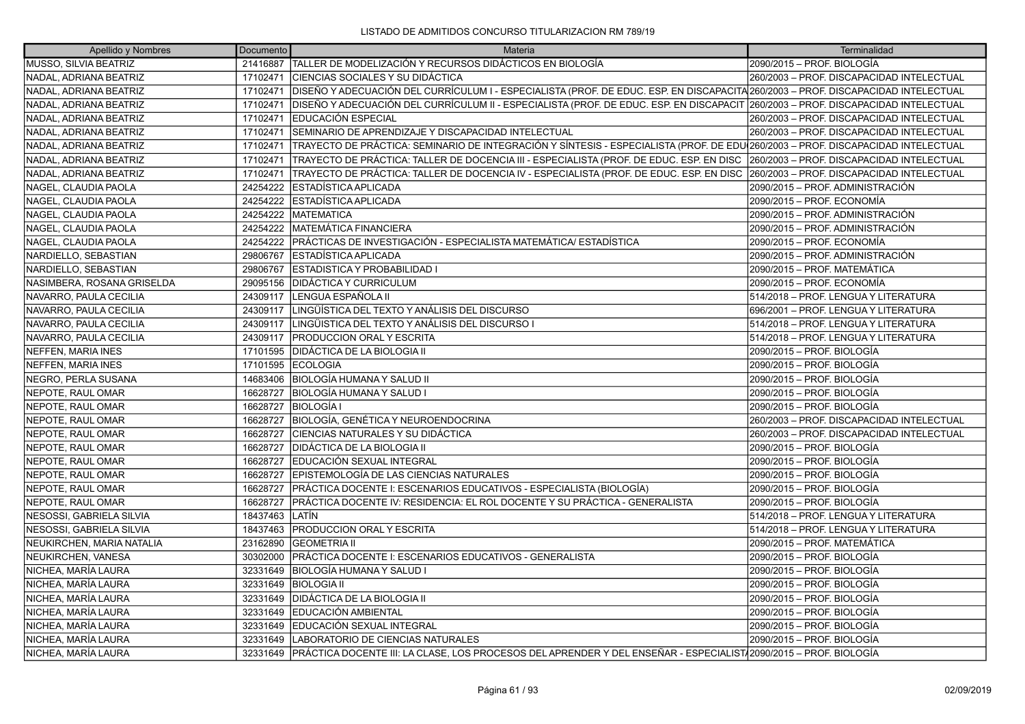| Apellido y Nombres         | Documento | Materia                                                                                                                             | Terminalidad                              |
|----------------------------|-----------|-------------------------------------------------------------------------------------------------------------------------------------|-------------------------------------------|
| MUSSO, SILVIA BEATRIZ      | 21416887  | TALLER DE MODELIZACIÓN Y RECURSOS DIDÁCTICOS EN BIOLOGÍA                                                                            | 2090/2015 – PROF. BIOLOGÍA                |
| NADAL, ADRIANA BEATRIZ     | 17102471  | ÍCIENCIAS SOCIALES Y SU DIDÁCTICA                                                                                                   | 260/2003 - PROF. DISCAPACIDAD INTELECTUAL |
| NADAL, ADRIANA BEATRIZ     | 17102471  | DISEÑO Y ADECUACIÓN DEL CURRÍCULUM I - ESPECIALISTA (PROF. DE EDUC. ESP. EN DISCAPACITA 260/2003 - PROF. DISCAPACIDAD INTELECTUAL   |                                           |
| NADAL, ADRIANA BEATRIZ     | 17102471  | DISEÑO Y ADECUACIÓN DEL CURRÍCULUM II - ESPECIALISTA (PROF. DE EDUC. ESP. EN DISCAPACIT 260/2003 - PROF. DISCAPACIDAD INTELECTUAL   |                                           |
| NADAL, ADRIANA BEATRIZ     | 17102471  | EDUCACIÓN ESPECIAL                                                                                                                  | 260/2003 - PROF. DISCAPACIDAD INTELECTUAL |
| NADAL, ADRIANA BEATRIZ     | 17102471  | SEMINARIO DE APRENDIZAJE Y DISCAPACIDAD INTELECTUAL                                                                                 | 260/2003 - PROF. DISCAPACIDAD INTELECTUAL |
| NADAL, ADRIANA BEATRIZ     | 17102471  | TRAYECTO DE PRÁCTICA: SEMINARIO DE INTEGRACIÓN Y SÍNTESIS - ESPECIALISTA (PROF. DE EDU 260/2003 – PROF. DISCAPACIDAD INTELECTUAL    |                                           |
| NADAL, ADRIANA BEATRIZ     | 17102471  | TRAYECTO DE PRÁCTICA: TALLER DE DOCENCIA III - ESPECIALISTA (PROF. DE EDUC. ESP. EN DISC  260/2003 – PROF. DISCAPACIDAD INTELECTUAL |                                           |
| NADAL, ADRIANA BEATRIZ     | 17102471  | TRAYECTO DE PRÁCTICA: TALLER DE DOCENCIA IV - ESPECIALISTA (PROF. DE EDUC. ESP. EN DISC  260/2003 – PROF. DISCAPACIDAD INTELECTUAL  |                                           |
| NAGEL, CLAUDIA PAOLA       | 24254222  | ESTADÍSTICA APLICADA                                                                                                                | 2090/2015 – PROF. ADMINISTRACIÓN          |
| NAGEL, CLAUDIA PAOLA       | 24254222  | ESTADÍSTICA APLICADA                                                                                                                | 2090/2015 - PROF. ECONOMÍA                |
| NAGEL, CLAUDIA PAOLA       | 24254222  | MATEMATICA                                                                                                                          | 2090/2015 - PROF. ADMINISTRACIÓN          |
| NAGEL, CLAUDIA PAOLA       | 24254222  | MATEMÁTICA FINANCIERA                                                                                                               | 2090/2015 – PROF. ADMINISTRACIÓN          |
| NAGEL, CLAUDIA PAOLA       | 24254222  | PRÁCTICAS DE INVESTIGACIÓN - ESPECIALISTA MATEMÁTICA/ ESTADÍSTICA                                                                   | 2090/2015 - PROF. ECONOMÍA                |
| NARDIELLO, SEBASTIAN       | 29806767  | ESTADÍSTICA APLICADA                                                                                                                | 2090/2015 - PROF. ADMINISTRACIÓN          |
| NARDIELLO, SEBASTIAN       | 29806767  | ESTADISTICA Y PROBABILIDAD I                                                                                                        | 2090/2015 – PROF. MATEMÁTICA              |
| NASIMBERA, ROSANA GRISELDA | 29095156  | DIDÁCTICA Y CURRICULUM                                                                                                              | 2090/2015 - PROF. ECONOMÍA                |
| NAVARRO, PAULA CECILIA     | 24309117  | İLENGUA ESPAÑOLA II                                                                                                                 | 514/2018 - PROF. LENGUA Y LITERATURA      |
| NAVARRO, PAULA CECILIA     | 24309117  | LINGÜÍSTICA DEL TEXTO Y ANÁLISIS DEL DISCURSO                                                                                       | 696/2001 - PROF. LENGUA Y LITERATURA      |
| NAVARRO, PAULA CECILIA     | 24309117  | LINGÜISTICA DEL TEXTO Y ANÁLISIS DEL DISCURSO I                                                                                     | 514/2018 - PROF. LENGUA Y LITERATURA      |
| NAVARRO, PAULA CECILIA     | 24309117  | <b>PRODUCCION ORAL Y ESCRITA</b>                                                                                                    | 514/2018 - PROF. LENGUA Y LITERATURA      |
| <b>NEFFEN, MARIA INES</b>  | 17101595  | DIDÁCTICA DE LA BIOLOGIA II                                                                                                         | 2090/2015 – PROF. BIOLOGÍA                |
| <b>NEFFEN, MARIA INES</b>  | 17101595  | <b>ECOLOGIA</b>                                                                                                                     | 2090/2015 - PROF. BIOLOGÍA                |
| NEGRO. PERLA SUSANA        | 14683406  | BIOLOGÍA HUMANA Y SALUD II                                                                                                          | 2090/2015 – PROF. BIOLOGÍA                |
| NEPOTE, RAUL OMAR          | 16628727  | BIOLOGÍA HUMANA Y SALUD I                                                                                                           | 2090/2015 – PROF. BIOLOGÍA                |
| NEPOTE, RAUL OMAR          | 16628727  | <b>BIOLOGÍA I</b>                                                                                                                   | 2090/2015 - PROF. BIOLOGÍA                |
| NEPOTE, RAUL OMAR          | 16628727  | BIOLOGÍA, GENÉTICA Y NEUROENDOCRINA                                                                                                 | 260/2003 - PROF. DISCAPACIDAD INTELECTUAL |
| NEPOTE, RAUL OMAR          | 16628727  | CIENCIAS NATURALES Y SU DIDÁCTICA                                                                                                   | 260/2003 - PROF. DISCAPACIDAD INTELECTUAL |
| NEPOTE, RAUL OMAR          | 16628727  | DIDÁCTICA DE LA BIOLOGIA II                                                                                                         | 2090/2015 - PROF. BIOLOGÍA                |
| NEPOTE, RAUL OMAR          | 16628727  | EDUCACIÓN SEXUAL INTEGRAL                                                                                                           | 2090/2015 – PROF. BIOLOGÍA                |
| NEPOTE, RAUL OMAR          | 16628727  | EPISTEMOLOGÍA DE LAS CIENCIAS NATURALES                                                                                             | 2090/2015 - PROF. BIOLOGÍA                |
| NEPOTE, RAUL OMAR          | 16628727  | PRÁCTICA DOCENTE I: ESCENARIOS EDUCATIVOS - ESPECIALISTA (BIOLOGÍA)                                                                 | 2090/2015 - PROF. BIOLOGÍA                |
| NEPOTE, RAUL OMAR          | 16628727  | IPRÁCTICA DOCENTE IV: RESIDENCIA: EL ROL DOCENTE Y SU PRÁCTICA - GENERALISTA                                                        | 2090/2015 – PROF. BIOLOGÍA                |
| NESOSSI, GABRIELA SILVIA   | 18437463  | LATÍN                                                                                                                               | 514/2018 - PROF. LENGUA Y LITERATURA      |
| NESOSSI, GABRIELA SILVIA   | 18437463  | <b>PRODUCCION ORAL Y ESCRITA</b>                                                                                                    | 514/2018 - PROF. LENGUA Y LITERATURA      |
| NEUKIRCHEN, MARIA NATALIA  | 23162890  | <b>GEOMETRIA II</b>                                                                                                                 | 2090/2015 – PROF. MATEMÁTICA              |
| NEUKIRCHEN, VANESA         | 30302000  | PRÁCTICA DOCENTE I: ESCENARIOS EDUCATIVOS - GENERALISTA                                                                             | 2090/2015 – PROF. BIOLOGÍA                |
| NICHEA, MARÍA LAURA        | 32331649  | BIOLOGÍA HUMANA Y SALUD I                                                                                                           | 2090/2015 – PROF. BIOLOGÍA                |
| NICHEA, MARÍA LAURA        | 32331649  | <b>BIOLOGIA II</b>                                                                                                                  | 2090/2015 – PROF. BIOLOGÍA                |
| NICHEA, MARÍA LAURA        | 32331649  | DIDÁCTICA DE LA BIOLOGIA II                                                                                                         | 2090/2015 - PROF. BIOLOGÍA                |
| NICHEA, MARÍA LAURA        | 32331649  | EDUCACIÓN AMBIENTAL                                                                                                                 | 2090/2015 – PROF. BIOLOGÍA                |
| NICHEA, MARÍA LAURA        | 32331649  | EDUCACIÓN SEXUAL INTEGRAL                                                                                                           | 2090/2015 – PROF. BIOLOGÍA                |
| NICHEA, MARÍA LAURA        | 32331649  | LABORATORIO DE CIENCIAS NATURALES                                                                                                   | 2090/2015 - PROF. BIOLOGÍA                |
| NICHEA. MARÍA LAURA        | 32331649  | PRÁCTICA DOCENTE III: LA CLASE. LOS PROCESOS DEL APRENDER Y DEL ENSEÑAR - ESPECIALIST/2090/2015 – PROF. BIOLOGÍA                    |                                           |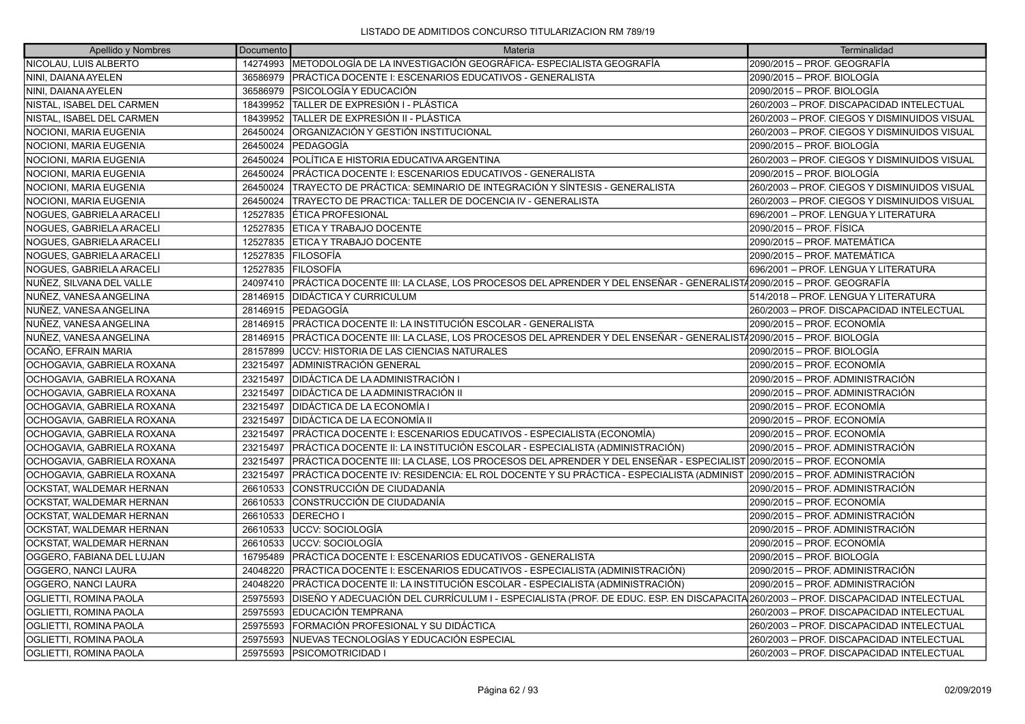| Apellido y Nombres            | Documento | Materia                                                                                                                           | Terminalidad                                 |
|-------------------------------|-----------|-----------------------------------------------------------------------------------------------------------------------------------|----------------------------------------------|
| NICOLAU, LUIS ALBERTO         |           | 14274993 METODOLOGÍA DE LA INVESTIGACIÓN GEOGRÁFICA- ESPECIALISTA GEOGRAFÍA                                                       | 2090/2015 - PROF. GEOGRAFÍA                  |
| NINI, DAIANA AYELEN           |           | 36586979   PRÁCTICA DOCENTE I: ESCENARIOS EDUCATIVOS - GENERALISTA                                                                | 2090/2015 - PROF. BIOLOGÍA                   |
| NINI, DAIANA AYELEN           |           | 36586979 PSICOLOGÍA Y EDUCACIÓN                                                                                                   | 2090/2015 – PROF. BIOLOGÍA                   |
| NISTAL, ISABEL DEL CARMEN     | 18439952  | TALLER DE EXPRESIÓN I - PLÁSTICA                                                                                                  | 260/2003 - PROF. DISCAPACIDAD INTELECTUAL    |
| NISTAL, ISABEL DEL CARMEN     | 18439952  | TALLER DE EXPRESIÓN II - PLÁSTICA                                                                                                 | 260/2003 - PROF. CIEGOS Y DISMINUIDOS VISUAL |
| NOCIONI, MARIA EUGENIA        | 26450024  | ÍORGANIZACIÓN Y GESTIÓN INSTITUCIONAL                                                                                             | 260/2003 – PROF. CIEGOS Y DISMINUIDOS VISUAL |
| NOCIONI, MARIA EUGENIA        | 26450024  | PEDAGOGÍA                                                                                                                         | 2090/2015 – PROF. BIOLOGÍA                   |
| NOCIONI, MARIA EUGENIA        | 26450024  | POLÍTICA E HISTORIA EDUCATIVA ARGENTINA                                                                                           | 260/2003 - PROF. CIEGOS Y DISMINUIDOS VISUAL |
| NOCIONI, MARIA EUGENIA        | 26450024  | PRÁCTICA DOCENTE I: ESCENARIOS EDUCATIVOS - GENERALISTA                                                                           | 2090/2015 – PROF. BIOLOGÍA                   |
| NOCIONI, MARIA EUGENIA        | 26450024  | TRAYECTO DE PRÁCTICA: SEMINARIO DE INTEGRACIÓN Y SÍNTESIS - GENERALISTA                                                           | 260/2003 - PROF. CIEGOS Y DISMINUIDOS VISUAL |
| NOCIONI, MARIA EUGENIA        | 26450024  | TRAYECTO DE PRACTICA: TALLER DE DOCENCIA IV - GENERALISTA                                                                         | 260/2003 - PROF. CIEGOS Y DISMINUIDOS VISUAL |
| NOGUES, GABRIELA ARACELI      | 12527835  | ÉTICA PROFESIONAL                                                                                                                 | 696/2001 - PROF. LENGUA Y LITERATURA         |
| NOGUES, GABRIELA ARACELI      | 12527835  | ETICA Y TRABAJO DOCENTE                                                                                                           | 2090/2015 - PROF. FÍSICA                     |
| NOGUES, GABRIELA ARACELI      | 12527835  | <b>ETICA Y TRABAJO DOCENTE</b>                                                                                                    | 2090/2015 - PROF. MATEMÁTICA                 |
| NOGUES, GABRIELA ARACELI      | 12527835  | <b>FILOSOFÍA</b>                                                                                                                  | 2090/2015 – PROF. MATEMÁTICA                 |
| NOGUES, GABRIELA ARACELI      | 12527835  | <b>IFILOSOFÍA</b>                                                                                                                 | 696/2001 - PROF. LENGUA Y LITERATURA         |
| NUÑEZ, SILVANA DEL VALLE      |           | 24097410 PRÁCTICA DOCENTE III: LA CLASE, LOS PROCESOS DEL APRENDER Y DEL ENSEÑAR - GENERALIST/2090/2015 – PROF. GEOGRAFÍA         |                                              |
| NUÑEZ, VANESA ANGELINA        |           | 28146915 DIDÁCTICA Y CURRICULUM                                                                                                   | 514/2018 - PROF. LENGUA Y LITERATURA         |
| NUÑEZ, VANESA ANGELINA        | 28146915  | <b>IPEDAGOGÍA</b>                                                                                                                 | 260/2003 – PROF. DISCAPACIDAD INTELECTUAL    |
| NUÑEZ, VANESA ANGELINA        |           | 28146915 PRÁCTICA DOCENTE II: LA INSTITUCIÓN ESCOLAR - GENERALISTA                                                                | 2090/2015 – PROF. ECONOMÍA                   |
| NUÑEZ, VANESA ANGELINA        |           | 28146915 PRÁCTICA DOCENTE III: LA CLASE, LOS PROCESOS DEL APRENDER Y DEL ENSEÑAR - GENERALISTA2090/2015 – PROF. BIOLOGÍA          |                                              |
| OCAÑO, EFRAIN MARIA           | 28157899  | UCCV: HISTORIA DE LAS CIENCIAS NATURALES                                                                                          | 2090/2015 – PROF. BIOLOGÍA                   |
| OCHOGAVIA, GABRIELA ROXANA    | 23215497  | IADMINISTRACIÓN GENERAL                                                                                                           | 2090/2015 – PROF. ECONOMÍA                   |
| OCHOGAVIA, GABRIELA ROXANA    | 23215497  | DIDÁCTICA DE LA ADMINISTRACIÓN I                                                                                                  | 2090/2015 - PROF. ADMINISTRACIÓN             |
| OCHOGAVIA, GABRIELA ROXANA    | 23215497  | <b>DIDÁCTICA DE LA ADMINISTRACIÓN II</b>                                                                                          | 2090/2015 – PROF. ADMINISTRACIÓN             |
| OCHOGAVIA, GABRIELA ROXANA    | 23215497  | <b>DIDÁCTICA DE LA ECONOMÍA I</b>                                                                                                 | 2090/2015 - PROF. ECONOMÍA                   |
| OCHOGAVIA, GABRIELA ROXANA    | 23215497  | <b>DIDÁCTICA DE LA ECONOMÍA II</b>                                                                                                | 2090/2015 – PROF. ECONOMÍA                   |
| OCHOGAVIA, GABRIELA ROXANA    | 23215497  | PRÁCTICA DOCENTE I: ESCENARIOS EDUCATIVOS - ESPECIALISTA (ECONOMÍA)                                                               | 2090/2015 – PROF. ECONOMÍA                   |
| OCHOGAVIA, GABRIELA ROXANA    | 23215497  | PRÁCTICA DOCENTE II: LA INSTITUCIÓN ESCOLAR - ESPECIALISTA (ADMINISTRACIÓN)                                                       | 2090/2015 – PROF. ADMINISTRACIÓN             |
| OCHOGAVIA, GABRIELA ROXANA    | 23215497  | PRÁCTICA DOCENTE III: LA CLASE, LOS PROCESOS DEL APRENDER Y DEL ENSEÑAR - ESPECIALIST 2090/2015 – PROF. ECONOMÍA                  |                                              |
| OCHOGAVIA, GABRIELA ROXANA    | 23215497  | PRÁCTICA DOCENTE IV: RESIDENCIA: EL ROL DOCENTE Y SU PRÁCTICA - ESPECIALISTA (ADMINIST ∣2090/2015 – PROF. ADMINISTRACIÓN          |                                              |
| OCKSTAT, WALDEMAR HERNAN      | 26610533  | CONSTRUCCIÓN DE CIUDADANÍA                                                                                                        | 2090/2015 - PROF. ADMINISTRACIÓN             |
| OCKSTAT, WALDEMAR HERNAN      | 26610533  | CONSTRUCCIÓN DE CIUDADANÍA                                                                                                        | 2090/2015 – PROF. ECONOMÍA                   |
| OCKSTAT, WALDEMAR HERNAN      | 26610533  | IDERECHO I                                                                                                                        | 2090/2015 – PROF. ADMINISTRACIÓN             |
| OCKSTAT, WALDEMAR HERNAN      | 26610533  | UCCV: SOCIOLOGÍA                                                                                                                  | 2090/2015 - PROF. ADMINISTRACIÓN             |
| OCKSTAT, WALDEMAR HERNAN      | 26610533  | luccv: socioLogía                                                                                                                 | 2090/2015 – PROF. ECONOMÍA                   |
| OGGERO, FABIANA DEL LUJAN     | 16795489  | PRÁCTICA DOCENTE I: ESCENARIOS EDUCATIVOS - GENERALISTA                                                                           | 2090/2015 – PROF. BIOLOGÍA                   |
| OGGERO, NANCI LAURA           | 24048220  | PRÁCTICA DOCENTE I: ESCENARIOS EDUCATIVOS - ESPECIALISTA (ADMINISTRACIÓN)                                                         | 2090/2015 - PROF. ADMINISTRACIÓN             |
| OGGERO, NANCI LAURA           | 24048220  | PRÁCTICA DOCENTE II: LA INSTITUCIÓN ESCOLAR - ESPECIALISTA (ADMINISTRACIÓN)                                                       | 2090/2015 – PROF. ADMINISTRACIÓN             |
| OGLIETTI, ROMINA PAOLA        | 25975593  | DISEÑO Y ADECUACIÓN DEL CURRÍCULUM I - ESPECIALISTA (PROF. DE EDUC. ESP. EN DISCAPACITA 260/2003 – PROF. DISCAPACIDAD INTELECTUAL |                                              |
| OGLIETTI, ROMINA PAOLA        | 25975593  | EDUCACIÓN TEMPRANA                                                                                                                | 260/2003 - PROF. DISCAPACIDAD INTELECTUAL    |
| OGLIETTI, ROMINA PAOLA        | 25975593  | FORMACIÓN PROFESIONAL Y SU DIDÁCTICA                                                                                              | 260/2003 - PROF. DISCAPACIDAD INTELECTUAL    |
| OGLIETTI, ROMINA PAOLA        | 25975593  | NUEVAS TECNOLOGÍAS Y EDUCACIÓN ESPECIAL                                                                                           | 260/2003 - PROF. DISCAPACIDAD INTELECTUAL    |
| <b>OGLIETTI, ROMINA PAOLA</b> |           | 25975593 PSICOMOTRICIDAD I                                                                                                        | 260/2003 - PROF. DISCAPACIDAD INTELECTUAL    |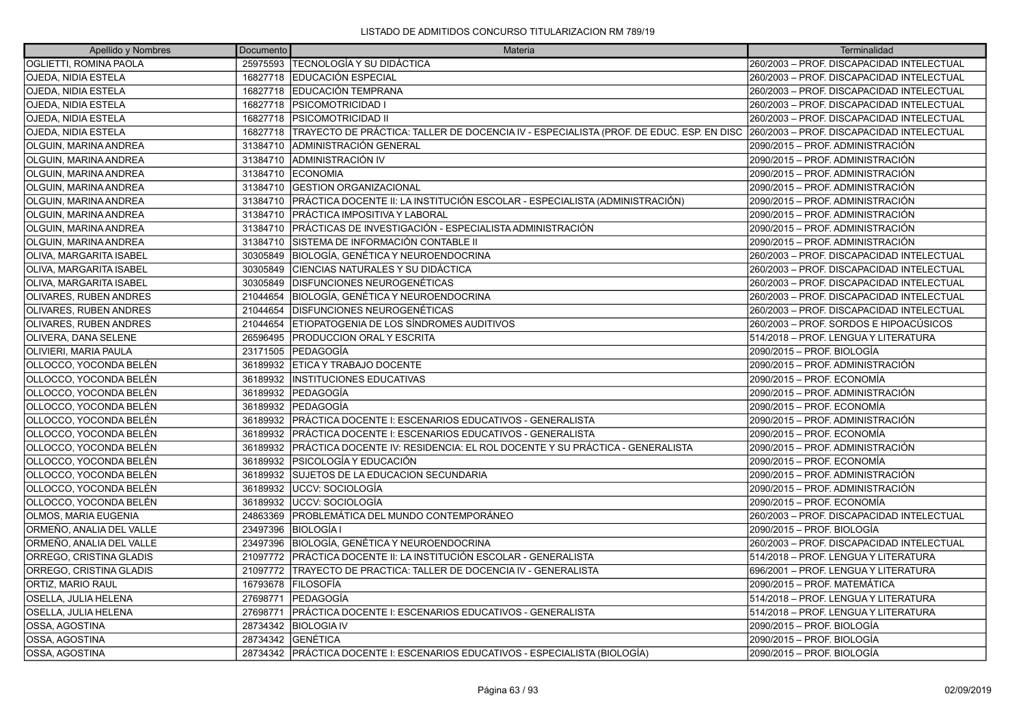| Apellido y Nombres             | Documento | Materia                                                                                 | Terminalidad                              |
|--------------------------------|-----------|-----------------------------------------------------------------------------------------|-------------------------------------------|
| <b>OGLIETTI, ROMINA PAOLA</b>  | 25975593  | <b>TECNOLOGÍA Y SU DIDÁCTICA</b>                                                        | 260/2003 - PROF. DISCAPACIDAD INTELECTUAL |
| <b>OJEDA, NIDIA ESTELA</b>     | 16827718  | EDUCACIÓN ESPECIAL                                                                      | 260/2003 - PROF. DISCAPACIDAD INTELECTUAL |
| <b>OJEDA, NIDIA ESTELA</b>     |           | 16827718 EDUCACIÓN TEMPRANA                                                             | 260/2003 - PROF. DISCAPACIDAD INTELECTUAL |
| <b>OJEDA, NIDIA ESTELA</b>     | 16827718  | <b>PSICOMOTRICIDAD I</b>                                                                | 260/2003 - PROF. DISCAPACIDAD INTELECTUAL |
| <b>OJEDA, NIDIA ESTELA</b>     | 16827718  | <b>PSICOMOTRICIDAD II</b>                                                               | 260/2003 - PROF. DISCAPACIDAD INTELECTUAL |
| <b>OJEDA, NIDIA ESTELA</b>     | 16827718  | TRAYECTO DE PRÁCTICA: TALLER DE DOCENCIA IV - ESPECIALISTA (PROF. DE EDUC. ESP. EN DISC | 260/2003 - PROF. DISCAPACIDAD INTELECTUAL |
| OLGUIN, MARINA ANDREA          | 31384710  | ADMINISTRACIÓN GENERAL                                                                  | 2090/2015 - PROF. ADMINISTRACIÓN          |
| OLGUIN, MARINA ANDREA          | 31384710  | ADMINISTRACIÓN IV                                                                       | 2090/2015 - PROF. ADMINISTRACIÓN          |
| OLGUIN, MARINA ANDREA          | 31384710  | <b>ECONOMIA</b>                                                                         | 2090/2015 - PROF. ADMINISTRACIÓN          |
| OLGUIN, MARINA ANDREA          | 31384710  | <b>GESTION ORGANIZACIONAL</b>                                                           | 2090/2015 - PROF. ADMINISTRACIÓN          |
| OLGUIN, MARINA ANDREA          | 31384710  | PRÁCTICA DOCENTE II: LA INSTITUCIÓN ESCOLAR - ESPECIALISTA (ADMINISTRACIÓN)             | 2090/2015 - PROF. ADMINISTRACIÓN          |
| OLGUIN, MARINA ANDREA          | 31384710  | <b>IPRÁCTICA IMPOSITIVA Y LABORAL</b>                                                   | 2090/2015 - PROF. ADMINISTRACIÓN          |
| OLGUIN, MARINA ANDREA          | 31384710  | IPRÁCTICAS DE INVESTIGACIÓN - ESPECIALISTA ADMINISTRACIÓN                               | 2090/2015 - PROF. ADMINISTRACIÓN          |
| <b>OLGUIN, MARINA ANDREA</b>   | 31384710  | SISTEMA DE INFORMACIÓN CONTABLE II                                                      | 2090/2015 - PROF. ADMINISTRACIÓN          |
| OLIVA, MARGARITA ISABEL        |           | 30305849 BIOLOGÍA, GENÉTICA Y NEUROENDOCRINA                                            | 260/2003 - PROF. DISCAPACIDAD INTELECTUAL |
| <b>OLIVA. MARGARITA ISABEL</b> | 30305849  | ÍCIENCIAS NATURALES Y SU DIDÁCTICA                                                      | 260/2003 - PROF. DISCAPACIDAD INTELECTUAL |
| <b>OLIVA, MARGARITA ISABEL</b> | 30305849  | <b>DISFUNCIONES NEUROGENÉTICAS</b>                                                      | 260/2003 - PROF. DISCAPACIDAD INTELECTUAL |
| <b>OLIVARES, RUBEN ANDRES</b>  | 21044654  | BIOLOGÍA, GENÉTICA Y NEUROENDOCRINA                                                     | 260/2003 - PROF. DISCAPACIDAD INTELECTUAL |
| <b>OLIVARES, RUBEN ANDRES</b>  | 21044654  | <b>DISFUNCIONES NEUROGENÉTICAS</b>                                                      | 260/2003 - PROF. DISCAPACIDAD INTELECTUAL |
| <b>OLIVARES, RUBEN ANDRES</b>  | 21044654  | ETIOPATOGENIA DE LOS SÍNDROMES AUDITIVOS                                                | 260/2003 - PROF. SORDOS E HIPOACÚSICOS    |
| OLIVERA, DANA SELENE           | 26596495  | <b>PRODUCCION ORAL Y ESCRITA</b>                                                        | 514/2018 - PROF. LENGUA Y LITERATURA      |
| <b>OLIVIERI, MARIA PAULA</b>   | 23171505  | <b>PEDAGOGÍA</b>                                                                        | 2090/2015 – PROF. BIOLOGÍA                |
| OLLOCCO, YOCONDA BELÉN         | 36189932  | <b>ETICA Y TRABAJO DOCENTE</b>                                                          | 2090/2015 - PROF. ADMINISTRACIÓN          |
| OLLOCCO, YOCONDA BELÉN         | 36189932  | <b>INSTITUCIONES EDUCATIVAS</b>                                                         | 2090/2015 - PROF. ECONOMÍA                |
| OLLOCCO, YOCONDA BELÉN         | 36189932  | PEDAGOGÍA                                                                               | 2090/2015 – PROF. ADMINISTRACIÓN          |
| OLLOCCO, YOCONDA BELÉN         | 36189932  | <b>IPEDAGOGÍA</b>                                                                       | 2090/2015 - PROF. ECONOMÍA                |
| OLLOCCO, YOCONDA BELÉN         |           | 36189932   PRÁCTICA DOCENTE I: ESCENARIOS EDUCATIVOS - GENERALISTA                      | 2090/2015 - PROF. ADMINISTRACIÓN          |
| OLLOCCO, YOCONDA BELÉN         | 36189932  | PRÁCTICA DOCENTE I: ESCENARIOS EDUCATIVOS - GENERALISTA                                 | 2090/2015 - PROF. ECONOMÍA                |
| OLLOCCO, YOCONDA BELÉN         | 36189932  | PRÁCTICA DOCENTE IV: RESIDENCIA: EL ROL DOCENTE Y SU PRÁCTICA - GENERALISTA             | 2090/2015 - PROF. ADMINISTRACIÓN          |
| OLLOCCO, YOCONDA BELÉN         | 36189932  | <b>IPSICOLOGÍA Y EDUCACIÓN</b>                                                          | 2090/2015 - PROF. ECONOMÍA                |
| OLLOCCO. YOCONDA BELÉN         | 36189932  | SUJETOS DE LA EDUCACION SECUNDARIA                                                      | 2090/2015 – PROF. ADMINISTRACIÓN          |
| OLLOCCO, YOCONDA BELÉN         | 36189932  | <b>JUCCV: SOCIOLOGÍA</b>                                                                | 2090/2015 - PROF. ADMINISTRACIÓN          |
| OLLOCCO, YOCONDA BELÉN         | 36189932  | <b>JUCCV: SOCIOLOGÍA</b>                                                                | 2090/2015 - PROF. ECONOMÍA                |
| <b>OLMOS, MARIA EUGENIA</b>    | 24863369  | <b>PROBLEMÁTICA DEL MUNDO CONTEMPORÁNEO</b>                                             | 260/2003 - PROF. DISCAPACIDAD INTELECTUAL |
| ORMEÑO, ANALIA DEL VALLE       | 23497396  | <b>BIOLOGÍA I</b>                                                                       | 2090/2015 - PROF. BIOLOGÍA                |
| ORMEÑO, ANALIA DEL VALLE       | 23497396  | BIOLOGÍA, GENÉTICA Y NEUROENDOCRINA                                                     | 260/2003 - PROF. DISCAPACIDAD INTELECTUAL |
| ORREGO, CRISTINA GLADIS        | 21097772  | PRÁCTICA DOCENTE II: LA INSTITUCIÓN ESCOLAR - GENERALISTA                               | 514/2018 - PROF. LENGUA Y LITERATURA      |
| ORREGO, CRISTINA GLADIS        | 21097772  | TRAYECTO DE PRACTICA: TALLER DE DOCENCIA IV - GENERALISTA                               | 696/2001 - PROF. LENGUA Y LITERATURA      |
| ORTIZ, MARIO RAUL              | 16793678  | FILOSOFÍA                                                                               | 2090/2015 - PROF. MATEMÁTICA              |
| <b>OSELLA, JULIA HELENA</b>    | 27698771  | <b>IPEDAGOGÍA</b>                                                                       | 514/2018 - PROF. LENGUA Y LITERATURA      |
| OSELLA, JULIA HELENA           | 27698771  | PRÁCTICA DOCENTE I: ESCENARIOS EDUCATIVOS - GENERALISTA                                 | 514/2018 - PROF. LENGUA Y LITERATURA      |
| OSSA, AGOSTINA                 | 28734342  | <b>BIOLOGIA IV</b>                                                                      | 2090/2015 - PROF. BIOLOGÍA                |
| OSSA, AGOSTINA                 | 28734342  | <b>GENÉTICA</b>                                                                         | 2090/2015 – PROF. BIOLOGÍA                |
| OSSA, AGOSTINA                 |           | 28734342 PRÁCTICA DOCENTE I: ESCENARIOS EDUCATIVOS - ESPECIALISTA (BIOLOGÍA)            | 2090/2015 - PROF. BIOLOGÍA                |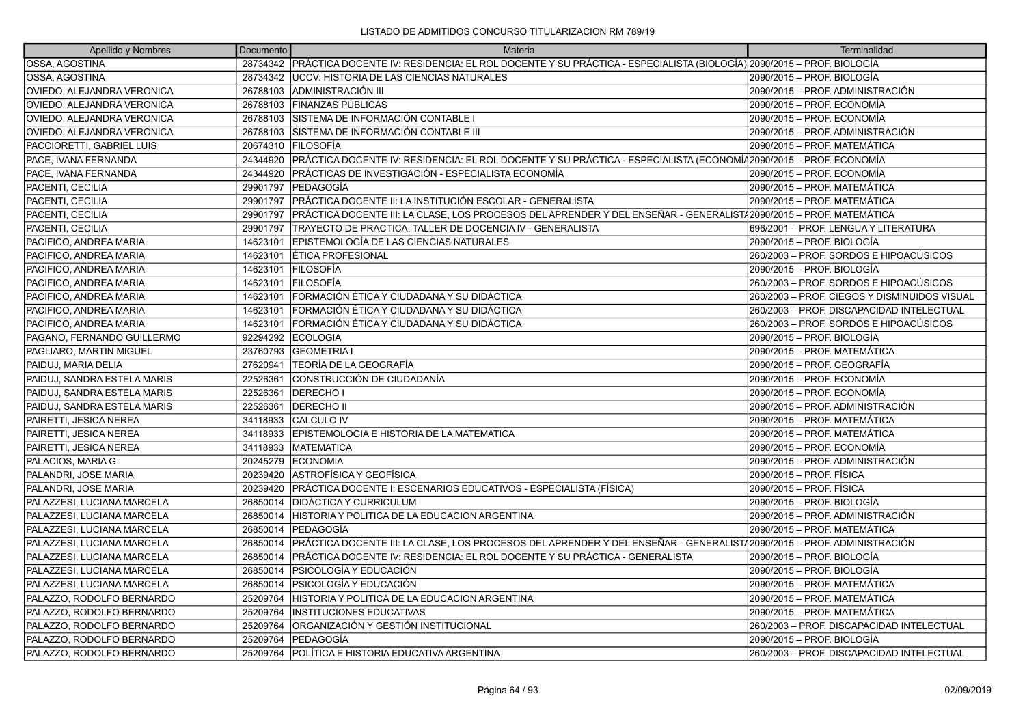| Apellido y Nombres          | Documento | Materia                                                                                                                     | Terminalidad                                 |
|-----------------------------|-----------|-----------------------------------------------------------------------------------------------------------------------------|----------------------------------------------|
| OSSA, AGOSTINA              |           | 28734342 PRÁCTICA DOCENTE IV: RESIDENCIA: EL ROL DOCENTE Y SU PRÁCTICA - ESPECIALISTA (BIOLOGÍA) 2090/2015 – PROF. BIOLOGÍA |                                              |
| OSSA, AGOSTINA              | 28734342  | <b>JUCCV: HISTORIA DE LAS CIENCIAS NATURALES</b>                                                                            | 2090/2015 – PROF. BIOLOGÍA                   |
| OVIEDO, ALEJANDRA VERONICA  | 26788103  | <b>JADMINISTRACIÓN III</b>                                                                                                  | 2090/2015 – PROF. ADMINISTRACIÓN             |
| OVIEDO, ALEJANDRA VERONICA  | 26788103  | FINANZAS PÚBLICAS                                                                                                           | 2090/2015 – PROF. ECONOMÍA                   |
| OVIEDO, ALEJANDRA VERONICA  | 26788103  | SISTEMA DE INFORMACIÓN CONTABLE I                                                                                           | 2090/2015 – PROF. ECONOMÍA                   |
| OVIEDO, ALEJANDRA VERONICA  | 26788103  | SISTEMA DE INFORMACIÓN CONTABLE III                                                                                         | 2090/2015 – PROF. ADMINISTRACIÓN             |
| PACCIORETTI, GABRIEL LUIS   | 20674310  | <b>FILOSOFÍA</b>                                                                                                            | 2090/2015 - PROF. MATEMÁTICA                 |
| PACE, IVANA FERNANDA        | 24344920  | PRÁCTICA DOCENTE IV: RESIDENCIA: EL ROL DOCENTE Y SU PRÁCTICA - ESPECIALISTA (ECONOMÍ42090/2015 – PROF. ECONOMÍA            |                                              |
| PACE, IVANA FERNANDA        | 24344920  | PRÁCTICAS DE INVESTIGACIÓN - ESPECIALISTA ECONOMÍA                                                                          | 2090/2015 – PROF. ECONOMÍA                   |
| <b>PACENTI, CECILIA</b>     | 29901797  | PEDAGOGÍA                                                                                                                   | 2090/2015 - PROF. MATEMÁTICA                 |
| PACENTI, CECILIA            | 29901797  | PRÁCTICA DOCENTE II: LA INSTITUCIÓN ESCOLAR - GENERALISTA                                                                   | 2090/2015 - PROF. MATEMÁTICA                 |
| PACENTI, CECILIA            | 29901797  | PRÁCTICA DOCENTE III: LA CLASE, LOS PROCESOS DEL APRENDER Y DEL ENSEÑAR - GENERALISTA 2090/2015 - PROF. MATEMÁTICA          |                                              |
| PACENTI, CECILIA            | 29901797  | TRAYECTO DE PRACTICA: TALLER DE DOCENCIA IV - GENERALISTA                                                                   | 696/2001 - PROF. LENGUA Y LITERATURA         |
| PACIFICO, ANDREA MARIA      | 14623101  | EPISTEMOLOGÍA DE LAS CIENCIAS NATURALES                                                                                     | 2090/2015 – PROF. BIOLOGÍA                   |
| PACIFICO, ANDREA MARIA      | 14623101  | <b>ÉTICA PROFESIONAL</b>                                                                                                    | 260/2003 – PROF. SORDOS E HIPOACÚSICOS       |
| PACIFICO, ANDREA MARIA      | 14623101  | <b>FILOSOFÍA</b>                                                                                                            | 2090/2015 - PROF. BIOLOGÍA                   |
| PACIFICO, ANDREA MARIA      | 14623101  | <b>FILOSOFÍA</b>                                                                                                            | 260/2003 – PROF. SORDOS E HIPOACÚSICOS       |
| PACIFICO, ANDREA MARIA      | 14623101  | ÍFORMACIÓN ÉTICA Y CIUDADANA Y SU DIDÁCTICA                                                                                 | 260/2003 - PROF. CIEGOS Y DISMINUIDOS VISUAL |
| PACIFICO, ANDREA MARIA      | 14623101  | FORMACIÓN ÉTICA Y CIUDADANA Y SU DIDÁCTICA                                                                                  | 260/2003 - PROF. DISCAPACIDAD INTELECTUAL    |
| PACIFICO, ANDREA MARIA      | 14623101  | FORMACIÓN ÉTICA Y CIUDADANA Y SU DIDÁCTICA                                                                                  | 260/2003 – PROF. SORDOS E HIPOACÚSICOS       |
| PAGANO, FERNANDO GUILLERMO  | 92294292  | <b>ECOLOGIA</b>                                                                                                             | 2090/2015 – PROF. BIOLOGÍA                   |
| PAGLIARO, MARTIN MIGUEL     | 23760793  | <b>GEOMETRIA I</b>                                                                                                          | 2090/2015 – PROF. MATEMÁTICA                 |
| PAIDUJ, MARIA DELIA         | 27620941  | TEORÍA DE LA GEOGRAFÍA                                                                                                      | 2090/2015 – PROF. GEOGRAFÍA                  |
| PAIDUJ, SANDRA ESTELA MARIS | 22526361  | CONSTRUCCIÓN DE CIUDADANÍA                                                                                                  | 2090/2015 – PROF. ECONOMÍA                   |
| PAIDUJ, SANDRA ESTELA MARIS | 22526361  | <b>DERECHOI</b>                                                                                                             | 2090/2015 – PROF. ECONOMÍA                   |
| PAIDUJ, SANDRA ESTELA MARIS | 22526361  | <b>DERECHO II</b>                                                                                                           | 2090/2015 – PROF. ADMINISTRACIÓN             |
| PAIRETTI, JESICA NEREA      | 34118933  | CALCULO IV                                                                                                                  | 2090/2015 - PROF. MATEMÁTICA                 |
| PAIRETTI, JESICA NEREA      | 34118933  | EPISTEMOLOGIA E HISTORIA DE LA MATEMATICA                                                                                   | 2090/2015 – PROF. MATEMÁTICA                 |
| PAIRETTI, JESICA NEREA      | 34118933  | <b>MATEMATICA</b>                                                                                                           | 2090/2015 – PROF. ECONOMÍA                   |
| PALACIOS, MARIA G           | 20245279  | <b>ECONOMIA</b>                                                                                                             | 2090/2015 – PROF. ADMINISTRACIÓN             |
| PALANDRI, JOSE MARIA        | 20239420  | IASTROFÍSICA Y GEOFÍSICA                                                                                                    | 2090/2015 - PROF. FÍSICA                     |
| PALANDRI, JOSE MARIA        | 20239420  | PRÁCTICA DOCENTE I: ESCENARIOS EDUCATIVOS - ESPECIALISTA (FÍSICA)                                                           | 2090/2015 – PROF. FÍSICA                     |
| PALAZZESI, LUCIANA MARCELA  | 26850014  | IDIDÁCTICA Y CURRICULUM                                                                                                     | 2090/2015 – PROF. BIOLOGÍA                   |
| PALAZZESI, LUCIANA MARCELA  | 26850014  | HISTORIA Y POLITICA DE LA EDUCACION ARGENTINA                                                                               | 2090/2015 – PROF. ADMINISTRACIÓN             |
| PALAZZESI, LUCIANA MARCELA  | 26850014  | <b> PEDAGOGÍA</b>                                                                                                           | 2090/2015 - PROF. MATEMÁTICA                 |
| PALAZZESI, LUCIANA MARCELA  | 26850014  | PRÁCTICA DOCENTE III: LA CLASE, LOS PROCESOS DEL APRENDER Y DEL ENSEÑAR - GENERALIST/2090/2015 – PROF. ADMINISTRACIÓN       |                                              |
| PALAZZESI, LUCIANA MARCELA  | 26850014  | PRÁCTICA DOCENTE IV: RESIDENCIA: EL ROL DOCENTE Y SU PRÁCTICA - GENERALISTA                                                 | 2090/2015 – PROF. BIOLOGÍA                   |
| PALAZZESI, LUCIANA MARCELA  | 26850014  | PSICOLOGÍA Y EDUCACIÓN                                                                                                      | 2090/2015 – PROF. BIOLOGÍA                   |
| PALAZZESI, LUCIANA MARCELA  | 26850014  | PSICOLOGÍA Y EDUCACIÓN                                                                                                      | 2090/2015 - PROF. MATEMÁTICA                 |
| PALAZZO, RODOLFO BERNARDO   | 25209764  | HISTORIA Y POLITICA DE LA EDUCACION ARGENTINA                                                                               | 2090/2015 – PROF. MATEMÁTICA                 |
| PALAZZO, RODOLFO BERNARDO   | 25209764  | <b>INSTITUCIONES EDUCATIVAS</b>                                                                                             | 2090/2015 – PROF. MATEMÁTICA                 |
| PALAZZO, RODOLFO BERNARDO   | 25209764  | ORGANIZACIÓN Y GESTIÓN INSTITUCIONAL                                                                                        | 260/2003 - PROF. DISCAPACIDAD INTELECTUAL    |
| PALAZZO, RODOLFO BERNARDO   | 25209764  | <b>PEDAGOGÍA</b>                                                                                                            | 2090/2015 – PROF. BIOLOGÍA                   |
| PALAZZO, RODOLFO BERNARDO   | 25209764  | POLÍTICA E HISTORIA EDUCATIVA ARGENTINA                                                                                     | 260/2003 – PROF. DISCAPACIDAD INTELECTUAL    |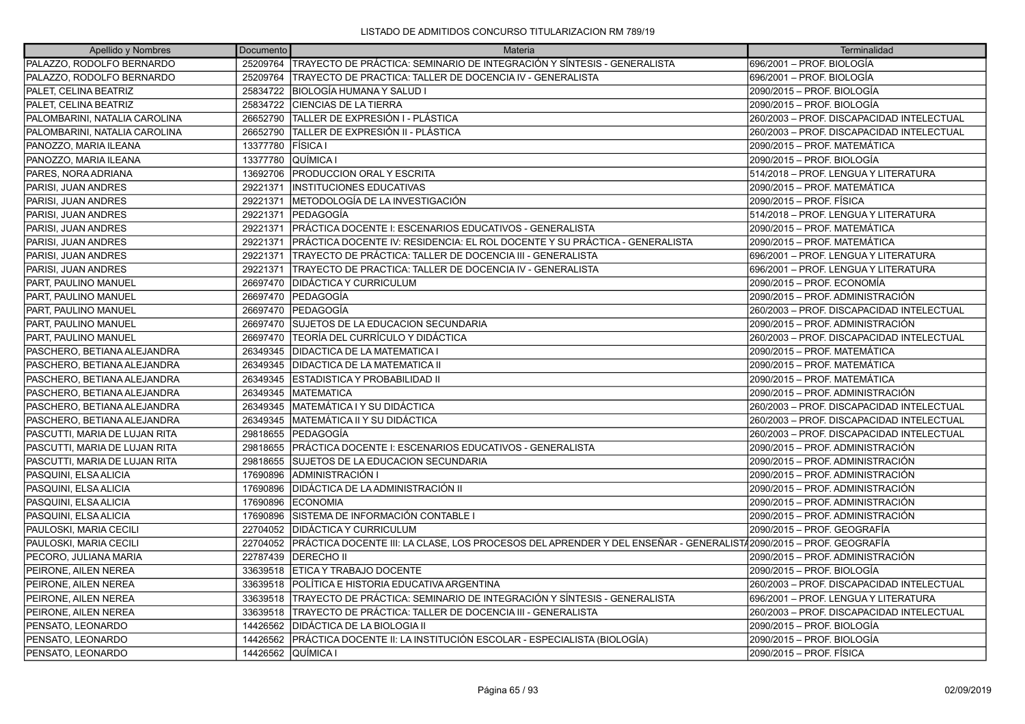| Apellido y Nombres            | Documento          | Materia                                                                                                          | Terminalidad                              |
|-------------------------------|--------------------|------------------------------------------------------------------------------------------------------------------|-------------------------------------------|
| PALAZZO, RODOLFO BERNARDO     |                    | 25209764 TRAYECTO DE PRÁCTICA: SEMINARIO DE INTEGRACIÓN Y SÍNTESIS - GENERALISTA                                 | 696/2001 - PROF. BIOLOGÍA                 |
| PALAZZO, RODOLFO BERNARDO     | 25209764           | TRAYECTO DE PRACTICA: TALLER DE DOCENCIA IV - GENERALISTA                                                        | 696/2001 - PROF. BIOLOGÍA                 |
| PALET, CELINA BEATRIZ         | 25834722           | <b>IBIOLOGÍA HUMANA Y SALUD I</b>                                                                                | 2090/2015 - PROF. BIOLOGÍA                |
| PALET, CELINA BEATRIZ         | 25834722           | <b>CIENCIAS DE LA TIERRA</b>                                                                                     | 2090/2015 - PROF. BIOLOGÍA                |
| PALOMBARINI, NATALIA CAROLINA | 26652790           | TALLER DE EXPRESIÓN I - PLÁSTICA                                                                                 | 260/2003 - PROF. DISCAPACIDAD INTELECTUAL |
| PALOMBARINI, NATALIA CAROLINA | 26652790           | ÍTALLER DE EXPRESIÓN II - PLÁSTICA                                                                               | 260/2003 - PROF. DISCAPACIDAD INTELECTUAL |
| PANOZZO, MARIA ILEANA         | 13377780           | <b>FÍSICA</b> I                                                                                                  | 2090/2015 – PROF. MATEMÁTICA              |
| PANOZZO, MARIA ILEANA         | 13377780           | <b>QUÍMICA I</b>                                                                                                 | 2090/2015 - PROF. BIOLOGÍA                |
| PARES, NORA ADRIANA           | 13692706           | <b>PRODUCCION ORAL Y ESCRITA</b>                                                                                 | 514/2018 – PROF. LENGUA Y LITERATURA      |
| PARISI, JUAN ANDRES           | 29221371           | <b>INSTITUCIONES EDUCATIVAS</b>                                                                                  | 2090/2015 - PROF. MATEMÁTICA              |
| PARISI, JUAN ANDRES           | 29221371           | METODOLOGÍA DE LA INVESTIGACIÓN                                                                                  | 2090/2015 - PROF. FÍSICA                  |
| PARISI, JUAN ANDRES           | 29221371           | <b>IPEDAGOGÍA</b>                                                                                                | 514/2018 - PROF. LENGUA Y LITERATURA      |
| PARISI, JUAN ANDRES           | 29221371           | PRÁCTICA DOCENTE I: ESCENARIOS EDUCATIVOS - GENERALISTA                                                          | 2090/2015 - PROF. MATEMÁTICA              |
| PARISI, JUAN ANDRES           | 29221371           | PRÁCTICA DOCENTE IV: RESIDENCIA: EL ROL DOCENTE Y SU PRÁCTICA - GENERALISTA                                      | 2090/2015 - PROF. MATEMÁTICA              |
| PARISI, JUAN ANDRES           | 29221371           | TRAYECTO DE PRÁCTICA: TALLER DE DOCENCIA III - GENERALISTA                                                       | 696/2001 – PROF. LENGUA Y LITERATURA      |
| PARISI, JUAN ANDRES           | 29221371           | TRAYECTO DE PRACTICA: TALLER DE DOCENCIA IV - GENERALISTA                                                        | 696/2001 - PROF. LENGUA Y LITERATURA      |
| PART, PAULINO MANUEL          | 26697470           | <b>DIDÁCTICA Y CURRICULUM</b>                                                                                    | 2090/2015 - PROF. ECONOMÍA                |
| PART. PAULINO MANUEL          | 26697470           | <b>IPEDAGOGÍA</b>                                                                                                | 2090/2015 - PROF. ADMINISTRACIÓN          |
| PART, PAULINO MANUEL          | 26697470           | <b>PEDAGOGÍA</b>                                                                                                 | 260/2003 - PROF. DISCAPACIDAD INTELECTUAL |
| PART, PAULINO MANUEL          | 26697470           | <b>SUJETOS DE LA EDUCACION SECUNDARIA</b>                                                                        | 2090/2015 - PROF. ADMINISTRACIÓN          |
| PART, PAULINO MANUEL          | 26697470           | <b>TEORÍA DEL CURRÍCULO Y DIDÁCTICA</b>                                                                          | 260/2003 - PROF. DISCAPACIDAD INTELECTUAL |
| PASCHERO, BETIANA ALEJANDRA   | 26349345           | <b>DIDACTICA DE LA MATEMATICA I</b>                                                                              | 2090/2015 - PROF. MATEMÁTICA              |
| PASCHERO, BETIANA ALEJANDRA   | 26349345           | <b>DIDACTICA DE LA MATEMATICA II</b>                                                                             | 2090/2015 - PROF. MATEMÁTICA              |
| PASCHERO, BETIANA ALEJANDRA   | 26349345           | ESTADISTICA Y PROBABILIDAD II                                                                                    | 2090/2015 – PROF. MATEMÁTICA              |
| PASCHERO, BETIANA ALEJANDRA   | 26349345           | <b>MATEMATICA</b>                                                                                                | 2090/2015 - PROF. ADMINISTRACIÓN          |
| PASCHERO, BETIANA ALEJANDRA   | 26349345           | MATEMÁTICA I Y SU DIDÁCTICA                                                                                      | 260/2003 - PROF. DISCAPACIDAD INTELECTUAL |
| PASCHERO, BETIANA ALEJANDRA   | 26349345           | <b>IMATEMÁTICA II Y SU DIDÁCTICA</b>                                                                             | 260/2003 - PROF. DISCAPACIDAD INTELECTUAL |
| PASCUTTI, MARIA DE LUJAN RITA | 29818655           | <b>PEDAGOGÍA</b>                                                                                                 | 260/2003 - PROF. DISCAPACIDAD INTELECTUAL |
| PASCUTTI, MARIA DE LUJAN RITA | 29818655           | PRÁCTICA DOCENTE I: ESCENARIOS EDUCATIVOS - GENERALISTA                                                          | 2090/2015 - PROF. ADMINISTRACIÓN          |
| PASCUTTI, MARIA DE LUJAN RITA | 29818655           | <b>SUJETOS DE LA EDUCACION SECUNDARIA</b>                                                                        | 2090/2015 - PROF. ADMINISTRACIÓN          |
| PASQUINI, ELSA ALICIA         | 17690896           | ADMINISTRACIÓN I                                                                                                 | 2090/2015 - PROF. ADMINISTRACIÓN          |
| PASQUINI, ELSA ALICIA         | 17690896           | <b>DIDÁCTICA DE LA ADMINISTRACIÓN II</b>                                                                         | 2090/2015 - PROF. ADMINISTRACIÓN          |
| PASQUINI, ELSA ALICIA         | 17690896           | <b>ECONOMIA</b>                                                                                                  | 2090/2015 - PROF. ADMINISTRACIÓN          |
| PASQUINI, ELSA ALICIA         | 17690896           | SISTEMA DE INFORMACIÓN CONTABLE I                                                                                | 2090/2015 - PROF. ADMINISTRACIÓN          |
| PAULOSKI, MARIA CECILI        | 22704052           | <b>IDIDÁCTICA Y CURRICULUM</b>                                                                                   | 2090/2015 - PROF. GEOGRAFÍA               |
| PAULOSKI, MARIA CECILI        | 22704052           | PRÁCTICA DOCENTE III: LA CLASE, LOS PROCESOS DEL APRENDER Y DEL ENSEÑAR - GENERALIST42090/2015 – PROF. GEOGRAFÍA |                                           |
| PECORO, JULIANA MARIA         | 22787439           | <b>DERECHO II</b>                                                                                                | 2090/2015 - PROF. ADMINISTRACIÓN          |
| PEIRONE, AILEN NEREA          | 33639518           | ETICA Y TRABAJO DOCENTE                                                                                          | 2090/2015 – PROF. BIOLOGÍA                |
| PEIRONE, AILEN NEREA          | 33639518           | POLÍTICA E HISTORIA EDUCATIVA ARGENTINA                                                                          | 260/2003 - PROF. DISCAPACIDAD INTELECTUAL |
| PEIRONE, AILEN NEREA          | 33639518           | ITRAYECTO DE PRÁCTICA: SEMINARIO DE INTEGRACIÓN Y SÍNTESIS - GENERALISTA                                         | 696/2001 - PROF. LENGUA Y LITERATURA      |
| PEIRONE, AILEN NEREA          | 33639518           | TRAYECTO DE PRÁCTICA: TALLER DE DOCENCIA III - GENERALISTA                                                       | 260/2003 - PROF. DISCAPACIDAD INTELECTUAL |
| PENSATO, LEONARDO             | 14426562           | DIDÁCTICA DE LA BIOLOGIA II                                                                                      | 2090/2015 - PROF. BIOLOGÍA                |
| PENSATO, LEONARDO             | 14426562           | PRÁCTICA DOCENTE II: LA INSTITUCIÓN ESCOLAR - ESPECIALISTA (BIOLOGÍA)                                            | 2090/2015 - PROF. BIOLOGÍA                |
| PENSATO, LEONARDO             | 14426562 QUÍMICA I |                                                                                                                  | 2090/2015 - PROF. FÍSICA                  |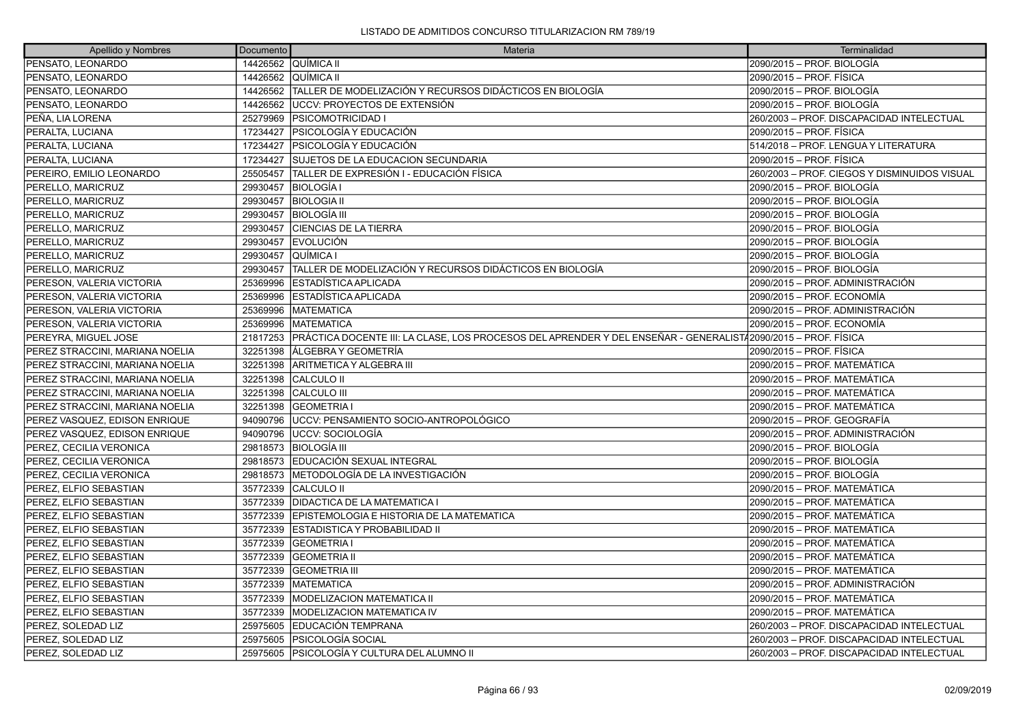| Apellido y Nombres              | Documento | Materia                                                                                                       | Terminalidad                                 |
|---------------------------------|-----------|---------------------------------------------------------------------------------------------------------------|----------------------------------------------|
| PENSATO, LEONARDO               |           | 14426562 QUÍMICA II                                                                                           | 2090/2015 - PROF. BIOLOGÍA                   |
| PENSATO, LEONARDO               |           | 14426562 QUÍMICA II                                                                                           | 2090/2015 - PROF. FÍSICA                     |
| PENSATO, LEONARDO               | 14426562  | TALLER DE MODELIZACIÓN Y RECURSOS DIDÁCTICOS EN BIOLOGÍA                                                      | 2090/2015 - PROF. BIOLOGÍA                   |
| PENSATO, LEONARDO               | 14426562  | <b>UCCV: PROYECTOS DE EXTENSIÓN</b>                                                                           | 2090/2015 - PROF. BIOLOGÍA                   |
| PEÑA, LIA LORENA                | 25279969  | <b>PSICOMOTRICIDAD I</b>                                                                                      | 260/2003 - PROF. DISCAPACIDAD INTELECTUAL    |
| PERALTA, LUCIANA                | 17234427  | PSICOLOGÍA Y EDUCACIÓN                                                                                        | 2090/2015 - PROF. FÍSICA                     |
| PERALTA, LUCIANA                | 17234427  | PSICOLOGÍA Y EDUCACIÓN                                                                                        | 514/2018 - PROF. LENGUA Y LITERATURA         |
| PERALTA, LUCIANA                | 17234427  | SUJETOS DE LA EDUCACION SECUNDARIA                                                                            | 2090/2015 - PROF. FÍSICA                     |
| PEREIRO, EMILIO LEONARDO        | 25505457  | TALLER DE EXPRESIÓN I - EDUCACIÓN FÍSICA                                                                      | 260/2003 - PROF. CIEGOS Y DISMINUIDOS VISUAL |
| PERELLO, MARICRUZ               | 29930457  | <b>BIOLOGÍA I</b>                                                                                             | 2090/2015 - PROF. BIOLOGÍA                   |
| PERELLO, MARICRUZ               | 29930457  | <b>BIOLOGIA II</b>                                                                                            | 2090/2015 - PROF. BIOLOGÍA                   |
| PERELLO, MARICRUZ               | 29930457  | <b>BIOLOGÍA III</b>                                                                                           | 2090/2015 - PROF. BIOLOGÍA                   |
| PERELLO, MARICRUZ               | 29930457  | <b>CIENCIAS DE LA TIERRA</b>                                                                                  | 2090/2015 - PROF. BIOLOGÍA                   |
| PERELLO, MARICRUZ               | 29930457  | <b>EVOLUCIÓN</b>                                                                                              | 2090/2015 - PROF. BIOLOGÍA                   |
| PERELLO, MARICRUZ               | 29930457  | <b>QUÍMICA I</b>                                                                                              | 2090/2015 - PROF. BIOLOGÍA                   |
| PERELLO, MARICRUZ               | 29930457  | TALLER DE MODELIZACIÓN Y RECURSOS DIDÁCTICOS EN BIOLOGÍA                                                      | 2090/2015 - PROF. BIOLOGÍA                   |
| PERESON, VALERIA VICTORIA       | 25369996  | <b>ESTADÍSTICA APLICADA</b>                                                                                   | 2090/2015 - PROF. ADMINISTRACIÓN             |
| PERESON, VALERIA VICTORIA       | 25369996  | ESTADÍSTICA APLICADA                                                                                          | 2090/2015 - PROF. ECONOMÍA                   |
| PERESON, VALERIA VICTORIA       | 25369996  | <b>MATEMATICA</b>                                                                                             | 2090/2015 - PROF. ADMINISTRACIÓN             |
| PERESON, VALERIA VICTORIA       | 25369996  | <b>MATEMATICA</b>                                                                                             | 2090/2015 - PROF. ECONOMÍA                   |
| PEREYRA, MIGUEL JOSE            | 21817253  | PRÁCTICA DOCENTE III: LA CLASE, LOS PROCESOS DEL APRENDER Y DEL ENSEÑAR - GENERALIST/2090/2015 – PROF. FÍSICA |                                              |
| PEREZ STRACCINI, MARIANA NOELIA | 32251398  | LÁLGEBRA Y GEOMETRÍA                                                                                          | 2090/2015 - PROF. FÍSICA                     |
| PEREZ STRACCINI, MARIANA NOELIA | 32251398  | ARITMETICA Y ALGEBRA III                                                                                      | 2090/2015 - PROF. MATEMÁTICA                 |
| PEREZ STRACCINI, MARIANA NOELIA |           | 32251398 CALCULO II                                                                                           | 2090/2015 - PROF. MATEMÁTICA                 |
| PEREZ STRACCINI, MARIANA NOELIA | 32251398  | <b>CALCULO III</b>                                                                                            | 2090/2015 - PROF. MATEMÁTICA                 |
| PEREZ STRACCINI, MARIANA NOELIA | 32251398  | <b>GEOMETRIA I</b>                                                                                            | 2090/2015 - PROF. MATEMÁTICA                 |
| PEREZ VASQUEZ, EDISON ENRIQUE   |           | 94090796   UCCV: PENSAMIENTO SOCIO-ANTROPOLÓGICO                                                              | 2090/2015 - PROF. GEOGRAFÍA                  |
| PEREZ VASQUEZ, EDISON ENRIQUE   | 94090796  | luccv: socioLogía                                                                                             | 2090/2015 – PROF. ADMINISTRACIÓN             |
| PEREZ, CECILIA VERONICA         |           | 29818573 BIOLOGÍA III                                                                                         | 2090/2015 - PROF. BIOLOGÍA                   |
| PEREZ, CECILIA VERONICA         | 29818573  | EDUCACIÓN SEXUAL INTEGRAL                                                                                     | 2090/2015 - PROF. BIOLOGÍA                   |
| PEREZ. CECILIA VERONICA         | 29818573  | IMETODOLOGÍA DE LA INVESTIGACIÓN                                                                              | 2090/2015 - PROF. BIOLOGÍA                   |
| PEREZ, ELFIO SEBASTIAN          | 35772339  | <b>CALCULO II</b>                                                                                             | 2090/2015 - PROF. MATEMÁTICA                 |
| PEREZ, ELFIO SEBASTIAN          |           | 35772339   DIDACTICA DE LA MATEMATICA I                                                                       | 2090/2015 - PROF. MATEMÁTICA                 |
| PEREZ. ELFIO SEBASTIAN          | 35772339  | IEPISTEMOLOGIA E HISTORIA DE LA MATEMATICA                                                                    | 2090/2015 - PROF. MATEMÁTICA                 |
| PEREZ, ELFIO SEBASTIAN          | 35772339  | <b>ESTADISTICA Y PROBABILIDAD II</b>                                                                          | 2090/2015 - PROF. MATEMÁTICA                 |
| PEREZ, ELFIO SEBASTIAN          | 35772339  | <b>GEOMETRIA</b>                                                                                              | 2090/2015 - PROF. MATEMÁTICA                 |
| PEREZ. ELFIO SEBASTIAN          | 35772339  | <b>GEOMETRIA II</b>                                                                                           | 2090/2015 - PROF. MATEMÁTICA                 |
| PEREZ, ELFIO SEBASTIAN          | 35772339  | <b>GEOMETRIA III</b>                                                                                          | 2090/2015 - PROF. MATEMÁTICA                 |
| PEREZ, ELFIO SEBASTIAN          | 35772339  | <b>IMATEMATICA</b>                                                                                            | 2090/2015 - PROF. ADMINISTRACIÓN             |
| PEREZ, ELFIO SEBASTIAN          | 35772339  | IMODELIZACION MATEMATICA II                                                                                   | 2090/2015 - PROF. MATEMÁTICA                 |
| PEREZ, ELFIO SEBASTIAN          | 35772339  | <b>MODELIZACION MATEMATICA IV</b>                                                                             | 2090/2015 - PROF. MATEMÁTICA                 |
| PEREZ, SOLEDAD LIZ              | 25975605  | <b>EDUCACIÓN TEMPRANA</b>                                                                                     | 260/2003 - PROF. DISCAPACIDAD INTELECTUAL    |
| PEREZ, SOLEDAD LIZ              | 25975605  | IPSICOLOGÍA SOCIAL                                                                                            | 260/2003 - PROF. DISCAPACIDAD INTELECTUAL    |
| PEREZ, SOLEDAD LIZ              |           | 25975605   PSICOLOGÍA Y CULTURA DEL ALUMNO II                                                                 | 260/2003 - PROF. DISCAPACIDAD INTELECTUAL    |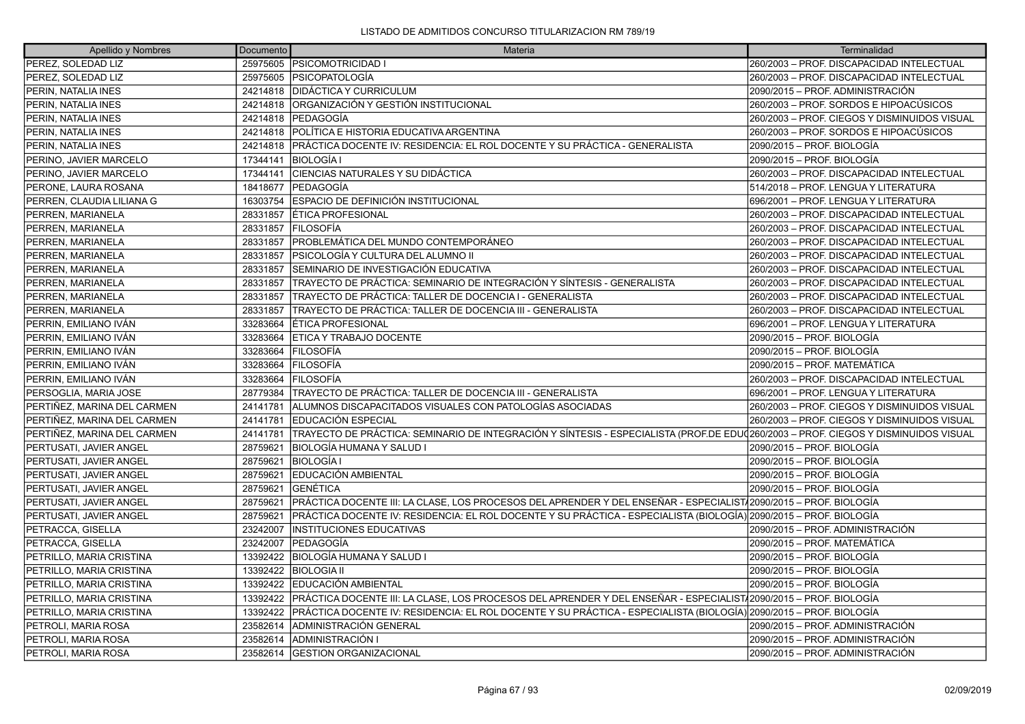| Apellido y Nombres          | Documento | Materia                                                                                                                                    | Terminalidad                                 |
|-----------------------------|-----------|--------------------------------------------------------------------------------------------------------------------------------------------|----------------------------------------------|
| PEREZ, SOLEDAD LIZ          |           | 25975605   PSICOMOTRICIDAD I                                                                                                               | 260/2003 - PROF. DISCAPACIDAD INTELECTUAL    |
| PEREZ, SOLEDAD LIZ          |           | 25975605 PSICOPATOLOGÍA                                                                                                                    | 260/2003 - PROF. DISCAPACIDAD INTELECTUAL    |
| PERIN, NATALIA INES         |           | 24214818   DIDÁCTICA Y CURRICULUM                                                                                                          | 2090/2015 – PROF. ADMINISTRACIÓN             |
| PERIN, NATALIA INES         | 24214818  | ORGANIZACIÓN Y GESTIÓN INSTITUCIONAL                                                                                                       | 260/2003 - PROF. SORDOS E HIPOACÚSICOS       |
| PERIN, NATALIA INES         | 24214818  | <b>IPEDAGOGÍA</b>                                                                                                                          | 260/2003 - PROF. CIEGOS Y DISMINUIDOS VISUAL |
| PERIN, NATALIA INES         | 24214818  | POLÍTICA E HISTORIA EDUCATIVA ARGENTINA                                                                                                    | 260/2003 – PROF. SORDOS E HIPOACÚSICOS       |
| PERIN, NATALIA INES         | 24214818  | PRÁCTICA DOCENTE IV: RESIDENCIA: EL ROL DOCENTE Y SU PRÁCTICA - GENERALISTA                                                                | 2090/2015 – PROF. BIOLOGÍA                   |
| PERINO, JAVIER MARCELO      | 17344141  | <b>BIOLOGÍA I</b>                                                                                                                          | 2090/2015 – PROF. BIOLOGÍA                   |
| PERINO, JAVIER MARCELO      | 17344141  | <b>CENCIAS NATURALES Y SU DIDÁCTICA</b>                                                                                                    | 260/2003 - PROF. DISCAPACIDAD INTELECTUAL    |
| PERONE, LAURA ROSANA        | 18418677  | <b>PEDAGOGIA</b>                                                                                                                           | 514/2018 - PROF. LENGUA Y LITERATURA         |
| PERREN, CLAUDIA LILIANA G   | 16303754  | ESPACIO DE DEFINICIÓN INSTITUCIONAL                                                                                                        | 696/2001 - PROF. LENGUA Y LITERATURA         |
| PERREN, MARIANELA           | 28331857  | <b>ÉTICA PROFESIONAL</b>                                                                                                                   | 260/2003 - PROF. DISCAPACIDAD INTELECTUAL    |
| PERREN, MARIANELA           | 28331857  | <b>FILOSOFÍA</b>                                                                                                                           | 260/2003 - PROF. DISCAPACIDAD INTELECTUAL    |
| PERREN, MARIANELA           | 28331857  | IPROBLEMÁTICA DEL MUNDO CONTEMPORÁNEO                                                                                                      | 260/2003 - PROF. DISCAPACIDAD INTELECTUAL    |
| PERREN, MARIANELA           | 28331857  | PSICOLOGÍA Y CULTURA DEL ALUMNO II                                                                                                         | 260/2003 - PROF. DISCAPACIDAD INTELECTUAL    |
| PERREN, MARIANELA           | 28331857  | SEMINARIO DE INVESTIGACIÓN EDUCATIVA                                                                                                       | 260/2003 - PROF. DISCAPACIDAD INTELECTUAL    |
| PERREN, MARIANELA           | 28331857  | TRAYECTO DE PRÁCTICA: SEMINARIO DE INTEGRACIÓN Y SÍNTESIS - GENERALISTA                                                                    | 260/2003 - PROF. DISCAPACIDAD INTELECTUAL    |
| PERREN, MARIANELA           | 28331857  | TRAYECTO DE PRÁCTICA: TALLER DE DOCENCIA I - GENERALISTA                                                                                   | 260/2003 - PROF. DISCAPACIDAD INTELECTUAL    |
| PERREN, MARIANELA           | 28331857  | TRAYECTO DE PRÁCTICA: TALLER DE DOCENCIA III - GENERALISTA                                                                                 | 260/2003 - PROF. DISCAPACIDAD INTELECTUAL    |
| PERRIN, EMILIANO IVÁN       | 33283664  | <b>ÉTICA PROFESIONAL</b>                                                                                                                   | 696/2001 - PROF. LENGUA Y LITERATURA         |
| PERRIN, EMILIANO IVÁN       | 33283664  | <b>ETICA Y TRABAJO DOCENTE</b>                                                                                                             | 2090/2015 – PROF. BIOLOGÍA                   |
| PERRIN, EMILIANO IVÁN       | 33283664  | <b>FILOSOFÍA</b>                                                                                                                           | 2090/2015 – PROF. BIOLOGÍA                   |
| PERRIN, EMILIANO IVÁN       | 33283664  | <b>FILOSOFÍA</b>                                                                                                                           | 2090/2015 – PROF. MATEMÁTICA                 |
| PERRIN, EMILIANO IVÁN       | 33283664  | <b>IFILOSOFÍA</b>                                                                                                                          | 260/2003 - PROF. DISCAPACIDAD INTELECTUAL    |
| PERSOGLIA, MARIA JOSE       | 28779384  | TRAYECTO DE PRÁCTICA: TALLER DE DOCENCIA III - GENERALISTA                                                                                 | 696/2001 – PROF. LENGUA Y LITERATURA         |
| PERTIÑEZ. MARINA DEL CARMEN | 24141781  | ALUMNOS DISCAPACITADOS VISUALES CON PATOLOGÍAS ASOCIADAS                                                                                   | 260/2003 - PROF. CIEGOS Y DISMINUIDOS VISUAL |
| PERTIÑEZ, MARINA DEL CARMEN | 24141781  | EDUCACIÓN ESPECIAL                                                                                                                         | 260/2003 - PROF. CIEGOS Y DISMINUIDOS VISUAL |
| PERTIÑEZ, MARINA DEL CARMEN | 24141781  | TRAYECTO DE PRÁCTICA: SEMINARIO DE INTEGRACIÓN Y SÍNTESIS - ESPECIALISTA (PROF.DE EDU $\rm 1$ 200/2003 – PROF. CIEGOS Y DISMINUIDOS VISUAL |                                              |
| PERTUSATI. JAVIER ANGEL     | 28759621  | IBIOLOGÍA HUMANA Y SALUD I                                                                                                                 | 2090/2015 – PROF. BIOLOGÍA                   |
| PERTUSATI, JAVIER ANGEL     | 28759621  | <b>BIOLOGÍA I</b>                                                                                                                          | 2090/2015 – PROF. BIOLOGÍA                   |
| PERTUSATI, JAVIER ANGEL     | 28759621  | EDUCACIÓN AMBIENTAL                                                                                                                        | 2090/2015 – PROF. BIOLOGÍA                   |
| PERTUSATI, JAVIER ANGEL     | 28759621  | <b>GENÉTICA</b>                                                                                                                            | 2090/2015 – PROF. BIOLOGÍA                   |
| PERTUSATI, JAVIER ANGEL     | 28759621  | PRÁCTICA DOCENTE III: LA CLASE, LOS PROCESOS DEL APRENDER Y DEL ENSEÑAR - ESPECIALIST√2090/2015 – PROF. BIOLOGÍA                           |                                              |
| PERTUSATI, JAVIER ANGEL     | 28759621  | PRÁCTICA DOCENTE IV: RESIDENCIA: EL ROL DOCENTE Y SU PRÁCTICA - ESPECIALISTA (BIOLOGÍA) 2090/2015 – PROF. BIOLOGÍA                         |                                              |
| PETRACCA, GISELLA           | 23242007  | <b>INSTITUCIONES EDUCATIVAS</b>                                                                                                            | 2090/2015 – PROF. ADMINISTRACIÓN             |
| PETRACCA, GISELLA           | 23242007  | <b>IPEDAGOGÍA</b>                                                                                                                          | 2090/2015 - PROF. MATEMÁTICA                 |
| PETRILLO, MARIA CRISTINA    | 13392422  | BIOLOGÍA HUMANA Y SALUD I                                                                                                                  | 2090/2015 – PROF. BIOLOGÍA                   |
| PETRILLO, MARIA CRISTINA    | 13392422  | <b>BIOLOGIA II</b>                                                                                                                         | 2090/2015 – PROF. BIOLOGÍA                   |
| PETRILLO, MARIA CRISTINA    | 13392422  | <b>EDUCACIÓN AMBIENTAL</b>                                                                                                                 | 2090/2015 – PROF. BIOLOGÍA                   |
| PETRILLO, MARIA CRISTINA    | 13392422  | PRÁCTICA DOCENTE III: LA CLASE, LOS PROCESOS DEL APRENDER Y DEL ENSEÑAR - ESPECIALIST√2090/2015 – PROF. BIOLOGÍA                           |                                              |
| PETRILLO, MARIA CRISTINA    | 13392422  | PRÁCTICA DOCENTE IV: RESIDENCIA: EL ROL DOCENTE Y SU PRÁCTICA - ESPECIALISTA (BIOLOGÍA) 2090/2015 – PROF. BIOLOGÍA                         |                                              |
| PETROLI, MARIA ROSA         | 23582614  | ADMINISTRACIÓN GENERAL                                                                                                                     | 2090/2015 - PROF. ADMINISTRACIÓN             |
| PETROLI, MARIA ROSA         | 23582614  | ADMINISTRACIÓN I                                                                                                                           | 2090/2015 – PROF. ADMINISTRACIÓN             |
| PETROLI. MARIA ROSA         | 23582614  | <b>IGESTION ORGANIZACIONAL</b>                                                                                                             | 2090/2015 – PROF. ADMINISTRACIÓN             |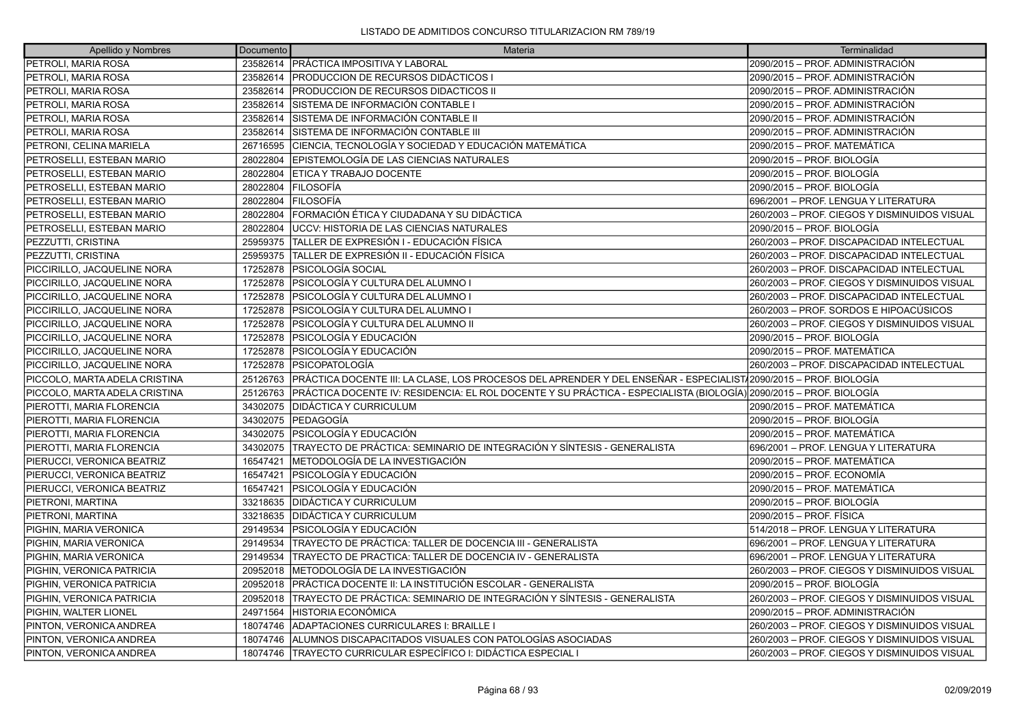| Apellido y Nombres            | Documento | Materia                                                                                                            | Terminalidad                                 |
|-------------------------------|-----------|--------------------------------------------------------------------------------------------------------------------|----------------------------------------------|
| PETROLI, MARIA ROSA           |           | 23582614   PRÁCTICA IMPOSITIVA Y LABORAL                                                                           | 2090/2015 - PROF. ADMINISTRACIÓN             |
| PETROLI, MARIA ROSA           |           | 23582614 PRODUCCION DE RECURSOS DIDÁCTICOS I                                                                       | 2090/2015 - PROF. ADMINISTRACIÓN             |
| PETROLI, MARIA ROSA           |           | 23582614 PRODUCCION DE RECURSOS DIDACTICOS II                                                                      | 2090/2015 - PROF. ADMINISTRACIÓN             |
| PETROLI, MARIA ROSA           | 23582614  | SISTEMA DE INFORMACIÓN CONTABLE I                                                                                  | 2090/2015 - PROF. ADMINISTRACIÓN             |
| PETROLI, MARIA ROSA           | 23582614  | SISTEMA DE INFORMACIÓN CONTABLE II                                                                                 | 2090/2015 - PROF. ADMINISTRACIÓN             |
| PETROLI, MARIA ROSA           | 23582614  | SISTEMA DE INFORMACIÓN CONTABLE III                                                                                | 2090/2015 - PROF. ADMINISTRACIÓN             |
| PETRONI, CELINA MARIELA       | 26716595  | CIENCIA, TECNOLOGÍA Y SOCIEDAD Y EDUCACIÓN MATEMÁTICA                                                              | 2090/2015 – PROF. MATEMÁTICA                 |
| PETROSELLI, ESTEBAN MARIO     | 28022804  | EPISTEMOLOGÍA DE LAS CIENCIAS NATURALES                                                                            | 2090/2015 - PROF. BIOLOGÍA                   |
| PETROSELLI, ESTEBAN MARIO     | 28022804  | <b>IETICA Y TRABAJO DOCENTE</b>                                                                                    | 2090/2015 - PROF. BIOLOGÍA                   |
| PETROSELLI, ESTEBAN MARIO     | 28022804  | <b>FILOSOFÍA</b>                                                                                                   | 2090/2015 - PROF. BIOLOGÍA                   |
| PETROSELLI, ESTEBAN MARIO     | 28022804  | <b>FILOSOFÍA</b>                                                                                                   | 696/2001 - PROF. LENGUA Y LITERATURA         |
| PETROSELLI, ESTEBAN MARIO     | 28022804  | FORMACIÓN ÉTICA Y CIUDADANA Y SU DIDÁCTICA                                                                         | 260/2003 - PROF. CIEGOS Y DISMINUIDOS VISUAL |
| PETROSELLI, ESTEBAN MARIO     | 28022804  | UCCV: HISTORIA DE LAS CIENCIAS NATURALES                                                                           | 2090/2015 - PROF. BIOLOGÍA                   |
| PEZZUTTI, CRISTINA            | 25959375  | TALLER DE EXPRESIÓN I - EDUCACIÓN FÍSICA                                                                           | 260/2003 - PROF. DISCAPACIDAD INTELECTUAL    |
| PEZZUTTI, CRISTINA            | 25959375  | TALLER DE EXPRESIÓN II - EDUCACIÓN FÍSICA                                                                          | 260/2003 - PROF. DISCAPACIDAD INTELECTUAL    |
| PICCIRILLO, JACQUELINE NORA   | 17252878  | PSICOLOGÍA SOCIAL                                                                                                  | 260/2003 - PROF. DISCAPACIDAD INTELECTUAL    |
| PICCIRILLO, JACQUELINE NORA   | 17252878  | PSICOLOGÍA Y CULTURA DEL ALUMNO I                                                                                  | 260/2003 - PROF. CIEGOS Y DISMINUIDOS VISUAL |
| PICCIRILLO, JACQUELINE NORA   | 17252878  | PSICOLOGÍA Y CULTURA DEL ALUMNO I                                                                                  | 260/2003 - PROF. DISCAPACIDAD INTELECTUAL    |
| PICCIRILLO, JACQUELINE NORA   | 17252878  | PSICOLOGÍA Y CULTURA DEL ALUMNO I                                                                                  | 260/2003 – PROF. SORDOS E HIPOACÚSICOS       |
| PICCIRILLO, JACQUELINE NORA   | 17252878  | PSICOLOGÍA Y CULTURA DEL ALUMNO II                                                                                 | 260/2003 - PROF. CIEGOS Y DISMINUIDOS VISUAL |
| PICCIRILLO, JACQUELINE NORA   | 17252878  | <b>PSICOLOGÍA Y EDUCACIÓN</b>                                                                                      | 2090/2015 – PROF. BIOLOGÍA                   |
| PICCIRILLO, JACQUELINE NORA   | 17252878  | PSICOLOGÍA Y EDUCACIÓN                                                                                             | 2090/2015 – PROF. MATEMÁTICA                 |
| PICCIRILLO, JACQUELINE NORA   | 17252878  | <b>PSICOPATOLOGÍA</b>                                                                                              | 260/2003 - PROF. DISCAPACIDAD INTELECTUAL    |
| PICCOLO, MARTA ADELA CRISTINA | 25126763  | PRÁCTICA DOCENTE III: LA CLASE, LOS PROCESOS DEL APRENDER Y DEL ENSEÑAR - ESPECIALIST/2090/2015 – PROF. BIOLOGÍA   |                                              |
| PICCOLO, MARTA ADELA CRISTINA | 25126763  | PRÁCTICA DOCENTE IV: RESIDENCIA: EL ROL DOCENTE Y SU PRÁCTICA - ESPECIALISTA (BIOLOGÍA) 2090/2015 – PROF. BIOLOGÍA |                                              |
| PIEROTTI, MARIA FLORENCIA     | 34302075  | <b>DIDÁCTICA Y CURRICULUM</b>                                                                                      | 2090/2015 - PROF. MATEMÁTICA                 |
| PIEROTTI, MARIA FLORENCIA     |           | 34302075 PEDAGOGÍA                                                                                                 | 2090/2015 – PROF. BIOLOGÍA                   |
| PIEROTTI, MARIA FLORENCIA     | 34302075  | PSICOLOGÍA Y EDUCACIÓN                                                                                             | 2090/2015 – PROF. MATEMÁTICA                 |
| PIEROTTI, MARIA FLORENCIA     | 34302075  | TRAYECTO DE PRÁCTICA: SEMINARIO DE INTEGRACIÓN Y SÍNTESIS - GENERALISTA                                            | 696/2001 - PROF. LENGUA Y LITERATURA         |
| PIERUCCI, VERONICA BEATRIZ    | 16547421  | METODOLOGÍA DE LA INVESTIGACIÓN                                                                                    | 2090/2015 - PROF. MATEMÁTICA                 |
| PIERUCCI, VERONICA BEATRIZ    | 16547421  | PSICOLOGÍA Y EDUCACIÓN                                                                                             | 2090/2015 - PROF. ECONOMÍA                   |
| PIERUCCI, VERONICA BEATRIZ    | 16547421  | PSICOLOGÍA Y EDUCACIÓN                                                                                             | 2090/2015 – PROF. MATEMÁTICA                 |
| PIETRONI, MARTINA             | 33218635  | <b>DIDÁCTICA Y CURRICULUM</b>                                                                                      | 2090/2015 – PROF. BIOLOGÍA                   |
| PIETRONI, MARTINA             | 33218635  | DIDÁCTICA Y CURRICULUM                                                                                             | 2090/2015 - PROF. FÍSICA                     |
| PIGHIN, MARIA VERONICA        | 29149534  | PSICOLOGÍA Y EDUCACIÓN                                                                                             | 514/2018 - PROF. LENGUA Y LITERATURA         |
| PIGHIN, MARIA VERONICA        | 29149534  | TRAYECTO DE PRÁCTICA: TALLER DE DOCENCIA III - GENERALISTA                                                         | 696/2001 – PROF. LENGUA Y LITERATURA         |
| PIGHIN, MARIA VERONICA        | 29149534  | TRAYECTO DE PRACTICA: TALLER DE DOCENCIA IV - GENERALISTA                                                          | 696/2001 - PROF. LENGUA Y LITERATURA         |
| PIGHIN, VERONICA PATRICIA     | 20952018  | METODOLOGÍA DE LA INVESTIGACIÓN                                                                                    | 260/2003 - PROF. CIEGOS Y DISMINUIDOS VISUAL |
| PIGHIN, VERONICA PATRICIA     | 20952018  | PRÁCTICA DOCENTE II: LA INSTITUCIÓN ESCOLAR - GENERALISTA                                                          | 2090/2015 - PROF. BIOLOGÍA                   |
| PIGHIN, VERONICA PATRICIA     | 20952018  | TRAYECTO DE PRÁCTICA: SEMINARIO DE INTEGRACIÓN Y SÍNTESIS - GENERALISTA                                            | 260/2003 - PROF. CIEGOS Y DISMINUIDOS VISUAL |
| PIGHIN, WALTER LIONEL         | 24971564  | <b>HISTORIA ECONÓMICA</b>                                                                                          | 2090/2015 - PROF. ADMINISTRACIÓN             |
| PINTON, VERONICA ANDREA       | 18074746  | ADAPTACIONES CURRICULARES I: BRAILLE I                                                                             | 260/2003 - PROF. CIEGOS Y DISMINUIDOS VISUAL |
| PINTON, VERONICA ANDREA       | 18074746  | ALUMNOS DISCAPACITADOS VISUALES CON PATOLOGÍAS ASOCIADAS                                                           | 260/2003 - PROF. CIEGOS Y DISMINUIDOS VISUAL |
| PINTON, VERONICA ANDREA       |           | 18074746 TRAYECTO CURRICULAR ESPECÍFICO I: DIDÁCTICA ESPECIAL I                                                    | 260/2003 - PROF. CIEGOS Y DISMINUIDOS VISUAL |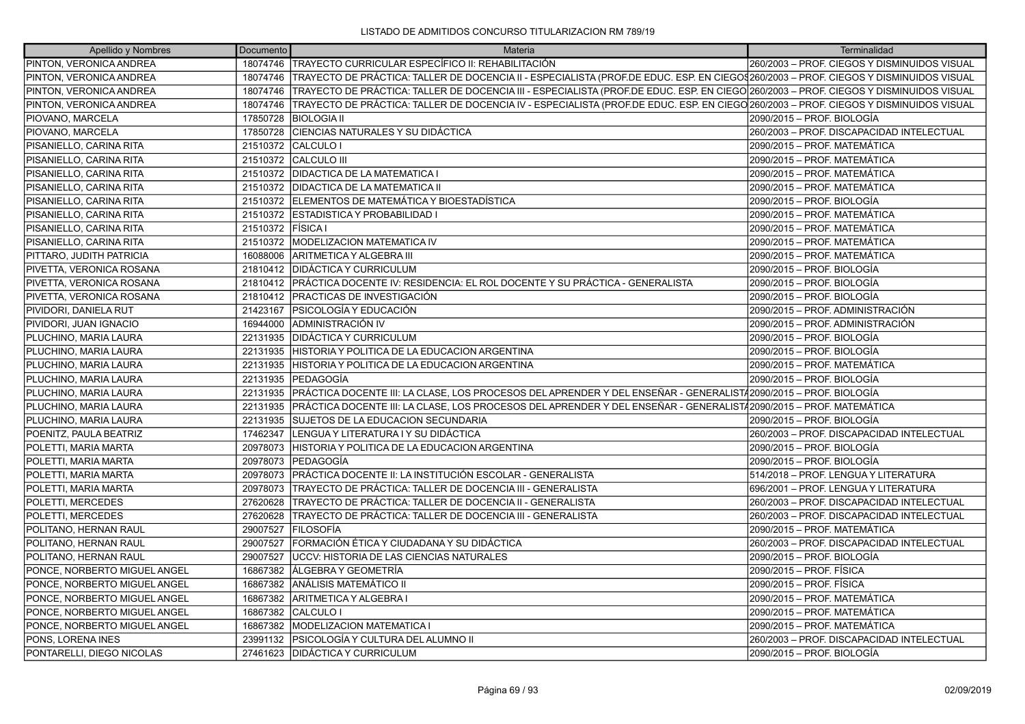| Apellido y Nombres           | Documento         | <b>Materia</b>                                                                                                                                   | Terminalidad                                 |
|------------------------------|-------------------|--------------------------------------------------------------------------------------------------------------------------------------------------|----------------------------------------------|
| PINTON, VERONICA ANDREA      | 18074746          | TRAYECTO CURRICULAR ESPECÍFICO II: REHABILITACIÓN                                                                                                | 260/2003 - PROF. CIEGOS Y DISMINUIDOS VISUAL |
| PINTON, VERONICA ANDREA      | 18074746          | TRAYECTO DE PRÁCTICA: TALLER DE DOCENCIA II - ESPECIALISTA (PROF.DE EDUC. ESP. EN CIEGO\$260/2003 – PROF. CIEGOS Y DISMINUIDOS VISUAL            |                                              |
| PINTON, VERONICA ANDREA      |                   | 18074746   TRAYECTO DE PRÁCTICA: TALLER DE DOCENCIA III - ESPECIALISTA (PROF.DE EDUC. ESP. EN CIEGO 260/2003 – PROF. CIEGOS Y DISMINUIDOS VISUAL |                                              |
| PINTON, VERONICA ANDREA      | 18074746          | TRAYECTO DE PRÁCTICA: TALLER DE DOCENCIA IV - ESPECIALISTA (PROF.DE EDUC. ESP. EN CIEGO 260/2003 - PROF. CIEGOS Y DISMINUIDOS VISUAL             |                                              |
| PIOVANO, MARCELA             | 17850728          | <b>BIOLOGIA II</b>                                                                                                                               | 2090/2015 - PROF. BIOLOGÍA                   |
| PIOVANO, MARCELA             | 17850728          | CIENCIAS NATURALES Y SU DIDÁCTICA                                                                                                                | 260/2003 - PROF. DISCAPACIDAD INTELECTUAL    |
| PISANIELLO, CARINA RITA      | 21510372          | <b>CALCULO I</b>                                                                                                                                 | 2090/2015 - PROF. MATEMÁTICA                 |
| PISANIELLO, CARINA RITA      |                   | 21510372 CALCULO III                                                                                                                             | 2090/2015 - PROF. MATEMÁTICA                 |
| PISANIELLO, CARINA RITA      |                   | 21510372   DIDACTICA DE LA MATEMATICA I                                                                                                          | 2090/2015 - PROF. MATEMÁTICA                 |
| PISANIELLO, CARINA RITA      |                   | 21510372   DIDACTICA DE LA MATEMATICA II                                                                                                         | 2090/2015 - PROF. MATEMÁTICA                 |
| PISANIELLO, CARINA RITA      |                   | 21510372 ELEMENTOS DE MATEMÁTICA Y BIOESTADÍSTICA                                                                                                | 2090/2015 - PROF. BIOLOGÍA                   |
| PISANIELLO, CARINA RITA      |                   | 21510372 ESTADISTICA Y PROBABILIDAD I                                                                                                            | 2090/2015 - PROF. MATEMÁTICA                 |
| PISANIELLO, CARINA RITA      | 21510372 FÍSICA I |                                                                                                                                                  | 2090/2015 - PROF. MATEMÁTICA                 |
| PISANIELLO, CARINA RITA      |                   | 21510372 MODELIZACION MATEMATICA IV                                                                                                              | 2090/2015 - PROF. MATEMÁTICA                 |
| PITTARO, JUDITH PATRICIA     |                   | 16088006 ARITMETICA Y ALGEBRA III                                                                                                                | 2090/2015 - PROF. MATEMÁTICA                 |
| PIVETTA, VERONICA ROSANA     | 21810412          | <b>IDIDÁCTICA Y CURRICULUM</b>                                                                                                                   | 2090/2015 - PROF. BIOLOGÍA                   |
| PIVETTA, VERONICA ROSANA     |                   | 21810412 PRÁCTICA DOCENTE IV: RESIDENCIA: EL ROL DOCENTE Y SU PRÁCTICA - GENERALISTA                                                             | 2090/2015 - PROF. BIOLOGÍA                   |
| PIVETTA, VERONICA ROSANA     |                   | 21810412 PRACTICAS DE INVESTIGACIÓN                                                                                                              | 2090/2015 - PROF. BIOLOGÍA                   |
| PIVIDORI, DANIELA RUT        | 21423167          | IPSICOLOGÍA Y EDUCACIÓN                                                                                                                          | 2090/2015 - PROF. ADMINISTRACIÓN             |
| PIVIDORI, JUAN IGNACIO       | 16944000          | ADMINISTRACIÓN IV                                                                                                                                | 2090/2015 - PROF. ADMINISTRACIÓN             |
| PLUCHINO, MARIA LAURA        | 22131935          | <b>IDIDÁCTICA Y CURRICULUM</b>                                                                                                                   | 2090/2015 - PROF. BIOLOGÍA                   |
| PLUCHINO, MARIA LAURA        | 22131935          | HISTORIA Y POLITICA DE LA EDUCACION ARGENTINA                                                                                                    | 2090/2015 - PROF. BIOLOGÍA                   |
| PLUCHINO, MARIA LAURA        | 22131935          | HISTORIA Y POLITICA DE LA EDUCACION ARGENTINA                                                                                                    | 2090/2015 - PROF. MATEMÁTICA                 |
| PLUCHINO, MARIA LAURA        | 22131935          | <b>IPEDAGOGÍA</b>                                                                                                                                | 2090/2015 – PROF. BIOLOGÍA                   |
| PLUCHINO, MARIA LAURA        | 22131935          | PRÁCTICA DOCENTE III: LA CLASE. LOS PROCESOS DEL APRENDER Y DEL ENSEÑAR - GENERALIST/2090/2015 – PROF. BIOLOGÍA                                  |                                              |
| PLUCHINO, MARIA LAURA        | 22131935          | PRÁCTICA DOCENTE III: LA CLASE, LOS PROCESOS DEL APRENDER Y DEL ENSEÑAR - GENERALIST/2090/2015 – PROF. MATEMÁTICA                                |                                              |
| PLUCHINO, MARIA LAURA        | 22131935          | <b>SUJETOS DE LA EDUCACION SECUNDARIA</b>                                                                                                        | 2090/2015 – PROF. BIOLOGÍA                   |
| POENITZ. PAULA BEATRIZ       | 17462347          | ILENGUA Y LITERATURA I Y SU DIDÁCTICA                                                                                                            | 260/2003 - PROF. DISCAPACIDAD INTELECTUAL    |
| POLETTI, MARIA MARTA         | 20978073          | HISTORIA Y POLITICA DE LA EDUCACION ARGENTINA                                                                                                    | 2090/2015 - PROF. BIOLOGÍA                   |
| POLETTI, MARIA MARTA         | 20978073          | <b>IPEDAGOGÍA</b>                                                                                                                                | 2090/2015 – PROF. BIOLOGÍA                   |
| POLETTI, MARIA MARTA         | 20978073          | PRÁCTICA DOCENTE II: LA INSTITUCIÓN ESCOLAR - GENERALISTA                                                                                        | 514/2018 - PROF. LENGUA Y LITERATURA         |
| POLETTI, MARIA MARTA         | 20978073          | TRAYECTO DE PRÁCTICA: TALLER DE DOCENCIA III - GENERALISTA                                                                                       | 696/2001 - PROF. LENGUA Y LITERATURA         |
| POLETTI, MERCEDES            | 27620628          | TRAYECTO DE PRÁCTICA: TALLER DE DOCENCIA II - GENERALISTA                                                                                        | 260/2003 - PROF. DISCAPACIDAD INTELECTUAL    |
| POLETTI, MERCEDES            | 27620628          | TRAYECTO DE PRÁCTICA: TALLER DE DOCENCIA III - GENERALISTA                                                                                       | 260/2003 - PROF. DISCAPACIDAD INTELECTUAL    |
| POLITANO, HERNAN RAUL        | 29007527          | IFILOSOFÍA                                                                                                                                       | 2090/2015 - PROF. MATEMÁTICA                 |
| POLITANO, HERNAN RAUL        | 29007527          | FORMACIÓN ÉTICA Y CIUDADANA Y SU DIDÁCTICA                                                                                                       | 260/2003 - PROF. DISCAPACIDAD INTELECTUAL    |
| POLITANO, HERNAN RAUL        | 29007527          | UCCV: HISTORIA DE LAS CIENCIAS NATURALES                                                                                                         | 2090/2015 - PROF. BIOLOGÍA                   |
| PONCE, NORBERTO MIGUEL ANGEL | 16867382          | <b>ÁLGEBRA Y GEOMETRÍA</b>                                                                                                                       | 2090/2015 - PROF. FÍSICA                     |
| PONCE, NORBERTO MIGUEL ANGEL | 16867382          | <b>ANÁLISIS MATEMÁTICO II</b>                                                                                                                    | 2090/2015 - PROF. FÍSICA                     |
| PONCE, NORBERTO MIGUEL ANGEL | 16867382          | ARITMETICA Y ALGEBRA I                                                                                                                           | 2090/2015 - PROF. MATEMÁTICA                 |
| PONCE, NORBERTO MIGUEL ANGEL | 16867382          | CALCULO I                                                                                                                                        | 2090/2015 - PROF. MATEMÁTICA                 |
| PONCE, NORBERTO MIGUEL ANGEL | 16867382          | <b>IMODELIZACION MATEMATICA I</b>                                                                                                                | 2090/2015 - PROF. MATEMÁTICA                 |
| PONS, LORENA INES            | 23991132          | <b>PSICOLOGÍA Y CULTURA DEL ALUMNO II</b>                                                                                                        | 260/2003 - PROF. DISCAPACIDAD INTELECTUAL    |
| PONTARELLI. DIEGO NICOLAS    |                   | 27461623 DIDÁCTICA Y CURRICULUM                                                                                                                  | 2090/2015 - PROF. BIOLOGÍA                   |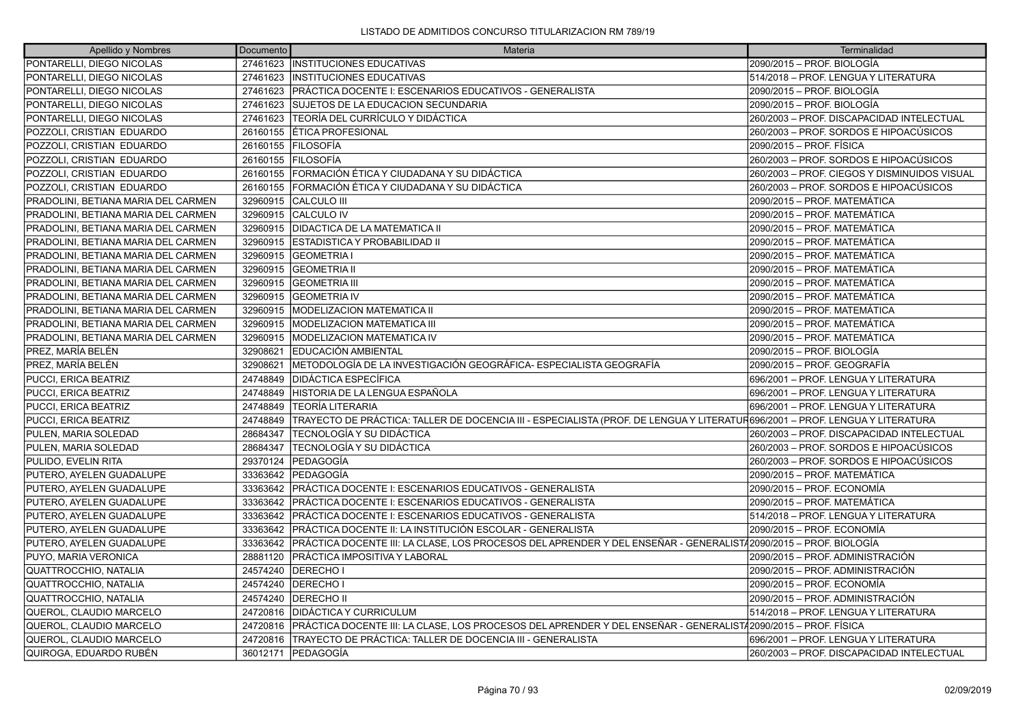| Apellido y Nombres                  | Documento | Materia                                                                                                                      | Terminalidad                                 |
|-------------------------------------|-----------|------------------------------------------------------------------------------------------------------------------------------|----------------------------------------------|
| PONTARELLI, DIEGO NICOLAS           |           | 27461623 INSTITUCIONES EDUCATIVAS                                                                                            | 2090/2015 – PROF. BIOLOGÍA                   |
| PONTARELLI. DIEGO NICOLAS           |           | 27461623 IINSTITUCIONES EDUCATIVAS                                                                                           | 514/2018 - PROF. LENGUA Y LITERATURA         |
| PONTARELLI, DIEGO NICOLAS           |           | 27461623 PRÁCTICA DOCENTE I: ESCENARIOS EDUCATIVOS - GENERALISTA                                                             | 2090/2015 – PROF. BIOLOGÍA                   |
| PONTARELLI, DIEGO NICOLAS           |           | 27461623 SUJETOS DE LA EDUCACION SECUNDARIA                                                                                  | 2090/2015 – PROF. BIOLOGÍA                   |
| PONTARELLI, DIEGO NICOLAS           | 27461623  | TEORÍA DEL CURRÍCULO Y DIDÁCTICA                                                                                             | 260/2003 - PROF. DISCAPACIDAD INTELECTUAL    |
| POZZOLI, CRISTIAN EDUARDO           |           | 26160155 ETICA PROFESIONAL                                                                                                   | 260/2003 - PROF. SORDOS E HIPOACÚSICOS       |
| POZZOLI, CRISTIAN EDUARDO           |           | 26160155 FILOSOFÍA                                                                                                           | 2090/2015 - PROF. FÍSICA                     |
| POZZOLI, CRISTIAN EDUARDO           |           | 26160155 FILOSOFÍA                                                                                                           | 260/2003 - PROF. SORDOS E HIPOACÚSICOS       |
| POZZOLI, CRISTIAN EDUARDO           |           | 26160155 FORMACIÓN ÉTICA Y CIUDADANA Y SU DIDÁCTICA                                                                          | 260/2003 - PROF. CIEGOS Y DISMINUIDOS VISUAL |
| POZZOLI, CRISTIAN EDUARDO           | 26160155  | FORMACIÓN ÉTICA Y CIUDADANA Y SU DIDÁCTICA                                                                                   | 260/2003 - PROF. SORDOS E HIPOACÚSICOS       |
| PRADOLINI, BETIANA MARIA DEL CARMEN |           | 32960915 CALCULO III                                                                                                         | 2090/2015 - PROF. MATEMÁTICA                 |
| PRADOLINI, BETIANA MARIA DEL CARMEN |           | 32960915 CALCULO IV                                                                                                          | 2090/2015 – PROF. MATEMÁTICA                 |
| PRADOLINI, BETIANA MARIA DEL CARMEN | 32960915  | <b>IDIDACTICA DE LA MATEMATICA II</b>                                                                                        | 2090/2015 - PROF. MATEMÁTICA                 |
| PRADOLINI, BETIANA MARIA DEL CARMEN |           | 32960915 ESTADISTICA Y PROBABILIDAD II                                                                                       | 2090/2015 - PROF. MATEMÁTICA                 |
| PRADOLINI, BETIANA MARIA DEL CARMEN |           | 32960915 GEOMETRIA I                                                                                                         | 2090/2015 – PROF. MATEMÁTICA                 |
| PRADOLINI. BETIANA MARIA DEL CARMEN | 32960915  | <b>IGEOMETRIA II</b>                                                                                                         | 2090/2015 - PROF. MATEMÁTICA                 |
| PRADOLINI, BETIANA MARIA DEL CARMEN |           | 32960915 GEOMETRIA III                                                                                                       | 2090/2015 - PROF. MATEMÁTICA                 |
| PRADOLINI, BETIANA MARIA DEL CARMEN |           | 32960915 GEOMETRIA IV                                                                                                        | 2090/2015 – PROF. MATEMÁTICA                 |
| PRADOLINI, BETIANA MARIA DEL CARMEN | 32960915  | <b>MODELIZACION MATEMATICA II</b>                                                                                            | 2090/2015 - PROF. MATEMÁTICA                 |
| PRADOLINI, BETIANA MARIA DEL CARMEN |           | 32960915   MODELIZACION MATEMATICA III                                                                                       | 2090/2015 - PROF. MATEMÁTICA                 |
| PRADOLINI, BETIANA MARIA DEL CARMEN |           | 32960915   MODELIZACION MATEMATICA IV                                                                                        | 2090/2015 – PROF. MATEMÁTICA                 |
| PREZ, MARÍA BELÉN                   | 32908621  | <b>IEDUCACIÓN AMBIENTAL</b>                                                                                                  | 2090/2015 - PROF. BIOLOGÍA                   |
| PREZ, MARÍA BELÉN                   | 32908621  | METODOLOGÍA DE LA INVESTIGACIÓN GEOGRÁFICA- ESPECIALISTA GEOGRAFÍA                                                           | 2090/2015 - PROF. GEOGRAFÍA                  |
| PUCCI, ERICA BEATRIZ                | 24748849  | <b>IDIDÁCTICA ESPECÍFICA</b>                                                                                                 | 696/2001 - PROF. LENGUA Y LITERATURA         |
| PUCCI, ERICA BEATRIZ                | 24748849  | HISTORIA DE LA LENGUA ESPAÑOLA                                                                                               | 696/2001 - PROF. LENGUA Y LITERATURA         |
| PUCCI, ERICA BEATRIZ                | 24748849  | TEORÍA LITERARIA                                                                                                             | 696/2001 - PROF. LENGUA Y LITERATURA         |
| PUCCI, ERICA BEATRIZ                | 24748849  | TRAYECTO DE PRÁCTICA: TALLER DE DOCENCIA III - ESPECIALISTA (PROF. DE LENGUA Y LITERATUR696/2001 – PROF. LENGUA Y LITERATURA |                                              |
| PULEN, MARIA SOLEDAD                | 28684347  | TECNOLOGÍA Y SU DIDÁCTICA                                                                                                    | 260/2003 - PROF. DISCAPACIDAD INTELECTUAL    |
| PULEN, MARIA SOLEDAD                | 28684347  | ITECNOLOGÍA Y SU DIDÁCTICA                                                                                                   | 260/2003 - PROF. SORDOS E HIPOACÚSICOS       |
| PULIDO, EVELIN RITA                 | 29370124  | <b>PEDAGOGÍA</b>                                                                                                             | 260/2003 - PROF. SORDOS E HIPOACÚSICOS       |
| PUTERO, AYELEN GUADALUPE            | 33363642  | lPEDAGOGÍA                                                                                                                   | 2090/2015 - PROF. MATEMÁTICA                 |
| PUTERO, AYELEN GUADALUPE            |           | 33363642   PRÁCTICA DOCENTE I: ESCENARIOS EDUCATIVOS - GENERALISTA                                                           | 2090/2015 - PROF. ECONOMÍA                   |
| PUTERO, AYELEN GUADALUPE            |           | 33363642 PRÁCTICA DOCENTE I: ESCENARIOS EDUCATIVOS - GENERALISTA                                                             | 2090/2015 – PROF. MATEMÁTICA                 |
| PUTERO, AYELEN GUADALUPE            | 33363642  | PRÁCTICA DOCENTE I: ESCENARIOS EDUCATIVOS - GENERALISTA                                                                      | 514/2018 - PROF. LENGUA Y LITERATURA         |
| PUTERO, AYELEN GUADALUPE            | 33363642  | PRÁCTICA DOCENTE II: LA INSTITUCIÓN ESCOLAR - GENERALISTA                                                                    | 2090/2015 - PROF. ECONOMÍA                   |
| PUTERO, AYELEN GUADALUPE            |           | 33363642 PRÁCTICA DOCENTE III: LA CLASE, LOS PROCESOS DEL APRENDER Y DEL ENSEÑAR - GENERALIST/2090/2015 – PROF. BIOLOGÍA     |                                              |
| PUYO, MARIA VERONICA                | 28881120  | <b>PRÁCTICA IMPOSITIVA Y LABORAL</b>                                                                                         | 2090/2015 - PROF. ADMINISTRACIÓN             |
| QUATTROCCHIO, NATALIA               |           | 24574240   DERECHO I                                                                                                         | 2090/2015 - PROF. ADMINISTRACIÓN             |
| <b>QUATTROCCHIO, NATALIA</b>        |           | 24574240   DERECHO I                                                                                                         | 2090/2015 – PROF. ECONOMÍA                   |
| QUATTROCCHIO, NATALIA               |           | 24574240   DERECHO II                                                                                                        | 2090/2015 - PROF. ADMINISTRACIÓN             |
| QUEROL, CLAUDIO MARCELO             |           | 24720816   DIDÁCTICA Y CURRICULUM                                                                                            | 514/2018 - PROF. LENGUA Y LITERATURA         |
| QUEROL, CLAUDIO MARCELO             |           | 24720816 PRÁCTICA DOCENTE III: LA CLASE, LOS PROCESOS DEL APRENDER Y DEL ENSEÑAR - GENERALIST42090/2015 – PROF. FÍSICA       |                                              |
| QUEROL, CLAUDIO MARCELO             | 24720816  | <b>TRAYECTO DE PRÁCTICA: TALLER DE DOCENCIA III - GENERALISTA</b>                                                            | 696/2001 - PROF. LENGUA Y LITERATURA         |
| QUIROGA. EDUARDO RUBÉN              |           | 36012171 PEDAGOGÍA                                                                                                           | 260/2003 - PROF. DISCAPACIDAD INTELECTUAL    |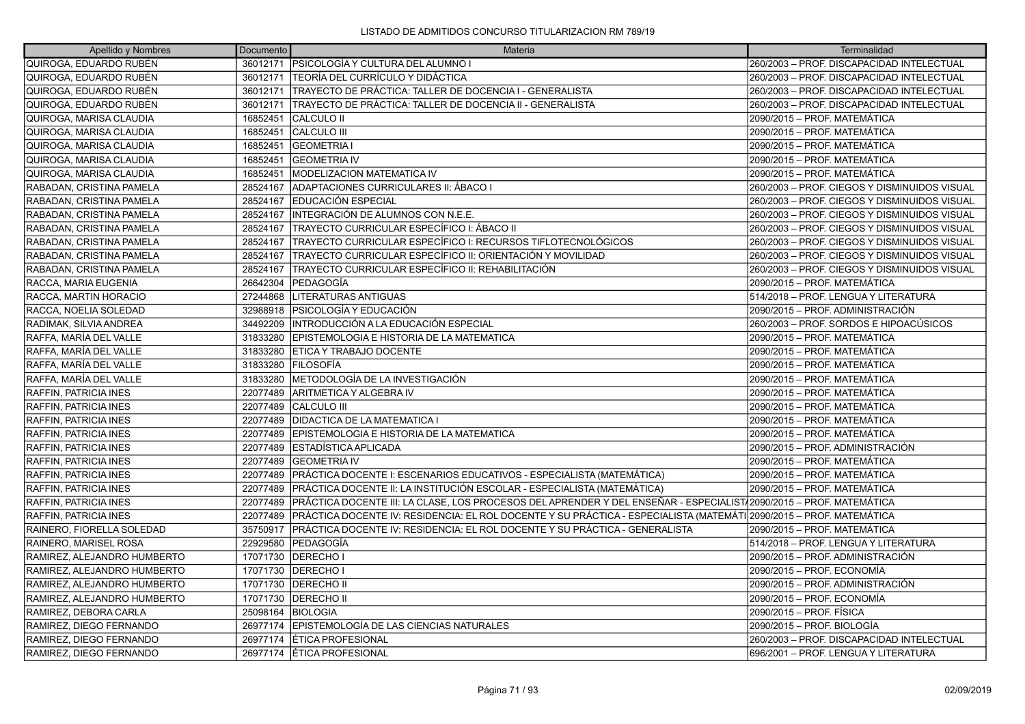| Apellido y Nombres           | Documento | Materia                                                                                                                     | Terminalidad                                 |
|------------------------------|-----------|-----------------------------------------------------------------------------------------------------------------------------|----------------------------------------------|
| QUIROGA, EDUARDO RUBÉN       |           | 36012171   PSICOLOGÍA Y CULTURA DEL ALUMNO I                                                                                | 260/2003 - PROF. DISCAPACIDAD INTELECTUAL    |
| QUIROGA, EDUARDO RUBÉN       |           | 36012171 TEORÍA DEL CURRÍCULO Y DIDÁCTICA                                                                                   | 260/2003 - PROF. DISCAPACIDAD INTELECTUAL    |
| QUIROGA, EDUARDO RUBÉN       | 36012171  | TRAYECTO DE PRÁCTICA: TALLER DE DOCENCIA I - GENERALISTA                                                                    | 260/2003 - PROF. DISCAPACIDAD INTELECTUAL    |
| QUIROGA, EDUARDO RUBÉN       | 36012171  | TRAYECTO DE PRÁCTICA: TALLER DE DOCENCIA II - GENERALISTA                                                                   | 260/2003 - PROF. DISCAPACIDAD INTELECTUAL    |
| QUIROGA, MARISA CLAUDIA      | 16852451  | <b>CALCULO II</b>                                                                                                           | 2090/2015 - PROF. MATEMÁTICA                 |
| QUIROGA, MARISA CLAUDIA      | 16852451  | <b>CALCULO III</b>                                                                                                          | 2090/2015 - PROF. MATEMÁTICA                 |
| QUIROGA, MARISA CLAUDIA      | 16852451  | <b>GEOMETRIA I</b>                                                                                                          | 2090/2015 – PROF. MATEMÁTICA                 |
| QUIROGA, MARISA CLAUDIA      | 16852451  | <b>GEOMETRIA IV</b>                                                                                                         | 2090/2015 - PROF. MATEMÁTICA                 |
| QUIROGA, MARISA CLAUDIA      | 16852451  | <b>IMODELIZACION MATEMATICA IV</b>                                                                                          | 2090/2015 - PROF. MATEMÁTICA                 |
| RABADAN, CRISTINA PAMELA     | 28524167  | ADAPTACIONES CURRICULARES II: ÁBACO I                                                                                       | 260/2003 - PROF. CIEGOS Y DISMINUIDOS VISUAL |
| RABADAN, CRISTINA PAMELA     | 28524167  | EDUCACIÓN ESPECIAL                                                                                                          | 260/2003 - PROF. CIEGOS Y DISMINUIDOS VISUAL |
| RABADAN, CRISTINA PAMELA     | 28524167  | INTEGRACIÓN DE ALUMNOS CON N.E.E.                                                                                           | 260/2003 - PROF. CIEGOS Y DISMINUIDOS VISUAL |
| RABADAN, CRISTINA PAMELA     | 28524167  | TRAYECTO CURRICULAR ESPECÍFICO I: ÁBACO II                                                                                  | 260/2003 - PROF. CIEGOS Y DISMINUIDOS VISUAL |
| RABADAN, CRISTINA PAMELA     | 28524167  | TRAYECTO CURRICULAR ESPECÍFICO I: RECURSOS TIFLOTECNOLÓGICOS                                                                | 260/2003 - PROF. CIEGOS Y DISMINUIDOS VISUAL |
| RABADAN, CRISTINA PAMELA     | 28524167  | TRAYECTO CURRICULAR ESPECÍFICO II: ORIENTACIÓN Y MOVILIDAD                                                                  | 260/2003 - PROF. CIEGOS Y DISMINUIDOS VISUAL |
| RABADAN, CRISTINA PAMELA     | 28524167  | TRAYECTO CURRICULAR ESPECÍFICO II: REHABILITACIÓN                                                                           | 260/2003 - PROF. CIEGOS Y DISMINUIDOS VISUAL |
| RACCA, MARIA EUGENIA         | 26642304  | PEDAGOGÍA                                                                                                                   | 2090/2015 - PROF. MATEMÁTICA                 |
| RACCA, MARTIN HORACIO        | 27244868  | <b>LITERATURAS ANTIGUAS</b>                                                                                                 | 514/2018 - PROF. LENGUA Y LITERATURA         |
| RACCA, NOELIA SOLEDAD        | 32988918  | <b>PSICOLOGÍA Y EDUCACIÓN</b>                                                                                               | 2090/2015 - PROF. ADMINISTRACIÓN             |
| RADIMAK, SILVIA ANDREA       | 34492209  | INTRODUCCIÓN A LA EDUCACIÓN ESPECIAL                                                                                        | 260/2003 – PROF. SORDOS E HIPOACÚSICOS       |
| RAFFA, MARÍA DEL VALLE       | 31833280  | EPISTEMOLOGIA E HISTORIA DE LA MATEMATICA                                                                                   | 2090/2015 - PROF. MATEMÁTICA                 |
| RAFFA, MARÍA DEL VALLE       | 31833280  | <b>ETICA Y TRABAJO DOCENTE</b>                                                                                              | 2090/2015 - PROF. MATEMÁTICA                 |
| RAFFA, MARÍA DEL VALLE       | 31833280  | <b>IFILOSOFÍA</b>                                                                                                           | 2090/2015 - PROF. MATEMÁTICA                 |
| RAFFA. MARÍA DEL VALLE       | 31833280  | IMETODOLOGÍA DE LA INVESTIGACIÓN                                                                                            | 2090/2015 - PROF. MATEMÁTICA                 |
| <b>RAFFIN, PATRICIA INES</b> | 22077489  | ARITMETICA Y ALGEBRA IV                                                                                                     | 2090/2015 – PROF. MATEMÁTICA                 |
| RAFFIN, PATRICIA INES        | 22077489  | <b>CALCULO III</b>                                                                                                          | 2090/2015 - PROF. MATEMÁTICA                 |
| <b>RAFFIN, PATRICIA INES</b> | 22077489  | <b>DIDACTICA DE LA MATEMATICA I</b>                                                                                         | 2090/2015 - PROF. MATEMÁTICA                 |
| <b>RAFFIN, PATRICIA INES</b> | 22077489  | EPISTEMOLOGIA E HISTORIA DE LA MATEMATICA                                                                                   | 2090/2015 - PROF. MATEMÁTICA                 |
| RAFFIN, PATRICIA INES        | 22077489  | IESTADÍSTICA APLICADA                                                                                                       | 2090/2015 - PROF. ADMINISTRACIÓN             |
| RAFFIN, PATRICIA INES        | 22077489  | <b>GEOMETRIA IV</b>                                                                                                         | 2090/2015 - PROF. MATEMÁTICA                 |
| <b>RAFFIN, PATRICIA INES</b> | 22077489  | PRÁCTICA DOCENTE I: ESCENARIOS EDUCATIVOS - ESPECIALISTA (MATEMÁTICA)                                                       | 2090/2015 – PROF. MATEMÁTICA                 |
| RAFFIN, PATRICIA INES        | 22077489  | PRÁCTICA DOCENTE II: LA INSTITUCIÓN ESCOLAR - ESPECIALISTA (MATEMÁTICA)                                                     | 2090/2015 - PROF. MATEMÁTICA                 |
| RAFFIN, PATRICIA INES        |           | 22077489 PRÁCTICA DOCENTE III: LA CLASE, LOS PROCESOS DEL APRENDER Y DEL ENSEÑAR - ESPECIALIST/2090/2015 – PROF. MATEMÁTICA |                                              |
| RAFFIN, PATRICIA INES        | 22077489  | PRÁCTICA DOCENTE IV: RESIDENCIA: EL ROL DOCENTE Y SU PRÁCTICA - ESPECIALISTA (MATEMÁTI 2090/2015 – PROF. MATEMÁTICA         |                                              |
| RAINERO, FIORELLA SOLEDAD    | 35750917  | PRÁCTICA DOCENTE IV: RESIDENCIA: EL ROL DOCENTE Y SU PRÁCTICA - GENERALISTA                                                 | 2090/2015 - PROF. MATEMÁTICA                 |
| RAINERO, MARISEL ROSA        | 22929580  | PEDAGOGÍA                                                                                                                   | 514/2018 - PROF. LENGUA Y LITERATURA         |
| RAMIREZ, ALEJANDRO HUMBERTO  | 17071730  | <b>IDERECHO I</b>                                                                                                           | 2090/2015 - PROF. ADMINISTRACIÓN             |
| RAMIREZ, ALEJANDRO HUMBERTO  |           | 17071730 DERECHO I                                                                                                          | 2090/2015 - PROF. ECONOMÍA                   |
| RAMIREZ, ALEJANDRO HUMBERTO  |           | 17071730 IDERECHO II                                                                                                        | 2090/2015 – PROF. ADMINISTRACIÓN             |
| RAMIREZ, ALEJANDRO HUMBERTO  |           | 17071730 DERECHO II                                                                                                         | 2090/2015 - PROF. ECONOMÍA                   |
| RAMIREZ, DEBORA CARLA        | 25098164  | <b>BIOLOGIA</b>                                                                                                             | 2090/2015 - PROF. FÍSICA                     |
| RAMIREZ, DIEGO FERNANDO      |           | 26977174 EPISTEMOLOGÍA DE LAS CIENCIAS NATURALES                                                                            | 2090/2015 - PROF. BIOLOGÍA                   |
| RAMIREZ, DIEGO FERNANDO      |           | 26977174   ÉTICA PROFESIONAL                                                                                                | 260/2003 - PROF. DISCAPACIDAD INTELECTUAL    |
| RAMIREZ. DIEGO FERNANDO      |           | 26977174 LÉTICA PROFESIONAL                                                                                                 | 696/2001 - PROF. LENGUA Y LITERATURA         |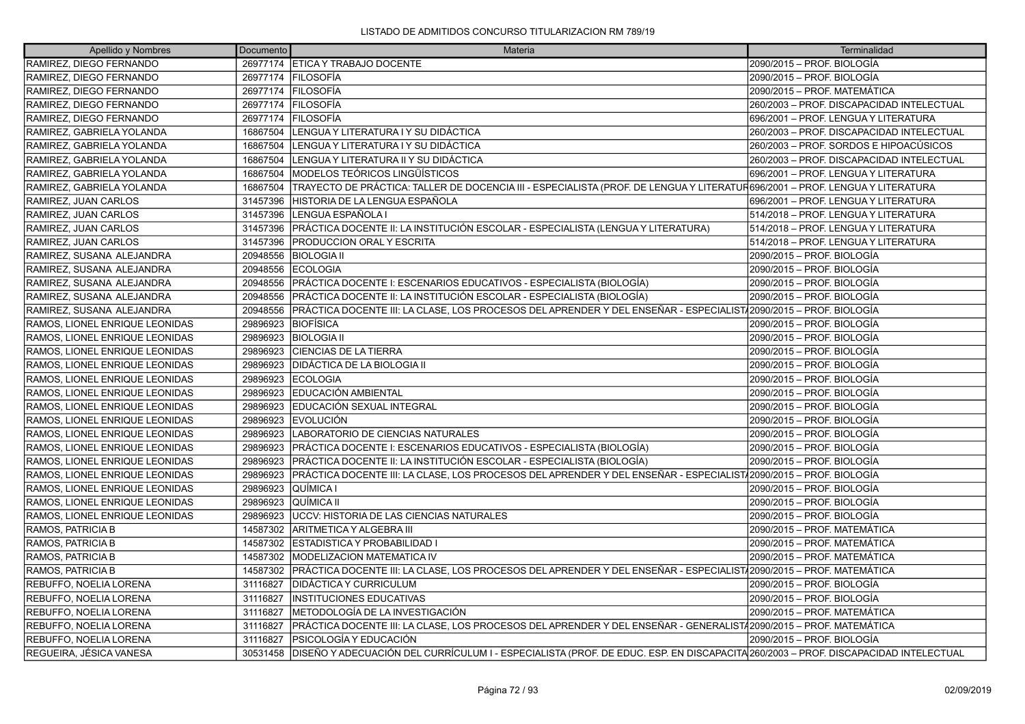| Apellido y Nombres             | Documento | Materia                                                                                                                           | Terminalidad                              |
|--------------------------------|-----------|-----------------------------------------------------------------------------------------------------------------------------------|-------------------------------------------|
| RAMIREZ, DIEGO FERNANDO        |           | 26977174 ETICA Y TRABAJO DOCENTE                                                                                                  | 2090/2015 - PROF. BIOLOGÍA                |
| RAMIREZ, DIEGO FERNANDO        |           | 26977174   FILOSOFÍA                                                                                                              | 2090/2015 – PROF. BIOLOGÍA                |
| RAMIREZ, DIEGO FERNANDO        |           | 26977174 FILOSOFÍA                                                                                                                | 2090/2015 - PROF. MATEMÁTICA              |
| RAMIREZ, DIEGO FERNANDO        | 26977174  | FILOSOFÍA                                                                                                                         | 260/2003 - PROF. DISCAPACIDAD INTELECTUAL |
| RAMIREZ, DIEGO FERNANDO        | 26977174  | FILOSOFÍA                                                                                                                         | 696/2001 - PROF. LENGUA Y LITERATURA      |
| RAMIREZ. GABRIELA YOLANDA      | 16867504  | LENGUA Y LITERATURA I Y SU DIDÁCTICA                                                                                              | 260/2003 - PROF. DISCAPACIDAD INTELECTUAL |
| RAMIREZ, GABRIELA YOLANDA      | 16867504  | LENGUA Y LITERATURA I Y SU DIDÁCTICA                                                                                              | 260/2003 – PROF. SORDOS E HIPOACÚSICOS    |
| RAMIREZ, GABRIELA YOLANDA      | 16867504  | LENGUA Y LITERATURA II Y SU DIDÁCTICA                                                                                             | 260/2003 - PROF. DISCAPACIDAD INTELECTUAL |
| RAMIREZ, GABRIELA YOLANDA      | 16867504  | MODELOS TEÓRICOS LINGÜÍSTICOS                                                                                                     | 696/2001 - PROF. LENGUA Y LITERATURA      |
| RAMIREZ, GABRIELA YOLANDA      | 16867504  | TRAYECTO DE PRÁCTICA: TALLER DE DOCENCIA III - ESPECIALISTA (PROF. DE LENGUA Y LITERATUR696/2001 – PROF. LENGUA Y LITERATURA      |                                           |
| RAMIREZ, JUAN CARLOS           | 31457396  | HISTORIA DE LA LENGUA ESPAÑOLA                                                                                                    | 696/2001 - PROF. LENGUA Y LITERATURA      |
| RAMIREZ, JUAN CARLOS           | 31457396  | LENGUA ESPAÑOLA I                                                                                                                 | 514/2018 - PROF. LENGUA Y LITERATURA      |
| RAMIREZ, JUAN CARLOS           | 31457396  | PRÁCTICA DOCENTE II: LA INSTITUCIÓN ESCOLAR - ESPECIALISTA (LENGUA Y LITERATURA)                                                  | 514/2018 - PROF. LENGUA Y LITERATURA      |
| RAMIREZ, JUAN CARLOS           | 31457396  | <b>PRODUCCION ORAL Y ESCRITA</b>                                                                                                  | 514/2018 - PROF. LENGUA Y LITERATURA      |
| RAMIREZ, SUSANA ALEJANDRA      | 20948556  | <b>BIOLOGIA II</b>                                                                                                                | 2090/2015 - PROF. BIOLOGÍA                |
| RAMIREZ, SUSANA ALEJANDRA      | 20948556  | <b>ECOLOGIA</b>                                                                                                                   | 2090/2015 - PROF. BIOLOGÍA                |
| RAMIREZ, SUSANA ALEJANDRA      | 20948556  | PRÁCTICA DOCENTE I: ESCENARIOS EDUCATIVOS - ESPECIALISTA (BIOLOGÍA)                                                               | 2090/2015 – PROF. BIOLOGÍA                |
| RAMIREZ, SUSANA ALEJANDRA      | 20948556  | PRÁCTICA DOCENTE II: LA INSTITUCIÓN ESCOLAR - ESPECIALISTA (BIOLOGÍA)                                                             | 2090/2015 - PROF. BIOLOGÍA                |
| RAMIREZ, SUSANA ALEJANDRA      | 20948556  | PRÁCTICA DOCENTE III: LA CLASE, LOS PROCESOS DEL APRENDER Y DEL ENSEÑAR - ESPECIALIST/2090/2015 – PROF. BIOLOGÍA                  |                                           |
| RAMOS, LIONEL ENRIQUE LEONIDAS | 29896923  | <b>BIOFÍSICA</b>                                                                                                                  | 2090/2015 – PROF. BIOLOGÍA                |
| RAMOS, LIONEL ENRIQUE LEONIDAS | 29896923  | <b>BIOLOGIA II</b>                                                                                                                | 2090/2015 - PROF. BIOLOGÍA                |
| RAMOS, LIONEL ENRIQUE LEONIDAS | 29896923  | <b>CIENCIAS DE LA TIERRA</b>                                                                                                      | 2090/2015 – PROF. BIOLOGÍA                |
| RAMOS, LIONEL ENRIQUE LEONIDAS | 29896923  | DIDÁCTICA DE LA BIOLOGIA II                                                                                                       | 2090/2015 – PROF. BIOLOGÍA                |
| RAMOS, LIONEL ENRIQUE LEONIDAS | 29896923  | <b>ECOLOGIA</b>                                                                                                                   | 2090/2015 – PROF. BIOLOGÍA                |
| RAMOS, LIONEL ENRIQUE LEONIDAS | 29896923  | EDUCACIÓN AMBIENTAL                                                                                                               | 2090/2015 – PROF. BIOLOGÍA                |
| RAMOS, LIONEL ENRIQUE LEONIDAS | 29896923  | EDUCACIÓN SEXUAL INTEGRAL                                                                                                         | 2090/2015 - PROF. BIOLOGÍA                |
| RAMOS, LIONEL ENRIQUE LEONIDAS | 29896923  | <b>EVOLUCIÓN</b>                                                                                                                  | 2090/2015 – PROF. BIOLOGÍA                |
| RAMOS, LIONEL ENRIQUE LEONIDAS | 29896923  | LABORATORIO DE CIENCIAS NATURALES                                                                                                 | 2090/2015 – PROF. BIOLOGÍA                |
| RAMOS, LIONEL ENRIQUE LEONIDAS | 29896923  | PRÁCTICA DOCENTE I: ESCENARIOS EDUCATIVOS - ESPECIALISTA (BIOLOGÍA)                                                               | 2090/2015 - PROF. BIOLOGÍA                |
| RAMOS, LIONEL ENRIQUE LEONIDAS | 29896923  | PRÁCTICA DOCENTE II: LA INSTITUCIÓN ESCOLAR - ESPECIALISTA (BIOLOGÍA)                                                             | 2090/2015 – PROF. BIOLOGÍA                |
| RAMOS, LIONEL ENRIQUE LEONIDAS | 29896923  | PRÁCTICA DOCENTE III: LA CLASE. LOS PROCESOS DEL APRENDER Y DEL ENSEÑAR - ESPECIALIST/2090/2015 – PROF. BIOLOGÍA                  |                                           |
| RAMOS, LIONEL ENRIQUE LEONIDAS | 29896923  | QUÍMICA I                                                                                                                         | 2090/2015 – PROF. BIOLOGÍA                |
| RAMOS, LIONEL ENRIQUE LEONIDAS | 29896923  | lQUÍMICA II                                                                                                                       | 2090/2015 - PROF. BIOLOGÍA                |
| RAMOS, LIONEL ENRIQUE LEONIDAS | 29896923  | UCCV: HISTORIA DE LAS CIENCIAS NATURALES                                                                                          | 2090/2015 – PROF. BIOLOGÍA                |
| RAMOS, PATRICIA B              | 14587302  | ARITMETICA Y ALGEBRA III                                                                                                          | 2090/2015 - PROF. MATEMÁTICA              |
| RAMOS, PATRICIA B              | 14587302  | <b>ESTADISTICA Y PROBABILIDAD I</b>                                                                                               | 2090/2015 - PROF. MATEMÁTICA              |
| RAMOS, PATRICIA B              | 14587302  | <b>MODELIZACION MATEMATICA IV</b>                                                                                                 | 2090/2015 - PROF. MATEMÁTICA              |
| RAMOS, PATRICIA B              | 14587302  | PRÁCTICA DOCENTE III: LA CLASE, LOS PROCESOS DEL APRENDER Y DEL ENSEÑAR - ESPECIALIST/2090/2015 - PROF. MATEMÁTICA                |                                           |
| REBUFFO, NOELIA LORENA         | 31116827  | <b>DIDÁCTICA Y CURRICULUM</b>                                                                                                     | 2090/2015 - PROF. BIOLOGÍA                |
| REBUFFO, NOELIA LORENA         | 31116827  | <b>INSTITUCIONES EDUCATIVAS</b>                                                                                                   | 2090/2015 – PROF. BIOLOGÍA                |
| REBUFFO, NOELIA LORENA         | 31116827  | METODOLOGÍA DE LA INVESTIGACIÓN                                                                                                   | 2090/2015 - PROF. MATEMÁTICA              |
| REBUFFO, NOELIA LORENA         | 31116827  | PRÁCTICA DOCENTE III: LA CLASE, LOS PROCESOS DEL APRENDER Y DEL ENSEÑAR - GENERALIST/2090/2015 – PROF. MATEMÁTICA                 |                                           |
| REBUFFO, NOELIA LORENA         | 31116827  | PSICOLOGÍA Y EDUCACIÓN                                                                                                            | 2090/2015 – PROF. BIOLOGÍA                |
| REGUEIRA, JÉSICA VANESA        | 30531458  | DISEÑO Y ADECUACIÓN DEL CURRÍCULUM I - ESPECIALISTA (PROF. DE EDUC. ESP. EN DISCAPACITA 260/2003 - PROF. DISCAPACIDAD INTELECTUAL |                                           |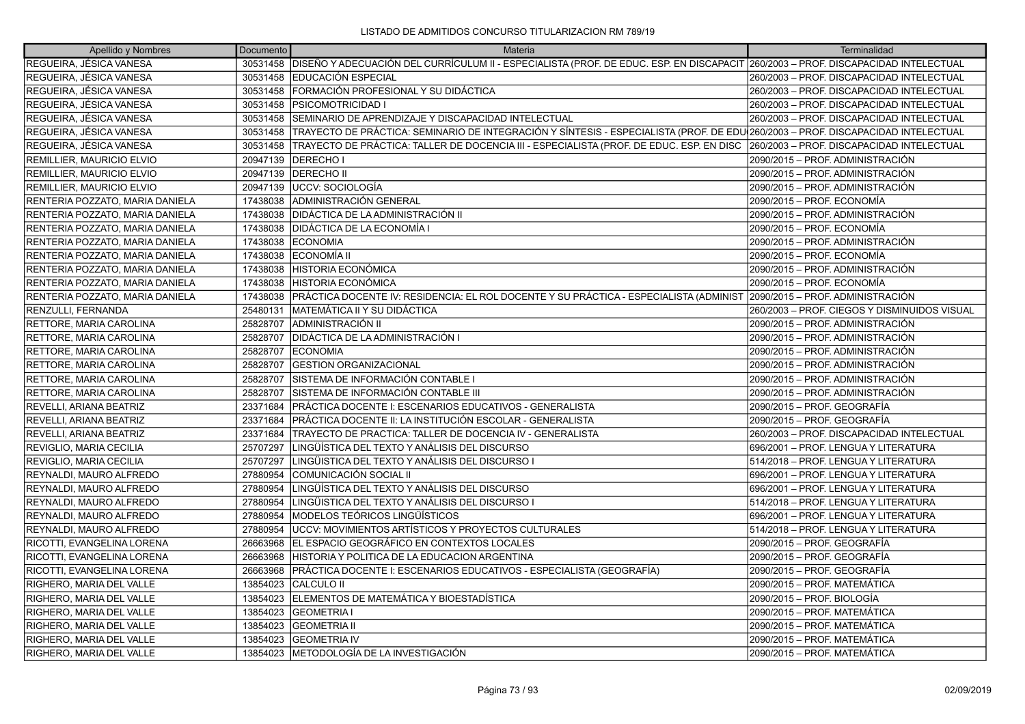| Apellido y Nombres              | Documento | Materia                                                                                                                                   | Terminalidad                                 |
|---------------------------------|-----------|-------------------------------------------------------------------------------------------------------------------------------------------|----------------------------------------------|
| REGUEIRA, JÉSICA VANESA         | 30531458  | DISEÑO Y ADECUACIÓN DEL CURRÍCULUM II - ESPECIALISTA (PROF. DE EDUC. ESP. EN DISCAPACIT 260/2003 - PROF. DISCAPACIDAD INTELECTUAL         |                                              |
| REGUEIRA, JÉSICA VANESA         | 30531458  | <b>IEDUCACIÓN ESPECIAL</b>                                                                                                                | 260/2003 - PROF. DISCAPACIDAD INTELECTUAL    |
| REGUEIRA, JÉSICA VANESA         |           | 30531458   FORMACIÓN PROFESIONAL Y SU DIDÁCTICA                                                                                           | 260/2003 - PROF. DISCAPACIDAD INTELECTUAL    |
| REGUEIRA, JÉSICA VANESA         | 30531458  | <b>PSICOMOTRICIDAD I</b>                                                                                                                  | 260/2003 - PROF. DISCAPACIDAD INTELECTUAL    |
| REGUEIRA, JÉSICA VANESA         | 30531458  | SEMINARIO DE APRENDIZAJE Y DISCAPACIDAD INTELECTUAL                                                                                       | 260/2003 - PROF. DISCAPACIDAD INTELECTUAL    |
| REGUEIRA, JÉSICA VANESA         |           | 30531458 TRAYECTO DE PRÁCTICA: SEMINARIO DE INTEGRACIÓN Y SÍNTESIS - ESPECIALISTA (PROF. DE EDU 260/2003 - PROF. DISCAPACIDAD INTELECTUAL |                                              |
| REGUEIRA, JÉSICA VANESA         | 30531458  | TRAYECTO DE PRÁCTICA: TALLER DE DOCENCIA III - ESPECIALISTA (PROF. DE EDUC. ESP. EN DISC  260/2003 – PROF. DISCAPACIDAD INTELECTUAL       |                                              |
| REMILLIER, MAURICIO ELVIO       | 20947139  | <b>DERECHOI</b>                                                                                                                           | 2090/2015 – PROF. ADMINISTRACIÓN             |
| REMILLIER, MAURICIO ELVIO       | 20947139  | <b>DERECHO II</b>                                                                                                                         | 2090/2015 – PROF. ADMINISTRACIÓN             |
| REMILLIER, MAURICIO ELVIO       | 20947139  | UCCV: SOCIOLOGÍA                                                                                                                          | 2090/2015 – PROF. ADMINISTRACIÓN             |
| RENTERIA POZZATO, MARIA DANIELA | 17438038  | ADMINISTRACIÓN GENERAL                                                                                                                    | 2090/2015 – PROF. ECONOMÍA                   |
| RENTERIA POZZATO, MARIA DANIELA | 17438038  | DIDÁCTICA DE LA ADMINISTRACIÓN II                                                                                                         | 2090/2015 – PROF. ADMINISTRACIÓN             |
| RENTERIA POZZATO, MARIA DANIELA | 17438038  | DIDÁCTICA DE LA ECONOMÍA I                                                                                                                | 2090/2015 - PROF. ECONOMÍA                   |
| RENTERIA POZZATO, MARIA DANIELA | 17438038  | <b>ECONOMIA</b>                                                                                                                           | 2090/2015 – PROF. ADMINISTRACIÓN             |
| RENTERIA POZZATO, MARIA DANIELA | 17438038  | <b>IECONOMÍA II</b>                                                                                                                       | 2090/2015 - PROF. ECONOMÍA                   |
| RENTERIA POZZATO, MARIA DANIELA | 17438038  | <b>HISTORIA ECONÓMICA</b>                                                                                                                 | 2090/2015 – PROF. ADMINISTRACIÓN             |
| RENTERIA POZZATO, MARIA DANIELA | 17438038  | <b>HISTORIA ECONÓMICA</b>                                                                                                                 | 2090/2015 – PROF. ECONOMÍA                   |
| RENTERIA POZZATO, MARIA DANIELA | 17438038  | PRÁCTICA DOCENTE IV: RESIDENCIA: EL ROL DOCENTE Y SU PRÁCTICA - ESPECIALISTA (ADMINIST                                                    | 2090/2015 - PROF. ADMINISTRACIÓN             |
| RENZULLI, FERNANDA              | 25480131  | MATEMÁTICA II Y SU DIDÁCTICA                                                                                                              | 260/2003 – PROF. CIEGOS Y DISMINUIDOS VISUAL |
| RETTORE, MARIA CAROLINA         | 25828707  | ADMINISTRACIÓN II                                                                                                                         | 2090/2015 – PROF. ADMINISTRACIÓN             |
| RETTORE, MARIA CAROLINA         | 25828707  | <b>IDIDÁCTICA DE LA ADMINISTRACIÓN I</b>                                                                                                  | 2090/2015 – PROF. ADMINISTRACIÓN             |
| RETTORE, MARIA CAROLINA         | 25828707  | <b>ECONOMIA</b>                                                                                                                           | 2090/2015 – PROF. ADMINISTRACIÓN             |
| RETTORE, MARIA CAROLINA         | 25828707  | <b>GESTION ORGANIZACIONAL</b>                                                                                                             | 2090/2015 – PROF. ADMINISTRACIÓN             |
| RETTORE, MARIA CAROLINA         | 25828707  | ÍSISTEMA DE INFORMACIÓN CONTABLE I                                                                                                        | 2090/2015 - PROF. ADMINISTRACIÓN             |
| RETTORE, MARIA CAROLINA         | 25828707  | SISTEMA DE INFORMACIÓN CONTABLE III                                                                                                       | 2090/2015 - PROF. ADMINISTRACIÓN             |
| REVELLI, ARIANA BEATRIZ         | 23371684  | PRÁCTICA DOCENTE I: ESCENARIOS EDUCATIVOS - GENERALISTA                                                                                   | 2090/2015 – PROF. GEOGRAFÍA                  |
| REVELLI, ARIANA BEATRIZ         | 23371684  | PRÁCTICA DOCENTE II: LA INSTITUCIÓN ESCOLAR - GENERALISTA                                                                                 | 2090/2015 - PROF. GEOGRAFÍA                  |
| REVELLI, ARIANA BEATRIZ         | 23371684  | TRAYECTO DE PRACTICA: TALLER DE DOCENCIA IV - GENERALISTA                                                                                 | 260/2003 - PROF. DISCAPACIDAD INTELECTUAL    |
| REVIGLIO, MARIA CECILIA         | 25707297  | LINGÜÍSTICA DEL TEXTO Y ANÁLISIS DEL DISCURSO                                                                                             | 696/2001 – PROF. LENGUA Y LITERATURA         |
| REVIGLIO, MARIA CECILIA         | 25707297  | LINGÜISTICA DEL TEXTO Y ANÁLISIS DEL DISCURSO I                                                                                           | 514/2018 - PROF. LENGUA Y LITERATURA         |
| REYNALDI, MAURO ALFREDO         | 27880954  | COMUNICACIÓN SOCIAL II                                                                                                                    | 696/2001 - PROF. LENGUA Y LITERATURA         |
| REYNALDI, MAURO ALFREDO         | 27880954  | LINGÜÍSTICA DEL TEXTO Y ANÁLISIS DEL DISCURSO                                                                                             | 696/2001 - PROF. LENGUA Y LITERATURA         |
| REYNALDI, MAURO ALFREDO         | 27880954  | LINGÜISTICA DEL TEXTO Y ANÁLISIS DEL DISCURSO I                                                                                           | 514/2018 - PROF. LENGUA Y LITERATURA         |
| REYNALDI, MAURO ALFREDO         | 27880954  | MODELOS TEÓRICOS LINGÜÍSTICOS                                                                                                             | 696/2001 – PROF. LENGUA Y LITERATURA         |
| REYNALDI, MAURO ALFREDO         | 27880954  | UCCV: MOVIMIENTOS ARTÍSTICOS Y PROYECTOS CULTURALES                                                                                       | 514/2018 - PROF. LENGUA Y LITERATURA         |
| RICOTTI, EVANGELINA LORENA      | 26663968  | EL ESPACIO GEOGRÁFICO EN CONTEXTOS LOCALES                                                                                                | 2090/2015 - PROF. GEOGRAFÍA                  |
| RICOTTI, EVANGELINA LORENA      | 26663968  | HISTORIA Y POLITICA DE LA EDUCACION ARGENTINA                                                                                             | 2090/2015 – PROF. GEOGRAFÍA                  |
| RICOTTI, EVANGELINA LORENA      | 26663968  | PRÁCTICA DOCENTE I: ESCENARIOS EDUCATIVOS - ESPECIALISTA (GEOGRAFÍA)                                                                      | 2090/2015 – PROF. GEOGRAFÍA                  |
| RIGHERO, MARIA DEL VALLE        | 13854023  | CALCULO II                                                                                                                                | 2090/2015 - PROF. MATEMÁTICA                 |
| RIGHERO, MARIA DEL VALLE        | 13854023  | ELEMENTOS DE MATEMÁTICA Y BIOESTADÍSTICA                                                                                                  | 2090/2015 - PROF. BIOLOGÍA                   |
| RIGHERO, MARIA DEL VALLE        | 13854023  | <b>GEOMETRIA I</b>                                                                                                                        | 2090/2015 – PROF. MATEMÁTICA                 |
| RIGHERO, MARIA DEL VALLE        | 13854023  | <b>GEOMETRIA II</b>                                                                                                                       | 2090/2015 - PROF. MATEMÁTICA                 |
| RIGHERO, MARIA DEL VALLE        | 13854023  | <b>GEOMETRIA IV</b>                                                                                                                       | 2090/2015 – PROF. MATEMÁTICA                 |
| RIGHERO. MARIA DEL VALLE        | 13854023  | IMETODOLOGÍA DE LA INVESTIGACIÓN                                                                                                          | 2090/2015 – PROF. MATEMÁTICA                 |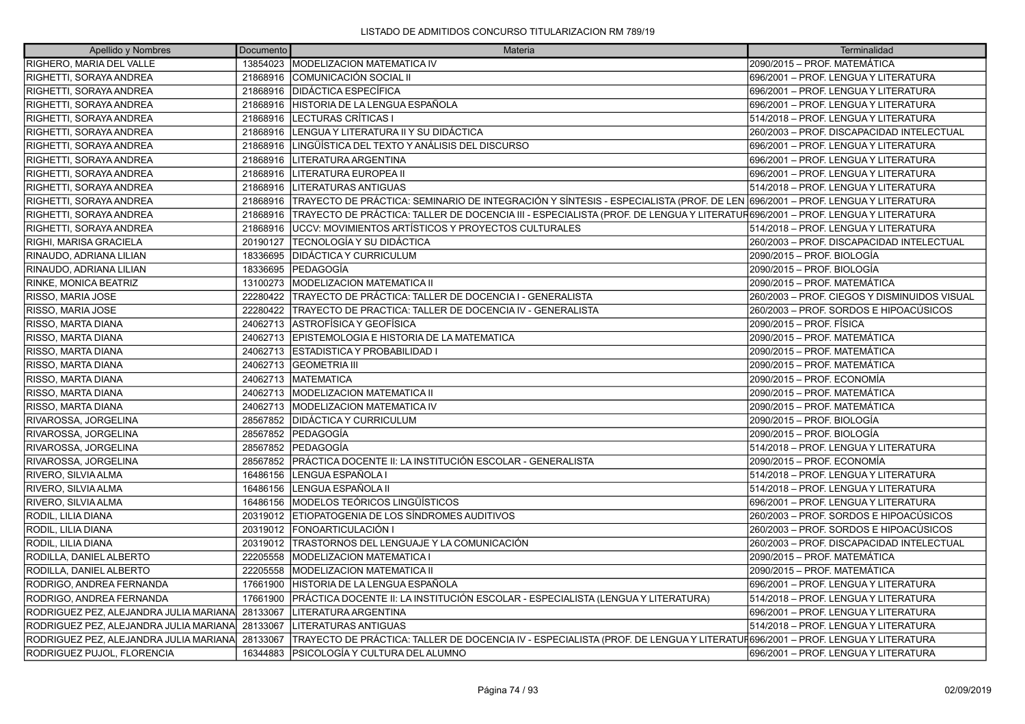| Apellido y Nombres                     | Documento | Materia                                                                                                                      | Terminalidad                                 |
|----------------------------------------|-----------|------------------------------------------------------------------------------------------------------------------------------|----------------------------------------------|
| RIGHERO, MARIA DEL VALLE               |           | 13854023   MODELIZACION MATEMATICA IV                                                                                        | 2090/2015 - PROF. MATEMÁTICA                 |
| RIGHETTI, SORAYA ANDREA                | 21868916  | COMUNICACIÓN SOCIAL II                                                                                                       | 696/2001 - PROF. LENGUA Y LITERATURA         |
| RIGHETTI, SORAYA ANDREA                | 21868916  | <b>DIDÁCTICA ESPECÍFICA</b>                                                                                                  | 696/2001 - PROF. LENGUA Y LITERATURA         |
| RIGHETTI, SORAYA ANDREA                | 21868916  | HISTORIA DE LA LENGUA ESPAÑOLA                                                                                               | 696/2001 - PROF. LENGUA Y LITERATURA         |
| RIGHETTI, SORAYA ANDREA                | 21868916  | LECTURAS CRÍTICAS I                                                                                                          | 514/2018 - PROF. LENGUA Y LITERATURA         |
| RIGHETTI, SORAYA ANDREA                | 21868916  | LENGUA Y LITERATURA II Y SU DIDÁCTICA                                                                                        | 260/2003 – PROF. DISCAPACIDAD INTELECTUAL    |
| RIGHETTI, SORAYA ANDREA                | 21868916  | LINGÜÍSTICA DEL TEXTO Y ANÁLISIS DEL DISCURSO                                                                                | 696/2001 - PROF. LENGUA Y LITERATURA         |
| RIGHETTI, SORAYA ANDREA                | 21868916  | LITERATURA ARGENTINA                                                                                                         | 696/2001 - PROF. LENGUA Y LITERATURA         |
| RIGHETTI, SORAYA ANDREA                | 21868916  | <b>LITERATURA EUROPEA II</b>                                                                                                 | 696/2001 - PROF. LENGUA Y LITERATURA         |
| RIGHETTI, SORAYA ANDREA                | 21868916  | LITERATURAS ANTIGUAS                                                                                                         | 514/2018 - PROF. LENGUA Y LITERATURA         |
| RIGHETTI, SORAYA ANDREA                | 21868916  | TRAYECTO DE PRÁCTICA: SEMINARIO DE INTEGRACIÓN Y SÍNTESIS - ESPECIALISTA (PROF. DE LEN 696/2001 – PROF. LENGUA Y LITERATURA  |                                              |
| RIGHETTI, SORAYA ANDREA                | 21868916  | TRAYECTO DE PRÁCTICA: TALLER DE DOCENCIA III - ESPECIALISTA (PROF. DE LENGUA Y LITERATUR696/2001 – PROF. LENGUA Y LITERATURA |                                              |
| RIGHETTI, SORAYA ANDREA                | 21868916  | UCCV: MOVIMIENTOS ARTÍSTICOS Y PROYECTOS CULTURALES                                                                          | 514/2018 - PROF. LENGUA Y LITERATURA         |
| RIGHI, MARISA GRACIELA                 | 20190127  | TECNOLOGÍA Y SU DIDÁCTICA                                                                                                    | 260/2003 - PROF. DISCAPACIDAD INTELECTUAL    |
| RINAUDO, ADRIANA LILIAN                | 18336695  | <b>DIDÁCTICA Y CURRICULUM</b>                                                                                                | 2090/2015 – PROF. BIOLOGÍA                   |
| RINAUDO, ADRIANA LILIAN                | 18336695  | PEDAGOGÍA                                                                                                                    | 2090/2015 - PROF. BIOLOGÍA                   |
| RINKE, MONICA BEATRIZ                  | 13100273  | MODELIZACION MATEMATICA II                                                                                                   | 2090/2015 - PROF. MATEMÁTICA                 |
| RISSO, MARIA JOSE                      | 22280422  | TRAYECTO DE PRÁCTICA: TALLER DE DOCENCIA I - GENERALISTA                                                                     | 260/2003 - PROF. CIEGOS Y DISMINUIDOS VISUAL |
| RISSO, MARIA JOSE                      | 22280422  | TRAYECTO DE PRACTICA: TALLER DE DOCENCIA IV - GENERALISTA                                                                    | 260/2003 – PROF. SORDOS E HIPOACÚSICOS       |
| RISSO, MARTA DIANA                     | 24062713  | <b>ASTROFÍSICA Y GEOFÍSICA</b>                                                                                               | 2090/2015 – PROF. FÍSICA                     |
| RISSO, MARTA DIANA                     | 24062713  | EPISTEMOLOGIA E HISTORIA DE LA MATEMATICA                                                                                    | 2090/2015 – PROF. MATEMÁTICA                 |
| RISSO, MARTA DIANA                     | 24062713  | <b>ESTADISTICA Y PROBABILIDAD I</b>                                                                                          | 2090/2015 - PROF. MATEMÁTICA                 |
| RISSO, MARTA DIANA                     | 24062713  | <b>GEOMETRIA III</b>                                                                                                         | 2090/2015 - PROF. MATEMÁTICA                 |
| RISSO, MARTA DIANA                     | 24062713  | <b>IMATEMATICA</b>                                                                                                           | 2090/2015 – PROF. ECONOMÍA                   |
| RISSO, MARTA DIANA                     | 24062713  | <b>MODELIZACION MATEMATICA II</b>                                                                                            | 2090/2015 - PROF. MATEMÁTICA                 |
| RISSO, MARTA DIANA                     | 24062713  | <b>MODELIZACION MATEMATICA IV</b>                                                                                            | 2090/2015 - PROF. MATEMÁTICA                 |
| RIVAROSSA, JORGELINA                   | 28567852  | <b>DIDÁCTICA Y CURRICULUM</b>                                                                                                | 2090/2015 – PROF. BIOLOGÍA                   |
| RIVAROSSA, JORGELINA                   | 28567852  | <b>PEDAGOGIA</b>                                                                                                             | 2090/2015 – PROF. BIOLOGÍA                   |
| RIVAROSSA, JORGELINA                   | 28567852  | PEDAGOGÍA                                                                                                                    | 514/2018 - PROF. LENGUA Y LITERATURA         |
| RIVAROSSA, JORGELINA                   | 28567852  | PRÁCTICA DOCENTE II: LA INSTITUCIÓN ESCOLAR - GENERALISTA                                                                    | 2090/2015 – PROF. ECONOMÍA                   |
| <b>RIVERO, SILVIA ALMA</b>             | 16486156  | LENGUA ESPAÑOLA I                                                                                                            | 514/2018 - PROF. LENGUA Y LITERATURA         |
| RIVERO, SILVIA ALMA                    | 16486156  | LENGUA ESPAÑOLA II                                                                                                           | 514/2018 - PROF. LENGUA Y LITERATURA         |
| RIVERO, SILVIA ALMA                    | 16486156  | MODELOS TEÓRICOS LINGÜÍSTICOS                                                                                                | 696/2001 - PROF. LENGUA Y LITERATURA         |
| RODIL, LILIA DIANA                     | 20319012  | ETIOPATOGENIA DE LOS SÍNDROMES AUDITIVOS                                                                                     | 260/2003 – PROF. SORDOS E HIPOACÚSICOS       |
| RODIL, LILIA DIANA                     | 20319012  | <b>FONOARTICULACIÓN I</b>                                                                                                    | 260/2003 – PROF. SORDOS E HIPOACÚSICOS       |
| RODIL, LILIA DIANA                     | 20319012  | <b>ITRASTORNOS DEL LENGUAJE Y LA COMUNICACIÓN</b>                                                                            | 260/2003 - PROF. DISCAPACIDAD INTELECTUAL    |
| RODILLA, DANIEL ALBERTO                | 22205558  | <b>IMODELIZACION MATEMATICA I</b>                                                                                            | 2090/2015 - PROF. MATEMÁTICA                 |
| RODILLA, DANIEL ALBERTO                | 22205558  | MODELIZACION MATEMATICA II                                                                                                   | 2090/2015 – PROF. MATEMÁTICA                 |
| RODRIGO, ANDREA FERNANDA               | 17661900  | HISTORIA DE LA LENGUA ESPAÑOLA                                                                                               | 696/2001 - PROF. LENGUA Y LITERATURA         |
| RODRIGO, ANDREA FERNANDA               | 17661900  | PRÁCTICA DOCENTE II: LA INSTITUCIÓN ESCOLAR - ESPECIALISTA (LENGUA Y LITERATURA)                                             | 514/2018 - PROF. LENGUA Y LITERATURA         |
| RODRIGUEZ PEZ, ALEJANDRA JULIA MARIANA | 28133067  | LITERATURA ARGENTINA                                                                                                         | 696/2001 - PROF. LENGUA Y LITERATURA         |
| RODRIGUEZ PEZ, ALEJANDRA JULIA MARIANA | 28133067  | LITERATURAS ANTIGUAS                                                                                                         | 514/2018 - PROF. LENGUA Y LITERATURA         |
| RODRIGUEZ PEZ, ALEJANDRA JULIA MARIANA | 28133067  | TRAYECTO DE PRÁCTICA: TALLER DE DOCENCIA IV - ESPECIALISTA (PROF. DE LENGUA Y LITERATUF696/2001 – PROF. LENGUA Y LITERATURA  |                                              |
| RODRIGUEZ PUJOL. FLORENCIA             | 16344883  | IPSICOLOGÍA Y CULTURA DEL ALUMNO                                                                                             | 696/2001 – PROF. LENGUA Y LITERATURA         |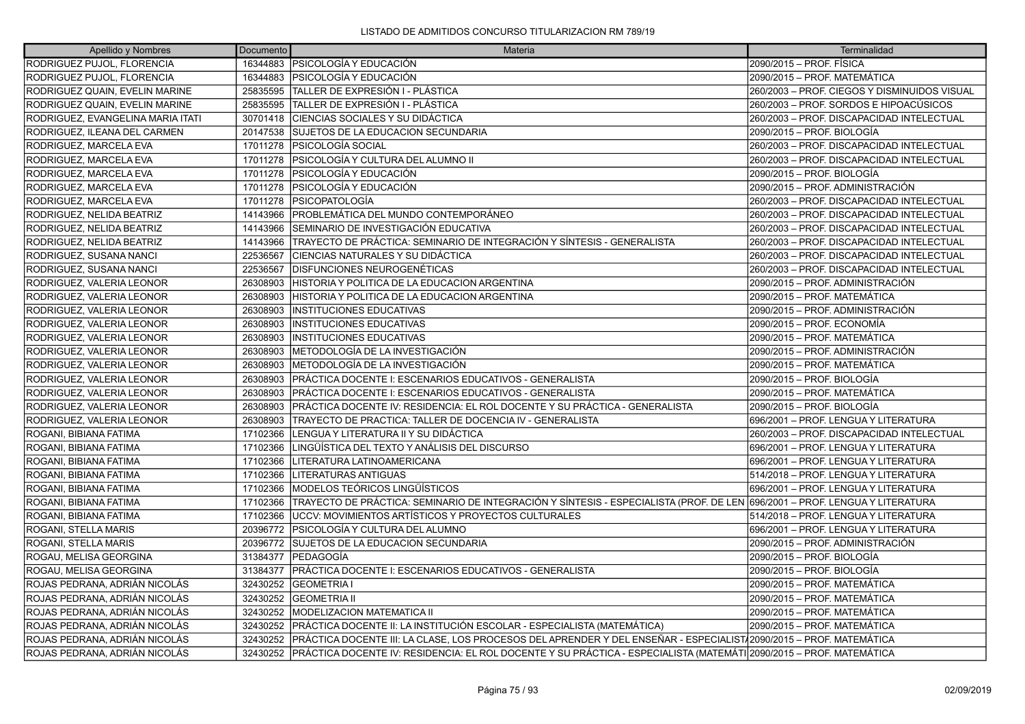| Apellido y Nombres                | Documento | Materia                                                                                                                     | Terminalidad                                 |
|-----------------------------------|-----------|-----------------------------------------------------------------------------------------------------------------------------|----------------------------------------------|
| RODRIGUEZ PUJOL, FLORENCIA        | 16344883  | <b>PSICOLOGÍA Y EDUCACIÓN</b>                                                                                               | 2090/2015 – PROF. FÍSICA                     |
| RODRIGUEZ PUJOL, FLORENCIA        | 16344883  | <b>PSICOLOGÍA Y EDUCACIÓN</b>                                                                                               | 2090/2015 – PROF. MATEMÁTICA                 |
| RODRIGUEZ QUAIN, EVELIN MARINE    | 25835595  | <b>TALLER DE EXPRESIÓN I - PLÁSTICA</b>                                                                                     | 260/2003 - PROF. CIEGOS Y DISMINUIDOS VISUAL |
| RODRIGUEZ QUAIN, EVELIN MARINE    | 25835595  | TALLER DE EXPRESIÓN I - PLÁSTICA                                                                                            | 260/2003 – PROF. SORDOS E HIPOACÚSICOS       |
| RODRIGUEZ, EVANGELINA MARIA ITATI | 30701418  | CIENCIAS SOCIALES Y SU DIDÁCTICA                                                                                            | 260/2003 - PROF. DISCAPACIDAD INTELECTUAL    |
| RODRIGUEZ. ILEANA DEL CARMEN      | 20147538  | SUJETOS DE LA EDUCACION SECUNDARIA                                                                                          | 2090/2015 - PROF. BIOLOGÍA                   |
| RODRIGUEZ, MARCELA EVA            | 17011278  | IPSICOLOGÍA SOCIAL                                                                                                          | 260/2003 - PROF. DISCAPACIDAD INTELECTUAL    |
| RODRIGUEZ, MARCELA EVA            | 17011278  | IPSICOLOGÍA Y CULTURA DEL ALUMNO II                                                                                         | 260/2003 - PROF. DISCAPACIDAD INTELECTUAL    |
| RODRIGUEZ, MARCELA EVA            | 17011278  | PSICOLOGÍA Y EDUCACIÓN                                                                                                      | 2090/2015 – PROF. BIOLOGÍA                   |
| RODRIGUEZ, MARCELA EVA            | 17011278  | IPSICOLOGÍA Y EDUCACIÓN                                                                                                     | 2090/2015 – PROF. ADMINISTRACIÓN             |
| RODRIGUEZ, MARCELA EVA            | 17011278  | <i><b>IPSICOPATOLOGÍA</b></i>                                                                                               | 260/2003 - PROF. DISCAPACIDAD INTELECTUAL    |
| RODRIGUEZ, NELIDA BEATRIZ         | 14143966  | PROBLEMÁTICA DEL MUNDO CONTEMPORÁNEO                                                                                        | 260/2003 - PROF. DISCAPACIDAD INTELECTUAL    |
| RODRIGUEZ, NELIDA BEATRIZ         | 14143966  | SEMINARIO DE INVESTIGACIÓN EDUCATIVA                                                                                        | 260/2003 - PROF. DISCAPACIDAD INTELECTUAL    |
| RODRIGUEZ, NELIDA BEATRIZ         | 14143966  | TRAYECTO DE PRÁCTICA: SEMINARIO DE INTEGRACIÓN Y SÍNTESIS - GENERALISTA                                                     | 260/2003 - PROF. DISCAPACIDAD INTELECTUAL    |
| RODRIGUEZ, SUSANA NANCI           | 22536567  | ÍCIENCIAS NATURALES Y SU DIDÁCTICA                                                                                          | 260/2003 - PROF. DISCAPACIDAD INTELECTUAL    |
| RODRIGUEZ. SUSANA NANCI           | 22536567  | <b>IDISFUNCIONES NEUROGENÉTICAS</b>                                                                                         | 260/2003 - PROF. DISCAPACIDAD INTELECTUAL    |
| RODRIGUEZ, VALERIA LEONOR         | 26308903  | HISTORIA Y POLITICA DE LA EDUCACION ARGENTINA                                                                               | 2090/2015 – PROF. ADMINISTRACIÓN             |
| RODRIGUEZ, VALERIA LEONOR         | 26308903  | ÍHISTORIA Y POLITICA DE LA EDUCACION ARGENTINA                                                                              | 2090/2015 – PROF. MATEMÁTICA                 |
| RODRIGUEZ, VALERIA LEONOR         | 26308903  | <b>INSTITUCIONES EDUCATIVAS</b>                                                                                             | 2090/2015 – PROF. ADMINISTRACIÓN             |
| RODRIGUEZ, VALERIA LEONOR         | 26308903  | <b>INSTITUCIONES EDUCATIVAS</b>                                                                                             | 2090/2015 – PROF. ECONOMÍA                   |
| RODRIGUEZ, VALERIA LEONOR         | 26308903  | IINSTITUCIONES EDUCATIVAS                                                                                                   | 2090/2015 – PROF. MATEMÁTICA                 |
| RODRIGUEZ, VALERIA LEONOR         | 26308903  | METODOLOGÍA DE LA INVESTIGACIÓN                                                                                             | 2090/2015 – PROF. ADMINISTRACIÓN             |
| RODRIGUEZ, VALERIA LEONOR         | 26308903  | METODOLOGÍA DE LA INVESTIGACIÓN                                                                                             | 2090/2015 – PROF. MATEMÁTICA                 |
| RODRIGUEZ, VALERIA LEONOR         | 26308903  | PRÁCTICA DOCENTE I: ESCENARIOS EDUCATIVOS - GENERALISTA                                                                     | 2090/2015 – PROF. BIOLOGÍA                   |
| RODRIGUEZ, VALERIA LEONOR         | 26308903  | PRÁCTICA DOCENTE I: ESCENARIOS EDUCATIVOS - GENERALISTA                                                                     | 2090/2015 – PROF. MATEMÁTICA                 |
| RODRIGUEZ, VALERIA LEONOR         | 26308903  | PRÁCTICA DOCENTE IV: RESIDENCIA: EL ROL DOCENTE Y SU PRÁCTICA - GENERALISTA                                                 | 2090/2015 – PROF. BIOLOGÍA                   |
| RODRIGUEZ, VALERIA LEONOR         | 26308903  | TRAYECTO DE PRACTICA: TALLER DE DOCENCIA IV - GENERALISTA                                                                   | 696/2001 - PROF. LENGUA Y LITERATURA         |
| <b>ROGANI. BIBIANA FATIMA</b>     | 17102366  | LENGUA Y LITERATURA II Y SU DIDÁCTICA                                                                                       | 260/2003 – PROF. DISCAPACIDAD INTELECTUAL    |
| ROGANI, BIBIANA FATIMA            | 17102366  | LINGÜÍSTICA DEL TEXTO Y ANÁLISIS DEL DISCURSO                                                                               | 696/2001 - PROF. LENGUA Y LITERATURA         |
| ROGANI, BIBIANA FATIMA            | 17102366  | LITERATURA LATINOAMERICANA                                                                                                  | 696/2001 - PROF. LENGUA Y LITERATURA         |
| ROGANI. BIBIANA FATIMA            | 17102366  | LITERATURAS ANTIGUAS                                                                                                        | 514/2018 - PROF. LENGUA Y LITERATURA         |
| ROGANI, BIBIANA FATIMA            | 17102366  | MODELOS TEÓRICOS LINGÜÍSTICOS                                                                                               | 696/2001 - PROF. LENGUA Y LITERATURA         |
| ROGANI, BIBIANA FATIMA            | 17102366  | TRAYECTO DE PRÁCTICA: SEMINARIO DE INTEGRACIÓN Y SÍNTESIS - ESPECIALISTA (PROF. DE LEN 696/2001 – PROF. LENGUA Y LITERATURA |                                              |
| ROGANI, BIBIANA FATIMA            | 17102366  | UCCV: MOVIMIENTOS ARTÍSTICOS Y PROYECTOS CULTURALES                                                                         | 514/2018 - PROF. LENGUA Y LITERATURA         |
| ROGANI, STELLA MARIS              | 20396772  | PSICOLOGÍA Y CULTURA DEL ALUMNO                                                                                             | 696/2001 - PROF. LENGUA Y LITERATURA         |
| ROGANI, STELLA MARIS              | 20396772  | SUJETOS DE LA EDUCACION SECUNDARIA                                                                                          | 2090/2015 – PROF. ADMINISTRACIÓN             |
| ROGAU, MELISA GEORGINA            | 31384377  | PEDAGOGÍA                                                                                                                   | 2090/2015 – PROF. BIOLOGÍA                   |
| ROGAU, MELISA GEORGINA            | 31384377  | PRÁCTICA DOCENTE I: ESCENARIOS EDUCATIVOS - GENERALISTA                                                                     | 2090/2015 - PROF. BIOLOGÍA                   |
| ROJAS PEDRANA, ADRIÁN NICOLÁS     | 32430252  | <b>GEOMETRIA I</b>                                                                                                          | 2090/2015 - PROF. MATEMÁTICA                 |
| ROJAS PEDRANA, ADRIÁN NICOLÁS     | 32430252  | <b>GEOMETRIA II</b>                                                                                                         | 2090/2015 - PROF. MATEMÁTICA                 |
| ROJAS PEDRANA, ADRIÁN NICOLÁS     | 32430252  | <b>IMODELIZACION MATEMATICA II</b>                                                                                          | 2090/2015 - PROF. MATEMÁTICA                 |
| ROJAS PEDRANA, ADRIÁN NICOLÁS     | 32430252  | PRÁCTICA DOCENTE II: LA INSTITUCIÓN ESCOLAR - ESPECIALISTA (MATEMÁTICA)                                                     | 2090/2015 – PROF. MATEMÁTICA                 |
| ROJAS PEDRANA, ADRIÁN NICOLÁS     | 32430252  | PRÁCTICA DOCENTE III: LA CLASE, LOS PROCESOS DEL APRENDER Y DEL ENSEÑAR - ESPECIALIST/2090/2015 - PROF. MATEMÁTICA          |                                              |
| ROJAS PEDRANA, ADRIÁN NICOLÁS     | 32430252  | PRÁCTICA DOCENTE IV: RESIDENCIA: EL ROL DOCENTE Y SU PRÁCTICA - ESPECIALISTA (MATEMÁTI 2090/2015 – PROF. MATEMÁTICA         |                                              |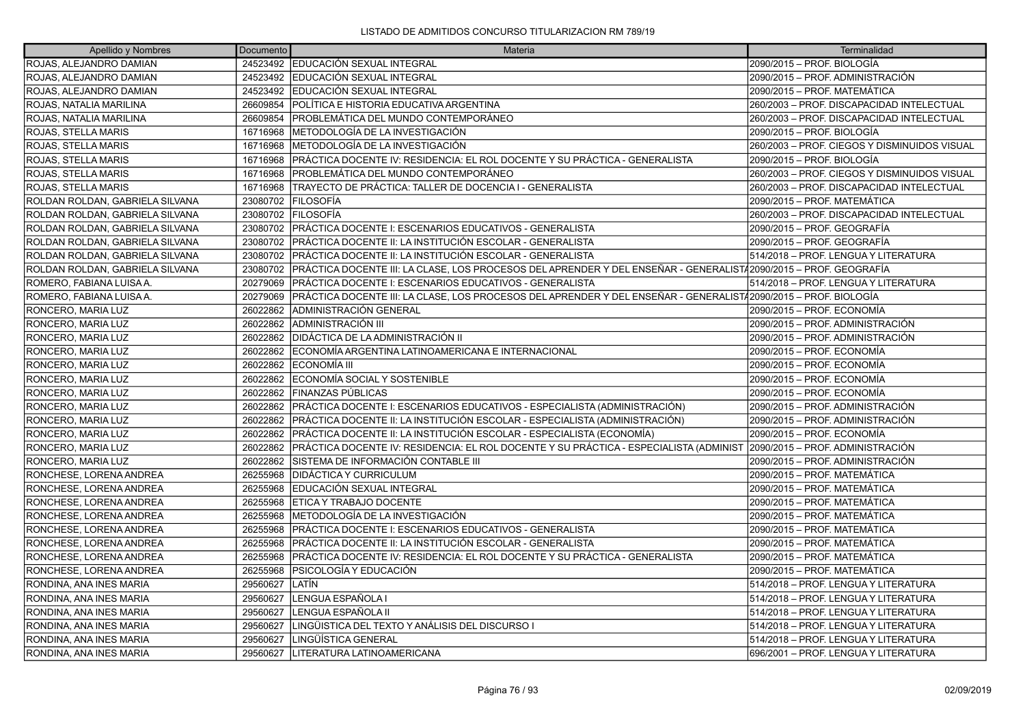| Apellido y Nombres              | Documento | Materia                                                                                                                 | Terminalidad                                 |
|---------------------------------|-----------|-------------------------------------------------------------------------------------------------------------------------|----------------------------------------------|
| ROJAS, ALEJANDRO DAMIAN         |           | 24523492 EDUCACIÓN SEXUAL INTEGRAL                                                                                      | 2090/2015 - PROF. BIOLOGÍA                   |
| ROJAS, ALEJANDRO DAMIAN         |           | 24523492 EDUCACIÓN SEXUAL INTEGRAL                                                                                      | 2090/2015 - PROF. ADMINISTRACIÓN             |
| ROJAS, ALEJANDRO DAMIAN         |           | 24523492 EDUCACIÓN SEXUAL INTEGRAL                                                                                      | 2090/2015 - PROF. MATEMÁTICA                 |
| ROJAS, NATALIA MARILINA         | 26609854  | POLÍTICA E HISTORIA EDUCATIVA ARGENTINA                                                                                 | 260/2003 - PROF. DISCAPACIDAD INTELECTUAL    |
| ROJAS, NATALIA MARILINA         | 26609854  | PROBLEMÁTICA DEL MUNDO CONTEMPORÁNEO                                                                                    | 260/2003 - PROF. DISCAPACIDAD INTELECTUAL    |
| ROJAS, STELLA MARIS             | 16716968  | IMETODOLOGÍA DE LA INVESTIGACIÓN                                                                                        | 2090/2015 - PROF. BIOLOGÍA                   |
| ROJAS, STELLA MARIS             | 16716968  | METODOLOGÍA DE LA INVESTIGACIÓN                                                                                         | 260/2003 - PROF. CIEGOS Y DISMINUIDOS VISUAL |
| ROJAS, STELLA MARIS             | 16716968  | PRÁCTICA DOCENTE IV: RESIDENCIA: EL ROL DOCENTE Y SU PRÁCTICA - GENERALISTA                                             | 2090/2015 - PROF. BIOLOGÍA                   |
| <b>ROJAS, STELLA MARIS</b>      | 16716968  | IPROBLEMÁTICA DEL MUNDO CONTEMPORÁNEO                                                                                   | 260/2003 - PROF. CIEGOS Y DISMINUIDOS VISUAL |
| ROJAS, STELLA MARIS             | 16716968  | TRAYECTO DE PRÁCTICA: TALLER DE DOCENCIA I - GENERALISTA                                                                | 260/2003 - PROF. DISCAPACIDAD INTELECTUAL    |
| ROLDAN ROLDAN, GABRIELA SILVANA | 23080702  | <b>FILOSOFÍA</b>                                                                                                        | 2090/2015 - PROF. MATEMÁTICA                 |
| ROLDAN ROLDAN, GABRIELA SILVANA | 23080702  | <b>FILOSOFÍA</b>                                                                                                        | 260/2003 - PROF. DISCAPACIDAD INTELECTUAL    |
| ROLDAN ROLDAN, GABRIELA SILVANA | 23080702  | PRÁCTICA DOCENTE I: ESCENARIOS EDUCATIVOS - GENERALISTA                                                                 | 2090/2015 – PROF. GEOGRAFÍA                  |
| ROLDAN ROLDAN, GABRIELA SILVANA |           | 23080702 PRÁCTICA DOCENTE II: LA INSTITUCIÓN ESCOLAR - GENERALISTA                                                      | 2090/2015 - PROF. GEOGRAFÍA                  |
| ROLDAN ROLDAN, GABRIELA SILVANA | 23080702  | PRÁCTICA DOCENTE II: LA INSTITUCIÓN ESCOLAR - GENERALISTA                                                               | 514/2018 - PROF. LENGUA Y LITERATURA         |
| ROLDAN ROLDAN, GABRIELA SILVANA | 23080702  | PRÁCTICA DOCENTE III: LA CLASE, LOS PROCESOS DEL APRENDER Y DEL ENSEÑAR - GENERALISTÁ2090/2015 – PROF. GEOGRAFÍA        |                                              |
| ROMERO, FABIANA LUISA A.        | 20279069  | PRÁCTICA DOCENTE I: ESCENARIOS EDUCATIVOS - GENERALISTA                                                                 | 514/2018 - PROF. LENGUA Y LITERATURA         |
| ROMERO, FABIANA LUISA A.        | 20279069  | PRÁCTICA DOCENTE III: LA CLASE, LOS PROCESOS DEL APRENDER Y DEL ENSEÑAR - GENERALIST/2090/2015 – PROF. BIOLOGÍA         |                                              |
| RONCERO, MARIA LUZ              | 26022862  | IADMINISTRACIÓN GENERAL                                                                                                 | 2090/2015 - PROF. ECONOMÍA                   |
| RONCERO, MARIA LUZ              | 26022862  | ADMINISTRACIÓN III                                                                                                      | 2090/2015 - PROF. ADMINISTRACIÓN             |
| RONCERO, MARIA LUZ              |           | 26022862   DIDÁCTICA DE LA ADMINISTRACIÓN II                                                                            | 2090/2015 – PROF. ADMINISTRACIÓN             |
| RONCERO, MARIA LUZ              | 26022862  | ECONOMÍA ARGENTINA LATINOAMERICANA E INTERNACIONAL                                                                      | 2090/2015 - PROF. ECONOMÍA                   |
| RONCERO, MARIA LUZ              | 26022862  | <b>IECONOMÍA III</b>                                                                                                    | 2090/2015 - PROF. ECONOMÍA                   |
| RONCERO, MARIA LUZ              | 26022862  | ECONOMÍA SOCIAL Y SOSTENIBLE                                                                                            | 2090/2015 – PROF. ECONOMÍA                   |
| RONCERO, MARIA LUZ              | 26022862  | <b>FINANZAS PÚBLICAS</b>                                                                                                | 2090/2015 - PROF. ECONOMÍA                   |
| RONCERO, MARIA LUZ              |           | 26022862 PRÁCTICA DOCENTE I: ESCENARIOS EDUCATIVOS - ESPECIALISTA (ADMINISTRACIÓN)                                      | 2090/2015 - PROF. ADMINISTRACIÓN             |
| RONCERO, MARIA LUZ              | 26022862  | PRÁCTICA DOCENTE II: LA INSTITUCIÓN ESCOLAR - ESPECIALISTA (ADMINISTRACIÓN)                                             | 2090/2015 - PROF. ADMINISTRACIÓN             |
| RONCERO, MARIA LUZ              | 26022862  | PRÁCTICA DOCENTE II: LA INSTITUCIÓN ESCOLAR - ESPECIALISTA (ECONOMÍA)                                                   | 2090/2015 - PROF. ECONOMÍA                   |
| RONCERO, MARIA LUZ              | 26022862  | PRÁCTICA DOCENTE IV: RESIDENCIA: EL ROL DOCENTE Y SU PRÁCTICA - ESPECIALISTA (ADMINIST 2090/2015 – PROF. ADMINISTRACIÓN |                                              |
| RONCERO, MARIA LUZ              | 26022862  | SISTEMA DE INFORMACIÓN CONTABLE III                                                                                     | 2090/2015 - PROF. ADMINISTRACIÓN             |
| RONCHESE, LORENA ANDREA         | 26255968  | <b>DIDÁCTICA Y CURRICULUM</b>                                                                                           | 2090/2015 - PROF. MATEMÁTICA                 |
| RONCHESE, LORENA ANDREA         | 26255968  | EDUCACIÓN SEXUAL INTEGRAL                                                                                               | 2090/2015 - PROF. MATEMÁTICA                 |
| RONCHESE, LORENA ANDREA         | 26255968  | ETICA Y TRABAJO DOCENTE                                                                                                 | 2090/2015 - PROF. MATEMÁTICA                 |
| RONCHESE, LORENA ANDREA         | 26255968  | METODOLOGÍA DE LA INVESTIGACIÓN                                                                                         | 2090/2015 - PROF. MATEMÁTICA                 |
| RONCHESE, LORENA ANDREA         | 26255968  | PRÁCTICA DOCENTE I: ESCENARIOS EDUCATIVOS - GENERALISTA                                                                 | 2090/2015 - PROF. MATEMÁTICA                 |
| RONCHESE, LORENA ANDREA         | 26255968  | PRÁCTICA DOCENTE II: LA INSTITUCIÓN ESCOLAR - GENERALISTA                                                               | 2090/2015 – PROF. MATEMÁTICA                 |
| RONCHESE, LORENA ANDREA         | 26255968  | PRÁCTICA DOCENTE IV: RESIDENCIA: EL ROL DOCENTE Y SU PRÁCTICA - GENERALISTA                                             | 2090/2015 – PROF. MATEMÁTICA                 |
| RONCHESE, LORENA ANDREA         | 26255968  | PSICOLOGÍA Y EDUCACIÓN                                                                                                  | 2090/2015 - PROF. MATEMÁTICA                 |
| RONDINA, ANA INES MARIA         | 29560627  | LATÍN                                                                                                                   | 514/2018 - PROF. LENGUA Y LITERATURA         |
| RONDINA, ANA INES MARIA         | 29560627  | LENGUA ESPAÑOLA I                                                                                                       | 514/2018 – PROF. LENGUA Y LITERATURA         |
| RONDINA, ANA INES MARIA         | 29560627  | LENGUA ESPAÑOLA II                                                                                                      | 514/2018 - PROF. LENGUA Y LITERATURA         |
| RONDINA, ANA INES MARIA         | 29560627  | LINGÜISTICA DEL TEXTO Y ANÁLISIS DEL DISCURSO I                                                                         | 514/2018 - PROF. LENGUA Y LITERATURA         |
| RONDINA, ANA INES MARIA         | 29560627  | LINGÜÍSTICA GENERAL                                                                                                     | 514/2018 - PROF. LENGUA Y LITERATURA         |
| RONDINA, ANA INES MARIA         | 29560627  | LITERATURA LATINOAMERICANA                                                                                              | 696/2001 - PROF. LENGUA Y LITERATURA         |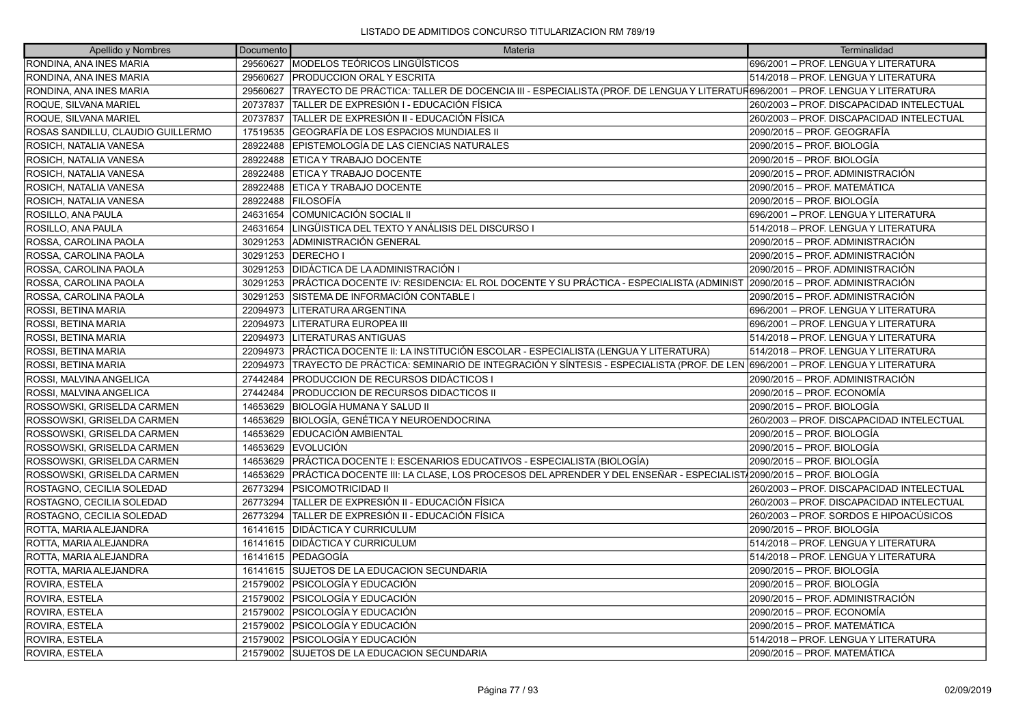| Apellido y Nombres                | Documento | Materia                                                                                                                      | Terminalidad                              |
|-----------------------------------|-----------|------------------------------------------------------------------------------------------------------------------------------|-------------------------------------------|
| RONDINA, ANA INES MARIA           | 29560627  | MODELOS TEÓRICOS LINGÜÍSTICOS                                                                                                | 696/2001 - PROF. LENGUA Y LITERATURA      |
| RONDINA, ANA INES MARIA           | 29560627  | <b>PRODUCCION ORAL Y ESCRITA</b>                                                                                             | 514/2018 - PROF. LENGUA Y LITERATURA      |
| RONDINA, ANA INES MARIA           | 29560627  | TRAYECTO DE PRÁCTICA: TALLER DE DOCENCIA III - ESPECIALISTA (PROF. DE LENGUA Y LITERATUR696/2001 – PROF. LENGUA Y LITERATURA |                                           |
| ROQUE, SILVANA MARIEL             | 20737837  | TALLER DE EXPRESIÓN I - EDUCACIÓN FÍSICA                                                                                     | 260/2003 - PROF. DISCAPACIDAD INTELECTUAL |
| ROQUE, SILVANA MARIEL             | 20737837  | TALLER DE EXPRESIÓN II - EDUCACIÓN FÍSICA                                                                                    | 260/2003 - PROF. DISCAPACIDAD INTELECTUAL |
| ROSAS SANDILLU, CLAUDIO GUILLERMO | 17519535  | GEOGRAFÍA DE LOS ESPACIOS MUNDIALES II                                                                                       | 2090/2015 - PROF. GEOGRAFÍA               |
| ROSICH, NATALIA VANESA            | 28922488  | <b>EPISTEMOLOGÍA DE LAS CIENCIAS NATURALES</b>                                                                               | 2090/2015 - PROF. BIOLOGÍA                |
| ROSICH, NATALIA VANESA            | 28922488  | ETICA Y TRABAJO DOCENTE                                                                                                      | 2090/2015 - PROF. BIOLOGÍA                |
| ROSICH, NATALIA VANESA            | 28922488  | <b>ETICA Y TRABAJO DOCENTE</b>                                                                                               | 2090/2015 - PROF. ADMINISTRACIÓN          |
| ROSICH, NATALIA VANESA            | 28922488  | ETICA Y TRABAJO DOCENTE                                                                                                      | 2090/2015 - PROF. MATEMÁTICA              |
| ROSICH, NATALIA VANESA            | 28922488  | FILOSOFÍA                                                                                                                    | 2090/2015 - PROF. BIOLOGÍA                |
| ROSILLO, ANA PAULA                | 24631654  | COMUNICACIÓN SOCIAL II                                                                                                       | 696/2001 - PROF. LENGUA Y LITERATURA      |
| ROSILLO, ANA PAULA                | 24631654  | LINGÜISTICA DEL TEXTO Y ANÁLISIS DEL DISCURSO I                                                                              | 514/2018 - PROF. LENGUA Y LITERATURA      |
| ROSSA, CAROLINA PAOLA             | 30291253  | ADMINISTRACIÓN GENERAL                                                                                                       | 2090/2015 - PROF. ADMINISTRACIÓN          |
| ROSSA, CAROLINA PAOLA             |           | 30291253   DERECHO I                                                                                                         | 2090/2015 - PROF. ADMINISTRACIÓN          |
| ROSSA, CAROLINA PAOLA             | 30291253  | <b>DIDÁCTICA DE LA ADMINISTRACIÓN I</b>                                                                                      | 2090/2015 - PROF. ADMINISTRACIÓN          |
| ROSSA, CAROLINA PAOLA             | 30291253  | PRÁCTICA DOCENTE IV: RESIDENCIA: EL ROL DOCENTE Y SU PRÁCTICA - ESPECIALISTA (ADMINIST 2090/2015 – PROF. ADMINISTRACIÓN      |                                           |
| ROSSA, CAROLINA PAOLA             | 30291253  | SISTEMA DE INFORMACIÓN CONTABLE I                                                                                            | 2090/2015 - PROF. ADMINISTRACIÓN          |
| ROSSI, BETINA MARIA               | 22094973  | LITERATURA ARGENTINA                                                                                                         | 696/2001 - PROF. LENGUA Y LITERATURA      |
| ROSSI, BETINA MARIA               | 22094973  | LITERATURA EUROPEA III                                                                                                       | 696/2001 - PROF. LENGUA Y LITERATURA      |
| ROSSI, BETINA MARIA               | 22094973  | LITERATURAS ANTIGUAS                                                                                                         | 514/2018 – PROF. LENGUA Y LITERATURA      |
| ROSSI, BETINA MARIA               | 22094973  | PRÁCTICA DOCENTE II: LA INSTITUCIÓN ESCOLAR - ESPECIALISTA (LENGUA Y LITERATURA)                                             | 514/2018 - PROF. LENGUA Y LITERATURA      |
| ROSSI, BETINA MARIA               | 22094973  | TRAYECTO DE PRÁCTICA: SEMINARIO DE INTEGRACIÓN Y SÍNTESIS - ESPECIALISTA (PROF. DE LEN 696/2001 – PROF. LENGUA Y LITERATURA  |                                           |
| ROSSI, MALVINA ANGELICA           | 27442484  | PRODUCCION DE RECURSOS DIDÁCTICOS I                                                                                          | 2090/2015 - PROF. ADMINISTRACIÓN          |
| ROSSI, MALVINA ANGELICA           | 27442484  | PRODUCCION DE RECURSOS DIDACTICOS II                                                                                         | 2090/2015 - PROF. ECONOMÍA                |
| ROSSOWSKI, GRISELDA CARMEN        | 14653629  | BIOLOGÍA HUMANA Y SALUD II                                                                                                   | 2090/2015 - PROF. BIOLOGÍA                |
| ROSSOWSKI, GRISELDA CARMEN        | 14653629  | BIOLOGÍA, GENÉTICA Y NEUROENDOCRINA                                                                                          | 260/2003 - PROF. DISCAPACIDAD INTELECTUAL |
| ROSSOWSKI, GRISELDA CARMEN        | 14653629  | EDUCACIÓN AMBIENTAL                                                                                                          | 2090/2015 - PROF. BIOLOGÍA                |
| ROSSOWSKI, GRISELDA CARMEN        | 14653629  | <b>EVOLUCIÓN</b>                                                                                                             | 2090/2015 - PROF. BIOLOGÍA                |
| ROSSOWSKI, GRISELDA CARMEN        | 14653629  | PRÁCTICA DOCENTE I: ESCENARIOS EDUCATIVOS - ESPECIALISTA (BIOLOGÍA)                                                          | 2090/2015 - PROF. BIOLOGÍA                |
| ROSSOWSKI, GRISELDA CARMEN        | 14653629  | PRÁCTICA DOCENTE III: LA CLASE, LOS PROCESOS DEL APRENDER Y DEL ENSEÑAR - ESPECIALIST√2090/2015 – PROF. BIOLOGÍA             |                                           |
| ROSTAGNO, CECILIA SOLEDAD         | 26773294  | <b>PSICOMOTRICIDAD II</b>                                                                                                    | 260/2003 - PROF. DISCAPACIDAD INTELECTUAL |
| ROSTAGNO, CECILIA SOLEDAD         |           | 26773294 TALLER DE EXPRESIÓN II - EDUCACIÓN FÍSICA                                                                           | 260/2003 - PROF. DISCAPACIDAD INTELECTUAL |
| ROSTAGNO, CECILIA SOLEDAD         | 26773294  | TALLER DE EXPRESIÓN II - EDUCACIÓN FÍSICA                                                                                    | 260/2003 - PROF. SORDOS E HIPOACÚSICOS    |
| ROTTA, MARIA ALEJANDRA            |           | 16141615 DIDÁCTICA Y CURRICULUM                                                                                              | 2090/2015 - PROF. BIOLOGÍA                |
| ROTTA, MARIA ALEJANDRA            |           | 16141615   DIDÁCTICA Y CURRICULUM                                                                                            | 514/2018 - PROF. LENGUA Y LITERATURA      |
| ROTTA, MARIA ALEJANDRA            |           | 16141615 PEDAGOGÍA                                                                                                           | 514/2018 - PROF. LENGUA Y LITERATURA      |
| ROTTA, MARIA ALEJANDRA            |           | 16141615 SUJETOS DE LA EDUCACION SECUNDARIA                                                                                  | 2090/2015 - PROF. BIOLOGÍA                |
| ROVIRA, ESTELA                    |           | 21579002 PSICOLOGÍA Y EDUCACIÓN                                                                                              | 2090/2015 - PROF. BIOLOGÍA                |
| ROVIRA, ESTELA                    |           | 21579002 PSICOLOGÍA Y EDUCACIÓN                                                                                              | 2090/2015 – PROF. ADMINISTRACIÓN          |
| ROVIRA, ESTELA                    |           | 21579002   PSICOLOGÍA Y EDUCACIÓN                                                                                            | 2090/2015 - PROF. ECONOMÍA                |
| ROVIRA, ESTELA                    |           | 21579002 PSICOLOGÍA Y EDUCACIÓN                                                                                              | 2090/2015 - PROF. MATEMÁTICA              |
| <b>ROVIRA, ESTELA</b>             |           | 21579002 PSICOLOGÍA Y EDUCACIÓN                                                                                              | 514/2018 - PROF. LENGUA Y LITERATURA      |
| ROVIRA, ESTELA                    |           | 21579002 SUJETOS DE LA EDUCACION SECUNDARIA                                                                                  | 2090/2015 - PROF. MATEMÁTICA              |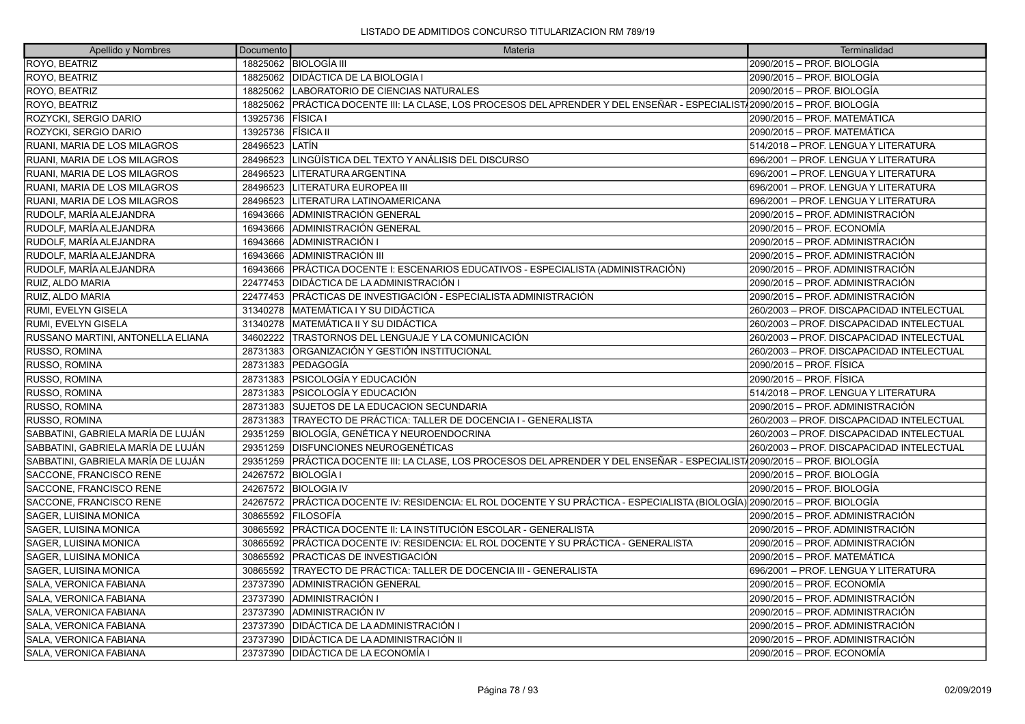| Apellido y Nombres                 | Documento | Materia                                                                                                            | Terminalidad                              |
|------------------------------------|-----------|--------------------------------------------------------------------------------------------------------------------|-------------------------------------------|
| ROYO, BEATRIZ                      |           | 18825062 BIOLOGÍA III                                                                                              | 2090/2015 - PROF. BIOLOGÍA                |
| ROYO, BEATRIZ                      |           | 18825062   DIDÁCTICA DE LA BIOLOGIA I                                                                              | 2090/2015 - PROF. BIOLOGÍA                |
| ROYO, BEATRIZ                      |           | 18825062   LABORATORIO DE CIENCIAS NATURALES                                                                       | 2090/2015 – PROF. BIOLOGÍA                |
| ROYO, BEATRIZ                      | 18825062  | PRÁCTICA DOCENTE III: LA CLASE, LOS PROCESOS DEL APRENDER Y DEL ENSEÑAR - ESPECIALIST√2090/2015 – PROF. BIOLOGÍA   |                                           |
| ROZYCKI, SERGIO DARIO              | 13925736  | <b>FÍSICA</b> I                                                                                                    | 2090/2015 - PROF. MATEMÁTICA              |
| ROZYCKI, SERGIO DARIO              | 13925736  | <b>FISICA II</b>                                                                                                   | 2090/2015 – PROF. MATEMÁTICA              |
| RUANI, MARIA DE LOS MILAGROS       | 28496523  | <b>LATIN</b>                                                                                                       | 514/2018 - PROF. LENGUA Y LITERATURA      |
| RUANI, MARIA DE LOS MILAGROS       | 28496523  | LINGÜÍSTICA DEL TEXTO Y ANÁLISIS DEL DISCURSO                                                                      | 696/2001 - PROF. LENGUA Y LITERATURA      |
| RUANI, MARIA DE LOS MILAGROS       | 28496523  | LITERATURA ARGENTINA                                                                                               | 696/2001 - PROF. LENGUA Y LITERATURA      |
| RUANI, MARIA DE LOS MILAGROS       | 28496523  | LITERATURA EUROPEA III                                                                                             | 696/2001 - PROF. LENGUA Y LITERATURA      |
| RUANI, MARIA DE LOS MILAGROS       | 28496523  | LITERATURA LATINOAMERICANA                                                                                         | 696/2001 - PROF. LENGUA Y LITERATURA      |
| RUDOLF, MARÍA ALEJANDRA            | 16943666  | ADMINISTRACIÓN GENERAL                                                                                             | 2090/2015 - PROF. ADMINISTRACIÓN          |
| RUDOLF. MARÍA ALEJANDRA            | 16943666  | ADMINISTRACIÓN GENERAL                                                                                             | 2090/2015 – PROF. ECONOMÍA                |
| RUDOLF, MARÍA ALEJANDRA            | 16943666  | ADMINISTRACIÓN I                                                                                                   | 2090/2015 - PROF. ADMINISTRACIÓN          |
| RUDOLF, MARÍA ALEJANDRA            | 16943666  | <b>ADMINISTRACIÓN III</b>                                                                                          | 2090/2015 - PROF. ADMINISTRACIÓN          |
| RUDOLF, MARÍA ALEJANDRA            | 16943666  | PRÁCTICA DOCENTE I: ESCENARIOS EDUCATIVOS - ESPECIALISTA (ADMINISTRACIÓN)                                          | 2090/2015 – PROF. ADMINISTRACIÓN          |
| RUIZ, ALDO MARIA                   | 22477453  | <b>DIDÁCTICA DE LA ADMINISTRACIÓN I</b>                                                                            | 2090/2015 – PROF. ADMINISTRACIÓN          |
| RUIZ, ALDO MARIA                   | 22477453  | PRÁCTICAS DE INVESTIGACIÓN - ESPECIALISTA ADMINISTRACIÓN                                                           | 2090/2015 – PROF. ADMINISTRACIÓN          |
| RUMI, EVELYN GISELA                | 31340278  | MATEMÁTICA I Y SU DIDÁCTICA                                                                                        | 260/2003 - PROF. DISCAPACIDAD INTELECTUAL |
| RUMI, EVELYN GISELA                | 31340278  | <b>MATEMÁTICA II Y SU DIDÁCTICA</b>                                                                                | 260/2003 - PROF. DISCAPACIDAD INTELECTUAL |
| RUSSANO MARTINI, ANTONELLA ELIANA  | 34602222  | TRASTORNOS DEL LENGUAJE Y LA COMUNICACIÓN                                                                          | 260/2003 - PROF. DISCAPACIDAD INTELECTUAL |
| RUSSO, ROMINA                      | 28731383  | ORGANIZACIÓN Y GESTIÓN INSTITUCIONAL                                                                               | 260/2003 - PROF. DISCAPACIDAD INTELECTUAL |
| <b>RUSSO, ROMINA</b>               | 28731383  | <b>IPEDAGOGÍA</b>                                                                                                  | 2090/2015 - PROF. FÍSICA                  |
| RUSSO, ROMINA                      | 28731383  | PSICOLOGÍA Y EDUCACIÓN                                                                                             | 2090/2015 – PROF. FÍSICA                  |
| RUSSO, ROMINA                      | 28731383  | <b>PSICOLOGÍA Y EDUCACIÓN</b>                                                                                      | 514/2018 - PROF. LENGUA Y LITERATURA      |
| RUSSO, ROMINA                      | 28731383  | <b>SUJETOS DE LA EDUCACION SECUNDARIA</b>                                                                          | 2090/2015 - PROF. ADMINISTRACIÓN          |
| RUSSO, ROMINA                      | 28731383  | <b>TRAYECTO DE PRÁCTICA: TALLER DE DOCENCIA I - GENERALISTA</b>                                                    | 260/2003 - PROF. DISCAPACIDAD INTELECTUAL |
| SABBATINI, GABRIELA MARÍA DE LUJÁN | 29351259  | BIOLOGÍA, GENÉTICA Y NEUROENDOCRINA                                                                                | 260/2003 - PROF. DISCAPACIDAD INTELECTUAL |
| SABBATINI, GABRIELA MARÍA DE LUJÁN | 29351259  | <b>DISFUNCIONES NEUROGENÉTICAS</b>                                                                                 | 260/2003 - PROF. DISCAPACIDAD INTELECTUAL |
| SABBATINI, GABRIELA MARÍA DE LUJÁN | 29351259  | PRÁCTICA DOCENTE III: LA CLASE, LOS PROCESOS DEL APRENDER Y DEL ENSEÑAR - ESPECIALISTA 2090/2015 - PROF. BIOLOGÍA  |                                           |
| SACCONE, FRANCISCO RENE            |           | 24267572   BIOLOGÍA I                                                                                              | 2090/2015 - PROF. BIOLOGÍA                |
| SACCONE. FRANCISCO RENE            |           | 24267572 BIOLOGIA IV                                                                                               | 2090/2015 – PROF. BIOLOGÍA                |
| SACCONE, FRANCISCO RENE            | 24267572  | PRÁCTICA DOCENTE IV: RESIDENCIA: EL ROL DOCENTE Y SU PRÁCTICA - ESPECIALISTA (BIOLOGÍA) 2090/2015 – PROF. BIOLOGÍA |                                           |
| SAGER, LUISINA MONICA              | 30865592  | <b>IFILOSOFÍA</b>                                                                                                  | 2090/2015 - PROF. ADMINISTRACIÓN          |
| SAGER, LUISINA MONICA              | 30865592  | PRÁCTICA DOCENTE II: LA INSTITUCIÓN ESCOLAR - GENERALISTA                                                          | 2090/2015 - PROF. ADMINISTRACIÓN          |
| SAGER, LUISINA MONICA              | 30865592  | PRÁCTICA DOCENTE IV: RESIDENCIA: EL ROL DOCENTE Y SU PRÁCTICA - GENERALISTA                                        | 2090/2015 - PROF. ADMINISTRACIÓN          |
| SAGER, LUISINA MONICA              | 30865592  | IPRACTICAS DE INVESTIGACIÓN                                                                                        | 2090/2015 - PROF. MATEMÁTICA              |
| SAGER, LUISINA MONICA              | 30865592  | ITRAYECTO DE PRÁCTICA: TALLER DE DOCENCIA III - GENERALISTA                                                        | 696/2001 - PROF. LENGUA Y LITERATURA      |
| SALA, VERONICA FABIANA             | 23737390  | ADMINISTRACIÓN GENERAL                                                                                             | 2090/2015 - PROF. ECONOMÍA                |
| SALA, VERONICA FABIANA             | 23737390  | ADMINISTRACIÓN I                                                                                                   | 2090/2015 - PROF. ADMINISTRACIÓN          |
| SALA, VERONICA FABIANA             | 23737390  | ADMINISTRACIÓN IV                                                                                                  | 2090/2015 - PROF. ADMINISTRACIÓN          |
| SALA, VERONICA FABIANA             | 23737390  | <b>DIDÁCTICA DE LA ADMINISTRACIÓN I</b>                                                                            | 2090/2015 - PROF. ADMINISTRACIÓN          |
| SALA, VERONICA FABIANA             | 23737390  | <b>DIDÁCTICA DE LA ADMINISTRACIÓN II</b>                                                                           | 2090/2015 – PROF. ADMINISTRACIÓN          |
| SALA, VERONICA FABIANA             | 23737390  | <b>DIDÁCTICA DE LA ECONOMÍA I</b>                                                                                  | 2090/2015 – PROF. ECONOMÍA                |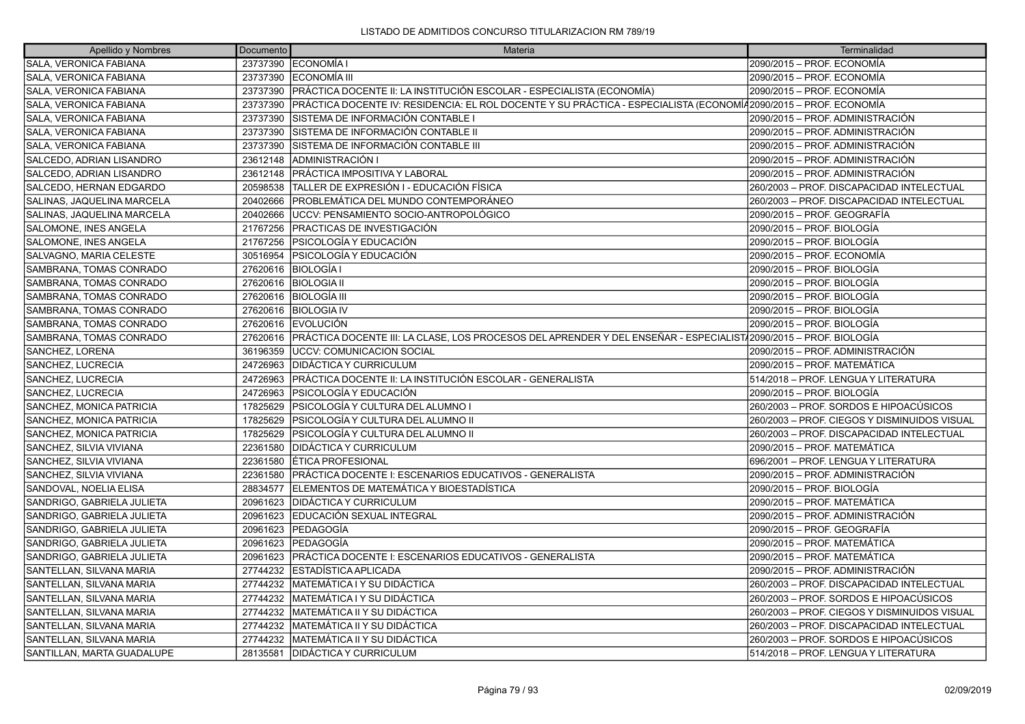| Apellido y Nombres         | Documento | Materia                                                                                                                   | Terminalidad                                 |
|----------------------------|-----------|---------------------------------------------------------------------------------------------------------------------------|----------------------------------------------|
| SALA, VERONICA FABIANA     |           | 23737390 ECONOMÍA I                                                                                                       | 2090/2015 - PROF. ECONOMÍA                   |
| SALA, VERONICA FABIANA     |           | 23737390 ECONOMÍA III                                                                                                     | 2090/2015 - PROF. ECONOMÍA                   |
| SALA, VERONICA FABIANA     |           | 23737390 PRÁCTICA DOCENTE II: LA INSTITUCIÓN ESCOLAR - ESPECIALISTA (ECONOMÍA)                                            | 2090/2015 - PROF. ECONOMÍA                   |
| SALA, VERONICA FABIANA     | 23737390  | PRÁCTICA DOCENTE IV: RESIDENCIA: EL ROL DOCENTE Y SU PRÁCTICA - ESPECIALISTA (ECONOMÍ42090/2015 – PROF. ECONOMÍA          |                                              |
| SALA, VERONICA FABIANA     | 23737390  | SISTEMA DE INFORMACIÓN CONTABLE I                                                                                         | 2090/2015 - PROF. ADMINISTRACIÓN             |
| SALA, VERONICA FABIANA     | 23737390  | SISTEMA DE INFORMACIÓN CONTABLE II                                                                                        | 2090/2015 - PROF. ADMINISTRACIÓN             |
| SALA, VERONICA FABIANA     | 23737390  | ISISTEMA DE INFORMACIÓN CONTABLE III                                                                                      | 2090/2015 - PROF. ADMINISTRACIÓN             |
| SALCEDO, ADRIAN LISANDRO   | 23612148  | ADMINISTRACIÓN I                                                                                                          | 2090/2015 - PROF. ADMINISTRACIÓN             |
| SALCEDO, ADRIAN LISANDRO   | 23612148  | <b>IPRÁCTICA IMPOSITIVA Y LABORAL</b>                                                                                     | 2090/2015 - PROF. ADMINISTRACIÓN             |
| SALCEDO, HERNAN EDGARDO    | 20598538  | TALLER DE EXPRESIÓN I - EDUCACIÓN FÍSICA                                                                                  | 260/2003 - PROF. DISCAPACIDAD INTELECTUAL    |
| SALINAS, JAQUELINA MARCELA | 20402666  | IPROBLEMÁTICA DEL MUNDO CONTEMPORÁNEO                                                                                     | 260/2003 - PROF. DISCAPACIDAD INTELECTUAL    |
| SALINAS, JAQUELINA MARCELA | 20402666  | UCCV: PENSAMIENTO SOCIO-ANTROPOLÓGICO                                                                                     | 2090/2015 - PROF. GEOGRAFÍA                  |
| SALOMONE, INES ANGELA      | 21767256  | PRACTICAS DE INVESTIGACIÓN                                                                                                | 2090/2015 - PROF. BIOLOGÍA                   |
| SALOMONE, INES ANGELA      | 21767256  | IPSICOLOGÍA Y EDUCACIÓN                                                                                                   | 2090/2015 - PROF. BIOLOGÍA                   |
| SALVAGNO, MARIA CELESTE    | 30516954  | <b>PSICOLOGÍA Y EDUCACIÓN</b>                                                                                             | 2090/2015 - PROF. ECONOMÍA                   |
| SAMBRANA, TOMAS CONRADO    | 27620616  | <b>BIOLOGÍA I</b>                                                                                                         | 2090/2015 - PROF. BIOLOGÍA                   |
| SAMBRANA, TOMAS CONRADO    |           | 27620616   BIOLOGIA II                                                                                                    | 2090/2015 - PROF. BIOLOGÍA                   |
| SAMBRANA, TOMAS CONRADO    | 27620616  | <b>BIOLOGÍA III</b>                                                                                                       | 2090/2015 - PROF. BIOLOGÍA                   |
| SAMBRANA, TOMAS CONRADO    |           | 27620616 BIOLOGIA IV                                                                                                      | 2090/2015 – PROF. BIOLOGÍA                   |
| SAMBRANA, TOMAS CONRADO    |           | 27620616 EVOLUCIÓN                                                                                                        | 2090/2015 - PROF. BIOLOGÍA                   |
| SAMBRANA, TOMAS CONRADO    |           | 27620616 PRÁCTICA DOCENTE III: LA CLASE, LOS PROCESOS DEL APRENDER Y DEL ENSEÑAR - ESPECIALIST/2090/2015 – PROF. BIOLOGÍA |                                              |
| SANCHEZ, LORENA            | 36196359  | <b>JUCCV: COMUNICACION SOCIAL</b>                                                                                         | 2090/2015 - PROF. ADMINISTRACIÓN             |
| SANCHEZ, LUCRECIA          |           | 24726963 DIDÁCTICA Y CURRICULUM                                                                                           | 2090/2015 - PROF. MATEMÁTICA                 |
| SANCHEZ, LUCRECIA          | 24726963  | IPRÁCTICA DOCENTE II: LA INSTITUCIÓN ESCOLAR - GENERALISTA                                                                | 514/2018 – PROF. LENGUA Y LITERATURA         |
| SANCHEZ, LUCRECIA          | 24726963  | PSICOLOGÍA Y EDUCACIÓN                                                                                                    | 2090/2015 - PROF. BIOLOGÍA                   |
| SANCHEZ, MONICA PATRICIA   | 17825629  | PSICOLOGÍA Y CULTURA DEL ALUMNO I                                                                                         | 260/2003 – PROF. SORDOS E HIPOACÚSICOS       |
| SANCHEZ, MONICA PATRICIA   | 17825629  | PSICOLOGÍA Y CULTURA DEL ALUMNO II                                                                                        | 260/2003 - PROF. CIEGOS Y DISMINUIDOS VISUAL |
| SANCHEZ, MONICA PATRICIA   | 17825629  | PSICOLOGÍA Y CULTURA DEL ALUMNO II                                                                                        | 260/2003 - PROF. DISCAPACIDAD INTELECTUAL    |
| SANCHEZ, SILVIA VIVIANA    | 22361580  | <b>DIDÁCTICA Y CURRICULUM</b>                                                                                             | 2090/2015 - PROF. MATEMÁTICA                 |
| SANCHEZ, SILVIA VIVIANA    | 22361580  | ÉTICA PROFESIONAL                                                                                                         | 696/2001 - PROF. LENGUA Y LITERATURA         |
| SANCHEZ, SILVIA VIVIANA    | 22361580  | PRÁCTICA DOCENTE I: ESCENARIOS EDUCATIVOS - GENERALISTA                                                                   | 2090/2015 - PROF. ADMINISTRACIÓN             |
| SANDOVAL, NOELIA ELISA     | 28834577  | ELEMENTOS DE MATEMÁTICA Y BIOESTADÍSTICA                                                                                  | 2090/2015 - PROF. BIOLOGÍA                   |
| SANDRIGO, GABRIELA JULIETA | 20961623  | <b>IDIDÁCTICA Y CURRICULUM</b>                                                                                            | 2090/2015 - PROF. MATEMÁTICA                 |
| SANDRIGO, GABRIELA JULIETA | 20961623  | EDUCACIÓN SEXUAL INTEGRAL                                                                                                 | 2090/2015 – PROF. ADMINISTRACIÓN             |
| SANDRIGO, GABRIELA JULIETA | 20961623  | <b> PEDAGOGÍA</b>                                                                                                         | 2090/2015 - PROF. GEOGRAFÍA                  |
| SANDRIGO, GABRIELA JULIETA | 20961623  | PEDAGOGÍA                                                                                                                 | 2090/2015 - PROF. MATEMÁTICA                 |
| SANDRIGO, GABRIELA JULIETA | 20961623  | PRÁCTICA DOCENTE I: ESCENARIOS EDUCATIVOS - GENERALISTA                                                                   | 2090/2015 - PROF. MATEMÁTICA                 |
| SANTELLAN, SILVANA MARIA   | 27744232  | ESTADÍSTICA APLICADA                                                                                                      | 2090/2015 - PROF. ADMINISTRACIÓN             |
| SANTELLAN, SILVANA MARIA   | 27744232  | MATEMÁTICA I Y SU DIDÁCTICA                                                                                               | 260/2003 - PROF. DISCAPACIDAD INTELECTUAL    |
| SANTELLAN, SILVANA MARIA   | 27744232  | MATEMÁTICA I Y SU DIDÁCTICA                                                                                               | 260/2003 - PROF. SORDOS E HIPOACÚSICOS       |
| SANTELLAN, SILVANA MARIA   | 27744232  | MATEMÁTICA II Y SU DIDÁCTICA                                                                                              | 260/2003 - PROF. CIEGOS Y DISMINUIDOS VISUAL |
| SANTELLAN, SILVANA MARIA   | 27744232  | <b>MATEMÁTICA II Y SU DIDÁCTICA</b>                                                                                       | 260/2003 - PROF. DISCAPACIDAD INTELECTUAL    |
| SANTELLAN, SILVANA MARIA   | 27744232  | MATEMÁTICA II Y SU DIDÁCTICA                                                                                              | 260/2003 – PROF. SORDOS E HIPOACÚSICOS       |
| SANTILLAN. MARTA GUADALUPE |           | 28135581 IDIDÁCTICA Y CURRICULUM                                                                                          | 514/2018 – PROF. LENGUA Y LITERATURA         |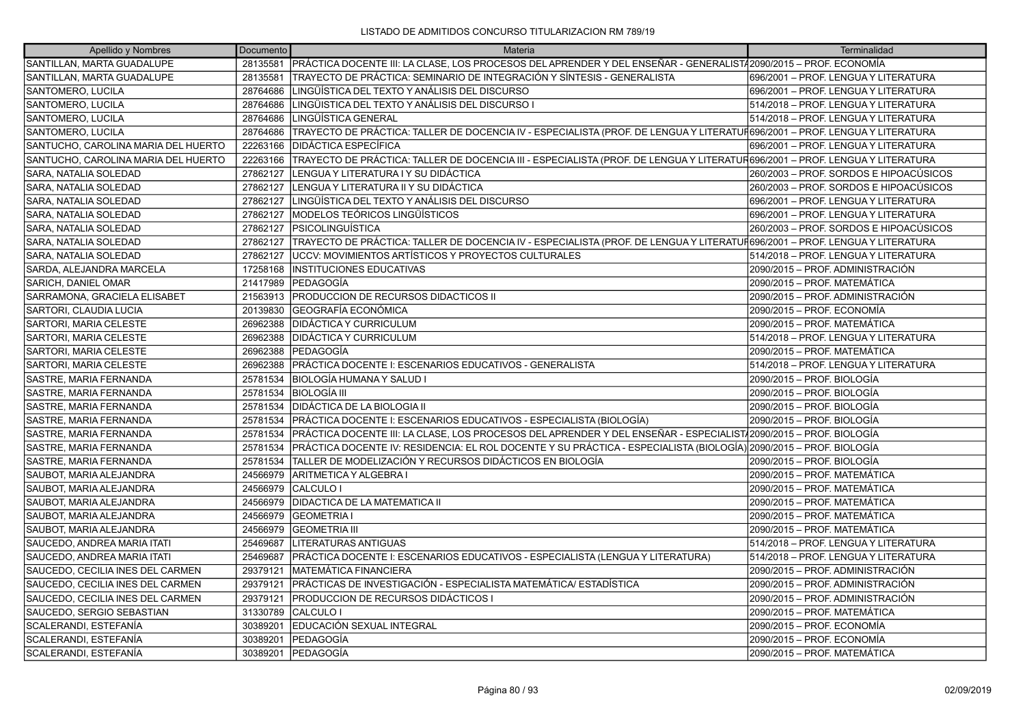| Apellido y Nombres                  | Documento | Materia                                                                                                                      | Terminalidad                           |  |
|-------------------------------------|-----------|------------------------------------------------------------------------------------------------------------------------------|----------------------------------------|--|
| SANTILLAN, MARTA GUADALUPE          | 28135581  | PRÁCTICA DOCENTE III: LA CLASE, LOS PROCESOS DEL APRENDER Y DEL ENSEÑAR - GENERALIST/2090/2015 – PROF. ECONOMÍA              |                                        |  |
| SANTILLAN, MARTA GUADALUPE          | 28135581  | ITRAYECTO DE PRÁCTICA: SEMINARIO DE INTEGRACIÓN Y SÍNTESIS - GENERALISTA                                                     | 696/2001 – PROF. LENGUA Y LITERATURA   |  |
| SANTOMERO, LUCILA                   | 28764686  | LINGÜÍSTICA DEL TEXTO Y ANÁLISIS DEL DISCURSO                                                                                | 696/2001 – PROF. LENGUA Y LITERATURA   |  |
| SANTOMERO, LUCILA                   | 28764686  | LINGÜISTICA DEL TEXTO Y ANÁLISIS DEL DISCURSO I                                                                              | 514/2018 - PROF. LENGUA Y LITERATURA   |  |
| SANTOMERO, LUCILA                   | 28764686  | LINGÜÍSTICA GENERAL                                                                                                          | 514/2018 - PROF. LENGUA Y LITERATURA   |  |
| SANTOMERO, LUCILA                   | 28764686  | TRAYECTO DE PRÁCTICA: TALLER DE DOCENCIA IV - ESPECIALISTA (PROF. DE LENGUA Y LITERATUF696/2001 – PROF. LENGUA Y LITERATURA  |                                        |  |
| SANTUCHO, CAROLINA MARIA DEL HUERTO | 22263166  | <b>DIDÁCTICA ESPECÍFICA</b>                                                                                                  | 696/2001 - PROF. LENGUA Y LITERATURA   |  |
| SANTUCHO, CAROLINA MARIA DEL HUERTO | 22263166  | TRAYECTO DE PRÁCTICA: TALLER DE DOCENCIA III - ESPECIALISTA (PROF. DE LENGUA Y LITERATUR696/2001 – PROF. LENGUA Y LITERATURA |                                        |  |
| SARA, NATALIA SOLEDAD               | 27862127  | LENGUA Y LITERATURA I Y SU DIDÁCTICA                                                                                         | 260/2003 - PROF. SORDOS E HIPOACÚSICOS |  |
| SARA, NATALIA SOLEDAD               | 27862127  | LENGUA Y LITERATURA II Y SU DIDÁCTICA                                                                                        | 260/2003 - PROF. SORDOS E HIPOACÚSICOS |  |
| SARA, NATALIA SOLEDAD               | 27862127  | LINGÜÍSTICA DEL TEXTO Y ANÁLISIS DEL DISCURSO                                                                                | 696/2001 - PROF. LENGUA Y LITERATURA   |  |
| SARA, NATALIA SOLEDAD               | 27862127  | IMODELOS TEÓRICOS LINGÜÍSTICOS                                                                                               | 696/2001 - PROF. LENGUA Y LITERATURA   |  |
| SARA, NATALIA SOLEDAD               | 27862127  | <b>PSICOLINGUÍSTICA</b>                                                                                                      | 260/2003 - PROF. SORDOS E HIPOACÚSICOS |  |
| SARA, NATALIA SOLEDAD               | 27862127  | TRAYECTO DE PRÁCTICA: TALLER DE DOCENCIA IV - ESPECIALISTA (PROF. DE LENGUA Y LITERATUF696/2001 – PROF. LENGUA Y LITERATURA  |                                        |  |
| SARA, NATALIA SOLEDAD               | 27862127  | UCCV: MOVIMIENTOS ARTÍSTICOS Y PROYECTOS CULTURALES                                                                          | 514/2018 - PROF. LENGUA Y LITERATURA   |  |
| SARDA, ALEJANDRA MARCELA            | 17258168  | <b>INSTITUCIONES EDUCATIVAS</b>                                                                                              | 2090/2015 - PROF. ADMINISTRACIÓN       |  |
| SARICH, DANIEL OMAR                 | 21417989  | PEDAGOGÍA                                                                                                                    | 2090/2015 - PROF. MATEMÁTICA           |  |
| SARRAMONA, GRACIELA ELISABET        | 21563913  | <b>PRODUCCION DE RECURSOS DIDACTICOS II</b>                                                                                  | 2090/2015 - PROF. ADMINISTRACIÓN       |  |
| SARTORI, CLAUDIA LUCIA              | 20139830  | GEOGRAFÍA ECONÓMICA                                                                                                          | 2090/2015 - PROF. ECONOMÍA             |  |
| SARTORI, MARIA CELESTE              | 26962388  | IDIDÁCTICA Y CURRICULUM                                                                                                      | 2090/2015 - PROF. MATEMÁTICA           |  |
| SARTORI, MARIA CELESTE              | 26962388  | <b>DIDÁCTICA Y CURRICULUM</b>                                                                                                | 514/2018 - PROF. LENGUA Y LITERATURA   |  |
| SARTORI, MARIA CELESTE              | 26962388  | <b>PEDAGOGÍA</b>                                                                                                             | 2090/2015 - PROF. MATEMÁTICA           |  |
| SARTORI, MARIA CELESTE              | 26962388  | PRÁCTICA DOCENTE I: ESCENARIOS EDUCATIVOS - GENERALISTA                                                                      | 514/2018 - PROF. LENGUA Y LITERATURA   |  |
| SASTRE, MARIA FERNANDA              | 25781534  | IBIOLOGÍA HUMANA Y SALUD I                                                                                                   | 2090/2015 – PROF. BIOLOGÍA             |  |
| SASTRE, MARIA FERNANDA              | 25781534  | <b>BIOLOGÍA III</b>                                                                                                          | 2090/2015 - PROF. BIOLOGÍA             |  |
| SASTRE, MARIA FERNANDA              | 25781534  | <b>DIDÁCTICA DE LA BIOLOGIA II</b>                                                                                           | 2090/2015 - PROF. BIOLOGÍA             |  |
| SASTRE, MARIA FERNANDA              | 25781534  | PRÁCTICA DOCENTE I: ESCENARIOS EDUCATIVOS - ESPECIALISTA (BIOLOGÍA)                                                          | 2090/2015 – PROF. BIOLOGÍA             |  |
| SASTRE, MARIA FERNANDA              | 25781534  | PRÁCTICA DOCENTE III: LA CLASE, LOS PROCESOS DEL APRENDER Y DEL ENSEÑAR - ESPECIALIST√2090/2015 – PROF. BIOLOGÍA             |                                        |  |
| SASTRE, MARIA FERNANDA              | 25781534  | PRÁCTICA DOCENTE IV: RESIDENCIA: EL ROL DOCENTE Y SU PRÁCTICA - ESPECIALISTA (BIOLOGÍA) 2090/2015 – PROF. BIOLOGÍA           |                                        |  |
| SASTRE, MARIA FERNANDA              | 25781534  | TALLER DE MODELIZACIÓN Y RECURSOS DIDÁCTICOS EN BIOLOGÍA                                                                     | 2090/2015 – PROF. BIOLOGÍA             |  |
| SAUBOT, MARIA ALEJANDRA             | 24566979  | <b>ARITMETICA Y ALGEBRA I</b>                                                                                                | 2090/2015 - PROF. MATEMÁTICA           |  |
| SAUBOT, MARIA ALEJANDRA             | 24566979  | CALCULO I                                                                                                                    | 2090/2015 - PROF. MATEMÁTICA           |  |
| SAUBOT, MARIA ALEJANDRA             | 24566979  | <b>DIDACTICA DE LA MATEMATICA II</b>                                                                                         | 2090/2015 – PROF. MATEMÁTICA           |  |
| SAUBOT, MARIA ALEJANDRA             | 24566979  | <b>GEOMETRIA I</b>                                                                                                           | 2090/2015 - PROF. MATEMÁTICA           |  |
| SAUBOT, MARIA ALEJANDRA             | 24566979  | <b>GEOMETRIA III</b>                                                                                                         | 2090/2015 - PROF. MATEMÁTICA           |  |
| SAUCEDO, ANDREA MARIA ITATI         | 25469687  | LITERATURAS ANTIGUAS                                                                                                         | 514/2018 - PROF. LENGUA Y LITERATURA   |  |
| SAUCEDO, ANDREA MARIA ITATI         | 25469687  | PRÁCTICA DOCENTE I: ESCENARIOS EDUCATIVOS - ESPECIALISTA (LENGUA Y LITERATURA)                                               | 514/2018 - PROF. LENGUA Y LITERATURA   |  |
| SAUCEDO, CECILIA INES DEL CARMEN    | 29379121  | MATEMÁTICA FINANCIERA                                                                                                        | 2090/2015 – PROF. ADMINISTRACIÓN       |  |
| SAUCEDO, CECILIA INES DEL CARMEN    | 29379121  | PRÁCTICAS DE INVESTIGACIÓN - ESPECIALISTA MATEMÁTICA/ ESTADÍSTICA                                                            | 2090/2015 - PROF. ADMINISTRACIÓN       |  |
| SAUCEDO, CECILIA INES DEL CARMEN    | 29379121  | <b>PRODUCCION DE RECURSOS DIDÁCTICOS I</b>                                                                                   | 2090/2015 - PROF. ADMINISTRACIÓN       |  |
| SAUCEDO, SERGIO SEBASTIAN           | 31330789  | CALCULO I                                                                                                                    | 2090/2015 - PROF. MATEMÁTICA           |  |
| SCALERANDI, ESTEFANÍA               | 30389201  | EDUCACIÓN SEXUAL INTEGRAL                                                                                                    | 2090/2015 – PROF. ECONOMÍA             |  |
| SCALERANDI, ESTEFANÍA               | 30389201  | <b>IPEDAGOGÍA</b>                                                                                                            | 2090/2015 - PROF. ECONOMÍA             |  |
| SCALERANDI, ESTEFANÍA               | 30389201  | <b>PEDAGOGÍA</b>                                                                                                             | 2090/2015 – PROF. MATEMÁTICA           |  |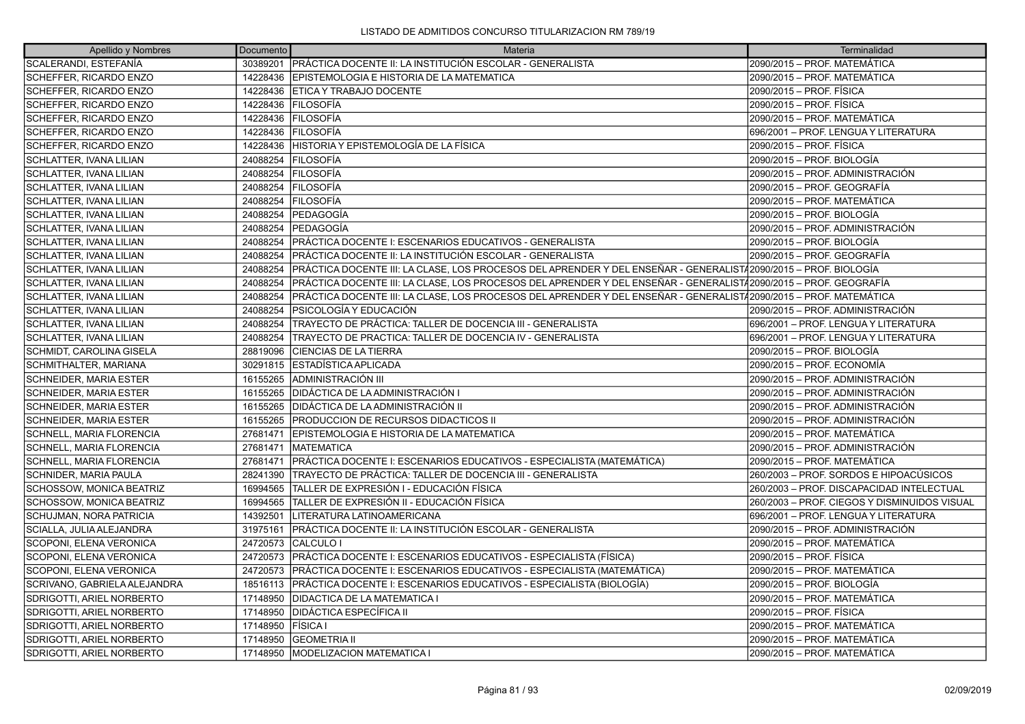| Apellido y Nombres             | Documento | Materia                                                                                                           | Terminalidad                                 |
|--------------------------------|-----------|-------------------------------------------------------------------------------------------------------------------|----------------------------------------------|
| SCALERANDI. ESTEFANÍA          |           | 30389201 PRÁCTICA DOCENTE II: LA INSTITUCIÓN ESCOLAR - GENERALISTA                                                | 2090/2015 - PROF. MATEMÁTICA                 |
| SCHEFFER, RICARDO ENZO         | 14228436  | EPISTEMOLOGIA E HISTORIA DE LA MATEMATICA                                                                         | 2090/2015 - PROF. MATEMÁTICA                 |
| SCHEFFER, RICARDO ENZO         |           | 14228436 ETICA Y TRABAJO DOCENTE                                                                                  | 2090/2015 - PROF. FÍSICA                     |
| SCHEFFER, RICARDO ENZO         | 14228436  | <b>FILOSOFÍA</b>                                                                                                  | 2090/2015 - PROF. FÍSICA                     |
| SCHEFFER, RICARDO ENZO         | 14228436  | <b>FILOSOFÍA</b>                                                                                                  | 2090/2015 - PROF. MATEMÁTICA                 |
| SCHEFFER, RICARDO ENZO         |           | 14228436 FILOSOFÍA                                                                                                | 696/2001 - PROF. LENGUA Y LITERATURA         |
| SCHEFFER, RICARDO ENZO         | 14228436  | ÍHISTORIA Y EPISTEMOLOGÍA DE LA FÍSICA                                                                            | 2090/2015 - PROF. FÍSICA                     |
| SCHLATTER, IVANA LILIAN        | 24088254  | <b>FILOSOFÍA</b>                                                                                                  | 2090/2015 - PROF. BIOLOGÍA                   |
| SCHLATTER, IVANA LILIAN        |           | 24088254 FILOSOFÍA                                                                                                | 2090/2015 - PROF. ADMINISTRACIÓN             |
| SCHLATTER, IVANA LILIAN        | 24088254  | <b>FILOSOFÍA</b>                                                                                                  | 2090/2015 - PROF. GEOGRAFÍA                  |
| SCHLATTER, IVANA LILIAN        | 24088254  | <b>FILOSOFÍA</b>                                                                                                  | 2090/2015 – PROF. MATEMÁTICA                 |
| SCHLATTER, IVANA LILIAN        | 24088254  | lPEDAGOGÍA                                                                                                        | 2090/2015 - PROF. BIOLOGÍA                   |
| SCHLATTER, IVANA LILIAN        | 24088254  | lPEDAGOGÍA                                                                                                        | 2090/2015 – PROF. ADMINISTRACIÓN             |
| SCHLATTER, IVANA LILIAN        | 24088254  | PRÁCTICA DOCENTE I: ESCENARIOS EDUCATIVOS - GENERALISTA                                                           | 2090/2015 - PROF. BIOLOGÍA                   |
| SCHLATTER, IVANA LILIAN        | 24088254  | IPRÁCTICA DOCENTE II: LA INSTITUCIÓN ESCOLAR - GENERALISTA                                                        | 2090/2015 - PROF. GEOGRAFÍA                  |
| SCHLATTER, IVANA LILIAN        | 24088254  | PRÁCTICA DOCENTE III: LA CLASE, LOS PROCESOS DEL APRENDER Y DEL ENSEÑAR - GENERALIST/2090/2015 – PROF. BIOLOGÍA   |                                              |
| SCHLATTER, IVANA LILIAN        | 24088254  | PRÁCTICA DOCENTE III: LA CLASE, LOS PROCESOS DEL APRENDER Y DEL ENSEÑAR - GENERALISTA 2090/2015 - PROF. GEOGRAFÍA |                                              |
| SCHLATTER, IVANA LILIAN        | 24088254  | PRÁCTICA DOCENTE III: LA CLASE, LOS PROCESOS DEL APRENDER Y DEL ENSEÑAR - GENERALIST/2090/2015 – PROF. MATEMÁTICA |                                              |
| SCHLATTER, IVANA LILIAN        | 24088254  | PSICOLOGÍA Y EDUCACIÓN                                                                                            | 2090/2015 - PROF. ADMINISTRACIÓN             |
| SCHLATTER, IVANA LILIAN        | 24088254  | TRAYECTO DE PRÁCTICA: TALLER DE DOCENCIA III - GENERALISTA                                                        | 696/2001 - PROF. LENGUA Y LITERATURA         |
| <b>SCHLATTER. IVANA LILIAN</b> | 24088254  | TRAYECTO DE PRACTICA: TALLER DE DOCENCIA IV - GENERALISTA                                                         | 696/2001 - PROF. LENGUA Y LITERATURA         |
| SCHMIDT, CAROLINA GISELA       | 28819096  | <b>CIENCIAS DE LA TIERRA</b>                                                                                      | 2090/2015 - PROF. BIOLOGÍA                   |
| SCHMITHALTER, MARIANA          | 30291815  | ESTADÍSTICA APLICADA                                                                                              | 2090/2015 - PROF. ECONOMÍA                   |
| <b>SCHNEIDER, MARIA ESTER</b>  |           | 16155265 ADMINISTRACIÓN III                                                                                       | 2090/2015 - PROF. ADMINISTRACIÓN             |
| <b>SCHNEIDER, MARIA ESTER</b>  | 16155265  | <b>DIDÁCTICA DE LA ADMINISTRACIÓN I</b>                                                                           | 2090/2015 - PROF. ADMINISTRACIÓN             |
| <b>SCHNEIDER, MARIA ESTER</b>  |           | 16155265   DIDÁCTICA DE LA ADMINISTRACIÓN II                                                                      | 2090/2015 - PROF. ADMINISTRACIÓN             |
| <b>SCHNEIDER, MARIA ESTER</b>  |           | 16155265 PRODUCCION DE RECURSOS DIDACTICOS II                                                                     | 2090/2015 - PROF. ADMINISTRACIÓN             |
| SCHNELL, MARIA FLORENCIA       | 27681471  | EPISTEMOLOGIA E HISTORIA DE LA MATEMATICA                                                                         | 2090/2015 - PROF. MATEMÁTICA                 |
| SCHNELL, MARIA FLORENCIA       | 27681471  | <b>MATEMATICA</b>                                                                                                 | 2090/2015 - PROF. ADMINISTRACIÓN             |
| SCHNELL, MARIA FLORENCIA       | 27681471  | PRÁCTICA DOCENTE I: ESCENARIOS EDUCATIVOS - ESPECIALISTA (MATEMÁTICA)                                             | 2090/2015 - PROF. MATEMÁTICA                 |
| SCHNIDER, MARIA PAULA          | 28241390  | ITRAYECTO DE PRÁCTICA: TALLER DE DOCENCIA III - GENERALISTA                                                       | 260/2003 – PROF. SORDOS E HIPOACÚSICOS       |
| SCHOSSOW, MONICA BEATRIZ       | 16994565  | TALLER DE EXPRESIÓN I - EDUCACIÓN FÍSICA                                                                          | 260/2003 - PROF. DISCAPACIDAD INTELECTUAL    |
| SCHOSSOW, MONICA BEATRIZ       | 16994565  | TALLER DE EXPRESIÓN II - EDUCACIÓN FÍSICA                                                                         | 260/2003 - PROF. CIEGOS Y DISMINUIDOS VISUAL |
| SCHUJMAN, NORA PATRICIA        | 14392501  | LITERATURA LATINOAMERICANA                                                                                        | 696/2001 - PROF. LENGUA Y LITERATURA         |
| SCIALLA, JULIA ALEJANDRA       | 31975161  | <b>PRÁCTICA DOCENTE II: LA INSTITUCIÓN ESCOLAR - GENERALISTA</b>                                                  | 2090/2015 – PROF. ADMINISTRACIÓN             |
| SCOPONI, ELENA VERONICA        | 24720573  | <b>CALCULO I</b>                                                                                                  | 2090/2015 - PROF. MATEMÁTICA                 |
| SCOPONI, ELENA VERONICA        | 24720573  | PRÁCTICA DOCENTE I: ESCENARIOS EDUCATIVOS - ESPECIALISTA (FÍSICA)                                                 | 2090/2015 - PROF. FÍSICA                     |
| SCOPONI, ELENA VERONICA        |           | 24720573 PRÁCTICA DOCENTE I: ESCENARIOS EDUCATIVOS - ESPECIALISTA (MATEMÁTICA)                                    | 2090/2015 - PROF. MATEMÁTICA                 |
| SCRIVANO, GABRIELA ALEJANDRA   | 18516113  | PRÁCTICA DOCENTE I: ESCENARIOS EDUCATIVOS - ESPECIALISTA (BIOLOGÍA)                                               | 2090/2015 - PROF. BIOLOGÍA                   |
| SDRIGOTTI, ARIEL NORBERTO      | 17148950  | <b>DIDACTICA DE LA MATEMATICA I</b>                                                                               | 2090/2015 - PROF. MATEMÁTICA                 |
| SDRIGOTTI, ARIEL NORBERTO      | 17148950  | <b>DIDÁCTICA ESPECÍFICA II</b>                                                                                    | 2090/2015 - PROF. FÍSICA                     |
| SDRIGOTTI, ARIEL NORBERTO      | 17148950  | <b>FISICA</b> I                                                                                                   | 2090/2015 - PROF. MATEMÁTICA                 |
| SDRIGOTTI, ARIEL NORBERTO      | 17148950  | <b>GEOMETRIA II</b>                                                                                               | 2090/2015 - PROF. MATEMÁTICA                 |
| SDRIGOTTI, ARIEL NORBERTO      |           | 17148950 IMODELIZACION MATEMATICA I                                                                               | 2090/2015 - PROF. MATEMÁTICA                 |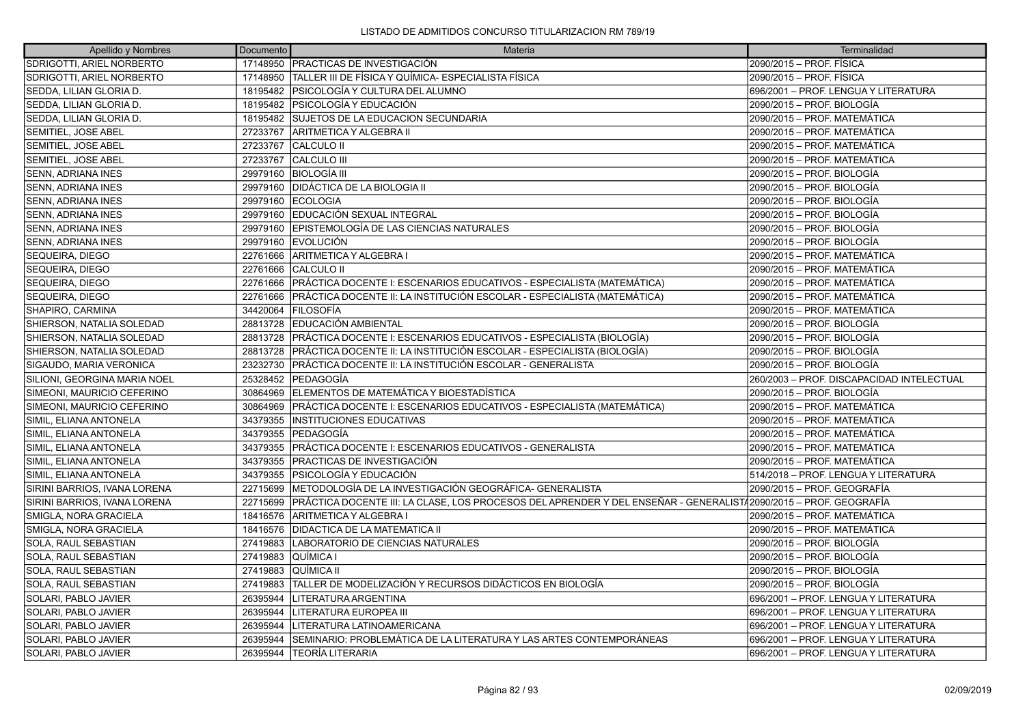| Apellido y Nombres           | Documento | Materia                                                                                                          | Terminalidad                              |
|------------------------------|-----------|------------------------------------------------------------------------------------------------------------------|-------------------------------------------|
| SDRIGOTTI, ARIEL NORBERTO    |           | 17148950 PRACTICAS DE INVESTIGACIÓN                                                                              | 2090/2015 - PROF. FÍSICA                  |
| SDRIGOTTI, ARIEL NORBERTO    | 17148950  | TALLER III DE FÍSICA Y QUÍMICA- ESPECIALISTA FÍSICA                                                              | 2090/2015 - PROF. FÍSICA                  |
| SEDDA, LILIAN GLORIA D.      |           | 18195482 PSICOLOGÍA Y CULTURA DEL ALUMNO                                                                         | 696/2001 - PROF. LENGUA Y LITERATURA      |
| SEDDA, LILIAN GLORIA D.      | 18195482  | PSICOLOGÍA Y EDUCACIÓN                                                                                           | 2090/2015 – PROF. BIOLOGÍA                |
| SEDDA, LILIAN GLORIA D.      | 18195482  | <b>SUJETOS DE LA EDUCACION SECUNDARIA</b>                                                                        | 2090/2015 - PROF. MATEMÁTICA              |
| SEMITIEL, JOSE ABEL          | 27233767  | ARITMETICA Y ALGEBRA II                                                                                          | 2090/2015 - PROF. MATEMÁTICA              |
| SEMITIEL, JOSE ABEL          | 27233767  | <b>CALCULO II</b>                                                                                                | 2090/2015 - PROF. MATEMÁTICA              |
| SEMITIEL, JOSE ABEL          | 27233767  | CALCULO III                                                                                                      | 2090/2015 - PROF. MATEMÁTICA              |
| SENN, ADRIANA INES           |           | 29979160 BIOLOGÍA III                                                                                            | 2090/2015 - PROF. BIOLOGÍA                |
| SENN, ADRIANA INES           | 29979160  | <b>IDIDÁCTICA DE LA BIOLOGIA II</b>                                                                              | 2090/2015 – PROF. BIOLOGÍA                |
| SENN, ADRIANA INES           | 29979160  | <b>IECOLOGIA</b>                                                                                                 | 2090/2015 – PROF. BIOLOGÍA                |
| <b>SENN, ADRIANA INES</b>    | 29979160  | <b>EDUCACIÓN SEXUAL INTEGRAL</b>                                                                                 | 2090/2015 - PROF. BIOLOGÍA                |
| SENN, ADRIANA INES           | 29979160  | EPISTEMOLOGÍA DE LAS CIENCIAS NATURALES                                                                          | 2090/2015 – PROF. BIOLOGÍA                |
| SENN, ADRIANA INES           |           | 29979160 EVOLUCIÓN                                                                                               | 2090/2015 - PROF. BIOLOGÍA                |
| SEQUEIRA, DIEGO              |           | 22761666 ARITMETICA Y ALGEBRA I                                                                                  | 2090/2015 - PROF. MATEMÁTICA              |
| SEQUEIRA, DIEGO              | 22761666  | <b>CALCULO II</b>                                                                                                | 2090/2015 - PROF. MATEMÁTICA              |
| SEQUEIRA, DIEGO              | 22761666  | PRÁCTICA DOCENTE I: ESCENARIOS EDUCATIVOS - ESPECIALISTA (MATEMÁTICA)                                            | 2090/2015 – PROF. MATEMÁTICA              |
| SEQUEIRA, DIEGO              | 22761666  | PRÁCTICA DOCENTE II: LA INSTITUCIÓN ESCOLAR - ESPECIALISTA (MATEMÁTICA)                                          | 2090/2015 - PROF. MATEMÁTICA              |
| SHAPIRO, CARMINA             | 34420064  | FILOSOFÍA                                                                                                        | 2090/2015 – PROF. MATEMÁTICA              |
| SHIERSON, NATALIA SOLEDAD    | 28813728  | EDUCACIÓN AMBIENTAL                                                                                              | 2090/2015 – PROF. BIOLOGÍA                |
| SHIERSON, NATALIA SOLEDAD    | 28813728  | PRÁCTICA DOCENTE I: ESCENARIOS EDUCATIVOS - ESPECIALISTA (BIOLOGÍA)                                              | 2090/2015 – PROF. BIOLOGÍA                |
| SHIERSON, NATALIA SOLEDAD    | 28813728  | PRÁCTICA DOCENTE II: LA INSTITUCIÓN ESCOLAR - ESPECIALISTA (BIOLOGÍA)                                            | 2090/2015 - PROF. BIOLOGÍA                |
| SIGAUDO, MARIA VERONICA      | 23232730  | IPRÁCTICA DOCENTE II: LA INSTITUCIÓN ESCOLAR - GENERALISTA                                                       | 2090/2015 – PROF. BIOLOGÍA                |
| SILIONI, GEORGINA MARIA NOEL | 25328452  | <b>IPEDAGOGÍA</b>                                                                                                | 260/2003 - PROF. DISCAPACIDAD INTELECTUAL |
| SIMEONI, MAURICIO CEFERINO   | 30864969  | ELEMENTOS DE MATEMÁTICA Y BIOESTADÍSTICA                                                                         | 2090/2015 – PROF. BIOLOGÍA                |
| SIMEONI, MAURICIO CEFERINO   | 30864969  | PRÁCTICA DOCENTE I: ESCENARIOS EDUCATIVOS - ESPECIALISTA (MATEMÁTICA)                                            | 2090/2015 – PROF. MATEMÁTICA              |
| SIMIL, ELIANA ANTONELA       | 34379355  | <b>INSTITUCIONES EDUCATIVAS</b>                                                                                  | 2090/2015 - PROF. MATEMÁTICA              |
| SIMIL, ELIANA ANTONELA       | 34379355  | lPEDAGOGÍA                                                                                                       | 2090/2015 - PROF. MATEMÁTICA              |
| SIMIL, ELIANA ANTONELA       | 34379355  | PRÁCTICA DOCENTE I: ESCENARIOS EDUCATIVOS - GENERALISTA                                                          | 2090/2015 – PROF. MATEMÁTICA              |
| SIMIL, ELIANA ANTONELA       | 34379355  | PRACTICAS DE INVESTIGACIÓN                                                                                       | 2090/2015 - PROF. MATEMÁTICA              |
| SIMIL, ELIANA ANTONELA       | 34379355  | PSICOLOGÍA Y EDUCACIÓN                                                                                           | 514/2018 - PROF. LENGUA Y LITERATURA      |
| SIRINI BARRIOS, IVANA LORENA | 22715699  | METODOLOGÍA DE LA INVESTIGACIÓN GEOGRÁFICA- GENERALISTA                                                          | 2090/2015 – PROF. GEOGRAFÍA               |
| SIRINI BARRIOS, IVANA LORENA | 22715699  | PRÁCTICA DOCENTE III: LA CLASE, LOS PROCESOS DEL APRENDER Y DEL ENSEÑAR - GENERALIST∤2090/2015 – PROF. GEOGRAFÍA |                                           |
| SMIGLA, NORA GRACIELA        | 18416576  | ARITMETICA Y ALGEBRA I                                                                                           | 2090/2015 – PROF. MATEMÁTICA              |
| SMIGLA, NORA GRACIELA        | 18416576  | <b>DIDACTICA DE LA MATEMATICA II</b>                                                                             | 2090/2015 – PROF. MATEMÁTICA              |
| SOLA, RAUL SEBASTIAN         | 27419883  | LABORATORIO DE CIENCIAS NATURALES                                                                                | 2090/2015 - PROF. BIOLOGÍA                |
| SOLA, RAUL SEBASTIAN         | 27419883  | QUÍMICA I                                                                                                        | 2090/2015 – PROF. BIOLOGÍA                |
| SOLA, RAUL SEBASTIAN         | 27419883  | QUİMICA II                                                                                                       | 2090/2015 – PROF. BIOLOGÍA                |
| SOLA, RAUL SEBASTIAN         | 27419883  | TALLER DE MODELIZACIÓN Y RECURSOS DIDÁCTICOS EN BIOLOGÍA                                                         | 2090/2015 – PROF. BIOLOGÍA                |
| SOLARI, PABLO JAVIER         | 26395944  | <b>LITERATURA ARGENTINA</b>                                                                                      | 696/2001 - PROF. LENGUA Y LITERATURA      |
| SOLARI, PABLO JAVIER         | 26395944  | <b>LITERATURA EUROPEA III</b>                                                                                    | 696/2001 - PROF. LENGUA Y LITERATURA      |
| SOLARI, PABLO JAVIER         | 26395944  | LITERATURA LATINOAMERICANA                                                                                       | 696/2001 - PROF. LENGUA Y LITERATURA      |
| SOLARI, PABLO JAVIER         | 26395944  | SEMINARIO: PROBLEMÁTICA DE LA LITERATURA Y LAS ARTES CONTEMPORÁNEAS                                              | 696/2001 - PROF. LENGUA Y LITERATURA      |
| SOLARI, PABLO JAVIER         | 26395944  | TEORÍA LITERARIA                                                                                                 | 696/2001 - PROF. LENGUA Y LITERATURA      |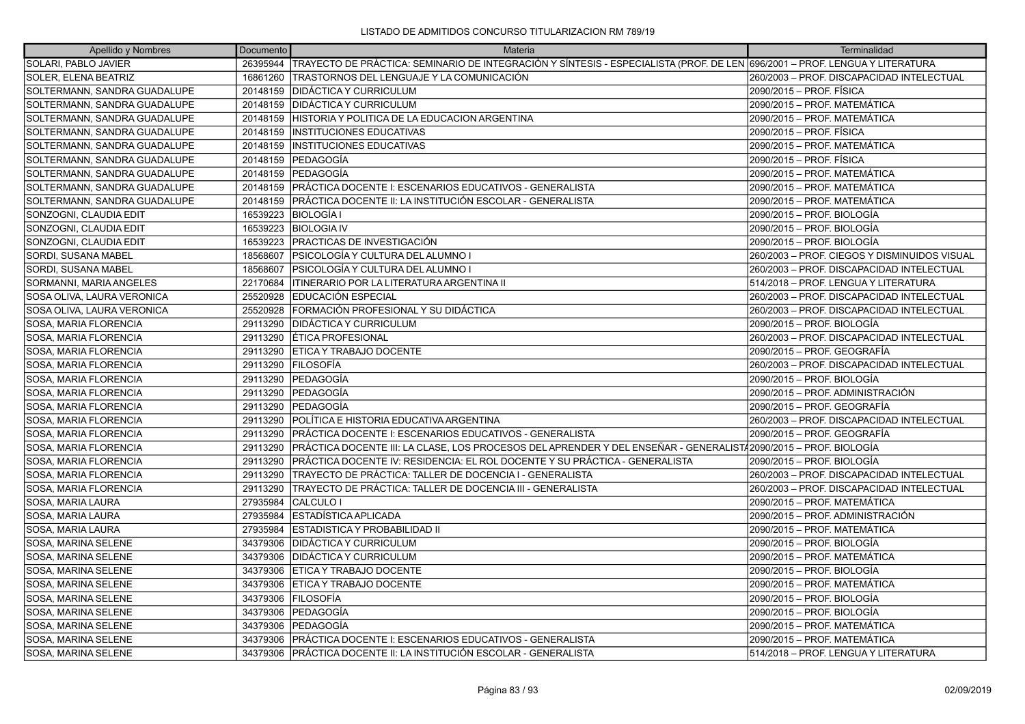| Apellido y Nombres           | Documento | Materia                                                                                                                                | Terminalidad                                 |
|------------------------------|-----------|----------------------------------------------------------------------------------------------------------------------------------------|----------------------------------------------|
| SOLARI, PABLO JAVIER         |           | 26395944   TRAYECTO DE PRÁCTICA: SEMINARIO DE INTEGRACIÓN Y SÍNTESIS - ESPECIALISTA (PROF. DE LEN 696/2001 – PROF. LENGUA Y LITERATURA |                                              |
| SOLER, ELENA BEATRIZ         | 16861260  | TRASTORNOS DEL LENGUAJE Y LA COMUNICACIÓN                                                                                              | 260/2003 - PROF. DISCAPACIDAD INTELECTUAL    |
| SOLTERMANN, SANDRA GUADALUPE |           | 20148159   DIDÁCTICA Y CURRICULUM                                                                                                      | 2090/2015 - PROF. FÍSICA                     |
| SOLTERMANN, SANDRA GUADALUPE | 20148159  | <b>DIDÁCTICA Y CURRICULUM</b>                                                                                                          | 2090/2015 – PROF. MATEMÁTICA                 |
| SOLTERMANN, SANDRA GUADALUPE |           | 20148159 HISTORIA Y POLITICA DE LA EDUCACION ARGENTINA                                                                                 | 2090/2015 – PROF. MATEMÁTICA                 |
| SOLTERMANN, SANDRA GUADALUPE | 20148159  | <b>INSTITUCIONES EDUCATIVAS</b>                                                                                                        | 2090/2015 – PROF. FÍSICA                     |
| SOLTERMANN, SANDRA GUADALUPE | 20148159  | <b>INSTITUCIONES EDUCATIVAS</b>                                                                                                        | 2090/2015 – PROF. MATEMÁTICA                 |
| SOLTERMANN, SANDRA GUADALUPE |           | 20148159 PEDAGOGÍA                                                                                                                     | 2090/2015 – PROF. FÍSICA                     |
| SOLTERMANN, SANDRA GUADALUPE | 20148159  | <b>PEDAGOGÍA</b>                                                                                                                       | 2090/2015 - PROF. MATEMÁTICA                 |
| SOLTERMANN, SANDRA GUADALUPE | 20148159  | PRÁCTICA DOCENTE I: ESCENARIOS EDUCATIVOS - GENERALISTA                                                                                | 2090/2015 – PROF. MATEMÁTICA                 |
| SOLTERMANN, SANDRA GUADALUPE |           | 20148159 PRÁCTICA DOCENTE II: LA INSTITUCIÓN ESCOLAR - GENERALISTA                                                                     | 2090/2015 – PROF. MATEMÁTICA                 |
| SONZOGNI, CLAUDIA EDIT       | 16539223  | <b>BIOLOGÍA I</b>                                                                                                                      | 2090/2015 – PROF. BIOLOGÍA                   |
| SONZOGNI, CLAUDIA EDIT       | 16539223  | <b>BIOLOGIA IV</b>                                                                                                                     | 2090/2015 – PROF. BIOLOGÍA                   |
| SONZOGNI, CLAUDIA EDIT       | 16539223  | <b>PRACTICAS DE INVESTIGACIÓN</b>                                                                                                      | 2090/2015 – PROF. BIOLOGÍA                   |
| SORDI, SUSANA MABEL          | 18568607  | PSICOLOGÍA Y CULTURA DEL ALUMNO I                                                                                                      | 260/2003 – PROF. CIEGOS Y DISMINUIDOS VISUAL |
| SORDI, SUSANA MABEL          | 18568607  | PSICOLOGÍA Y CULTURA DEL ALUMNO I                                                                                                      | 260/2003 – PROF. DISCAPACIDAD INTELECTUAL    |
| SORMANNI, MARIA ANGELES      | 22170684  | ITINERARIO POR LA LITERATURA ARGENTINA II                                                                                              | 514/2018 - PROF. LENGUA Y LITERATURA         |
| SOSA OLIVA, LAURA VERONICA   | 25520928  | EDUCACIÓN ESPECIAL                                                                                                                     | 260/2003 – PROF. DISCAPACIDAD INTELECTUAL    |
| SOSA OLIVA, LAURA VERONICA   | 25520928  | FORMACIÓN PROFESIONAL Y SU DIDÁCTICA                                                                                                   | 260/2003 – PROF. DISCAPACIDAD INTELECTUAL    |
| SOSA, MARIA FLORENCIA        | 29113290  | <b>DIDÁCTICA Y CURRICULUM</b>                                                                                                          | 2090/2015 – PROF. BIOLOGÍA                   |
| SOSA, MARIA FLORENCIA        | 29113290  | ÉTICA PROFESIONAL                                                                                                                      | 260/2003 - PROF. DISCAPACIDAD INTELECTUAL    |
| SOSA, MARIA FLORENCIA        | 29113290  | ETICA Y TRABAJO DOCENTE                                                                                                                | 2090/2015 – PROF. GEOGRAFÍA                  |
| SOSA, MARIA FLORENCIA        | 29113290  | <b>FILOSOFÍA</b>                                                                                                                       | 260/2003 – PROF. DISCAPACIDAD INTELECTUAL    |
| SOSA, MARIA FLORENCIA        | 29113290  | lPEDAGOGÍA                                                                                                                             | 2090/2015 – PROF. BIOLOGÍA                   |
| SOSA, MARIA FLORENCIA        | 29113290  | <b>PEDAGOGÍA</b>                                                                                                                       | 2090/2015 – PROF. ADMINISTRACIÓN             |
| SOSA, MARIA FLORENCIA        | 29113290  | <b>PEDAGOGÍA</b>                                                                                                                       | 2090/2015 – PROF. GEOGRAFÍA                  |
| SOSA, MARIA FLORENCIA        | 29113290  | IPOLÍTICA E HISTORIA EDUCATIVA ARGENTINA                                                                                               | 260/2003 - PROF. DISCAPACIDAD INTELECTUAL    |
| SOSA, MARIA FLORENCIA        | 29113290  | PRÁCTICA DOCENTE I: ESCENARIOS EDUCATIVOS - GENERALISTA                                                                                | 2090/2015 – PROF. GEOGRAFÍA                  |
| SOSA, MARIA FLORENCIA        | 29113290  | PRÁCTICA DOCENTE III: LA CLASE, LOS PROCESOS DEL APRENDER Y DEL ENSEÑAR - GENERALIST/2090/2015 – PROF. BIOLOGÍA                        |                                              |
| SOSA, MARIA FLORENCIA        | 29113290  | PRÁCTICA DOCENTE IV: RESIDENCIA: EL ROL DOCENTE Y SU PRÁCTICA - GENERALISTA                                                            | 2090/2015 – PROF. BIOLOGÍA                   |
| SOSA, MARIA FLORENCIA        | 29113290  | TRAYECTO DE PRÁCTICA: TALLER DE DOCENCIA I - GENERALISTA                                                                               | 260/2003 - PROF. DISCAPACIDAD INTELECTUAL    |
| SOSA, MARIA FLORENCIA        | 29113290  | TRAYECTO DE PRÁCTICA: TALLER DE DOCENCIA III - GENERALISTA                                                                             | 260/2003 - PROF. DISCAPACIDAD INTELECTUAL    |
| SOSA, MARIA LAURA            | 27935984  | CALCULO I                                                                                                                              | 2090/2015 - PROF. MATEMÁTICA                 |
| SOSA, MARIA LAURA            | 27935984  | ESTADÍSTICA APLICADA                                                                                                                   | 2090/2015 – PROF. ADMINISTRACIÓN             |
| SOSA, MARIA LAURA            | 27935984  | ESTADISTICA Y PROBABILIDAD II                                                                                                          | 2090/2015 – PROF. MATEMÁTICA                 |
| SOSA, MARINA SELENE          | 34379306  | <b>IDIDÁCTICA Y CURRICULUM</b>                                                                                                         | 2090/2015 – PROF. BIOLOGÍA                   |
| SOSA, MARINA SELENE          | 34379306  | DIDÁCTICA Y CURRICULUM                                                                                                                 | 2090/2015 – PROF. MATEMÁTICA                 |
| SOSA, MARINA SELENE          | 34379306  | ETICA Y TRABAJO DOCENTE                                                                                                                | 2090/2015 – PROF. BIOLOGÍA                   |
| SOSA, MARINA SELENE          | 34379306  | <b>ETICA Y TRABAJO DOCENTE</b>                                                                                                         | 2090/2015 - PROF. MATEMÁTICA                 |
| SOSA, MARINA SELENE          | 34379306  | <b>FILOSOFÍA</b>                                                                                                                       | 2090/2015 – PROF. BIOLOGÍA                   |
| SOSA, MARINA SELENE          | 34379306  | <b>PEDAGOGÍA</b>                                                                                                                       | 2090/2015 – PROF. BIOLOGÍA                   |
| SOSA, MARINA SELENE          | 34379306  | <b>IPEDAGOGÍA</b>                                                                                                                      | 2090/2015 - PROF. MATEMÁTICA                 |
| SOSA, MARINA SELENE          | 34379306  | PRÁCTICA DOCENTE I: ESCENARIOS EDUCATIVOS - GENERALISTA                                                                                | 2090/2015 – PROF. MATEMÁTICA                 |
| SOSA. MARINA SELENE          |           | 34379306 PRÁCTICA DOCENTE II: LA INSTITUCIÓN ESCOLAR - GENERALISTA                                                                     | 514/2018 - PROF. LENGUA Y LITERATURA         |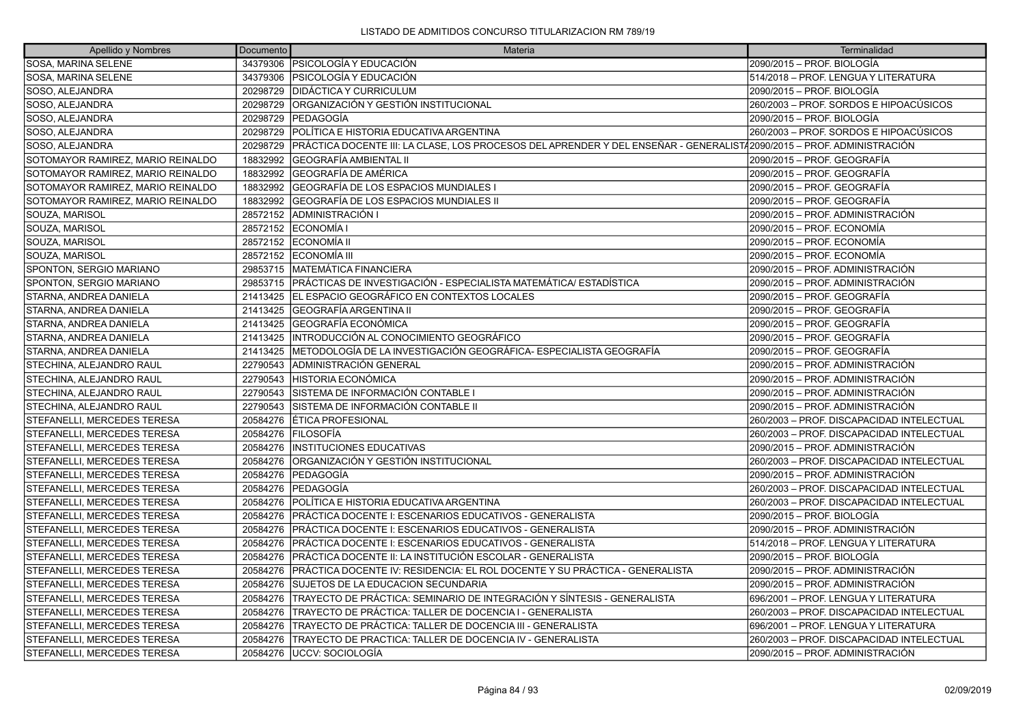| Apellido y Nombres                | Documento | <b>Materia</b>                                                                                                        | Terminalidad                              |
|-----------------------------------|-----------|-----------------------------------------------------------------------------------------------------------------------|-------------------------------------------|
| SOSA, MARINA SELENE               |           | 34379306   PSICOLOGÍA Y EDUCACIÓN                                                                                     | 2090/2015 - PROF. BIOLOGÍA                |
| SOSA, MARINA SELENE               | 34379306  | <b>PSICOLOGÍA Y EDUCACIÓN</b>                                                                                         | 514/2018 - PROF. LENGUA Y LITERATURA      |
| SOSO, ALEJANDRA                   |           | 20298729 DIDÁCTICA Y CURRICULUM                                                                                       | 2090/2015 - PROF. BIOLOGÍA                |
| SOSO, ALEJANDRA                   | 20298729  | ORGANIZACIÓN Y GESTIÓN INSTITUCIONAL                                                                                  | 260/2003 – PROF. SORDOS E HIPOACÚSICOS    |
| SOSO, ALEJANDRA                   | 20298729  | lPEDAGOGÍA                                                                                                            | 2090/2015 - PROF. BIOLOGÍA                |
| SOSO, ALEJANDRA                   | 20298729  | IPOLÍTICA E HISTORIA EDUCATIVA ARGENTINA                                                                              | 260/2003 – PROF. SORDOS E HIPOACÚSICOS    |
| SOSO, ALEJANDRA                   | 20298729  | PRÁCTICA DOCENTE III: LA CLASE, LOS PROCESOS DEL APRENDER Y DEL ENSEÑAR - GENERALIST/2090/2015 – PROF. ADMINISTRACIÓN |                                           |
| SOTOMAYOR RAMIREZ, MARIO REINALDO | 18832992  | GEOGRAFÍA AMBIENTAL II                                                                                                | 2090/2015 - PROF. GEOGRAFÍA               |
| SOTOMAYOR RAMIREZ, MARIO REINALDO | 18832992  | <b>GEOGRAFÍA DE AMÉRICA</b>                                                                                           | 2090/2015 – PROF. GEOGRAFÍA               |
| SOTOMAYOR RAMIREZ, MARIO REINALDO | 18832992  | GEOGRAFÍA DE LOS ESPACIOS MUNDIALES                                                                                   | 2090/2015 - PROF. GEOGRAFÍA               |
| SOTOMAYOR RAMIREZ, MARIO REINALDO | 18832992  | GEOGRAFÍA DE LOS ESPACIOS MUNDIALES II                                                                                | 2090/2015 - PROF. GEOGRAFÍA               |
| SOUZA, MARISOL                    | 28572152  | <b>ADMINISTRACIÓN I</b>                                                                                               | 2090/2015 – PROF. ADMINISTRACIÓN          |
| SOUZA, MARISOL                    | 28572152  | <b>IECONOMÍA I</b>                                                                                                    | 2090/2015 - PROF. ECONOMÍA                |
| SOUZA, MARISOL                    |           | 28572152 ECONOMÍA II                                                                                                  | 2090/2015 - PROF. ECONOMÍA                |
| SOUZA, MARISOL                    |           | 28572152 ECONOMÍA III                                                                                                 | l2090/2015 – PROF. ECONOMÍA               |
| SPONTON, SERGIO MARIANO           |           | 29853715   MATEMÁTICA FINANCIERA                                                                                      | 2090/2015 - PROF. ADMINISTRACIÓN          |
| SPONTON, SERGIO MARIANO           |           | 29853715 PRÁCTICAS DE INVESTIGACIÓN - ESPECIALISTA MATEMÁTICA/ ESTADÍSTICA                                            | 2090/2015 - PROF. ADMINISTRACIÓN          |
| STARNA, ANDREA DANIELA            |           | 21413425 EL ESPACIO GEOGRÁFICO EN CONTEXTOS LOCALES                                                                   | l2090/2015 – PROF. GEOGRAFÍA              |
| STARNA, ANDREA DANIELA            | 21413425  | <b>GEOGRAFÍA ARGENTINA II</b>                                                                                         | 2090/2015 – PROF. GEOGRAFÍA               |
| STARNA, ANDREA DANIELA            |           | 21413425 GEOGRAFÍA ECONÓMICA                                                                                          | 2090/2015 - PROF. GEOGRAFÍA               |
| STARNA, ANDREA DANIELA            |           | 21413425 INTRODUCCIÓN AL CONOCIMIENTO GEOGRÁFICO                                                                      | 2090/2015 - PROF. GEOGRAFÍA               |
| STARNA, ANDREA DANIELA            | 21413425  | METODOLOGÍA DE LA INVESTIGACIÓN GEOGRÁFICA- ESPECIALISTA GEOGRAFÍA                                                    | 2090/2015 - PROF. GEOGRAFÍA               |
| STECHINA, ALEJANDRO RAUL          | 22790543  | <b>ADMINISTRACIÓN GENERAL</b>                                                                                         | 2090/2015 - PROF. ADMINISTRACIÓN          |
| STECHINA, ALEJANDRO RAUL          | 22790543  | IHISTORIA ECONÓMICA                                                                                                   | 2090/2015 – PROF. ADMINISTRACIÓN          |
| STECHINA, ALEJANDRO RAUL          | 22790543  | SISTEMA DE INFORMACIÓN CONTABLE I                                                                                     | 2090/2015 - PROF. ADMINISTRACIÓN          |
| STECHINA, ALEJANDRO RAUL          | 22790543  | SISTEMA DE INFORMACIÓN CONTABLE II                                                                                    | 2090/2015 - PROF. ADMINISTRACIÓN          |
| STEFANELLI, MERCEDES TERESA       | 20584276  | ÉTICA PROFESIONAL                                                                                                     | 260/2003 - PROF. DISCAPACIDAD INTELECTUAL |
| STEFANELLI, MERCEDES TERESA       | 20584276  | <b>FILOSOFIA</b>                                                                                                      | 260/2003 - PROF. DISCAPACIDAD INTELECTUAL |
| STEFANELLI, MERCEDES TERESA       | 20584276  | <b>INSTITUCIONES EDUCATIVAS</b>                                                                                       | 2090/2015 - PROF. ADMINISTRACIÓN          |
| STEFANELLI. MERCEDES TERESA       | 20584276  | ÍORGANIZACIÓN Y GESTIÓN INSTITUCIONAL                                                                                 | 260/2003 - PROF. DISCAPACIDAD INTELECTUAL |
| STEFANELLI, MERCEDES TERESA       | 20584276  | <b>PEDAGOGÍA</b>                                                                                                      | 2090/2015 - PROF. ADMINISTRACIÓN          |
| STEFANELLI, MERCEDES TERESA       |           | 20584276 PEDAGOGÍA                                                                                                    | 260/2003 - PROF. DISCAPACIDAD INTELECTUAL |
| STEFANELLI, MERCEDES TERESA       | 20584276  | POLÍTICA E HISTORIA EDUCATIVA ARGENTINA                                                                               | 260/2003 - PROF. DISCAPACIDAD INTELECTUAL |
| STEFANELLI, MERCEDES TERESA       | 20584276  | PRÁCTICA DOCENTE I: ESCENARIOS EDUCATIVOS - GENERALISTA                                                               | 2090/2015 - PROF. BIOLOGÍA                |
| STEFANELLI, MERCEDES TERESA       | 20584276  | PRÁCTICA DOCENTE I: ESCENARIOS EDUCATIVOS - GENERALISTA                                                               | 2090/2015 - PROF. ADMINISTRACIÓN          |
| STEFANELLI, MERCEDES TERESA       | 20584276  | PRÁCTICA DOCENTE I: ESCENARIOS EDUCATIVOS - GENERALISTA                                                               | 514/2018 - PROF. LENGUA Y LITERATURA      |
| STEFANELLI, MERCEDES TERESA       | 20584276  | PRÁCTICA DOCENTE II: LA INSTITUCIÓN ESCOLAR - GENERALISTA                                                             | 2090/2015 - PROF. BIOLOGÍA                |
| STEFANELLI, MERCEDES TERESA       | 20584276  | PRÁCTICA DOCENTE IV: RESIDENCIA: EL ROL DOCENTE Y SU PRÁCTICA - GENERALISTA                                           | 2090/2015 - PROF. ADMINISTRACIÓN          |
| STEFANELLI, MERCEDES TERESA       | 20584276  | <b>SUJETOS DE LA EDUCACION SECUNDARIA</b>                                                                             | 2090/2015 - PROF. ADMINISTRACIÓN          |
| STEFANELLI, MERCEDES TERESA       | 20584276  | TRAYECTO DE PRÁCTICA: SEMINARIO DE INTEGRACIÓN Y SÍNTESIS - GENERALISTA                                               | 696/2001 - PROF. LENGUA Y LITERATURA      |
| STEFANELLI, MERCEDES TERESA       | 20584276  | TRAYECTO DE PRÁCTICA: TALLER DE DOCENCIA I - GENERALISTA                                                              | 260/2003 - PROF. DISCAPACIDAD INTELECTUAL |
| STEFANELLI, MERCEDES TERESA       | 20584276  | ÍTRAYECTO DE PRÁCTICA: TALLER DE DOCENCIA III - GENERALISTA                                                           | 696/2001 - PROF. LENGUA Y LITERATURA      |
| STEFANELLI, MERCEDES TERESA       | 20584276  | TRAYECTO DE PRACTICA: TALLER DE DOCENCIA IV - GENERALISTA                                                             | 260/2003 - PROF. DISCAPACIDAD INTELECTUAL |
| STEFANELLI. MERCEDES TERESA       |           | 20584276 IUCCV: SOCIOLOGÍA                                                                                            | 2090/2015 – PROF. ADMINISTRACIÓN          |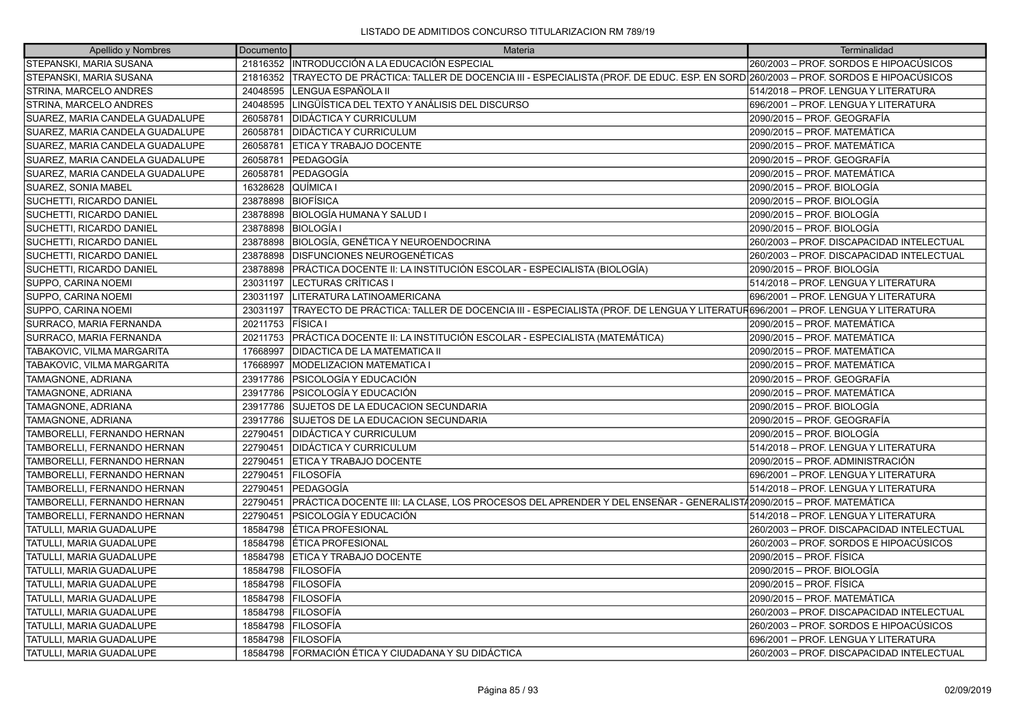| Apellido y Nombres              | Documento | Materia                                                                                                                         | Terminalidad                              |
|---------------------------------|-----------|---------------------------------------------------------------------------------------------------------------------------------|-------------------------------------------|
| <b>STEPANSKI, MARIA SUSANA</b>  |           | 21816352 INTRODUCCIÓN A LA EDUCACIÓN ESPECIAL                                                                                   | 260/2003 - PROF. SORDOS E HIPOACÚSICOS    |
| STEPANSKI, MARIA SUSANA         | 21816352  | TRAYECTO DE PRÁCTICA: TALLER DE DOCENCIA III - ESPECIALISTA (PROF. DE EDUC. ESP. EN SORD 260/2003 - PROF. SORDOS E HIPOACÚSICOS |                                           |
| STRINA, MARCELO ANDRES          | 24048595  | LENGUA ESPAÑOLA II                                                                                                              | 514/2018 - PROF. LENGUA Y LITERATURA      |
| STRINA, MARCELO ANDRES          | 24048595  | LINGÜÍSTICA DEL TEXTO Y ANÁLISIS DEL DISCURSO                                                                                   | 696/2001 - PROF. LENGUA Y LITERATURA      |
| SUAREZ, MARIA CANDELA GUADALUPE | 26058781  | <b>DIDÁCTICA Y CURRICULUM</b>                                                                                                   | 2090/2015 - PROF. GEOGRAFÍA               |
| SUAREZ, MARIA CANDELA GUADALUPE | 26058781  | <b>DIDÁCTICA Y CURRICULUM</b>                                                                                                   | 2090/2015 - PROF. MATEMÁTICA              |
| SUAREZ, MARIA CANDELA GUADALUPE | 26058781  | ETICA Y TRABAJO DOCENTE                                                                                                         | 2090/2015 - PROF. MATEMÁTICA              |
| SUAREZ, MARIA CANDELA GUADALUPE | 26058781  | <b>PEDAGOGÍA</b>                                                                                                                | 2090/2015 - PROF. GEOGRAFÍA               |
| SUAREZ, MARIA CANDELA GUADALUPE | 26058781  | PEDAGOGÍA                                                                                                                       | 2090/2015 - PROF. MATEMÁTICA              |
| SUAREZ, SONIA MABEL             | 16328628  | QUÍMICA I                                                                                                                       | 2090/2015 - PROF. BIOLOGÍA                |
| SUCHETTI, RICARDO DANIEL        | 23878898  | <b>BIOFÍSICA</b>                                                                                                                | 2090/2015 - PROF. BIOLOGÍA                |
| SUCHETTI, RICARDO DANIEL        | 23878898  | BIOLOGÍA HUMANA Y SALUD I                                                                                                       | 2090/2015 – PROF. BIOLOGÍA                |
| SUCHETTI, RICARDO DANIEL        | 23878898  | <b>BIOLOGÍA I</b>                                                                                                               | 2090/2015 - PROF. BIOLOGÍA                |
| SUCHETTI, RICARDO DANIEL        | 23878898  | BIOLOGÍA, GENÉTICA Y NEUROENDOCRINA                                                                                             | 260/2003 - PROF. DISCAPACIDAD INTELECTUAL |
| SUCHETTI, RICARDO DANIEL        | 23878898  | <b>IDISFUNCIONES NEUROGENÉTICAS</b>                                                                                             | 260/2003 - PROF. DISCAPACIDAD INTELECTUAL |
| SUCHETTI, RICARDO DANIEL        | 23878898  | PRÁCTICA DOCENTE II: LA INSTITUCIÓN ESCOLAR - ESPECIALISTA (BIOLOGÍA)                                                           | 2090/2015 - PROF. BIOLOGÍA                |
| SUPPO, CARINA NOEMI             | 23031197  | LECTURAS CRÍTICAS I                                                                                                             | 514/2018 - PROF. LENGUA Y LITERATURA      |
| SUPPO, CARINA NOEMI             | 23031197  | LITERATURA LATINOAMERICANA                                                                                                      | 696/2001 – PROF. LENGUA Y LITERATURA      |
| SUPPO, CARINA NOEMI             | 23031197  | TRAYECTO DE PRÁCTICA: TALLER DE DOCENCIA III - ESPECIALISTA (PROF. DE LENGUA Y LITERATUR696/2001 – PROF. LENGUA Y LITERATURA    |                                           |
| SURRACO, MARIA FERNANDA         | 20211753  | <b>FISICA</b> I                                                                                                                 | 2090/2015 - PROF. MATEMÁTICA              |
| SURRACO, MARIA FERNANDA         | 20211753  | PRÁCTICA DOCENTE II: LA INSTITUCIÓN ESCOLAR - ESPECIALISTA (MATEMÁTICA)                                                         | 2090/2015 - PROF. MATEMÁTICA              |
| TABAKOVIC, VILMA MARGARITA      | 17668997  | <b>DIDACTICA DE LA MATEMATICA II</b>                                                                                            | 2090/2015 - PROF. MATEMÁTICA              |
| TABAKOVIC, VILMA MARGARITA      | 17668997  | MODELIZACION MATEMATICA I                                                                                                       | 2090/2015 - PROF. MATEMÁTICA              |
| TAMAGNONE, ADRIANA              | 23917786  | IPSICOLOGÍA Y EDUCACIÓN                                                                                                         | 2090/2015 - PROF. GEOGRAFÍA               |
| TAMAGNONE, ADRIANA              | 23917786  | PSICOLOGÍA Y EDUCACIÓN                                                                                                          | 2090/2015 - PROF. MATEMÁTICA              |
| TAMAGNONE, ADRIANA              | 23917786  | <b>SUJETOS DE LA EDUCACION SECUNDARIA</b>                                                                                       | 2090/2015 – PROF. BIOLOGÍA                |
| TAMAGNONE, ADRIANA              | 23917786  | SUJETOS DE LA EDUCACION SECUNDARIA                                                                                              | 2090/2015 - PROF. GEOGRAFÍA               |
| TAMBORELLI, FERNANDO HERNAN     | 22790451  | DIDÁCTICA Y CURRICULUM                                                                                                          | 2090/2015 - PROF. BIOLOGÍA                |
| TAMBORELLI, FERNANDO HERNAN     | 22790451  | <b>DIDÁCTICA Y CURRICULUM</b>                                                                                                   | 514/2018 - PROF. LENGUA Y LITERATURA      |
| TAMBORELLI, FERNANDO HERNAN     | 22790451  | <b>ETICA Y TRABAJO DOCENTE</b>                                                                                                  | 2090/2015 – PROF. ADMINISTRACIÓN          |
| TAMBORELLI, FERNANDO HERNAN     | 22790451  | FILOSOFÍA                                                                                                                       | 696/2001 - PROF. LENGUA Y LITERATURA      |
| TAMBORELLI, FERNANDO HERNAN     | 22790451  | <b>PEDAGOGÍA</b>                                                                                                                | 514/2018 - PROF. LENGUA Y LITERATURA      |
| TAMBORELLI, FERNANDO HERNAN     | 22790451  | PRÁCTICA DOCENTE III: LA CLASE, LOS PROCESOS DEL APRENDER Y DEL ENSEÑAR - GENERALISTÁ2090/2015 - PROF. MATEMÁTICA               |                                           |
| TAMBORELLI, FERNANDO HERNAN     | 22790451  | PSICOLOGÍA Y EDUCACIÓN                                                                                                          | 514/2018 - PROF. LENGUA Y LITERATURA      |
| TATULLI, MARIA GUADALUPE        | 18584798  | ÉTICA PROFESIONAL                                                                                                               | 260/2003 - PROF. DISCAPACIDAD INTELECTUAL |
| TATULLI, MARIA GUADALUPE        | 18584798  | ÉTICA PROFESIONAL                                                                                                               | 260/2003 - PROF. SORDOS E HIPOACÚSICOS    |
| TATULLI, MARIA GUADALUPE        | 18584798  | ETICA Y TRABAJO DOCENTE                                                                                                         | 2090/2015 - PROF. FÍSICA                  |
| TATULLI, MARIA GUADALUPE        | 18584798  | <b>FILOSOFÍA</b>                                                                                                                | 2090/2015 - PROF. BIOLOGÍA                |
| TATULLI, MARIA GUADALUPE        | 18584798  | <b>FILOSOFÍA</b>                                                                                                                | 2090/2015 – PROF. FÍSICA                  |
| TATULLI, MARIA GUADALUPE        | 18584798  | <b>FILOSOFÍA</b>                                                                                                                | 2090/2015 - PROF. MATEMÁTICA              |
| TATULLI, MARIA GUADALUPE        | 18584798  | <b>FILOSOFÍA</b>                                                                                                                | 260/2003 - PROF. DISCAPACIDAD INTELECTUAL |
| TATULLI, MARIA GUADALUPE        | 18584798  | <b>FILOSOFÍA</b>                                                                                                                | 260/2003 - PROF. SORDOS E HIPOACÚSICOS    |
| TATULLI, MARIA GUADALUPE        | 18584798  | <b>FILOSOFÍA</b>                                                                                                                | 696/2001 - PROF. LENGUA Y LITERATURA      |
| <b>TATULLI. MARIA GUADALUPE</b> |           | 18584798 FORMACIÓN ÉTICA Y CIUDADANA Y SU DIDÁCTICA                                                                             | 260/2003 - PROF. DISCAPACIDAD INTELECTUAL |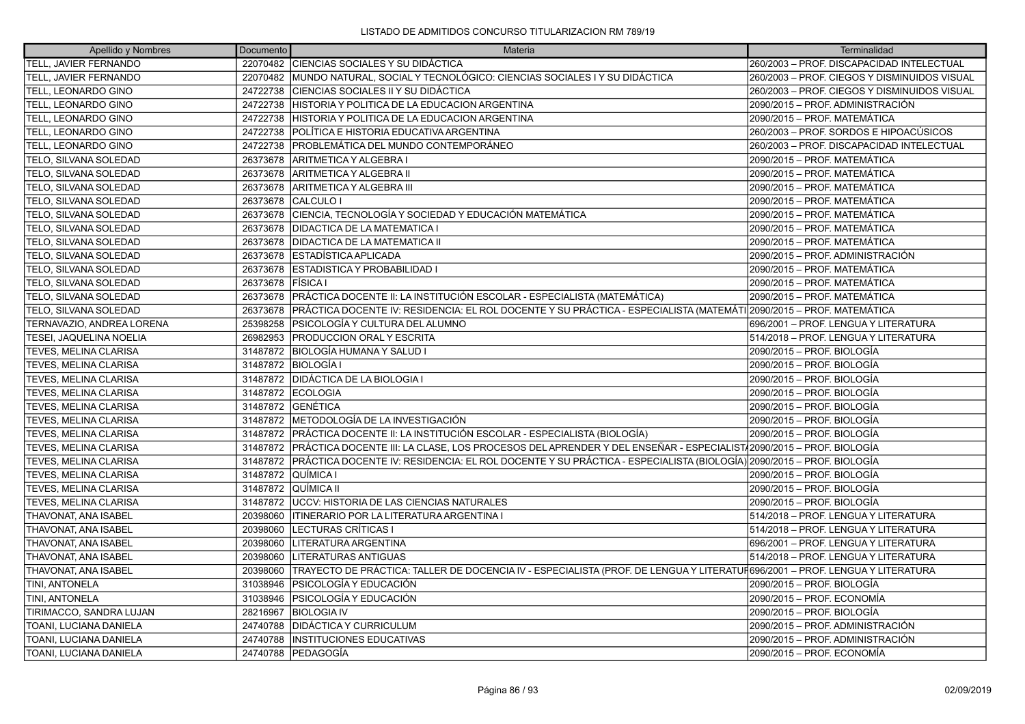| Apellido y Nombres        | Documento          | Materia                                                                                                                     | Terminalidad                                 |
|---------------------------|--------------------|-----------------------------------------------------------------------------------------------------------------------------|----------------------------------------------|
| TELL, JAVIER FERNANDO     |                    | 22070482 CIENCIAS SOCIALES Y SU DIDÁCTICA                                                                                   | 260/2003 - PROF. DISCAPACIDAD INTELECTUAL    |
| TELL, JAVIER FERNANDO     |                    | 22070482 MUNDO NATURAL, SOCIAL Y TECNOLÓGICO: CIENCIAS SOCIALES I Y SU DIDÁCTICA                                            | 260/2003 – PROF. CIEGOS Y DISMINUIDOS VISUAL |
| TELL, LEONARDO GINO       |                    | 24722738 CIENCIAS SOCIALES II Y SU DIDÁCTICA                                                                                | 260/2003 - PROF. CIEGOS Y DISMINUIDOS VISUAL |
| TELL, LEONARDO GINO       |                    | 24722738 HISTORIA Y POLITICA DE LA EDUCACION ARGENTINA                                                                      | 2090/2015 – PROF. ADMINISTRACIÓN             |
| TELL, LEONARDO GINO       | 24722738           | HISTORIA Y POLITICA DE LA EDUCACION ARGENTINA                                                                               | 2090/2015 – PROF. MATEMÁTICA                 |
| TELL, LEONARDO GINO       |                    | 24722738 POLÍTICA E HISTORIA EDUCATIVA ARGENTINA                                                                            | 260/2003 – PROF. SORDOS E HIPOACÚSICOS       |
| TELL, LEONARDO GINO       | 24722738           | IPROBLEMÁTICA DEL MUNDO CONTEMPORÁNEO                                                                                       | 260/2003 – PROF. DISCAPACIDAD INTELECTUAL    |
| TELO, SILVANA SOLEDAD     | 26373678           | ARITMETICA Y ALGEBRA I                                                                                                      | 2090/2015 – PROF. MATEMÁTICA                 |
| TELO, SILVANA SOLEDAD     |                    | 26373678 ARITMETICA Y ALGEBRA II                                                                                            | 2090/2015 - PROF. MATEMÁTICA                 |
| TELO, SILVANA SOLEDAD     |                    | 26373678 ARITMETICA Y ALGEBRA III                                                                                           | 2090/2015 - PROF. MATEMÁTICA                 |
| TELO, SILVANA SOLEDAD     |                    | 26373678 CALCULO I                                                                                                          | 2090/2015 – PROF. MATEMÁTICA                 |
| TELO, SILVANA SOLEDAD     |                    | 26373678 CIENCIA, TECNOLOGÍA Y SOCIEDAD Y EDUCACIÓN MATEMÁTICA                                                              | 2090/2015 - PROF. MATEMÁTICA                 |
| TELO, SILVANA SOLEDAD     | 26373678           | <b>IDIDACTICA DE LA MATEMATICA I</b>                                                                                        | 2090/2015 – PROF. MATEMÁTICA                 |
| TELO, SILVANA SOLEDAD     |                    | 26373678   DIDACTICA DE LA MATEMATICA II                                                                                    | 2090/2015 – PROF. MATEMÁTICA                 |
| TELO, SILVANA SOLEDAD     |                    | 26373678 ESTADÍSTICA APLICADA                                                                                               | 2090/2015 – PROF. ADMINISTRACIÓN             |
| TELO, SILVANA SOLEDAD     | 26373678           | <b>ESTADISTICA Y PROBABILIDAD I</b>                                                                                         | 2090/2015 – PROF. MATEMÁTICA                 |
| TELO, SILVANA SOLEDAD     | 26373678           | <b>FISICA</b> I                                                                                                             | 2090/2015 – PROF. MATEMÁTICA                 |
| TELO, SILVANA SOLEDAD     |                    | 26373678 PRÁCTICA DOCENTE II: LA INSTITUCIÓN ESCOLAR - ESPECIALISTA (MATEMÁTICA)                                            | 2090/2015 - PROF. MATEMÁTICA                 |
| TELO, SILVANA SOLEDAD     | 26373678           | PRÁCTICA DOCENTE IV: RESIDENCIA: EL ROL DOCENTE Y SU PRÁCTICA - ESPECIALISTA (MATEMÁTI 2090/2015 – PROF. MATEMÁTICA         |                                              |
| TERNAVAZIO, ANDREA LORENA | 25398258           | PSICOLOGÍA Y CULTURA DEL ALUMNO                                                                                             | 696/2001 - PROF. LENGUA Y LITERATURA         |
| TESEI, JAQUELINA NOELIA   |                    | 26982953 PRODUCCION ORAL Y ESCRITA                                                                                          | 514/2018 - PROF. LENGUA Y LITERATURA         |
| TEVES, MELINA CLARISA     |                    | 31487872 BIOLOGÍA HUMANA Y SALUD I                                                                                          | 2090/2015 – PROF. BIOLOGÍA                   |
| TEVES, MELINA CLARISA     |                    | 31487872   BIOLOGÍA I                                                                                                       | 2090/2015 – PROF. BIOLOGÍA                   |
| TEVES, MELINA CLARISA     |                    | 31487872 DIDÁCTICA DE LA BIOLOGIA I                                                                                         | 2090/2015 - PROF. BIOLOGÍA                   |
| TEVES, MELINA CLARISA     |                    | 31487872 ECOLOGIA                                                                                                           | 2090/2015 – PROF. BIOLOGÍA                   |
| TEVES, MELINA CLARISA     |                    | 31487872 GENÉTICA                                                                                                           | 2090/2015 – PROF. BIOLOGÍA                   |
| TEVES, MELINA CLARISA     |                    | 31487872 METODOLOGÍA DE LA INVESTIGACIÓN                                                                                    | 2090/2015 - PROF. BIOLOGÍA                   |
| TEVES, MELINA CLARISA     |                    | 31487872 PRÁCTICA DOCENTE II: LA INSTITUCIÓN ESCOLAR - ESPECIALISTA (BIOLOGÍA)                                              | 2090/2015 – PROF. BIOLOGÍA                   |
| TEVES, MELINA CLARISA     |                    | 31487872 PRÁCTICA DOCENTE III: LA CLASE, LOS PROCESOS DEL APRENDER Y DEL ENSEÑAR - ESPECIALIST (2090/2015 – PROF. BIOLOGÍA  |                                              |
| TEVES, MELINA CLARISA     |                    | 31487872 PRÁCTICA DOCENTE IV: RESIDENCIA: EL ROL DOCENTE Y SU PRÁCTICA - ESPECIALISTA (BIOLOGÍA) 2090/2015 – PROF. BIOLOGÍA |                                              |
| TEVES, MELINA CLARISA     | 31487872 QUÍMICA I |                                                                                                                             | 2090/2015 – PROF. BIOLOGÍA                   |
| TEVES, MELINA CLARISA     |                    | 31487872 QUÍMICA II                                                                                                         | 2090/2015 – PROF. BIOLOGÍA                   |
| TEVES, MELINA CLARISA     |                    | 31487872   UCCV: HISTORIA DE LAS CIENCIAS NATURALES                                                                         | 2090/2015 - PROF. BIOLOGÍA                   |
| THAVONAT, ANA ISABEL      | 20398060           | ITINERARIO POR LA LITERATURA ARGENTINA I                                                                                    | 514/2018 - PROF. LENGUA Y LITERATURA         |
| THAVONAT, ANA ISABEL      | 20398060           | LECTURAS CRÍTICAS I                                                                                                         | 514/2018 - PROF. LENGUA Y LITERATURA         |
| THAVONAT, ANA ISABEL      | 20398060           | LITERATURA ARGENTINA                                                                                                        | 696/2001 - PROF. LENGUA Y LITERATURA         |
| THAVONAT, ANA ISABEL      | 20398060           | LITERATURAS ANTIGUAS                                                                                                        | 514/2018 - PROF. LENGUA Y LITERATURA         |
| THAVONAT, ANA ISABEL      | 20398060           | TRAYECTO DE PRÁCTICA: TALLER DE DOCENCIA IV - ESPECIALISTA (PROF. DE LENGUA Y LITERATUF696/2001 – PROF. LENGUA Y LITERATURA |                                              |
| TINI, ANTONELA            | 31038946           | <b>PSICOLOGÍA Y EDUCACIÓN</b>                                                                                               | 2090/2015 – PROF. BIOLOGÍA                   |
| TINI, ANTONELA            | 31038946           | <b>PSICOLOGÍA Y EDUCACIÓN</b>                                                                                               | 2090/2015 - PROF. ECONOMÍA                   |
| TIRIMACCO, SANDRA LUJAN   | 28216967           | <b>BIOLOGIA IV</b>                                                                                                          | 2090/2015 – PROF. BIOLOGÍA                   |
| TOANI, LUCIANA DANIELA    | 24740788           | <b>DIDÁCTICA Y CURRICULUM</b>                                                                                               | 2090/2015 – PROF. ADMINISTRACIÓN             |
| TOANI, LUCIANA DANIELA    | 24740788           | <b>INSTITUCIONES EDUCATIVAS</b>                                                                                             | 2090/2015 – PROF. ADMINISTRACIÓN             |
| TOANI, LUCIANA DANIELA    |                    | 24740788 PEDAGOGÍA                                                                                                          | 2090/2015 – PROF. ECONOMÍA                   |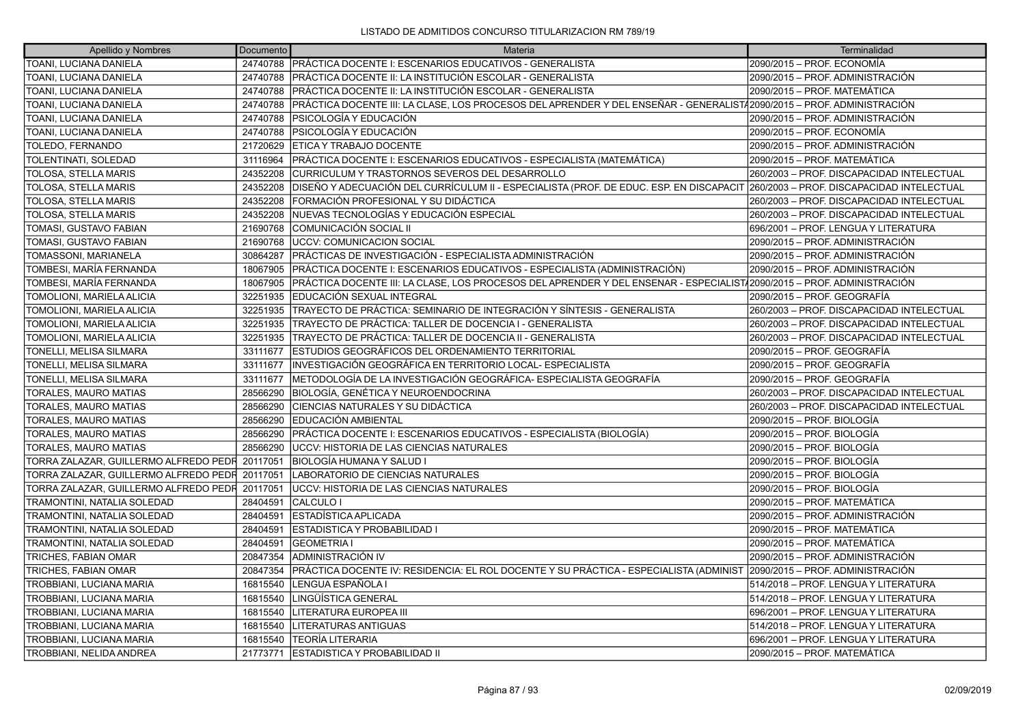| Apellido y Nombres                    | Documento | Materia                                                                                                                           | Terminalidad                              |
|---------------------------------------|-----------|-----------------------------------------------------------------------------------------------------------------------------------|-------------------------------------------|
| TOANI, LUCIANA DANIELA                | 24740788  | PRÁCTICA DOCENTE I: ESCENARIOS EDUCATIVOS - GENERALISTA                                                                           | 2090/2015 – PROF. ECONOMÍA                |
| TOANI, LUCIANA DANIELA                | 24740788  | PRÁCTICA DOCENTE II: LA INSTITUCIÓN ESCOLAR - GENERALISTA                                                                         | 2090/2015 – PROF. ADMINISTRACIÓN          |
| TOANI, LUCIANA DANIELA                | 24740788  | PRÁCTICA DOCENTE II: LA INSTITUCIÓN ESCOLAR - GENERALISTA                                                                         | 2090/2015 – PROF. MATEMÁTICA              |
| TOANI, LUCIANA DANIELA                | 24740788  | PRÁCTICA DOCENTE III: LA CLASE, LOS PROCESOS DEL APRENDER Y DEL ENSEÑAR - GENERALIST/2090/2015 – PROF. ADMINISTRACIÓN             |                                           |
| TOANI, LUCIANA DANIELA                | 24740788  | PSICOLOGÍA Y EDUCACIÓN                                                                                                            | 2090/2015 – PROF. ADMINISTRACIÓN          |
| TOANI, LUCIANA DANIELA                | 24740788  | PSICOLOGÍA Y EDUCACIÓN                                                                                                            | 2090/2015 – PROF. ECONOMÍA                |
| TOLEDO, FERNANDO                      | 21720629  | ETICA Y TRABAJO DOCENTE                                                                                                           | 2090/2015 – PROF. ADMINISTRACIÓN          |
| TOLENTINATI, SOLEDAD                  | 31116964  | PRÁCTICA DOCENTE I: ESCENARIOS EDUCATIVOS - ESPECIALISTA (MATEMÁTICA)                                                             | 2090/2015 - PROF. MATEMÁTICA              |
| TOLOSA, STELLA MARIS                  | 24352208  | CURRICULUM Y TRASTORNOS SEVEROS DEL DESARROLLO                                                                                    | 260/2003 - PROF. DISCAPACIDAD INTELECTUAL |
| <b>TOLOSA, STELLA MARIS</b>           | 24352208  | DISEÑO Y ADECUACIÓN DEL CURRÍCULUM II - ESPECIALISTA (PROF. DE EDUC. ESP. EN DISCAPACIT 260/2003 – PROF. DISCAPACIDAD INTELECTUAL |                                           |
| <b>TOLOSA, STELLA MARIS</b>           | 24352208  | FORMACIÓN PROFESIONAL Y SU DIDÁCTICA                                                                                              | 260/2003 - PROF. DISCAPACIDAD INTELECTUAL |
| TOLOSA, STELLA MARIS                  | 24352208  | NUEVAS TECNOLOGÍAS Y EDUCACIÓN ESPECIAL                                                                                           | 260/2003 - PROF. DISCAPACIDAD INTELECTUAL |
| TOMASI, GUSTAVO FABIAN                | 21690768  | COMUNICACIÓN SOCIAL II                                                                                                            | 696/2001 - PROF. LENGUA Y LITERATURA      |
| TOMASI, GUSTAVO FABIAN                | 21690768  | <b>UCCV: COMUNICACION SOCIAL</b>                                                                                                  | 2090/2015 – PROF. ADMINISTRACIÓN          |
| TOMASSONI, MARIANELA                  | 30864287  | PRÁCTICAS DE INVESTIGACIÓN - ESPECIALISTA ADMINISTRACIÓN                                                                          | 2090/2015 – PROF. ADMINISTRACIÓN          |
| TOMBESI, MARÍA FERNANDA               | 18067905  | PRÁCTICA DOCENTE I: ESCENARIOS EDUCATIVOS - ESPECIALISTA (ADMINISTRACIÓN)                                                         | 2090/2015 – PROF. ADMINISTRACIÓN          |
| TOMBESI, MARÍA FERNANDA               | 18067905  | PRÁCTICA DOCENTE III: LA CLASE, LOS PROCESOS DEL APRENDER Y DEL ENSENAR - ESPECIALIST/2090/2015 – PROF. ADMINISTRACIÓN            |                                           |
| TOMOLIONI, MARIELA ALICIA             | 32251935  | IEDUCACIÓN SEXUAL INTEGRAL                                                                                                        | 2090/2015 – PROF. GEOGRAFÍA               |
| TOMOLIONI, MARIELA ALICIA             | 32251935  | TRAYECTO DE PRÁCTICA: SEMINARIO DE INTEGRACIÓN Y SÍNTESIS - GENERALISTA                                                           | 260/2003 - PROF. DISCAPACIDAD INTELECTUAL |
| TOMOLIONI, MARIELA ALICIA             | 32251935  | TRAYECTO DE PRÁCTICA: TALLER DE DOCENCIA I - GENERALISTA                                                                          | 260/2003 - PROF. DISCAPACIDAD INTELECTUAL |
| TOMOLIONI, MARIELA ALICIA             | 32251935  | TRAYECTO DE PRÁCTICA: TALLER DE DOCENCIA II - GENERALISTA                                                                         | 260/2003 - PROF. DISCAPACIDAD INTELECTUAL |
| TONELLI, MELISA SILMARA               | 33111677  | ESTUDIOS GEOGRÁFICOS DEL ORDENAMIENTO TERRITORIAL                                                                                 | 2090/2015 – PROF. GEOGRAFÍA               |
| TONELLI, MELISA SILMARA               | 33111677  | INVESTIGACIÓN GEOGRÁFICA EN TERRITORIO LOCAL- ESPECIALISTA                                                                        | 2090/2015 - PROF. GEOGRAFÍA               |
| TONELLI, MELISA SILMARA               | 33111677  | METODOLOGÍA DE LA INVESTIGACIÓN GEOGRÁFICA- ESPECIALISTA GEOGRAFÍA                                                                | 2090/2015 – PROF. GEOGRAFÍA               |
| TORALES, MAURO MATIAS                 | 28566290  | BIOLOGÍA, GENÉTICA Y NEUROENDOCRINA                                                                                               | 260/2003 - PROF. DISCAPACIDAD INTELECTUAL |
| TORALES, MAURO MATIAS                 | 28566290  | CIENCIAS NATURALES Y SU DIDÁCTICA                                                                                                 | 260/2003 - PROF. DISCAPACIDAD INTELECTUAL |
| TORALES, MAURO MATIAS                 | 28566290  | EDUCACIÓN AMBIENTAL                                                                                                               | 2090/2015 – PROF. BIOLOGÍA                |
| TORALES, MAURO MATIAS                 | 28566290  | PRÁCTICA DOCENTE I: ESCENARIOS EDUCATIVOS - ESPECIALISTA (BIOLOGÍA)                                                               | 2090/2015 – PROF. BIOLOGÍA                |
| TORALES, MAURO MATIAS                 | 28566290  | UCCV: HISTORIA DE LAS CIENCIAS NATURALES                                                                                          | 2090/2015 - PROF. BIOLOGÍA                |
| TORRA ZALAZAR, GUILLERMO ALFREDO PEDR | 20117051  | ÍBIOLOGÍA HUMANA Y SALUD I                                                                                                        | 2090/2015 – PROF. BIOLOGÍA                |
| TORRA ZALAZAR, GUILLERMO ALFREDO PEDR | 20117051  | LABORATORIO DE CIENCIAS NATURALES                                                                                                 | 2090/2015 – PROF. BIOLOGÍA                |
| TORRA ZALAZAR, GUILLERMO ALFREDO PEDR | 20117051  | UCCV: HISTORIA DE LAS CIENCIAS NATURALES                                                                                          | 2090/2015 – PROF. BIOLOGÍA                |
| TRAMONTINI, NATALIA SOLEDAD           | 28404591  | ICALCULO I                                                                                                                        | 2090/2015 – PROF. MATEMÁTICA              |
| TRAMONTINI, NATALIA SOLEDAD           | 28404591  | ESTADÍSTICA APLICADA                                                                                                              | 2090/2015 – PROF. ADMINISTRACIÓN          |
| TRAMONTINI, NATALIA SOLEDAD           | 28404591  | <b>ESTADISTICA Y PROBABILIDAD I</b>                                                                                               | 2090/2015 - PROF. MATEMÁTICA              |
| TRAMONTINI, NATALIA SOLEDAD           | 28404591  | <b>GEOMETRIA I</b>                                                                                                                | 2090/2015 – PROF. MATEMÁTICA              |
| TRICHES, FABIAN OMAR                  | 20847354  | ADMINISTRACIÓN IV                                                                                                                 | 2090/2015 – PROF. ADMINISTRACIÓN          |
| TRICHES, FABIAN OMAR                  | 20847354  | PRÁCTICA DOCENTE IV: RESIDENCIA: EL ROL DOCENTE Y SU PRÁCTICA - ESPECIALISTA (ADMINIST  2090/2015 – PROF. ADMINISTRACIÓN          |                                           |
| TROBBIANI, LUCIANA MARIA              | 16815540  | LENGUA ESPAÑOLA I                                                                                                                 | 514/2018 - PROF. LENGUA Y LITERATURA      |
| TROBBIANI, LUCIANA MARIA              | 16815540  | LINGÜÍSTICA GENERAL                                                                                                               | 514/2018 - PROF. LENGUA Y LITERATURA      |
| TROBBIANI, LUCIANA MARIA              | 16815540  | LITERATURA EUROPEA III                                                                                                            | 696/2001 - PROF. LENGUA Y LITERATURA      |
| TROBBIANI, LUCIANA MARIA              | 16815540  | LITERATURAS ANTIGUAS                                                                                                              | 514/2018 - PROF. LENGUA Y LITERATURA      |
| TROBBIANI, LUCIANA MARIA              | 16815540  | <b>TEORÍA LITERARIA</b>                                                                                                           | 696/2001 - PROF. LENGUA Y LITERATURA      |
| <b>TROBBIANI, NELIDA ANDREA</b>       | 21773771  | <b>IESTADISTICA Y PROBABILIDAD II</b>                                                                                             | 2090/2015 – PROF. MATEMÁTICA              |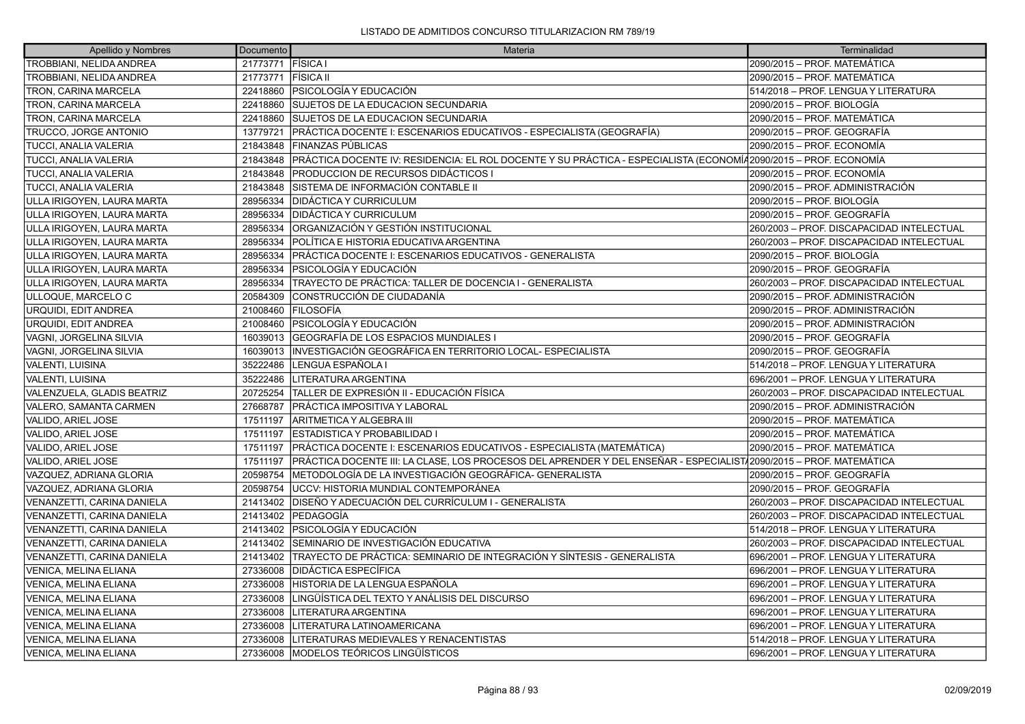| Apellido y Nombres           | Documento         | Materia                                                                                                            | Terminalidad                              |
|------------------------------|-------------------|--------------------------------------------------------------------------------------------------------------------|-------------------------------------------|
| TROBBIANI, NELIDA ANDREA     | 21773771 FÍSICA I |                                                                                                                    | 2090/2015 - PROF. MATEMÁTICA              |
| TROBBIANI, NELIDA ANDREA     | 21773771          | <b>FÍSICA II</b>                                                                                                   | 2090/2015 - PROF. MATEMÁTICA              |
| TRON, CARINA MARCELA         | 22418860          | <b>PSICOLOGÍA Y EDUCACIÓN</b>                                                                                      | 514/2018 - PROF. LENGUA Y LITERATURA      |
| <b>TRON, CARINA MARCELA</b>  | 22418860          | SUJETOS DE LA EDUCACION SECUNDARIA                                                                                 | 2090/2015 - PROF. BIOLOGÍA                |
| TRON, CARINA MARCELA         | 22418860          | SUJETOS DE LA EDUCACION SECUNDARIA                                                                                 | 2090/2015 - PROF. MATEMÁTICA              |
| TRUCCO, JORGE ANTONIO        | 13779721          | PRÁCTICA DOCENTE I: ESCENARIOS EDUCATIVOS - ESPECIALISTA (GEOGRAFÍA)                                               | 2090/2015 – PROF. GEOGRAFÍA               |
| <b>TUCCI, ANALIA VALERIA</b> | 21843848          | <b>FINANZAS PÚBLICAS</b>                                                                                           | 2090/2015 – PROF. ECONOMÍA                |
| TUCCI, ANALIA VALERIA        | 21843848          | PRÁCTICA DOCENTE IV: RESIDENCIA: EL ROL DOCENTE Y SU PRÁCTICA - ESPECIALISTA (ECONOMÍ42090/2015 – PROF. ECONOMÍA   |                                           |
| <b>TUCCI, ANALIA VALERIA</b> | 21843848          | <b>PRODUCCION DE RECURSOS DIDÁCTICOS I</b>                                                                         | 2090/2015 – PROF. ECONOMÍA                |
| <b>TUCCI, ANALIA VALERIA</b> | 21843848          | ÍSISTEMA DE INFORMACIÓN CONTABLE II                                                                                | 2090/2015 - PROF. ADMINISTRACIÓN          |
| ULLA IRIGOYEN, LAURA MARTA   | 28956334          | <b>IDIDÁCTICA Y CURRICULUM</b>                                                                                     | 2090/2015 - PROF. BIOLOGÍA                |
| ULLA IRIGOYEN, LAURA MARTA   | 28956334          | <b>IDIDÁCTICA Y CURRICULUM</b>                                                                                     | 2090/2015 – PROF. GEOGRAFÍA               |
| ULLA IRIGOYEN, LAURA MARTA   | 28956334          | ORGANIZACIÓN Y GESTIÓN INSTITUCIONAL                                                                               | 260/2003 - PROF. DISCAPACIDAD INTELECTUAL |
| ULLA IRIGOYEN, LAURA MARTA   | 28956334          | <b>IPOLÍTICA E HISTORIA EDUCATIVA ARGENTINA</b>                                                                    | 260/2003 - PROF. DISCAPACIDAD INTELECTUAL |
| ULLA IRIGOYEN, LAURA MARTA   | 28956334          | PRÁCTICA DOCENTE I: ESCENARIOS EDUCATIVOS - GENERALISTA                                                            | 2090/2015 – PROF. BIOLOGÍA                |
| ULLA IRIGOYEN, LAURA MARTA   | 28956334          | IPSICOLOGÍA Y EDUCACIÓN                                                                                            | 2090/2015 - PROF. GEOGRAFÍA               |
| ULLA IRIGOYEN, LAURA MARTA   | 28956334          | TRAYECTO DE PRÁCTICA: TALLER DE DOCENCIA I - GENERALISTA                                                           | 260/2003 - PROF. DISCAPACIDAD INTELECTUAL |
| ULLOQUE, MARCELO C           | 20584309          | CONSTRUCCIÓN DE CIUDADANÍA                                                                                         | 2090/2015 - PROF. ADMINISTRACIÓN          |
| URQUIDI, EDIT ANDREA         | 21008460          | <b>FILOSOFÍA</b>                                                                                                   | 2090/2015 - PROF. ADMINISTRACIÓN          |
| <b>URQUIDI, EDIT ANDREA</b>  | 21008460          | <b>PSICOLOGÍA Y EDUCACIÓN</b>                                                                                      | 2090/2015 - PROF. ADMINISTRACIÓN          |
| VAGNI, JORGELINA SILVIA      | 16039013          | GEOGRAFÍA DE LOS ESPACIOS MUNDIALES I                                                                              | 2090/2015 - PROF. GEOGRAFÍA               |
| VAGNI, JORGELINA SILVIA      | 16039013          | INVESTIGACIÓN GEOGRÁFICA EN TERRITORIO LOCAL- ESPECIALISTA                                                         | 2090/2015 - PROF. GEOGRAFÍA               |
| <b>VALENTI, LUISINA</b>      | 35222486          | LENGUA ESPAÑOLA I                                                                                                  | 514/2018 - PROF. LENGUA Y LITERATURA      |
| <b>VALENTI, LUISINA</b>      | 35222486          | LITERATURA ARGENTINA                                                                                               | 696/2001 - PROF. LENGUA Y LITERATURA      |
| VALENZUELA, GLADIS BEATRIZ   | 20725254          | TALLER DE EXPRESIÓN II - EDUCACIÓN FÍSICA                                                                          | 260/2003 - PROF. DISCAPACIDAD INTELECTUAL |
| VALERO, SAMANTA CARMEN       | 27668787          | <b>PRÁCTICA IMPOSITIVA Y LABORAL</b>                                                                               | 2090/2015 - PROF. ADMINISTRACIÓN          |
| VALIDO, ARIEL JOSE           | 17511197          | ARITMETICA Y ALGEBRA III                                                                                           | 2090/2015 - PROF. MATEMÁTICA              |
| VALIDO, ARIEL JOSE           | 17511197          | <b>ESTADISTICA Y PROBABILIDAD I</b>                                                                                | 2090/2015 - PROF. MATEMÁTICA              |
| VALIDO, ARIEL JOSE           | 17511197          | PRÁCTICA DOCENTE I: ESCENARIOS EDUCATIVOS - ESPECIALISTA (MATEMÁTICA)                                              | 2090/2015 - PROF. MATEMÁTICA              |
| VALIDO, ARIEL JOSE           | 17511197          | PRÁCTICA DOCENTE III: LA CLASE, LOS PROCESOS DEL APRENDER Y DEL ENSEÑAR - ESPECIALIST/2090/2015 - PROF. MATEMÁTICA |                                           |
| VAZQUEZ, ADRIANA GLORIA      | 20598754          | IMETODOLOGÍA DE LA INVESTIGACIÓN GEOGRÁFICA- GENERALISTA                                                           | 2090/2015 - PROF. GEOGRAFÍA               |
| VAZQUEZ, ADRIANA GLORIA      | 20598754          | <b>UCCV: HISTORIA MUNDIAL CONTEMPORÁNEA</b>                                                                        | 2090/2015 - PROF. GEOGRAFÍA               |
| VENANZETTI, CARINA DANIELA   | 21413402          | DISEÑO Y ADECUACIÓN DEL CURRÍCULUM I - GENERALISTA                                                                 | 260/2003 - PROF. DISCAPACIDAD INTELECTUAL |
| VENANZETTI, CARINA DANIELA   | 21413402          | <b>IPEDAGOGÍA</b>                                                                                                  | 260/2003 - PROF. DISCAPACIDAD INTELECTUAL |
| VENANZETTI, CARINA DANIELA   | 21413402          | <b>PSICOLOGÍA Y EDUCACIÓN</b>                                                                                      | 514/2018 - PROF. LENGUA Y LITERATURA      |
| VENANZETTI, CARINA DANIELA   | 21413402          | SEMINARIO DE INVESTIGACIÓN EDUCATIVA                                                                               | 260/2003 - PROF. DISCAPACIDAD INTELECTUAL |
| VENANZETTI, CARINA DANIELA   | 21413402          | TRAYECTO DE PRÁCTICA: SEMINARIO DE INTEGRACIÓN Y SÍNTESIS - GENERALISTA                                            | 696/2001 - PROF. LENGUA Y LITERATURA      |
| VENICA, MELINA ELIANA        | 27336008          | <b>DIDÁCTICA ESPECÍFICA</b>                                                                                        | 696/2001 - PROF. LENGUA Y LITERATURA      |
| VENICA, MELINA ELIANA        | 27336008          | HISTORIA DE LA LENGUA ESPAÑOLA                                                                                     | 696/2001 - PROF. LENGUA Y LITERATURA      |
| VENICA, MELINA ELIANA        | 27336008          | LINGÜÍSTICA DEL TEXTO Y ANÁLISIS DEL DISCURSO                                                                      | 696/2001 - PROF. LENGUA Y LITERATURA      |
| VENICA, MELINA ELIANA        | 27336008          | LITERATURA ARGENTINA                                                                                               | 696/2001 - PROF. LENGUA Y LITERATURA      |
| VENICA, MELINA ELIANA        | 27336008          | LITERATURA LATINOAMERICANA                                                                                         | 696/2001 - PROF. LENGUA Y LITERATURA      |
| VENICA, MELINA ELIANA        | 27336008          | LITERATURAS MEDIEVALES Y RENACENTISTAS                                                                             | 514/2018 - PROF. LENGUA Y LITERATURA      |
| <b>VENICA, MELINA ELIANA</b> | 27336008          | MODELOS TEÓRICOS LINGÜÍSTICOS                                                                                      | 696/2001 - PROF. LENGUA Y LITERATURA      |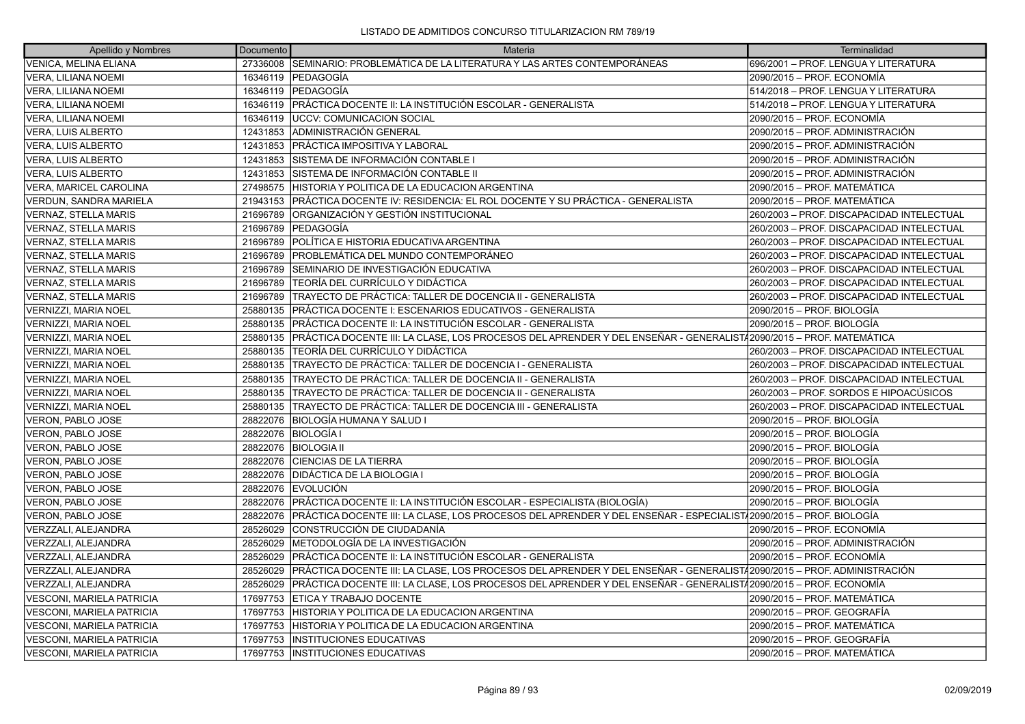| Apellido y Nombres               | Documento | Materia                                                                                                               | Terminalidad                              |
|----------------------------------|-----------|-----------------------------------------------------------------------------------------------------------------------|-------------------------------------------|
| <b>VENICA. MELINA ELIANA</b>     |           | 27336008 SEMINARIO: PROBLEMÁTICA DE LA LITERATURA Y LAS ARTES CONTEMPORÁNEAS                                          | 696/2001 - PROF. LENGUA Y LITERATURA      |
| <b>VERA, LILIANA NOEMI</b>       |           | 16346119   PEDAGOGÍA                                                                                                  | 2090/2015 - PROF. ECONOMÍA                |
| <b>VERA, LILIANA NOEMI</b>       |           | 16346119 PEDAGOGÍA                                                                                                    | 514/2018 – PROF. LENGUA Y LITERATURA      |
| <b>VERA, LILIANA NOEMI</b>       | 16346119  | PRÁCTICA DOCENTE II: LA INSTITUCIÓN ESCOLAR - GENERALISTA                                                             | 514/2018 - PROF. LENGUA Y LITERATURA      |
| <b>VERA, LILIANA NOEMI</b>       | 16346119  | <b>JUCCV: COMUNICACION SOCIAL</b>                                                                                     | 2090/2015 - PROF. ECONOMÍA                |
| VERA, LUIS ALBERTO               | 12431853  | ADMINISTRACIÓN GENERAL                                                                                                | 2090/2015 - PROF. ADMINISTRACIÓN          |
| <b>VERA, LUIS ALBERTO</b>        | 12431853  | IPRÁCTICA IMPOSITIVA Y LABORAL                                                                                        | 2090/2015 – PROF. ADMINISTRACIÓN          |
| <b>VERA, LUIS ALBERTO</b>        | 12431853  | SISTEMA DE INFORMACIÓN CONTABLE I                                                                                     | 2090/2015 – PROF. ADMINISTRACIÓN          |
| <b>VERA, LUIS ALBERTO</b>        | 12431853  | SISTEMA DE INFORMACIÓN CONTABLE II                                                                                    | 2090/2015 - PROF. ADMINISTRACIÓN          |
| VERA, MARICEL CAROLINA           | 27498575  | ÍHISTORIA Y POLITICA DE LA EDUCACION ARGENTINA                                                                        | 2090/2015 - PROF. MATEMÁTICA              |
| <b>VERDUN, SANDRA MARIELA</b>    | 21943153  | PRÁCTICA DOCENTE IV: RESIDENCIA: EL ROL DOCENTE Y SU PRÁCTICA - GENERALISTA                                           | 2090/2015 – PROF. MATEMÁTICA              |
| <b>VERNAZ, STELLA MARIS</b>      | 21696789  | ÍORGANIZACIÓN Y GESTIÓN INSTITUCIONAL                                                                                 | 260/2003 - PROF. DISCAPACIDAD INTELECTUAL |
| <b>VERNAZ, STELLA MARIS</b>      | 21696789  | <b> PEDAGOGÍA</b>                                                                                                     | 260/2003 - PROF. DISCAPACIDAD INTELECTUAL |
| VERNAZ, STELLA MARIS             | 21696789  | POLÍTICA E HISTORIA EDUCATIVA ARGENTINA                                                                               | 260/2003 - PROF. DISCAPACIDAD INTELECTUAL |
| <b>VERNAZ, STELLA MARIS</b>      | 21696789  | PROBLEMÁTICA DEL MUNDO CONTEMPORÁNEO                                                                                  | 260/2003 - PROF. DISCAPACIDAD INTELECTUAL |
| <b>VERNAZ, STELLA MARIS</b>      | 21696789  | SEMINARIO DE INVESTIGACIÓN EDUCATIVA                                                                                  | 260/2003 - PROF. DISCAPACIDAD INTELECTUAL |
| <b>VERNAZ, STELLA MARIS</b>      | 21696789  | TEORÍA DEL CURRÍCULO Y DIDÁCTICA                                                                                      | 260/2003 - PROF. DISCAPACIDAD INTELECTUAL |
| <b>VERNAZ, STELLA MARIS</b>      | 21696789  | TRAYECTO DE PRÁCTICA: TALLER DE DOCENCIA II - GENERALISTA                                                             | 260/2003 - PROF. DISCAPACIDAD INTELECTUAL |
| <b>VERNIZZI, MARIA NOEL</b>      | 25880135  | IPRÁCTICA DOCENTE I: ESCENARIOS EDUCATIVOS - GENERALISTA                                                              | 2090/2015 - PROF. BIOLOGÍA                |
| VERNIZZI, MARIA NOEL             | 25880135  | <b>PRÁCTICA DOCENTE II: LA INSTITUCIÓN ESCOLAR - GENERALISTA</b>                                                      | 2090/2015 - PROF. BIOLOGÍA                |
| <b>VERNIZZI, MARIA NOEL</b>      | 25880135  | PRÁCTICA DOCENTE III: LA CLASE, LOS PROCESOS DEL APRENDER Y DEL ENSEÑAR - GENERALISTA 2090/2015 - PROF. MATEMÁTICA    |                                           |
| <b>VERNIZZI, MARIA NOEL</b>      | 25880135  | TEORÍA DEL CURRÍCULO Y DIDÁCTICA                                                                                      | 260/2003 - PROF. DISCAPACIDAD INTELECTUAL |
| <b>VERNIZZI, MARIA NOEL</b>      | 25880135  | TRAYECTO DE PRÁCTICA: TALLER DE DOCENCIA I - GENERALISTA                                                              | 260/2003 - PROF. DISCAPACIDAD INTELECTUAL |
| <b>VERNIZZI, MARIA NOEL</b>      | 25880135  | TRAYECTO DE PRÁCTICA: TALLER DE DOCENCIA II - GENERALISTA                                                             | 260/2003 - PROF. DISCAPACIDAD INTELECTUAL |
| <b>VERNIZZI, MARIA NOEL</b>      | 25880135  | TRAYECTO DE PRÁCTICA: TALLER DE DOCENCIA II - GENERALISTA                                                             | 260/2003 – PROF. SORDOS E HIPOACÚSICOS    |
| VERNIZZI, MARIA NOEL             | 25880135  | TRAYECTO DE PRÁCTICA: TALLER DE DOCENCIA III - GENERALISTA                                                            | 260/2003 - PROF. DISCAPACIDAD INTELECTUAL |
| <b>VERON, PABLO JOSE</b>         | 28822076  | BIOLOGÍA HUMANA Y SALUD I                                                                                             | 2090/2015 - PROF. BIOLOGÍA                |
| <b>VERON, PABLO JOSE</b>         | 28822076  | BIOLOGÍA I                                                                                                            | 2090/2015 - PROF. BIOLOGÍA                |
| VERON, PABLO JOSE                | 28822076  | <b>BIOLOGIA II</b>                                                                                                    | 2090/2015 – PROF. BIOLOGÍA                |
| <b>VERON, PABLO JOSE</b>         | 28822076  | <b>CIENCIAS DE LA TIERRA</b>                                                                                          | 2090/2015 - PROF. BIOLOGÍA                |
| VERON, PABLO JOSE                | 28822076  | <b>DIDÁCTICA DE LA BIOLOGIA I</b>                                                                                     | 2090/2015 - PROF. BIOLOGÍA                |
| VERON, PABLO JOSE                | 28822076  | <b>EVOLUCIÓN</b>                                                                                                      | 2090/2015 – PROF. BIOLOGÍA                |
| VERON, PABLO JOSE                | 28822076  | PRÁCTICA DOCENTE II: LA INSTITUCIÓN ESCOLAR - ESPECIALISTA (BIOLOGÍA)                                                 | 2090/2015 - PROF. BIOLOGÍA                |
| VERON, PABLO JOSE                | 28822076  | PRÁCTICA DOCENTE III: LA CLASE. LOS PROCESOS DEL APRENDER Y DEL ENSEÑAR - ESPECIALIST/2090/2015 – PROF. BIOLOGÍA      |                                           |
| <b>VERZZALI, ALEJANDRA</b>       | 28526029  | CONSTRUCCIÓN DE CIUDADANÍA                                                                                            | 2090/2015 - PROF. ECONOMÍA                |
| VERZZALI, ALEJANDRA              | 28526029  | METODOLOGÍA DE LA INVESTIGACIÓN                                                                                       | 2090/2015 - PROF. ADMINISTRACIÓN          |
| VERZZALI, ALEJANDRA              | 28526029  | PRÁCTICA DOCENTE II: LA INSTITUCIÓN ESCOLAR - GENERALISTA                                                             | 2090/2015 - PROF. ECONOMÍA                |
| VERZZALI, ALEJANDRA              | 28526029  | PRÁCTICA DOCENTE III: LA CLASE, LOS PROCESOS DEL APRENDER Y DEL ENSEÑAR - GENERALIST/2090/2015 – PROF. ADMINISTRACIÓN |                                           |
| VERZZALI, ALEJANDRA              | 28526029  | PRÁCTICA DOCENTE III: LA CLASE, LOS PROCESOS DEL APRENDER Y DEL ENSEÑAR - GENERALIST/2090/2015 – PROF. ECONOMÍA       |                                           |
| <b>VESCONI, MARIELA PATRICIA</b> | 17697753  | ETICA Y TRABAJO DOCENTE                                                                                               | 2090/2015 – PROF. MATEMÁTICA              |
| VESCONI, MARIELA PATRICIA        | 17697753  | HISTORIA Y POLITICA DE LA EDUCACION ARGENTINA                                                                         | 2090/2015 - PROF. GEOGRAFÍA               |
| <b>VESCONI, MARIELA PATRICIA</b> | 17697753  | ÍHISTORIA Y POLITICA DE LA EDUCACION ARGENTINA                                                                        | 2090/2015 – PROF. MATEMÁTICA              |
| VESCONI, MARIELA PATRICIA        | 17697753  | <b>INSTITUCIONES EDUCATIVAS</b>                                                                                       | 2090/2015 – PROF. GEOGRAFÍA               |
| <b>VESCONI. MARIELA PATRICIA</b> | 17697753  | <b>IINSTITUCIONES EDUCATIVAS</b>                                                                                      | 2090/2015 – PROF. MATEMÁTICA              |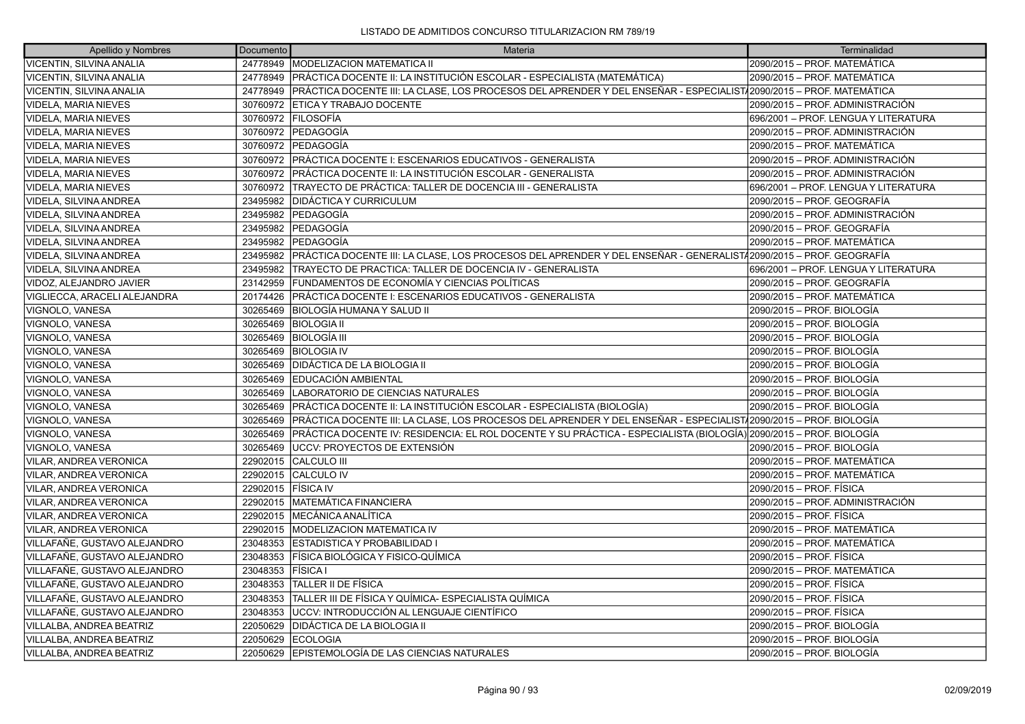| Apellido y Nombres           | <b>Documento</b> | Materia                                                                                                                     | Terminalidad                         |
|------------------------------|------------------|-----------------------------------------------------------------------------------------------------------------------------|--------------------------------------|
| VICENTIN, SILVINA ANALIA     |                  | 24778949   MODELIZACION MATEMATICA II                                                                                       | 2090/2015 - PROF. MATEMÁTICA         |
| VICENTIN, SILVINA ANALIA     |                  | 24778949 PRÁCTICA DOCENTE II: LA INSTITUCIÓN ESCOLAR - ESPECIALISTA (MATEMÁTICA)                                            | 2090/2015 – PROF. MATEMÁTICA         |
| VICENTIN, SILVINA ANALIA     |                  | 24778949 PRÁCTICA DOCENTE III: LA CLASE, LOS PROCESOS DEL APRENDER Y DEL ENSEÑAR - ESPECIALIST 2090/2015 - PROF. MATEMÁTICA |                                      |
| VIDELA, MARIA NIEVES         | 30760972         | <b>ETICA Y TRABAJO DOCENTE</b>                                                                                              | 2090/2015 – PROF. ADMINISTRACIÓN     |
| VIDELA, MARIA NIEVES         |                  | 30760972 FILOSOFÍA                                                                                                          | 696/2001 - PROF. LENGUA Y LITERATURA |
| VIDELA, MARIA NIEVES         |                  | 30760972 PEDAGOGÍA                                                                                                          | 2090/2015 - PROF. ADMINISTRACIÓN     |
| <b>VIDELA, MARIA NIEVES</b>  | 30760972         | <b>PEDAGOGÍA</b>                                                                                                            | 2090/2015 - PROF. MATEMÁTICA         |
| <b>VIDELA, MARIA NIEVES</b>  |                  | 30760972 PRÁCTICA DOCENTE I: ESCENARIOS EDUCATIVOS - GENERALISTA                                                            | 2090/2015 – PROF. ADMINISTRACIÓN     |
| VIDELA, MARIA NIEVES         |                  | 30760972 PRÁCTICA DOCENTE II: LA INSTITUCIÓN ESCOLAR - GENERALISTA                                                          | 2090/2015 - PROF. ADMINISTRACIÓN     |
| VIDELA, MARIA NIEVES         | 30760972         | TRAYECTO DE PRÁCTICA: TALLER DE DOCENCIA III - GENERALISTA                                                                  | 696/2001 - PROF. LENGUA Y LITERATURA |
| VIDELA, SILVINA ANDREA       | 23495982         | <b>DIDÁCTICA Y CURRICULUM</b>                                                                                               | 2090/2015 - PROF. GEOGRAFÍA          |
| VIDELA, SILVINA ANDREA       |                  | 23495982 PEDAGOGÍA                                                                                                          | 2090/2015 - PROF. ADMINISTRACIÓN     |
| VIDELA, SILVINA ANDREA       | 23495982         | PEDAGOGÍA                                                                                                                   | 2090/2015 – PROF. GEOGRAFÍA          |
| VIDELA, SILVINA ANDREA       |                  | 23495982 PEDAGOGIA                                                                                                          | 2090/2015 - PROF. MATEMÁTICA         |
| VIDELA, SILVINA ANDREA       |                  | 23495982 PRÁCTICA DOCENTE III: LA CLASE, LOS PROCESOS DEL APRENDER Y DEL ENSEÑAR - GENERALISTA 2090/2015 - PROF. GEOGRAFÍA  |                                      |
| VIDELA, SILVINA ANDREA       | 23495982         | TRAYECTO DE PRACTICA: TALLER DE DOCENCIA IV - GENERALISTA                                                                   | 696/2001 - PROF. LENGUA Y LITERATURA |
| VIDOZ, ALEJANDRO JAVIER      | 23142959         | FUNDAMENTOS DE ECONOMÍA Y CIENCIAS POLÍTICAS                                                                                | 2090/2015 – PROF. GEOGRAFÍA          |
| VIGLIECCA, ARACELI ALEJANDRA | 20174426         | PRÁCTICA DOCENTE I: ESCENARIOS EDUCATIVOS - GENERALISTA                                                                     | 2090/2015 - PROF. MATEMÁTICA         |
| VIGNOLO, VANESA              | 30265469         | IBIOLOGÍA HUMANA Y SALUD II                                                                                                 | 2090/2015 – PROF. BIOLOGÍA           |
| VIGNOLO, VANESA              | 30265469         | <b>BIOLOGIA II</b>                                                                                                          | 2090/2015 – PROF. BIOLOGÍA           |
| VIGNOLO, VANESA              |                  | 30265469 BIOLOGÍA III                                                                                                       | 2090/2015 - PROF. BIOLOGÍA           |
| VIGNOLO, VANESA              | 30265469         | <b>BIOLOGIA IV</b>                                                                                                          | 2090/2015 - PROF. BIOLOGÍA           |
| VIGNOLO, VANESA              | 30265469         | DIDÁCTICA DE LA BIOLOGIA II                                                                                                 | 2090/2015 – PROF. BIOLOGÍA           |
| VIGNOLO, VANESA              | 30265469         | EDUCACIÓN AMBIENTAL                                                                                                         | 2090/2015 - PROF. BIOLOGÍA           |
| VIGNOLO, VANESA              | 30265469         | LABORATORIO DE CIENCIAS NATURALES                                                                                           | 2090/2015 – PROF. BIOLOGÍA           |
| VIGNOLO, VANESA              | 30265469         | PRÁCTICA DOCENTE II: LA INSTITUCIÓN ESCOLAR - ESPECIALISTA (BIOLOGÍA)                                                       | 2090/2015 - PROF. BIOLOGÍA           |
| VIGNOLO, VANESA              | 30265469         | PRÁCTICA DOCENTE III: LA CLASE, LOS PROCESOS DEL APRENDER Y DEL ENSEÑAR - ESPECIALISTA2090/2015 - PROF. BIOLOGÍA            |                                      |
| VIGNOLO, VANESA              | 30265469         | PRÁCTICA DOCENTE IV: RESIDENCIA: EL ROL DOCENTE Y SU PRÁCTICA - ESPECIALISTA (BIOLOGÍA) 2090/2015 – PROF. BIOLOGÍA          |                                      |
| VIGNOLO, VANESA              | 30265469         | UCCV: PROYECTOS DE EXTENSIÓN                                                                                                | 2090/2015 – PROF. BIOLOGÍA           |
| VILAR, ANDREA VERONICA       | 22902015         | <b>CALCULO III</b>                                                                                                          | 2090/2015 - PROF. MATEMÁTICA         |
| VILAR, ANDREA VERONICA       | 22902015         | <b>CALCULO IV</b>                                                                                                           | 2090/2015 - PROF. MATEMÁTICA         |
| VILAR, ANDREA VERONICA       | 22902015         | <b>FÍSICA IV</b>                                                                                                            | 2090/2015 - PROF. FÍSICA             |
| VILAR, ANDREA VERONICA       | 22902015         | <b>MATEMÁTICA FINANCIERA</b>                                                                                                | 2090/2015 - PROF. ADMINISTRACIÓN     |
| VILAR, ANDREA VERONICA       | 22902015         | MECÁNICA ANALÍTICA                                                                                                          | 2090/2015 - PROF. FÍSICA             |
| VILAR, ANDREA VERONICA       | 22902015         | <b>MODELIZACION MATEMATICA IV</b>                                                                                           | 2090/2015 – PROF. MATEMÁTICA         |
| VILLAFAÑE, GUSTAVO ALEJANDRO | 23048353         | ESTADISTICA Y PROBABILIDAD I                                                                                                | 2090/2015 - PROF. MATEMÁTICA         |
| VILLAFAÑE, GUSTAVO ALEJANDRO | 23048353         | FÍSICA BIOLÓGICA Y FISICO-QUÍMICA                                                                                           | 2090/2015 - PROF. FÍSICA             |
| VILLAFAÑE, GUSTAVO ALEJANDRO | 23048353         | FÍSICA I                                                                                                                    | 2090/2015 – PROF. MATEMÁTICA         |
| VILLAFAÑE, GUSTAVO ALEJANDRO | 23048353         | <b>TALLER II DE FÍSICA</b>                                                                                                  | 2090/2015 - PROF. FÍSICA             |
| VILLAFAÑE, GUSTAVO ALEJANDRO | 23048353         | TALLER III DE FÍSICA Y QUÍMICA- ESPECIALISTA QUÍMICA                                                                        | 2090/2015 - PROF. FÍSICA             |
| VILLAFAÑE, GUSTAVO ALEJANDRO | 23048353         | IUCCV: INTRODUCCIÓN AL LENGUAJE CIENTÍFICO                                                                                  | 2090/2015 – PROF. FÍSICA             |
| VILLALBA, ANDREA BEATRIZ     | 22050629         | DIDÁCTICA DE LA BIOLOGIA II                                                                                                 | 2090/2015 – PROF. BIOLOGÍA           |
| VILLALBA, ANDREA BEATRIZ     | 22050629         | <b>ECOLOGIA</b>                                                                                                             | 2090/2015 – PROF. BIOLOGÍA           |
| VILLALBA, ANDREA BEATRIZ     | 22050629         | EPISTEMOLOGÍA DE LAS CIENCIAS NATURALES                                                                                     | 2090/2015 – PROF. BIOLOGÍA           |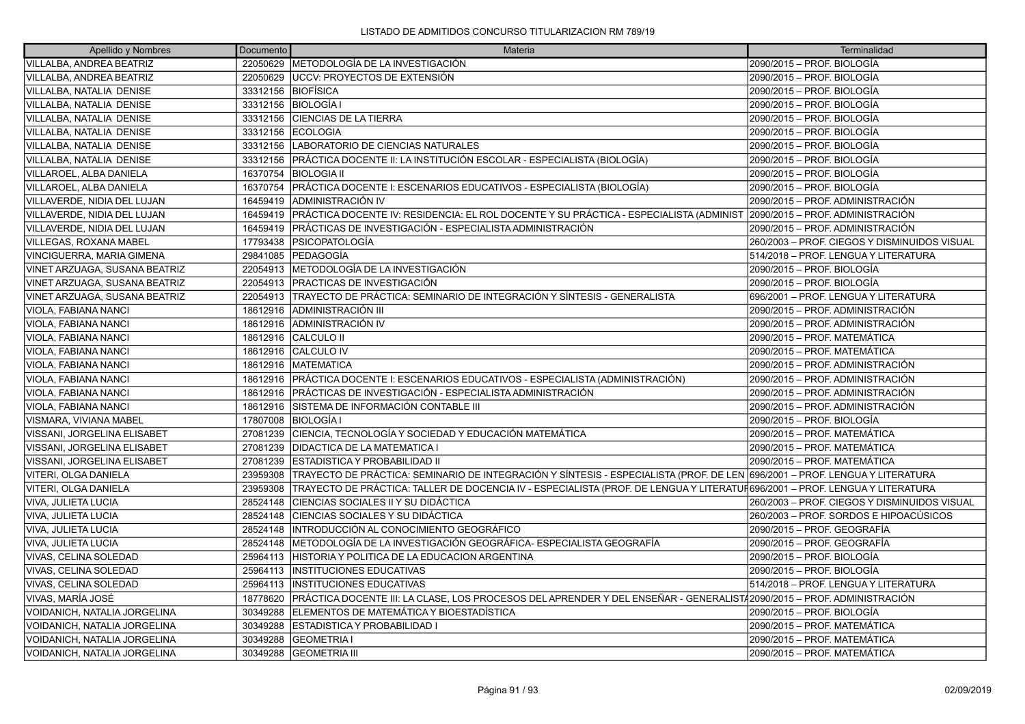| Apellido y Nombres            | Documento          | <b>Materia</b>                                                                                                                         | Terminalidad                                 |
|-------------------------------|--------------------|----------------------------------------------------------------------------------------------------------------------------------------|----------------------------------------------|
| VILLALBA, ANDREA BEATRIZ      |                    | 22050629 METODOLOGÍA DE LA INVESTIGACIÓN                                                                                               | 2090/2015 - PROF. BIOLOGÍA                   |
| VILLALBA, ANDREA BEATRIZ      |                    | 22050629 UCCV: PROYECTOS DE EXTENSIÓN                                                                                                  | 2090/2015 - PROF. BIOLOGÍA                   |
| VILLALBA, NATALIA DENISE      | 33312156 BIOFÍSICA |                                                                                                                                        | 2090/2015 – PROF. BIOLOGÍA                   |
| VILLALBA, NATALIA DENISE      |                    | 33312156 BIOLOGÍA I                                                                                                                    | 2090/2015 - PROF. BIOLOGÍA                   |
| VILLALBA, NATALIA DENISE      | 33312156           | <b>CIENCIAS DE LA TIERRA</b>                                                                                                           | 2090/2015 - PROF. BIOLOGÍA                   |
| VILLALBA, NATALIA DENISE      |                    | 33312156 ECOLOGIA                                                                                                                      | 2090/2015 – PROF. BIOLOGÍA                   |
| VILLALBA, NATALIA DENISE      | 33312156           | LABORATORIO DE CIENCIAS NATURALES                                                                                                      | 2090/2015 - PROF. BIOLOGÍA                   |
| VILLALBA, NATALIA DENISE      |                    | 33312156 PRÁCTICA DOCENTE II: LA INSTITUCIÓN ESCOLAR - ESPECIALISTA (BIOLOGÍA)                                                         | 2090/2015 - PROF. BIOLOGÍA                   |
| VILLAROEL, ALBA DANIELA       |                    | 16370754 BIOLOGIA II                                                                                                                   | 2090/2015 – PROF. BIOLOGÍA                   |
| VILLAROEL, ALBA DANIELA       | 16370754           | PRÁCTICA DOCENTE I: ESCENARIOS EDUCATIVOS - ESPECIALISTA (BIOLOGÍA)                                                                    | 2090/2015 - PROF. BIOLOGÍA                   |
| VILLAVERDE, NIDIA DEL LUJAN   | 16459419           | ADMINISTRACIÓN IV                                                                                                                      | 2090/2015 - PROF. ADMINISTRACIÓN             |
| VILLAVERDE, NIDIA DEL LUJAN   |                    | 16459419 PRÁCTICA DOCENTE IV: RESIDENCIA: EL ROL DOCENTE Y SU PRÁCTICA - ESPECIALISTA (ADMINIST 2090/2015 – PROF. ADMINISTRACIÓN       |                                              |
| VILLAVERDE, NIDIA DEL LUJAN   | 16459419           | PRÁCTICAS DE INVESTIGACIÓN - ESPECIALISTA ADMINISTRACIÓN                                                                               | 2090/2015 - PROF. ADMINISTRACIÓN             |
| VILLEGAS, ROXANA MABEL        |                    | 17793438   PSICOPATOLOGÍA                                                                                                              | 260/2003 - PROF. CIEGOS Y DISMINUIDOS VISUAL |
| VINCIGUERRA, MARIA GIMENA     |                    | 29841085 PEDAGOGÍA                                                                                                                     | 514/2018 - PROF. LENGUA Y LITERATURA         |
| VINET ARZUAGA, SUSANA BEATRIZ |                    | 22054913 METODOLOGÍA DE LA INVESTIGACIÓN                                                                                               | 2090/2015 - PROF. BIOLOGÍA                   |
| VINET ARZUAGA, SUSANA BEATRIZ |                    | 22054913   PRACTICAS DE INVESTIGACIÓN                                                                                                  | 2090/2015 – PROF. BIOLOGÍA                   |
| VINET ARZUAGA, SUSANA BEATRIZ | 22054913           | TRAYECTO DE PRÁCTICA: SEMINARIO DE INTEGRACIÓN Y SÍNTESIS - GENERALISTA                                                                | 696/2001 – PROF. LENGUA Y LITERATURA         |
| VIOLA, FABIANA NANCI          | 18612916           | ADMINISTRACIÓN III                                                                                                                     | 2090/2015 – PROF. ADMINISTRACIÓN             |
| VIOLA, FABIANA NANCI          | 18612916           | ADMINISTRACIÓN IV                                                                                                                      | 2090/2015 - PROF. ADMINISTRACIÓN             |
| VIOLA, FABIANA NANCI          |                    | 18612916 CALCULO II                                                                                                                    | 2090/2015 – PROF. MATEMÁTICA                 |
| VIOLA, FABIANA NANCI          |                    | 18612916 CALCULO IV                                                                                                                    | 2090/2015 - PROF. MATEMÁTICA                 |
| VIOLA, FABIANA NANCI          |                    | 18612916 MATEMATICA                                                                                                                    | 2090/2015 - PROF. ADMINISTRACIÓN             |
| VIOLA, FABIANA NANCI          |                    | 18612916 PRÁCTICA DOCENTE I: ESCENARIOS EDUCATIVOS - ESPECIALISTA (ADMINISTRACIÓN)                                                     | 2090/2015 – PROF. ADMINISTRACIÓN             |
| VIOLA, FABIANA NANCI          |                    | 18612916 PRÁCTICAS DE INVESTIGACIÓN - ESPECIALISTA ADMINISTRACIÓN                                                                      | 2090/2015 - PROF. ADMINISTRACIÓN             |
| VIOLA, FABIANA NANCI          |                    | 18612916 SISTEMA DE INFORMACIÓN CONTABLE III                                                                                           | 2090/2015 - PROF. ADMINISTRACIÓN             |
| VISMARA, VIVIANA MABEL        | 17807008           | <b>BIOLOGÍA I</b>                                                                                                                      | 2090/2015 – PROF. BIOLOGÍA                   |
| VISSANI, JORGELINA ELISABET   | 27081239           | CIENCIA, TECNOLOGÍA Y SOCIEDAD Y EDUCACIÓN MATEMÁTICA                                                                                  | 2090/2015 - PROF. MATEMÁTICA                 |
| VISSANI, JORGELINA ELISABET   |                    | 27081239   DIDACTICA DE LA MATEMATICA I                                                                                                | 2090/2015 - PROF. MATEMÁTICA                 |
| VISSANI, JORGELINA ELISABET   | 27081239           | <b>ESTADISTICA Y PROBABILIDAD II</b>                                                                                                   | 2090/2015 – PROF. MATEMÁTICA                 |
| VITERI, OLGA DANIELA          |                    | 23959308   TRAYECTO DE PRÁCTICA: SEMINARIO DE INTEGRACIÓN Y SÍNTESIS - ESPECIALISTA (PROF. DE LEN 696/2001 – PROF. LENGUA Y LITERATURA |                                              |
| VITERI, OLGA DANIELA          | 23959308           | TRAYECTO DE PRÁCTICA: TALLER DE DOCENCIA IV - ESPECIALISTA (PROF. DE LENGUA Y LITERATUF696/2001 – PROF. LENGUA Y LITERATURA            |                                              |
| VIVA, JULIETA LUCIA           | 28524148           | CIENCIAS SOCIALES II Y SU DIDÁCTICA                                                                                                    | 260/2003 - PROF. CIEGOS Y DISMINUIDOS VISUAL |
| VIVA, JULIETA LUCIA           | 28524148           | CIENCIAS SOCIALES Y SU DIDÁCTICA                                                                                                       | 260/2003 - PROF. SORDOS E HIPOACÚSICOS       |
| VIVA, JULIETA LUCIA           | 28524148           | INTRODUCCIÓN AL CONOCIMIENTO GEOGRÁFICO                                                                                                | 2090/2015 - PROF. GEOGRAFÍA                  |
| VIVA, JULIETA LUCIA           | 28524148           | METODOLOGÍA DE LA INVESTIGACIÓN GEOGRÁFICA- ESPECIALISTA GEOGRAFÍA                                                                     | 2090/2015 – PROF. GEOGRAFÍA                  |
| VIVAS, CELINA SOLEDAD         | 25964113           | HISTORIA Y POLITICA DE LA EDUCACION ARGENTINA                                                                                          | 2090/2015 - PROF. BIOLOGÍA                   |
| VIVAS, CELINA SOLEDAD         | 25964113           | <b>INSTITUCIONES EDUCATIVAS</b>                                                                                                        | 2090/2015 - PROF. BIOLOGÍA                   |
| VIVAS, CELINA SOLEDAD         | 25964113           | <b>INSTITUCIONES EDUCATIVAS</b>                                                                                                        | 514/2018 - PROF. LENGUA Y LITERATURA         |
| VIVAS, MARÍA JOSÉ             | 18778620           | PRÁCTICA DOCENTE III: LA CLASE, LOS PROCESOS DEL APRENDER Y DEL ENSEÑAR - GENERALIST (2090/2015 – PROF. ADMINISTRACIÓN                 |                                              |
| VOIDANICH, NATALIA JORGELINA  | 30349288           | ELEMENTOS DE MATEMÁTICA Y BIOESTADÍSTICA                                                                                               | 2090/2015 - PROF. BIOLOGÍA                   |
| VOIDANICH, NATALIA JORGELINA  | 30349288           | <b>ESTADISTICA Y PROBABILIDAD I</b>                                                                                                    | 2090/2015 – PROF. MATEMÁTICA                 |
| VOIDANICH, NATALIA JORGELINA  | 30349288           | GEOMETRIA I                                                                                                                            | 2090/2015 – PROF. MATEMÁTICA                 |
| VOIDANICH, NATALIA JORGELINA  | 30349288           | <b>GEOMETRIA III</b>                                                                                                                   | 2090/2015 – PROF. MATEMÁTICA                 |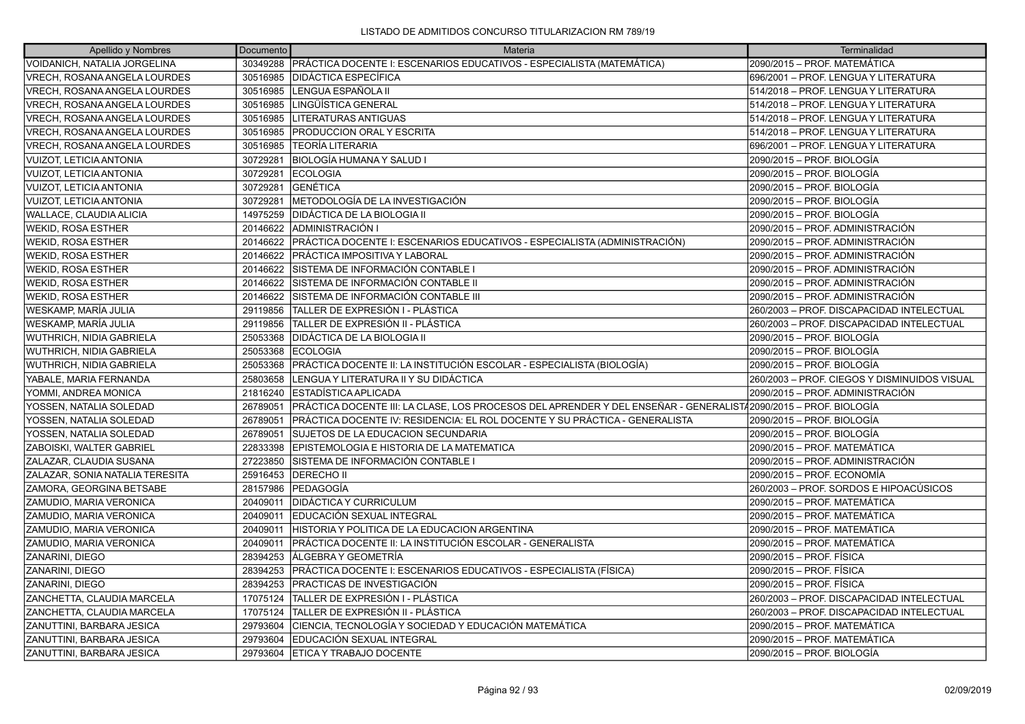| Apellido y Nombres              | Documento | Materia                                                                                                         | Terminalidad                                 |
|---------------------------------|-----------|-----------------------------------------------------------------------------------------------------------------|----------------------------------------------|
| VOIDANICH, NATALIA JORGELINA    | 30349288  | PRÁCTICA DOCENTE I: ESCENARIOS EDUCATIVOS - ESPECIALISTA (MATEMÁTICA)                                           | 2090/2015 - PROF. MATEMÁTICA                 |
| VRECH, ROSANA ANGELA LOURDES    | 30516985  | <b>DIDÁCTICA ESPECÍFICA</b>                                                                                     | 696/2001 - PROF. LENGUA Y LITERATURA         |
| VRECH, ROSANA ANGELA LOURDES    | 30516985  | LENGUA ESPAÑOLA II                                                                                              | 514/2018 - PROF. LENGUA Y LITERATURA         |
| VRECH, ROSANA ANGELA LOURDES    | 30516985  | LINGÜÍSTICA GENERAL                                                                                             | 514/2018 - PROF. LENGUA Y LITERATURA         |
| VRECH, ROSANA ANGELA LOURDES    | 30516985  | LITERATURAS ANTIGUAS                                                                                            | 514/2018 - PROF. LENGUA Y LITERATURA         |
| VRECH, ROSANA ANGELA LOURDES    | 30516985  | <b>PRODUCCION ORAL Y ESCRITA</b>                                                                                | 514/2018 - PROF. LENGUA Y LITERATURA         |
| VRECH, ROSANA ANGELA LOURDES    | 30516985  | <b>TEORÍA LITERARIA</b>                                                                                         | 696/2001 – PROF. LENGUA Y LITERATURA         |
| <b>VUIZOT, LETICIA ANTONIA</b>  | 30729281  | BIOLOGÍA HUMANA Y SALUD I                                                                                       | 2090/2015 – PROF. BIOLOGÍA                   |
| <b>VUIZOT, LETICIA ANTONIA</b>  | 30729281  | <b>IECOLOGIA</b>                                                                                                | 2090/2015 – PROF. BIOLOGÍA                   |
| VUIZOT, LETICIA ANTONIA         | 30729281  | <b>GENÉTICA</b>                                                                                                 | 2090/2015 – PROF. BIOLOGÍA                   |
| <b>VUIZOT, LETICIA ANTONIA</b>  | 30729281  | METODOLOGÍA DE LA INVESTIGACIÓN                                                                                 | 2090/2015 – PROF. BIOLOGÍA                   |
| WALLACE, CLAUDIA ALICIA         | 14975259  | <b>DIDÁCTICA DE LA BIOLOGIA II</b>                                                                              | 2090/2015 – PROF. BIOLOGÍA                   |
| WEKID, ROSA ESTHER              | 20146622  | ADMINISTRACIÓN I                                                                                                | 2090/2015 – PROF. ADMINISTRACIÓN             |
| <b>WEKID, ROSA ESTHER</b>       | 20146622  | PRÁCTICA DOCENTE I: ESCENARIOS EDUCATIVOS - ESPECIALISTA (ADMINISTRACIÓN)                                       | 2090/2015 - PROF. ADMINISTRACIÓN             |
| WEKID, ROSA ESTHER              | 20146622  | <b>PRÁCTICA IMPOSITIVA Y LABORAL</b>                                                                            | 2090/2015 - PROF. ADMINISTRACIÓN             |
| WEKID, ROSA ESTHER              | 20146622  | SISTEMA DE INFORMACIÓN CONTABLE I                                                                               | 2090/2015 – PROF. ADMINISTRACIÓN             |
| WEKID, ROSA ESTHER              | 20146622  | SISTEMA DE INFORMACIÓN CONTABLE II                                                                              | 2090/2015 - PROF. ADMINISTRACIÓN             |
| WEKID, ROSA ESTHER              | 20146622  | SISTEMA DE INFORMACIÓN CONTABLE III                                                                             | 2090/2015 - PROF. ADMINISTRACIÓN             |
| <b>WESKAMP, MARÍA JULIA</b>     | 29119856  | TALLER DE EXPRESIÓN I - PLÁSTICA                                                                                | 260/2003 - PROF. DISCAPACIDAD INTELECTUAL    |
| WESKAMP, MARÍA JULIA            | 29119856  | TALLER DE EXPRESIÓN II - PLÁSTICA                                                                               | 260/2003 - PROF. DISCAPACIDAD INTELECTUAL    |
| WUTHRICH, NIDIA GABRIELA        | 25053368  | <b>DIDÁCTICA DE LA BIOLOGIA II</b>                                                                              | 2090/2015 – PROF. BIOLOGÍA                   |
| WUTHRICH, NIDIA GABRIELA        | 25053368  | <b>ECOLOGIA</b>                                                                                                 | 2090/2015 – PROF. BIOLOGÍA                   |
| WUTHRICH, NIDIA GABRIELA        | 25053368  | PRÁCTICA DOCENTE II: LA INSTITUCIÓN ESCOLAR - ESPECIALISTA (BIOLOGÍA)                                           | 2090/2015 - PROF. BIOLOGÍA                   |
| YABALE, MARIA FERNANDA          | 25803658  | LENGUA Y LITERATURA II Y SU DIDÁCTICA                                                                           | 260/2003 - PROF. CIEGOS Y DISMINUIDOS VISUAL |
| YOMMI, ANDREA MONICA            | 21816240  | ESTADÍSTICA APLICADA                                                                                            | 2090/2015 – PROF. ADMINISTRACIÓN             |
| YOSSEN, NATALIA SOLEDAD         | 26789051  | PRÁCTICA DOCENTE III: LA CLASE, LOS PROCESOS DEL APRENDER Y DEL ENSEÑAR - GENERALIST/2090/2015 – PROF. BIOLOGÍA |                                              |
| YOSSEN, NATALIA SOLEDAD         | 26789051  | PRÁCTICA DOCENTE IV: RESIDENCIA: EL ROL DOCENTE Y SU PRÁCTICA - GENERALISTA                                     | 2090/2015 – PROF. BIOLOGÍA                   |
| YOSSEN, NATALIA SOLEDAD         | 26789051  | SUJETOS DE LA EDUCACION SECUNDARIA                                                                              | 2090/2015 – PROF. BIOLOGÍA                   |
| ZABOISKI, WALTER GABRIEL        | 22833398  | EPISTEMOLOGIA E HISTORIA DE LA MATEMATICA                                                                       | 2090/2015 - PROF. MATEMÁTICA                 |
| ZALAZAR, CLAUDIA SUSANA         | 27223850  | ÍSISTEMA DE INFORMACIÓN CONTABLE I                                                                              | 2090/2015 - PROF. ADMINISTRACIÓN             |
| ZALAZAR, SONIA NATALIA TERESITA | 25916453  | <b>DERECHO II</b>                                                                                               | 2090/2015 – PROF. ECONOMÍA                   |
| ZAMORA, GEORGINA BETSABE        | 28157986  | <b>PEDAGOGÍA</b>                                                                                                | 260/2003 - PROF. SORDOS E HIPOACÚSICOS       |
| ZAMUDIO, MARIA VERONICA         | 20409011  | <b>IDIDÁCTICA Y CURRICULUM</b>                                                                                  | 2090/2015 – PROF. MATEMÁTICA                 |
| ZAMUDIO, MARIA VERONICA         | 20409011  | EDUCACIÓN SEXUAL INTEGRAL                                                                                       | 2090/2015 – PROF. MATEMÁTICA                 |
| ZAMUDIO, MARIA VERONICA         | 20409011  | HISTORIA Y POLITICA DE LA EDUCACION ARGENTINA                                                                   | 2090/2015 - PROF. MATEMÁTICA                 |
| ZAMUDIO, MARIA VERONICA         | 20409011  | PRÁCTICA DOCENTE II: LA INSTITUCIÓN ESCOLAR - GENERALISTA                                                       | 2090/2015 – PROF. MATEMÁTICA                 |
| ZANARINI, DIEGO                 | 28394253  | ÁLGEBRA Y GEOMETRÍA                                                                                             | 2090/2015 – PROF. FÍSICA                     |
| ZANARINI, DIEGO                 | 28394253  | PRÁCTICA DOCENTE I: ESCENARIOS EDUCATIVOS - ESPECIALISTA (FÍSICA)                                               | 2090/2015 – PROF. FÍSICA                     |
| <b>ZANARINI, DIEGO</b>          | 28394253  | PRACTICAS DE INVESTIGACIÓN                                                                                      | 2090/2015 – PROF. FÍSICA                     |
| ZANCHETTA, CLAUDIA MARCELA      | 17075124  | TALLER DE EXPRESIÓN I - PLÁSTICA                                                                                | 260/2003 - PROF. DISCAPACIDAD INTELECTUAL    |
| ZANCHETTA, CLAUDIA MARCELA      | 17075124  | TALLER DE EXPRESIÓN II - PLÁSTICA                                                                               | 260/2003 - PROF. DISCAPACIDAD INTELECTUAL    |
| ZANUTTINI, BARBARA JESICA       | 29793604  | CIENCIA, TECNOLOGÍA Y SOCIEDAD Y EDUCACIÓN MATEMÁTICA                                                           | 2090/2015 - PROF. MATEMÁTICA                 |
| ZANUTTINI, BARBARA JESICA       | 29793604  | EDUCACIÓN SEXUAL INTEGRAL                                                                                       | 2090/2015 - PROF. MATEMÁTICA                 |
| ZANUTTINI, BARBARA JESICA       | 29793604  | <b>IETICA Y TRABAJO DOCENTE</b>                                                                                 | 2090/2015 – PROF. BIOLOGÍA                   |